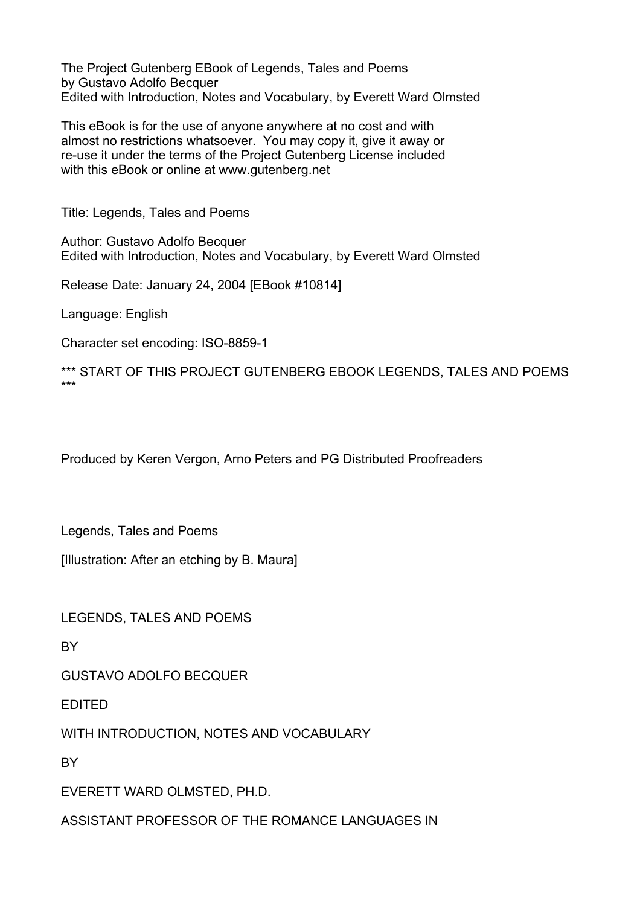The Project Gutenberg EBook of Legends, Tales and Poems by Gustavo Adolfo Becquer Edited with Introduction, Notes and Vocabulary, by Everett Ward Olmsted

This eBook is for the use of anyone anywhere at no cost and with almost no restrictions whatsoever. You may copy it, give it away or re-use it under the terms of the Project Gutenberg License included with this eBook or online at www.gutenberg.net

Title: Legends, Tales and Poems

Author: Gustavo Adolfo Becquer Edited with Introduction, Notes and Vocabulary, by Everett Ward Olmsted

Release Date: January 24, 2004 [EBook #10814]

Language: English

Character set encoding: ISO-8859-1

\*\*\* START OF THIS PROJECT GUTENBERG EBOOK LEGENDS, TALES AND POEMS \*\*\*

Produced by Keren Vergon, Arno Peters and PG Distributed Proofreaders

Legends, Tales and Poems

[Illustration: After an etching by B. Maura]

LEGENDS, TALES AND POEMS

**BY** 

GUSTAVO ADOLFO BECQUER

EDITED

WITH INTRODUCTION, NOTES AND VOCABULARY

**RY** 

EVERETT WARD OLMSTED, PH.D.

ASSISTANT PROFESSOR OF THE ROMANCE LANGUAGES IN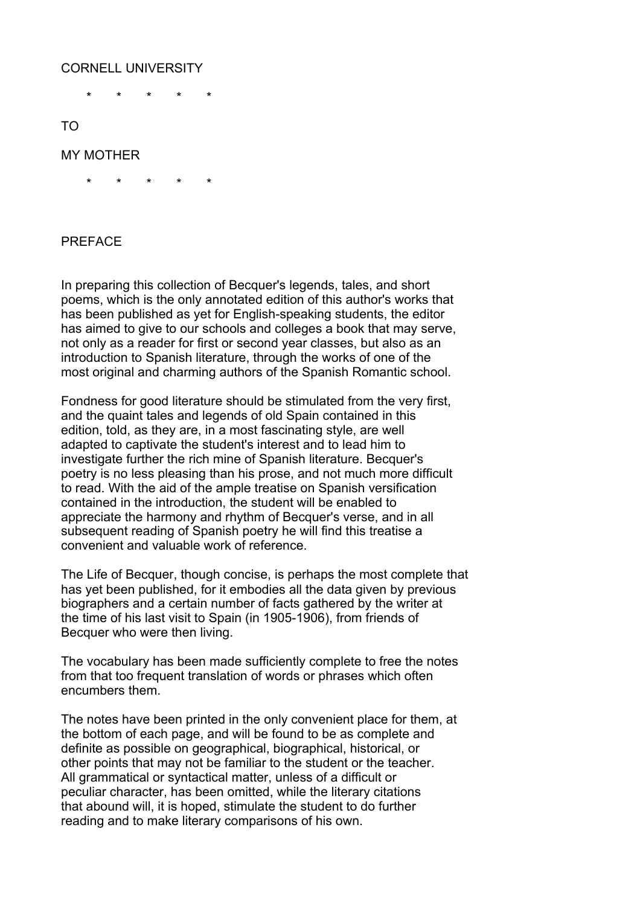# CORNELL UNIVERSITY

\* \* \* \* \*

TO

### MY MOTHER

\* \* \* \* \*

#### PREFACE

In preparing this collection of Becquer's legends, tales, and short poems, which is the only annotated edition of this author's works that has been published as yet for English-speaking students, the editor has aimed to give to our schools and colleges a book that may serve, not only as a reader for first or second year classes, but also as an introduction to Spanish literature, through the works of one of the most original and charming authors of the Spanish Romantic school.

Fondness for good literature should be stimulated from the very first, and the quaint tales and legends of old Spain contained in this edition, told, as they are, in a most fascinating style, are well adapted to captivate the student's interest and to lead him to investigate further the rich mine of Spanish literature. Becquer's poetry is no less pleasing than his prose, and not much more difficult to read. With the aid of the ample treatise on Spanish versification contained in the introduction, the student will be enabled to appreciate the harmony and rhythm of Becquer's verse, and in all subsequent reading of Spanish poetry he will find this treatise a convenient and valuable work of reference.

The Life of Becquer, though concise, is perhaps the most complete that has yet been published, for it embodies all the data given by previous biographers and a certain number of facts gathered by the writer at the time of his last visit to Spain (in 1905-1906), from friends of Becquer who were then living.

The vocabulary has been made sufficiently complete to free the notes from that too frequent translation of words or phrases which often encumbers them.

The notes have been printed in the only convenient place for them, at the bottom of each page, and will be found to be as complete and definite as possible on geographical, biographical, historical, or other points that may not be familiar to the student or the teacher. All grammatical or syntactical matter, unless of a difficult or peculiar character, has been omitted, while the literary citations that abound will, it is hoped, stimulate the student to do further reading and to make literary comparisons of his own.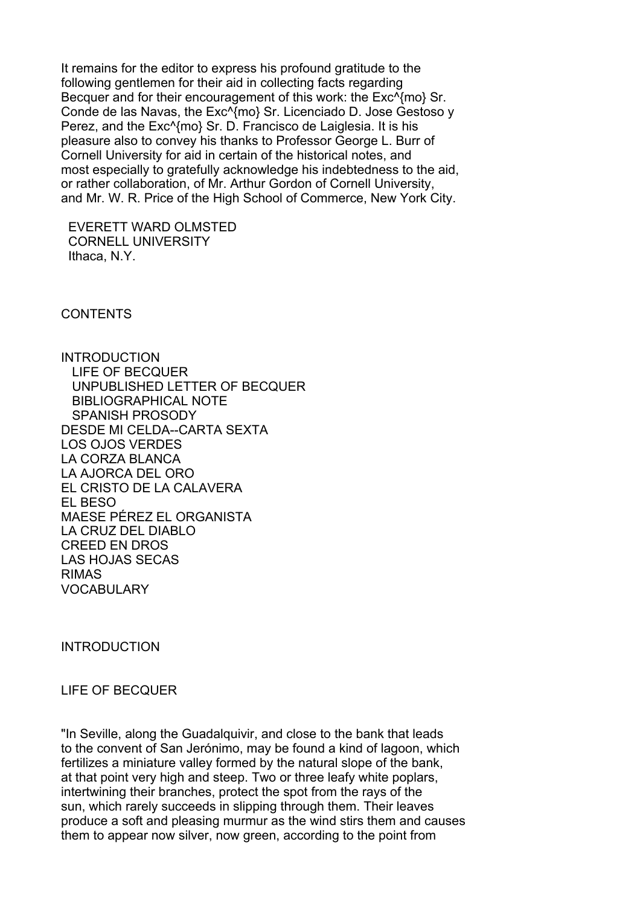It remains for the editor to express his profound gratitude to the following gentlemen for their aid in collecting facts regarding Becquer and for their encouragement of this work: the Exc^{mo} Sr. Conde de las Navas, the Exc^{mo} Sr. Licenciado D. Jose Gestoso y Perez, and the Exc^{mo} Sr. D. Francisco de Laiglesia. It is his pleasure also to convey his thanks to Professor George L. Burr of Cornell University for aid in certain of the historical notes, and most especially to gratefully acknowledge his indebtedness to the aid, or rather collaboration, of Mr. Arthur Gordon of Cornell University, and Mr. W. R. Price of the High School of Commerce, New York City.

 EVERETT WARD OLMSTED CORNELL UNIVERSITY Ithaca, N.Y.

**CONTENTS** 

**INTRODUCTION**  LIFE OF BECQUER UNPUBLISHED LETTER OF BECQUER BIBLIOGRAPHICAL NOTE SPANISH PROSODY DESDE MI CELDA--CARTA SEXTA LOS OJOS VERDES LA CORZA BLANCA LA AJORCA DEL ORO EL CRISTO DE LA CALAVERA EL BESO MAESE PÉREZ EL ORGANISTA LA CRUZ DEL DIABLO CREED EN DROS LAS HOJAS SECAS RIMAS VOCABULARY

INTRODUCTION

#### LIFE OF BECQUER

"In Seville, along the Guadalquivir, and close to the bank that leads to the convent of San Jerónimo, may be found a kind of lagoon, which fertilizes a miniature valley formed by the natural slope of the bank, at that point very high and steep. Two or three leafy white poplars, intertwining their branches, protect the spot from the rays of the sun, which rarely succeeds in slipping through them. Their leaves produce a soft and pleasing murmur as the wind stirs them and causes them to appear now silver, now green, according to the point from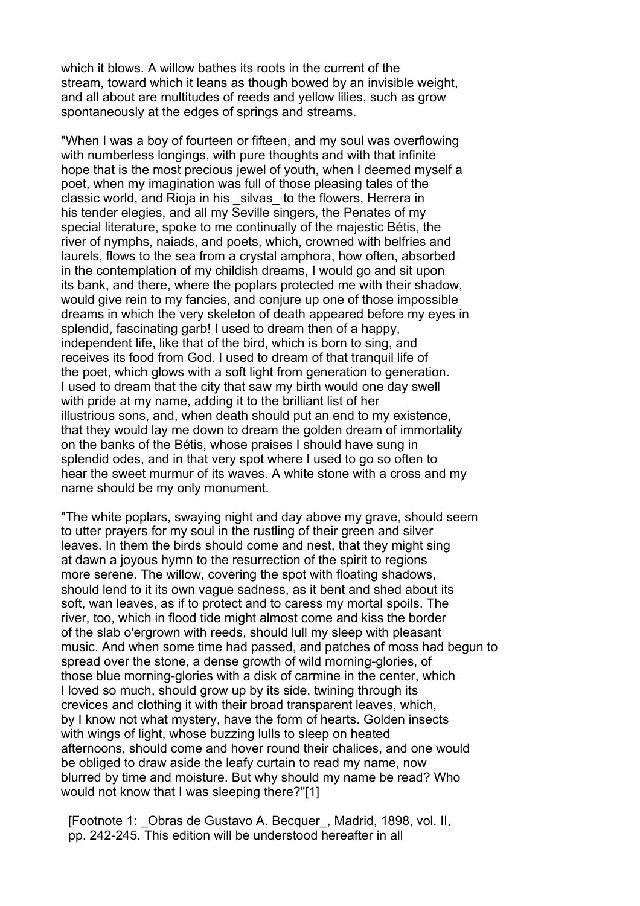which it blows. A willow bathes its roots in the current of the stream, toward which it leans as though bowed by an invisible weight, and all about are multitudes of reeds and yellow lilies, such as grow spontaneously at the edges of springs and streams.

"When I was a boy of fourteen or fifteen, and my soul was overflowing with numberless longings, with pure thoughts and with that infinite hope that is the most precious jewel of youth, when I deemed myself a poet, when my imagination was full of those pleasing tales of the classic world, and Rioja in his silvas to the flowers, Herrera in his tender elegies, and all my Seville singers, the Penates of my special literature, spoke to me continually of the majestic Bétis, the river of nymphs, naiads, and poets, which, crowned with belfries and laurels, flows to the sea from a crystal amphora, how often, absorbed in the contemplation of my childish dreams, I would go and sit upon its bank, and there, where the poplars protected me with their shadow, would give rein to my fancies, and conjure up one of those impossible dreams in which the very skeleton of death appeared before my eyes in splendid, fascinating garb! I used to dream then of a happy, independent life, like that of the bird, which is born to sing, and receives its food from God. I used to dream of that tranquil life of the poet, which glows with a soft light from generation to generation. I used to dream that the city that saw my birth would one day swell with pride at my name, adding it to the brilliant list of her illustrious sons, and, when death should put an end to my existence, that they would lay me down to dream the golden dream of immortality on the banks of the Bétis, whose praises I should have sung in splendid odes, and in that very spot where I used to go so often to hear the sweet murmur of its waves. A white stone with a cross and my name should be my only monument.

"The white poplars, swaying night and day above my grave, should seem to utter prayers for my soul in the rustling of their green and silver leaves. In them the birds should come and nest, that they might sing at dawn a joyous hymn to the resurrection of the spirit to regions more serene. The willow, covering the spot with floating shadows, should lend to it its own vague sadness, as it bent and shed about its soft, wan leaves, as if to protect and to caress my mortal spoils. The river, too, which in flood tide might almost come and kiss the border of the slab o'ergrown with reeds, should lull my sleep with pleasant music. And when some time had passed, and patches of moss had begun to spread over the stone, a dense growth of wild morning-glories, of those blue morning-glories with a disk of carmine in the center, which I loved so much, should grow up by its side, twining through its crevices and clothing it with their broad transparent leaves, which, by I know not what mystery, have the form of hearts. Golden insects with wings of light, whose buzzing lulls to sleep on heated afternoons, should come and hover round their chalices, and one would be obliged to draw aside the leafy curtain to read my name, now blurred by time and moisture. But why should my name be read? Who would not know that I was sleeping there?"[1]

 [Footnote 1: \_Obras de Gustavo A. Becquer\_, Madrid, 1898, vol. II, pp. 242-245. This edition will be understood hereafter in all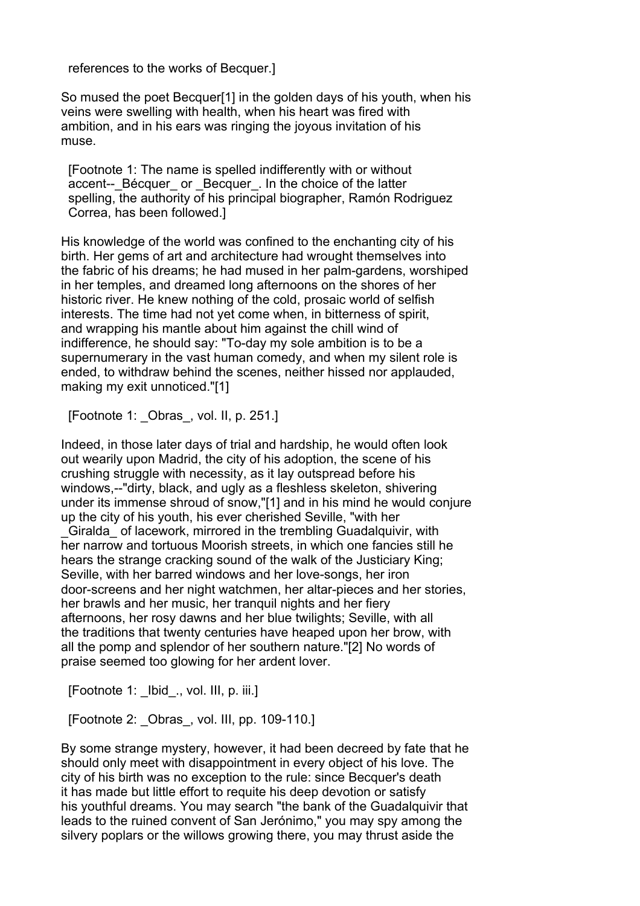references to the works of Becquer.]

So mused the poet Becquer[1] in the golden days of his youth, when his veins were swelling with health, when his heart was fired with ambition, and in his ears was ringing the joyous invitation of his muse.

 [Footnote 1: The name is spelled indifferently with or without accent-- Bécquer or Becquer. In the choice of the latter spelling, the authority of his principal biographer, Ramón Rodriguez Correa, has been followed.]

His knowledge of the world was confined to the enchanting city of his birth. Her gems of art and architecture had wrought themselves into the fabric of his dreams; he had mused in her palm-gardens, worshiped in her temples, and dreamed long afternoons on the shores of her historic river. He knew nothing of the cold, prosaic world of selfish interests. The time had not yet come when, in bitterness of spirit, and wrapping his mantle about him against the chill wind of indifference, he should say: "To-day my sole ambition is to be a supernumerary in the vast human comedy, and when my silent role is ended, to withdraw behind the scenes, neither hissed nor applauded, making my exit unnoticed."[1]

[Footnote 1: Obras, vol. II, p. 251.]

Indeed, in those later days of trial and hardship, he would often look out wearily upon Madrid, the city of his adoption, the scene of his crushing struggle with necessity, as it lay outspread before his windows,--"dirty, black, and ugly as a fleshless skeleton, shivering under its immense shroud of snow,"[1] and in his mind he would conjure up the city of his youth, his ever cherished Seville, "with her \_Giralda\_ of lacework, mirrored in the trembling Guadalquivir, with her narrow and tortuous Moorish streets, in which one fancies still he hears the strange cracking sound of the walk of the Justiciary King; Seville, with her barred windows and her love-songs, her iron door-screens and her night watchmen, her altar-pieces and her stories, her brawls and her music, her tranquil nights and her fiery afternoons, her rosy dawns and her blue twilights; Seville, with all the traditions that twenty centuries have heaped upon her brow, with all the pomp and splendor of her southern nature."[2] No words of praise seemed too glowing for her ardent lover.

[Footnote 1: Ibid ., vol. III, p. iii.]

[Footnote 2: \_Obras\_, vol. III, pp. 109-110.]

By some strange mystery, however, it had been decreed by fate that he should only meet with disappointment in every object of his love. The city of his birth was no exception to the rule: since Becquer's death it has made but little effort to requite his deep devotion or satisfy his youthful dreams. You may search "the bank of the Guadalquivir that leads to the ruined convent of San Jerónimo," you may spy among the silvery poplars or the willows growing there, you may thrust aside the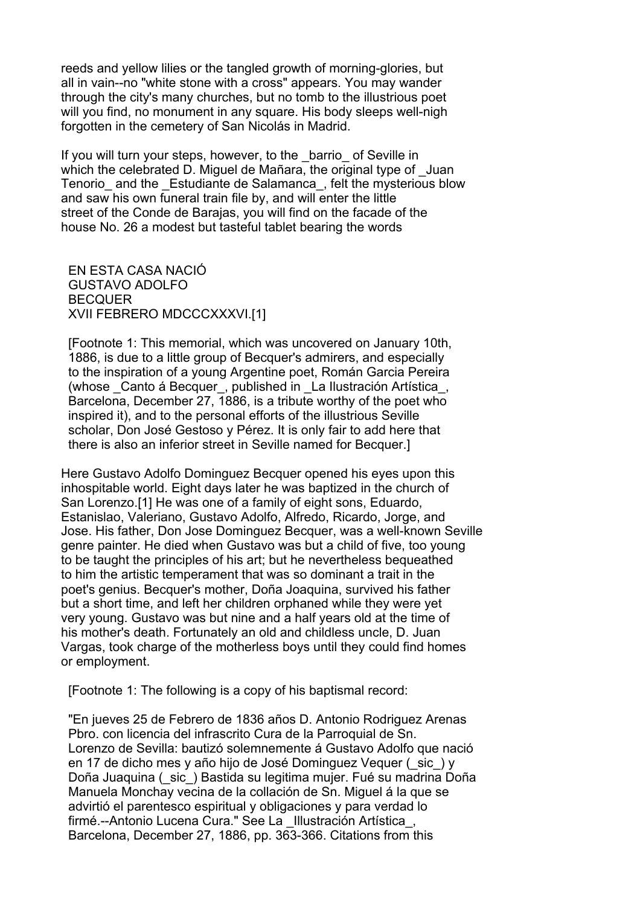reeds and yellow lilies or the tangled growth of morning-glories, but all in vain--no "white stone with a cross" appears. You may wander through the city's many churches, but no tomb to the illustrious poet will you find, no monument in any square. His body sleeps well-nigh forgotten in the cemetery of San Nicolás in Madrid.

If you will turn your steps, however, to the barrio of Seville in which the celebrated D. Miguel de Mañara, the original type of \_Juan Tenorio and the Estudiante de Salamanca, felt the mysterious blow and saw his own funeral train file by, and will enter the little street of the Conde de Barajas, you will find on the facade of the house No. 26 a modest but tasteful tablet bearing the words

 EN ESTA CASA NACIÓ GUSTAVO ADOLFO BECQUER XVII FEBRERO MDCCCXXXVI.[1]

 [Footnote 1: This memorial, which was uncovered on January 10th, 1886, is due to a little group of Becquer's admirers, and especially to the inspiration of a young Argentine poet, Román Garcia Pereira (whose \_Canto á Becquer\_, published in \_La Ilustración Artística\_, Barcelona, December 27, 1886, is a tribute worthy of the poet who inspired it), and to the personal efforts of the illustrious Seville scholar, Don José Gestoso y Pérez. It is only fair to add here that there is also an inferior street in Seville named for Becquer.]

Here Gustavo Adolfo Dominguez Becquer opened his eyes upon this inhospitable world. Eight days later he was baptized in the church of San Lorenzo.[1] He was one of a family of eight sons, Eduardo, Estanislao, Valeriano, Gustavo Adolfo, Alfredo, Ricardo, Jorge, and Jose. His father, Don Jose Dominguez Becquer, was a well-known Seville genre painter. He died when Gustavo was but a child of five, too young to be taught the principles of his art; but he nevertheless bequeathed to him the artistic temperament that was so dominant a trait in the poet's genius. Becquer's mother, Doña Joaquina, survived his father but a short time, and left her children orphaned while they were yet very young. Gustavo was but nine and a half years old at the time of his mother's death. Fortunately an old and childless uncle, D. Juan Vargas, took charge of the motherless boys until they could find homes or employment.

[Footnote 1: The following is a copy of his baptismal record:

 "En jueves 25 de Febrero de 1836 años D. Antonio Rodriguez Arenas Pbro. con licencia del infrascrito Cura de la Parroquial de Sn. Lorenzo de Sevilla: bautizó solemnemente á Gustavo Adolfo que nació en 17 de dicho mes y año hijo de José Dominguez Vequer (\_sic\_) y Doña Juaquina (\_sic\_) Bastida su legitima mujer. Fué su madrina Doña Manuela Monchay vecina de la collación de Sn. Miguel á la que se advirtió el parentesco espiritual y obligaciones y para verdad lo firmé.--Antonio Lucena Cura." See La \_Illustración Artística\_, Barcelona, December 27, 1886, pp. 363-366. Citations from this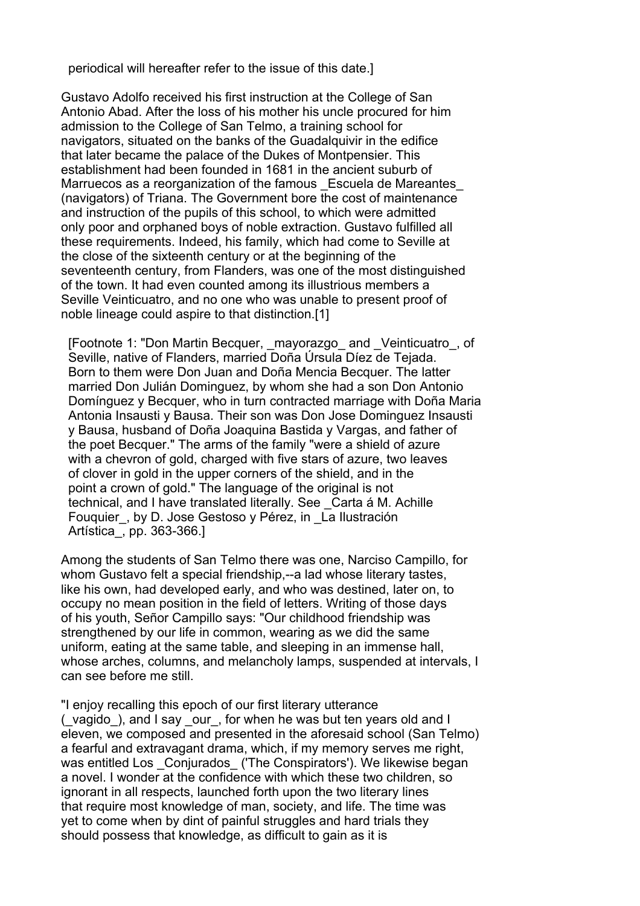periodical will hereafter refer to the issue of this date.]

Gustavo Adolfo received his first instruction at the College of San Antonio Abad. After the loss of his mother his uncle procured for him admission to the College of San Telmo, a training school for navigators, situated on the banks of the Guadalquivir in the edifice that later became the palace of the Dukes of Montpensier. This establishment had been founded in 1681 in the ancient suburb of Marruecos as a reorganization of the famous \_Escuela de Mareantes\_ (navigators) of Triana. The Government bore the cost of maintenance and instruction of the pupils of this school, to which were admitted only poor and orphaned boys of noble extraction. Gustavo fulfilled all these requirements. Indeed, his family, which had come to Seville at the close of the sixteenth century or at the beginning of the seventeenth century, from Flanders, was one of the most distinguished of the town. It had even counted among its illustrious members a Seville Veinticuatro, and no one who was unable to present proof of noble lineage could aspire to that distinction.[1]

 [Footnote 1: "Don Martin Becquer, \_mayorazgo\_ and \_Veinticuatro\_, of Seville, native of Flanders, married Doña Úrsula Díez de Tejada. Born to them were Don Juan and Doña Mencia Becquer. The latter married Don Julián Dominguez, by whom she had a son Don Antonio Domínguez y Becquer, who in turn contracted marriage with Doña Maria Antonia Insausti y Bausa. Their son was Don Jose Dominguez Insausti y Bausa, husband of Doña Joaquina Bastida y Vargas, and father of the poet Becquer." The arms of the family "were a shield of azure with a chevron of gold, charged with five stars of azure, two leaves of clover in gold in the upper corners of the shield, and in the point a crown of gold." The language of the original is not technical, and I have translated literally. See \_Carta á M. Achille Fouquier, by D. Jose Gestoso y Pérez, in La Ilustración Artística\_, pp. 363-366.]

Among the students of San Telmo there was one, Narciso Campillo, for whom Gustavo felt a special friendship,--a lad whose literary tastes, like his own, had developed early, and who was destined, later on, to occupy no mean position in the field of letters. Writing of those days of his youth, Señor Campillo says: "Our childhood friendship was strengthened by our life in common, wearing as we did the same uniform, eating at the same table, and sleeping in an immense hall, whose arches, columns, and melancholy lamps, suspended at intervals, I can see before me still.

"I enjoy recalling this epoch of our first literary utterance (\_vagido\_), and I say \_our\_, for when he was but ten years old and I eleven, we composed and presented in the aforesaid school (San Telmo) a fearful and extravagant drama, which, if my memory serves me right, was entitled Los Conjurados ('The Conspirators'). We likewise began a novel. I wonder at the confidence with which these two children, so ignorant in all respects, launched forth upon the two literary lines that require most knowledge of man, society, and life. The time was yet to come when by dint of painful struggles and hard trials they should possess that knowledge, as difficult to gain as it is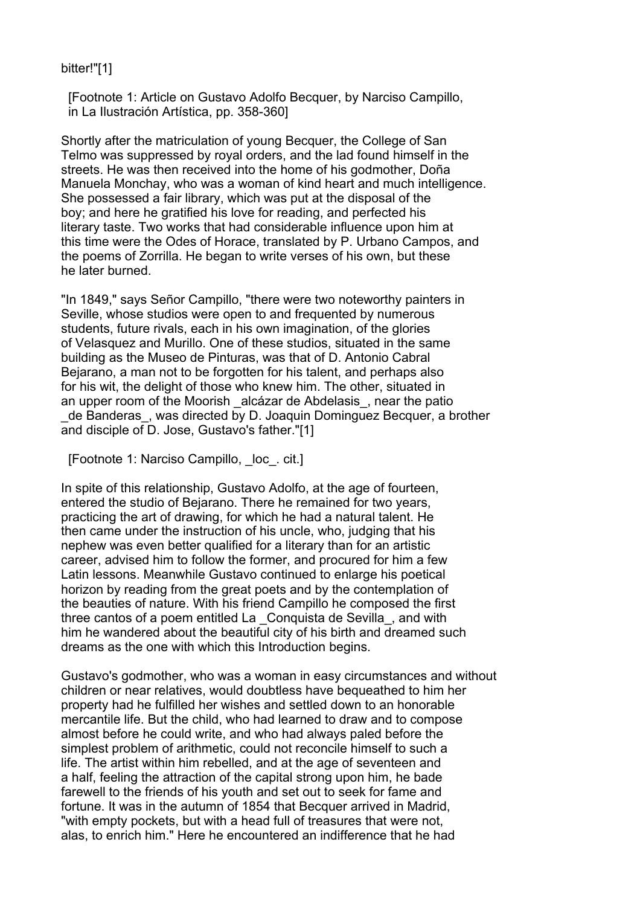# bitter!"[1]

 [Footnote 1: Article on Gustavo Adolfo Becquer, by Narciso Campillo, in La Ilustración Artística, pp. 358-360]

Shortly after the matriculation of young Becquer, the College of San Telmo was suppressed by royal orders, and the lad found himself in the streets. He was then received into the home of his godmother, Doña Manuela Monchay, who was a woman of kind heart and much intelligence. She possessed a fair library, which was put at the disposal of the boy; and here he gratified his love for reading, and perfected his literary taste. Two works that had considerable influence upon him at this time were the Odes of Horace, translated by P. Urbano Campos, and the poems of Zorrilla. He began to write verses of his own, but these he later burned.

"In 1849," says Señor Campillo, "there were two noteworthy painters in Seville, whose studios were open to and frequented by numerous students, future rivals, each in his own imagination, of the glories of Velasquez and Murillo. One of these studios, situated in the same building as the Museo de Pinturas, was that of D. Antonio Cabral Bejarano, a man not to be forgotten for his talent, and perhaps also for his wit, the delight of those who knew him. The other, situated in an upper room of the Moorish alcázar de Abdelasis, near the patio \_de Banderas\_, was directed by D. Joaquin Dominguez Becquer, a brother and disciple of D. Jose, Gustavo's father."[1]

[Footnote 1: Narciso Campillo, loc. cit.]

In spite of this relationship, Gustavo Adolfo, at the age of fourteen, entered the studio of Bejarano. There he remained for two years, practicing the art of drawing, for which he had a natural talent. He then came under the instruction of his uncle, who, judging that his nephew was even better qualified for a literary than for an artistic career, advised him to follow the former, and procured for him a few Latin lessons. Meanwhile Gustavo continued to enlarge his poetical horizon by reading from the great poets and by the contemplation of the beauties of nature. With his friend Campillo he composed the first three cantos of a poem entitled La \_Conquista de Sevilla\_, and with him he wandered about the beautiful city of his birth and dreamed such dreams as the one with which this Introduction begins.

Gustavo's godmother, who was a woman in easy circumstances and without children or near relatives, would doubtless have bequeathed to him her property had he fulfilled her wishes and settled down to an honorable mercantile life. But the child, who had learned to draw and to compose almost before he could write, and who had always paled before the simplest problem of arithmetic, could not reconcile himself to such a life. The artist within him rebelled, and at the age of seventeen and a half, feeling the attraction of the capital strong upon him, he bade farewell to the friends of his youth and set out to seek for fame and fortune. It was in the autumn of 1854 that Becquer arrived in Madrid, "with empty pockets, but with a head full of treasures that were not, alas, to enrich him." Here he encountered an indifference that he had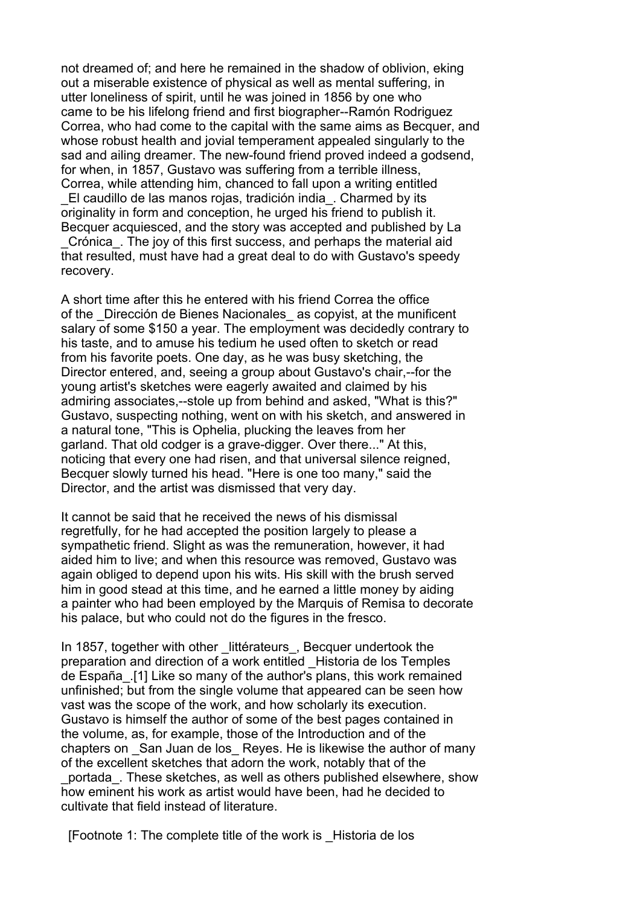not dreamed of; and here he remained in the shadow of oblivion, eking out a miserable existence of physical as well as mental suffering, in utter loneliness of spirit, until he was joined in 1856 by one who came to be his lifelong friend and first biographer--Ramón Rodriguez Correa, who had come to the capital with the same aims as Becquer, and whose robust health and jovial temperament appealed singularly to the sad and ailing dreamer. The new-found friend proved indeed a godsend, for when, in 1857, Gustavo was suffering from a terrible illness, Correa, while attending him, chanced to fall upon a writing entitled

\_El caudillo de las manos rojas, tradición india\_. Charmed by its originality in form and conception, he urged his friend to publish it. Becquer acquiesced, and the story was accepted and published by La

\_Crónica\_. The joy of this first success, and perhaps the material aid that resulted, must have had a great deal to do with Gustavo's speedy recovery.

A short time after this he entered with his friend Correa the office of the Dirección de Bienes Nacionales as copyist, at the munificent salary of some \$150 a year. The employment was decidedly contrary to his taste, and to amuse his tedium he used often to sketch or read from his favorite poets. One day, as he was busy sketching, the Director entered, and, seeing a group about Gustavo's chair,--for the young artist's sketches were eagerly awaited and claimed by his admiring associates,--stole up from behind and asked, "What is this?" Gustavo, suspecting nothing, went on with his sketch, and answered in a natural tone, "This is Ophelia, plucking the leaves from her garland. That old codger is a grave-digger. Over there..." At this, noticing that every one had risen, and that universal silence reigned, Becquer slowly turned his head. "Here is one too many," said the Director, and the artist was dismissed that very day.

It cannot be said that he received the news of his dismissal regretfully, for he had accepted the position largely to please a sympathetic friend. Slight as was the remuneration, however, it had aided him to live; and when this resource was removed, Gustavo was again obliged to depend upon his wits. His skill with the brush served him in good stead at this time, and he earned a little money by aiding a painter who had been employed by the Marquis of Remisa to decorate his palace, but who could not do the figures in the fresco.

In 1857, together with other littérateurs, Becquer undertook the preparation and direction of a work entitled \_Historia de los Temples de España\_.[1] Like so many of the author's plans, this work remained unfinished; but from the single volume that appeared can be seen how vast was the scope of the work, and how scholarly its execution. Gustavo is himself the author of some of the best pages contained in the volume, as, for example, those of the Introduction and of the chapters on San Juan de los Reyes. He is likewise the author of many of the excellent sketches that adorn the work, notably that of the \_portada\_. These sketches, as well as others published elsewhere, show

how eminent his work as artist would have been, had he decided to cultivate that field instead of literature.

[Footnote 1: The complete title of the work is \_Historia de los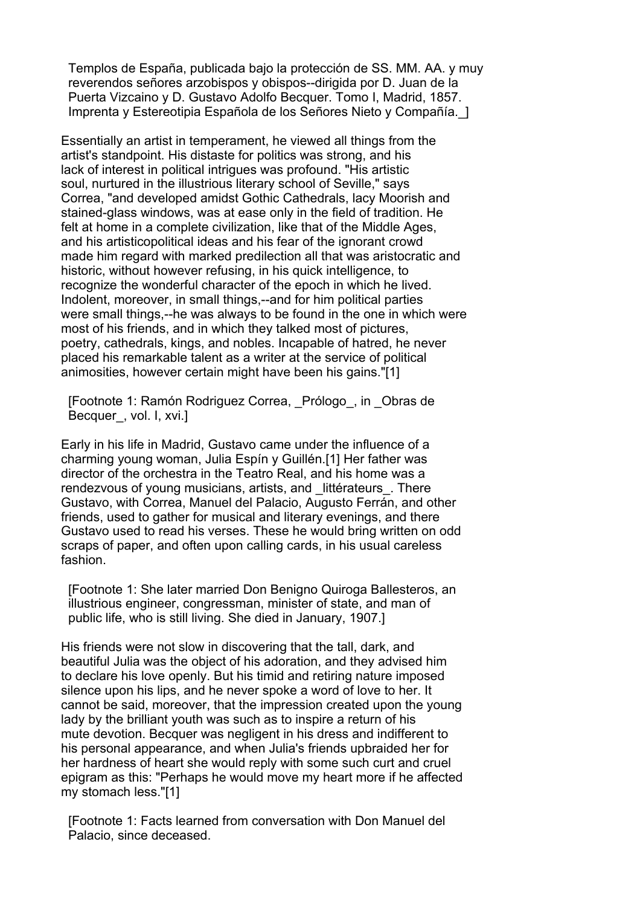Templos de España, publicada bajo la protección de SS. MM. AA. y muy reverendos señores arzobispos y obispos--dirigida por D. Juan de la Puerta Vizcaino y D. Gustavo Adolfo Becquer. Tomo I, Madrid, 1857. Imprenta y Estereotipia Española de los Señores Nieto y Compañía.\_]

Essentially an artist in temperament, he viewed all things from the artist's standpoint. His distaste for politics was strong, and his lack of interest in political intrigues was profound. "His artistic soul, nurtured in the illustrious literary school of Seville," says Correa, "and developed amidst Gothic Cathedrals, lacy Moorish and stained-glass windows, was at ease only in the field of tradition. He felt at home in a complete civilization, like that of the Middle Ages, and his artisticopolitical ideas and his fear of the ignorant crowd made him regard with marked predilection all that was aristocratic and historic, without however refusing, in his quick intelligence, to recognize the wonderful character of the epoch in which he lived. Indolent, moreover, in small things,--and for him political parties were small things,--he was always to be found in the one in which were most of his friends, and in which they talked most of pictures, poetry, cathedrals, kings, and nobles. Incapable of hatred, he never placed his remarkable talent as a writer at the service of political animosities, however certain might have been his gains."[1]

 [Footnote 1: Ramón Rodriguez Correa, \_Prólogo\_, in \_Obras de Becquer, vol. I, xvi.]

Early in his life in Madrid, Gustavo came under the influence of a charming young woman, Julia Espín y Guillén.[1] Her father was director of the orchestra in the Teatro Real, and his home was a rendezvous of young musicians, artists, and littérateurs. There Gustavo, with Correa, Manuel del Palacio, Augusto Ferrán, and other friends, used to gather for musical and literary evenings, and there Gustavo used to read his verses. These he would bring written on odd scraps of paper, and often upon calling cards, in his usual careless fashion.

 [Footnote 1: She later married Don Benigno Quiroga Ballesteros, an illustrious engineer, congressman, minister of state, and man of public life, who is still living. She died in January, 1907.]

His friends were not slow in discovering that the tall, dark, and beautiful Julia was the object of his adoration, and they advised him to declare his love openly. But his timid and retiring nature imposed silence upon his lips, and he never spoke a word of love to her. It cannot be said, moreover, that the impression created upon the young lady by the brilliant youth was such as to inspire a return of his mute devotion. Becquer was negligent in his dress and indifferent to his personal appearance, and when Julia's friends upbraided her for her hardness of heart she would reply with some such curt and cruel epigram as this: "Perhaps he would move my heart more if he affected my stomach less."[1]

 [Footnote 1: Facts learned from conversation with Don Manuel del Palacio, since deceased.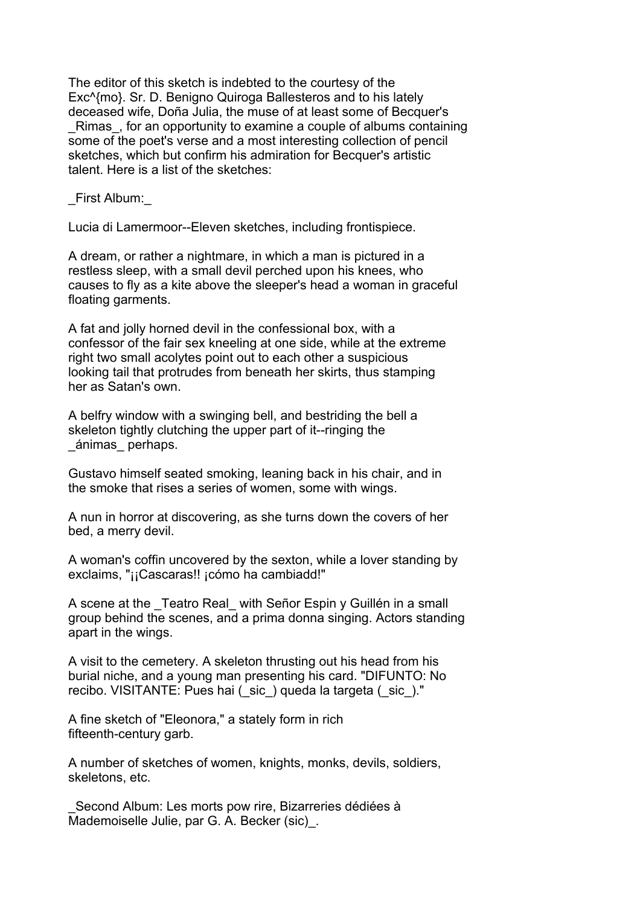The editor of this sketch is indebted to the courtesy of the Exc^{mo}. Sr. D. Benigno Quiroga Ballesteros and to his lately deceased wife, Doña Julia, the muse of at least some of Becquer's

 \_Rimas\_, for an opportunity to examine a couple of albums containing some of the poet's verse and a most interesting collection of pencil sketches, which but confirm his admiration for Becquer's artistic talent. Here is a list of the sketches:

\_First Album:\_

Lucia di Lamermoor--Eleven sketches, including frontispiece.

 A dream, or rather a nightmare, in which a man is pictured in a restless sleep, with a small devil perched upon his knees, who causes to fly as a kite above the sleeper's head a woman in graceful floating garments.

 A fat and jolly horned devil in the confessional box, with a confessor of the fair sex kneeling at one side, while at the extreme right two small acolytes point out to each other a suspicious looking tail that protrudes from beneath her skirts, thus stamping her as Satan's own.

 A belfry window with a swinging bell, and bestriding the bell a skeleton tightly clutching the upper part of it--ringing the \_ánimas\_ perhaps.

 Gustavo himself seated smoking, leaning back in his chair, and in the smoke that rises a series of women, some with wings.

 A nun in horror at discovering, as she turns down the covers of her bed, a merry devil.

 A woman's coffin uncovered by the sexton, while a lover standing by exclaims, "¡¡Cascaras!! ¡cómo ha cambiadd!"

A scene at the Teatro Real with Señor Espin y Guillén in a small group behind the scenes, and a prima donna singing. Actors standing apart in the wings.

 A visit to the cemetery. A skeleton thrusting out his head from his burial niche, and a young man presenting his card. "DIFUNTO: No recibo. VISITANTE: Pues hai (\_sic\_) queda la targeta (\_sic\_)."

 A fine sketch of "Eleonora," a stately form in rich fifteenth-century garb.

 A number of sketches of women, knights, monks, devils, soldiers, skeletons, etc.

Second Album: Les morts pow rire, Bizarreries dédiées à Mademoiselle Julie, par G. A. Becker (sic).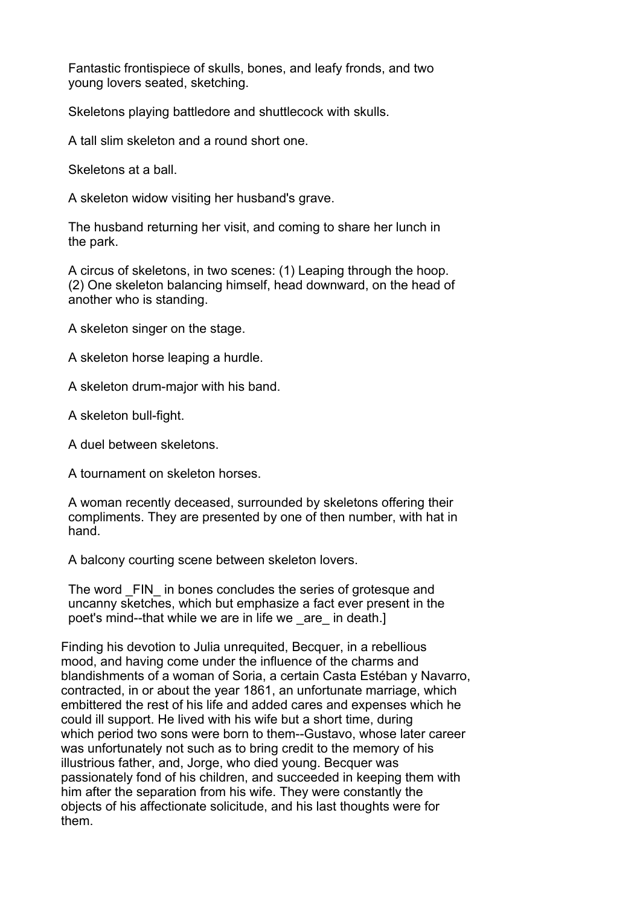Fantastic frontispiece of skulls, bones, and leafy fronds, and two young lovers seated, sketching.

Skeletons playing battledore and shuttlecock with skulls.

A tall slim skeleton and a round short one.

Skeletons at a ball.

A skeleton widow visiting her husband's grave.

 The husband returning her visit, and coming to share her lunch in the park.

 A circus of skeletons, in two scenes: (1) Leaping through the hoop. (2) One skeleton balancing himself, head downward, on the head of another who is standing.

A skeleton singer on the stage.

A skeleton horse leaping a hurdle.

A skeleton drum-major with his band.

A skeleton bull-fight.

A duel between skeletons.

A tournament on skeleton horses.

 A woman recently deceased, surrounded by skeletons offering their compliments. They are presented by one of then number, with hat in hand.

A balcony courting scene between skeleton lovers.

The word FIN in bones concludes the series of grotesque and uncanny sketches, which but emphasize a fact ever present in the poet's mind--that while we are in life we \_are\_ in death.]

Finding his devotion to Julia unrequited, Becquer, in a rebellious mood, and having come under the influence of the charms and blandishments of a woman of Soria, a certain Casta Estéban y Navarro, contracted, in or about the year 1861, an unfortunate marriage, which embittered the rest of his life and added cares and expenses which he could ill support. He lived with his wife but a short time, during which period two sons were born to them--Gustavo, whose later career was unfortunately not such as to bring credit to the memory of his illustrious father, and, Jorge, who died young. Becquer was passionately fond of his children, and succeeded in keeping them with him after the separation from his wife. They were constantly the objects of his affectionate solicitude, and his last thoughts were for them.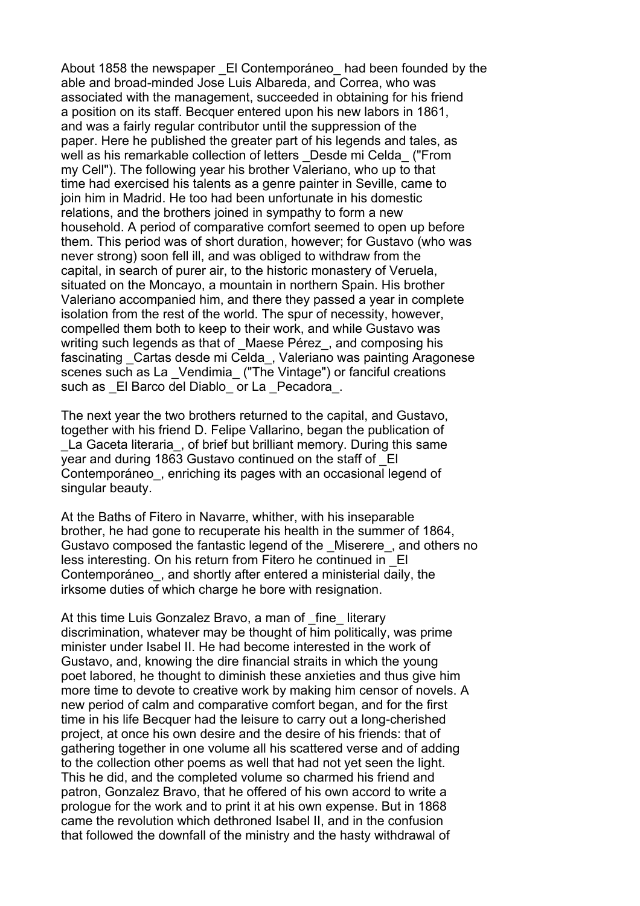About 1858 the newspaper El Contemporáneo had been founded by the able and broad-minded Jose Luis Albareda, and Correa, who was associated with the management, succeeded in obtaining for his friend a position on its staff. Becquer entered upon his new labors in 1861, and was a fairly regular contributor until the suppression of the paper. Here he published the greater part of his legends and tales, as well as his remarkable collection of letters Desde mi Celda ("From my Cell"). The following year his brother Valeriano, who up to that time had exercised his talents as a genre painter in Seville, came to join him in Madrid. He too had been unfortunate in his domestic relations, and the brothers joined in sympathy to form a new household. A period of comparative comfort seemed to open up before them. This period was of short duration, however; for Gustavo (who was never strong) soon fell ill, and was obliged to withdraw from the capital, in search of purer air, to the historic monastery of Veruela, situated on the Moncayo, a mountain in northern Spain. His brother Valeriano accompanied him, and there they passed a year in complete isolation from the rest of the world. The spur of necessity, however, compelled them both to keep to their work, and while Gustavo was writing such legends as that of Maese Pérez, and composing his fascinating Cartas desde mi Celda, Valeriano was painting Aragonese scenes such as La Vendimia ("The Vintage") or fanciful creations such as \_El Barco del Diablo\_ or La \_Pecadora .

The next year the two brothers returned to the capital, and Gustavo, together with his friend D. Felipe Vallarino, began the publication of La Gaceta literaria, of brief but brilliant memory. During this same year and during 1863 Gustavo continued on the staff of \_El Contemporáneo, enriching its pages with an occasional legend of singular beauty.

At the Baths of Fitero in Navarre, whither, with his inseparable brother, he had gone to recuperate his health in the summer of 1864, Gustavo composed the fantastic legend of the \_Miserere\_, and others no less interesting. On his return from Fitero he continued in \_El Contemporáneo, and shortly after entered a ministerial daily, the irksome duties of which charge he bore with resignation.

At this time Luis Gonzalez Bravo, a man of fine literary discrimination, whatever may be thought of him politically, was prime minister under Isabel II. He had become interested in the work of Gustavo, and, knowing the dire financial straits in which the young poet labored, he thought to diminish these anxieties and thus give him more time to devote to creative work by making him censor of novels. A new period of calm and comparative comfort began, and for the first time in his life Becquer had the leisure to carry out a long-cherished project, at once his own desire and the desire of his friends: that of gathering together in one volume all his scattered verse and of adding to the collection other poems as well that had not yet seen the light. This he did, and the completed volume so charmed his friend and patron, Gonzalez Bravo, that he offered of his own accord to write a prologue for the work and to print it at his own expense. But in 1868 came the revolution which dethroned Isabel II, and in the confusion that followed the downfall of the ministry and the hasty withdrawal of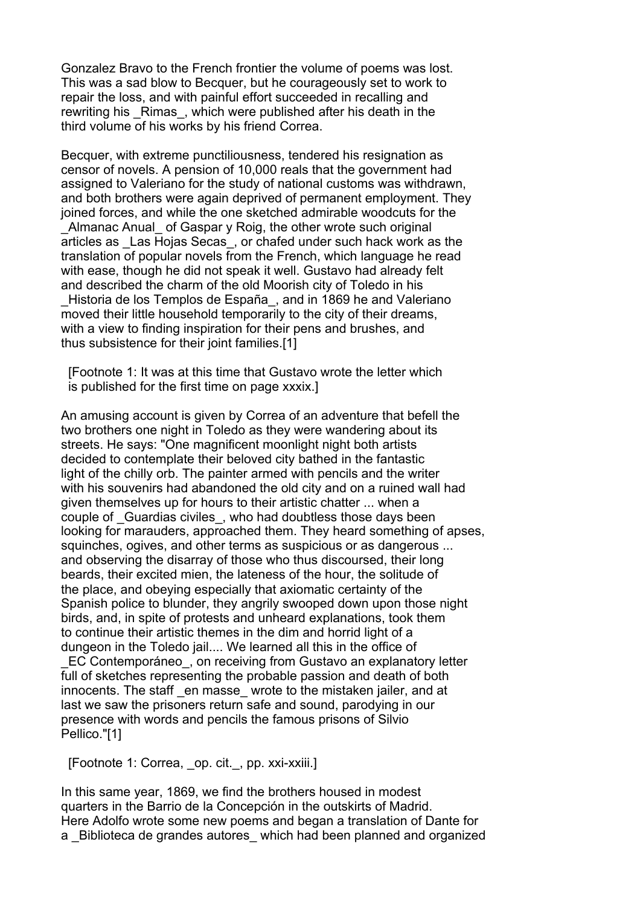Gonzalez Bravo to the French frontier the volume of poems was lost. This was a sad blow to Becquer, but he courageously set to work to repair the loss, and with painful effort succeeded in recalling and rewriting his Rimas, which were published after his death in the third volume of his works by his friend Correa.

Becquer, with extreme punctiliousness, tendered his resignation as censor of novels. A pension of 10,000 reals that the government had assigned to Valeriano for the study of national customs was withdrawn, and both brothers were again deprived of permanent employment. They joined forces, and while the one sketched admirable woodcuts for the Almanac Anual of Gaspar y Roig, the other wrote such original articles as \_Las Hojas Secas\_, or chafed under such hack work as the translation of popular novels from the French, which language he read with ease, though he did not speak it well. Gustavo had already felt and described the charm of the old Moorish city of Toledo in his Historia de los Templos de España, and in 1869 he and Valeriano moved their little household temporarily to the city of their dreams, with a view to finding inspiration for their pens and brushes, and thus subsistence for their joint families.[1]

 [Footnote 1: It was at this time that Gustavo wrote the letter which is published for the first time on page xxxix.]

An amusing account is given by Correa of an adventure that befell the two brothers one night in Toledo as they were wandering about its streets. He says: "One magnificent moonlight night both artists decided to contemplate their beloved city bathed in the fantastic light of the chilly orb. The painter armed with pencils and the writer with his souvenirs had abandoned the old city and on a ruined wall had given themselves up for hours to their artistic chatter ... when a couple of Guardias civiles, who had doubtless those days been looking for marauders, approached them. They heard something of apses, squinches, ogives, and other terms as suspicious or as dangerous ... and observing the disarray of those who thus discoursed, their long beards, their excited mien, the lateness of the hour, the solitude of the place, and obeying especially that axiomatic certainty of the Spanish police to blunder, they angrily swooped down upon those night birds, and, in spite of protests and unheard explanations, took them to continue their artistic themes in the dim and horrid light of a dungeon in the Toledo jail.... We learned all this in the office of EC Contemporáneo, on receiving from Gustavo an explanatory letter full of sketches representing the probable passion and death of both innocents. The staff en masse wrote to the mistaken jailer, and at last we saw the prisoners return safe and sound, parodying in our presence with words and pencils the famous prisons of Silvio Pellico."[1]

[Footnote 1: Correa, op. cit.\_, pp. xxi-xxiii.]

In this same year, 1869, we find the brothers housed in modest quarters in the Barrio de la Concepción in the outskirts of Madrid. Here Adolfo wrote some new poems and began a translation of Dante for a Biblioteca de grandes autores which had been planned and organized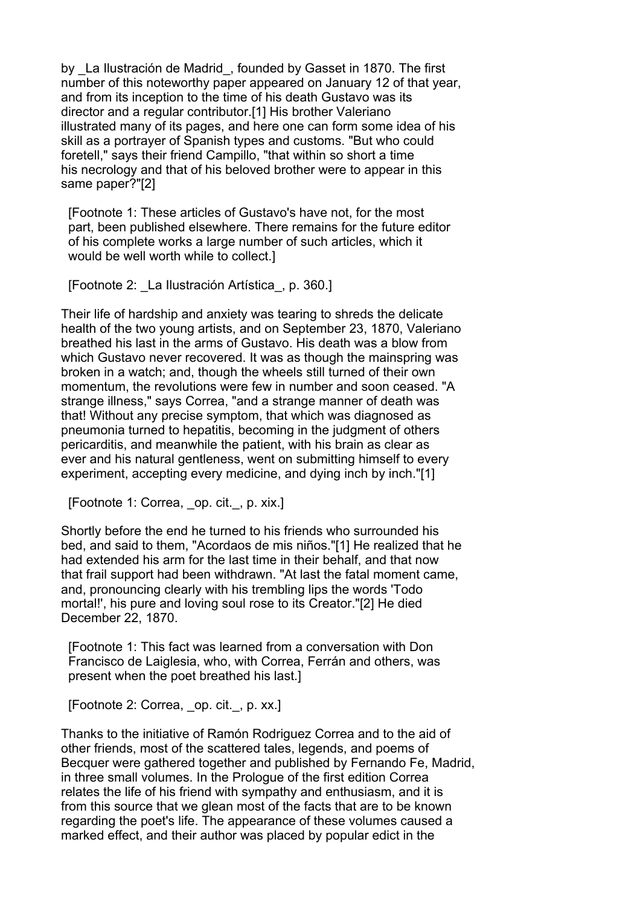by La Ilustración de Madrid, founded by Gasset in 1870. The first number of this noteworthy paper appeared on January 12 of that year, and from its inception to the time of his death Gustavo was its director and a regular contributor.[1] His brother Valeriano illustrated many of its pages, and here one can form some idea of his skill as a portrayer of Spanish types and customs. "But who could foretell," says their friend Campillo, "that within so short a time his necrology and that of his beloved brother were to appear in this same paper?"[2]

 [Footnote 1: These articles of Gustavo's have not, for the most part, been published elsewhere. There remains for the future editor of his complete works a large number of such articles, which it would be well worth while to collect.]

[Footnote 2: \_La Ilustración Artística\_, p. 360.]

Their life of hardship and anxiety was tearing to shreds the delicate health of the two young artists, and on September 23, 1870, Valeriano breathed his last in the arms of Gustavo. His death was a blow from which Gustavo never recovered. It was as though the mainspring was broken in a watch; and, though the wheels still turned of their own momentum, the revolutions were few in number and soon ceased. "A strange illness," says Correa, "and a strange manner of death was that! Without any precise symptom, that which was diagnosed as pneumonia turned to hepatitis, becoming in the judgment of others pericarditis, and meanwhile the patient, with his brain as clear as ever and his natural gentleness, went on submitting himself to every experiment, accepting every medicine, and dying inch by inch."[1]

[Footnote 1: Correa, \_op. cit.\_, p. xix.]

Shortly before the end he turned to his friends who surrounded his bed, and said to them, "Acordaos de mis niños."[1] He realized that he had extended his arm for the last time in their behalf, and that now that frail support had been withdrawn. "At last the fatal moment came, and, pronouncing clearly with his trembling lips the words 'Todo mortal!', his pure and loving soul rose to its Creator."[2] He died December 22, 1870.

 [Footnote 1: This fact was learned from a conversation with Don Francisco de Laiglesia, who, with Correa, Ferrán and others, was present when the poet breathed his last.]

[Footnote 2: Correa, op. cit., p. xx.]

Thanks to the initiative of Ramón Rodriguez Correa and to the aid of other friends, most of the scattered tales, legends, and poems of Becquer were gathered together and published by Fernando Fe, Madrid, in three small volumes. In the Prologue of the first edition Correa relates the life of his friend with sympathy and enthusiasm, and it is from this source that we glean most of the facts that are to be known regarding the poet's life. The appearance of these volumes caused a marked effect, and their author was placed by popular edict in the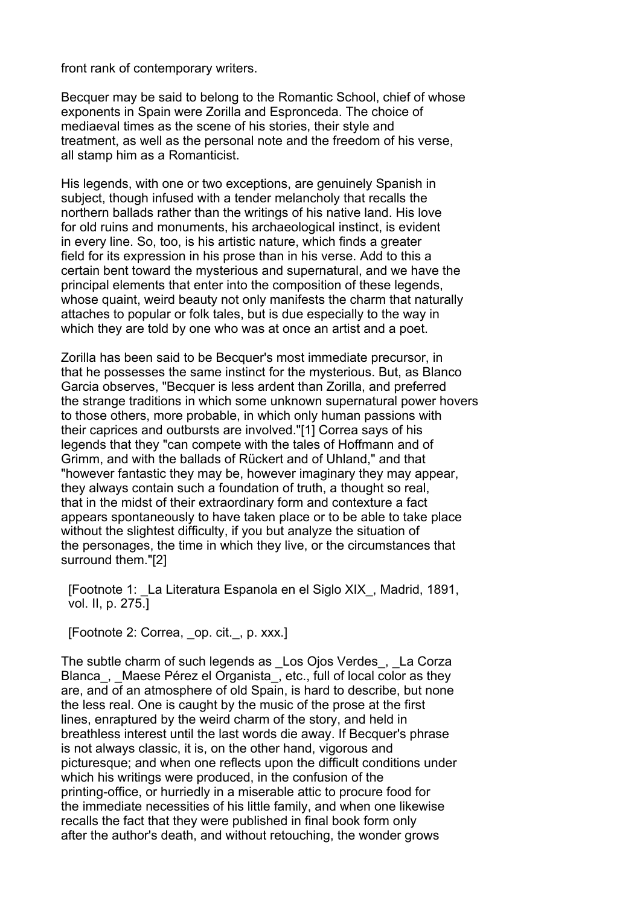front rank of contemporary writers.

Becquer may be said to belong to the Romantic School, chief of whose exponents in Spain were Zorilla and Espronceda. The choice of mediaeval times as the scene of his stories, their style and treatment, as well as the personal note and the freedom of his verse, all stamp him as a Romanticist.

His legends, with one or two exceptions, are genuinely Spanish in subject, though infused with a tender melancholy that recalls the northern ballads rather than the writings of his native land. His love for old ruins and monuments, his archaeological instinct, is evident in every line. So, too, is his artistic nature, which finds a greater field for its expression in his prose than in his verse. Add to this a certain bent toward the mysterious and supernatural, and we have the principal elements that enter into the composition of these legends, whose quaint, weird beauty not only manifests the charm that naturally attaches to popular or folk tales, but is due especially to the way in which they are told by one who was at once an artist and a poet.

Zorilla has been said to be Becquer's most immediate precursor, in that he possesses the same instinct for the mysterious. But, as Blanco Garcia observes, "Becquer is less ardent than Zorilla, and preferred the strange traditions in which some unknown supernatural power hovers to those others, more probable, in which only human passions with their caprices and outbursts are involved."[1] Correa says of his legends that they "can compete with the tales of Hoffmann and of Grimm, and with the ballads of Rückert and of Uhland," and that "however fantastic they may be, however imaginary they may appear, they always contain such a foundation of truth, a thought so real, that in the midst of their extraordinary form and contexture a fact appears spontaneously to have taken place or to be able to take place without the slightest difficulty, if you but analyze the situation of the personages, the time in which they live, or the circumstances that surround them."[2]

 [Footnote 1: \_La Literatura Espanola en el Siglo XIX\_, Madrid, 1891, vol. II, p. 275.]

[Footnote 2: Correa, op. cit., p. xxx.]

The subtle charm of such legends as Los Ojos Verdes, La Corza Blanca, Maese Pérez el Organista, etc., full of local color as they are, and of an atmosphere of old Spain, is hard to describe, but none the less real. One is caught by the music of the prose at the first lines, enraptured by the weird charm of the story, and held in breathless interest until the last words die away. If Becquer's phrase is not always classic, it is, on the other hand, vigorous and picturesque; and when one reflects upon the difficult conditions under which his writings were produced, in the confusion of the printing-office, or hurriedly in a miserable attic to procure food for the immediate necessities of his little family, and when one likewise recalls the fact that they were published in final book form only after the author's death, and without retouching, the wonder grows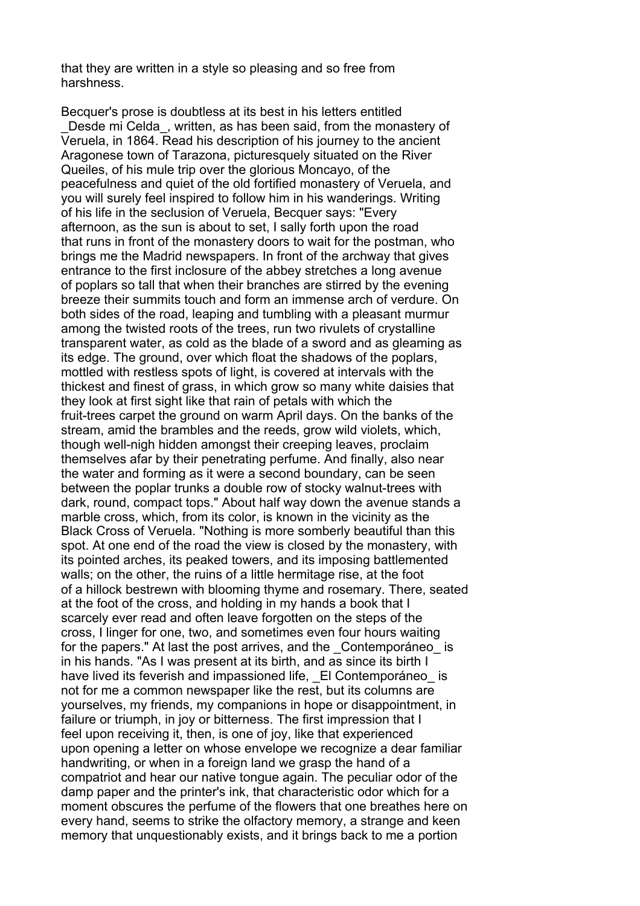that they are written in a style so pleasing and so free from harshness.

Becquer's prose is doubtless at its best in his letters entitled Desde mi Celda, written, as has been said, from the monastery of Veruela, in 1864. Read his description of his journey to the ancient Aragonese town of Tarazona, picturesquely situated on the River Queiles, of his mule trip over the glorious Moncayo, of the peacefulness and quiet of the old fortified monastery of Veruela, and you will surely feel inspired to follow him in his wanderings. Writing of his life in the seclusion of Veruela, Becquer says: "Every afternoon, as the sun is about to set, I sally forth upon the road that runs in front of the monastery doors to wait for the postman, who brings me the Madrid newspapers. In front of the archway that gives entrance to the first inclosure of the abbey stretches a long avenue of poplars so tall that when their branches are stirred by the evening breeze their summits touch and form an immense arch of verdure. On both sides of the road, leaping and tumbling with a pleasant murmur among the twisted roots of the trees, run two rivulets of crystalline transparent water, as cold as the blade of a sword and as gleaming as its edge. The ground, over which float the shadows of the poplars, mottled with restless spots of light, is covered at intervals with the thickest and finest of grass, in which grow so many white daisies that they look at first sight like that rain of petals with which the fruit-trees carpet the ground on warm April days. On the banks of the stream, amid the brambles and the reeds, grow wild violets, which, though well-nigh hidden amongst their creeping leaves, proclaim themselves afar by their penetrating perfume. And finally, also near the water and forming as it were a second boundary, can be seen between the poplar trunks a double row of stocky walnut-trees with dark, round, compact tops." About half way down the avenue stands a marble cross, which, from its color, is known in the vicinity as the Black Cross of Veruela. "Nothing is more somberly beautiful than this spot. At one end of the road the view is closed by the monastery, with its pointed arches, its peaked towers, and its imposing battlemented walls; on the other, the ruins of a little hermitage rise, at the foot of a hillock bestrewn with blooming thyme and rosemary. There, seated at the foot of the cross, and holding in my hands a book that I scarcely ever read and often leave forgotten on the steps of the cross, I linger for one, two, and sometimes even four hours waiting for the papers." At last the post arrives, and the Contemporáneo is in his hands. "As I was present at its birth, and as since its birth I have lived its feverish and impassioned life, El Contemporáneo is not for me a common newspaper like the rest, but its columns are yourselves, my friends, my companions in hope or disappointment, in failure or triumph, in joy or bitterness. The first impression that I feel upon receiving it, then, is one of joy, like that experienced upon opening a letter on whose envelope we recognize a dear familiar handwriting, or when in a foreign land we grasp the hand of a compatriot and hear our native tongue again. The peculiar odor of the damp paper and the printer's ink, that characteristic odor which for a moment obscures the perfume of the flowers that one breathes here on every hand, seems to strike the olfactory memory, a strange and keen memory that unquestionably exists, and it brings back to me a portion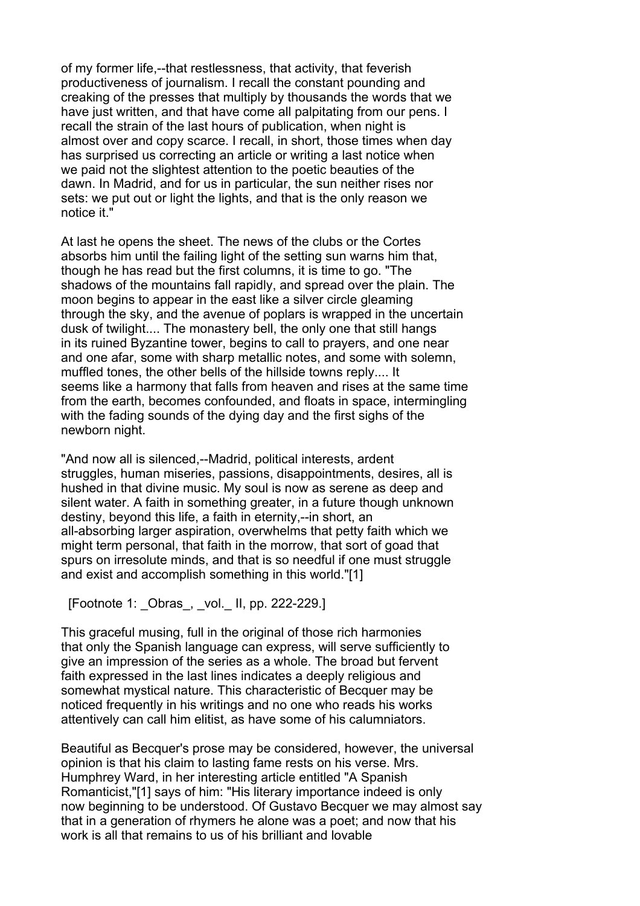of my former life,--that restlessness, that activity, that feverish productiveness of journalism. I recall the constant pounding and creaking of the presses that multiply by thousands the words that we have just written, and that have come all palpitating from our pens. I recall the strain of the last hours of publication, when night is almost over and copy scarce. I recall, in short, those times when day has surprised us correcting an article or writing a last notice when we paid not the slightest attention to the poetic beauties of the dawn. In Madrid, and for us in particular, the sun neither rises nor sets: we put out or light the lights, and that is the only reason we notice it."

At last he opens the sheet. The news of the clubs or the Cortes absorbs him until the failing light of the setting sun warns him that, though he has read but the first columns, it is time to go. "The shadows of the mountains fall rapidly, and spread over the plain. The moon begins to appear in the east like a silver circle gleaming through the sky, and the avenue of poplars is wrapped in the uncertain dusk of twilight.... The monastery bell, the only one that still hangs in its ruined Byzantine tower, begins to call to prayers, and one near and one afar, some with sharp metallic notes, and some with solemn, muffled tones, the other bells of the hillside towns reply.... It seems like a harmony that falls from heaven and rises at the same time from the earth, becomes confounded, and floats in space, intermingling with the fading sounds of the dying day and the first sighs of the newborn night.

"And now all is silenced,--Madrid, political interests, ardent struggles, human miseries, passions, disappointments, desires, all is hushed in that divine music. My soul is now as serene as deep and silent water. A faith in something greater, in a future though unknown destiny, beyond this life, a faith in eternity,--in short, an all-absorbing larger aspiration, overwhelms that petty faith which we might term personal, that faith in the morrow, that sort of goad that spurs on irresolute minds, and that is so needful if one must struggle and exist and accomplish something in this world."[1]

### [Footnote 1: \_Obras\_, \_vol.\_ II, pp. 222-229.]

This graceful musing, full in the original of those rich harmonies that only the Spanish language can express, will serve sufficiently to give an impression of the series as a whole. The broad but fervent faith expressed in the last lines indicates a deeply religious and somewhat mystical nature. This characteristic of Becquer may be noticed frequently in his writings and no one who reads his works attentively can call him elitist, as have some of his calumniators.

Beautiful as Becquer's prose may be considered, however, the universal opinion is that his claim to lasting fame rests on his verse. Mrs. Humphrey Ward, in her interesting article entitled "A Spanish Romanticist,"[1] says of him: "His literary importance indeed is only now beginning to be understood. Of Gustavo Becquer we may almost say that in a generation of rhymers he alone was a poet; and now that his work is all that remains to us of his brilliant and lovable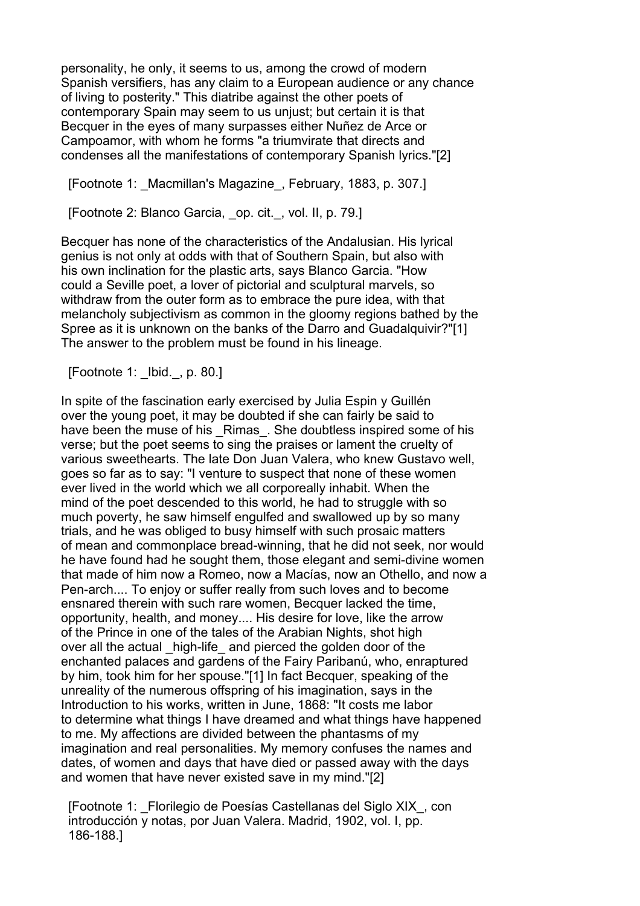personality, he only, it seems to us, among the crowd of modern Spanish versifiers, has any claim to a European audience or any chance of living to posterity." This diatribe against the other poets of contemporary Spain may seem to us unjust; but certain it is that Becquer in the eyes of many surpasses either Nuñez de Arce or Campoamor, with whom he forms "a triumvirate that directs and condenses all the manifestations of contemporary Spanish lyrics."[2]

[Footnote 1: \_Macmillan's Magazine\_, February, 1883, p. 307.]

[Footnote 2: Blanco Garcia, op. cit., vol. II, p. 79.]

Becquer has none of the characteristics of the Andalusian. His lyrical genius is not only at odds with that of Southern Spain, but also with his own inclination for the plastic arts, says Blanco Garcia. "How could a Seville poet, a lover of pictorial and sculptural marvels, so withdraw from the outer form as to embrace the pure idea, with that melancholy subjectivism as common in the gloomy regions bathed by the Spree as it is unknown on the banks of the Darro and Guadalquivir?"[1] The answer to the problem must be found in his lineage.

[Footnote 1: \_Ibid.\_, p. 80.]

In spite of the fascination early exercised by Julia Espin y Guillén over the young poet, it may be doubted if she can fairly be said to have been the muse of his Rimas. She doubtless inspired some of his verse; but the poet seems to sing the praises or lament the cruelty of various sweethearts. The late Don Juan Valera, who knew Gustavo well, goes so far as to say: "I venture to suspect that none of these women ever lived in the world which we all corporeally inhabit. When the mind of the poet descended to this world, he had to struggle with so much poverty, he saw himself engulfed and swallowed up by so many trials, and he was obliged to busy himself with such prosaic matters of mean and commonplace bread-winning, that he did not seek, nor would he have found had he sought them, those elegant and semi-divine women that made of him now a Romeo, now a Macías, now an Othello, and now a Pen-arch.... To enjoy or suffer really from such loves and to become ensnared therein with such rare women, Becquer lacked the time, opportunity, health, and money.... His desire for love, like the arrow of the Prince in one of the tales of the Arabian Nights, shot high over all the actual high-life and pierced the golden door of the enchanted palaces and gardens of the Fairy Paribanú, who, enraptured by him, took him for her spouse."[1] In fact Becquer, speaking of the unreality of the numerous offspring of his imagination, says in the Introduction to his works, written in June, 1868: "It costs me labor to determine what things I have dreamed and what things have happened to me. My affections are divided between the phantasms of my imagination and real personalities. My memory confuses the names and dates, of women and days that have died or passed away with the days and women that have never existed save in my mind."[2]

 [Footnote 1: \_Florilegio de Poesías Castellanas del Siglo XIX\_, con introducción y notas, por Juan Valera. Madrid, 1902, vol. I, pp. 186-188.]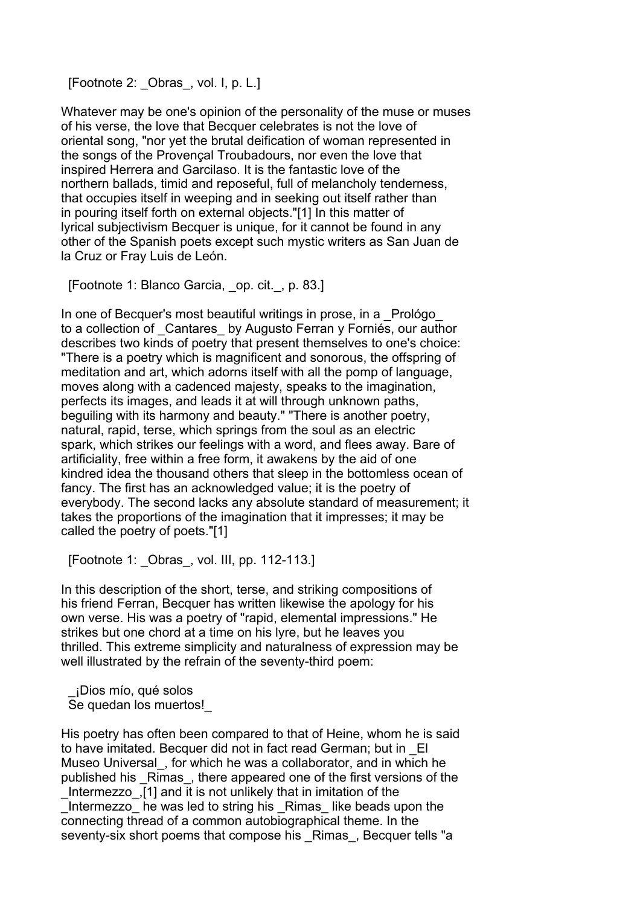[Footnote 2: Obras, vol. I, p. L.]

Whatever may be one's opinion of the personality of the muse or muses of his verse, the love that Becquer celebrates is not the love of oriental song, "nor yet the brutal deification of woman represented in the songs of the Provençal Troubadours, nor even the love that inspired Herrera and Garcilaso. It is the fantastic love of the northern ballads, timid and reposeful, full of melancholy tenderness, that occupies itself in weeping and in seeking out itself rather than in pouring itself forth on external objects."[1] In this matter of lyrical subjectivism Becquer is unique, for it cannot be found in any other of the Spanish poets except such mystic writers as San Juan de la Cruz or Fray Luis de León.

[Footnote 1: Blanco Garcia, \_op. cit.\_, p. 83.]

In one of Becquer's most beautiful writings in prose, in a Prológo to a collection of Cantares by Augusto Ferran y Forniés, our author describes two kinds of poetry that present themselves to one's choice: "There is a poetry which is magnificent and sonorous, the offspring of meditation and art, which adorns itself with all the pomp of language, moves along with a cadenced majesty, speaks to the imagination, perfects its images, and leads it at will through unknown paths, beguiling with its harmony and beauty." "There is another poetry, natural, rapid, terse, which springs from the soul as an electric spark, which strikes our feelings with a word, and flees away. Bare of artificiality, free within a free form, it awakens by the aid of one kindred idea the thousand others that sleep in the bottomless ocean of fancy. The first has an acknowledged value; it is the poetry of everybody. The second lacks any absolute standard of measurement; it takes the proportions of the imagination that it impresses; it may be called the poetry of poets."[1]

[Footnote 1: \_Obras\_, vol. III, pp. 112-113.]

In this description of the short, terse, and striking compositions of his friend Ferran, Becquer has written likewise the apology for his own verse. His was a poetry of "rapid, elemental impressions." He strikes but one chord at a time on his lyre, but he leaves you thrilled. This extreme simplicity and naturalness of expression may be well illustrated by the refrain of the seventy-third poem:

 \_¡Dios mío, qué solos Se quedan los muertos!\_

His poetry has often been compared to that of Heine, whom he is said to have imitated. Becquer did not in fact read German; but in \_El Museo Universal\_, for which he was a collaborator, and in which he published his Rimas, there appeared one of the first versions of the \_Intermezzo\_,[1] and it is not unlikely that in imitation of the Intermezzo he was led to string his Rimas like beads upon the connecting thread of a common autobiographical theme. In the seventy-six short poems that compose his Rimas, Becquer tells "a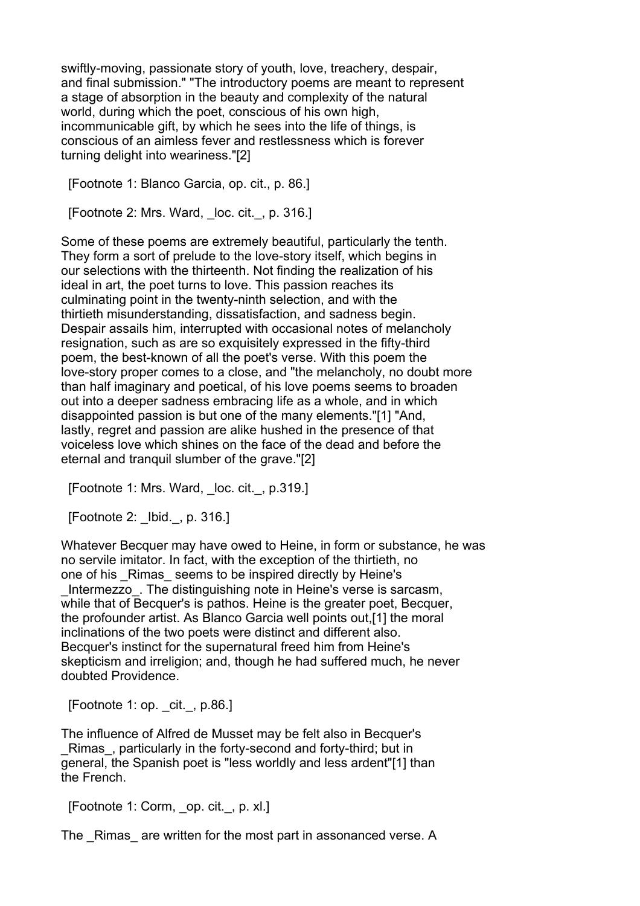swiftly-moving, passionate story of youth, love, treachery, despair, and final submission." "The introductory poems are meant to represent a stage of absorption in the beauty and complexity of the natural world, during which the poet, conscious of his own high, incommunicable gift, by which he sees into the life of things, is conscious of an aimless fever and restlessness which is forever turning delight into weariness."[2]

[Footnote 1: Blanco Garcia, op. cit., p. 86.]

[Footnote 2: Mrs. Ward, loc. cit., p. 316.]

Some of these poems are extremely beautiful, particularly the tenth. They form a sort of prelude to the love-story itself, which begins in our selections with the thirteenth. Not finding the realization of his ideal in art, the poet turns to love. This passion reaches its culminating point in the twenty-ninth selection, and with the thirtieth misunderstanding, dissatisfaction, and sadness begin. Despair assails him, interrupted with occasional notes of melancholy resignation, such as are so exquisitely expressed in the fifty-third poem, the best-known of all the poet's verse. With this poem the love-story proper comes to a close, and "the melancholy, no doubt more than half imaginary and poetical, of his love poems seems to broaden out into a deeper sadness embracing life as a whole, and in which disappointed passion is but one of the many elements."[1] "And, lastly, regret and passion are alike hushed in the presence of that voiceless love which shines on the face of the dead and before the eternal and tranquil slumber of the grave."[2]

[Footnote 1: Mrs. Ward, loc. cit., p.319.]

[Footnote 2: \_Ibid.\_, p. 316.]

Whatever Becquer may have owed to Heine, in form or substance, he was no servile imitator. In fact, with the exception of the thirtieth, no one of his \_Rimas\_ seems to be inspired directly by Heine's

Intermezzo. The distinguishing note in Heine's verse is sarcasm, while that of Becquer's is pathos. Heine is the greater poet, Becquer, the profounder artist. As Blanco Garcia well points out,[1] the moral inclinations of the two poets were distinct and different also. Becquer's instinct for the supernatural freed him from Heine's skepticism and irreligion; and, though he had suffered much, he never doubted Providence.

[Footnote 1: op. cit., p.86.]

The influence of Alfred de Musset may be felt also in Becquer's \_Rimas\_, particularly in the forty-second and forty-third; but in general, the Spanish poet is "less worldly and less ardent"[1] than the French.

[Footnote 1: Corm, op. cit., p. xl.]

The Rimas are written for the most part in assonanced verse. A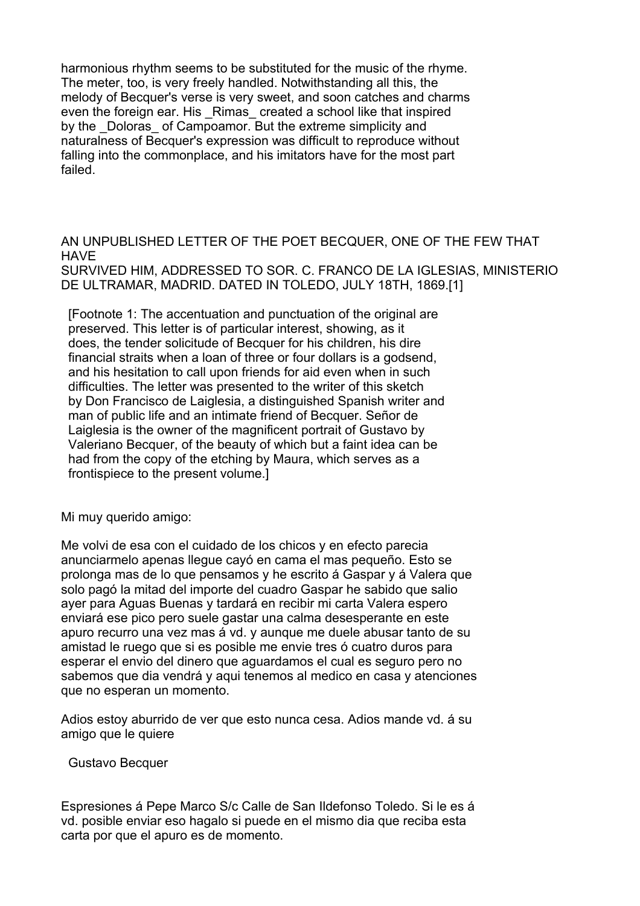harmonious rhythm seems to be substituted for the music of the rhyme. The meter, too, is very freely handled. Notwithstanding all this, the melody of Becquer's verse is very sweet, and soon catches and charms even the foreign ear. His \_Rimas\_ created a school like that inspired by the Doloras of Campoamor. But the extreme simplicity and naturalness of Becquer's expression was difficult to reproduce without falling into the commonplace, and his imitators have for the most part failed.

AN UNPUBLISHED LETTER OF THE POET BECQUER, ONE OF THE FEW THAT **HAVE** SURVIVED HIM, ADDRESSED TO SOR. C. FRANCO DE LA IGLESIAS, MINISTERIO DE ULTRAMAR, MADRID. DATED IN TOLEDO, JULY 18TH, 1869.[1]

 [Footnote 1: The accentuation and punctuation of the original are preserved. This letter is of particular interest, showing, as it does, the tender solicitude of Becquer for his children, his dire financial straits when a loan of three or four dollars is a godsend, and his hesitation to call upon friends for aid even when in such difficulties. The letter was presented to the writer of this sketch by Don Francisco de Laiglesia, a distinguished Spanish writer and man of public life and an intimate friend of Becquer. Señor de Laiglesia is the owner of the magnificent portrait of Gustavo by Valeriano Becquer, of the beauty of which but a faint idea can be had from the copy of the etching by Maura, which serves as a frontispiece to the present volume.]

Mi muy querido amigo:

Me volvi de esa con el cuidado de los chicos y en efecto parecia anunciarmelo apenas llegue cayó en cama el mas pequeño. Esto se prolonga mas de lo que pensamos y he escrito á Gaspar y á Valera que solo pagó la mitad del importe del cuadro Gaspar he sabido que salio ayer para Aguas Buenas y tardará en recibir mi carta Valera espero enviará ese pico pero suele gastar una calma desesperante en este apuro recurro una vez mas á vd. y aunque me duele abusar tanto de su amistad le ruego que si es posible me envie tres ó cuatro duros para esperar el envio del dinero que aguardamos el cual es seguro pero no sabemos que dia vendrá y aqui tenemos al medico en casa y atenciones que no esperan un momento.

Adios estoy aburrido de ver que esto nunca cesa. Adios mande vd. á su amigo que le quiere

Gustavo Becquer

Espresiones á Pepe Marco S/c Calle de San Ildefonso Toledo. Si le es á vd. posible enviar eso hagalo si puede en el mismo dia que reciba esta carta por que el apuro es de momento.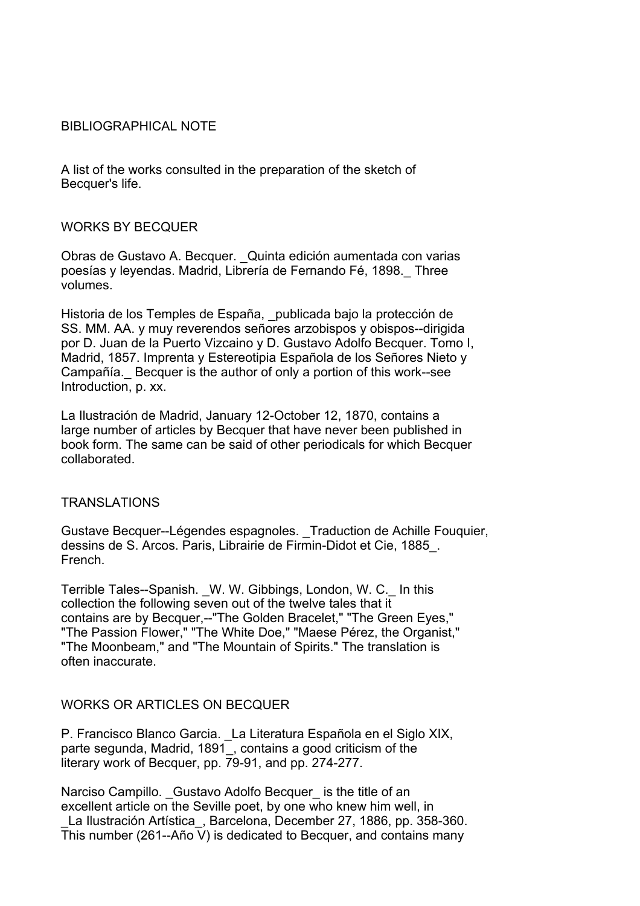### BIBLIOGRAPHICAL NOTE

A list of the works consulted in the preparation of the sketch of Becquer's life.

#### WORKS BY BECQUER

Obras de Gustavo A. Becquer. \_Quinta edición aumentada con varias poesías y leyendas. Madrid, Librería de Fernando Fé, 1898.\_ Three volumes.

Historia de los Temples de España, publicada bajo la protección de SS. MM. AA. y muy reverendos señores arzobispos y obispos--dirigida por D. Juan de la Puerto Vizcaino y D. Gustavo Adolfo Becquer. Tomo I, Madrid, 1857. Imprenta y Estereotipia Española de los Señores Nieto y Campañía.\_ Becquer is the author of only a portion of this work--see Introduction, p. xx.

La Ilustración de Madrid, January 12-October 12, 1870, contains a large number of articles by Becquer that have never been published in book form. The same can be said of other periodicals for which Becquer collaborated.

# TRANSLATIONS

Gustave Becquer--Légendes espagnoles. \_Traduction de Achille Fouquier, dessins de S. Arcos. Paris, Librairie de Firmin-Didot et Cie, 1885\_. French.

Terrible Tales--Spanish. \_W. W. Gibbings, London, W. C.\_ In this collection the following seven out of the twelve tales that it contains are by Becquer,--"The Golden Bracelet," "The Green Eyes," "The Passion Flower," "The White Doe," "Maese Pérez, the Organist," "The Moonbeam," and "The Mountain of Spirits." The translation is often inaccurate.

# WORKS OR ARTICLES ON BECQUER

P. Francisco Blanco Garcia. \_La Literatura Española en el Siglo XIX, parte segunda, Madrid, 1891, contains a good criticism of the literary work of Becquer, pp. 79-91, and pp. 274-277.

Narciso Campillo. Gustavo Adolfo Becquer is the title of an excellent article on the Seville poet, by one who knew him well, in La Ilustración Artística, Barcelona, December 27, 1886, pp. 358-360. This number (261--Año V) is dedicated to Becquer, and contains many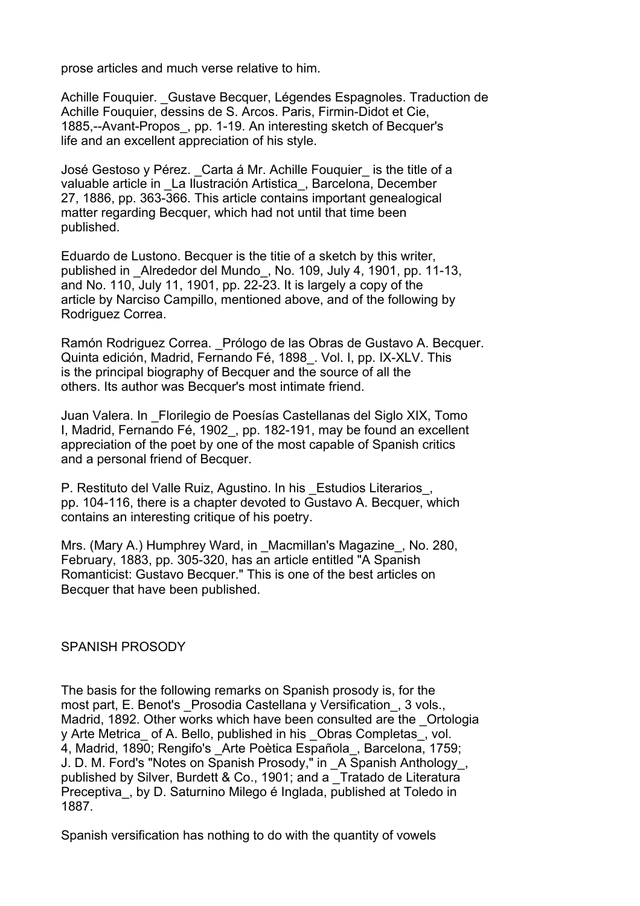prose articles and much verse relative to him.

Achille Fouquier. Gustave Becquer, Légendes Espagnoles. Traduction de Achille Fouquier, dessins de S. Arcos. Paris, Firmin-Didot et Cie, 1885,--Avant-Propos\_, pp. 1-19. An interesting sketch of Becquer's life and an excellent appreciation of his style.

José Gestoso y Pérez. \_Carta á Mr. Achille Fouquier\_ is the title of a valuable article in La Ilustración Artistica, Barcelona, December 27, 1886, pp. 363-366. This article contains important genealogical matter regarding Becquer, which had not until that time been published.

Eduardo de Lustono. Becquer is the titie of a sketch by this writer, published in \_Alrededor del Mundo\_, No. 109, July 4, 1901, pp. 11-13, and No. 110, July 11, 1901, pp. 22-23. It is largely a copy of the article by Narciso Campillo, mentioned above, and of the following by Rodriguez Correa.

Ramón Rodriguez Correa. Prólogo de las Obras de Gustavo A. Becquer. Quinta edición, Madrid, Fernando Fé, 1898\_. Vol. I, pp. IX-XLV. This is the principal biography of Becquer and the source of all the others. Its author was Becquer's most intimate friend.

Juan Valera. In \_Florilegio de Poesías Castellanas del Siglo XIX, Tomo I, Madrid, Fernando Fé, 1902, pp. 182-191, may be found an excellent appreciation of the poet by one of the most capable of Spanish critics and a personal friend of Becquer.

P. Restituto del Valle Ruiz, Agustino. In his Estudios Literarios, pp. 104-116, there is a chapter devoted to Gustavo A. Becquer, which contains an interesting critique of his poetry.

Mrs. (Mary A.) Humphrey Ward, in Macmillan's Magazine, No. 280, February, 1883, pp. 305-320, has an article entitled "A Spanish Romanticist: Gustavo Becquer." This is one of the best articles on Becquer that have been published.

#### SPANISH PROSODY

The basis for the following remarks on Spanish prosody is, for the most part, E. Benot's Prosodia Castellana y Versification, 3 vols., Madrid, 1892. Other works which have been consulted are the \_Ortologia y Arte Metrica of A. Bello, published in his Obras Completas, vol. 4, Madrid, 1890; Rengifo's Arte Poètica Española, Barcelona, 1759; J. D. M. Ford's "Notes on Spanish Prosody," in \_A Spanish Anthology\_, published by Silver, Burdett & Co., 1901; and a Tratado de Literatura Preceptiva, by D. Saturnino Milego é Inglada, published at Toledo in 1887.

Spanish versification has nothing to do with the quantity of vowels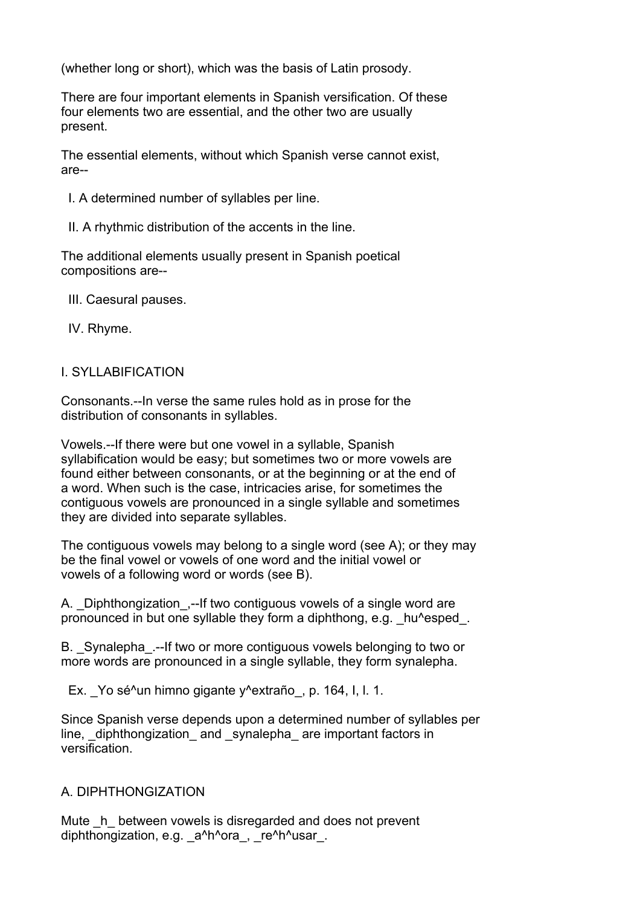(whether long or short), which was the basis of Latin prosody.

There are four important elements in Spanish versification. Of these four elements two are essential, and the other two are usually present.

The essential elements, without which Spanish verse cannot exist, are--

- I. A determined number of syllables per line.
- II. A rhythmic distribution of the accents in the line.

The additional elements usually present in Spanish poetical compositions are--

- III. Caesural pauses.
- IV. Rhyme.

### I. SYLLABIFICATION

Consonants.--In verse the same rules hold as in prose for the distribution of consonants in syllables.

Vowels.--If there were but one vowel in a syllable, Spanish syllabification would be easy; but sometimes two or more vowels are found either between consonants, or at the beginning or at the end of a word. When such is the case, intricacies arise, for sometimes the contiguous vowels are pronounced in a single syllable and sometimes they are divided into separate syllables.

The contiguous vowels may belong to a single word (see A); or they may be the final vowel or vowels of one word and the initial vowel or vowels of a following word or words (see B).

A. Diphthongization, --If two contiguous vowels of a single word are pronounced in but one syllable they form a diphthong, e.g. \_hu^esped \_.

B. Synalepha .--If two or more contiguous vowels belonging to two or more words are pronounced in a single syllable, they form synalepha.

Ex. Yo sé<sup>^</sup>un himno gigante y<sup>^</sup>extraño, p. 164, I, I, 1.

Since Spanish verse depends upon a determined number of syllables per line, diphthongization and synalepha are important factors in versification.

#### A. DIPHTHONGIZATION

Mute  $\,$  h between vowels is disregarded and does not prevent diphthongization, e.g. a^h^ora, re^h^usar.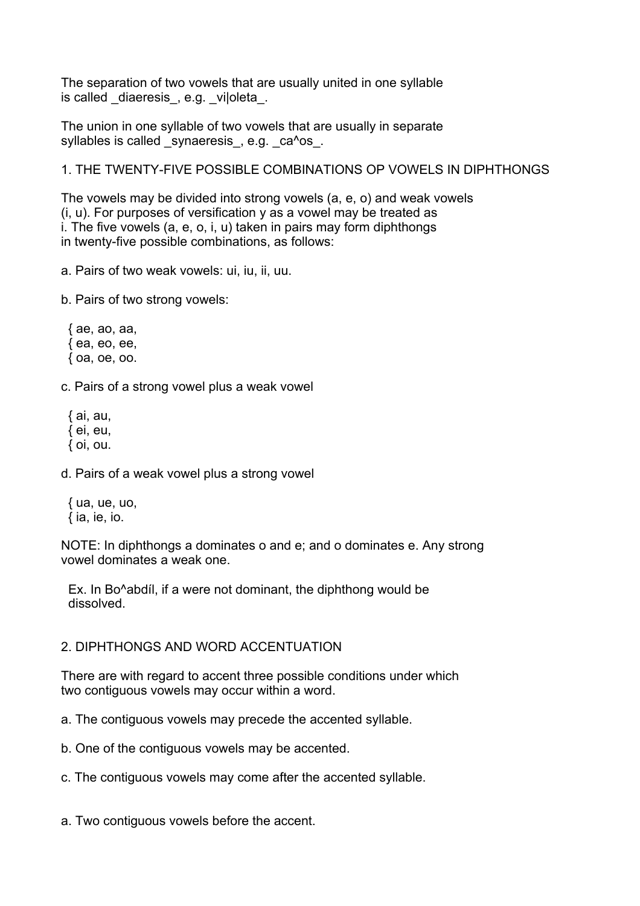The separation of two vowels that are usually united in one syllable is called diaeresis, e.g. viloleta.

The union in one syllable of two vowels that are usually in separate syllables is called synaeresis, e.g. ca^os.

# 1. THE TWENTY-FIVE POSSIBLE COMBINATIONS OP VOWELS IN DIPHTHONGS

The vowels may be divided into strong vowels (a, e, o) and weak vowels (i, u). For purposes of versification y as a vowel may be treated as i. The five vowels (a, e, o, i, u) taken in pairs may form diphthongs in twenty-five possible combinations, as follows:

a. Pairs of two weak vowels: ui, iu, ii, uu.

b. Pairs of two strong vowels:

 { ae, ao, aa, { ea, eo, ee, { oa, oe, oo.

c. Pairs of a strong vowel plus a weak vowel

 { ai, au,  $\{$  ei, eu, { oi, ou.

d. Pairs of a weak vowel plus a strong vowel

 { ua, ue, uo,  $\{ia, ie, io.\}$ 

NOTE: In diphthongs a dominates o and e; and o dominates e. Any strong vowel dominates a weak one.

 Ex. In Bo^abdíl, if a were not dominant, the diphthong would be dissolved.

# 2. DIPHTHONGS AND WORD ACCENTUATION

There are with regard to accent three possible conditions under which two contiguous vowels may occur within a word.

a. The contiguous vowels may precede the accented syllable.

b. One of the contiguous vowels may be accented.

c. The contiguous vowels may come after the accented syllable.

a. Two contiguous vowels before the accent.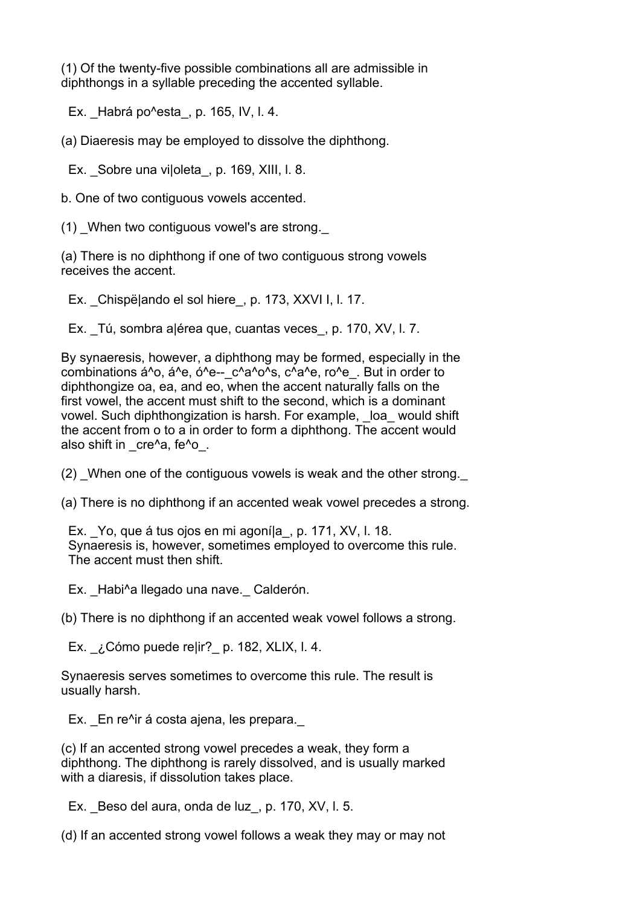(1) Of the twenty-five possible combinations all are admissible in diphthongs in a syllable preceding the accented syllable.

Ex. Habrá po $\textdegree$ esta, p. 165, IV, I. 4.

(a) Diaeresis may be employed to dissolve the diphthong.

Ex. \_Sobre una vi|oleta\_, p. 169, XIII, l. 8.

b. One of two contiguous vowels accented.

(1) When two contiguous vowel's are strong.

(a) There is no diphthong if one of two contiguous strong vowels receives the accent.

Ex. Chispë|ando el sol hiere, p. 173, XXVI I, l. 17.

Ex. \_Tú, sombra a|érea que, cuantas veces\_, p. 170, XV, l. 7.

By synaeresis, however, a diphthong may be formed, especially in the combinations á^o, á^e, ó^e-- $c^A$ a^o^s,  $c^A$ a^e, ro^e. But in order to diphthongize oa, ea, and eo, when the accent naturally falls on the first vowel, the accent must shift to the second, which is a dominant vowel. Such diphthongization is harsh. For example, loa would shift the accent from o to a in order to form a diphthong. The accent would also shift in cre^a, fe^o.

(2) When one of the contiguous vowels is weak and the other strong.

(a) There is no diphthong if an accented weak vowel precedes a strong.

Ex. Yo, que á tus ojos en mi agoníla, p. 171, XV, l. 18. Synaeresis is, however, sometimes employed to overcome this rule. The accent must then shift.

Ex. Habi^a llegado una nave. Calderón.

(b) There is no diphthong if an accented weak vowel follows a strong.

Ex.  $i$  Cómo puede relir? p. 182, XLIX, l. 4.

Synaeresis serves sometimes to overcome this rule. The result is usually harsh.

Ex. En re<sup>n</sup>ir á costa ajena, les prepara.

(c) If an accented strong vowel precedes a weak, they form a diphthong. The diphthong is rarely dissolved, and is usually marked with a diaresis, if dissolution takes place.

Ex. Beso del aura, onda de luz, p. 170, XV, I. 5.

(d) If an accented strong vowel follows a weak they may or may not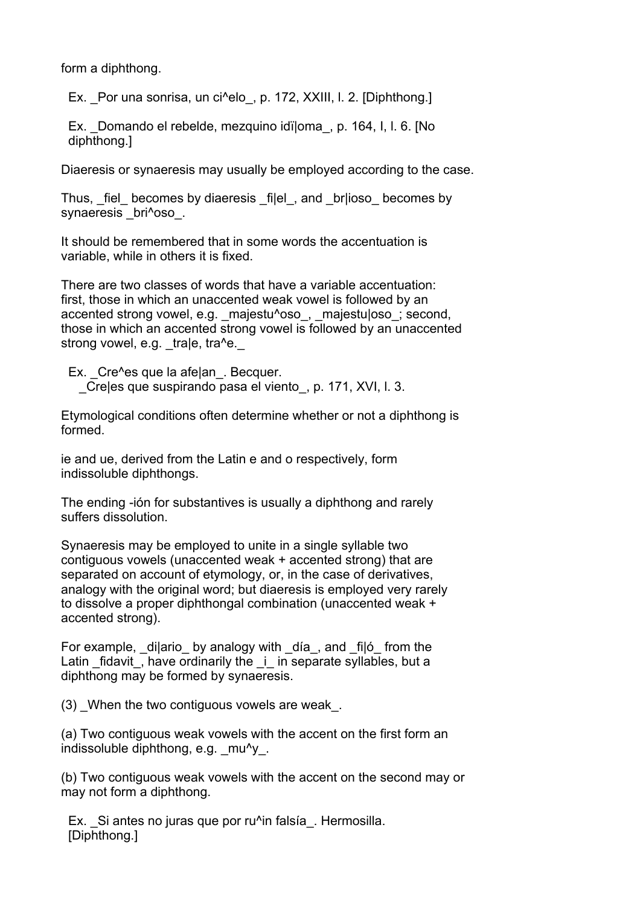form a diphthong.

Ex. Por una sonrisa, un ci^elo, p. 172, XXIII, l. 2. [Diphthong.]

 Ex. \_Domando el rebelde, mezquino idï|oma\_, p. 164, I, l. 6. [No diphthong.]

Diaeresis or synaeresis may usually be employed according to the case.

Thus, fiel becomes by diaeresis filel, and briioso becomes by synaeresis bri^oso.

It should be remembered that in some words the accentuation is variable, while in others it is fixed.

There are two classes of words that have a variable accentuation: first, those in which an unaccented weak vowel is followed by an accented strong vowel, e.g. majestu^oso, majestu|oso; second, those in which an accented strong vowel is followed by an unaccented strong vowel, e.g.  $\text{trale}, \text{tra}^{\wedge}e$ .

Ex. Cre^es que la afe|an. Becquer. \_Cre|es que suspirando pasa el viento\_, p. 171, XVI, l. 3.

Etymological conditions often determine whether or not a diphthong is formed.

ie and ue, derived from the Latin e and o respectively, form indissoluble diphthongs.

The ending -ión for substantives is usually a diphthong and rarely suffers dissolution.

Synaeresis may be employed to unite in a single syllable two contiguous vowels (unaccented weak + accented strong) that are separated on account of etymology, or, in the case of derivatives, analogy with the original word; but diaeresis is employed very rarely to dissolve a proper diphthongal combination (unaccented weak + accented strong).

For example,  $di|$ ario by analogy with  $di$ a, and  $fi|$ ó from the Latin fidavit, have ordinarily the i in separate syllables, but a diphthong may be formed by synaeresis.

(3) When the two contiguous vowels are weak.

(a) Two contiguous weak vowels with the accent on the first form an indissoluble diphthong, e.g. mu<sup>^</sup>y.

(b) Two contiguous weak vowels with the accent on the second may or may not form a diphthong.

Ex. Si antes no juras que por ru^in falsía. Hermosilla. [Diphthong.]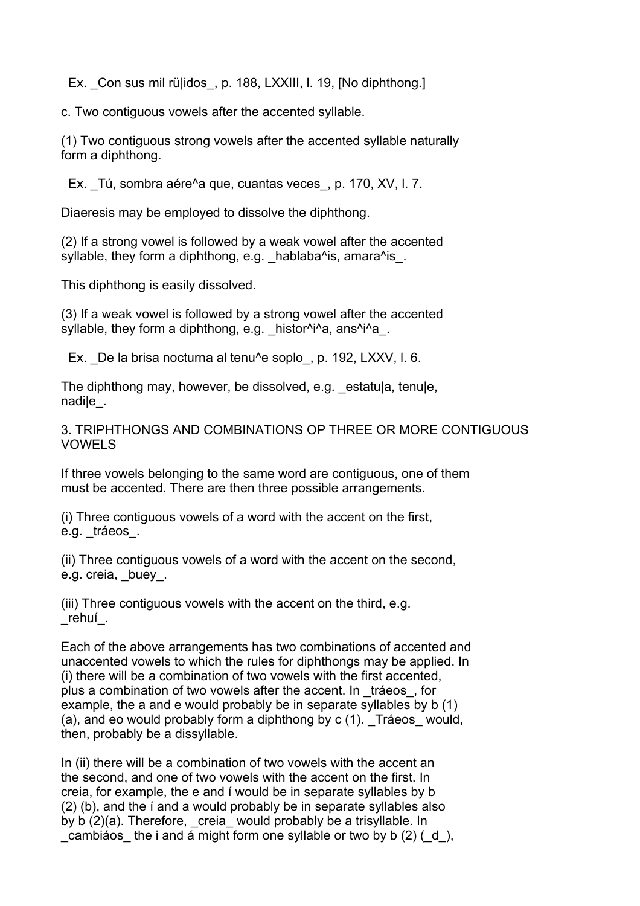Ex. Con sus mil rülidos, p. 188, LXXIII, I. 19, [No diphthong.]

c. Two contiguous vowels after the accented syllable.

(1) Two contiguous strong vowels after the accented syllable naturally form a diphthong.

Ex. Tú, sombra aére^a que, cuantas veces, p. 170, XV, l. 7.

Diaeresis may be employed to dissolve the diphthong.

(2) If a strong vowel is followed by a weak vowel after the accented syllable, they form a diphthong,  $e.a.$  \_hablaba^is, amara^is\_.

This diphthong is easily dissolved.

(3) If a weak vowel is followed by a strong vowel after the accented syllable, they form a diphthong, e.g. \_histor^i^a, ans^i^a\_.

Ex. De la brisa nocturna al tenu^e soplo, p. 192, LXXV, l. 6.

The diphthong may, however, be dissolved, e.g. estatula, tenule, nadi|e\_.

3. TRIPHTHONGS AND COMBINATIONS OP THREE OR MORE CONTIGUOUS VOWELS

If three vowels belonging to the same word are contiguous, one of them must be accented. There are then three possible arrangements.

(i) Three contiguous vowels of a word with the accent on the first, e.g. tráeos.

(ii) Three contiguous vowels of a word with the accent on the second, e.g. creia, buey.

(iii) Three contiguous vowels with the accent on the third, e.g. \_rehuí\_.

Each of the above arrangements has two combinations of accented and unaccented vowels to which the rules for diphthongs may be applied. In (i) there will be a combination of two vowels with the first accented, plus a combination of two vowels after the accent. In \_tráeos\_, for example, the a and e would probably be in separate syllables by b (1) (a), and eo would probably form a diphthong by  $c(1)$ . Tráeos would, then, probably be a dissyllable.

In (ii) there will be a combination of two vowels with the accent an the second, and one of two vowels with the accent on the first. In creia, for example, the e and í would be in separate syllables by b (2) (b), and the í and a would probably be in separate syllables also by b (2)(a). Therefore, creia would probably be a trisyllable. In cambiáos the i and á might form one syllable or two by b  $(2)$  ( $d$ ),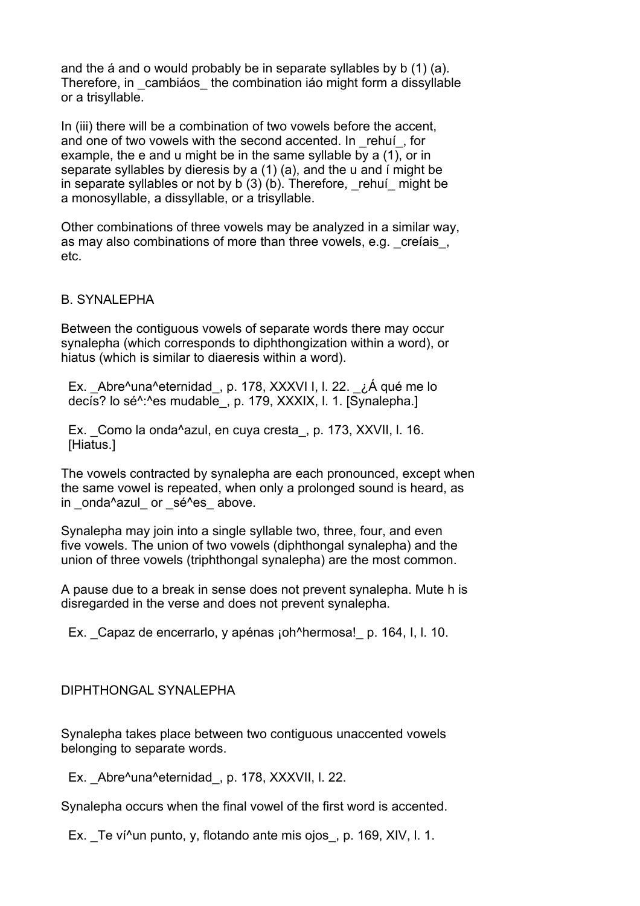and the á and o would probably be in separate syllables by b (1) (a). Therefore, in cambiáos the combination iáo might form a dissyllable or a trisyllable.

In (iii) there will be a combination of two vowels before the accent. and one of two vowels with the second accented. In rehuí, for example, the e and u might be in the same syllable by a (1), or in separate syllables by dieresis by a (1) (a), and the u and í might be in separate syllables or not by  $b(3)(b)$ . Therefore, rehuí might be a monosyllable, a dissyllable, or a trisyllable.

Other combinations of three vowels may be analyzed in a similar way, as may also combinations of more than three vowels, e.g. creíais. etc.

# B. SYNALEPHA

Between the contiguous vowels of separate words there may occur synalepha (which corresponds to diphthongization within a word), or hiatus (which is similar to diaeresis within a word).

 Ex. \_Abre^una^eternidad\_, p. 178, XXXVI I, l. 22. \_¿Á qué me lo decís? lo sé^:^es mudable\_, p. 179, XXXIX, I. 1. [Synalepha.]

Ex. Como la onda^azul, en cuya cresta, p. 173, XXVII, l. 16. [Hiatus.]

The vowels contracted by synalepha are each pronounced, except when the same vowel is repeated, when only a prolonged sound is heard, as in onda<sup>^</sup>azul or sé<sup>^</sup>es above.

Synalepha may join into a single syllable two, three, four, and even five vowels. The union of two vowels (diphthongal synalepha) and the union of three vowels (triphthongal synalepha) are the most common.

A pause due to a break in sense does not prevent synalepha. Mute h is disregarded in the verse and does not prevent synalepha.

Ex. Capaz de encerrarlo, y apénas ¡oh^hermosa! p. 164, I, I. 10.

# DIPHTHONGAL SYNALEPHA

Synalepha takes place between two contiguous unaccented vowels belonging to separate words.

Ex. \_Abre^una^eternidad, p. 178, XXXVII, I. 22.

Synalepha occurs when the final vowel of the first word is accented.

Ex. Te ví^un punto, y, flotando ante mis ojos, p. 169, XIV, l. 1.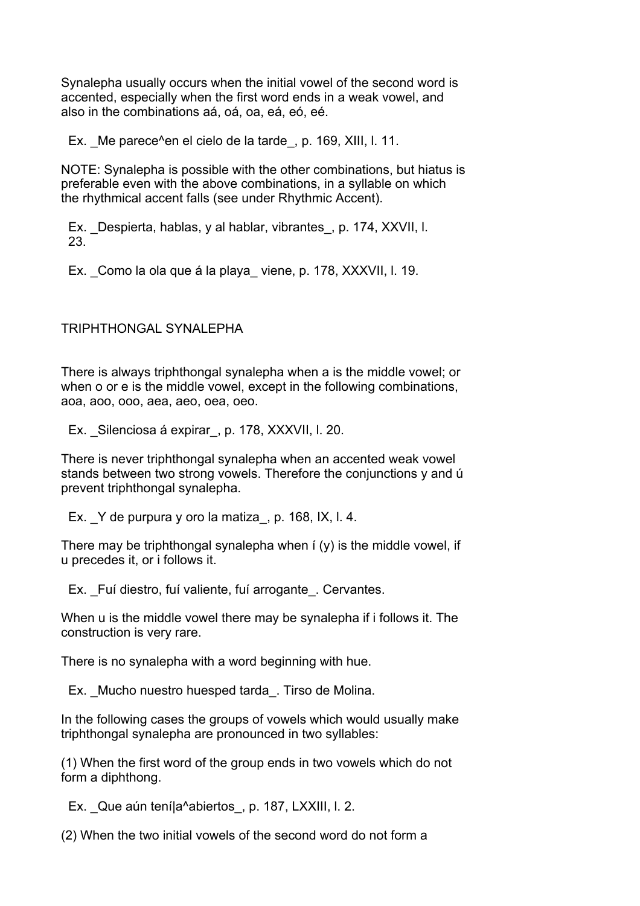Synalepha usually occurs when the initial vowel of the second word is accented, especially when the first word ends in a weak vowel, and also in the combinations aá, oá, oa, eá, eó, eé.

Ex. Me parece<sup> $\lambda$ </sup>en el cielo de la tarde, p. 169, XIII, l. 11.

NOTE: Synalepha is possible with the other combinations, but hiatus is preferable even with the above combinations, in a syllable on which the rhythmical accent falls (see under Rhythmic Accent).

Ex. Despierta, hablas, y al hablar, vibrantes, p. 174, XXVII, l. 23.

Ex. Como la ola que á la playa viene, p. 178, XXXVII, l. 19.

TRIPHTHONGAL SYNALEPHA

There is always triphthongal synalepha when a is the middle vowel; or when o or e is the middle vowel, except in the following combinations, aoa, aoo, ooo, aea, aeo, oea, oeo.

Ex. Silenciosa á expirar, p. 178, XXXVII, l. 20.

There is never triphthongal synalepha when an accented weak vowel stands between two strong vowels. Therefore the conjunctions y and ú prevent triphthongal synalepha.

Ex.  $Y$  de purpura y oro la matiza, p. 168, IX, I. 4.

There may be triphthongal synalepha when  $f(y)$  is the middle vowel, if u precedes it, or i follows it.

Ex. Fuí diestro, fuí valiente, fuí arrogante. Cervantes.

When u is the middle vowel there may be synalepha if i follows it. The construction is very rare.

There is no synalepha with a word beginning with hue.

Ex. Mucho nuestro huesped tarda. Tirso de Molina.

In the following cases the groups of vowels which would usually make triphthongal synalepha are pronounced in two syllables:

(1) When the first word of the group ends in two vowels which do not form a diphthong.

Ex. Que aún tení|a^abiertos, p. 187, LXXIII, l. 2.

(2) When the two initial vowels of the second word do not form a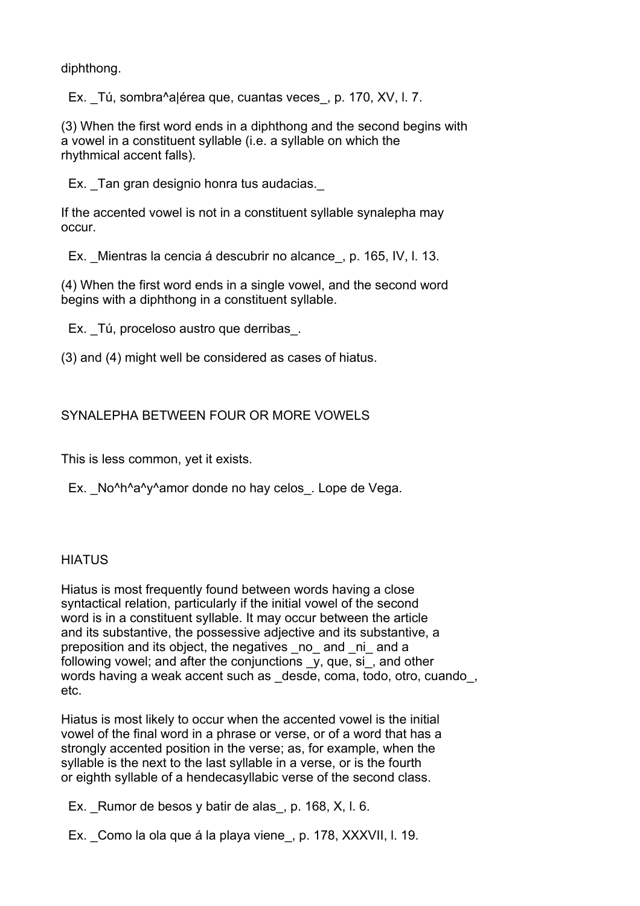diphthong.

Ex. Tú, sombra^a|érea que, cuantas veces, p. 170, XV, l. 7.

(3) When the first word ends in a diphthong and the second begins with a vowel in a constituent syllable (i.e. a syllable on which the rhythmical accent falls).

Ex. Tan gran designio honra tus audacias.

If the accented vowel is not in a constituent syllable synalepha may occur.

Ex. \_Mientras la cencia á descubrir no alcance\_, p. 165, IV, l. 13.

(4) When the first word ends in a single vowel, and the second word begins with a diphthong in a constituent syllable.

Ex. Tú, proceloso austro que derribas.

(3) and (4) might well be considered as cases of hiatus.

# SYNALEPHA BETWEEN FOUR OR MORE VOWELS

This is less common, yet it exists.

Ex. No<sup>^h^</sup>a<sup>^</sup>y^amor donde no hay celos. Lope de Vega.

# **HIATUS**

Hiatus is most frequently found between words having a close syntactical relation, particularly if the initial vowel of the second word is in a constituent syllable. It may occur between the article and its substantive, the possessive adjective and its substantive, a preposition and its object, the negatives \_no\_ and \_ni\_ and a following vowel; and after the conjunctions \_y, que, si\_, and other words having a weak accent such as desde, coma, todo, otro, cuando, etc.

Hiatus is most likely to occur when the accented vowel is the initial vowel of the final word in a phrase or verse, or of a word that has a strongly accented position in the verse; as, for example, when the syllable is the next to the last syllable in a verse, or is the fourth or eighth syllable of a hendecasyllabic verse of the second class.

Ex. Rumor de besos y batir de alas, p. 168, X, I. 6.

Ex. Como la ola que á la playa viene, p. 178, XXXVII, l. 19.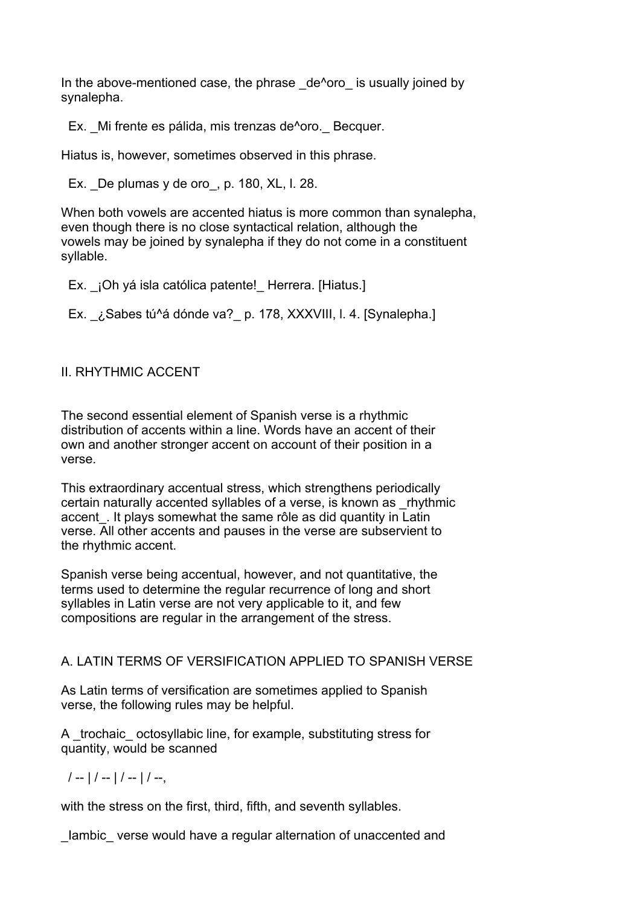In the above-mentioned case, the phrase de<sup>^</sup>oro is usually joined by synalepha.

Ex. Mi frente es pálida, mis trenzas de<sup> $\lambda$ </sup>oro. Becquer.

Hiatus is, however, sometimes observed in this phrase.

Ex. De plumas y de oro, p. 180, XL, I. 28.

When both vowels are accented hiatus is more common than synalepha, even though there is no close syntactical relation, although the vowels may be joined by synalepha if they do not come in a constituent syllable.

Ex. ¡Oh yá isla católica patente! Herrera. [Hiatus.]

Ex. ¿Sabes tú^á dónde va? p. 178, XXXVIII, I. 4. [Synalepha.]

# II. RHYTHMIC ACCENT

The second essential element of Spanish verse is a rhythmic distribution of accents within a line. Words have an accent of their own and another stronger accent on account of their position in a verse.

This extraordinary accentual stress, which strengthens periodically certain naturally accented syllables of a verse, is known as \_rhythmic accent. It plays somewhat the same rôle as did quantity in Latin verse. All other accents and pauses in the verse are subservient to the rhythmic accent.

Spanish verse being accentual, however, and not quantitative, the terms used to determine the regular recurrence of long and short syllables in Latin verse are not very applicable to it, and few compositions are regular in the arrangement of the stress.

# A. LATIN TERMS OF VERSIFICATION APPLIED TO SPANISH VERSE

As Latin terms of versification are sometimes applied to Spanish verse, the following rules may be helpful.

A trochaic octosyllabic line, for example, substituting stress for quantity, would be scanned

 $/ - | / - | / - | / - | / -$ 

with the stress on the first, third, fifth, and seventh syllables.

lambic verse would have a regular alternation of unaccented and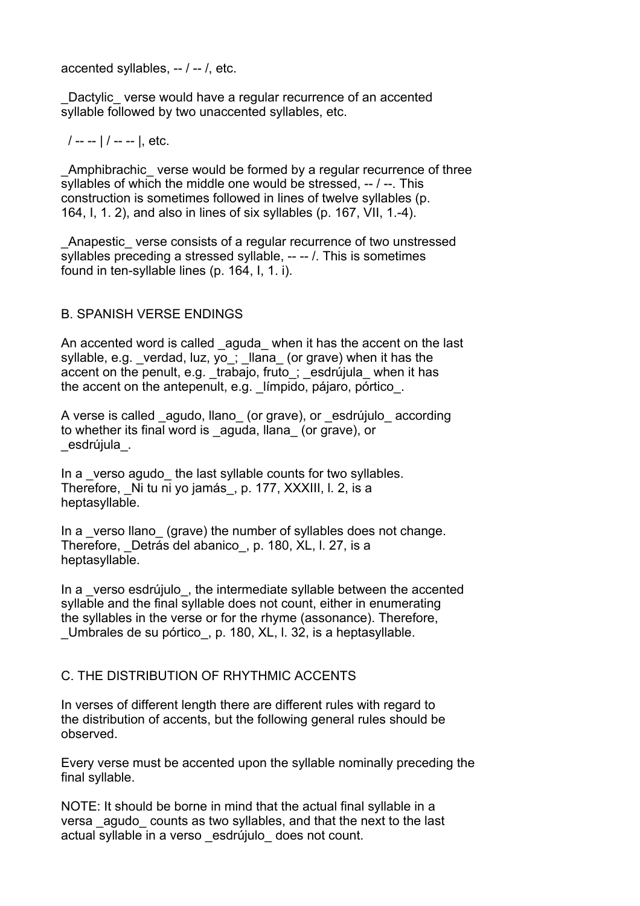accented syllables, -- / -- /, etc.

Dactylic verse would have a regular recurrence of an accented syllable followed by two unaccented syllables, etc.

/ -- -- | / -- -- |, etc.

\_Amphibrachic\_ verse would be formed by a regular recurrence of three syllables of which the middle one would be stressed, -- / --. This construction is sometimes followed in lines of twelve syllables (p. 164, I, 1. 2), and also in lines of six syllables (p. 167, VII, 1.-4).

\_Anapestic\_ verse consists of a regular recurrence of two unstressed syllables preceding a stressed syllable, -- -- /. This is sometimes found in ten-syllable lines (p. 164, I, 1. i).

# B. SPANISH VERSE ENDINGS

An accented word is called aguda when it has the accent on the last syllable, e.g. \_verdad, luz, yo\_; \_llana\_ (or grave) when it has the accent on the penult, e.g. trabajo, fruto; esdrújula when it has the accent on the antepenult, e.g. límpido, pájaro, pórtico.

A verse is called agudo, llano (or grave), or esdrújulo according to whether its final word is \_aguda, llana\_ (or grave), or \_esdrújula\_.

In a verso agudo the last syllable counts for two syllables. Therefore, Ni tu ni yo jamás, p. 177, XXXIII, l. 2, is a heptasyllable.

In a verso llano (grave) the number of syllables does not change. Therefore, Detrás del abanico, p. 180, XL, l. 27, is a heptasyllable.

In a verso esdrújulo, the intermediate syllable between the accented syllable and the final syllable does not count, either in enumerating the syllables in the verse or for the rhyme (assonance). Therefore, Umbrales de su pórtico, p. 180, XL, I. 32, is a heptasyllable.

# C. THE DISTRIBUTION OF RHYTHMIC ACCENTS

In verses of different length there are different rules with regard to the distribution of accents, but the following general rules should be observed.

Every verse must be accented upon the syllable nominally preceding the final syllable.

NOTE: It should be borne in mind that the actual final syllable in a versa agudo counts as two syllables, and that the next to the last actual syllable in a verso \_esdrújulo\_ does not count.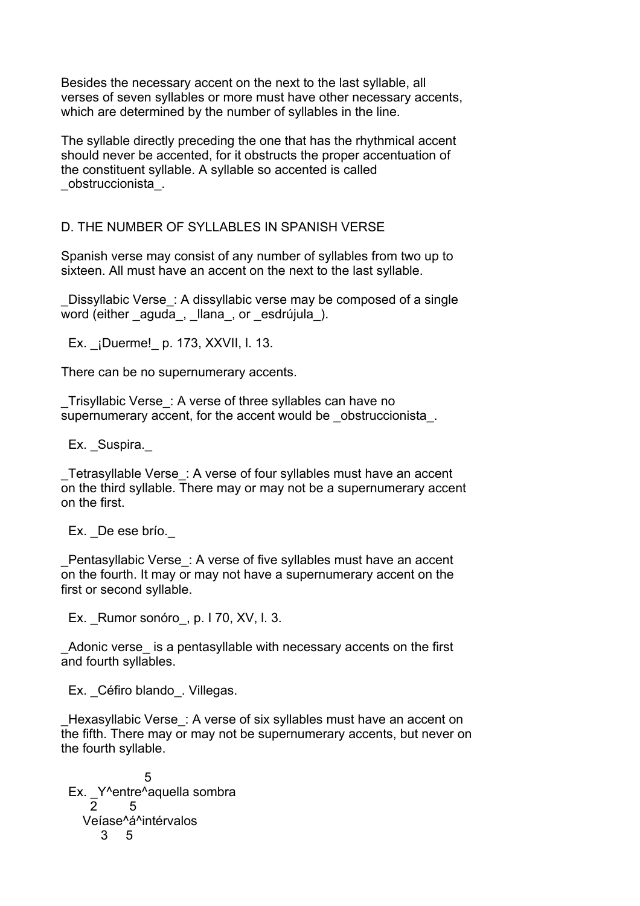Besides the necessary accent on the next to the last syllable, all verses of seven syllables or more must have other necessary accents, which are determined by the number of syllables in the line.

The syllable directly preceding the one that has the rhythmical accent should never be accented, for it obstructs the proper accentuation of the constituent syllable. A syllable so accented is called \_obstruccionista\_.

# D. THE NUMBER OF SYLLABLES IN SPANISH VERSE

Spanish verse may consist of any number of syllables from two up to sixteen. All must have an accent on the next to the last syllable.

Dissyllabic Verse: A dissyllabic verse may be composed of a single word (either aguda, llana, or esdrújula).

Ex. *i*Duerme! p. 173, XXVII, l. 13.

There can be no supernumerary accents.

\_Trisyllabic Verse\_: A verse of three syllables can have no supernumerary accent, for the accent would be obstruccionista.

Ex. Suspira.

\_Tetrasyllable Verse\_: A verse of four syllables must have an accent on the third syllable. There may or may not be a supernumerary accent on the first.

Ex. De ese brío.

Pentasyllabic Verse: A verse of five syllables must have an accent on the fourth. It may or may not have a supernumerary accent on the first or second syllable.

Ex. Rumor sonóro, p. I 70, XV, I. 3.

Adonic verse is a pentasyllable with necessary accents on the first and fourth syllables.

Ex. Céfiro blando. Villegas.

Hexasyllabic Verse: A verse of six syllables must have an accent on the fifth. There may or may not be supernumerary accents, but never on the fourth syllable.

 5 Ex. \_Y^entre^aquella sombra 2 5 Veíase^á^intérvalos 3 5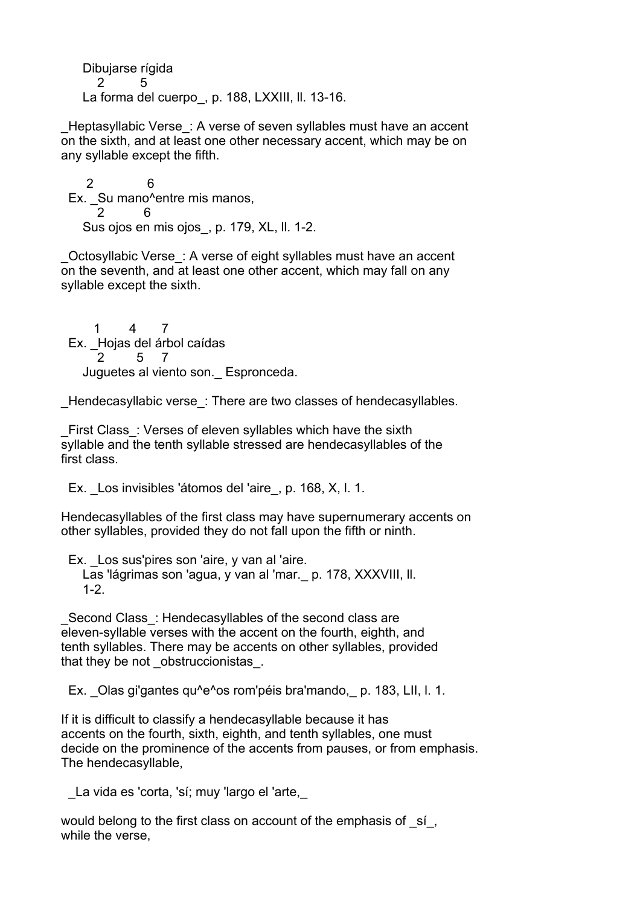Dibujarse rígida 2 5 La forma del cuerpo, p. 188, LXXIII, II. 13-16.

Heptasyllabic Verse: A verse of seven syllables must have an accent on the sixth, and at least one other necessary accent, which may be on any syllable except the fifth.

 2 6 Ex. Su mano^entre mis manos, 2 6 Sus ojos en mis ojos, p. 179, XL, II. 1-2.

\_Octosyllabic Verse\_: A verse of eight syllables must have an accent on the seventh, and at least one other accent, which may fall on any syllable except the sixth.

 1 4 7 Ex. \_Hojas del árbol caídas 2 5 7 Juguetes al viento son.\_ Espronceda.

Hendecasyllabic verse : There are two classes of hendecasyllables.

First Class: Verses of eleven syllables which have the sixth syllable and the tenth syllable stressed are hendecasyllables of the first class.

Ex. Los invisibles 'átomos del 'aire, p. 168, X, I. 1.

Hendecasyllables of the first class may have supernumerary accents on other syllables, provided they do not fall upon the fifth or ninth.

Ex. Los sus'pires son 'aire, y van al 'aire. Las 'lágrimas son 'agua, y van al 'mar.\_ p. 178, XXXVIII, ll. 1-2.

Second Class: Hendecasyllables of the second class are eleven-syllable verses with the accent on the fourth, eighth, and tenth syllables. There may be accents on other syllables, provided that they be not obstruccionistas.

Ex. Olas gi'gantes qu<sup>n</sup>e<sup>n</sup>os rom'péis bra'mando, p. 183, LII, I, 1.

If it is difficult to classify a hendecasyllable because it has accents on the fourth, sixth, eighth, and tenth syllables, one must decide on the prominence of the accents from pauses, or from emphasis. The hendecasyllable,

La vida es 'corta, 'sí; muy 'largo el 'arte,

would belong to the first class on account of the emphasis of si. while the verse,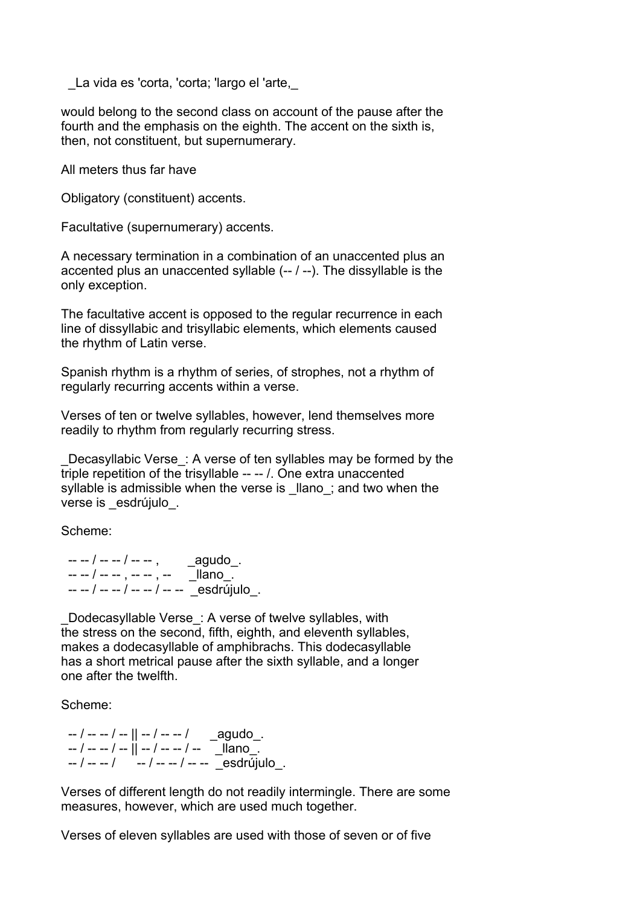La vida es 'corta, 'corta; 'largo el 'arte,

would belong to the second class on account of the pause after the fourth and the emphasis on the eighth. The accent on the sixth is, then, not constituent, but supernumerary.

All meters thus far have

Obligatory (constituent) accents.

Facultative (supernumerary) accents.

A necessary termination in a combination of an unaccented plus an accented plus an unaccented syllable (-- / --). The dissyllable is the only exception.

The facultative accent is opposed to the regular recurrence in each line of dissyllabic and trisyllabic elements, which elements caused the rhythm of Latin verse.

Spanish rhythm is a rhythm of series, of strophes, not a rhythm of regularly recurring accents within a verse.

Verses of ten or twelve syllables, however, lend themselves more readily to rhythm from regularly recurring stress.

Decasyllabic Verse: A verse of ten syllables may be formed by the triple repetition of the trisyllable -- -- /. One extra unaccented syllable is admissible when the verse is llano; and two when the verse is esdrújulo.

Scheme:

 -- -- / -- -- / -- -- , \_agudo\_.  $- - -$  /  $- -$  ,  $- -$  ,  $- \blacksquare$  llano\_. -- -- / -- -- / -- -- / -- -- \_esdrújulo\_.

Dodecasyllable Verse: A verse of twelve syllables, with the stress on the second, fifth, eighth, and eleventh syllables, makes a dodecasyllable of amphibrachs. This dodecasyllable has a short metrical pause after the sixth syllable, and a longer one after the twelfth.

Scheme:

 $-$  /  $-$  /  $-$  ||  $-$  /  $-$  /  $\qquad$  \_agudo\_. -- / -- -- / -- || -- / -- -- / -- \_\_\_llano\_. -- / -- -- / -- / -- -- / -- -- \_esdrújulo\_.

Verses of different length do not readily intermingle. There are some measures, however, which are used much together.

Verses of eleven syllables are used with those of seven or of five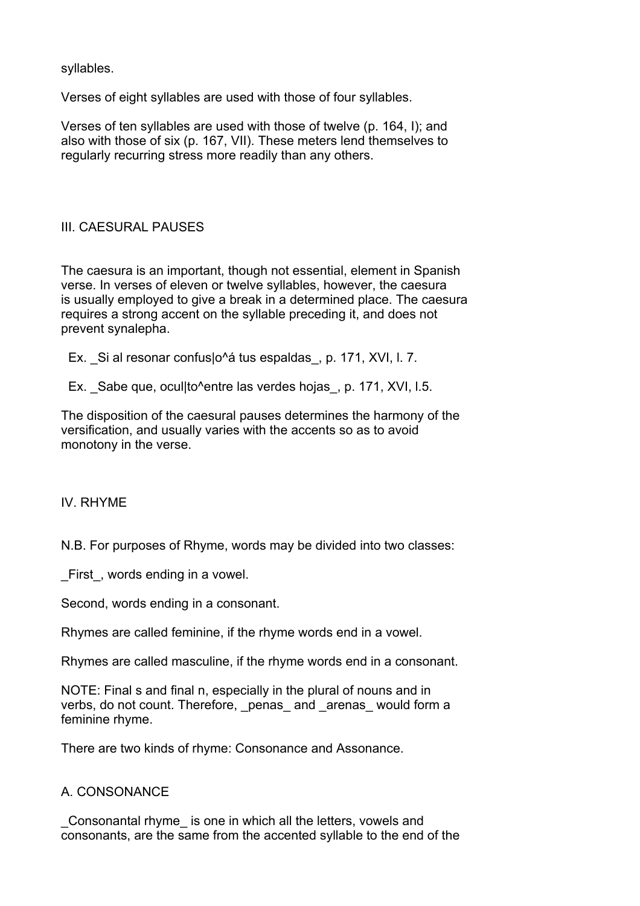syllables.

Verses of eight syllables are used with those of four syllables.

Verses of ten syllables are used with those of twelve (p. 164, I); and also with those of six (p. 167, VII). These meters lend themselves to regularly recurring stress more readily than any others.

# III. CAESURAL PAUSES

The caesura is an important, though not essential, element in Spanish verse. In verses of eleven or twelve syllables, however, the caesura is usually employed to give a break in a determined place. The caesura requires a strong accent on the syllable preceding it, and does not prevent synalepha.

Ex. Si al resonar confus|o^á tus espaldas, p. 171, XVI, l. 7.

Ex. Sabe que, ocul|to^entre las verdes hojas, p. 171, XVI, I.5.

The disposition of the caesural pauses determines the harmony of the versification, and usually varies with the accents so as to avoid monotony in the verse.

# IV. RHYME

N.B. For purposes of Rhyme, words may be divided into two classes:

First, words ending in a vowel.

Second, words ending in a consonant.

Rhymes are called feminine, if the rhyme words end in a vowel.

Rhymes are called masculine, if the rhyme words end in a consonant.

NOTE: Final s and final n, especially in the plural of nouns and in verbs, do not count. Therefore, penas and arenas would form a feminine rhyme.

There are two kinds of rhyme: Consonance and Assonance.

# A. CONSONANCE

\_Consonantal rhyme\_ is one in which all the letters, vowels and consonants, are the same from the accented syllable to the end of the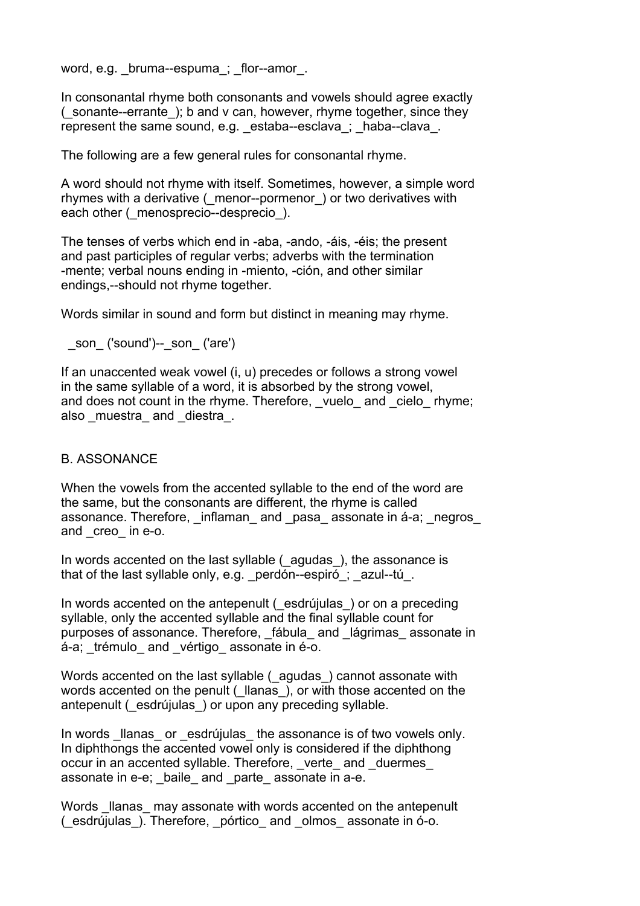word, e.g. bruma--espuma; flor--amor.

In consonantal rhyme both consonants and vowels should agree exactly (\_sonante--errante\_); b and v can, however, rhyme together, since they represent the same sound, e.g. estaba--esclava; haba--clava.

The following are a few general rules for consonantal rhyme.

A word should not rhyme with itself. Sometimes, however, a simple word rhymes with a derivative ( menor--pormenor ) or two derivatives with each other ( menosprecio--desprecio).

The tenses of verbs which end in -aba, -ando, -áis, -éis; the present and past participles of regular verbs; adverbs with the termination -mente; verbal nouns ending in -miento, -ción, and other similar endings,--should not rhyme together.

Words similar in sound and form but distinct in meaning may rhyme.

```
son ('sound')-- son ('are')
```
If an unaccented weak vowel (i, u) precedes or follows a strong vowel in the same syllable of a word, it is absorbed by the strong vowel, and does not count in the rhyme. Therefore, vuelo and cielo rhyme; also muestra and diestra.

### B. ASSONANCE

When the vowels from the accented syllable to the end of the word are the same, but the consonants are different, the rhyme is called assonance. Therefore, inflaman and pasa assonate in á-a; negros and \_creo\_ in e-o.

In words accented on the last syllable (\_agudas\_), the assonance is that of the last syllable only, e.g. perdón--espiró; azul--tú.

In words accented on the antepenult ( esdrújulas ) or on a preceding syllable, only the accented syllable and the final syllable count for purposes of assonance. Therefore, fábula and lágrimas assonate in á-a; trémulo and vértigo assonate in é-o.

Words accented on the last syllable (\_agudas\_) cannot assonate with words accented on the penult ( llanas ), or with those accented on the antepenult ( esdrújulas ) or upon any preceding syllable.

In words llanas or esdrújulas the assonance is of two vowels only. In diphthongs the accented vowel only is considered if the diphthong occur in an accented syllable. Therefore, verte and duermes assonate in e-e; baile and parte assonate in a-e.

Words Ilanas may assonate with words accented on the antepenult (\_esdrújulas\_). Therefore, \_pórtico\_ and \_olmos\_ assonate in ó-o.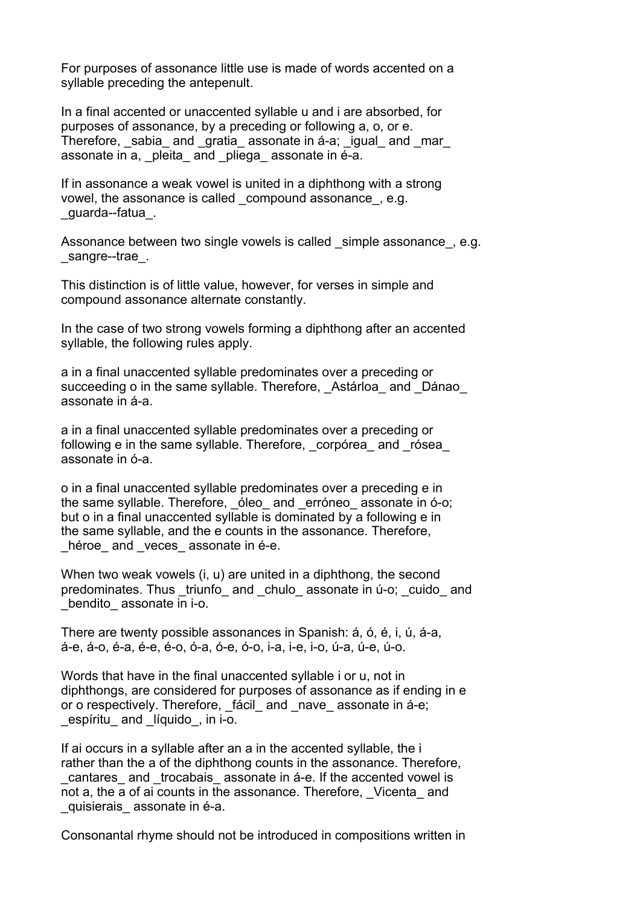For purposes of assonance little use is made of words accented on a syllable preceding the antepenult.

In a final accented or unaccented syllable u and i are absorbed, for purposes of assonance, by a preceding or following a, o, or e. Therefore, sabia and gratia assonate in á-a; igual and mar assonate in a, pleita and pliega assonate in é-a.

If in assonance a weak vowel is united in a diphthong with a strong vowel, the assonance is called compound assonance, e.g. \_guarda--fatua\_.

Assonance between two single vowels is called simple assonance . e.g. \_sangre--trae\_.

This distinction is of little value, however, for verses in simple and compound assonance alternate constantly.

In the case of two strong vowels forming a diphthong after an accented syllable, the following rules apply.

a in a final unaccented syllable predominates over a preceding or succeeding o in the same syllable. Therefore, Astárloa and Dánao assonate in á-a.

a in a final unaccented syllable predominates over a preceding or following e in the same syllable. Therefore, corpórea and rósea assonate in ó-a.

o in a final unaccented syllable predominates over a preceding e in the same syllable. Therefore, oleo and erróneo assonate in ó-o; but o in a final unaccented syllable is dominated by a following e in the same syllable, and the e counts in the assonance. Therefore, héroe and veces assonate in é-e.

When two weak vowels (i, u) are united in a diphthong, the second predominates. Thus triunfo and chulo assonate in ú-o; cuido and bendito assonate in i-o.

There are twenty possible assonances in Spanish: á, ó, é, i, ú, á-a, á-e, á-o, é-a, é-e, é-o, ó-a, ó-e, ó-o, i-a, i-e, i-o, ú-a, ú-e, ú-o.

Words that have in the final unaccented syllable i or u, not in diphthongs, are considered for purposes of assonance as if ending in e or o respectively. Therefore, fácil and nave assonate in á-e; espíritu and líquido, in i-o.

If ai occurs in a syllable after an a in the accented syllable, the i rather than the a of the diphthong counts in the assonance. Therefore, cantares and trocabais assonate in á-e. If the accented vowel is not a, the a of ai counts in the assonance. Therefore, Vicenta and quisierais assonate in é-a.

Consonantal rhyme should not be introduced in compositions written in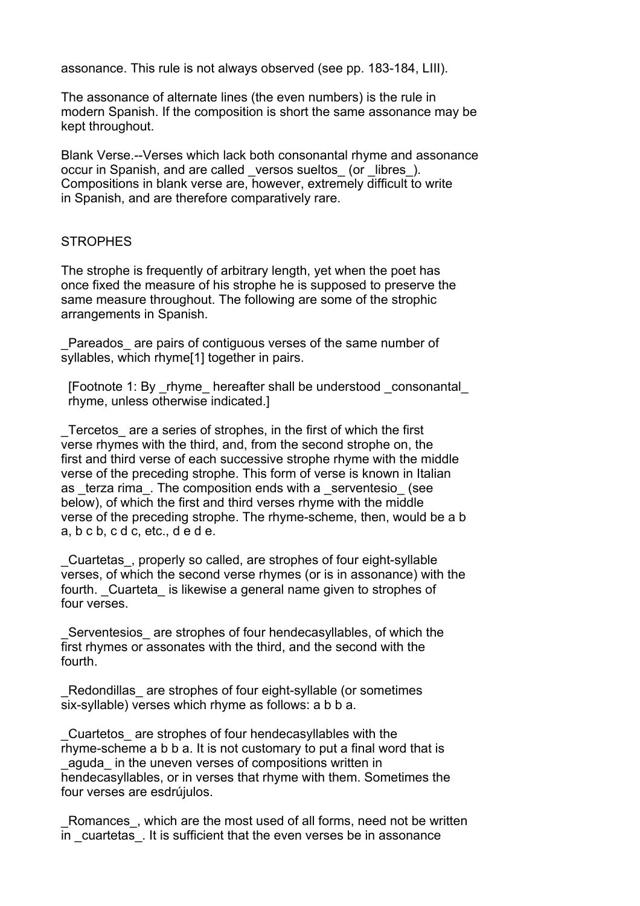assonance. This rule is not always observed (see pp. 183-184, LIII).

The assonance of alternate lines (the even numbers) is the rule in modern Spanish. If the composition is short the same assonance may be kept throughout.

Blank Verse.--Verses which lack both consonantal rhyme and assonance occur in Spanish, and are called \_versos sueltos\_ (or \_libres\_). Compositions in blank verse are, however, extremely difficult to write in Spanish, and are therefore comparatively rare.

### **STROPHES**

The strophe is frequently of arbitrary length, yet when the poet has once fixed the measure of his strophe he is supposed to preserve the same measure throughout. The following are some of the strophic arrangements in Spanish.

Pareados are pairs of contiguous verses of the same number of syllables, which rhyme[1] together in pairs.

 [Footnote 1: By \_rhyme\_ hereafter shall be understood \_consonantal\_ rhyme, unless otherwise indicated.]

Tercetos are a series of strophes, in the first of which the first verse rhymes with the third, and, from the second strophe on, the first and third verse of each successive strophe rhyme with the middle verse of the preceding strophe. This form of verse is known in Italian as terza rima. The composition ends with a serventesio (see below), of which the first and third verses rhyme with the middle verse of the preceding strophe. The rhyme-scheme, then, would be a b a, b c b, c d c, etc., d e d e.

\_Cuartetas\_, properly so called, are strophes of four eight-syllable verses, of which the second verse rhymes (or is in assonance) with the fourth. Cuarteta is likewise a general name given to strophes of four verses.

Serventesios are strophes of four hendecasyllables, of which the first rhymes or assonates with the third, and the second with the fourth.

Redondillas are strophes of four eight-syllable (or sometimes six-syllable) verses which rhyme as follows: a b b a.

\_Cuartetos\_ are strophes of four hendecasyllables with the rhyme-scheme a b b a. It is not customary to put a final word that is \_aguda\_ in the uneven verses of compositions written in hendecasyllables, or in verses that rhyme with them. Sometimes the four verses are esdrújulos.

Romances, which are the most used of all forms, need not be written in cuartetas. It is sufficient that the even verses be in assonance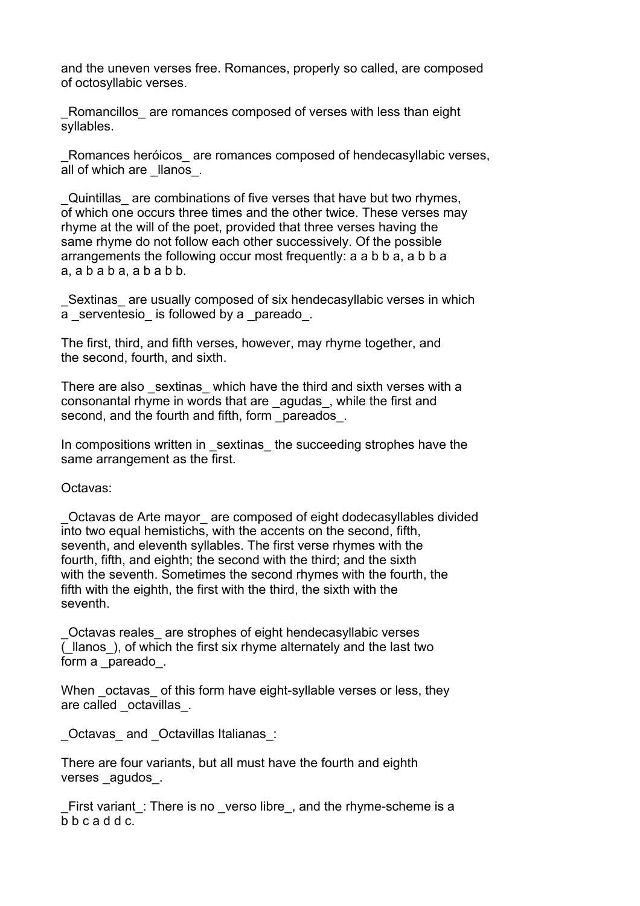and the uneven verses free. Romances, properly so called, are composed of octosyllabic verses.

Romancillos are romances composed of verses with less than eight syllables.

Romances heróicos are romances composed of hendecasyllabic verses, all of which are \_llanos\_.

\_Quintillas\_ are combinations of five verses that have but two rhymes, of which one occurs three times and the other twice. These verses may rhyme at the will of the poet, provided that three verses having the same rhyme do not follow each other successively. Of the possible arrangements the following occur most frequently: a a b b a, a b b a a, a b a b a, a b a b b.

Sextinas are usually composed of six hendecasyllabic verses in which a serventesio is followed by a pareado.

The first, third, and fifth verses, however, may rhyme together, and the second, fourth, and sixth.

There are also sextinas which have the third and sixth verses with a consonantal rhyme in words that are \_agudas\_, while the first and second, and the fourth and fifth, form \_pareados .

In compositions written in sextinas the succeeding strophes have the same arrangement as the first.

Octavas:

\_Octavas de Arte mayor\_ are composed of eight dodecasyllables divided into two equal hemistichs, with the accents on the second, fifth, seventh, and eleventh syllables. The first verse rhymes with the fourth, fifth, and eighth; the second with the third; and the sixth with the seventh. Sometimes the second rhymes with the fourth, the fifth with the eighth, the first with the third, the sixth with the seventh.

\_Octavas reales\_ are strophes of eight hendecasyllabic verses (Ilanos), of which the first six rhyme alternately and the last two form a pareado.

When octavas of this form have eight-syllable verses or less, they are called octavillas.

Octavas and Octavillas Italianas:

There are four variants, but all must have the fourth and eighth verses agudos.

First variant : There is no verso libre, and the rhyme-scheme is a b b c a d d c.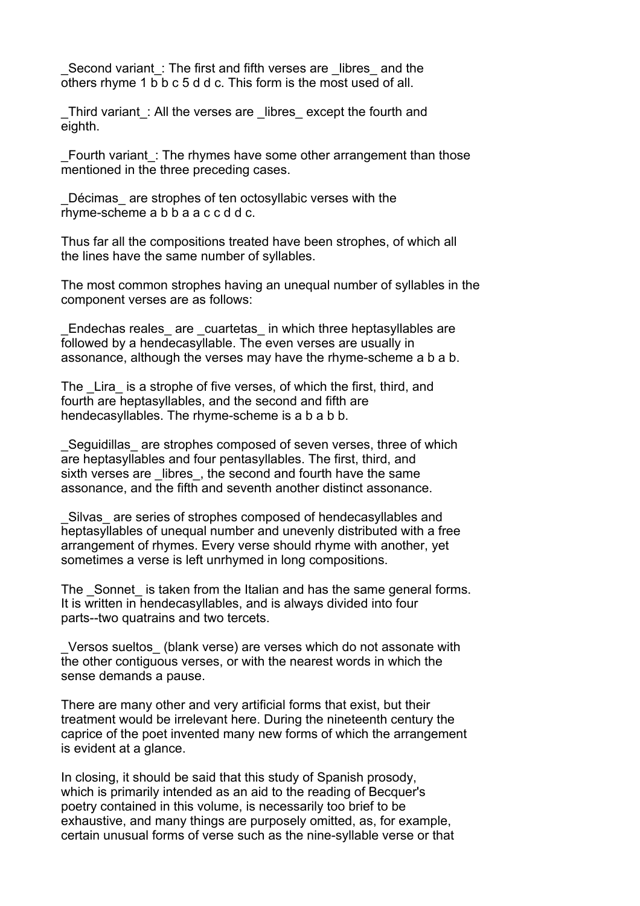Second variant : The first and fifth verses are libres and the others rhyme 1 b b c 5 d d c. This form is the most used of all.

Third variant: All the verses are libres except the fourth and eighth.

Fourth variant: The rhymes have some other arrangement than those mentioned in the three preceding cases.

Décimas are strophes of ten octosyllabic verses with the rhyme-scheme a b b a a c c d d c.

Thus far all the compositions treated have been strophes, of which all the lines have the same number of syllables.

The most common strophes having an unequal number of syllables in the component verses are as follows:

Endechas reales are cuartetas in which three heptasyllables are followed by a hendecasyllable. The even verses are usually in assonance, although the verses may have the rhyme-scheme a b a b.

The Lira is a strophe of five verses, of which the first, third, and fourth are heptasyllables, and the second and fifth are hendecasyllables. The rhyme-scheme is a b a b b.

Seguidillas are strophes composed of seven verses, three of which are heptasyllables and four pentasyllables. The first, third, and sixth verses are libres, the second and fourth have the same assonance, and the fifth and seventh another distinct assonance.

Silvas are series of strophes composed of hendecasyllables and heptasyllables of unequal number and unevenly distributed with a free arrangement of rhymes. Every verse should rhyme with another, yet sometimes a verse is left unrhymed in long compositions.

The Sonnet is taken from the Italian and has the same general forms. It is written in hendecasyllables, and is always divided into four parts--two quatrains and two tercets.

Versos sueltos (blank verse) are verses which do not assonate with the other contiguous verses, or with the nearest words in which the sense demands a pause.

There are many other and very artificial forms that exist, but their treatment would be irrelevant here. During the nineteenth century the caprice of the poet invented many new forms of which the arrangement is evident at a glance.

In closing, it should be said that this study of Spanish prosody, which is primarily intended as an aid to the reading of Becquer's poetry contained in this volume, is necessarily too brief to be exhaustive, and many things are purposely omitted, as, for example, certain unusual forms of verse such as the nine-syllable verse or that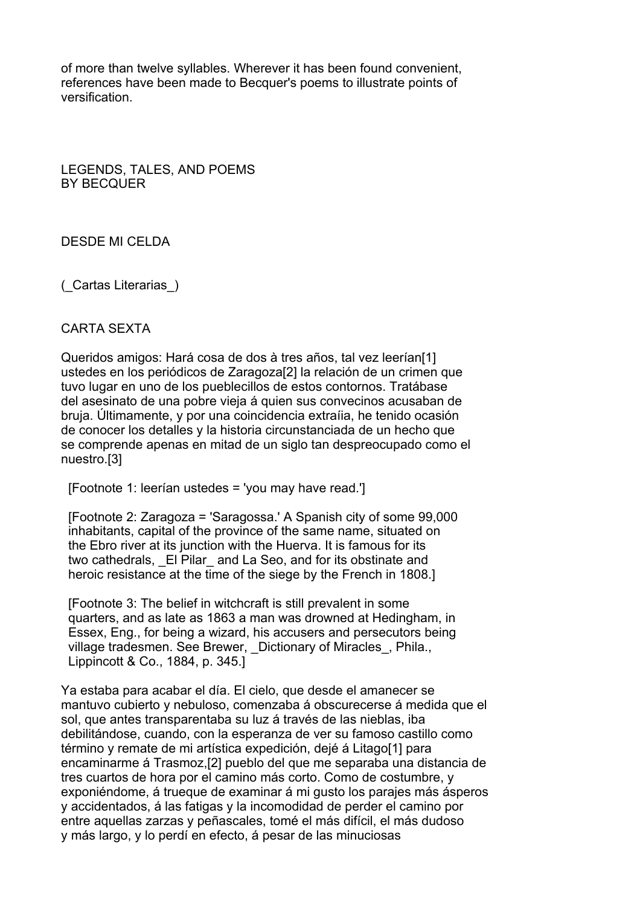of more than twelve syllables. Wherever it has been found convenient, references have been made to Becquer's poems to illustrate points of versification.

LEGENDS, TALES, AND POEMS BY BECQUER

DESDE MI CELDA

(\_Cartas Literarias\_)

#### CARTA SEXTA

Queridos amigos: Hará cosa de dos à tres años, tal vez leerían[1] ustedes en los periódicos de Zaragoza[2] la relación de un crimen que tuvo lugar en uno de los pueblecillos de estos contornos. Tratábase del asesinato de una pobre vieja á quien sus convecinos acusaban de bruja. Últimamente, y por una coincidencia extraíia, he tenido ocasión de conocer los detalles y la historia circunstanciada de un hecho que se comprende apenas en mitad de un siglo tan despreocupado como el nuestro.[3]

[Footnote 1: leerían ustedes = 'you may have read.']

 [Footnote 2: Zaragoza = 'Saragossa.' A Spanish city of some 99,000 inhabitants, capital of the province of the same name, situated on the Ebro river at its junction with the Huerva. It is famous for its two cathedrals, El Pilar and La Seo, and for its obstinate and heroic resistance at the time of the siege by the French in 1808.]

 [Footnote 3: The belief in witchcraft is still prevalent in some quarters, and as late as 1863 a man was drowned at Hedingham, in Essex, Eng., for being a wizard, his accusers and persecutors being village tradesmen. See Brewer, Dictionary of Miracles, Phila., Lippincott & Co., 1884, p. 345.]

Ya estaba para acabar el día. El cielo, que desde el amanecer se mantuvo cubierto y nebuloso, comenzaba á obscurecerse á medida que el sol, que antes transparentaba su luz á través de las nieblas, iba debilitándose, cuando, con la esperanza de ver su famoso castillo como término y remate de mi artística expedición, dejé á Litago[1] para encaminarme á Trasmoz,[2] pueblo del que me separaba una distancia de tres cuartos de hora por el camino más corto. Como de costumbre, y exponiéndome, á trueque de examinar á mi gusto los parajes más ásperos y accidentados, á las fatigas y la incomodidad de perder el camino por entre aquellas zarzas y peñascales, tomé el más difícil, el más dudoso y más largo, y lo perdí en efecto, á pesar de las minuciosas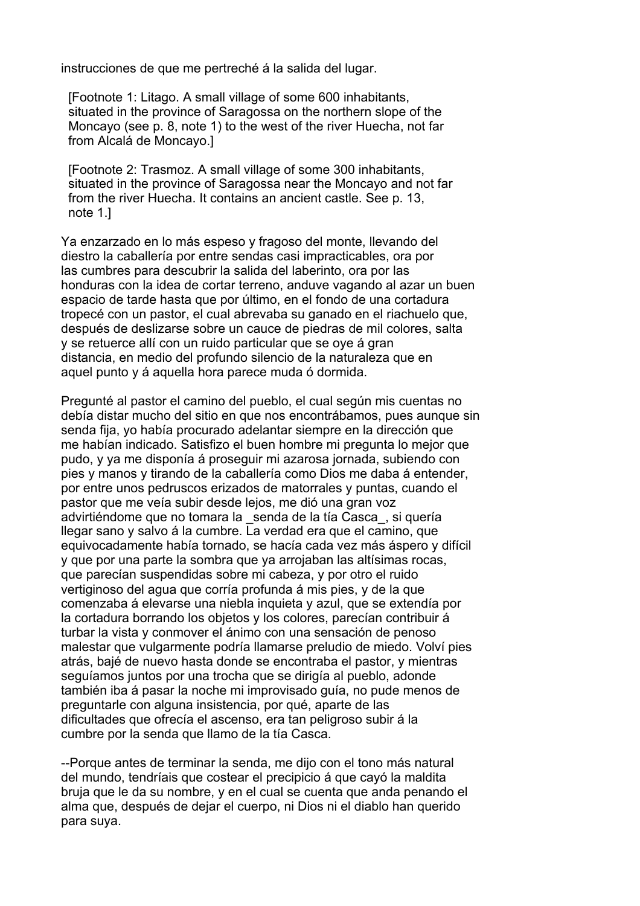instrucciones de que me pertreché á la salida del lugar.

 [Footnote 1: Litago. A small village of some 600 inhabitants, situated in the province of Saragossa on the northern slope of the Moncayo (see p. 8, note 1) to the west of the river Huecha, not far from Alcalá de Moncayo.]

 [Footnote 2: Trasmoz. A small village of some 300 inhabitants, situated in the province of Saragossa near the Moncayo and not far from the river Huecha. It contains an ancient castle. See p. 13, note 1.]

Ya enzarzado en lo más espeso y fragoso del monte, llevando del diestro la caballería por entre sendas casi impracticables, ora por las cumbres para descubrir la salida del laberinto, ora por las honduras con la idea de cortar terreno, anduve vagando al azar un buen espacio de tarde hasta que por último, en el fondo de una cortadura tropecé con un pastor, el cual abrevaba su ganado en el riachuelo que, después de deslizarse sobre un cauce de piedras de mil colores, salta y se retuerce allí con un ruido particular que se oye á gran distancia, en medio del profundo silencio de la naturaleza que en aquel punto y á aquella hora parece muda ó dormida.

Pregunté al pastor el camino del pueblo, el cual según mis cuentas no debía distar mucho del sitio en que nos encontrábamos, pues aunque sin senda fija, yo había procurado adelantar siempre en la dirección que me habían indicado. Satisfizo el buen hombre mi pregunta lo mejor que pudo, y ya me disponía á proseguir mi azarosa jornada, subiendo con pies y manos y tirando de la caballería como Dios me daba á entender, por entre unos pedruscos erizados de matorrales y puntas, cuando el pastor que me veía subir desde lejos, me dió una gran voz advirtiéndome que no tomara la \_senda de la tía Casca\_, si quería llegar sano y salvo á la cumbre. La verdad era que el camino, que equivocadamente había tornado, se hacía cada vez más áspero y difícil y que por una parte la sombra que ya arrojaban las altísimas rocas, que parecían suspendidas sobre mi cabeza, y por otro el ruido vertiginoso del agua que corría profunda á mis pies, y de la que comenzaba á elevarse una niebla inquieta y azul, que se extendía por la cortadura borrando los objetos y los colores, parecían contribuir á turbar la vista y conmover el ánimo con una sensación de penoso malestar que vulgarmente podría llamarse preludio de miedo. Volví pies atrás, bajé de nuevo hasta donde se encontraba el pastor, y mientras seguíamos juntos por una trocha que se dirigía al pueblo, adonde también iba á pasar la noche mi improvisado guía, no pude menos de preguntarle con alguna insistencia, por qué, aparte de las dificultades que ofrecía el ascenso, era tan peligroso subir á la cumbre por la senda que llamo de la tía Casca.

--Porque antes de terminar la senda, me dijo con el tono más natural del mundo, tendríais que costear el precipicio á que cayó la maldita bruja que le da su nombre, y en el cual se cuenta que anda penando el alma que, después de dejar el cuerpo, ni Dios ni el diablo han querido para suya.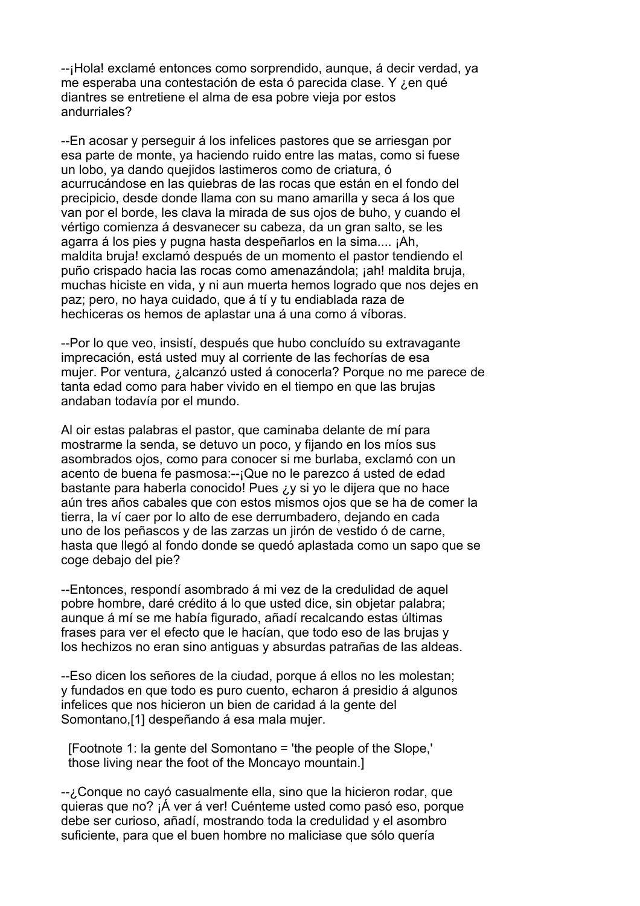--¡Hola! exclamé entonces como sorprendido, aunque, á decir verdad, ya me esperaba una contestación de esta ó parecida clase. Y ¿en qué diantres se entretiene el alma de esa pobre vieja por estos andurriales?

--En acosar y perseguir á los infelices pastores que se arriesgan por esa parte de monte, ya haciendo ruido entre las matas, como si fuese un lobo, ya dando quejidos lastimeros como de criatura, ó acurrucándose en las quiebras de las rocas que están en el fondo del precipicio, desde donde llama con su mano amarilla y seca á los que van por el borde, les clava la mirada de sus ojos de buho, y cuando el vértigo comienza á desvanecer su cabeza, da un gran salto, se les agarra á los pies y pugna hasta despeñarlos en la sima.... ¡Ah, maldita bruja! exclamó después de un momento el pastor tendiendo el puño crispado hacia las rocas como amenazándola; ¡ah! maldita bruja, muchas hiciste en vida, y ni aun muerta hemos logrado que nos dejes en paz; pero, no haya cuidado, que á tí y tu endiablada raza de hechiceras os hemos de aplastar una á una como á víboras.

--Por lo que veo, insistí, después que hubo concluído su extravagante imprecación, está usted muy al corriente de las fechorías de esa mujer. Por ventura, ¿alcanzó usted á conocerla? Porque no me parece de tanta edad como para haber vivido en el tiempo en que las brujas andaban todavía por el mundo.

Al oir estas palabras el pastor, que caminaba delante de mí para mostrarme la senda, se detuvo un poco, y fijando en los míos sus asombrados ojos, como para conocer si me burlaba, exclamó con un acento de buena fe pasmosa:--¡Que no le parezco á usted de edad bastante para haberla conocido! Pues ¿y si yo le dijera que no hace aún tres años cabales que con estos mismos ojos que se ha de comer la tierra, la ví caer por lo alto de ese derrumbadero, dejando en cada uno de los peñascos y de las zarzas un jirón de vestido ó de carne, hasta que llegó al fondo donde se quedó aplastada como un sapo que se coge debajo del pie?

--Entonces, respondí asombrado á mi vez de la credulidad de aquel pobre hombre, daré crédito á lo que usted dice, sin objetar palabra; aunque á mí se me había figurado, añadí recalcando estas últimas frases para ver el efecto que le hacían, que todo eso de las brujas y los hechizos no eran sino antiguas y absurdas patrañas de las aldeas.

--Eso dicen los señores de la ciudad, porque á ellos no les molestan; y fundados en que todo es puro cuento, echaron á presidio á algunos infelices que nos hicieron un bien de caridad á la gente del Somontano,[1] despeñando á esa mala mujer.

 [Footnote 1: la gente del Somontano = 'the people of the Slope,' those living near the foot of the Moncayo mountain.]

--¿Conque no cayó casualmente ella, sino que la hicieron rodar, que quieras que no? ¡Á ver á ver! Cuénteme usted como pasó eso, porque debe ser curioso, añadí, mostrando toda la credulidad y el asombro suficiente, para que el buen hombre no maliciase que sólo quería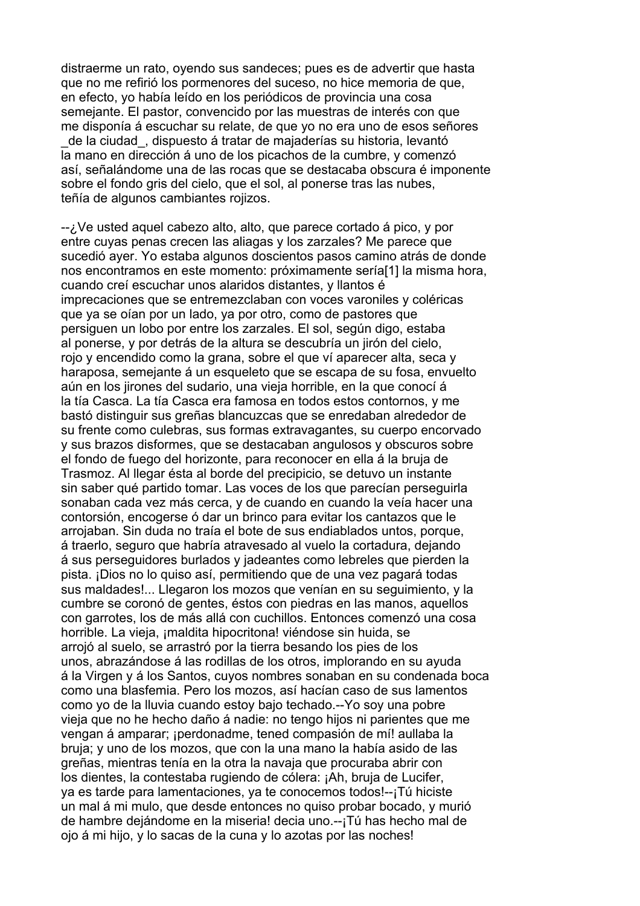distraerme un rato, oyendo sus sandeces; pues es de advertir que hasta que no me refirió los pormenores del suceso, no hice memoria de que, en efecto, yo había leído en los periódicos de provincia una cosa semejante. El pastor, convencido por las muestras de interés con que me disponía á escuchar su relate, de que yo no era uno de esos señores \_de la ciudad\_, dispuesto á tratar de majaderías su historia, levantó la mano en dirección á uno de los picachos de la cumbre, y comenzó así, señalándome una de las rocas que se destacaba obscura é imponente sobre el fondo gris del cielo, que el sol, al ponerse tras las nubes, teñía de algunos cambiantes rojizos.

--¿Ve usted aquel cabezo alto, alto, que parece cortado á pico, y por entre cuyas penas crecen las aliagas y los zarzales? Me parece que sucedió ayer. Yo estaba algunos doscientos pasos camino atrás de donde nos encontramos en este momento: próximamente sería[1] la misma hora, cuando creí escuchar unos alaridos distantes, y llantos é imprecaciones que se entremezclaban con voces varoniles y coléricas que ya se oían por un lado, ya por otro, como de pastores que persiguen un lobo por entre los zarzales. El sol, según digo, estaba al ponerse, y por detrás de la altura se descubría un jirón del cielo, rojo y encendido como la grana, sobre el que ví aparecer alta, seca y haraposa, semejante á un esqueleto que se escapa de su fosa, envuelto aún en los jirones del sudario, una vieja horrible, en la que conocí á la tía Casca. La tía Casca era famosa en todos estos contornos, y me bastó distinguir sus greñas blancuzcas que se enredaban alrededor de su frente como culebras, sus formas extravagantes, su cuerpo encorvado y sus brazos disformes, que se destacaban angulosos y obscuros sobre el fondo de fuego del horizonte, para reconocer en ella á la bruja de Trasmoz. Al llegar ésta al borde del precipicio, se detuvo un instante sin saber qué partido tomar. Las voces de los que parecían perseguirla sonaban cada vez más cerca, y de cuando en cuando la veía hacer una contorsión, encogerse ó dar un brinco para evitar los cantazos que le arrojaban. Sin duda no traía el bote de sus endiablados untos, porque, á traerlo, seguro que habría atravesado al vuelo la cortadura, dejando á sus perseguidores burlados y jadeantes como lebreles que pierden la pista. ¡Dios no lo quiso así, permitiendo que de una vez pagará todas sus maldades!... Llegaron los mozos que venían en su seguimiento, y la cumbre se coronó de gentes, éstos con piedras en las manos, aquellos con garrotes, los de más allá con cuchillos. Entonces comenzó una cosa horrible. La vieja, ¡maldita hipocritona! viéndose sin huida, se arrojó al suelo, se arrastró por la tierra besando los pies de los unos, abrazándose á las rodillas de los otros, implorando en su ayuda á la Virgen y á los Santos, cuyos nombres sonaban en su condenada boca como una blasfemia. Pero los mozos, así hacían caso de sus lamentos como yo de la lluvia cuando estoy bajo techado.--Yo soy una pobre vieja que no he hecho daño á nadie: no tengo hijos ni parientes que me vengan á amparar; ¡perdonadme, tened compasión de mí! aullaba la bruja; y uno de los mozos, que con la una mano la había asido de las greñas, mientras tenía en la otra la navaja que procuraba abrir con los dientes, la contestaba rugiendo de cólera: ¡Ah, bruja de Lucifer, ya es tarde para lamentaciones, ya te conocemos todos!--¡Tú hiciste un mal á mi mulo, que desde entonces no quiso probar bocado, y murió de hambre dejándome en la miseria! decia uno.--¡Tú has hecho mal de ojo á mi hijo, y lo sacas de la cuna y lo azotas por las noches!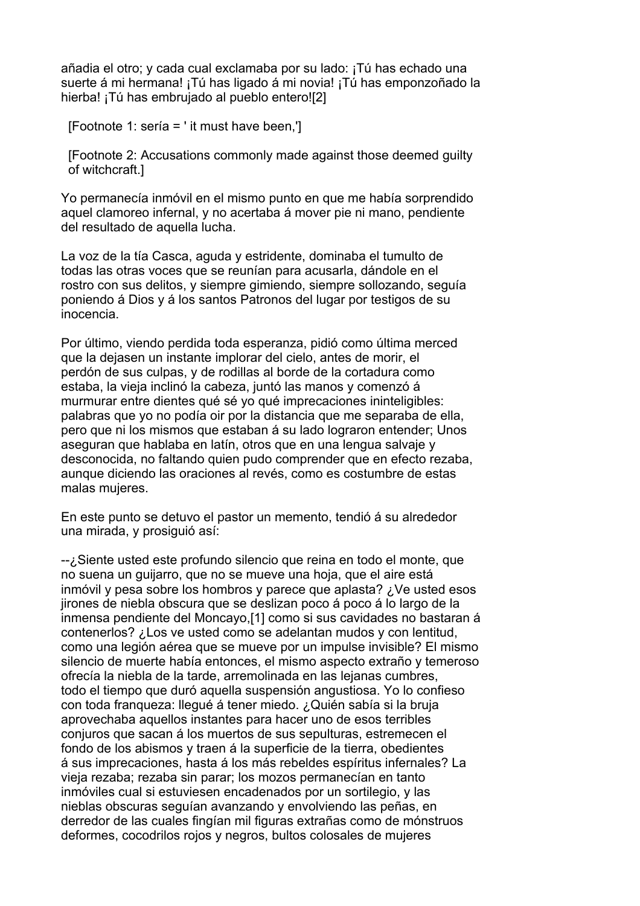añadia el otro; y cada cual exclamaba por su lado: ¡Tú has echado una suerte á mi hermana! ¡Tú has ligado á mi novia! ¡Tú has emponzoñado la hierba! ¡Tú has embrujado al pueblo entero![2]

[Footnote 1: sería = ' it must have been,']

 [Footnote 2: Accusations commonly made against those deemed guilty of witchcraft.]

Yo permanecía inmóvil en el mismo punto en que me había sorprendido aquel clamoreo infernal, y no acertaba á mover pie ni mano, pendiente del resultado de aquella lucha.

La voz de la tía Casca, aguda y estridente, dominaba el tumulto de todas las otras voces que se reunían para acusarla, dándole en el rostro con sus delitos, y siempre gimiendo, siempre sollozando, seguía poniendo á Dios y á los santos Patronos del lugar por testigos de su inocencia.

Por último, viendo perdida toda esperanza, pidió como última merced que la dejasen un instante implorar del cielo, antes de morir, el perdón de sus culpas, y de rodillas al borde de la cortadura como estaba, la vieja inclinó la cabeza, juntó las manos y comenzó á murmurar entre dientes qué sé yo qué imprecaciones ininteligibles: palabras que yo no podía oir por la distancia que me separaba de ella, pero que ni los mismos que estaban á su lado lograron entender; Unos aseguran que hablaba en latín, otros que en una lengua salvaje y desconocida, no faltando quien pudo comprender que en efecto rezaba, aunque diciendo las oraciones al revés, como es costumbre de estas malas mujeres.

En este punto se detuvo el pastor un memento, tendió á su alrededor una mirada, y prosiguió así:

--¿Siente usted este profundo silencio que reina en todo el monte, que no suena un guijarro, que no se mueve una hoja, que el aire está inmóvil y pesa sobre los hombros y parece que aplasta? ¿Ve usted esos jirones de niebla obscura que se deslizan poco á poco á lo largo de la inmensa pendiente del Moncayo,[1] como si sus cavidades no bastaran á contenerlos? ¿Los ve usted como se adelantan mudos y con lentitud, como una legión aérea que se mueve por un impulse invisible? El mismo silencio de muerte había entonces, el mismo aspecto extraño y temeroso ofrecía la niebla de la tarde, arremolinada en las lejanas cumbres, todo el tiempo que duró aquella suspensión angustiosa. Yo lo confieso con toda franqueza: llegué á tener miedo. ¿Quién sabía si la bruja aprovechaba aquellos instantes para hacer uno de esos terribles conjuros que sacan á los muertos de sus sepulturas, estremecen el fondo de los abismos y traen á la superficie de la tierra, obedientes á sus imprecaciones, hasta á los más rebeldes espíritus infernales? La vieja rezaba; rezaba sin parar; los mozos permanecían en tanto inmóviles cual si estuviesen encadenados por un sortilegio, y las nieblas obscuras seguían avanzando y envolviendo las peñas, en derredor de las cuales fingían mil figuras extrañas como de mónstruos deformes, cocodrilos rojos y negros, bultos colosales de mujeres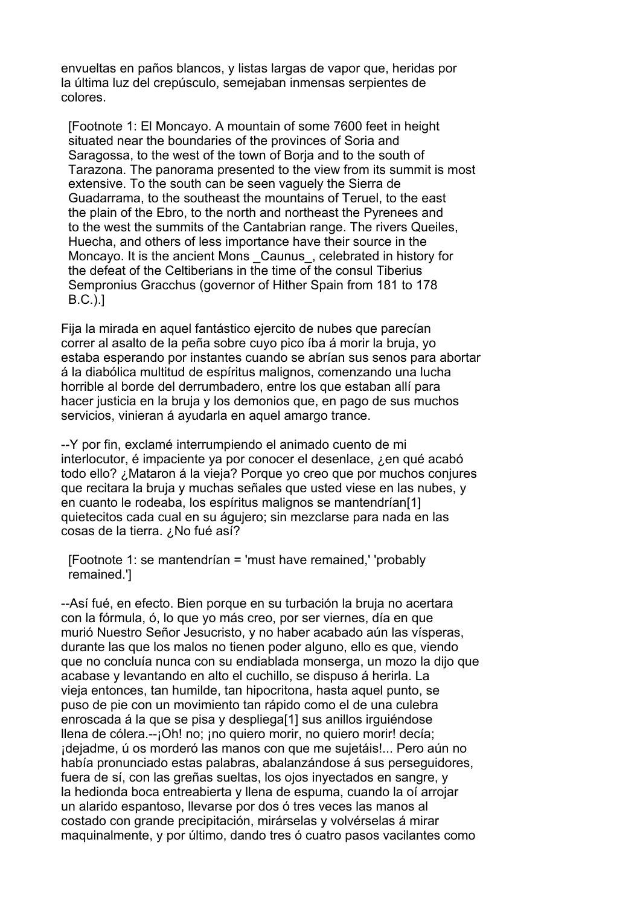envueltas en paños blancos, y listas largas de vapor que, heridas por la última luz del crepúsculo, semejaban inmensas serpientes de colores.

 [Footnote 1: El Moncayo. A mountain of some 7600 feet in height situated near the boundaries of the provinces of Soria and Saragossa, to the west of the town of Borja and to the south of Tarazona. The panorama presented to the view from its summit is most extensive. To the south can be seen vaguely the Sierra de Guadarrama, to the southeast the mountains of Teruel, to the east the plain of the Ebro, to the north and northeast the Pyrenees and to the west the summits of the Cantabrian range. The rivers Queiles, Huecha, and others of less importance have their source in the Moncayo. It is the ancient Mons Caunus, celebrated in history for the defeat of the Celtiberians in the time of the consul Tiberius Sempronius Gracchus (governor of Hither Spain from 181 to 178 B.C.).]

Fija la mirada en aquel fantástico ejercito de nubes que parecían correr al asalto de la peña sobre cuyo pico íba á morir la bruja, yo estaba esperando por instantes cuando se abrían sus senos para abortar á la diabólica multitud de espíritus malignos, comenzando una lucha horrible al borde del derrumbadero, entre los que estaban allí para hacer justicia en la bruja y los demonios que, en pago de sus muchos servicios, vinieran á ayudarla en aquel amargo trance.

--Y por fin, exclamé interrumpiendo el animado cuento de mi interlocutor, é impaciente ya por conocer el desenlace, ¿en qué acabó todo ello? ¿Mataron á la vieja? Porque yo creo que por muchos conjures que recitara la bruja y muchas señales que usted viese en las nubes, y en cuanto le rodeaba, los espíritus malignos se mantendrían[1] quietecitos cada cual en su águjero; sin mezclarse para nada en las cosas de la tierra. ¿No fué así?

 [Footnote 1: se mantendrían = 'must have remained,' 'probably remained.']

--Así fué, en efecto. Bien porque en su turbación la bruja no acertara con la fórmula, ó, lo que yo más creo, por ser viernes, día en que murió Nuestro Señor Jesucristo, y no haber acabado aún las vísperas, durante las que los malos no tienen poder alguno, ello es que, viendo que no concluía nunca con su endiablada monserga, un mozo la dijo que acabase y levantando en alto el cuchillo, se dispuso á herirla. La vieja entonces, tan humilde, tan hipocritona, hasta aquel punto, se puso de pie con un movimiento tan rápido como el de una culebra enroscada á la que se pisa y despliega[1] sus anillos irguiéndose llena de cólera.--¡Oh! no; ¡no quiero morir, no quiero morir! decía; ¡dejadme, ú os morderó las manos con que me sujetáis!... Pero aún no había pronunciado estas palabras, abalanzándose á sus perseguidores, fuera de sí, con las greñas sueltas, los ojos inyectados en sangre, y la hedionda boca entreabierta y llena de espuma, cuando la oí arrojar un alarido espantoso, llevarse por dos ó tres veces las manos al costado con grande precipitación, mirárselas y volvérselas á mirar maquinalmente, y por último, dando tres ó cuatro pasos vacilantes como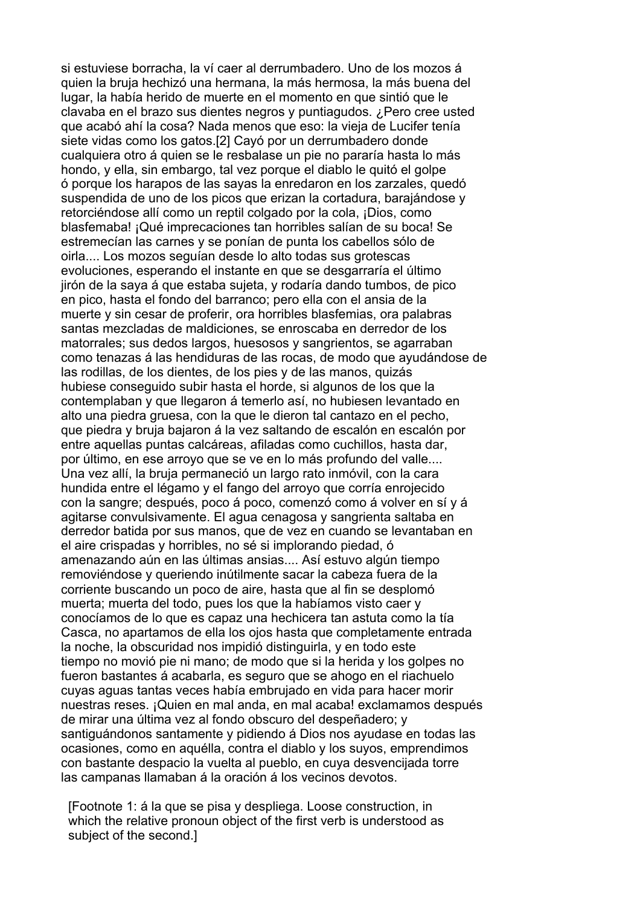si estuviese borracha, la ví caer al derrumbadero. Uno de los mozos á quien la bruja hechizó una hermana, la más hermosa, la más buena del lugar, la había herido de muerte en el momento en que sintió que le clavaba en el brazo sus dientes negros y puntiagudos. ¿Pero cree usted que acabó ahí la cosa? Nada menos que eso: la vieja de Lucifer tenía siete vidas como los gatos.[2] Cayó por un derrumbadero donde cualquiera otro á quien se le resbalase un pie no pararía hasta lo más hondo, y ella, sin embargo, tal vez porque el diablo le quitó el golpe ó porque los harapos de las sayas la enredaron en los zarzales, quedó suspendida de uno de los picos que erizan la cortadura, barajándose y retorciéndose allí como un reptil colgado por la cola, ¡Dios, como blasfemaba! ¡Qué imprecaciones tan horribles salían de su boca! Se estremecían las carnes y se ponían de punta los cabellos sólo de oirla.... Los mozos seguían desde lo alto todas sus grotescas evoluciones, esperando el instante en que se desgarraría el último jirón de la saya á que estaba sujeta, y rodaría dando tumbos, de pico en pico, hasta el fondo del barranco; pero ella con el ansia de la muerte y sin cesar de proferir, ora horribles blasfemias, ora palabras santas mezcladas de maldiciones, se enroscaba en derredor de los matorrales; sus dedos largos, huesosos y sangrientos, se agarraban como tenazas á las hendiduras de las rocas, de modo que ayudándose de las rodillas, de los dientes, de los pies y de las manos, quizás hubiese conseguido subir hasta el horde, si algunos de los que la contemplaban y que llegaron á temerlo así, no hubiesen levantado en alto una piedra gruesa, con la que le dieron tal cantazo en el pecho, que piedra y bruja bajaron á la vez saltando de escalón en escalón por entre aquellas puntas calcáreas, afiladas como cuchillos, hasta dar, por último, en ese arroyo que se ve en lo más profundo del valle.... Una vez allí, la bruja permaneció un largo rato inmóvil, con la cara hundida entre el légamo y el fango del arroyo que corría enrojecido con la sangre; después, poco á poco, comenzó como á volver en sí y á agitarse convulsivamente. El agua cenagosa y sangrienta saltaba en derredor batida por sus manos, que de vez en cuando se levantaban en el aire crispadas y horribles, no sé si implorando piedad, ó amenazando aún en las últimas ansias.... Así estuvo algún tiempo removiéndose y queriendo inútilmente sacar la cabeza fuera de la corriente buscando un poco de aire, hasta que al fin se desplomó muerta; muerta del todo, pues los que la habíamos visto caer y conocíamos de lo que es capaz una hechicera tan astuta como la tía Casca, no apartamos de ella los ojos hasta que completamente entrada la noche, la obscuridad nos impidió distinguirla, y en todo este tiempo no movió pie ni mano; de modo que si la herida y los golpes no fueron bastantes á acabarla, es seguro que se ahogo en el riachuelo cuyas aguas tantas veces había embrujado en vida para hacer morir nuestras reses. ¡Quien en mal anda, en mal acaba! exclamamos después de mirar una última vez al fondo obscuro del despeñadero; y santiguándonos santamente y pidiendo á Dios nos ayudase en todas las ocasiones, como en aquélla, contra el diablo y los suyos, emprendimos con bastante despacio la vuelta al pueblo, en cuya desvencijada torre las campanas llamaban á la oración á los vecinos devotos.

 [Footnote 1: á la que se pisa y despliega. Loose construction, in which the relative pronoun object of the first verb is understood as subject of the second.]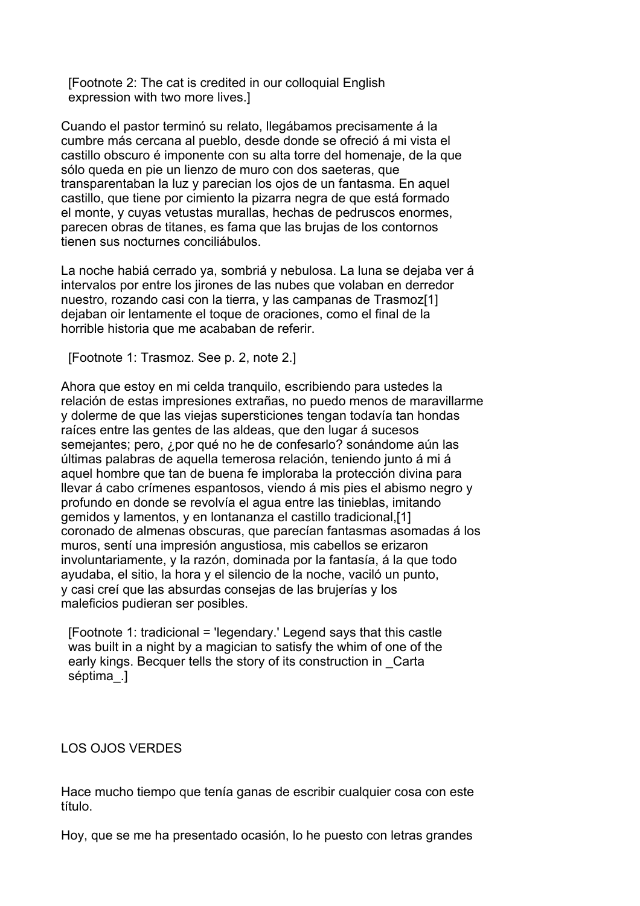[Footnote 2: The cat is credited in our colloquial English expression with two more lives.]

Cuando el pastor terminó su relato, llegábamos precisamente á la cumbre más cercana al pueblo, desde donde se ofreció á mi vista el castillo obscuro é imponente con su alta torre del homenaje, de la que sólo queda en pie un lienzo de muro con dos saeteras, que transparentaban la luz y parecian los ojos de un fantasma. En aquel castillo, que tiene por cimiento la pizarra negra de que está formado el monte, y cuyas vetustas murallas, hechas de pedruscos enormes, parecen obras de titanes, es fama que las brujas de los contornos tienen sus nocturnes conciliábulos.

La noche habiá cerrado ya, sombriá y nebulosa. La luna se dejaba ver á intervalos por entre los jirones de las nubes que volaban en derredor nuestro, rozando casi con la tierra, y las campanas de Trasmoz[1] dejaban oir lentamente el toque de oraciones, como el final de la horrible historia que me acababan de referir.

[Footnote 1: Trasmoz. See p. 2, note 2.]

Ahora que estoy en mi celda tranquilo, escribiendo para ustedes la relación de estas impresiones extrañas, no puedo menos de maravillarme y dolerme de que las viejas supersticiones tengan todavía tan hondas raíces entre las gentes de las aldeas, que den lugar á sucesos semejantes; pero, ¿por qué no he de confesarlo? sonándome aún las últimas palabras de aquella temerosa relación, teniendo junto á mi á aquel hombre que tan de buena fe imploraba la protección divina para llevar á cabo crímenes espantosos, viendo á mis pies el abismo negro y profundo en donde se revolvía el agua entre las tinieblas, imitando gemidos y lamentos, y en lontananza el castillo tradicional,[1] coronado de almenas obscuras, que parecían fantasmas asomadas á los muros, sentí una impresión angustiosa, mis cabellos se erizaron involuntariamente, y la razón, dominada por la fantasía, á la que todo ayudaba, el sitio, la hora y el silencio de la noche, vaciló un punto, y casi creí que las absurdas consejas de las brujerías y los maleficios pudieran ser posibles.

 [Footnote 1: tradicional = 'legendary.' Legend says that this castle was built in a night by a magician to satisfy the whim of one of the early kings. Becquer tells the story of its construction in \_Carta séptima\_.]

### LOS OJOS VERDES

Hace mucho tiempo que tenía ganas de escribir cualquier cosa con este título.

Hoy, que se me ha presentado ocasión, lo he puesto con letras grandes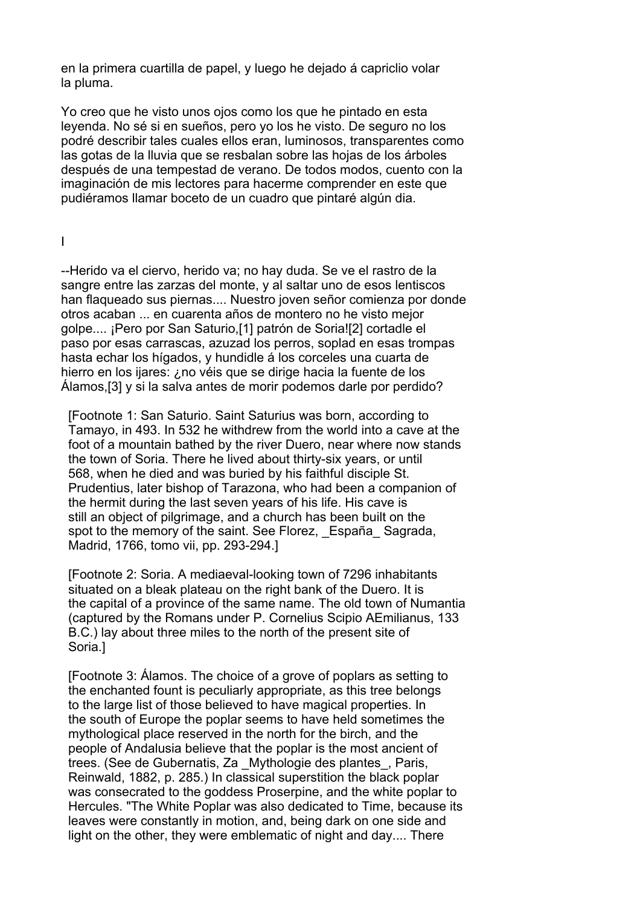en la primera cuartilla de papel, y luego he dejado á capriclio volar la pluma.

Yo creo que he visto unos ojos como los que he pintado en esta leyenda. No sé si en sueños, pero yo los he visto. De seguro no los podré describir tales cuales ellos eran, luminosos, transparentes como las gotas de la lluvia que se resbalan sobre las hojas de los árboles después de una tempestad de verano. De todos modos, cuento con la imaginación de mis lectores para hacerme comprender en este que pudiéramos llamar boceto de un cuadro que pintaré algún dia.

I

--Herido va el ciervo, herido va; no hay duda. Se ve el rastro de la sangre entre las zarzas del monte, y al saltar uno de esos lentiscos han flaqueado sus piernas.... Nuestro joven señor comienza por donde otros acaban ... en cuarenta años de montero no he visto mejor golpe.... ¡Pero por San Saturio,[1] patrón de Soria![2] cortadle el paso por esas carrascas, azuzad los perros, soplad en esas trompas hasta echar los hígados, y hundidle á los corceles una cuarta de hierro en los ijares: ¿no véis que se dirige hacia la fuente de los Álamos,[3] y si la salva antes de morir podemos darle por perdido?

 [Footnote 1: San Saturio. Saint Saturius was born, according to Tamayo, in 493. In 532 he withdrew from the world into a cave at the foot of a mountain bathed by the river Duero, near where now stands the town of Soria. There he lived about thirty-six years, or until 568, when he died and was buried by his faithful disciple St. Prudentius, later bishop of Tarazona, who had been a companion of the hermit during the last seven years of his life. His cave is still an object of pilgrimage, and a church has been built on the spot to the memory of the saint. See Florez, España, Sagrada, Madrid, 1766, tomo vii, pp. 293-294.]

 [Footnote 2: Soria. A mediaeval-looking town of 7296 inhabitants situated on a bleak plateau on the right bank of the Duero. It is the capital of a province of the same name. The old town of Numantia (captured by the Romans under P. Cornelius Scipio AEmilianus, 133 B.C.) lay about three miles to the north of the present site of Soria.]

 [Footnote 3: Álamos. The choice of a grove of poplars as setting to the enchanted fount is peculiarly appropriate, as this tree belongs to the large list of those believed to have magical properties. In the south of Europe the poplar seems to have held sometimes the mythological place reserved in the north for the birch, and the people of Andalusia believe that the poplar is the most ancient of trees. (See de Gubernatis, Za \_Mythologie des plantes\_, Paris, Reinwald, 1882, p. 285.) In classical superstition the black poplar was consecrated to the goddess Proserpine, and the white poplar to Hercules. "The White Poplar was also dedicated to Time, because its leaves were constantly in motion, and, being dark on one side and light on the other, they were emblematic of night and day.... There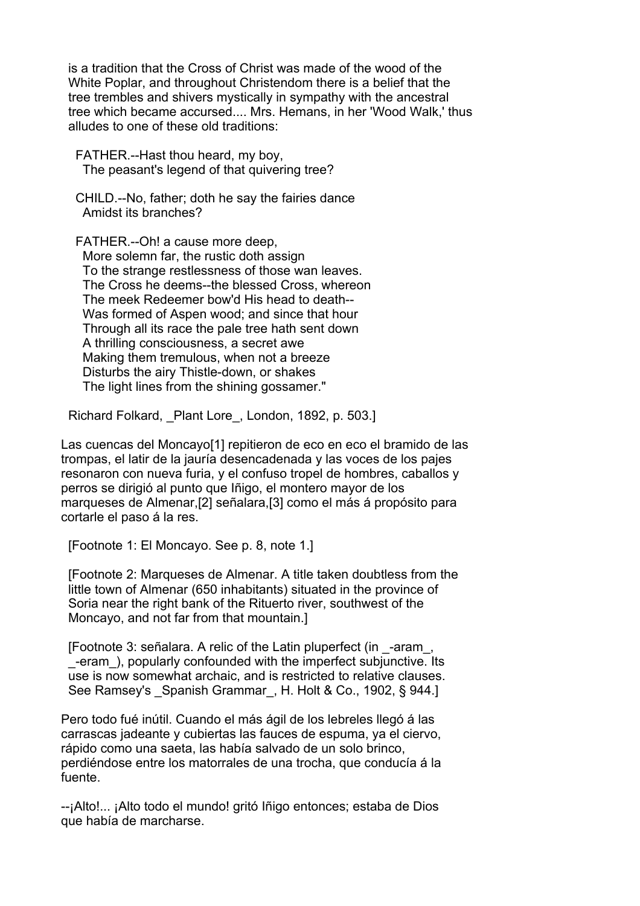is a tradition that the Cross of Christ was made of the wood of the White Poplar, and throughout Christendom there is a belief that the tree trembles and shivers mystically in sympathy with the ancestral tree which became accursed.... Mrs. Hemans, in her 'Wood Walk,' thus alludes to one of these old traditions:

 FATHER.--Hast thou heard, my boy, The peasant's legend of that quivering tree?

 CHILD.--No, father; doth he say the fairies dance Amidst its branches?

 FATHER.--Oh! a cause more deep, More solemn far, the rustic doth assign To the strange restlessness of those wan leaves. The Cross he deems--the blessed Cross, whereon The meek Redeemer bow'd His head to death-- Was formed of Aspen wood; and since that hour Through all its race the pale tree hath sent down A thrilling consciousness, a secret awe Making them tremulous, when not a breeze Disturbs the airy Thistle-down, or shakes The light lines from the shining gossamer."

Richard Folkard, Plant Lore, London, 1892, p. 503.]

Las cuencas del Moncayo[1] repitieron de eco en eco el bramido de las trompas, el latir de la jauría desencadenada y las voces de los pajes resonaron con nueva furia, y el confuso tropel de hombres, caballos y perros se dirigió al punto que Iñigo, el montero mayor de los marqueses de Almenar,[2] señalara,[3] como el más á propósito para cortarle el paso á la res.

[Footnote 1: El Moncayo. See p. 8, note 1.]

 [Footnote 2: Marqueses de Almenar. A title taken doubtless from the little town of Almenar (650 inhabitants) situated in the province of Soria near the right bank of the Rituerto river, southwest of the Moncayo, and not far from that mountain.]

 [Footnote 3: señalara. A relic of the Latin pluperfect (in \_-aram\_, \_-eram\_), popularly confounded with the imperfect subjunctive. Its use is now somewhat archaic, and is restricted to relative clauses. See Ramsey's Spanish Grammar, H. Holt & Co., 1902, § 944.]

Pero todo fué inútil. Cuando el más ágil de los lebreles llegó á las carrascas jadeante y cubiertas las fauces de espuma, ya el ciervo, rápido como una saeta, las había salvado de un solo brinco, perdiéndose entre los matorrales de una trocha, que conducía á la fuente.

--¡Alto!... ¡Alto todo el mundo! gritó Iñigo entonces; estaba de Dios que había de marcharse.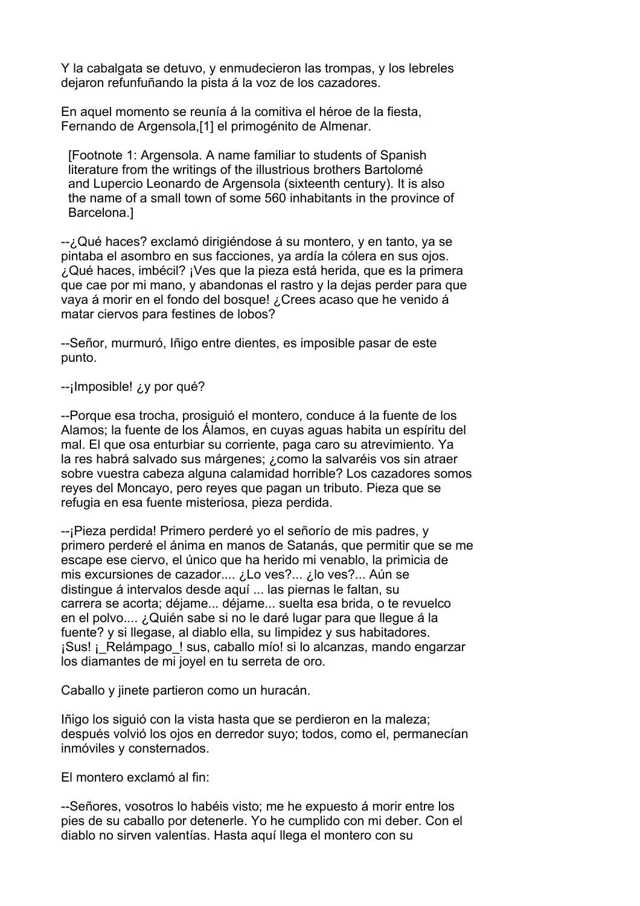Y la cabalgata se detuvo, y enmudecieron las trompas, y los lebreles dejaron refunfuñando la pista á la voz de los cazadores.

En aquel momento se reunía á la comitiva el héroe de la fiesta, Fernando de Argensola,[1] el primogénito de Almenar.

 [Footnote 1: Argensola. A name familiar to students of Spanish literature from the writings of the illustrious brothers Bartolomé and Lupercio Leonardo de Argensola (sixteenth century). It is also the name of a small town of some 560 inhabitants in the province of Barcelona.]

--¿Qué haces? exclamó dirigiéndose á su montero, y en tanto, ya se pintaba el asombro en sus facciones, ya ardía la cólera en sus ojos. ¿Qué haces, imbécil? ¡Ves que la pieza está herida, que es la primera que cae por mi mano, y abandonas el rastro y la dejas perder para que vaya á morir en el fondo del bosque! ¿Crees acaso que he venido á matar ciervos para festines de lobos?

--Señor, murmuró, Iñigo entre dientes, es imposible pasar de este punto.

-ilmposible! *i*, y por qué?

--Porque esa trocha, prosiguió el montero, conduce á la fuente de los Alamos; la fuente de los Álamos, en cuyas aguas habita un espíritu del mal. El que osa enturbiar su corriente, paga caro su atrevimiento. Ya la res habrá salvado sus márgenes; ¿como la salvaréis vos sin atraer sobre vuestra cabeza alguna calamidad horrible? Los cazadores somos reyes del Moncayo, pero reyes que pagan un tributo. Pieza que se refugia en esa fuente misteriosa, pieza perdida.

--¡Pieza perdida! Primero perderé yo el señorío de mis padres, y primero perderé el ánima en manos de Satanás, que permitir que se me escape ese ciervo, el único que ha herido mi venablo, la primicia de mis excursiones de cazador.... ¿Lo ves?... ¿lo ves?... Aún se distingue á intervalos desde aquí ... las piernas le faltan, su carrera se acorta; déjame... déjame... suelta esa brida, o te revuelco en el polvo.... ¿Quién sabe si no le daré lugar para que llegue á la fuente? y si llegase, al diablo ella, su limpidez y sus habitadores. ¡Sus! ¡\_Relámpago\_! sus, caballo mío! si lo alcanzas, mando engarzar los diamantes de mi joyel en tu serreta de oro.

Caballo y jinete partieron como un huracán.

Iñigo los siguió con la vista hasta que se perdieron en la maleza; después volvió los ojos en derredor suyo; todos, como el, permanecían inmóviles y consternados.

El montero exclamó al fin:

--Señores, vosotros lo habéis visto; me he expuesto á morir entre los pies de su caballo por detenerle. Yo he cumplido con mi deber. Con el diablo no sirven valentías. Hasta aquí llega el montero con su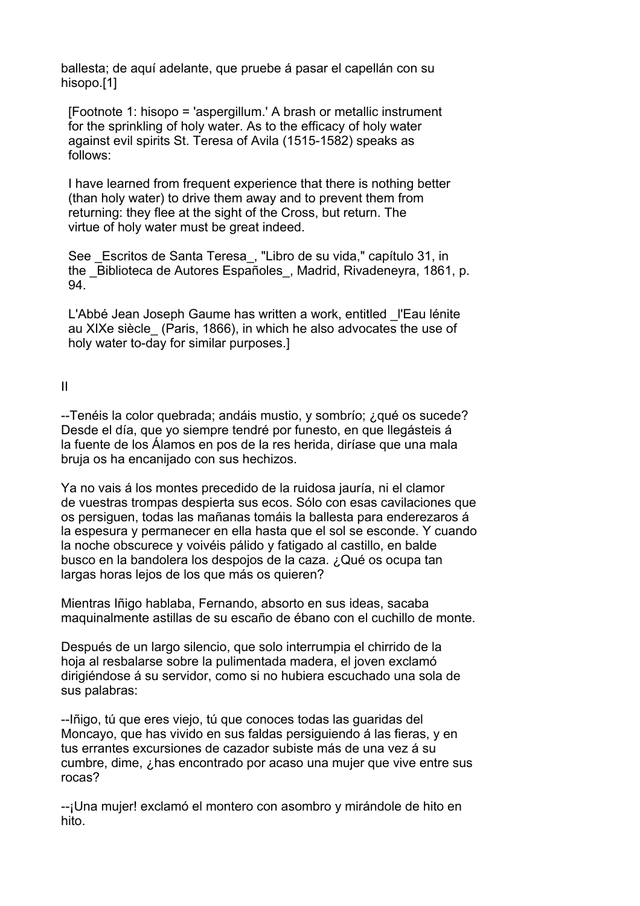ballesta; de aquí adelante, que pruebe á pasar el capellán con su hisopo.[1]

 [Footnote 1: hisopo = 'aspergillum.' A brash or metallic instrument for the sprinkling of holy water. As to the efficacy of holy water against evil spirits St. Teresa of Avila (1515-1582) speaks as follows:

 I have learned from frequent experience that there is nothing better (than holy water) to drive them away and to prevent them from returning: they flee at the sight of the Cross, but return. The virtue of holy water must be great indeed.

See Escritos de Santa Teresa, "Libro de su vida," capítulo 31, in the Biblioteca de Autores Españoles, Madrid, Rivadeneyra, 1861, p. 94.

L'Abbé Jean Joseph Gaume has written a work, entitled l'Eau lénite au XIXe siècle\_ (Paris, 1866), in which he also advocates the use of holy water to-day for similar purposes.]

II

--Tenéis la color quebrada; andáis mustio, y sombrío; ¿qué os sucede? Desde el día, que yo siempre tendré por funesto, en que llegásteis á la fuente de los Álamos en pos de la res herida, diríase que una mala bruja os ha encanijado con sus hechizos.

Ya no vais á los montes precedido de la ruidosa jauría, ni el clamor de vuestras trompas despierta sus ecos. Sólo con esas cavilaciones que os persiguen, todas las mañanas tomáis la ballesta para enderezaros á la espesura y permanecer en ella hasta que el sol se esconde. Y cuando la noche obscurece y voivéis pálido y fatigado al castillo, en balde busco en la bandolera los despojos de la caza. ¿Qué os ocupa tan largas horas lejos de los que más os quieren?

Mientras Iñigo hablaba, Fernando, absorto en sus ideas, sacaba maquinalmente astillas de su escaño de ébano con el cuchillo de monte.

Después de un largo silencio, que solo interrumpia el chirrido de la hoja al resbalarse sobre la pulimentada madera, el joven exclamó dirigiéndose á su servidor, como si no hubiera escuchado una sola de sus palabras:

--Iñigo, tú que eres viejo, tú que conoces todas las guaridas del Moncayo, que has vivido en sus faldas persiguiendo á las fieras, y en tus errantes excursiones de cazador subiste más de una vez á su cumbre, dime, ¿has encontrado por acaso una mujer que vive entre sus rocas?

--¡Una mujer! exclamó el montero con asombro y mirándole de hito en hito.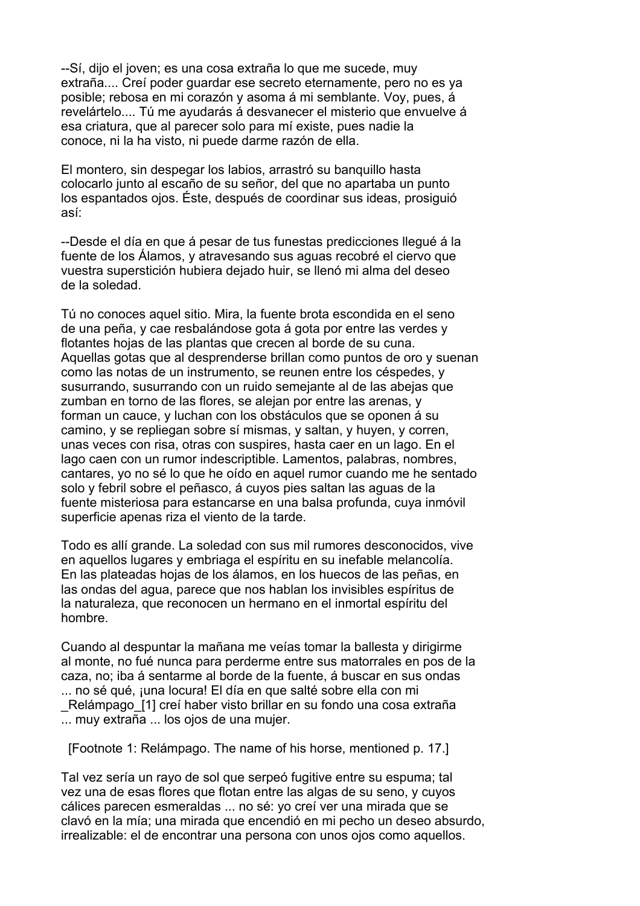--Sí, dijo el joven; es una cosa extraña lo que me sucede, muy extraña.... Creí poder guardar ese secreto eternamente, pero no es ya posible; rebosa en mi corazón y asoma á mi semblante. Voy, pues, á revelártelo.... Tú me ayudarás á desvanecer el misterio que envuelve á esa criatura, que al parecer solo para mí existe, pues nadie la conoce, ni la ha visto, ni puede darme razón de ella.

El montero, sin despegar los labios, arrastró su banquillo hasta colocarlo junto al escaño de su señor, del que no apartaba un punto los espantados ojos. Éste, después de coordinar sus ideas, prosiguió así:

--Desde el día en que á pesar de tus funestas predicciones llegué á la fuente de los Álamos, y atravesando sus aguas recobré el ciervo que vuestra superstición hubiera dejado huir, se llenó mi alma del deseo de la soledad.

Tú no conoces aquel sitio. Mira, la fuente brota escondida en el seno de una peña, y cae resbalándose gota á gota por entre las verdes y flotantes hojas de las plantas que crecen al borde de su cuna. Aquellas gotas que al desprenderse brillan como puntos de oro y suenan como las notas de un instrumento, se reunen entre los céspedes, y susurrando, susurrando con un ruido semejante al de las abejas que zumban en torno de las flores, se alejan por entre las arenas, y forman un cauce, y luchan con los obstáculos que se oponen á su camino, y se repliegan sobre sí mismas, y saltan, y huyen, y corren, unas veces con risa, otras con suspires, hasta caer en un lago. En el lago caen con un rumor indescriptible. Lamentos, palabras, nombres, cantares, yo no sé lo que he oído en aquel rumor cuando me he sentado solo y febril sobre el peñasco, á cuyos pies saltan las aguas de la fuente misteriosa para estancarse en una balsa profunda, cuya inmóvil superficie apenas riza el viento de la tarde.

Todo es allí grande. La soledad con sus mil rumores desconocidos, vive en aquellos lugares y embriaga el espíritu en su inefable melancolía. En las plateadas hojas de los álamos, en los huecos de las peñas, en las ondas del agua, parece que nos hablan los invisibles espíritus de la naturaleza, que reconocen un hermano en el inmortal espíritu del hombre.

Cuando al despuntar la mañana me veías tomar la ballesta y dirigirme al monte, no fué nunca para perderme entre sus matorrales en pos de la caza, no; iba á sentarme al borde de la fuente, á buscar en sus ondas ... no sé qué, una locura! El día en que salté sobre ella con mi Relámpago [1] creí haber visto brillar en su fondo una cosa extraña ... muy extraña ... los ojos de una mujer.

[Footnote 1: Relámpago. The name of his horse, mentioned p. 17.]

Tal vez sería un rayo de sol que serpeó fugitive entre su espuma; tal vez una de esas flores que flotan entre las algas de su seno, y cuyos cálices parecen esmeraldas ... no sé: yo creí ver una mirada que se clavó en la mía; una mirada que encendió en mi pecho un deseo absurdo, irrealizable: el de encontrar una persona con unos ojos como aquellos.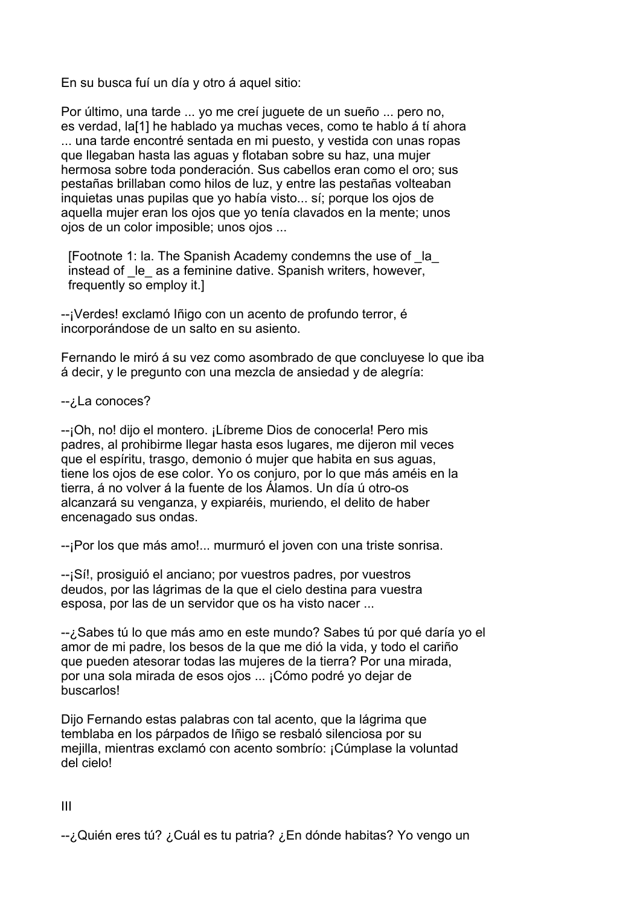En su busca fuí un día y otro á aquel sitio:

Por último, una tarde ... yo me creí juguete de un sueño ... pero no, es verdad, la[1] he hablado ya muchas veces, como te hablo á tí ahora ... una tarde encontré sentada en mi puesto, y vestida con unas ropas que llegaban hasta las aguas y flotaban sobre su haz, una mujer hermosa sobre toda ponderación. Sus cabellos eran como el oro; sus pestañas brillaban como hilos de luz, y entre las pestañas volteaban inquietas unas pupilas que yo había visto... sí; porque los ojos de aquella mujer eran los ojos que yo tenía clavados en la mente; unos ojos de un color imposible; unos ojos ...

 [Footnote 1: la. The Spanish Academy condemns the use of \_la\_  $i$ nstead of  $\left| \right|$  le as a feminine dative. Spanish writers, however, frequently so employ it.]

--¡Verdes! exclamó Iñigo con un acento de profundo terror, é incorporándose de un salto en su asiento.

Fernando le miró á su vez como asombrado de que concluyese lo que iba á decir, y le pregunto con una mezcla de ansiedad y de alegría:

-- ¿La conoces?

--¡Oh, no! dijo el montero. ¡Líbreme Dios de conocerla! Pero mis padres, al prohibirme llegar hasta esos lugares, me dijeron mil veces que el espíritu, trasgo, demonio ó mujer que habita en sus aguas, tiene los ojos de ese color. Yo os conjuro, por lo que más améis en la tierra, á no volver á la fuente de los Álamos. Un día ú otro-os alcanzará su venganza, y expiaréis, muriendo, el delito de haber encenagado sus ondas.

--¡Por los que más amo!... murmuró el joven con una triste sonrisa.

--¡Sí!, prosiguió el anciano; por vuestros padres, por vuestros deudos, por las lágrimas de la que el cielo destina para vuestra esposa, por las de un servidor que os ha visto nacer ...

--¿Sabes tú lo que más amo en este mundo? Sabes tú por qué daría yo el amor de mi padre, los besos de la que me dió la vida, y todo el cariño que pueden atesorar todas las mujeres de la tierra? Por una mirada, por una sola mirada de esos ojos ... ¡Cómo podré yo dejar de buscarlos!

Dijo Fernando estas palabras con tal acento, que la lágrima que temblaba en los párpados de Iñigo se resbaló silenciosa por su mejilla, mientras exclamó con acento sombrío: ¡Cúmplase la voluntad del cielo!

III

--¿Quién eres tú? ¿Cuál es tu patria? ¿En dónde habitas? Yo vengo un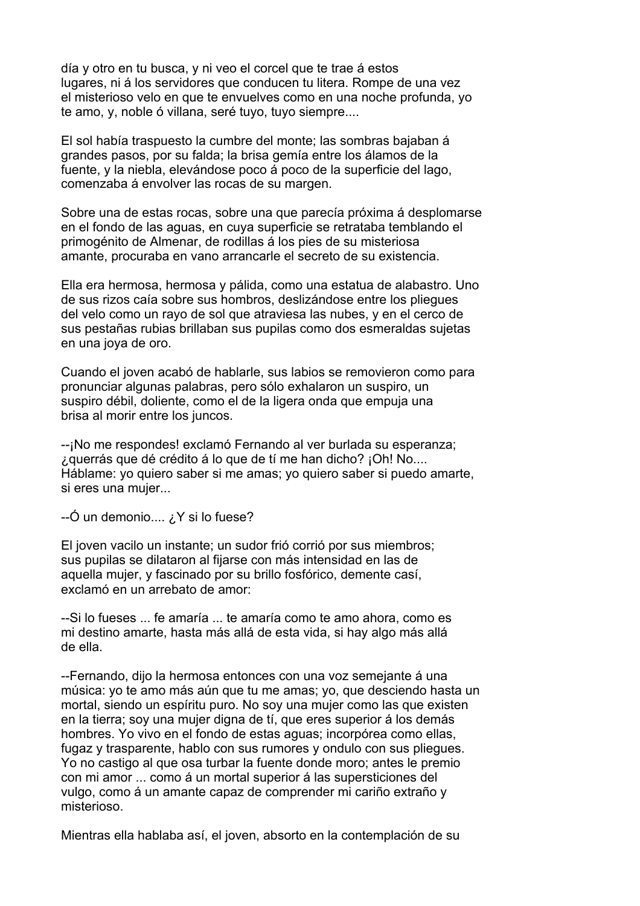día y otro en tu busca, y ni veo el corcel que te trae á estos lugares, ni á los servidores que conducen tu litera. Rompe de una vez el misterioso velo en que te envuelves como en una noche profunda, yo te amo, y, noble ó villana, seré tuyo, tuyo siempre....

El sol había traspuesto la cumbre del monte; las sombras bajaban á grandes pasos, por su falda; la brisa gemía entre los álamos de la fuente, y la niebla, elevándose poco á poco de la superficie del lago, comenzaba á envolver las rocas de su margen.

Sobre una de estas rocas, sobre una que parecía próxima á desplomarse en el fondo de las aguas, en cuya superficie se retrataba temblando el primogénito de Almenar, de rodillas á los pies de su misteriosa amante, procuraba en vano arrancarle el secreto de su existencia.

Ella era hermosa, hermosa y pálida, como una estatua de alabastro. Uno de sus rizos caía sobre sus hombros, deslizándose entre los pliegues del velo como un rayo de sol que atraviesa las nubes, y en el cerco de sus pestañas rubias brillaban sus pupilas como dos esmeraldas sujetas en una joya de oro.

Cuando el joven acabó de hablarle, sus labios se removieron como para pronunciar algunas palabras, pero sólo exhalaron un suspiro, un suspiro débil, doliente, como el de la ligera onda que empuja una brisa al morir entre los juncos.

--¡No me respondes! exclamó Fernando al ver burlada su esperanza; ¿querrás que dé crédito á lo que de tí me han dicho? ¡Oh! No.... Háblame: yo quiero saber si me amas; yo quiero saber si puedo amarte, si eres una mujer...

--Ó un demonio.... ¿Y si lo fuese?

El joven vacilo un instante; un sudor frió corrió por sus miembros; sus pupilas se dilataron al fijarse con más intensidad en las de aquella mujer, y fascinado por su brillo fosfórico, demente casí, exclamó en un arrebato de amor:

--Si lo fueses ... fe amaría ... te amaría como te amo ahora, como es mi destino amarte, hasta más allá de esta vida, si hay algo más allá de ella.

--Fernando, dijo la hermosa entonces con una voz semejante á una música: yo te amo más aún que tu me amas; yo, que desciendo hasta un mortal, siendo un espíritu puro. No soy una mujer como las que existen en la tierra; soy una mujer digna de tí, que eres superior á los demás hombres. Yo vivo en el fondo de estas aguas; incorpórea como ellas, fugaz y trasparente, hablo con sus rumores y ondulo con sus pliegues. Yo no castigo al que osa turbar la fuente donde moro; antes le premio con mi amor ... como á un mortal superior á las supersticiones del vulgo, como á un amante capaz de comprender mi cariño extraño y misterioso.

Mientras ella hablaba así, el joven, absorto en la contemplación de su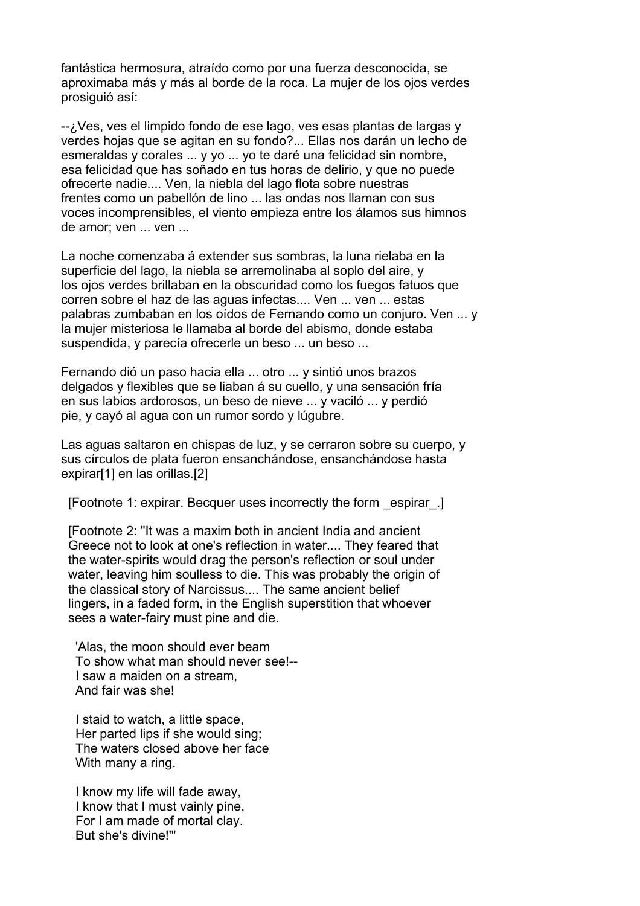fantástica hermosura, atraído como por una fuerza desconocida, se aproximaba más y más al borde de la roca. La mujer de los ojos verdes prosiguió así:

--¿Ves, ves el limpido fondo de ese lago, ves esas plantas de largas y verdes hojas que se agitan en su fondo?... Ellas nos darán un lecho de esmeraldas y corales ... y yo ... yo te daré una felicidad sin nombre, esa felicidad que has soñado en tus horas de delirio, y que no puede ofrecerte nadie.... Ven, la niebla del lago flota sobre nuestras frentes como un pabellón de lino ... las ondas nos llaman con sus voces incomprensibles, el viento empieza entre los álamos sus himnos de amor; ven ... ven ...

La noche comenzaba á extender sus sombras, la luna rielaba en la superficie del lago, la niebla se arremolinaba al soplo del aire, y los ojos verdes brillaban en la obscuridad como los fuegos fatuos que corren sobre el haz de las aguas infectas.... Ven ... ven ... estas palabras zumbaban en los oídos de Fernando como un conjuro. Ven ... y la mujer misteriosa le llamaba al borde del abismo, donde estaba suspendida, y parecía ofrecerle un beso ... un beso ...

Fernando dió un paso hacia ella ... otro ... y sintió unos brazos delgados y flexibles que se liaban á su cuello, y una sensación fría en sus labios ardorosos, un beso de nieve ... y vaciló ... y perdió pie, y cayó al agua con un rumor sordo y lúgubre.

Las aguas saltaron en chispas de luz, y se cerraron sobre su cuerpo, y sus círculos de plata fueron ensanchándose, ensanchándose hasta expirar[1] en las orillas.[2]

[Footnote 1: expirar. Becquer uses incorrectly the form \_espirar\_.]

 [Footnote 2: "It was a maxim both in ancient India and ancient Greece not to look at one's reflection in water.... They feared that the water-spirits would drag the person's reflection or soul under water, leaving him soulless to die. This was probably the origin of the classical story of Narcissus.... The same ancient belief lingers, in a faded form, in the English superstition that whoever sees a water-fairy must pine and die.

 'Alas, the moon should ever beam To show what man should never see!-- I saw a maiden on a stream, And fair was she!

 I staid to watch, a little space, Her parted lips if she would sing; The waters closed above her face With many a ring.

 I know my life will fade away, I know that I must vainly pine, For I am made of mortal clay. But she's divine!'"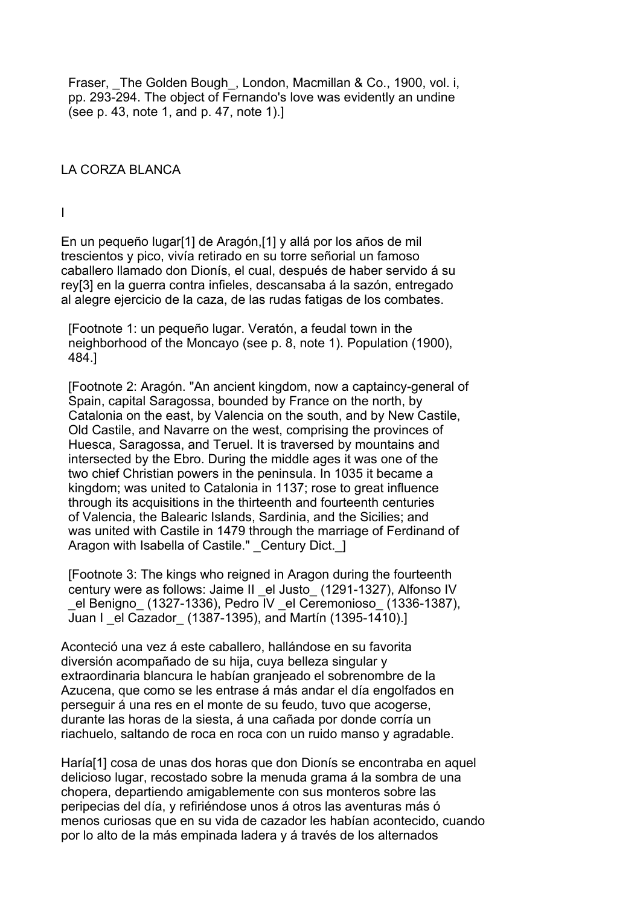Fraser, The Golden Bough, London, Macmillan & Co., 1900, vol. i, pp. 293-294. The object of Fernando's love was evidently an undine (see p. 43, note 1, and p. 47, note 1).]

#### LA CORZA BLANCA

I

En un pequeño lugar[1] de Aragón,[1] y allá por los años de mil trescientos y pico, vivía retirado en su torre señorial un famoso caballero llamado don Dionís, el cual, después de haber servido á su rey[3] en la guerra contra infieles, descansaba á la sazón, entregado al alegre ejercicio de la caza, de las rudas fatigas de los combates.

 [Footnote 1: un pequeño lugar. Veratón, a feudal town in the neighborhood of the Moncayo (see p. 8, note 1). Population (1900), 484.]

 [Footnote 2: Aragón. "An ancient kingdom, now a captaincy-general of Spain, capital Saragossa, bounded by France on the north, by Catalonia on the east, by Valencia on the south, and by New Castile, Old Castile, and Navarre on the west, comprising the provinces of Huesca, Saragossa, and Teruel. It is traversed by mountains and intersected by the Ebro. During the middle ages it was one of the two chief Christian powers in the peninsula. In 1035 it became a kingdom; was united to Catalonia in 1137; rose to great influence through its acquisitions in the thirteenth and fourteenth centuries of Valencia, the Balearic Islands, Sardinia, and the Sicilies; and was united with Castile in 1479 through the marriage of Ferdinand of Aragon with Isabella of Castile." Century Dict. 1

 [Footnote 3: The kings who reigned in Aragon during the fourteenth century were as follows: Jaime II el Justo (1291-1327), Alfonso IV \_el Benigno\_ (1327-1336), Pedro IV \_el Ceremonioso\_ (1336-1387), Juan I el Cazador (1387-1395), and Martín (1395-1410).]

Aconteció una vez á este caballero, hallándose en su favorita diversión acompañado de su hija, cuya belleza singular y extraordinaria blancura le habían granjeado el sobrenombre de la Azucena, que como se les entrase á más andar el día engolfados en perseguir á una res en el monte de su feudo, tuvo que acogerse, durante las horas de la siesta, á una cañada por donde corría un riachuelo, saltando de roca en roca con un ruido manso y agradable.

Haría[1] cosa de unas dos horas que don Dionís se encontraba en aquel delicioso lugar, recostado sobre la menuda grama á la sombra de una chopera, departiendo amigablemente con sus monteros sobre las peripecias del día, y refiriéndose unos á otros las aventuras más ó menos curiosas que en su vida de cazador les habían acontecido, cuando por lo alto de la más empinada ladera y á través de los alternados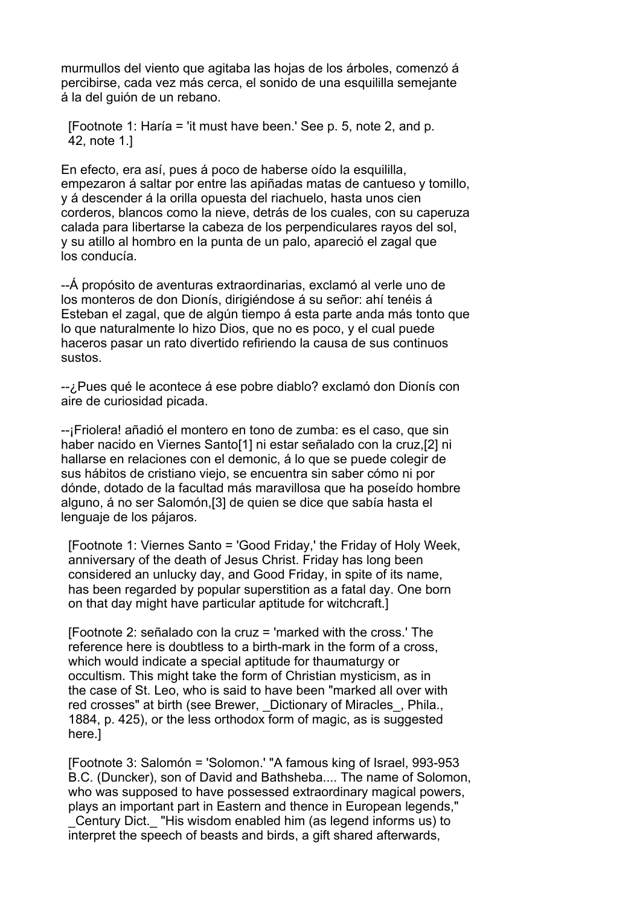murmullos del viento que agitaba las hojas de los árboles, comenzó á percibirse, cada vez más cerca, el sonido de una esquililla semejante á la del guión de un rebano.

 [Footnote 1: Haría = 'it must have been.' See p. 5, note 2, and p. 42, note 1.]

En efecto, era así, pues á poco de haberse oído la esquililla, empezaron á saltar por entre las apiñadas matas de cantueso y tomillo, y á descender á la orilla opuesta del riachuelo, hasta unos cien corderos, blancos como la nieve, detrás de los cuales, con su caperuza calada para libertarse la cabeza de los perpendiculares rayos del sol, y su atillo al hombro en la punta de un palo, apareció el zagal que los conducía.

--Á propósito de aventuras extraordinarias, exclamó al verle uno de los monteros de don Dionís, dirigiéndose á su señor: ahí tenéis á Esteban el zagal, que de algún tiempo á esta parte anda más tonto que lo que naturalmente lo hizo Dios, que no es poco, y el cual puede haceros pasar un rato divertido refiriendo la causa de sus continuos sustos.

--¿Pues qué le acontece á ese pobre diablo? exclamó don Dionís con aire de curiosidad picada.

--¡Friolera! añadió el montero en tono de zumba: es el caso, que sin haber nacido en Viernes Santo[1] ni estar señalado con la cruz,[2] ni hallarse en relaciones con el demonic, á lo que se puede colegir de sus hábitos de cristiano viejo, se encuentra sin saber cómo ni por dónde, dotado de la facultad más maravillosa que ha poseído hombre alguno, á no ser Salomón,[3] de quien se dice que sabía hasta el lenguaje de los pájaros.

 [Footnote 1: Viernes Santo = 'Good Friday,' the Friday of Holy Week, anniversary of the death of Jesus Christ. Friday has long been considered an unlucky day, and Good Friday, in spite of its name, has been regarded by popular superstition as a fatal day. One born on that day might have particular aptitude for witchcraft.]

 [Footnote 2: señalado con la cruz = 'marked with the cross.' The reference here is doubtless to a birth-mark in the form of a cross, which would indicate a special aptitude for thaumaturgy or occultism. This might take the form of Christian mysticism, as in the case of St. Leo, who is said to have been "marked all over with red crosses" at birth (see Brewer, Dictionary of Miracles, Phila., 1884, p. 425), or the less orthodox form of magic, as is suggested here.]

 [Footnote 3: Salomón = 'Solomon.' "A famous king of Israel, 993-953 B.C. (Duncker), son of David and Bathsheba.... The name of Solomon, who was supposed to have possessed extraordinary magical powers, plays an important part in Eastern and thence in European legends," \_Century Dict.\_ "His wisdom enabled him (as legend informs us) to interpret the speech of beasts and birds, a gift shared afterwards,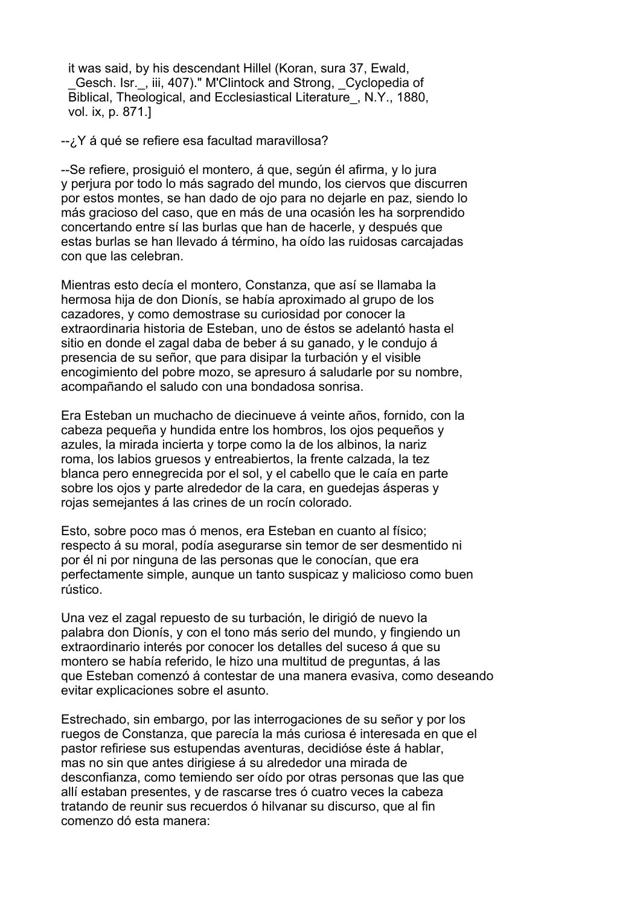it was said, by his descendant Hillel (Koran, sura 37, Ewald, Gesch. Isr., iii, 407)." M'Clintock and Strong, Cyclopedia of Biblical, Theological, and Ecclesiastical Literature\_, N.Y., 1880, vol. ix, p. 871.]

--¿Y á qué se refiere esa facultad maravillosa?

--Se refiere, prosiguió el montero, á que, según él afirma, y lo jura y perjura por todo lo más sagrado del mundo, los ciervos que discurren por estos montes, se han dado de ojo para no dejarle en paz, siendo lo más gracioso del caso, que en más de una ocasión les ha sorprendido concertando entre sí las burlas que han de hacerle, y después que estas burlas se han llevado á término, ha oído las ruidosas carcajadas con que las celebran.

Mientras esto decía el montero, Constanza, que así se llamaba la hermosa hija de don Dionís, se había aproximado al grupo de los cazadores, y como demostrase su curiosidad por conocer la extraordinaria historia de Esteban, uno de éstos se adelantó hasta el sitio en donde el zagal daba de beber á su ganado, y le condujo á presencia de su señor, que para disipar la turbación y el visible encogimiento del pobre mozo, se apresuro á saludarle por su nombre, acompañando el saludo con una bondadosa sonrisa.

Era Esteban un muchacho de diecinueve á veinte años, fornido, con la cabeza pequeña y hundida entre los hombros, los ojos pequeños y azules, la mirada incierta y torpe como la de los albinos, la nariz roma, los labios gruesos y entreabiertos, la frente calzada, la tez blanca pero ennegrecida por el sol, y el cabello que le caía en parte sobre los ojos y parte alrededor de la cara, en guedejas ásperas y rojas semejantes á las crines de un rocín colorado.

Esto, sobre poco mas ó menos, era Esteban en cuanto al físico; respecto á su moral, podía asegurarse sin temor de ser desmentido ni por él ni por ninguna de las personas que le conocían, que era perfectamente simple, aunque un tanto suspicaz y malicioso como buen rústico.

Una vez el zagal repuesto de su turbación, le dirigió de nuevo la palabra don Dionís, y con el tono más serio del mundo, y fingiendo un extraordinario interés por conocer los detalles del suceso á que su montero se había referido, le hizo una multitud de preguntas, á las que Esteban comenzó á contestar de una manera evasiva, como deseando evitar explicaciones sobre el asunto.

Estrechado, sin embargo, por las interrogaciones de su señor y por los ruegos de Constanza, que parecía la más curiosa é interesada en que el pastor refiriese sus estupendas aventuras, decidióse éste á hablar, mas no sin que antes dirigiese á su alrededor una mirada de desconfianza, como temiendo ser oído por otras personas que las que allí estaban presentes, y de rascarse tres ó cuatro veces la cabeza tratando de reunir sus recuerdos ó hilvanar su discurso, que al fin comenzo dó esta manera: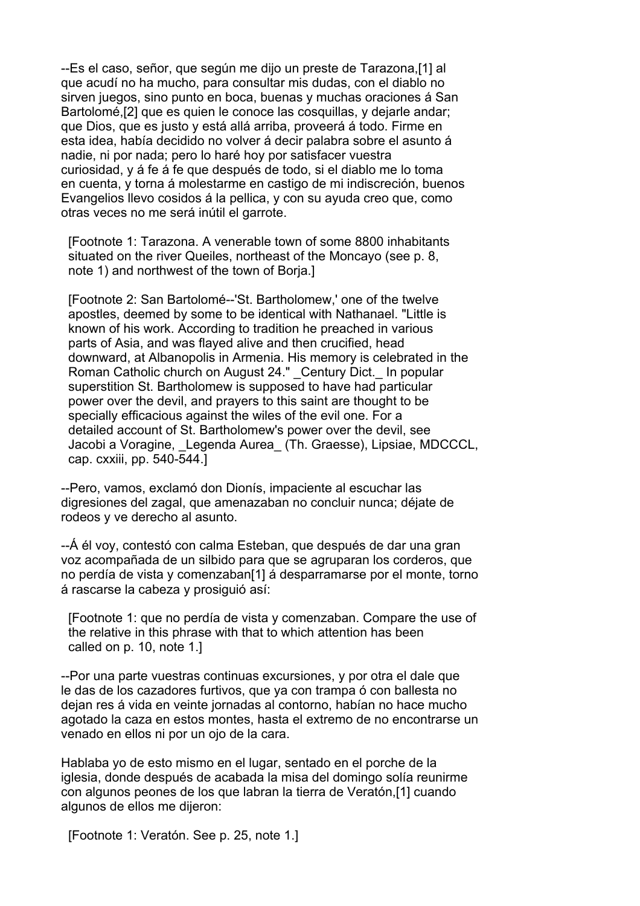--Es el caso, señor, que según me dijo un preste de Tarazona,[1] al que acudí no ha mucho, para consultar mis dudas, con el diablo no sirven juegos, sino punto en boca, buenas y muchas oraciones á San Bartolomé,[2] que es quien le conoce las cosquillas, y dejarle andar; que Dios, que es justo y está allá arriba, proveerá á todo. Firme en esta idea, había decidido no volver á decir palabra sobre el asunto á nadie, ni por nada; pero lo haré hoy por satisfacer vuestra curiosidad, y á fe á fe que después de todo, si el diablo me lo toma en cuenta, y torna á molestarme en castigo de mi indiscreción, buenos Evangelios llevo cosidos á la pellica, y con su ayuda creo que, como otras veces no me será inútil el garrote.

 [Footnote 1: Tarazona. A venerable town of some 8800 inhabitants situated on the river Queiles, northeast of the Moncayo (see p. 8, note 1) and northwest of the town of Borja.]

 [Footnote 2: San Bartolomé--'St. Bartholomew,' one of the twelve apostles, deemed by some to be identical with Nathanael. "Little is known of his work. According to tradition he preached in various parts of Asia, and was flayed alive and then crucified, head downward, at Albanopolis in Armenia. His memory is celebrated in the Roman Catholic church on August 24." Century Dict. In popular superstition St. Bartholomew is supposed to have had particular power over the devil, and prayers to this saint are thought to be specially efficacious against the wiles of the evil one. For a detailed account of St. Bartholomew's power over the devil, see Jacobi a Voragine, Legenda Aurea (Th. Graesse), Lipsiae, MDCCCL, cap. cxxiii, pp. 540-544.]

--Pero, vamos, exclamó don Dionís, impaciente al escuchar las digresiones del zagal, que amenazaban no concluir nunca; déjate de rodeos y ve derecho al asunto.

--Á él voy, contestó con calma Esteban, que después de dar una gran voz acompañada de un silbido para que se agruparan los corderos, que no perdía de vista y comenzaban[1] á desparramarse por el monte, torno á rascarse la cabeza y prosiguió así:

 [Footnote 1: que no perdía de vista y comenzaban. Compare the use of the relative in this phrase with that to which attention has been called on p. 10, note 1.]

--Por una parte vuestras continuas excursiones, y por otra el dale que le das de los cazadores furtivos, que ya con trampa ó con ballesta no dejan res á vida en veinte jornadas al contorno, habían no hace mucho agotado la caza en estos montes, hasta el extremo de no encontrarse un venado en ellos ni por un ojo de la cara.

Hablaba yo de esto mismo en el lugar, sentado en el porche de la iglesia, donde después de acabada la misa del domingo solía reunirme con algunos peones de los que labran la tierra de Veratón,[1] cuando algunos de ellos me dijeron:

[Footnote 1: Veratón. See p. 25, note 1.]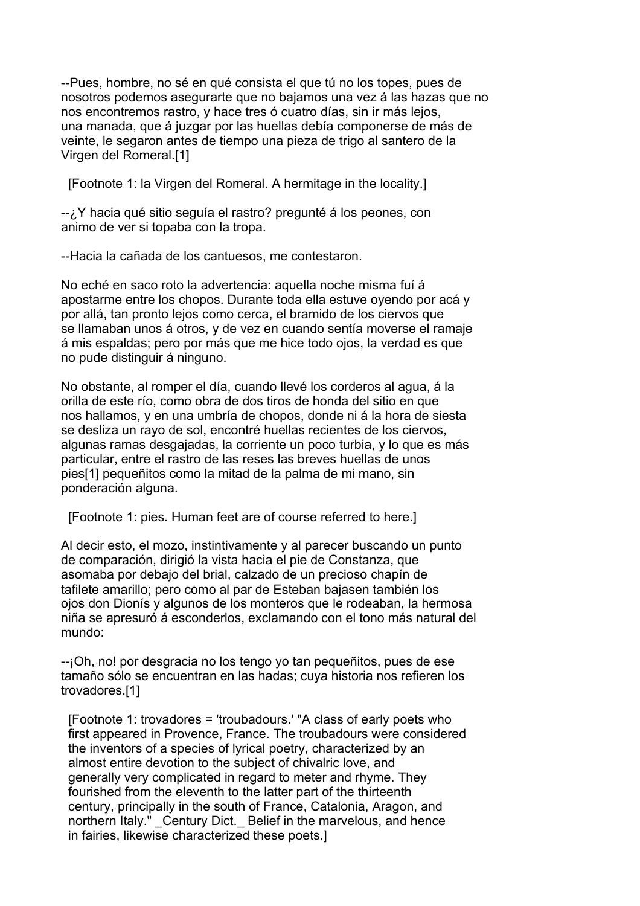--Pues, hombre, no sé en qué consista el que tú no los topes, pues de nosotros podemos asegurarte que no bajamos una vez á las hazas que no nos encontremos rastro, y hace tres ó cuatro días, sin ir más lejos, una manada, que á juzgar por las huellas debía componerse de más de veinte, le segaron antes de tiempo una pieza de trigo al santero de la Virgen del Romeral.[1]

[Footnote 1: la Virgen del Romeral. A hermitage in the locality.]

--¿Y hacia qué sitio seguía el rastro? pregunté á los peones, con animo de ver si topaba con la tropa.

--Hacia la cañada de los cantuesos, me contestaron.

No eché en saco roto la advertencia: aquella noche misma fuí á apostarme entre los chopos. Durante toda ella estuve oyendo por acá y por allá, tan pronto lejos como cerca, el bramido de los ciervos que se llamaban unos á otros, y de vez en cuando sentía moverse el ramaje á mis espaldas; pero por más que me hice todo ojos, la verdad es que no pude distinguir á ninguno.

No obstante, al romper el día, cuando llevé los corderos al agua, á la orilla de este río, como obra de dos tiros de honda del sitio en que nos hallamos, y en una umbría de chopos, donde ni á la hora de siesta se desliza un rayo de sol, encontré huellas recientes de los ciervos, algunas ramas desgajadas, la corriente un poco turbia, y lo que es más particular, entre el rastro de las reses las breves huellas de unos pies[1] pequeñitos como la mitad de la palma de mi mano, sin ponderación alguna.

[Footnote 1: pies. Human feet are of course referred to here.]

Al decir esto, el mozo, instintivamente y al parecer buscando un punto de comparación, dirigió la vista hacia el pie de Constanza, que asomaba por debajo del brial, calzado de un precioso chapín de tafilete amarillo; pero como al par de Esteban bajasen también los ojos don Dionís y algunos de los monteros que le rodeaban, la hermosa niña se apresuró á esconderlos, exclamando con el tono más natural del mundo:

--¡Oh, no! por desgracia no los tengo yo tan pequeñitos, pues de ese tamaño sólo se encuentran en las hadas; cuya historia nos refieren los trovadores.[1]

 [Footnote 1: trovadores = 'troubadours.' "A class of early poets who first appeared in Provence, France. The troubadours were considered the inventors of a species of lyrical poetry, characterized by an almost entire devotion to the subject of chivalric love, and generally very complicated in regard to meter and rhyme. They fourished from the eleventh to the latter part of the thirteenth century, principally in the south of France, Catalonia, Aragon, and northern Italy." Century Dict. Belief in the marvelous, and hence in fairies, likewise characterized these poets.]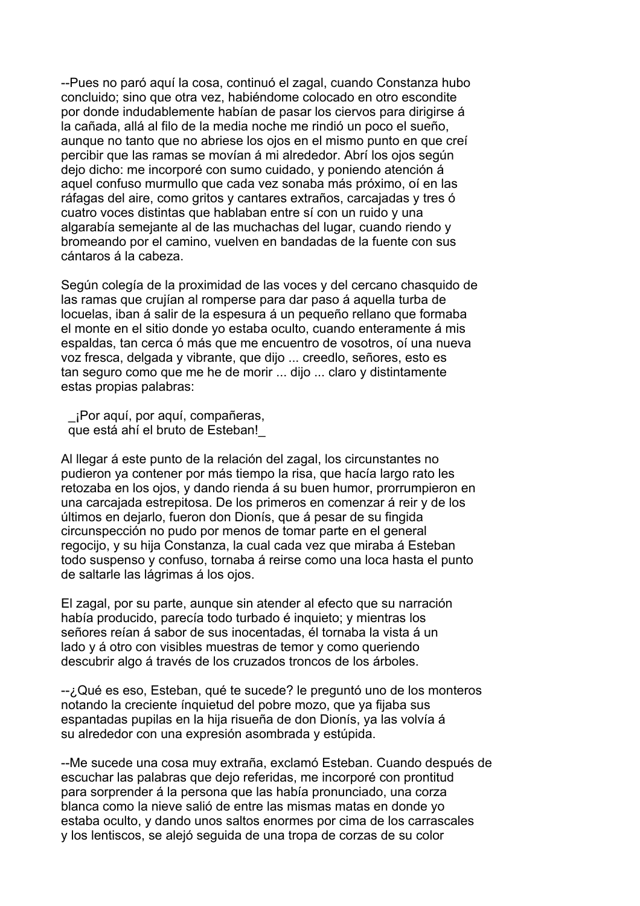--Pues no paró aquí la cosa, continuó el zagal, cuando Constanza hubo concluido; sino que otra vez, habiéndome colocado en otro escondite por donde indudablemente habían de pasar los ciervos para dirigirse á la cañada, allá al filo de la media noche me rindió un poco el sueño, aunque no tanto que no abriese los ojos en el mismo punto en que creí percibir que las ramas se movían á mi alrededor. Abrí los ojos según dejo dicho: me incorporé con sumo cuidado, y poniendo atención á aquel confuso murmullo que cada vez sonaba más próximo, oí en las ráfagas del aire, como gritos y cantares extraños, carcajadas y tres ó cuatro voces distintas que hablaban entre sí con un ruido y una algarabía semejante al de las muchachas del lugar, cuando riendo y bromeando por el camino, vuelven en bandadas de la fuente con sus cántaros á la cabeza.

Según colegía de la proximidad de las voces y del cercano chasquido de las ramas que crujían al romperse para dar paso á aquella turba de locuelas, iban á salir de la espesura á un pequeño rellano que formaba el monte en el sitio donde yo estaba oculto, cuando enteramente á mis espaldas, tan cerca ó más que me encuentro de vosotros, oí una nueva voz fresca, delgada y vibrante, que dijo ... creedlo, señores, esto es tan seguro como que me he de morir ... dijo ... claro y distintamente estas propias palabras:

 \_¡Por aquí, por aquí, compañeras, que está ahí el bruto de Esteban!\_

Al llegar á este punto de la relación del zagal, los circunstantes no pudieron ya contener por más tiempo la risa, que hacía largo rato les retozaba en los ojos, y dando rienda á su buen humor, prorrumpieron en una carcajada estrepitosa. De los primeros en comenzar á reir y de los últimos en dejarlo, fueron don Dionís, que á pesar de su fingida circunspección no pudo por menos de tomar parte en el general regocijo, y su hija Constanza, la cual cada vez que miraba á Esteban todo suspenso y confuso, tornaba á reirse como una loca hasta el punto de saltarle las lágrimas á los ojos.

El zagal, por su parte, aunque sin atender al efecto que su narración había producido, parecía todo turbado é inquieto; y mientras los señores reían á sabor de sus inocentadas, él tornaba la vista á un lado y á otro con visibles muestras de temor y como queriendo descubrir algo á través de los cruzados troncos de los árboles.

--¿Qué es eso, Esteban, qué te sucede? le preguntó uno de los monteros notando la creciente ínquietud del pobre mozo, que ya fijaba sus espantadas pupilas en la hija risueña de don Dionís, ya las volvía á su alrededor con una expresión asombrada y estúpida.

--Me sucede una cosa muy extraña, exclamó Esteban. Cuando después de escuchar las palabras que dejo referidas, me incorporé con prontitud para sorprender á la persona que las había pronunciado, una corza blanca como la nieve salió de entre las mismas matas en donde yo estaba oculto, y dando unos saltos enormes por cima de los carrascales y los lentiscos, se alejó seguida de una tropa de corzas de su color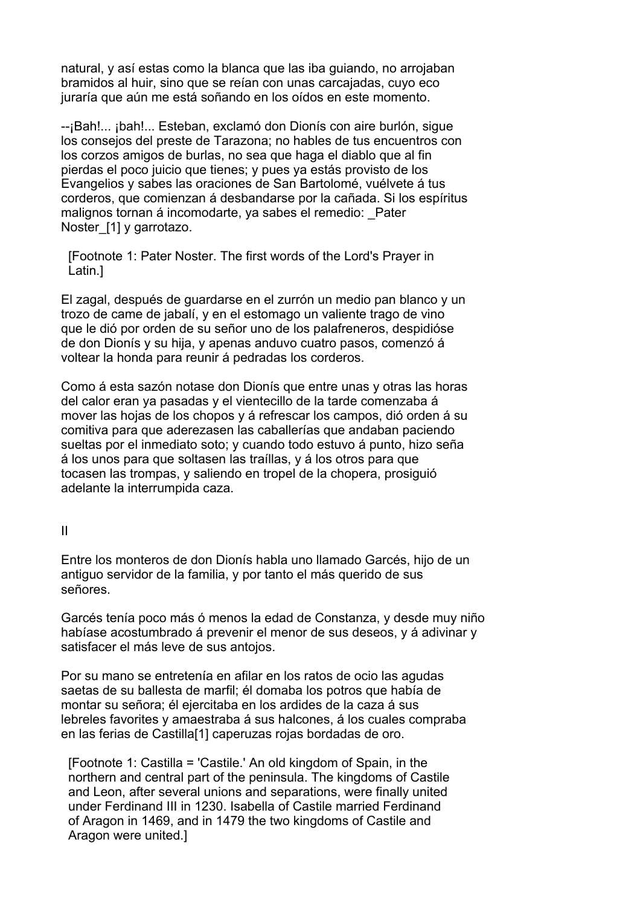natural, y así estas como la blanca que las iba guiando, no arrojaban bramidos al huir, sino que se reían con unas carcajadas, cuyo eco juraría que aún me está soñando en los oídos en este momento.

--¡Bah!... ¡bah!... Esteban, exclamó don Dionís con aire burlón, sigue los consejos del preste de Tarazona; no hables de tus encuentros con los corzos amigos de burlas, no sea que haga el diablo que al fin pierdas el poco juicio que tienes; y pues ya estás provisto de los Evangelios y sabes las oraciones de San Bartolomé, vuélvete á tus corderos, que comienzan á desbandarse por la cañada. Si los espíritus malignos tornan á incomodarte, ya sabes el remedio: \_Pater Noster [1] y garrotazo.

 [Footnote 1: Pater Noster. The first words of the Lord's Prayer in Latin.]

El zagal, después de guardarse en el zurrón un medio pan blanco y un trozo de came de jabalí, y en el estomago un valiente trago de vino que le dió por orden de su señor uno de los palafreneros, despidióse de don Dionís y su hija, y apenas anduvo cuatro pasos, comenzó á voltear la honda para reunir á pedradas los corderos.

Como á esta sazón notase don Dionís que entre unas y otras las horas del calor eran ya pasadas y el vientecillo de la tarde comenzaba á mover las hojas de los chopos y á refrescar los campos, dió orden á su comitiva para que aderezasen las caballerías que andaban paciendo sueltas por el inmediato soto; y cuando todo estuvo á punto, hizo seña á los unos para que soltasen las traíllas, y á los otros para que tocasen las trompas, y saliendo en tropel de la chopera, prosiguió adelante la interrumpida caza.

II

Entre los monteros de don Dionís habla uno llamado Garcés, hijo de un antiguo servidor de la familia, y por tanto el más querido de sus señores.

Garcés tenía poco más ó menos la edad de Constanza, y desde muy niño habíase acostumbrado á prevenir el menor de sus deseos, y á adivinar y satisfacer el más leve de sus antojos.

Por su mano se entretenía en afilar en los ratos de ocio las agudas saetas de su ballesta de marfil; él domaba los potros que había de montar su señora; él ejercitaba en los ardides de la caza á sus lebreles favorites y amaestraba á sus halcones, á los cuales compraba en las ferias de Castilla[1] caperuzas rojas bordadas de oro.

 [Footnote 1: Castilla = 'Castile.' An old kingdom of Spain, in the northern and central part of the peninsula. The kingdoms of Castile and Leon, after several unions and separations, were finally united under Ferdinand III in 1230. Isabella of Castile married Ferdinand of Aragon in 1469, and in 1479 the two kingdoms of Castile and Aragon were united.]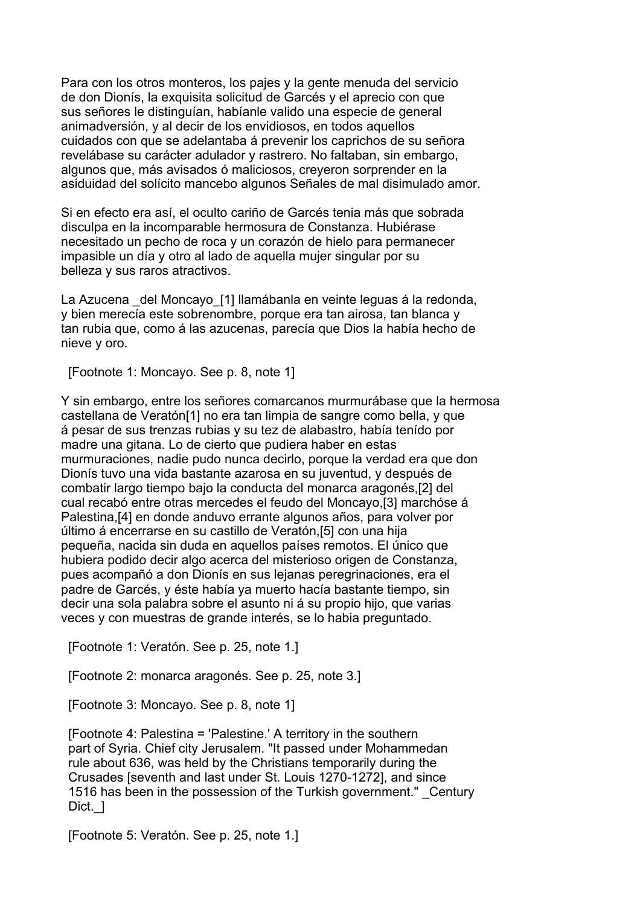Para con los otros monteros, los pajes y la gente menuda del servicio de don Dionís, la exquisita solicitud de Garcés y el aprecio con que sus señores le distinguían, habíanle valido una especie de general animadversión, y al decir de los envidiosos, en todos aquellos cuidados con que se adelantaba á prevenir los caprichos de su señora revelábase su carácter adulador y rastrero. No faltaban, sin embargo, algunos que, más avisados ó maliciosos, creyeron sorprender en la asiduidad del solícito mancebo algunos Señales de mal disimulado amor.

Si en efecto era así, el oculto cariño de Garcés tenia más que sobrada disculpa en la incomparable hermosura de Constanza. Hubiérase necesitado un pecho de roca y un corazón de hielo para permanecer impasible un día y otro al lado de aquella mujer singular por su belleza y sus raros atractivos.

La Azucena del Moncayo [1] llamábanla en veinte leguas á la redonda, y bien merecía este sobrenombre, porque era tan airosa, tan blanca y tan rubia que, como á las azucenas, parecía que Dios la había hecho de nieve y oro.

[Footnote 1: Moncayo. See p. 8, note 1]

Y sin embargo, entre los señores comarcanos murmurábase que la hermosa castellana de Veratón[1] no era tan limpia de sangre como bella, y que á pesar de sus trenzas rubias y su tez de alabastro, había tenído por madre una gitana. Lo de cierto que pudiera haber en estas murmuraciones, nadie pudo nunca decirlo, porque la verdad era que don Dionís tuvo una vida bastante azarosa en su juventud, y después de combatir largo tiempo bajo la conducta del monarca aragonés,[2] del cual recabó entre otras mercedes el feudo del Moncayo,[3] marchóse á Palestina,[4] en donde anduvo errante algunos años, para volver por último á encerrarse en su castillo de Veratón,[5] con una hija pequeña, nacida sin duda en aquellos países remotos. El único que hubiera podido decir algo acerca del misterioso origen de Constanza, pues acompañó a don Dionís en sus lejanas peregrinaciones, era el padre de Garcés, y éste había ya muerto hacía bastante tiempo, sin decir una sola palabra sobre el asunto ni á su propio hijo, que varias veces y con muestras de grande interés, se lo habia preguntado.

[Footnote 1: Veratón. See p. 25, note 1.]

[Footnote 2: monarca aragonés. See p. 25, note 3.]

[Footnote 3: Moncayo. See p. 8, note 1]

 [Footnote 4: Palestina = 'Palestine.' A territory in the southern part of Syria. Chief city Jerusalem. "It passed under Mohammedan rule about 636, was held by the Christians temporarily during the Crusades [seventh and last under St. Louis 1270-1272], and since 1516 has been in the possession of the Turkish government." Century Dict. 1

[Footnote 5: Veratón. See p. 25, note 1.]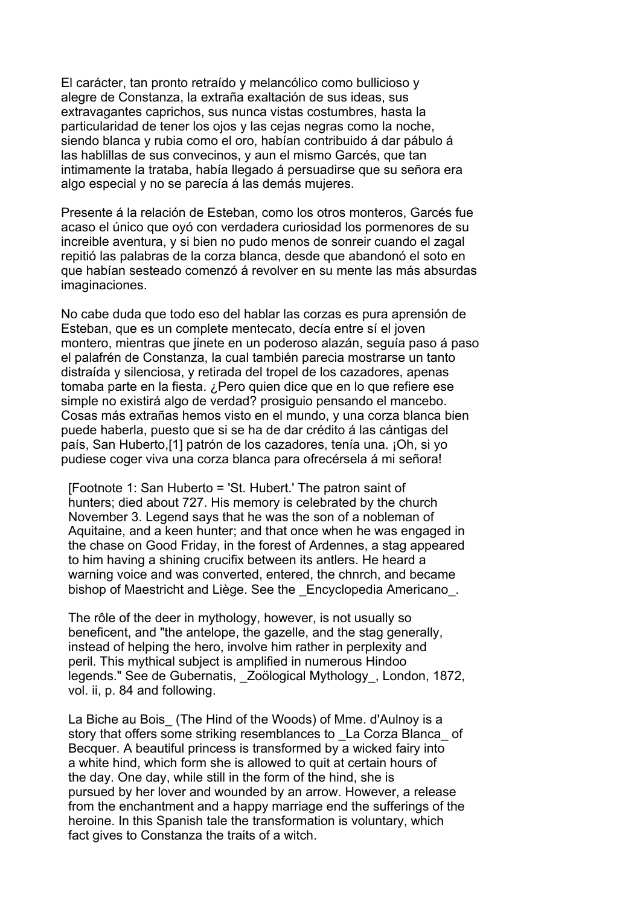El carácter, tan pronto retraído y melancólico como bullicioso y alegre de Constanza, la extraña exaltación de sus ideas, sus extravagantes caprichos, sus nunca vistas costumbres, hasta la particularidad de tener los ojos y las cejas negras como la noche, siendo blanca y rubia como el oro, habían contribuido á dar pábulo á las hablillas de sus convecinos, y aun el mismo Garcés, que tan intimamente la trataba, había llegado á persuadirse que su señora era algo especial y no se parecía á las demás mujeres.

Presente á la relación de Esteban, como los otros monteros, Garcés fue acaso el único que oyó con verdadera curiosidad los pormenores de su increible aventura, y si bien no pudo menos de sonreir cuando el zagal repitió las palabras de la corza blanca, desde que abandonó el soto en que habían sesteado comenzó á revolver en su mente las más absurdas imaginaciones.

No cabe duda que todo eso del hablar las corzas es pura aprensión de Esteban, que es un complete mentecato, decía entre sí el joven montero, mientras que jinete en un poderoso alazán, seguía paso á paso el palafrén de Constanza, la cual también parecia mostrarse un tanto distraída y silenciosa, y retirada del tropel de los cazadores, apenas tomaba parte en la fiesta. ¿Pero quien dice que en lo que refiere ese simple no existirá algo de verdad? prosiguio pensando el mancebo. Cosas más extrañas hemos visto en el mundo, y una corza blanca bien puede haberla, puesto que si se ha de dar crédito á las cántigas del país, San Huberto,[1] patrón de los cazadores, tenía una. ¡Oh, si yo pudiese coger viva una corza blanca para ofrecérsela á mi señora!

 [Footnote 1: San Huberto = 'St. Hubert.' The patron saint of hunters; died about 727. His memory is celebrated by the church November 3. Legend says that he was the son of a nobleman of Aquitaine, and a keen hunter; and that once when he was engaged in the chase on Good Friday, in the forest of Ardennes, a stag appeared to him having a shining crucifix between its antlers. He heard a warning voice and was converted, entered, the chnrch, and became bishop of Maestricht and Liège. See the Encyclopedia Americano.

 The rôle of the deer in mythology, however, is not usually so beneficent, and "the antelope, the gazelle, and the stag generally, instead of helping the hero, involve him rather in perplexity and peril. This mythical subject is amplified in numerous Hindoo legends." See de Gubernatis, Zoölogical Mythology, London, 1872, vol. ii, p. 84 and following.

La Biche au Bois (The Hind of the Woods) of Mme. d'Aulnoy is a story that offers some striking resemblances to La Corza Blanca of Becquer. A beautiful princess is transformed by a wicked fairy into a white hind, which form she is allowed to quit at certain hours of the day. One day, while still in the form of the hind, she is pursued by her lover and wounded by an arrow. However, a release from the enchantment and a happy marriage end the sufferings of the heroine. In this Spanish tale the transformation is voluntary, which fact gives to Constanza the traits of a witch.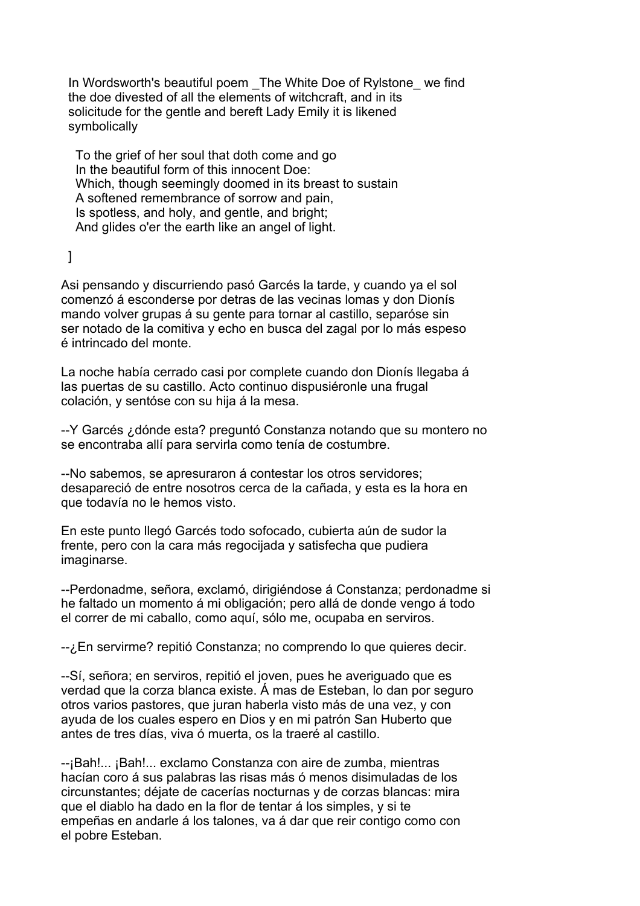In Wordsworth's beautiful poem The White Doe of Rylstone we find the doe divested of all the elements of witchcraft, and in its solicitude for the gentle and bereft Lady Emily it is likened symbolically

 To the grief of her soul that doth come and go In the beautiful form of this innocent Doe: Which, though seemingly doomed in its breast to sustain A softened remembrance of sorrow and pain, Is spotless, and holy, and gentle, and bright; And glides o'er the earth like an angel of light.

]

Asi pensando y discurriendo pasó Garcés la tarde, y cuando ya el sol comenzó á esconderse por detras de las vecinas lomas y don Dionís mando volver grupas á su gente para tornar al castillo, separóse sin ser notado de la comitiva y echo en busca del zagal por lo más espeso é intrincado del monte.

La noche había cerrado casi por complete cuando don Dionís llegaba á las puertas de su castillo. Acto continuo dispusiéronle una frugal colación, y sentóse con su hija á la mesa.

--Y Garcés ¿dónde esta? preguntó Constanza notando que su montero no se encontraba allí para servirla como tenía de costumbre.

--No sabemos, se apresuraron á contestar los otros servidores; desapareció de entre nosotros cerca de la cañada, y esta es la hora en que todavía no le hemos visto.

En este punto llegó Garcés todo sofocado, cubierta aún de sudor la frente, pero con la cara más regocijada y satisfecha que pudiera imaginarse.

--Perdonadme, señora, exclamó, dirigiéndose á Constanza; perdonadme si he faltado un momento á mi obligación; pero allá de donde vengo á todo el correr de mi caballo, como aquí, sólo me, ocupaba en serviros.

--¿En servirme? repitió Constanza; no comprendo lo que quieres decir.

--Sí, señora; en serviros, repitió el joven, pues he averiguado que es verdad que la corza blanca existe. Á mas de Esteban, lo dan por seguro otros varios pastores, que juran haberla visto más de una vez, y con ayuda de los cuales espero en Dios y en mi patrón San Huberto que antes de tres días, viva ó muerta, os la traeré al castillo.

--¡Bah!... ¡Bah!... exclamo Constanza con aire de zumba, mientras hacían coro á sus palabras las risas más ó menos disimuladas de los circunstantes; déjate de cacerías nocturnas y de corzas blancas: mira que el diablo ha dado en la flor de tentar á los simples, y si te empeñas en andarle á los talones, va á dar que reir contigo como con el pobre Esteban.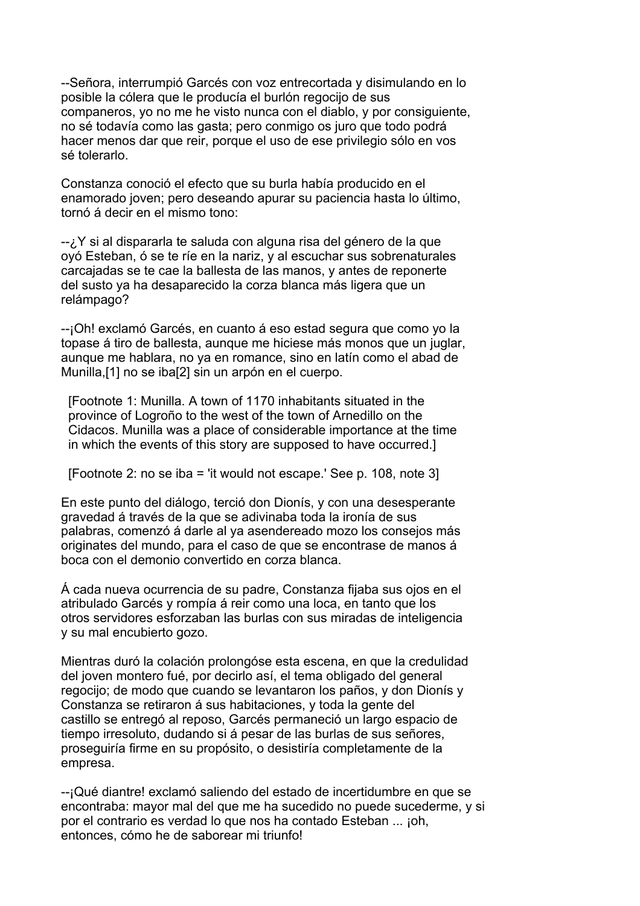--Señora, interrumpió Garcés con voz entrecortada y disimulando en lo posible la cólera que le producía el burlón regocijo de sus companeros, yo no me he visto nunca con el diablo, y por consiguiente, no sé todavía como las gasta; pero conmigo os juro que todo podrá hacer menos dar que reir, porque el uso de ese privilegio sólo en vos sé tolerarlo.

Constanza conoció el efecto que su burla había producido en el enamorado joven; pero deseando apurar su paciencia hasta lo último, tornó á decir en el mismo tono:

--¿Y si al dispararla te saluda con alguna risa del género de la que oyó Esteban, ó se te ríe en la nariz, y al escuchar sus sobrenaturales carcajadas se te cae la ballesta de las manos, y antes de reponerte del susto ya ha desaparecido la corza blanca más ligera que un relámpago?

--¡Oh! exclamó Garcés, en cuanto á eso estad segura que como yo la topase á tiro de ballesta, aunque me hiciese más monos que un juglar, aunque me hablara, no ya en romance, sino en latín como el abad de Munilla,[1] no se iba[2] sin un arpón en el cuerpo.

 [Footnote 1: Munilla. A town of 1170 inhabitants situated in the province of Logroño to the west of the town of Arnedillo on the Cidacos. Munilla was a place of considerable importance at the time in which the events of this story are supposed to have occurred.]

[Footnote 2: no se iba = 'it would not escape.' See p. 108, note 3]

En este punto del diálogo, terció don Dionís, y con una desesperante gravedad á través de la que se adivinaba toda la ironía de sus palabras, comenzó á darle al ya asendereado mozo los consejos más originates del mundo, para el caso de que se encontrase de manos á boca con el demonio convertido en corza blanca.

Á cada nueva ocurrencia de su padre, Constanza fijaba sus ojos en el atribulado Garcés y rompía á reir como una loca, en tanto que los otros servidores esforzaban las burlas con sus miradas de inteligencia y su mal encubierto gozo.

Mientras duró la colación prolongóse esta escena, en que la credulidad del joven montero fué, por decirlo así, el tema obligado del general regocijo; de modo que cuando se levantaron los paños, y don Dionís y Constanza se retiraron á sus habitaciones, y toda la gente del castillo se entregó al reposo, Garcés permaneció un largo espacio de tiempo irresoluto, dudando si á pesar de las burlas de sus señores, proseguiría firme en su propósito, o desistiría completamente de la empresa.

--¡Qué diantre! exclamó saliendo del estado de incertidumbre en que se encontraba: mayor mal del que me ha sucedido no puede sucederme, y si por el contrario es verdad lo que nos ha contado Esteban ... ¡oh, entonces, cómo he de saborear mi triunfo!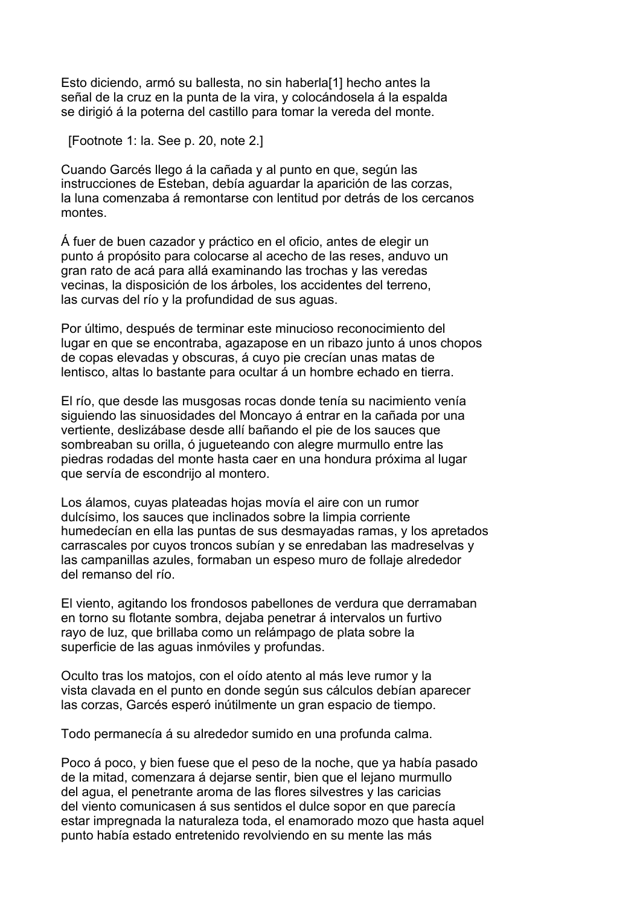Esto diciendo, armó su ballesta, no sin haberla[1] hecho antes la señal de la cruz en la punta de la vira, y colocándosela á la espalda se dirigió á la poterna del castillo para tomar la vereda del monte.

[Footnote 1: la. See p. 20, note 2.]

Cuando Garcés llego á la cañada y al punto en que, según las instrucciones de Esteban, debía aguardar la aparición de las corzas, la luna comenzaba á remontarse con lentitud por detrás de los cercanos montes.

Á fuer de buen cazador y práctico en el oficio, antes de elegir un punto á propósito para colocarse al acecho de las reses, anduvo un gran rato de acá para allá examinando las trochas y las veredas vecinas, la disposición de los árboles, los accidentes del terreno, las curvas del río y la profundidad de sus aguas.

Por último, después de terminar este minucioso reconocimiento del lugar en que se encontraba, agazapose en un ribazo junto á unos chopos de copas elevadas y obscuras, á cuyo pie crecían unas matas de lentisco, altas lo bastante para ocultar á un hombre echado en tierra.

El río, que desde las musgosas rocas donde tenía su nacimiento venía siguiendo las sinuosidades del Moncayo á entrar en la cañada por una vertiente, deslizábase desde allí bañando el pie de los sauces que sombreaban su orilla, ó jugueteando con alegre murmullo entre las piedras rodadas del monte hasta caer en una hondura próxima al lugar que servía de escondrijo al montero.

Los álamos, cuyas plateadas hojas movía el aire con un rumor dulcísimo, los sauces que inclinados sobre la limpia corriente humedecían en ella las puntas de sus desmayadas ramas, y los apretados carrascales por cuyos troncos subían y se enredaban las madreselvas y las campanillas azules, formaban un espeso muro de follaje alrededor del remanso del río.

El viento, agitando los frondosos pabellones de verdura que derramaban en torno su flotante sombra, dejaba penetrar á intervalos un furtivo rayo de luz, que brillaba como un relámpago de plata sobre la superficie de las aguas inmóviles y profundas.

Oculto tras los matojos, con el oído atento al más leve rumor y la vista clavada en el punto en donde según sus cálculos debían aparecer las corzas, Garcés esperó inútilmente un gran espacio de tiempo.

Todo permanecía á su alrededor sumido en una profunda calma.

Poco á poco, y bien fuese que el peso de la noche, que ya había pasado de la mitad, comenzara á dejarse sentir, bien que el lejano murmullo del agua, el penetrante aroma de las flores silvestres y las caricias del viento comunicasen á sus sentidos el dulce sopor en que parecía estar impregnada la naturaleza toda, el enamorado mozo que hasta aquel punto había estado entretenido revolviendo en su mente las más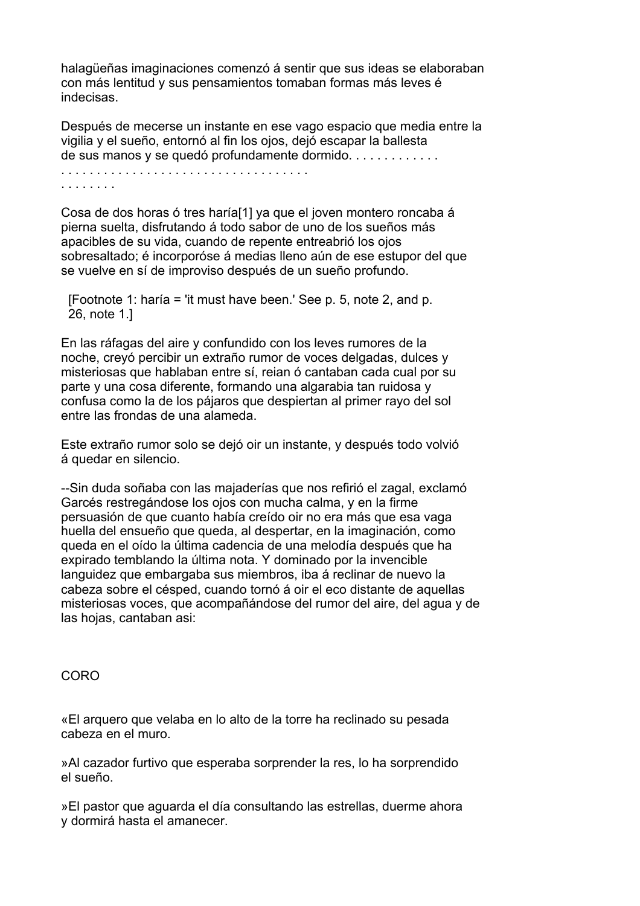halagüeñas imaginaciones comenzó á sentir que sus ideas se elaboraban con más lentitud y sus pensamientos tomaban formas más leves é indecisas.

Después de mecerse un instante en ese vago espacio que media entre la vigilia y el sueño, entornó al fin los ojos, dejó escapar la ballesta de sus manos y se quedó profundamente dormido. . . . . . . . . . . . .

. . . . . . . . . . . . . . . . . . . . . . . . . . . . . . . . . . . . . . . . . . .

Cosa de dos horas ó tres haría[1] ya que el joven montero roncaba á pierna suelta, disfrutando á todo sabor de uno de los sueños más apacibles de su vida, cuando de repente entreabrió los ojos sobresaltado; é incorporóse á medias lleno aún de ese estupor del que se vuelve en sí de improviso después de un sueño profundo.

 [Footnote 1: haría = 'it must have been.' See p. 5, note 2, and p. 26, note 1.]

En las ráfagas del aire y confundido con los leves rumores de la noche, creyó percibir un extraño rumor de voces delgadas, dulces y misteriosas que hablaban entre sí, reian ó cantaban cada cual por su parte y una cosa diferente, formando una algarabia tan ruidosa y confusa como la de los pájaros que despiertan al primer rayo del sol entre las frondas de una alameda.

Este extraño rumor solo se dejó oir un instante, y después todo volvió á quedar en silencio.

--Sin duda soñaba con las majaderías que nos refirió el zagal, exclamó Garcés restregándose los ojos con mucha calma, y en la firme persuasión de que cuanto había creído oir no era más que esa vaga huella del ensueño que queda, al despertar, en la imaginación, como queda en el oído la última cadencia de una melodía después que ha expirado temblando la última nota. Y dominado por la invencible languidez que embargaba sus miembros, iba á reclinar de nuevo la cabeza sobre el césped, cuando tornó á oir el eco distante de aquellas misteriosas voces, que acompañándose del rumor del aire, del agua y de las hojas, cantaban asi:

CORO

«El arquero que velaba en lo alto de la torre ha reclinado su pesada cabeza en el muro.

»Al cazador furtivo que esperaba sorprender la res, lo ha sorprendido el sueño.

»El pastor que aguarda el día consultando las estrellas, duerme ahora y dormirá hasta el amanecer.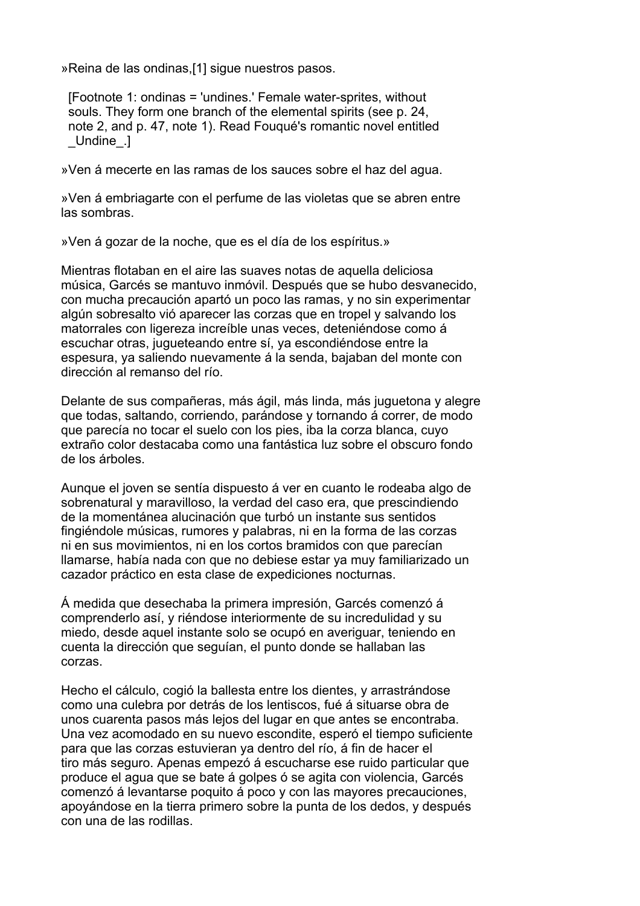»Reina de las ondinas,[1] sigue nuestros pasos.

 [Footnote 1: ondinas = 'undines.' Female water-sprites, without souls. They form one branch of the elemental spirits (see p. 24, note 2, and p. 47, note 1). Read Fouqué's romantic novel entitled \_Undine\_.]

»Ven á mecerte en las ramas de los sauces sobre el haz del agua.

»Ven á embriagarte con el perfume de las violetas que se abren entre las sombras.

»Ven á gozar de la noche, que es el día de los espíritus.»

Mientras flotaban en el aire las suaves notas de aquella deliciosa música, Garcés se mantuvo inmóvil. Después que se hubo desvanecido, con mucha precaución apartó un poco las ramas, y no sin experimentar algún sobresalto vió aparecer las corzas que en tropel y salvando los matorrales con ligereza increíble unas veces, deteniéndose como á escuchar otras, jugueteando entre sí, ya escondiéndose entre la espesura, ya saliendo nuevamente á la senda, bajaban del monte con dirección al remanso del río.

Delante de sus compañeras, más ágil, más linda, más juguetona y alegre que todas, saltando, corriendo, parándose y tornando á correr, de modo que parecía no tocar el suelo con los pies, iba la corza blanca, cuyo extraño color destacaba como una fantástica luz sobre el obscuro fondo de los árboles.

Aunque el joven se sentía dispuesto á ver en cuanto le rodeaba algo de sobrenatural y maravilloso, la verdad del caso era, que prescindiendo de la momentánea alucinación que turbó un instante sus sentidos fingiéndole músicas, rumores y palabras, ni en la forma de las corzas ni en sus movimientos, ni en los cortos bramidos con que parecían llamarse, había nada con que no debiese estar ya muy familiarizado un cazador práctico en esta clase de expediciones nocturnas.

Á medida que desechaba la primera impresión, Garcés comenzó á comprenderlo así, y riéndose interiormente de su incredulidad y su miedo, desde aquel instante solo se ocupó en averiguar, teniendo en cuenta la dirección que seguían, el punto donde se hallaban las corzas.

Hecho el cálculo, cogió la ballesta entre los dientes, y arrastrándose como una culebra por detrás de los lentiscos, fué á situarse obra de unos cuarenta pasos más lejos del lugar en que antes se encontraba. Una vez acomodado en su nuevo escondite, esperó el tiempo suficiente para que las corzas estuvieran ya dentro del río, á fin de hacer el tiro más seguro. Apenas empezó á escucharse ese ruido particular que produce el agua que se bate á golpes ó se agita con violencia, Garcés comenzó á levantarse poquito á poco y con las mayores precauciones, apoyándose en la tierra primero sobre la punta de los dedos, y después con una de las rodillas.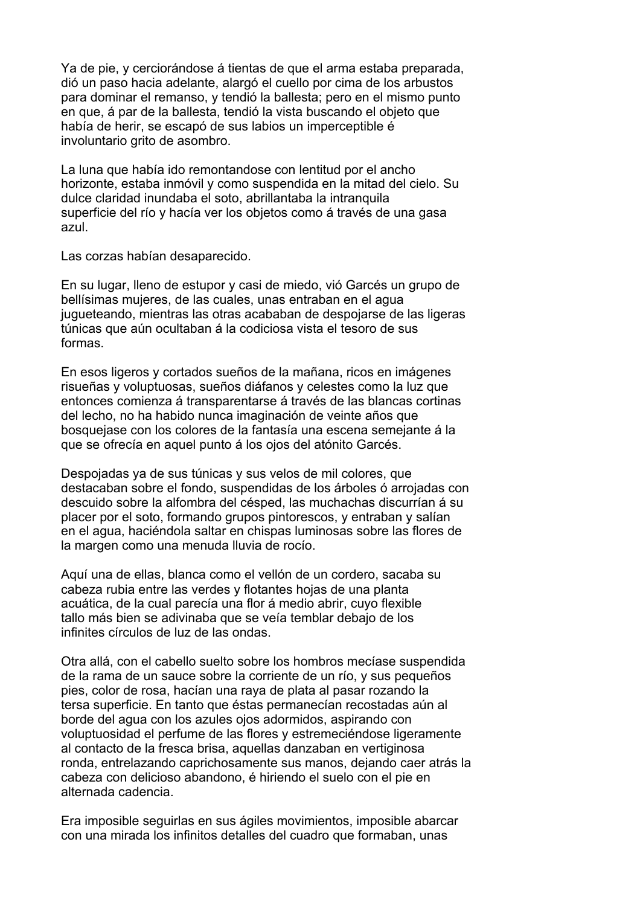Ya de pie, y cerciorándose á tientas de que el arma estaba preparada, dió un paso hacia adelante, alargó el cuello por cima de los arbustos para dominar el remanso, y tendió la ballesta; pero en el mismo punto en que, á par de la ballesta, tendió la vista buscando el objeto que había de herir, se escapó de sus labios un imperceptible é involuntario grito de asombro.

La luna que había ido remontandose con lentitud por el ancho horizonte, estaba inmóvil y como suspendida en la mitad del cielo. Su dulce claridad inundaba el soto, abrillantaba la intranquila superficie del río y hacía ver los objetos como á través de una gasa azul.

Las corzas habían desaparecido.

En su lugar, lleno de estupor y casi de miedo, vió Garcés un grupo de bellísimas mujeres, de las cuales, unas entraban en el agua jugueteando, mientras las otras acababan de despojarse de las ligeras túnicas que aún ocultaban á la codiciosa vista el tesoro de sus formas.

En esos ligeros y cortados sueños de la mañana, ricos en imágenes risueñas y voluptuosas, sueños diáfanos y celestes como la luz que entonces comienza á transparentarse á través de las blancas cortinas del lecho, no ha habido nunca imaginación de veinte años que bosquejase con los colores de la fantasía una escena semejante á la que se ofrecía en aquel punto á los ojos del atónito Garcés.

Despojadas ya de sus túnicas y sus velos de mil colores, que destacaban sobre el fondo, suspendidas de los árboles ó arrojadas con descuido sobre la alfombra del césped, las muchachas discurrían á su placer por el soto, formando grupos pintorescos, y entraban y salían en el agua, haciéndola saltar en chispas luminosas sobre las flores de la margen como una menuda lluvia de rocío.

Aquí una de ellas, blanca como el vellón de un cordero, sacaba su cabeza rubia entre las verdes y flotantes hojas de una planta acuática, de la cual parecía una flor á medio abrir, cuyo flexible tallo más bien se adivinaba que se veía temblar debajo de los infinites círculos de luz de las ondas.

Otra allá, con el cabello suelto sobre los hombros mecíase suspendida de la rama de un sauce sobre la corriente de un río, y sus pequeños pies, color de rosa, hacían una raya de plata al pasar rozando la tersa superficie. En tanto que éstas permanecían recostadas aún al borde del agua con los azules ojos adormidos, aspirando con voluptuosidad el perfume de las flores y estremeciéndose ligeramente al contacto de la fresca brisa, aquellas danzaban en vertiginosa ronda, entrelazando caprichosamente sus manos, dejando caer atrás la cabeza con delicioso abandono, é hiriendo el suelo con el pie en alternada cadencia.

Era imposible seguirlas en sus ágiles movimientos, imposible abarcar con una mirada los infinitos detalles del cuadro que formaban, unas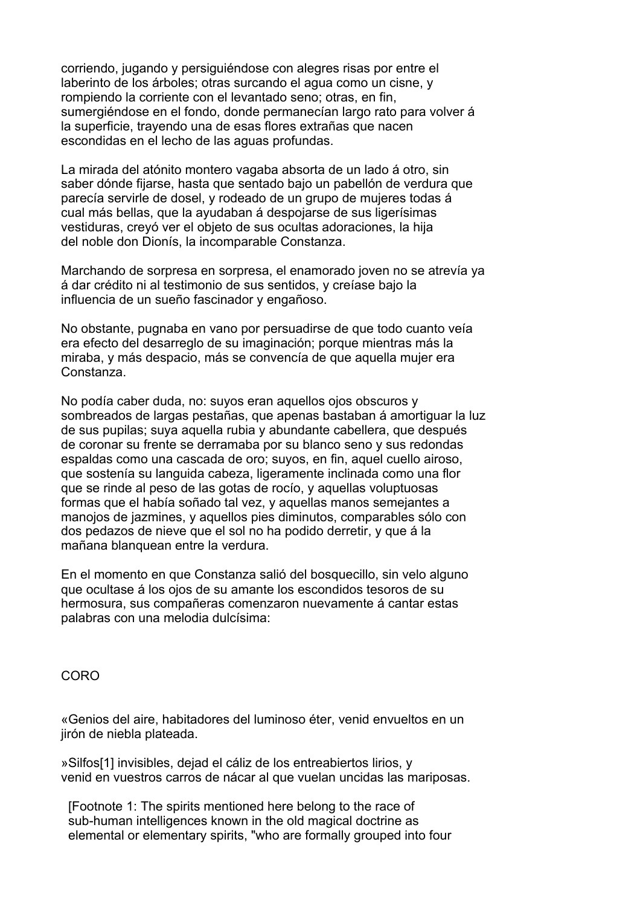corriendo, jugando y persiguiéndose con alegres risas por entre el laberinto de los árboles; otras surcando el agua como un cisne, y rompiendo la corriente con el levantado seno; otras, en fin, sumergiéndose en el fondo, donde permanecían largo rato para volver á la superficie, trayendo una de esas flores extrañas que nacen escondidas en el lecho de las aguas profundas.

La mirada del atónito montero vagaba absorta de un lado á otro, sin saber dónde fijarse, hasta que sentado bajo un pabellón de verdura que parecía servirle de dosel, y rodeado de un grupo de mujeres todas á cual más bellas, que la ayudaban á despojarse de sus ligerísimas vestiduras, creyó ver el objeto de sus ocultas adoraciones, la hija del noble don Dionís, la incomparable Constanza.

Marchando de sorpresa en sorpresa, el enamorado joven no se atrevía ya á dar crédito ni al testimonio de sus sentidos, y creíase bajo la influencia de un sueño fascinador y engañoso.

No obstante, pugnaba en vano por persuadirse de que todo cuanto veía era efecto del desarreglo de su imaginación; porque mientras más la miraba, y más despacio, más se convencía de que aquella mujer era Constanza.

No podía caber duda, no: suyos eran aquellos ojos obscuros y sombreados de largas pestañas, que apenas bastaban á amortiguar la luz de sus pupilas; suya aquella rubia y abundante cabellera, que después de coronar su frente se derramaba por su blanco seno y sus redondas espaldas como una cascada de oro; suyos, en fin, aquel cuello airoso, que sostenía su languida cabeza, ligeramente inclinada como una flor que se rinde al peso de las gotas de rocío, y aquellas voluptuosas formas que el había soñado tal vez, y aquellas manos semejantes a manojos de jazmines, y aquellos pies diminutos, comparables sólo con dos pedazos de nieve que el sol no ha podido derretir, y que á la mañana blanquean entre la verdura.

En el momento en que Constanza salió del bosquecillo, sin velo alguno que ocultase á los ojos de su amante los escondidos tesoros de su hermosura, sus compañeras comenzaron nuevamente á cantar estas palabras con una melodia dulcísima:

CORO

«Genios del aire, habitadores del luminoso éter, venid envueltos en un jirón de niebla plateada.

»Silfos[1] invisibles, dejad el cáliz de los entreabiertos lirios, y venid en vuestros carros de nácar al que vuelan uncidas las mariposas.

 [Footnote 1: The spirits mentioned here belong to the race of sub-human intelligences known in the old magical doctrine as elemental or elementary spirits, "who are formally grouped into four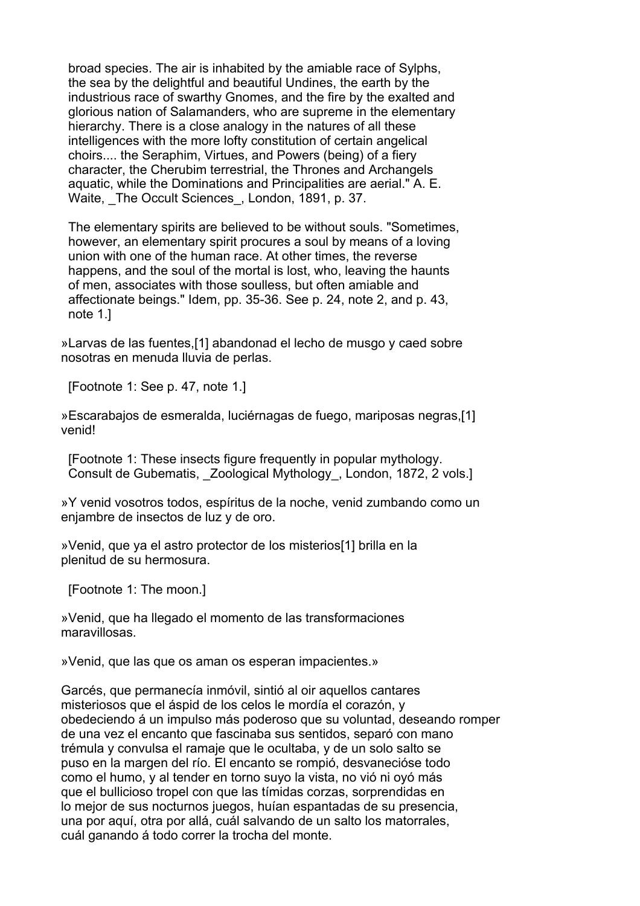broad species. The air is inhabited by the amiable race of Sylphs, the sea by the delightful and beautiful Undines, the earth by the industrious race of swarthy Gnomes, and the fire by the exalted and glorious nation of Salamanders, who are supreme in the elementary hierarchy. There is a close analogy in the natures of all these intelligences with the more lofty constitution of certain angelical choirs.... the Seraphim, Virtues, and Powers (being) of a fiery character, the Cherubim terrestrial, the Thrones and Archangels aquatic, while the Dominations and Principalities are aerial." A. E. Waite, The Occult Sciences, London, 1891, p. 37.

 The elementary spirits are believed to be without souls. "Sometimes, however, an elementary spirit procures a soul by means of a loving union with one of the human race. At other times, the reverse happens, and the soul of the mortal is lost, who, leaving the haunts of men, associates with those soulless, but often amiable and affectionate beings." Idem, pp. 35-36. See p. 24, note 2, and p. 43, note 1.]

»Larvas de las fuentes,[1] abandonad el lecho de musgo y caed sobre nosotras en menuda lluvia de perlas.

[Footnote 1: See p. 47, note 1.]

»Escarabajos de esmeralda, luciérnagas de fuego, mariposas negras,[1] venid!

 [Footnote 1: These insects figure frequently in popular mythology. Consult de Gubematis, Zoological Mythology, London, 1872, 2 vols.]

»Y venid vosotros todos, espíritus de la noche, venid zumbando como un enjambre de insectos de luz y de oro.

»Venid, que ya el astro protector de los misterios[1] brilla en la plenitud de su hermosura.

[Footnote 1: The moon.]

»Venid, que ha llegado el momento de las transformaciones maravillosas.

»Venid, que las que os aman os esperan impacientes.»

Garcés, que permanecía inmóvil, sintió al oir aquellos cantares misteriosos que el áspid de los celos le mordía el corazón, y obedeciendo á un impulso más poderoso que su voluntad, deseando romper de una vez el encanto que fascinaba sus sentidos, separó con mano trémula y convulsa el ramaje que le ocultaba, y de un solo salto se puso en la margen del río. El encanto se rompió, desvanecióse todo como el humo, y al tender en torno suyo la vista, no vió ni oyó más que el bullicioso tropel con que las tímidas corzas, sorprendidas en lo mejor de sus nocturnos juegos, huían espantadas de su presencia, una por aquí, otra por allá, cuál salvando de un salto los matorrales, cuál ganando á todo correr la trocha del monte.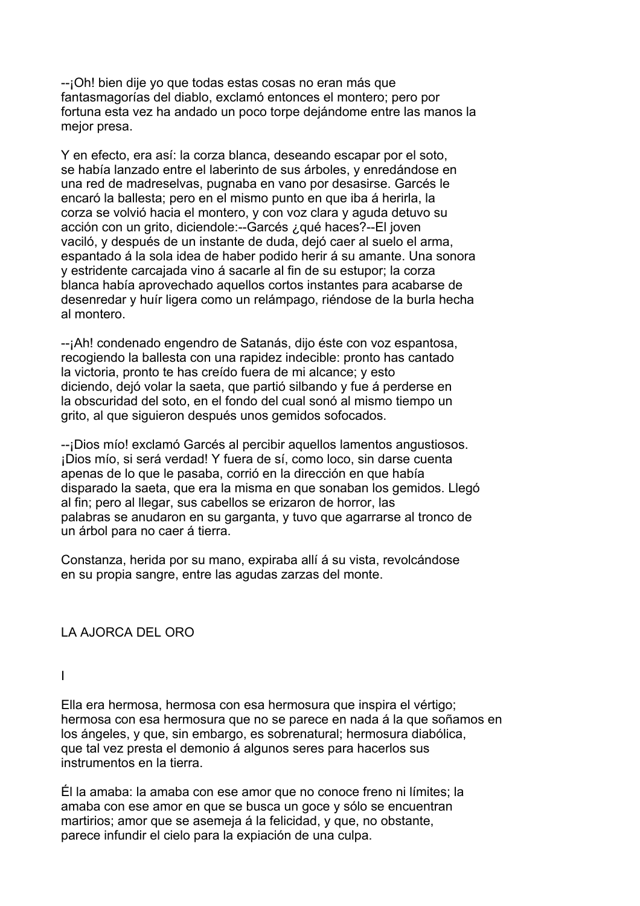--¡Oh! bien dije yo que todas estas cosas no eran más que fantasmagorías del diablo, exclamó entonces el montero; pero por fortuna esta vez ha andado un poco torpe dejándome entre las manos la mejor presa.

Y en efecto, era así: la corza blanca, deseando escapar por el soto, se había lanzado entre el laberinto de sus árboles, y enredándose en una red de madreselvas, pugnaba en vano por desasirse. Garcés le encaró la ballesta; pero en el mismo punto en que iba á herirla, la corza se volvió hacia el montero, y con voz clara y aguda detuvo su acción con un grito, diciendole:--Garcés ¿qué haces?--El joven vaciló, y después de un instante de duda, dejó caer al suelo el arma, espantado á la sola idea de haber podido herir á su amante. Una sonora y estridente carcajada vino á sacarle al fin de su estupor; la corza blanca había aprovechado aquellos cortos instantes para acabarse de desenredar y huír ligera como un relámpago, riéndose de la burla hecha al montero.

--¡Ah! condenado engendro de Satanás, dijo éste con voz espantosa, recogiendo la ballesta con una rapidez indecible: pronto has cantado la victoria, pronto te has creído fuera de mi alcance; y esto diciendo, dejó volar la saeta, que partió silbando y fue á perderse en la obscuridad del soto, en el fondo del cual sonó al mismo tiempo un grito, al que siguieron después unos gemidos sofocados.

--¡Dios mío! exclamó Garcés al percibir aquellos lamentos angustiosos. ¡Dios mío, si será verdad! Y fuera de sí, como loco, sin darse cuenta apenas de lo que le pasaba, corrió en la dirección en que había disparado la saeta, que era la misma en que sonaban los gemidos. Llegó al fin; pero al llegar, sus cabellos se erizaron de horror, las palabras se anudaron en su garganta, y tuvo que agarrarse al tronco de un árbol para no caer á tierra.

Constanza, herida por su mano, expiraba allí á su vista, revolcándose en su propia sangre, entre las agudas zarzas del monte.

## LA AJORCA DEL ORO

I

Ella era hermosa, hermosa con esa hermosura que inspira el vértigo; hermosa con esa hermosura que no se parece en nada á la que soñamos en los ángeles, y que, sin embargo, es sobrenatural; hermosura diabólica, que tal vez presta el demonio á algunos seres para hacerlos sus instrumentos en la tierra.

Él la amaba: la amaba con ese amor que no conoce freno ni límites; la amaba con ese amor en que se busca un goce y sólo se encuentran martirios; amor que se asemeja á la felicidad, y que, no obstante, parece infundir el cielo para la expiación de una culpa.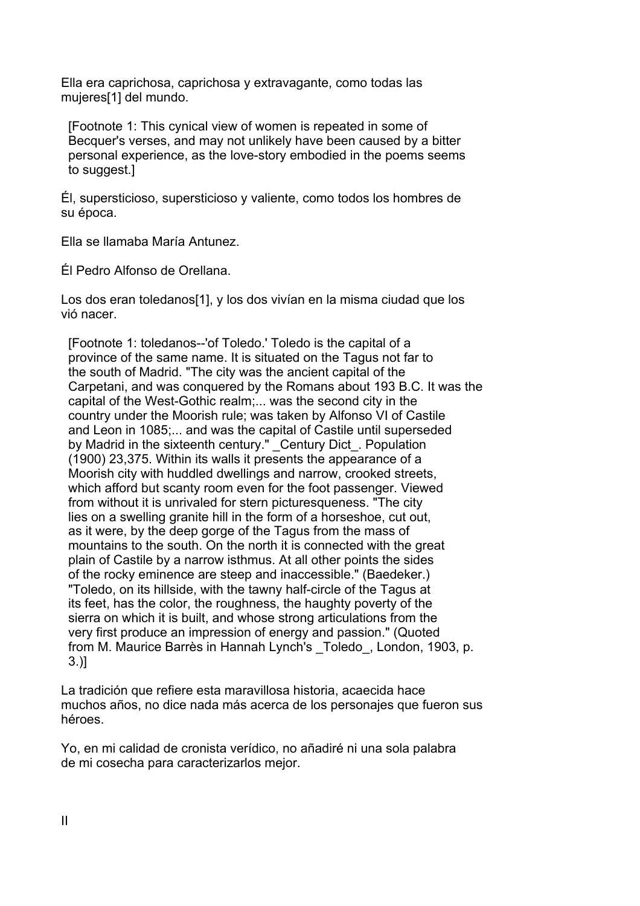Ella era caprichosa, caprichosa y extravagante, como todas las mujeres[1] del mundo.

 [Footnote 1: This cynical view of women is repeated in some of Becquer's verses, and may not unlikely have been caused by a bitter personal experience, as the love-story embodied in the poems seems to suggest.]

Él, supersticioso, supersticioso y valiente, como todos los hombres de su época.

Ella se llamaba María Antunez.

Él Pedro Alfonso de Orellana.

Los dos eran toledanos[1], y los dos vivían en la misma ciudad que los vió nacer.

 [Footnote 1: toledanos--'of Toledo.' Toledo is the capital of a province of the same name. It is situated on the Tagus not far to the south of Madrid. "The city was the ancient capital of the Carpetani, and was conquered by the Romans about 193 B.C. It was the capital of the West-Gothic realm;... was the second city in the country under the Moorish rule; was taken by Alfonso VI of Castile and Leon in 1085;... and was the capital of Castile until superseded by Madrid in the sixteenth century." Century Dict . Population (1900) 23,375. Within its walls it presents the appearance of a Moorish city with huddled dwellings and narrow, crooked streets, which afford but scanty room even for the foot passenger. Viewed from without it is unrivaled for stern picturesqueness. "The city lies on a swelling granite hill in the form of a horseshoe, cut out, as it were, by the deep gorge of the Tagus from the mass of mountains to the south. On the north it is connected with the great plain of Castile by a narrow isthmus. At all other points the sides of the rocky eminence are steep and inaccessible." (Baedeker.) "Toledo, on its hillside, with the tawny half-circle of the Tagus at its feet, has the color, the roughness, the haughty poverty of the sierra on which it is built, and whose strong articulations from the very first produce an impression of energy and passion." (Quoted from M. Maurice Barrès in Hannah Lynch's \_Toledo\_, London, 1903, p. 3.)]

La tradición que refiere esta maravillosa historia, acaecida hace muchos años, no dice nada más acerca de los personajes que fueron sus héroes.

Yo, en mi calidad de cronista verídico, no añadiré ni una sola palabra de mi cosecha para caracterizarlos mejor.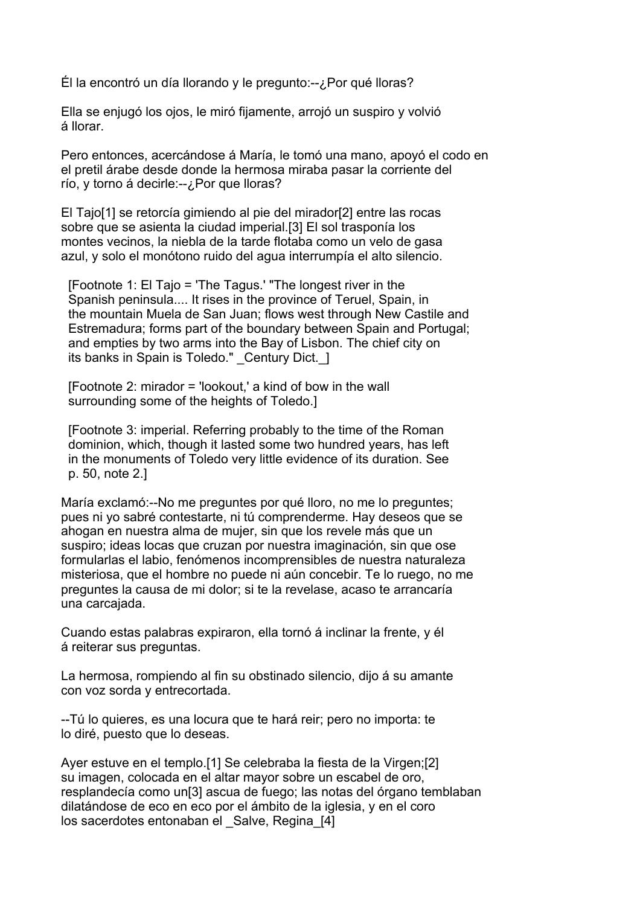Él la encontró un día llorando y le pregunto:--¿Por qué lloras?

Ella se enjugó los ojos, le miró fijamente, arrojó un suspiro y volvió á llorar.

Pero entonces, acercándose á María, le tomó una mano, apoyó el codo en el pretil árabe desde donde la hermosa miraba pasar la corriente del río, y torno á decirle:--¿Por que lloras?

El Tajo[1] se retorcía gimiendo al pie del mirador[2] entre las rocas sobre que se asienta la ciudad imperial.[3] El sol trasponía los montes vecinos, la niebla de la tarde flotaba como un velo de gasa azul, y solo el monótono ruido del agua interrumpía el alto silencio.

 [Footnote 1: El Tajo = 'The Tagus.' "The longest river in the Spanish peninsula.... It rises in the province of Teruel, Spain, in the mountain Muela de San Juan; flows west through New Castile and Estremadura; forms part of the boundary between Spain and Portugal; and empties by two arms into the Bay of Lisbon. The chief city on its banks in Spain is Toledo." Century Dict. 1

 [Footnote 2: mirador = 'lookout,' a kind of bow in the wall surrounding some of the heights of Toledo.]

 [Footnote 3: imperial. Referring probably to the time of the Roman dominion, which, though it lasted some two hundred years, has left in the monuments of Toledo very little evidence of its duration. See p. 50, note 2.]

María exclamó:--No me preguntes por qué lloro, no me lo preguntes; pues ni yo sabré contestarte, ni tú comprenderme. Hay deseos que se ahogan en nuestra alma de mujer, sin que los revele más que un suspiro; ideas locas que cruzan por nuestra imaginación, sin que ose formularlas el labio, fenómenos incomprensibles de nuestra naturaleza misteriosa, que el hombre no puede ni aún concebir. Te lo ruego, no me preguntes la causa de mi dolor; si te la revelase, acaso te arrancaría una carcajada.

Cuando estas palabras expiraron, ella tornó á inclinar la frente, y él á reiterar sus preguntas.

La hermosa, rompiendo al fin su obstinado silencio, dijo á su amante con voz sorda y entrecortada.

--Tú lo quieres, es una locura que te hará reir; pero no importa: te lo diré, puesto que lo deseas.

Ayer estuve en el templo.[1] Se celebraba la fiesta de la Virgen;[2] su imagen, colocada en el altar mayor sobre un escabel de oro, resplandecía como un[3] ascua de fuego; las notas del órgano temblaban dilatándose de eco en eco por el ámbito de la iglesia, y en el coro los sacerdotes entonaban el Salve, Regina [4]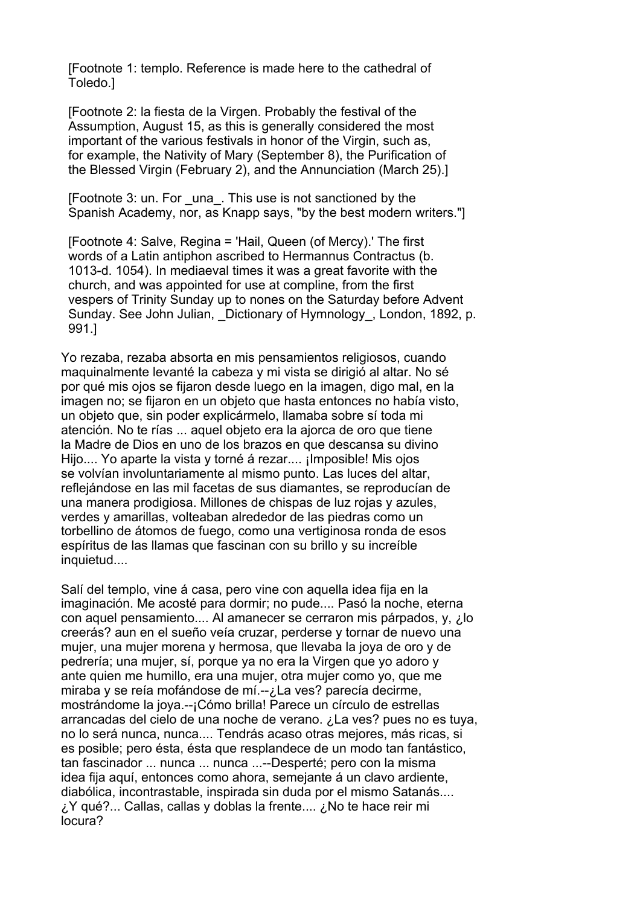[Footnote 1: templo. Reference is made here to the cathedral of Toledo.]

 [Footnote 2: la fiesta de la Virgen. Probably the festival of the Assumption, August 15, as this is generally considered the most important of the various festivals in honor of the Virgin, such as, for example, the Nativity of Mary (September 8), the Purification of the Blessed Virgin (February 2), and the Annunciation (March 25).]

 [Footnote 3: un. For \_una\_. This use is not sanctioned by the Spanish Academy, nor, as Knapp says, "by the best modern writers."]

 [Footnote 4: Salve, Regina = 'Hail, Queen (of Mercy).' The first words of a Latin antiphon ascribed to Hermannus Contractus (b. 1013-d. 1054). In mediaeval times it was a great favorite with the church, and was appointed for use at compline, from the first vespers of Trinity Sunday up to nones on the Saturday before Advent Sunday. See John Julian, Dictionary of Hymnology, London, 1892, p. 991.]

Yo rezaba, rezaba absorta en mis pensamientos religiosos, cuando maquinalmente levanté la cabeza y mi vista se dirigió al altar. No sé por qué mis ojos se fijaron desde luego en la imagen, digo mal, en la imagen no; se fijaron en un objeto que hasta entonces no había visto, un objeto que, sin poder explicármelo, llamaba sobre sí toda mi atención. No te rías ... aquel objeto era la ajorca de oro que tiene la Madre de Dios en uno de los brazos en que descansa su divino Hijo.... Yo aparte la vista y torné á rezar.... ¡Imposible! Mis ojos se volvían involuntariamente al mismo punto. Las luces del altar, reflejándose en las mil facetas de sus diamantes, se reproducían de una manera prodigiosa. Millones de chispas de luz rojas y azules, verdes y amarillas, volteaban alrededor de las piedras como un torbellino de átomos de fuego, como una vertiginosa ronda de esos espíritus de las llamas que fascinan con su brillo y su increíble inquietud....

Salí del templo, vine á casa, pero vine con aquella idea fija en la imaginación. Me acosté para dormir; no pude.... Pasó la noche, eterna con aquel pensamiento.... Al amanecer se cerraron mis párpados, y, ¿lo creerás? aun en el sueño veía cruzar, perderse y tornar de nuevo una mujer, una mujer morena y hermosa, que llevaba la joya de oro y de pedrería; una mujer, sí, porque ya no era la Virgen que yo adoro y ante quien me humillo, era una mujer, otra mujer como yo, que me miraba y se reía mofándose de mí.--¿La ves? parecía decirme, mostrándome la joya.--¡Cómo brilla! Parece un círculo de estrellas arrancadas del cielo de una noche de verano. ¿La ves? pues no es tuya, no lo será nunca, nunca.... Tendrás acaso otras mejores, más ricas, si es posible; pero ésta, ésta que resplandece de un modo tan fantástico, tan fascinador ... nunca ... nunca ...--Desperté; pero con la misma idea fija aquí, entonces como ahora, semejante á un clavo ardiente, diabólica, incontrastable, inspirada sin duda por el mismo Satanás.... ¿Y qué?... Callas, callas y doblas la frente.... ¿No te hace reir mi locura?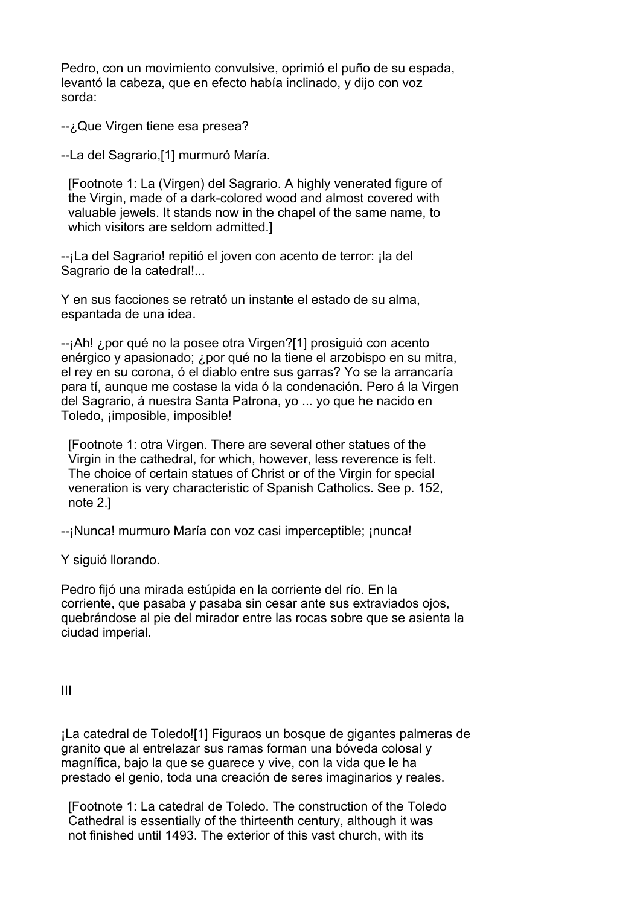Pedro, con un movimiento convulsive, oprimió el puño de su espada, levantó la cabeza, que en efecto había inclinado, y dijo con voz sorda:

--¿Que Virgen tiene esa presea?

--La del Sagrario,[1] murmuró María.

 [Footnote 1: La (Virgen) del Sagrario. A highly venerated figure of the Virgin, made of a dark-colored wood and almost covered with valuable jewels. It stands now in the chapel of the same name, to which visitors are seldom admitted.]

--¡La del Sagrario! repitió el joven con acento de terror: ¡la del Sagrario de la catedral!...

Y en sus facciones se retrató un instante el estado de su alma, espantada de una idea.

--¡Ah! ¿por qué no la posee otra Virgen?[1] prosiguió con acento enérgico y apasionado; ¿por qué no la tiene el arzobispo en su mitra, el rey en su corona, ó el diablo entre sus garras? Yo se la arrancaría para tí, aunque me costase la vida ó la condenación. Pero á la Virgen del Sagrario, á nuestra Santa Patrona, yo ... yo que he nacido en Toledo, ¡imposible, imposible!

 [Footnote 1: otra Virgen. There are several other statues of the Virgin in the cathedral, for which, however, less reverence is felt. The choice of certain statues of Christ or of the Virgin for special veneration is very characteristic of Spanish Catholics. See p. 152, note 2.]

--¡Nunca! murmuro María con voz casi imperceptible; ¡nunca!

Y siguió llorando.

Pedro fijó una mirada estúpida en la corriente del río. En la corriente, que pasaba y pasaba sin cesar ante sus extraviados ojos, quebrándose al pie del mirador entre las rocas sobre que se asienta la ciudad imperial.

III

¡La catedral de Toledo![1] Figuraos un bosque de gigantes palmeras de granito que al entrelazar sus ramas forman una bóveda colosal y magnífica, bajo la que se guarece y vive, con la vida que le ha prestado el genio, toda una creación de seres imaginarios y reales.

 [Footnote 1: La catedral de Toledo. The construction of the Toledo Cathedral is essentially of the thirteenth century, although it was not finished until 1493. The exterior of this vast church, with its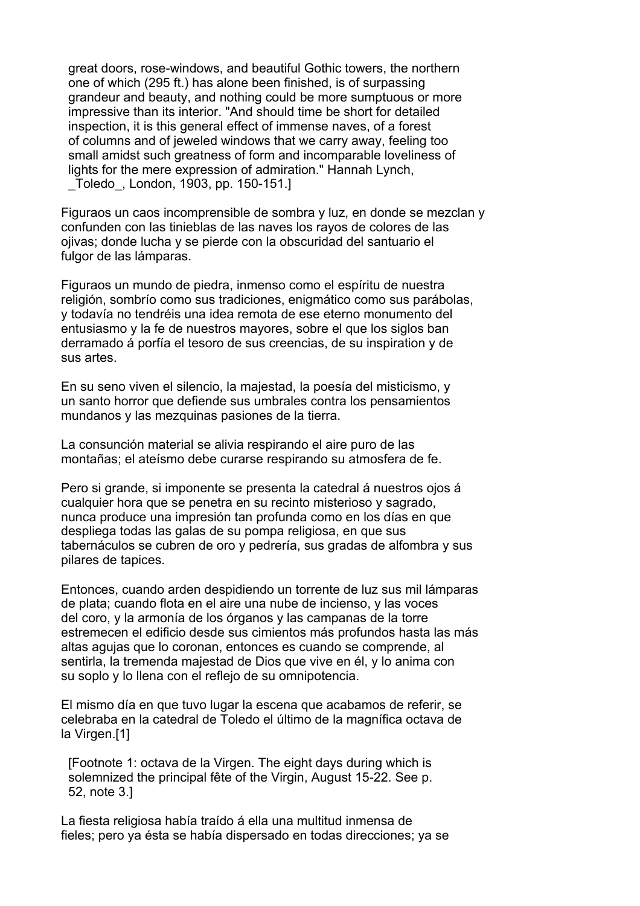great doors, rose-windows, and beautiful Gothic towers, the northern one of which (295 ft.) has alone been finished, is of surpassing grandeur and beauty, and nothing could be more sumptuous or more impressive than its interior. "And should time be short for detailed inspection, it is this general effect of immense naves, of a forest of columns and of jeweled windows that we carry away, feeling too small amidst such greatness of form and incomparable loveliness of lights for the mere expression of admiration." Hannah Lynch, \_Toledo\_, London, 1903, pp. 150-151.]

Figuraos un caos incomprensible de sombra y luz, en donde se mezclan y confunden con las tinieblas de las naves los rayos de colores de las ojivas; donde lucha y se pierde con la obscuridad del santuario el fulgor de las lámparas.

Figuraos un mundo de piedra, inmenso como el espíritu de nuestra religión, sombrío como sus tradiciones, enigmático como sus parábolas, y todavía no tendréis una idea remota de ese eterno monumento del entusiasmo y la fe de nuestros mayores, sobre el que los siglos ban derramado á porfía el tesoro de sus creencias, de su inspiration y de sus artes.

En su seno viven el silencio, la majestad, la poesía del misticismo, y un santo horror que defiende sus umbrales contra los pensamientos mundanos y las mezquinas pasiones de la tierra.

La consunción material se alivia respirando el aire puro de las montañas; el ateísmo debe curarse respirando su atmosfera de fe.

Pero si grande, si imponente se presenta la catedral á nuestros ojos á cualquier hora que se penetra en su recinto misterioso y sagrado, nunca produce una impresión tan profunda como en los días en que despliega todas las galas de su pompa religiosa, en que sus tabernáculos se cubren de oro y pedrería, sus gradas de alfombra y sus pilares de tapices.

Entonces, cuando arden despidiendo un torrente de luz sus mil lámparas de plata; cuando flota en el aire una nube de incienso, y las voces del coro, y la armonía de los órganos y las campanas de la torre estremecen el edificio desde sus cimientos más profundos hasta las más altas agujas que lo coronan, entonces es cuando se comprende, al sentirla, la tremenda majestad de Dios que vive en él, y lo anima con su soplo y lo llena con el reflejo de su omnipotencia.

El mismo día en que tuvo lugar la escena que acabamos de referir, se celebraba en la catedral de Toledo el último de la magnífica octava de la Virgen.[1]

 [Footnote 1: octava de la Virgen. The eight days during which is solemnized the principal fête of the Virgin, August 15-22. See p. 52, note 3.]

La fiesta religiosa había traído á ella una multitud inmensa de fieles; pero ya ésta se había dispersado en todas direcciones; ya se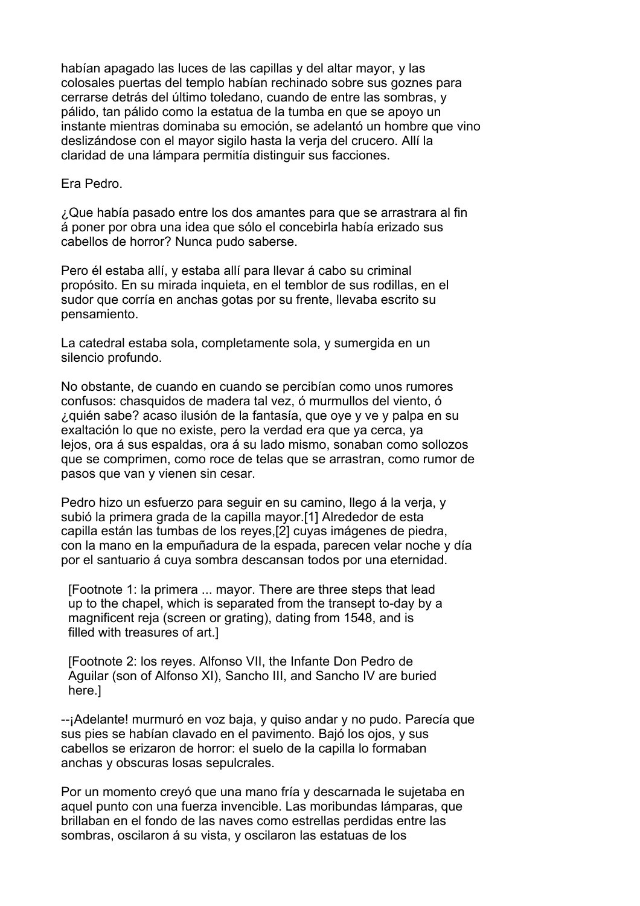habían apagado las luces de las capillas y del altar mayor, y las colosales puertas del templo habían rechinado sobre sus goznes para cerrarse detrás del último toledano, cuando de entre las sombras, y pálido, tan pálido como la estatua de la tumba en que se apoyo un instante mientras dominaba su emoción, se adelantó un hombre que vino deslizándose con el mayor sigilo hasta la verja del crucero. Allí la claridad de una lámpara permitía distinguir sus facciones.

Era Pedro.

¿Que había pasado entre los dos amantes para que se arrastrara al fin á poner por obra una idea que sólo el concebirla había erizado sus cabellos de horror? Nunca pudo saberse.

Pero él estaba allí, y estaba allí para llevar á cabo su criminal propósito. En su mirada inquieta, en el temblor de sus rodillas, en el sudor que corría en anchas gotas por su frente, llevaba escrito su pensamiento.

La catedral estaba sola, completamente sola, y sumergida en un silencio profundo.

No obstante, de cuando en cuando se percibían como unos rumores confusos: chasquidos de madera tal vez, ó murmullos del viento, ó ¿quién sabe? acaso ilusión de la fantasía, que oye y ve y palpa en su exaltación lo que no existe, pero la verdad era que ya cerca, ya lejos, ora á sus espaldas, ora á su lado mismo, sonaban como sollozos que se comprimen, como roce de telas que se arrastran, como rumor de pasos que van y vienen sin cesar.

Pedro hizo un esfuerzo para seguir en su camino, llego á la verja, y subió la primera grada de la capilla mayor.[1] Alrededor de esta capilla están las tumbas de los reyes,[2] cuyas imágenes de piedra, con la mano en la empuñadura de la espada, parecen velar noche y día por el santuario á cuya sombra descansan todos por una eternidad.

 [Footnote 1: la primera ... mayor. There are three steps that lead up to the chapel, which is separated from the transept to-day by a magnificent reja (screen or grating), dating from 1548, and is filled with treasures of art.]

 [Footnote 2: los reyes. Alfonso VII, the Infante Don Pedro de Aguilar (son of Alfonso XI), Sancho III, and Sancho IV are buried here.]

--¡Adelante! murmuró en voz baja, y quiso andar y no pudo. Parecía que sus pies se habían clavado en el pavimento. Bajó los ojos, y sus cabellos se erizaron de horror: el suelo de la capilla lo formaban anchas y obscuras losas sepulcrales.

Por un momento creyó que una mano fría y descarnada le sujetaba en aquel punto con una fuerza invencible. Las moribundas lámparas, que brillaban en el fondo de las naves como estrellas perdidas entre las sombras, oscilaron á su vista, y oscilaron las estatuas de los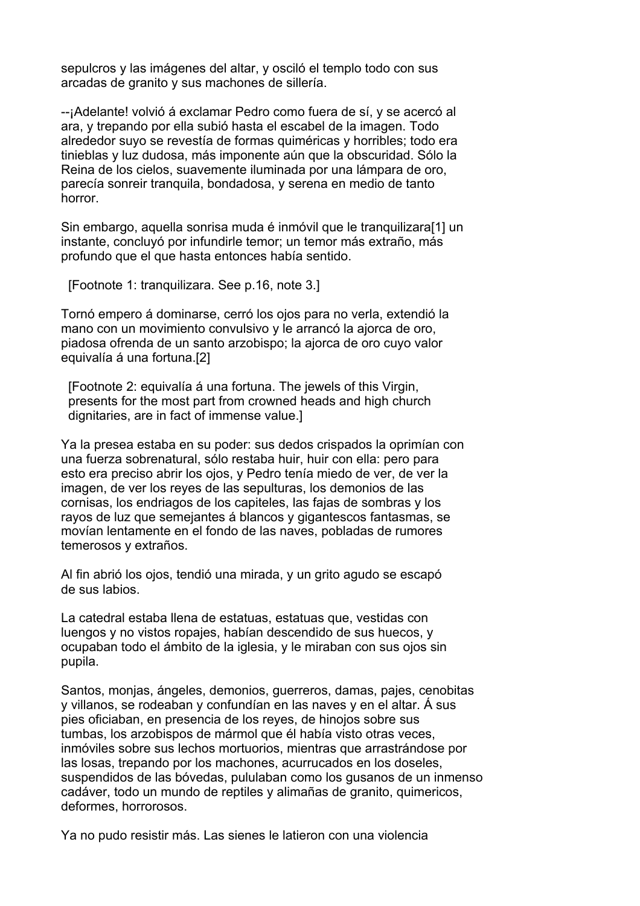sepulcros y las imágenes del altar, y osciló el templo todo con sus arcadas de granito y sus machones de sillería.

--¡Adelante! volvió á exclamar Pedro como fuera de sí, y se acercó al ara, y trepando por ella subió hasta el escabel de la imagen. Todo alrededor suyo se revestía de formas quiméricas y horribles; todo era tinieblas y luz dudosa, más imponente aún que la obscuridad. Sólo la Reina de los cielos, suavemente iluminada por una lámpara de oro, parecía sonreir tranquila, bondadosa, y serena en medio de tanto horror.

Sin embargo, aquella sonrisa muda é inmóvil que le tranquilizara[1] un instante, concluyó por infundirle temor; un temor más extraño, más profundo que el que hasta entonces había sentido.

[Footnote 1: tranquilizara. See p.16, note 3.]

Tornó empero á dominarse, cerró los ojos para no verla, extendió la mano con un movimiento convulsivo y le arrancó la ajorca de oro, piadosa ofrenda de un santo arzobispo; la ajorca de oro cuyo valor equivalía á una fortuna.[2]

 [Footnote 2: equivalía á una fortuna. The jewels of this Virgin, presents for the most part from crowned heads and high church dignitaries, are in fact of immense value.]

Ya la presea estaba en su poder: sus dedos crispados la oprimían con una fuerza sobrenatural, sólo restaba huir, huir con ella: pero para esto era preciso abrir los ojos, y Pedro tenía miedo de ver, de ver la imagen, de ver los reyes de las sepulturas, los demonios de las cornisas, los endriagos de los capiteles, las fajas de sombras y los rayos de luz que semejantes á blancos y gigantescos fantasmas, se movían lentamente en el fondo de las naves, pobladas de rumores temerosos y extraños.

Al fin abrió los ojos, tendió una mirada, y un grito agudo se escapó de sus labios.

La catedral estaba llena de estatuas, estatuas que, vestidas con luengos y no vistos ropajes, habían descendido de sus huecos, y ocupaban todo el ámbito de la iglesia, y le miraban con sus ojos sin pupila.

Santos, monjas, ángeles, demonios, guerreros, damas, pajes, cenobitas y villanos, se rodeaban y confundían en las naves y en el altar. Á sus pies oficiaban, en presencia de los reyes, de hinojos sobre sus tumbas, los arzobispos de mármol que él había visto otras veces, inmóviles sobre sus lechos mortuorios, mientras que arrastrándose por las losas, trepando por los machones, acurrucados en los doseles, suspendidos de las bóvedas, pululaban como los gusanos de un inmenso cadáver, todo un mundo de reptiles y alimañas de granito, quimericos, deformes, horrorosos.

Ya no pudo resistir más. Las sienes le latieron con una violencia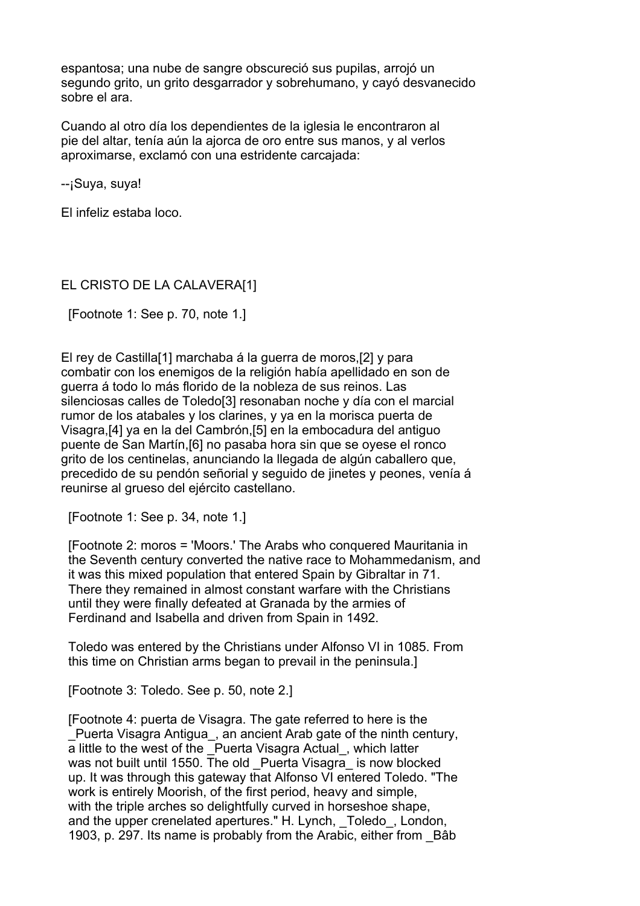espantosa; una nube de sangre obscureció sus pupilas, arrojó un segundo grito, un grito desgarrador y sobrehumano, y cayó desvanecido sobre el ara.

Cuando al otro día los dependientes de la iglesia le encontraron al pie del altar, tenía aún la ajorca de oro entre sus manos, y al verlos aproximarse, exclamó con una estridente carcajada:

--¡Suya, suya!

El infeliz estaba loco.

## EL CRISTO DE LA CALAVERA[1]

[Footnote 1: See p. 70, note 1.]

El rey de Castilla[1] marchaba á la guerra de moros,[2] y para combatir con los enemigos de la religión había apellidado en son de guerra á todo lo más florido de la nobleza de sus reinos. Las silenciosas calles de Toledo[3] resonaban noche y día con el marcial rumor de los atabales y los clarines, y ya en la morisca puerta de Visagra,[4] ya en la del Cambrón,[5] en la embocadura del antiguo puente de San Martín,[6] no pasaba hora sin que se oyese el ronco grito de los centinelas, anunciando la llegada de algún caballero que, precedido de su pendón señorial y seguido de jinetes y peones, venía á reunirse al grueso del ejército castellano.

[Footnote 1: See p. 34, note 1.]

 [Footnote 2: moros = 'Moors.' The Arabs who conquered Mauritania in the Seventh century converted the native race to Mohammedanism, and it was this mixed population that entered Spain by Gibraltar in 71. There they remained in almost constant warfare with the Christians until they were finally defeated at Granada by the armies of Ferdinand and Isabella and driven from Spain in 1492.

 Toledo was entered by the Christians under Alfonso VI in 1085. From this time on Christian arms began to prevail in the peninsula.]

[Footnote 3: Toledo. See p. 50, note 2.]

 [Footnote 4: puerta de Visagra. The gate referred to here is the Puerta Visagra Antigua, an ancient Arab gate of the ninth century, a little to the west of the Puerta Visagra Actual, which latter was not built until 1550. The old Puerta Visagra is now blocked up. It was through this gateway that Alfonso VI entered Toledo. "The work is entirely Moorish, of the first period, heavy and simple, with the triple arches so delightfully curved in horseshoe shape, and the upper crenelated apertures." H. Lynch, Toledo, London, 1903, p. 297. Its name is probably from the Arabic, either from \_Bâb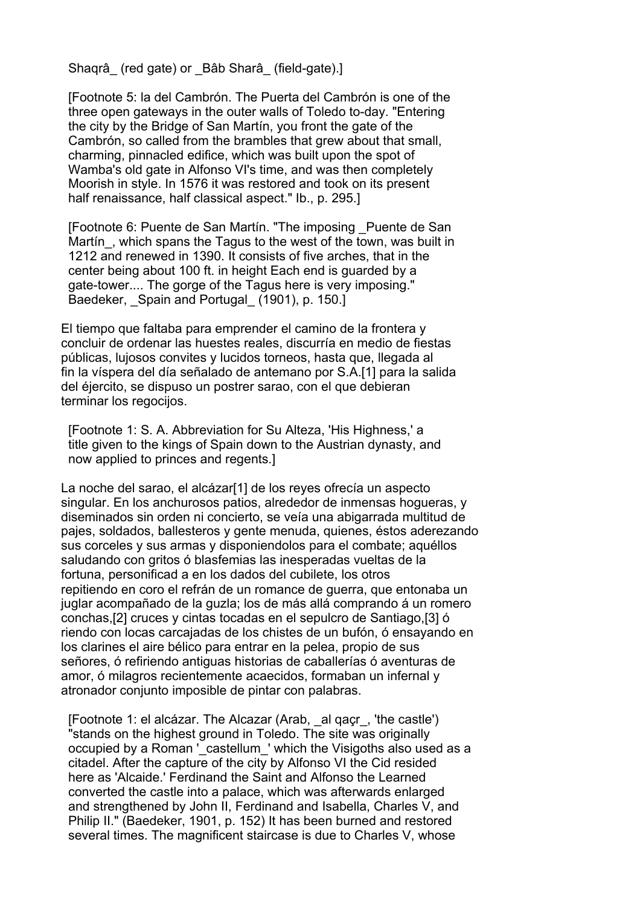Shagrâ (red gate) or Bâb Sharâ (field-gate).]

 [Footnote 5: la del Cambrón. The Puerta del Cambrón is one of the three open gateways in the outer walls of Toledo to-day. "Entering the city by the Bridge of San Martín, you front the gate of the Cambrón, so called from the brambles that grew about that small, charming, pinnacled edifice, which was built upon the spot of Wamba's old gate in Alfonso VI's time, and was then completely Moorish in style. In 1576 it was restored and took on its present half renaissance, half classical aspect." Ib., p. 295.]

 [Footnote 6: Puente de San Martín. "The imposing \_Puente de San Martin, which spans the Tagus to the west of the town, was built in 1212 and renewed in 1390. It consists of five arches, that in the center being about 100 ft. in height Each end is guarded by a gate-tower.... The gorge of the Tagus here is very imposing." Baedeker, Spain and Portugal (1901), p. 150.]

El tiempo que faltaba para emprender el camino de la frontera y concluir de ordenar las huestes reales, discurría en medio de fiestas públicas, lujosos convites y lucidos torneos, hasta que, llegada al fin la víspera del día señalado de antemano por S.A.[1] para la salida del éjercito, se dispuso un postrer sarao, con el que debieran terminar los regocijos.

 [Footnote 1: S. A. Abbreviation for Su Alteza, 'His Highness,' a title given to the kings of Spain down to the Austrian dynasty, and now applied to princes and regents.]

La noche del sarao, el alcázar[1] de los reyes ofrecía un aspecto singular. En los anchurosos patios, alrededor de inmensas hogueras, y diseminados sin orden ni concierto, se veía una abigarrada multitud de pajes, soldados, ballesteros y gente menuda, quienes, éstos aderezando sus corceles y sus armas y disponiendolos para el combate; aquéllos saludando con gritos ó blasfemias las inesperadas vueltas de la fortuna, personificad a en los dados del cubilete, los otros repitiendo en coro el refrán de un romance de guerra, que entonaba un juglar acompañado de la guzla; los de más allá comprando á un romero conchas,[2] cruces y cintas tocadas en el sepulcro de Santiago,[3] ó riendo con locas carcajadas de los chistes de un bufón, ó ensayando en los clarines el aire bélico para entrar en la pelea, propio de sus señores, ó refiriendo antiguas historias de caballerías ó aventuras de amor, ó milagros recientemente acaecidos, formaban un infernal y atronador conjunto imposible de pintar con palabras.

 [Footnote 1: el alcázar. The Alcazar (Arab, \_al qaçr\_, 'the castle') "stands on the highest ground in Toledo. The site was originally occupied by a Roman '\_castellum\_' which the Visigoths also used as a citadel. After the capture of the city by Alfonso VI the Cid resided here as 'Alcaide.' Ferdinand the Saint and Alfonso the Learned converted the castle into a palace, which was afterwards enlarged and strengthened by John II, Ferdinand and Isabella, Charles V, and Philip II." (Baedeker, 1901, p. 152) It has been burned and restored several times. The magnificent staircase is due to Charles V, whose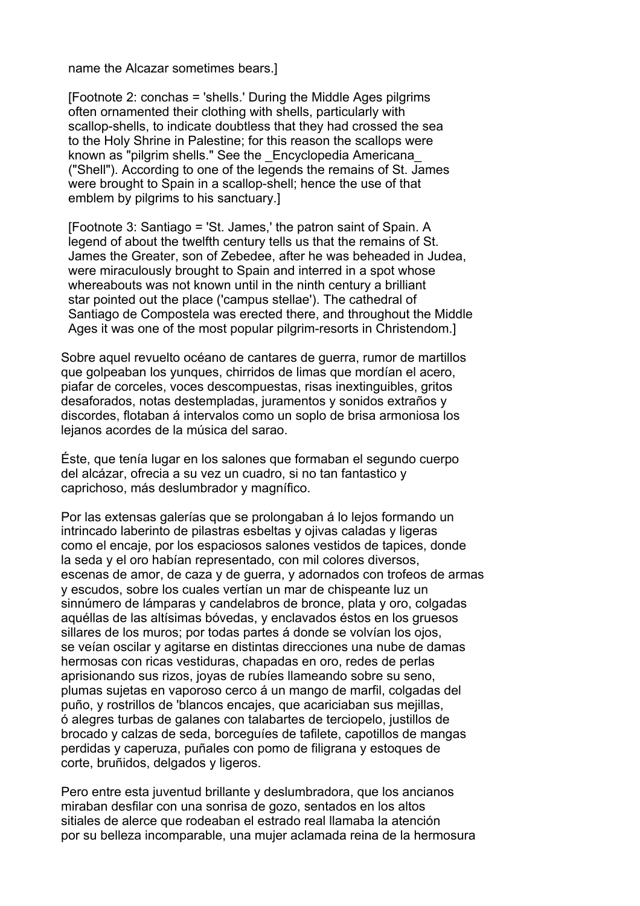name the Alcazar sometimes bears.]

 [Footnote 2: conchas = 'shells.' During the Middle Ages pilgrims often ornamented their clothing with shells, particularly with scallop-shells, to indicate doubtless that they had crossed the sea to the Holy Shrine in Palestine; for this reason the scallops were known as "pilgrim shells." See the Encyclopedia Americana ("Shell"). According to one of the legends the remains of St. James were brought to Spain in a scallop-shell; hence the use of that emblem by pilgrims to his sanctuary.]

 [Footnote 3: Santiago = 'St. James,' the patron saint of Spain. A legend of about the twelfth century tells us that the remains of St. James the Greater, son of Zebedee, after he was beheaded in Judea, were miraculously brought to Spain and interred in a spot whose whereabouts was not known until in the ninth century a brilliant star pointed out the place ('campus stellae'). The cathedral of Santiago de Compostela was erected there, and throughout the Middle Ages it was one of the most popular pilgrim-resorts in Christendom.]

Sobre aquel revuelto océano de cantares de guerra, rumor de martillos que golpeaban los yunques, chirridos de limas que mordían el acero, piafar de corceles, voces descompuestas, risas inextinguibles, gritos desaforados, notas destempladas, juramentos y sonidos extraños y discordes, flotaban á intervalos como un soplo de brisa armoniosa los lejanos acordes de la música del sarao.

Éste, que tenía lugar en los salones que formaban el segundo cuerpo del alcázar, ofrecia a su vez un cuadro, si no tan fantastico y caprichoso, más deslumbrador y magnífico.

Por las extensas galerías que se prolongaban á lo lejos formando un intrincado laberinto de pilastras esbeltas y ojivas caladas y ligeras como el encaje, por los espaciosos salones vestidos de tapices, donde la seda y el oro habían representado, con mil colores diversos, escenas de amor, de caza y de guerra, y adornados con trofeos de armas y escudos, sobre los cuales vertían un mar de chispeante luz un sinnúmero de lámparas y candelabros de bronce, plata y oro, colgadas aquéllas de las altísimas bóvedas, y enclavados éstos en los gruesos sillares de los muros; por todas partes á donde se volvían los ojos, se veían oscilar y agitarse en distintas direcciones una nube de damas hermosas con ricas vestiduras, chapadas en oro, redes de perlas aprisionando sus rizos, joyas de rubíes llameando sobre su seno, plumas sujetas en vaporoso cerco á un mango de marfil, colgadas del puño, y rostrillos de 'blancos encajes, que acariciaban sus mejillas, ó alegres turbas de galanes con talabartes de terciopelo, justillos de brocado y calzas de seda, borceguíes de tafilete, capotillos de mangas perdidas y caperuza, puñales con pomo de filigrana y estoques de corte, bruñidos, delgados y ligeros.

Pero entre esta juventud brillante y deslumbradora, que los ancianos miraban desfilar con una sonrisa de gozo, sentados en los altos sitiales de alerce que rodeaban el estrado real llamaba la atención por su belleza incomparable, una mujer aclamada reina de la hermosura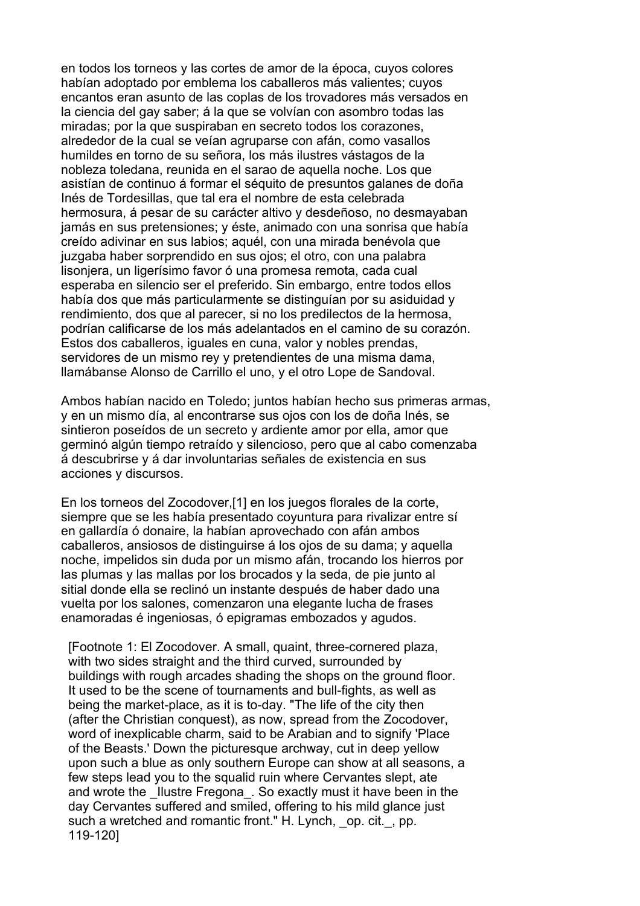en todos los torneos y las cortes de amor de la época, cuyos colores habían adoptado por emblema los caballeros más valientes; cuyos encantos eran asunto de las coplas de los trovadores más versados en la ciencia del gay saber; á la que se volvían con asombro todas las miradas; por la que suspiraban en secreto todos los corazones, alrededor de la cual se veían agruparse con afán, como vasallos humildes en torno de su señora, los más ilustres vástagos de la nobleza toledana, reunida en el sarao de aquella noche. Los que asistían de continuo á formar el séquito de presuntos galanes de doña Inés de Tordesillas, que tal era el nombre de esta celebrada hermosura, á pesar de su carácter altivo y desdeñoso, no desmayaban jamás en sus pretensiones; y éste, animado con una sonrisa que había creído adivinar en sus labios; aquél, con una mirada benévola que juzgaba haber sorprendido en sus ojos; el otro, con una palabra lisonjera, un ligerísimo favor ó una promesa remota, cada cual esperaba en silencio ser el preferido. Sin embargo, entre todos ellos había dos que más particularmente se distinguían por su asiduidad y rendimiento, dos que al parecer, si no los predilectos de la hermosa, podrían calificarse de los más adelantados en el camino de su corazón. Estos dos caballeros, iguales en cuna, valor y nobles prendas, servidores de un mismo rey y pretendientes de una misma dama, llamábanse Alonso de Carrillo el uno, y el otro Lope de Sandoval.

Ambos habían nacido en Toledo; juntos habían hecho sus primeras armas, y en un mismo día, al encontrarse sus ojos con los de doña Inés, se sintieron poseídos de un secreto y ardiente amor por ella, amor que germinó algún tiempo retraído y silencioso, pero que al cabo comenzaba á descubrirse y á dar involuntarias señales de existencia en sus acciones y discursos.

En los torneos del Zocodover,[1] en los juegos florales de la corte, siempre que se les había presentado coyuntura para rivalizar entre sí en gallardía ó donaire, la habían aprovechado con afán ambos caballeros, ansiosos de distinguirse á los ojos de su dama; y aquella noche, impelidos sin duda por un mismo afán, trocando los hierros por las plumas y las mallas por los brocados y la seda, de pie junto al sitial donde ella se reclinó un instante después de haber dado una vuelta por los salones, comenzaron una elegante lucha de frases enamoradas é ingeniosas, ó epigramas embozados y agudos.

 [Footnote 1: El Zocodover. A small, quaint, three-cornered plaza, with two sides straight and the third curved, surrounded by buildings with rough arcades shading the shops on the ground floor. It used to be the scene of tournaments and bull-fights, as well as being the market-place, as it is to-day. "The life of the city then (after the Christian conquest), as now, spread from the Zocodover, word of inexplicable charm, said to be Arabian and to signify 'Place of the Beasts.' Down the picturesque archway, cut in deep yellow upon such a blue as only southern Europe can show at all seasons, a few steps lead you to the squalid ruin where Cervantes slept, ate and wrote the Ilustre Fregona. So exactly must it have been in the day Cervantes suffered and smiled, offering to his mild glance just such a wretched and romantic front." H. Lynch, op. cit., pp. 119-120]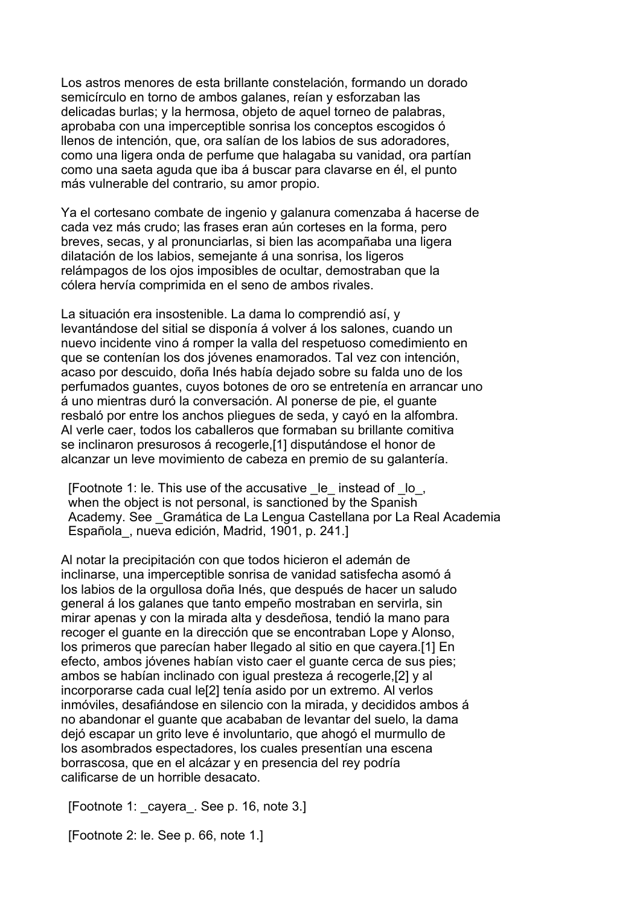Los astros menores de esta brillante constelación, formando un dorado semicírculo en torno de ambos galanes, reían y esforzaban las delicadas burlas; y la hermosa, objeto de aquel torneo de palabras, aprobaba con una imperceptible sonrisa los conceptos escogidos ó llenos de intención, que, ora salían de los labios de sus adoradores, como una ligera onda de perfume que halagaba su vanidad, ora partían como una saeta aguda que iba á buscar para clavarse en él, el punto más vulnerable del contrario, su amor propio.

Ya el cortesano combate de ingenio y galanura comenzaba á hacerse de cada vez más crudo; las frases eran aún corteses en la forma, pero breves, secas, y al pronunciarlas, si bien las acompañaba una ligera dilatación de los labios, semejante á una sonrisa, los ligeros relámpagos de los ojos imposibles de ocultar, demostraban que la cólera hervía comprimida en el seno de ambos rivales.

La situación era insostenible. La dama lo comprendió así, y levantándose del sitial se disponía á volver á los salones, cuando un nuevo incidente vino á romper la valla del respetuoso comedimiento en que se contenían los dos jóvenes enamorados. Tal vez con intención, acaso por descuido, doña Inés había dejado sobre su falda uno de los perfumados guantes, cuyos botones de oro se entretenía en arrancar uno á uno mientras duró la conversación. Al ponerse de pie, el guante resbaló por entre los anchos pliegues de seda, y cayó en la alfombra. Al verle caer, todos los caballeros que formaban su brillante comitiva se inclinaron presurosos á recogerle,[1] disputándose el honor de alcanzar un leve movimiento de cabeza en premio de su galantería.

 [Footnote 1: le. This use of the accusative \_le\_ instead of \_lo\_, when the object is not personal, is sanctioned by the Spanish Academy. See \_Gramática de La Lengua Castellana por La Real Academia Española\_, nueva edición, Madrid, 1901, p. 241.]

Al notar la precipitación con que todos hicieron el ademán de inclinarse, una imperceptible sonrisa de vanidad satisfecha asomó á los labios de la orgullosa doña Inés, que después de hacer un saludo general á los galanes que tanto empeño mostraban en servirla, sin mirar apenas y con la mirada alta y desdeñosa, tendió la mano para recoger el guante en la dirección que se encontraban Lope y Alonso, los primeros que parecían haber llegado al sitio en que cayera.[1] En efecto, ambos jóvenes habían visto caer el guante cerca de sus pies; ambos se habían inclinado con igual presteza á recogerle,[2] y al incorporarse cada cual le[2] tenía asido por un extremo. Al verlos inmóviles, desafiándose en silencio con la mirada, y decididos ambos á no abandonar el guante que acababan de levantar del suelo, la dama dejó escapar un grito leve é involuntario, que ahogó el murmullo de los asombrados espectadores, los cuales presentían una escena borrascosa, que en el alcázar y en presencia del rey podría calificarse de un horrible desacato.

[Footnote 1: \_cayera\_. See p. 16, note 3.]

[Footnote 2: le. See p. 66, note 1.]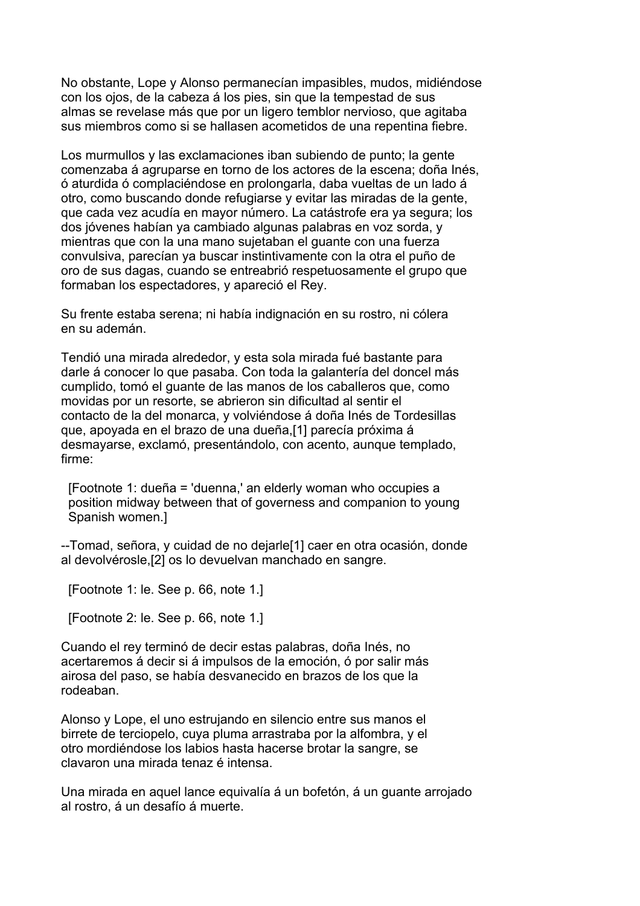No obstante, Lope y Alonso permanecían impasibles, mudos, midiéndose con los ojos, de la cabeza á los pies, sin que la tempestad de sus almas se revelase más que por un ligero temblor nervioso, que agitaba sus miembros como si se hallasen acometidos de una repentina fiebre.

Los murmullos y las exclamaciones iban subiendo de punto; la gente comenzaba á agruparse en torno de los actores de la escena; doña Inés, ó aturdida ó complaciéndose en prolongarla, daba vueltas de un lado á otro, como buscando donde refugiarse y evitar las miradas de la gente, que cada vez acudía en mayor número. La catástrofe era ya segura; los dos jóvenes habían ya cambiado algunas palabras en voz sorda, y mientras que con la una mano sujetaban el guante con una fuerza convulsiva, parecían ya buscar instintivamente con la otra el puño de oro de sus dagas, cuando se entreabrió respetuosamente el grupo que formaban los espectadores, y apareció el Rey.

Su frente estaba serena; ni había indignación en su rostro, ni cólera en su ademán.

Tendió una mirada alrededor, y esta sola mirada fué bastante para darle á conocer lo que pasaba. Con toda la galantería del doncel más cumplido, tomó el guante de las manos de los caballeros que, como movidas por un resorte, se abrieron sin dificultad al sentir el contacto de la del monarca, y volviéndose á doña Inés de Tordesillas que, apoyada en el brazo de una dueña,[1] parecía próxima á desmayarse, exclamó, presentándolo, con acento, aunque templado, firme:

 [Footnote 1: dueña = 'duenna,' an elderly woman who occupies a position midway between that of governess and companion to young Spanish women.]

--Tomad, señora, y cuidad de no dejarle[1] caer en otra ocasión, donde al devolvérosle,[2] os lo devuelvan manchado en sangre.

[Footnote 1: le. See p. 66, note 1.]

[Footnote 2: le. See p. 66, note 1.]

Cuando el rey terminó de decir estas palabras, doña Inés, no acertaremos á decir si á impulsos de la emoción, ó por salir más airosa del paso, se había desvanecido en brazos de los que la rodeaban.

Alonso y Lope, el uno estrujando en silencio entre sus manos el birrete de terciopelo, cuya pluma arrastraba por la alfombra, y el otro mordiéndose los labios hasta hacerse brotar la sangre, se clavaron una mirada tenaz é intensa.

Una mirada en aquel lance equivalía á un bofetón, á un guante arrojado al rostro, á un desafío á muerte.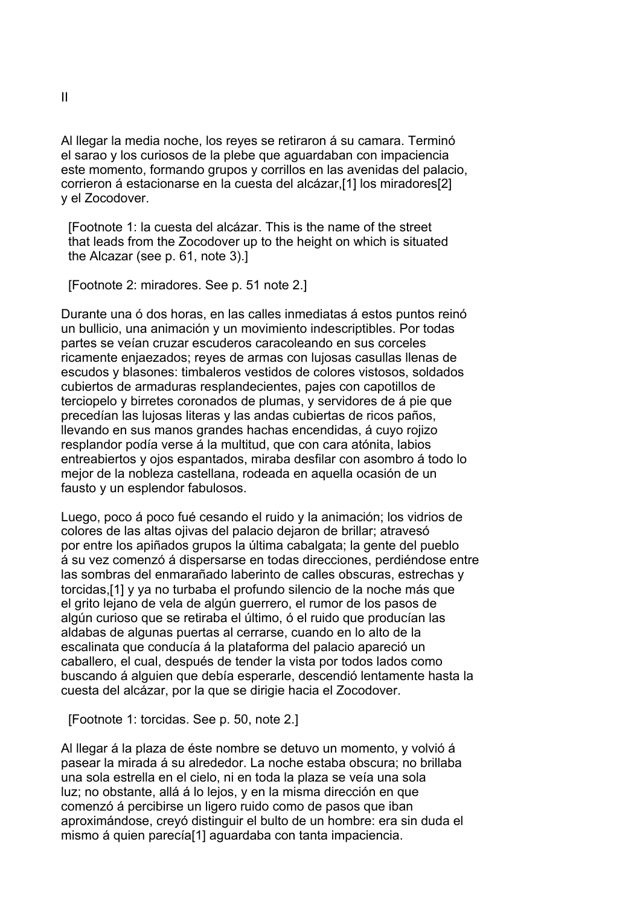Al llegar la media noche, los reyes se retiraron á su camara. Terminó el sarao y los curiosos de la plebe que aguardaban con impaciencia este momento, formando grupos y corrillos en las avenidas del palacio, corrieron á estacionarse en la cuesta del alcázar,[1] los miradores[2] y el Zocodover.

 [Footnote 1: la cuesta del alcázar. This is the name of the street that leads from the Zocodover up to the height on which is situated the Alcazar (see p. 61, note 3).]

[Footnote 2: miradores. See p. 51 note 2.]

Durante una ó dos horas, en las calles inmediatas á estos puntos reinó un bullicio, una animación y un movimiento indescriptibles. Por todas partes se veían cruzar escuderos caracoleando en sus corceles ricamente enjaezados; reyes de armas con lujosas casullas llenas de escudos y blasones: timbaleros vestidos de colores vistosos, soldados cubiertos de armaduras resplandecientes, pajes con capotillos de terciopelo y birretes coronados de plumas, y servidores de á pie que precedían las lujosas literas y las andas cubiertas de ricos paños, llevando en sus manos grandes hachas encendidas, á cuyo rojizo resplandor podía verse á la multitud, que con cara atónita, labios entreabiertos y ojos espantados, miraba desfilar con asombro á todo lo mejor de la nobleza castellana, rodeada en aquella ocasión de un fausto y un esplendor fabulosos.

Luego, poco á poco fué cesando el ruido y la animación; los vidrios de colores de las altas ojivas del palacio dejaron de brillar; atravesó por entre los apiñados grupos la última cabalgata; la gente del pueblo á su vez comenzó á dispersarse en todas direcciones, perdiéndose entre las sombras del enmarañado laberinto de calles obscuras, estrechas y torcidas,[1] y ya no turbaba el profundo silencio de la noche más que el grito lejano de vela de algún guerrero, el rumor de los pasos de algún curioso que se retiraba el último, ó el ruido que producían las aldabas de algunas puertas al cerrarse, cuando en lo alto de la escalinata que conducía á la plataforma del palacio apareció un caballero, el cual, después de tender la vista por todos lados como buscando á alguien que debía esperarle, descendió lentamente hasta la cuesta del alcázar, por la que se dirigie hacia el Zocodover.

[Footnote 1: torcidas. See p. 50, note 2.]

Al llegar á la plaza de éste nombre se detuvo un momento, y volvió á pasear la mirada á su alrededor. La noche estaba obscura; no brillaba una sola estrella en el cielo, ni en toda la plaza se veía una sola luz; no obstante, allá á lo lejos, y en la misma dirección en que comenzó á percibirse un ligero ruido como de pasos que iban aproximándose, creyó distinguir el bulto de un hombre: era sin duda el mismo á quien parecía[1] aguardaba con tanta impaciencia.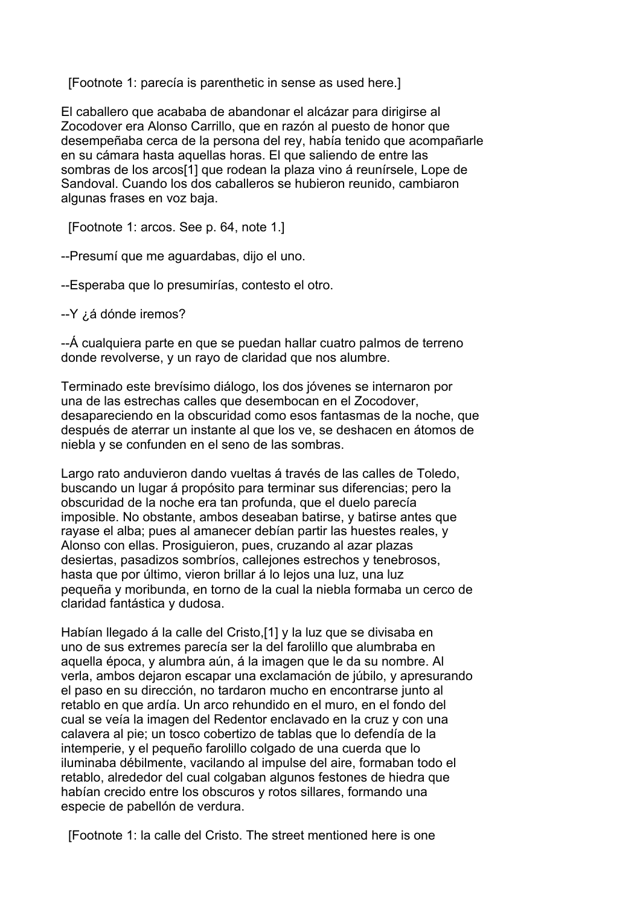[Footnote 1: parecía is parenthetic in sense as used here.]

El caballero que acababa de abandonar el alcázar para dirigirse al Zocodover era Alonso Carrillo, que en razón al puesto de honor que desempeñaba cerca de la persona del rey, había tenido que acompañarle en su cámara hasta aquellas horas. El que saliendo de entre las sombras de los arcos[1] que rodean la plaza vino á reunírsele, Lope de Sandoval. Cuando los dos caballeros se hubieron reunido, cambiaron algunas frases en voz baja.

[Footnote 1: arcos. See p. 64, note 1.]

--Presumí que me aguardabas, dijo el uno.

--Esperaba que lo presumirías, contesto el otro.

--Y ¿á dónde iremos?

--Á cualquiera parte en que se puedan hallar cuatro palmos de terreno donde revolverse, y un rayo de claridad que nos alumbre.

Terminado este brevísimo diálogo, los dos jóvenes se internaron por una de las estrechas calles que desembocan en el Zocodover, desapareciendo en la obscuridad como esos fantasmas de la noche, que después de aterrar un instante al que los ve, se deshacen en átomos de niebla y se confunden en el seno de las sombras.

Largo rato anduvieron dando vueltas á través de las calles de Toledo, buscando un lugar á propósito para terminar sus diferencias; pero la obscuridad de la noche era tan profunda, que el duelo parecía imposible. No obstante, ambos deseaban batirse, y batirse antes que rayase el alba; pues al amanecer debían partir las huestes reales, y Alonso con ellas. Prosiguieron, pues, cruzando al azar plazas desiertas, pasadizos sombríos, callejones estrechos y tenebrosos, hasta que por último, vieron brillar á lo lejos una luz, una luz pequeña y moribunda, en torno de la cual la niebla formaba un cerco de claridad fantástica y dudosa.

Habían llegado á la calle del Cristo,[1] y la luz que se divisaba en uno de sus extremes parecía ser la del farolillo que alumbraba en aquella época, y alumbra aún, á la imagen que le da su nombre. Al verla, ambos dejaron escapar una exclamación de júbilo, y apresurando el paso en su dirección, no tardaron mucho en encontrarse junto al retablo en que ardía. Un arco rehundido en el muro, en el fondo del cual se veía la imagen del Redentor enclavado en la cruz y con una calavera al pie; un tosco cobertizo de tablas que lo defendía de la intemperie, y el pequeño farolillo colgado de una cuerda que lo iluminaba débilmente, vacilando al impulse del aire, formaban todo el retablo, alrededor del cual colgaban algunos festones de hiedra que habían crecido entre los obscuros y rotos sillares, formando una especie de pabellón de verdura.

[Footnote 1: la calle del Cristo. The street mentioned here is one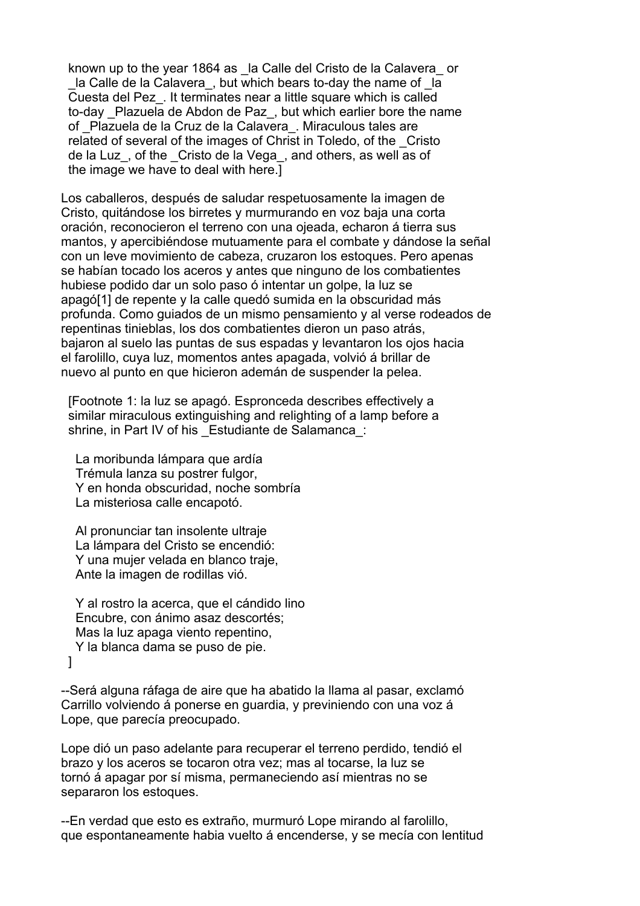known up to the year 1864 as la Calle del Cristo de la Calavera or la Calle de la Calavera, but which bears to-day the name of la Cuesta del Pez\_. It terminates near a little square which is called to-day Plazuela de Abdon de Paz, but which earlier bore the name of \_Plazuela de la Cruz de la Calavera\_. Miraculous tales are related of several of the images of Christ in Toledo, of the \_Cristo de la Luz\_, of the \_Cristo de la Vega\_, and others, as well as of the image we have to deal with here.]

Los caballeros, después de saludar respetuosamente la imagen de Cristo, quitándose los birretes y murmurando en voz baja una corta oración, reconocieron el terreno con una ojeada, echaron á tierra sus mantos, y apercibiéndose mutuamente para el combate y dándose la señal con un leve movimiento de cabeza, cruzaron los estoques. Pero apenas se habían tocado los aceros y antes que ninguno de los combatientes hubiese podido dar un solo paso ó intentar un golpe, la luz se apagó[1] de repente y la calle quedó sumida en la obscuridad más profunda. Como guiados de un mismo pensamiento y al verse rodeados de repentinas tinieblas, los dos combatientes dieron un paso atrás, bajaron al suelo las puntas de sus espadas y levantaron los ojos hacia el farolillo, cuya luz, momentos antes apagada, volvió á brillar de nuevo al punto en que hicieron ademán de suspender la pelea.

 [Footnote 1: la luz se apagó. Espronceda describes effectively a similar miraculous extinguishing and relighting of a lamp before a shrine, in Part IV of his Estudiante de Salamanca :

 La moribunda lámpara que ardía Trémula lanza su postrer fulgor, Y en honda obscuridad, noche sombría La misteriosa calle encapotó.

 Al pronunciar tan insolente ultraje La lámpara del Cristo se encendió: Y una mujer velada en blanco traje, Ante la imagen de rodillas vió.

 Y al rostro la acerca, que el cándido lino Encubre, con ánimo asaz descortés; Mas la luz apaga viento repentino, Y la blanca dama se puso de pie. ]

--Será alguna ráfaga de aire que ha abatido la llama al pasar, exclamó Carrillo volviendo á ponerse en guardia, y previniendo con una voz á Lope, que parecía preocupado.

Lope dió un paso adelante para recuperar el terreno perdido, tendió el brazo y los aceros se tocaron otra vez; mas al tocarse, la luz se tornó á apagar por sí misma, permaneciendo así mientras no se separaron los estoques.

--En verdad que esto es extraño, murmuró Lope mirando al farolillo, que espontaneamente habia vuelto á encenderse, y se mecía con lentitud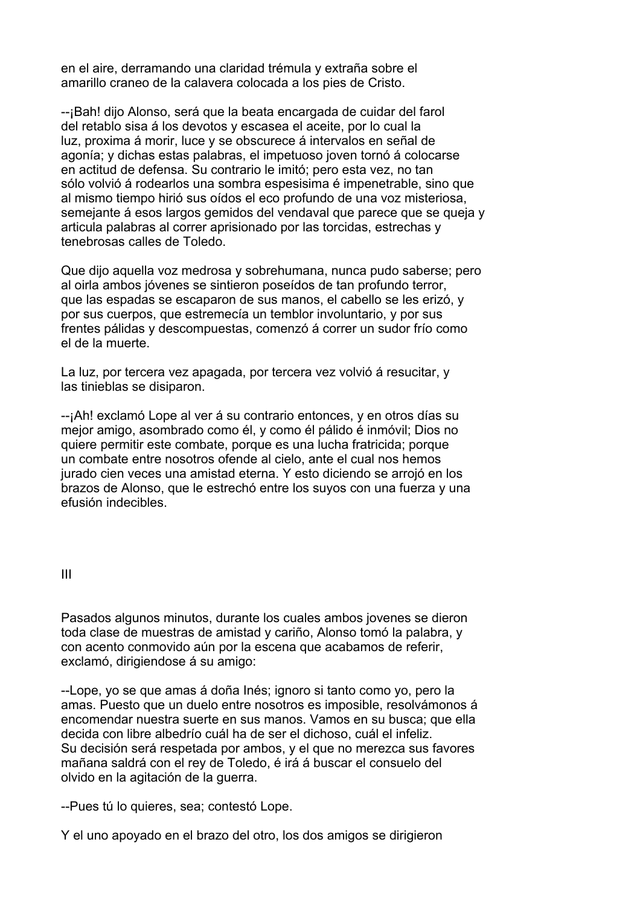en el aire, derramando una claridad trémula y extraña sobre el amarillo craneo de la calavera colocada a los pies de Cristo.

--¡Bah! dijo Alonso, será que la beata encargada de cuidar del farol del retablo sisa á los devotos y escasea el aceite, por lo cual la luz, proxima á morir, luce y se obscurece á intervalos en señal de agonía; y dichas estas palabras, el impetuoso joven tornó á colocarse en actitud de defensa. Su contrario le imitó; pero esta vez, no tan sólo volvió á rodearlos una sombra espesisima é impenetrable, sino que al mismo tiempo hirió sus oídos el eco profundo de una voz misteriosa, semejante á esos largos gemidos del vendaval que parece que se queja y articula palabras al correr aprisionado por las torcidas, estrechas y tenebrosas calles de Toledo.

Que dijo aquella voz medrosa y sobrehumana, nunca pudo saberse; pero al oirla ambos jóvenes se sintieron poseídos de tan profundo terror, que las espadas se escaparon de sus manos, el cabello se les erizó, y por sus cuerpos, que estremecía un temblor involuntario, y por sus frentes pálidas y descompuestas, comenzó á correr un sudor frío como el de la muerte.

La luz, por tercera vez apagada, por tercera vez volvió á resucitar, y las tinieblas se disiparon.

--¡Ah! exclamó Lope al ver á su contrario entonces, y en otros días su mejor amigo, asombrado como él, y como él pálido é inmóvil; Dios no quiere permitir este combate, porque es una lucha fratricida; porque un combate entre nosotros ofende al cielo, ante el cual nos hemos jurado cien veces una amistad eterna. Y esto diciendo se arrojó en los brazos de Alonso, que le estrechó entre los suyos con una fuerza y una efusión indecibles.

III

Pasados algunos minutos, durante los cuales ambos jovenes se dieron toda clase de muestras de amistad y cariño, Alonso tomó la palabra, y con acento conmovido aún por la escena que acabamos de referir, exclamó, dirigiendose á su amigo:

--Lope, yo se que amas á doña Inés; ignoro si tanto como yo, pero la amas. Puesto que un duelo entre nosotros es imposible, resolvámonos á encomendar nuestra suerte en sus manos. Vamos en su busca; que ella decida con libre albedrío cuál ha de ser el dichoso, cuál el infeliz. Su decisión será respetada por ambos, y el que no merezca sus favores mañana saldrá con el rey de Toledo, é irá á buscar el consuelo del olvido en la agitación de la guerra.

--Pues tú lo quieres, sea; contestó Lope.

Y el uno apoyado en el brazo del otro, los dos amigos se dirigieron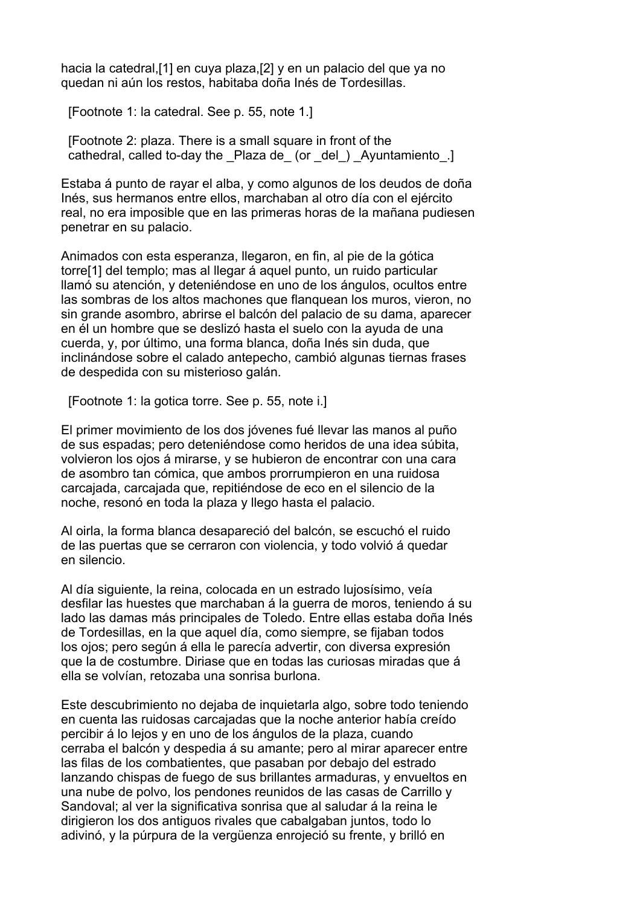hacia la catedral,[1] en cuya plaza,[2] y en un palacio del que ya no quedan ni aún los restos, habitaba doña Inés de Tordesillas.

[Footnote 1: la catedral. See p. 55, note 1.]

 [Footnote 2: plaza. There is a small square in front of the cathedral, called to-day the Plaza de (or del) Ayuntamiento.]

Estaba á punto de rayar el alba, y como algunos de los deudos de doña Inés, sus hermanos entre ellos, marchaban al otro día con el ejército real, no era imposible que en las primeras horas de la mañana pudiesen penetrar en su palacio.

Animados con esta esperanza, llegaron, en fin, al pie de la gótica torre[1] del templo; mas al llegar á aquel punto, un ruido particular llamó su atención, y deteniéndose en uno de los ángulos, ocultos entre las sombras de los altos machones que flanquean los muros, vieron, no sin grande asombro, abrirse el balcón del palacio de su dama, aparecer en él un hombre que se deslizó hasta el suelo con la ayuda de una cuerda, y, por último, una forma blanca, doña Inés sin duda, que inclinándose sobre el calado antepecho, cambió algunas tiernas frases de despedida con su misterioso galán.

[Footnote 1: la gotica torre. See p. 55, note i.]

El primer movimiento de los dos jóvenes fué llevar las manos al puño de sus espadas; pero deteniéndose como heridos de una idea súbita, volvieron los ojos á mirarse, y se hubieron de encontrar con una cara de asombro tan cómica, que ambos prorrumpieron en una ruidosa carcajada, carcajada que, repitiéndose de eco en el silencio de la noche, resonó en toda la plaza y llego hasta el palacio.

Al oirla, la forma blanca desapareció del balcón, se escuchó el ruido de las puertas que se cerraron con violencia, y todo volvió á quedar en silencio.

Al día siguiente, la reina, colocada en un estrado lujosísimo, veía desfilar las huestes que marchaban á la guerra de moros, teniendo á su lado las damas más principales de Toledo. Entre ellas estaba doña Inés de Tordesillas, en la que aquel día, como siempre, se fijaban todos los ojos; pero según á ella le parecía advertir, con diversa expresión que la de costumbre. Diriase que en todas las curiosas miradas que á ella se volvían, retozaba una sonrisa burlona.

Este descubrimiento no dejaba de inquietarla algo, sobre todo teniendo en cuenta las ruidosas carcajadas que la noche anterior había creído percibir á lo lejos y en uno de los ángulos de la plaza, cuando cerraba el balcón y despedia á su amante; pero al mirar aparecer entre las filas de los combatientes, que pasaban por debajo del estrado lanzando chispas de fuego de sus brillantes armaduras, y envueltos en una nube de polvo, los pendones reunidos de las casas de Carrillo y Sandoval; al ver la significativa sonrisa que al saludar á la reina le dirigieron los dos antiguos rivales que cabalgaban juntos, todo lo adivinó, y la púrpura de la vergüenza enrojeció su frente, y brilló en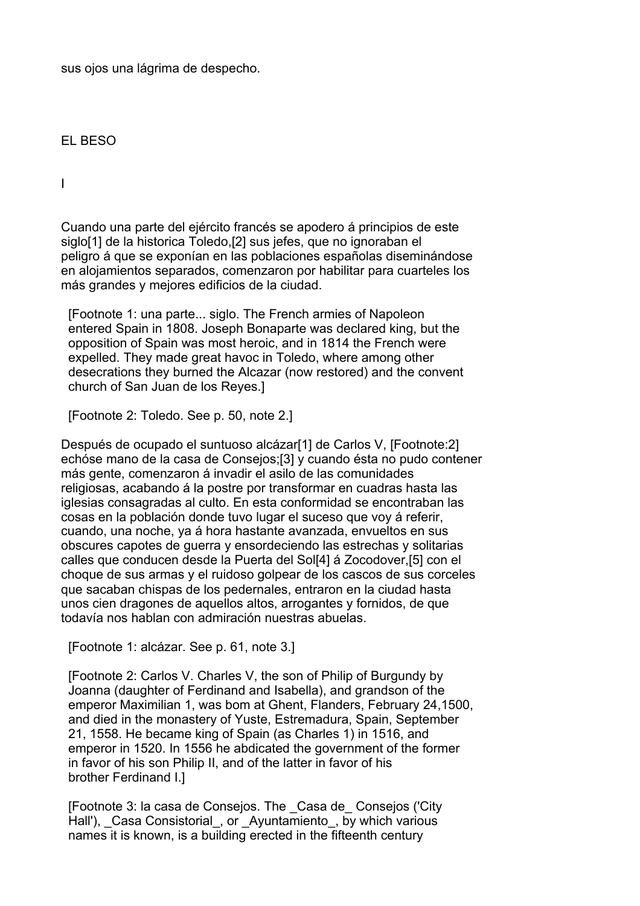sus ojos una lágrima de despecho.

EL BESO

I

Cuando una parte del ejército francés se apodero á principios de este siglo<sup>[1]</sup> de la historica Toledo,<sup>[2]</sup> sus jefes, que no ignoraban el peligro á que se exponían en las poblaciones españolas diseminándose en alojamientos separados, comenzaron por habilitar para cuarteles los más grandes y mejores edificios de la ciudad.

 [Footnote 1: una parte... siglo. The French armies of Napoleon entered Spain in 1808. Joseph Bonaparte was declared king, but the opposition of Spain was most heroic, and in 1814 the French were expelled. They made great havoc in Toledo, where among other desecrations they burned the Alcazar (now restored) and the convent church of San Juan de los Reyes.]

[Footnote 2: Toledo. See p. 50, note 2.]

Después de ocupado el suntuoso alcázar[1] de Carlos V, [Footnote:2] echóse mano de la casa de Consejos;[3] y cuando ésta no pudo contener más gente, comenzaron á invadir el asilo de las comunidades religiosas, acabando á la postre por transformar en cuadras hasta las iglesias consagradas al culto. En esta conformidad se encontraban las cosas en la población donde tuvo lugar el suceso que voy á referir, cuando, una noche, ya á hora hastante avanzada, envueltos en sus obscures capotes de guerra y ensordeciendo las estrechas y solitarias calles que conducen desde la Puerta del Sol[4] á Zocodover,[5] con el choque de sus armas y el ruidoso golpear de los cascos de sus corceles que sacaban chispas de los pedernales, entraron en la ciudad hasta unos cien dragones de aquellos altos, arrogantes y fornidos, de que todavía nos hablan con admiración nuestras abuelas.

[Footnote 1: alcázar. See p. 61, note 3.]

 [Footnote 2: Carlos V. Charles V, the son of Philip of Burgundy by Joanna (daughter of Ferdinand and Isabella), and grandson of the emperor Maximilian 1, was bom at Ghent, Flanders, February 24,1500, and died in the monastery of Yuste, Estremadura, Spain, September 21, 1558. He became king of Spain (as Charles 1) in 1516, and emperor in 1520. In 1556 he abdicated the government of the former in favor of his son Philip II, and of the latter in favor of his brother Ferdinand I.]

 [Footnote 3: la casa de Consejos. The \_Casa de\_ Consejos ('City Hall'), Casa Consistorial, or Ayuntamiento, by which various names it is known, is a building erected in the fifteenth century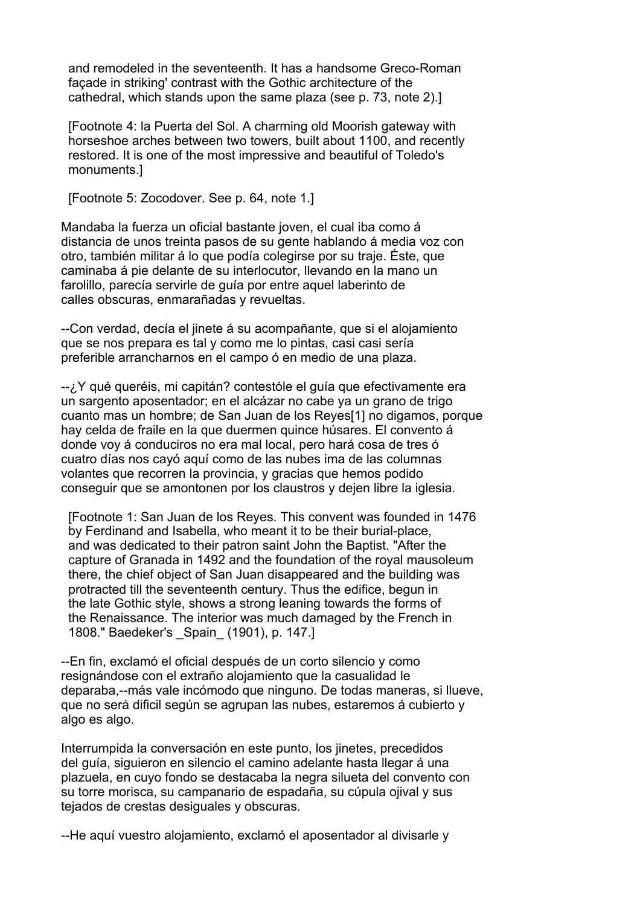and remodeled in the seventeenth. It has a handsome Greco-Roman façade in striking' contrast with the Gothic architecture of the cathedral, which stands upon the same plaza (see p. 73, note 2).]

 [Footnote 4: la Puerta del Sol. A charming old Moorish gateway with horseshoe arches between two towers, built about 1100, and recently restored. It is one of the most impressive and beautiful of Toledo's monuments.]

[Footnote 5: Zocodover. See p. 64, note 1.]

Mandaba la fuerza un oficial bastante joven, el cual iba como á distancia de unos treinta pasos de su gente hablando á media voz con otro, también militar á lo que podía colegirse por su traje. Éste, que caminaba á pie delante de su interlocutor, llevando en la mano un farolillo, parecía servirle de guía por entre aquel laberinto de calles obscuras, enmarañadas y revueltas.

--Con verdad, decía el jinete á su acompañante, que si el alojamiento que se nos prepara es tal y como me lo pintas, casi casi sería preferible arrancharnos en el campo ó en medio de una plaza.

--¿Y qué queréis, mi capitán? contestóle el guía que efectivamente era un sargento aposentador; en el alcázar no cabe ya un grano de trigo cuanto mas un hombre; de San Juan de los Reyes[1] no digamos, porque hay celda de fraile en la que duermen quince húsares. El convento á donde voy á conduciros no era mal local, pero hará cosa de tres ó cuatro días nos cayó aquí como de las nubes ima de las columnas volantes que recorren la provincia, y gracias que hemos podido conseguir que se amontonen por los claustros y dejen libre la iglesia.

 [Footnote 1: San Juan de los Reyes. This convent was founded in 1476 by Ferdinand and Isabella, who meant it to be their burial-place, and was dedicated to their patron saint John the Baptist. "After the capture of Granada in 1492 and the foundation of the royal mausoleum there, the chief object of San Juan disappeared and the building was protracted till the seventeenth century. Thus the edifice, begun in the late Gothic style, shows a strong leaning towards the forms of the Renaissance. The interior was much damaged by the French in 1808." Baedeker's \_Spain\_ (1901), p. 147.]

--En fin, exclamó el oficial después de un corto silencio y como resignándose con el extraño alojamiento que la casualidad le deparaba,--más vale incómodo que ninguno. De todas maneras, si llueve, que no será dificil según se agrupan las nubes, estaremos á cubierto y algo es algo.

Interrumpida la conversación en este punto, los jinetes, precedidos del guía, siguieron en silencio el camino adelante hasta llegar á una plazuela, en cuyo fondo se destacaba la negra silueta del convento con su torre morisca, su campanario de espadaña, su cúpula ojival y sus tejados de crestas desiguales y obscuras.

--He aquí vuestro alojamiento, exclamó el aposentador al divisarle y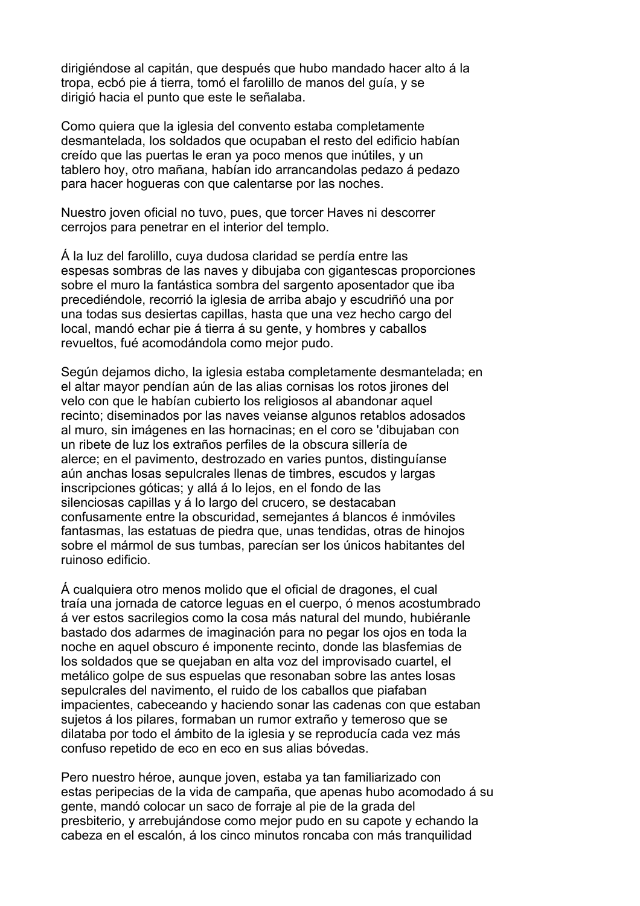dirigiéndose al capitán, que después que hubo mandado hacer alto á la tropa, ecbó pie á tierra, tomó el farolillo de manos del guía, y se dirigió hacia el punto que este le señalaba.

Como quiera que la iglesia del convento estaba completamente desmantelada, los soldados que ocupaban el resto del edificio habían creído que las puertas le eran ya poco menos que inútiles, y un tablero hoy, otro mañana, habían ido arrancandolas pedazo á pedazo para hacer hogueras con que calentarse por las noches.

Nuestro joven oficial no tuvo, pues, que torcer Haves ni descorrer cerrojos para penetrar en el interior del templo.

Á la luz del farolillo, cuya dudosa claridad se perdía entre las espesas sombras de las naves y dibujaba con gigantescas proporciones sobre el muro la fantástica sombra del sargento aposentador que iba precediéndole, recorrió la iglesia de arriba abajo y escudriñó una por una todas sus desiertas capillas, hasta que una vez hecho cargo del local, mandó echar pie á tierra á su gente, y hombres y caballos revueltos, fué acomodándola como mejor pudo.

Según dejamos dicho, la iglesia estaba completamente desmantelada; en el altar mayor pendían aún de las alias cornisas los rotos jirones del velo con que le habían cubierto los religiosos al abandonar aquel recinto; diseminados por las naves veianse algunos retablos adosados al muro, sin imágenes en las hornacinas; en el coro se 'dibujaban con un ribete de luz los extraños perfiles de la obscura sillería de alerce; en el pavimento, destrozado en varies puntos, distinguíanse aún anchas losas sepulcrales llenas de timbres, escudos y largas inscripciones góticas; y allá á lo lejos, en el fondo de las silenciosas capillas y á lo largo del crucero, se destacaban confusamente entre la obscuridad, semejantes á blancos é inmóviles fantasmas, las estatuas de piedra que, unas tendidas, otras de hinojos sobre el mármol de sus tumbas, parecían ser los únicos habitantes del ruinoso edificio.

Á cualquiera otro menos molido que el oficial de dragones, el cual traía una jornada de catorce leguas en el cuerpo, ó menos acostumbrado á ver estos sacrilegios como la cosa más natural del mundo, hubiéranle bastado dos adarmes de imaginación para no pegar los ojos en toda la noche en aquel obscuro é imponente recinto, donde las blasfemias de los soldados que se quejaban en alta voz del improvisado cuartel, el metálico golpe de sus espuelas que resonaban sobre las antes losas sepulcrales del navimento, el ruido de los caballos que piafaban impacientes, cabeceando y haciendo sonar las cadenas con que estaban sujetos á los pilares, formaban un rumor extraño y temeroso que se dilataba por todo el ámbito de la iglesia y se reproducía cada vez más confuso repetido de eco en eco en sus alias bóvedas.

Pero nuestro héroe, aunque joven, estaba ya tan familiarizado con estas peripecias de la vida de campaña, que apenas hubo acomodado á su gente, mandó colocar un saco de forraje al pie de la grada del presbiterio, y arrebujándose como mejor pudo en su capote y echando la cabeza en el escalón, á los cinco minutos roncaba con más tranquilidad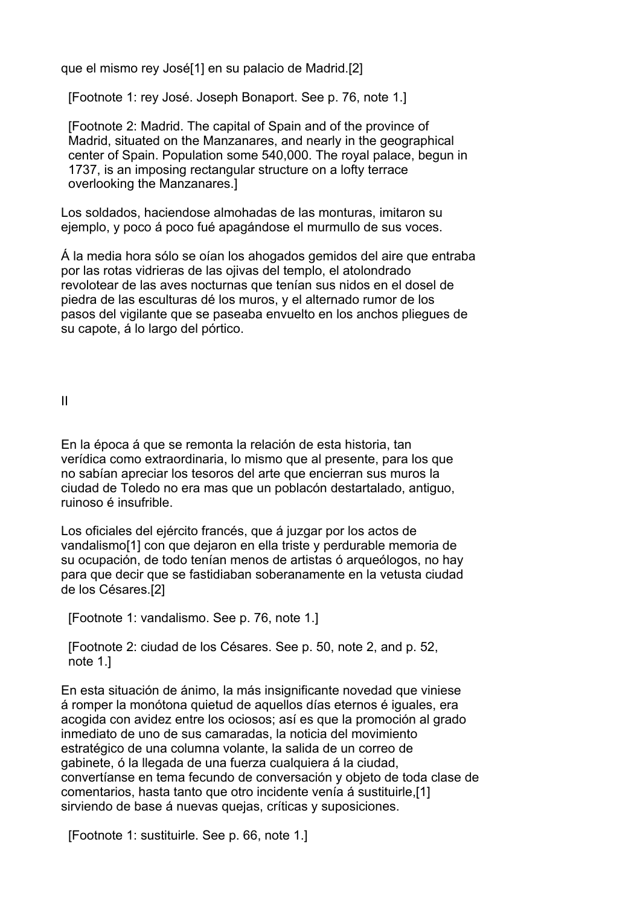que el mismo rey José[1] en su palacio de Madrid.[2]

[Footnote 1: rey José. Joseph Bonaport. See p. 76, note 1.]

 [Footnote 2: Madrid. The capital of Spain and of the province of Madrid, situated on the Manzanares, and nearly in the geographical center of Spain. Population some 540,000. The royal palace, begun in 1737, is an imposing rectangular structure on a lofty terrace overlooking the Manzanares.]

Los soldados, haciendose almohadas de las monturas, imitaron su ejemplo, y poco á poco fué apagándose el murmullo de sus voces.

Á la media hora sólo se oían los ahogados gemidos del aire que entraba por las rotas vidrieras de las ojivas del templo, el atolondrado revolotear de las aves nocturnas que tenían sus nidos en el dosel de piedra de las esculturas dé los muros, y el alternado rumor de los pasos del vigilante que se paseaba envuelto en los anchos pliegues de su capote, á lo largo del pórtico.

II

En la época á que se remonta la relación de esta historia, tan verídica como extraordinaria, lo mismo que al presente, para los que no sabían apreciar los tesoros del arte que encierran sus muros la ciudad de Toledo no era mas que un poblacón destartalado, antiguo, ruinoso é insufrible.

Los oficiales del ejército francés, que á juzgar por los actos de vandalismo[1] con que dejaron en ella triste y perdurable memoria de su ocupación, de todo tenían menos de artistas ó arqueólogos, no hay para que decir que se fastidiaban soberanamente en la vetusta ciudad de los Césares.[2]

[Footnote 1: vandalismo. See p. 76, note 1.]

 [Footnote 2: ciudad de los Césares. See p. 50, note 2, and p. 52, note 1.]

En esta situación de ánimo, la más insignificante novedad que viniese á romper la monótona quietud de aquellos días eternos é iguales, era acogida con avidez entre los ociosos; así es que la promoción al grado inmediato de uno de sus camaradas, la noticia del movimiento estratégico de una columna volante, la salida de un correo de gabinete, ó la llegada de una fuerza cualquiera á la ciudad, convertíanse en tema fecundo de conversación y objeto de toda clase de comentarios, hasta tanto que otro incidente venía á sustituirle,[1] sirviendo de base á nuevas quejas, críticas y suposiciones.

[Footnote 1: sustituirle. See p. 66, note 1.]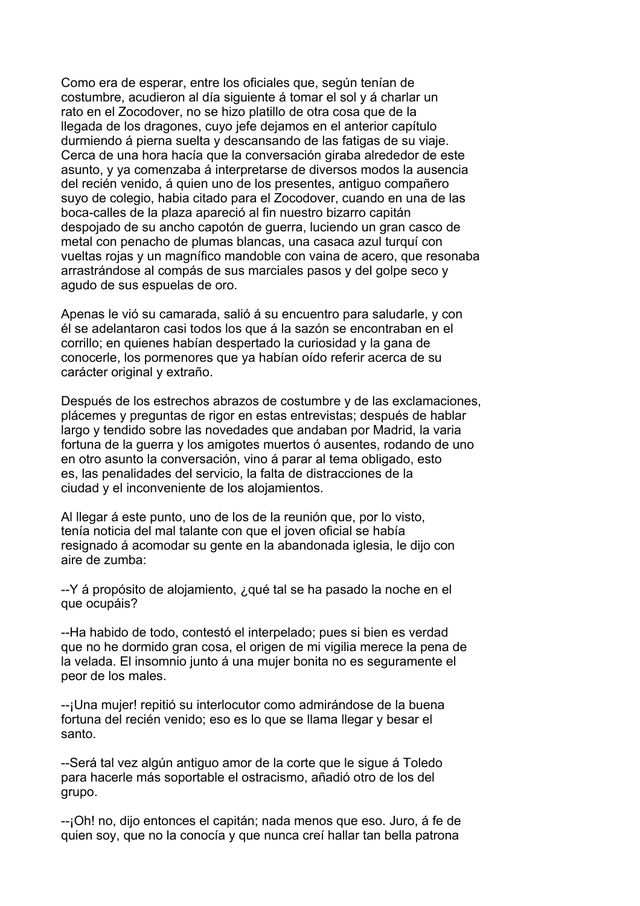Como era de esperar, entre los oficiales que, según tenían de costumbre, acudieron al día siguiente á tomar el sol y á charlar un rato en el Zocodover, no se hizo platillo de otra cosa que de la llegada de los dragones, cuyo jefe dejamos en el anterior capítulo durmiendo á pierna suelta y descansando de las fatigas de su viaje. Cerca de una hora hacía que la conversación giraba alrededor de este asunto, y ya comenzaba á interpretarse de diversos modos la ausencia del recién venido, á quien uno de los presentes, antiguo compañero suyo de colegio, habia citado para el Zocodover, cuando en una de las boca-calles de la plaza apareció al fin nuestro bizarro capitán despojado de su ancho capotón de guerra, luciendo un gran casco de metal con penacho de plumas blancas, una casaca azul turquí con vueltas rojas y un magnífico mandoble con vaina de acero, que resonaba arrastrándose al compás de sus marciales pasos y del golpe seco y agudo de sus espuelas de oro.

Apenas le vió su camarada, salió á su encuentro para saludarle, y con él se adelantaron casi todos los que á la sazón se encontraban en el corrillo; en quienes habían despertado la curiosidad y la gana de conocerle, los pormenores que ya habían oído referir acerca de su carácter original y extraño.

Después de los estrechos abrazos de costumbre y de las exclamaciones, plácemes y preguntas de rigor en estas entrevistas; después de hablar largo y tendido sobre las novedades que andaban por Madrid, la varia fortuna de la guerra y los amigotes muertos ó ausentes, rodando de uno en otro asunto la conversación, vino á parar al tema obligado, esto es, las penalidades del servicio, la falta de distracciones de la ciudad y el inconveniente de los alojamientos.

Al llegar á este punto, uno de los de la reunión que, por lo visto, tenía noticia del mal talante con que el joven oficial se había resignado á acomodar su gente en la abandonada iglesia, le dijo con aire de zumba:

--Y á propósito de alojamiento, ¿qué tal se ha pasado la noche en el que ocupáis?

--Ha habido de todo, contestó el interpelado; pues si bien es verdad que no he dormido gran cosa, el origen de mi vigilia merece la pena de la velada. El insomnio junto á una mujer bonita no es seguramente el peor de los males.

--¡Una mujer! repitió su interlocutor como admirándose de la buena fortuna del recién venido; eso es lo que se llama llegar y besar el santo.

--Será tal vez algún antiguo amor de la corte que le sigue á Toledo para hacerle más soportable el ostracismo, añadió otro de los del grupo.

--¡Oh! no, dijo entonces el capitán; nada menos que eso. Juro, á fe de quien soy, que no la conocía y que nunca creí hallar tan bella patrona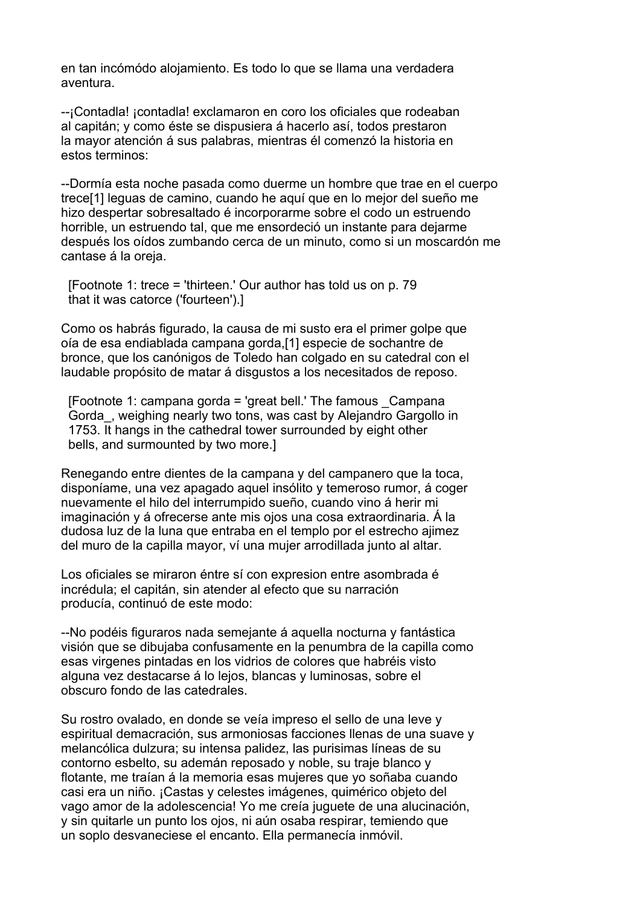en tan incómódo alojamiento. Es todo lo que se llama una verdadera aventura.

--¡Contadla! ¡contadla! exclamaron en coro los oficiales que rodeaban al capitán; y como éste se dispusiera á hacerlo así, todos prestaron la mayor atención á sus palabras, mientras él comenzó la historia en estos terminos:

--Dormía esta noche pasada como duerme un hombre que trae en el cuerpo trece[1] leguas de camino, cuando he aquí que en lo mejor del sueño me hizo despertar sobresaltado é incorporarme sobre el codo un estruendo horrible, un estruendo tal, que me ensordeció un instante para dejarme después los oídos zumbando cerca de un minuto, como si un moscardón me cantase á la oreja.

 [Footnote 1: trece = 'thirteen.' Our author has told us on p. 79 that it was catorce ('fourteen').]

Como os habrás figurado, la causa de mi susto era el primer golpe que oía de esa endiablada campana gorda,[1] especie de sochantre de bronce, que los canónigos de Toledo han colgado en su catedral con el laudable propósito de matar á disgustos a los necesitados de reposo.

 [Footnote 1: campana gorda = 'great bell.' The famous \_Campana Gorda\_, weighing nearly two tons, was cast by Alejandro Gargollo in 1753. It hangs in the cathedral tower surrounded by eight other bells, and surmounted by two more.]

Renegando entre dientes de la campana y del campanero que la toca, disponíame, una vez apagado aquel insólito y temeroso rumor, á coger nuevamente el hilo del interrumpido sueño, cuando vino á herir mi imaginación y á ofrecerse ante mis ojos una cosa extraordinaria. Á la dudosa luz de la luna que entraba en el templo por el estrecho ajimez del muro de la capilla mayor, ví una mujer arrodillada junto al altar.

Los oficiales se miraron éntre sí con expresion entre asombrada é incrédula; el capitán, sin atender al efecto que su narración producía, continuó de este modo:

--No podéis figuraros nada semejante á aquella nocturna y fantástica visión que se dibujaba confusamente en la penumbra de la capilla como esas virgenes pintadas en los vidrios de colores que habréis visto alguna vez destacarse á lo lejos, blancas y luminosas, sobre el obscuro fondo de las catedrales.

Su rostro ovalado, en donde se veía impreso el sello de una leve y espiritual demacración, sus armoniosas facciones llenas de una suave y melancólica dulzura; su intensa palidez, las purisimas líneas de su contorno esbelto, su ademán reposado y noble, su traje blanco y flotante, me traían á la memoria esas mujeres que yo soñaba cuando casi era un niño. ¡Castas y celestes imágenes, quimérico objeto del vago amor de la adolescencia! Yo me creía juguete de una alucinación, y sin quitarle un punto los ojos, ni aún osaba respirar, temiendo que un soplo desvaneciese el encanto. Ella permanecía inmóvil.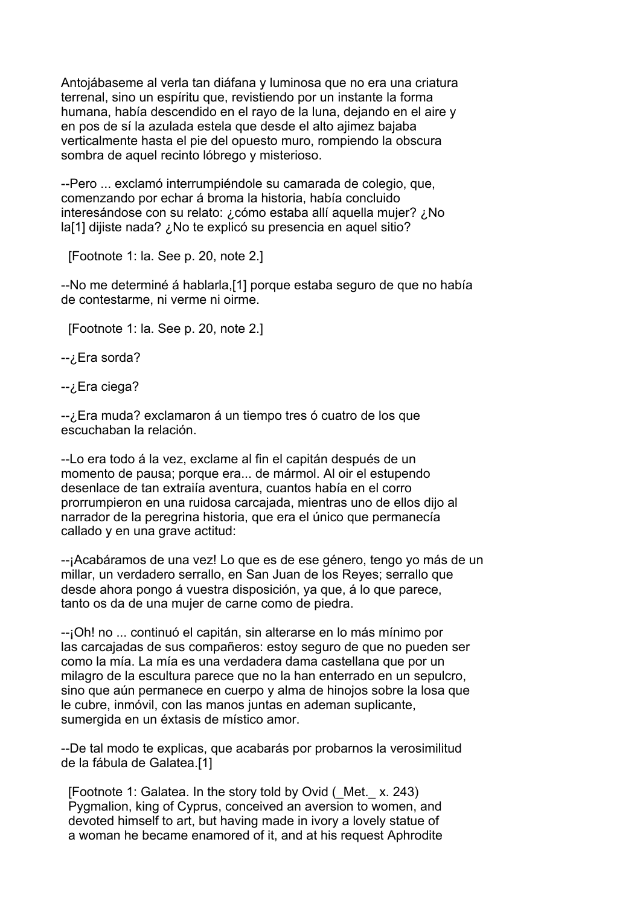Antojábaseme al verla tan diáfana y luminosa que no era una criatura terrenal, sino un espíritu que, revistiendo por un instante la forma humana, había descendido en el rayo de la luna, dejando en el aire y en pos de sí la azulada estela que desde el alto ajimez bajaba verticalmente hasta el pie del opuesto muro, rompiendo la obscura sombra de aquel recinto lóbrego y misterioso.

--Pero ... exclamó interrumpiéndole su camarada de colegio, que, comenzando por echar á broma la historia, había concluido interesándose con su relato: ¿cómo estaba allí aquella mujer? ¿No la[1] dijiste nada? ¿No te explicó su presencia en aquel sitio?

[Footnote 1: la. See p. 20, note 2.]

--No me determiné á hablarla,[1] porque estaba seguro de que no había de contestarme, ni verme ni oirme.

[Footnote 1: la. See p. 20, note 2.]

-- ¿Era sorda?

-- ¿Era ciega?

--¿Era muda? exclamaron á un tiempo tres ó cuatro de los que escuchaban la relación.

--Lo era todo á la vez, exclame al fin el capitán después de un momento de pausa; porque era... de mármol. Al oir el estupendo desenlace de tan extraiía aventura, cuantos había en el corro prorrumpieron en una ruidosa carcajada, mientras uno de ellos dijo al narrador de la peregrina historia, que era el único que permanecía callado y en una grave actitud:

--¡Acabáramos de una vez! Lo que es de ese género, tengo yo más de un millar, un verdadero serrallo, en San Juan de los Reyes; serrallo que desde ahora pongo á vuestra disposición, ya que, á lo que parece, tanto os da de una mujer de carne como de piedra.

--¡Oh! no ... continuó el capitán, sin alterarse en lo más mínimo por las carcajadas de sus compañeros: estoy seguro de que no pueden ser como la mía. La mía es una verdadera dama castellana que por un milagro de la escultura parece que no la han enterrado en un sepulcro, sino que aún permanece en cuerpo y alma de hinojos sobre la losa que le cubre, inmóvil, con las manos juntas en ademan suplicante, sumergida en un éxtasis de místico amor.

--De tal modo te explicas, que acabarás por probarnos la verosimilitud de la fábula de Galatea.[1]

 [Footnote 1: Galatea. In the story told by Ovid (\_Met.\_ x. 243) Pygmalion, king of Cyprus, conceived an aversion to women, and devoted himself to art, but having made in ivory a lovely statue of a woman he became enamored of it, and at his request Aphrodite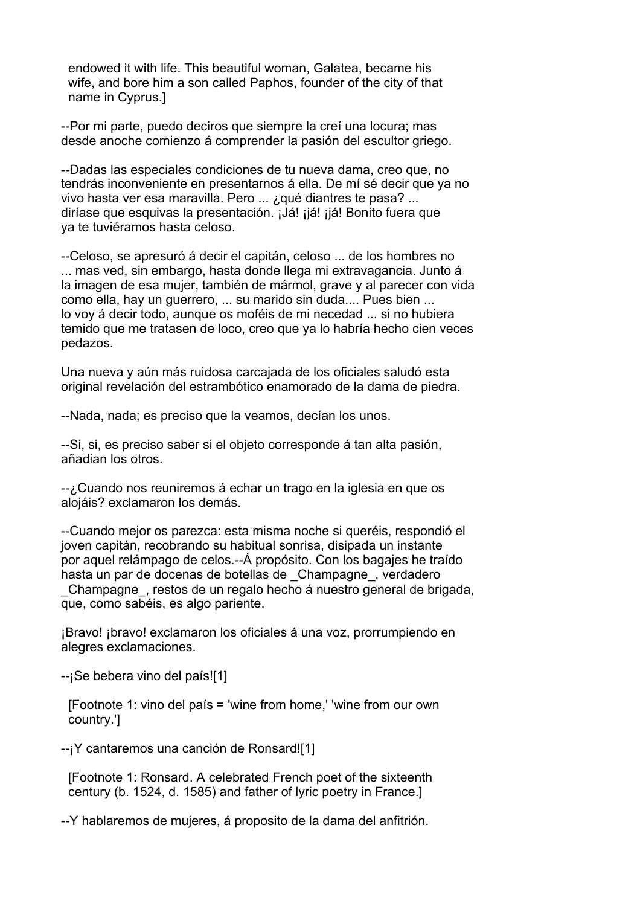endowed it with life. This beautiful woman, Galatea, became his wife, and bore him a son called Paphos, founder of the city of that name in Cyprus.]

--Por mi parte, puedo deciros que siempre la creí una locura; mas desde anoche comienzo á comprender la pasión del escultor griego.

--Dadas las especiales condiciones de tu nueva dama, creo que, no tendrás inconveniente en presentarnos á ella. De mí sé decir que ya no vivo hasta ver esa maravilla. Pero ... ¿qué diantres te pasa? ... diríase que esquivas la presentación. ¡Já! ¡já! ¡já! Bonito fuera que ya te tuviéramos hasta celoso.

--Celoso, se apresuró á decir el capitán, celoso ... de los hombres no ... mas ved, sin embargo, hasta donde llega mi extravagancia. Junto á la imagen de esa mujer, también de mármol, grave y al parecer con vida como ella, hay un guerrero, ... su marido sin duda.... Pues bien ... lo voy á decir todo, aunque os moféis de mi necedad ... si no hubiera temido que me tratasen de loco, creo que ya lo habría hecho cien veces pedazos.

Una nueva y aún más ruidosa carcajada de los oficiales saludó esta original revelación del estrambótico enamorado de la dama de piedra.

--Nada, nada; es preciso que la veamos, decían los unos.

--Si, si, es preciso saber si el objeto corresponde á tan alta pasión, añadian los otros.

--¿Cuando nos reuniremos á echar un trago en la iglesia en que os alojáis? exclamaron los demás.

--Cuando mejor os parezca: esta misma noche si queréis, respondió el joven capitán, recobrando su habitual sonrisa, disipada un instante por aquel relámpago de celos.--Á propósito. Con los bagajes he traído hasta un par de docenas de botellas de Champagne, verdadero

Champagne, restos de un regalo hecho á nuestro general de brigada, que, como sabéis, es algo pariente.

¡Bravo! ¡bravo! exclamaron los oficiales á una voz, prorrumpiendo en alegres exclamaciones.

--¡Se bebera vino del país![1]

 [Footnote 1: vino del país = 'wine from home,' 'wine from our own country.']

--¡Y cantaremos una canción de Ronsard![1]

 [Footnote 1: Ronsard. A celebrated French poet of the sixteenth century (b. 1524, d. 1585) and father of lyric poetry in France.]

--Y hablaremos de mujeres, á proposito de la dama del anfitrión.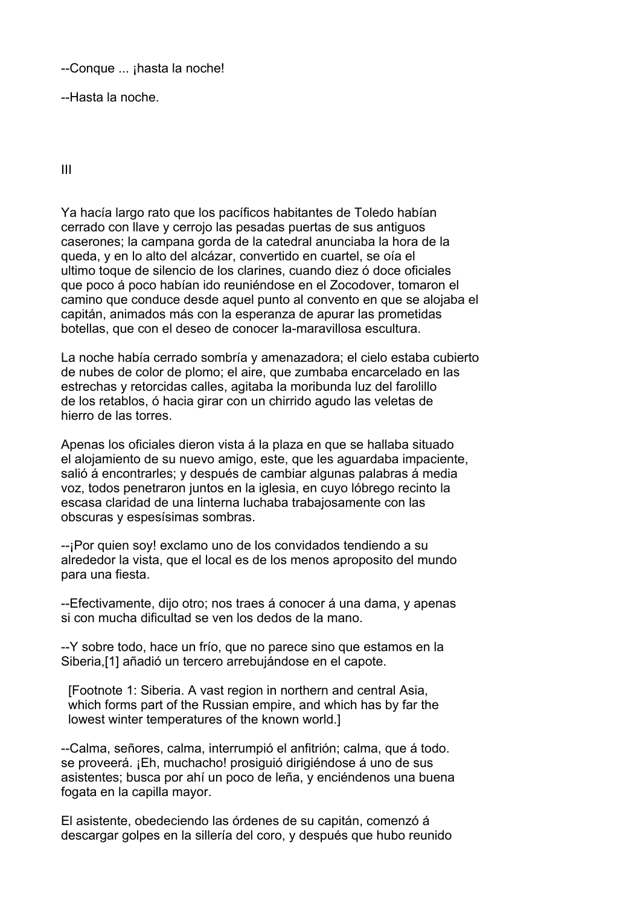--Conque ... ¡hasta la noche!

--Hasta la noche.

III

Ya hacía largo rato que los pacíficos habitantes de Toledo habían cerrado con llave y cerrojo las pesadas puertas de sus antiguos caserones; la campana gorda de la catedral anunciaba la hora de la queda, y en lo alto del alcázar, convertido en cuartel, se oía el ultimo toque de silencio de los clarines, cuando diez ó doce oficiales que poco á poco habían ido reuniéndose en el Zocodover, tomaron el camino que conduce desde aquel punto al convento en que se alojaba el capitán, animados más con la esperanza de apurar las prometidas botellas, que con el deseo de conocer la-maravillosa escultura.

La noche había cerrado sombría y amenazadora; el cielo estaba cubierto de nubes de color de plomo; el aire, que zumbaba encarcelado en las estrechas y retorcidas calles, agitaba la moribunda luz del farolillo de los retablos, ó hacia girar con un chirrido agudo las veletas de hierro de las torres.

Apenas los oficiales dieron vista á la plaza en que se hallaba situado el alojamiento de su nuevo amigo, este, que les aguardaba impaciente, salió á encontrarles; y después de cambiar algunas palabras á media voz, todos penetraron juntos en la iglesia, en cuyo lóbrego recinto la escasa claridad de una linterna luchaba trabajosamente con las obscuras y espesísimas sombras.

--¡Por quien soy! exclamo uno de los convidados tendiendo a su alrededor la vista, que el local es de los menos aproposito del mundo para una fiesta.

--Efectivamente, dijo otro; nos traes á conocer á una dama, y apenas si con mucha dificultad se ven los dedos de la mano.

--Y sobre todo, hace un frío, que no parece sino que estamos en la Siberia,[1] añadió un tercero arrebujándose en el capote.

 [Footnote 1: Siberia. A vast region in northern and central Asia, which forms part of the Russian empire, and which has by far the lowest winter temperatures of the known world.]

--Calma, señores, calma, interrumpió el anfitrión; calma, que á todo. se proveerá. ¡Eh, muchacho! prosiguió dirigiéndose á uno de sus asistentes; busca por ahí un poco de leña, y enciéndenos una buena fogata en la capilla mayor.

El asistente, obedeciendo las órdenes de su capitán, comenzó á descargar golpes en la sillería del coro, y después que hubo reunido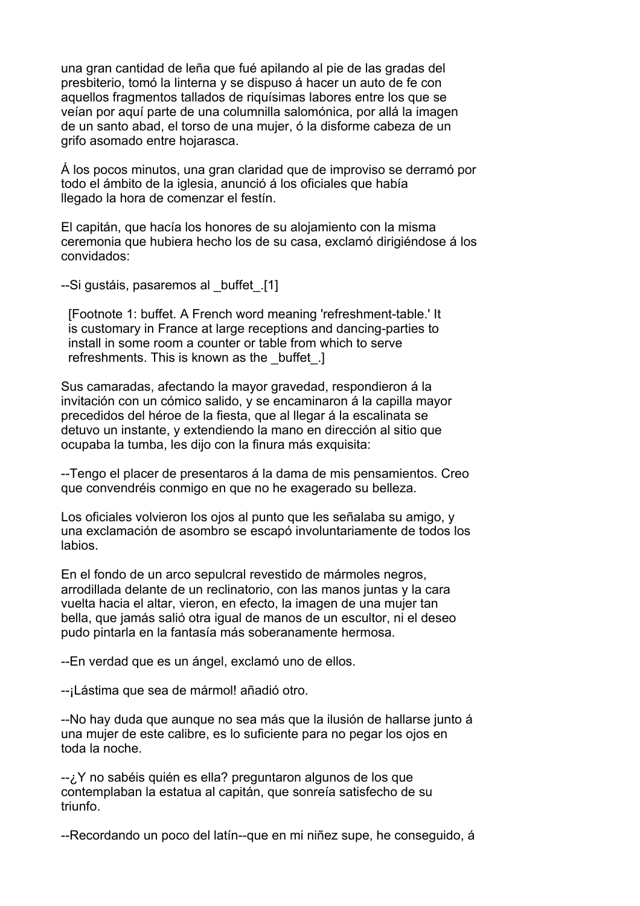una gran cantidad de leña que fué apilando al pie de las gradas del presbiterio, tomó la linterna y se dispuso á hacer un auto de fe con aquellos fragmentos tallados de riquísimas labores entre los que se veían por aquí parte de una columnilla salomónica, por allá la imagen de un santo abad, el torso de una mujer, ó la disforme cabeza de un grifo asomado entre hojarasca.

Á los pocos minutos, una gran claridad que de improviso se derramó por todo el ámbito de la iglesia, anunció á los oficiales que había llegado la hora de comenzar el festín.

El capitán, que hacía los honores de su alojamiento con la misma ceremonia que hubiera hecho los de su casa, exclamó dirigiéndose á los convidados:

--Si gustáis, pasaremos al \_buffet\_.[1]

 [Footnote 1: buffet. A French word meaning 'refreshment-table.' It is customary in France at large receptions and dancing-parties to install in some room a counter or table from which to serve refreshments. This is known as the buffet.

Sus camaradas, afectando la mayor gravedad, respondieron á la invitación con un cómico salido, y se encaminaron á la capilla mayor precedidos del héroe de la fiesta, que al llegar á la escalinata se detuvo un instante, y extendiendo la mano en dirección al sitio que ocupaba la tumba, les dijo con la finura más exquisita:

--Tengo el placer de presentaros á la dama de mis pensamientos. Creo que convendréis conmigo en que no he exagerado su belleza.

Los oficiales volvieron los ojos al punto que les señalaba su amigo, y una exclamación de asombro se escapó involuntariamente de todos los labios.

En el fondo de un arco sepulcral revestido de mármoles negros, arrodillada delante de un reclinatorio, con las manos juntas y la cara vuelta hacia el altar, vieron, en efecto, la imagen de una mujer tan bella, que jamás salió otra igual de manos de un escultor, ni el deseo pudo pintarla en la fantasía más soberanamente hermosa.

--En verdad que es un ángel, exclamó uno de ellos.

--¡Lástima que sea de mármol! añadió otro.

--No hay duda que aunque no sea más que la ilusión de hallarse junto á una mujer de este calibre, es lo suficiente para no pegar los ojos en toda la noche.

--¿Y no sabéis quién es ella? preguntaron algunos de los que contemplaban la estatua al capitán, que sonreía satisfecho de su triunfo.

--Recordando un poco del latín--que en mi niñez supe, he conseguido, á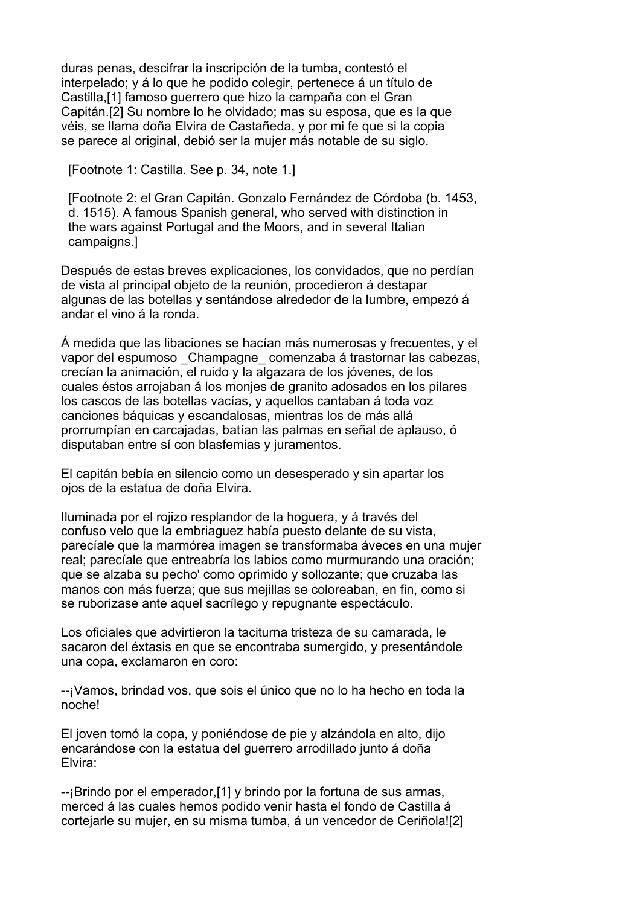duras penas, descifrar la inscripción de la tumba, contestó el interpelado; y á lo que he podido colegir, pertenece á un título de Castilla,[1] famoso guerrero que hizo la campaña con el Gran Capitán.[2] Su nombre lo he olvidado; mas su esposa, que es la que véis, se llama doña Elvira de Castañeda, y por mi fe que si la copia se parece al original, debió ser la mujer más notable de su siglo.

[Footnote 1: Castilla. See p. 34, note 1.]

 [Footnote 2: el Gran Capitán. Gonzalo Fernández de Córdoba (b. 1453, d. 1515). A famous Spanish general, who served with distinction in the wars against Portugal and the Moors, and in several Italian campaigns.]

Después de estas breves explicaciones, los convidados, que no perdían de vista al principal objeto de la reunión, procedieron á destapar algunas de las botellas y sentándose alrededor de la lumbre, empezó á andar el vino á la ronda.

Á medida que las libaciones se hacían más numerosas y frecuentes, y el vapor del espumoso Champagne comenzaba á trastornar las cabezas, crecían la animación, el ruido y la algazara de los jóvenes, de los cuales éstos arrojaban á los monjes de granito adosados en los pilares los cascos de las botellas vacías, y aquellos cantaban á toda voz canciones báquicas y escandalosas, mientras los de más allá prorrumpían en carcajadas, batían las palmas en señal de aplauso, ó disputaban entre sí con blasfemias y juramentos.

El capitán bebía en silencio como un desesperado y sin apartar los ojos de la estatua de doña Elvira.

Iluminada por el rojizo resplandor de la hoguera, y á través del confuso velo que la embriaguez había puesto delante de su vista, parecíale que la marmórea imagen se transformaba áveces en una mujer real; parecíale que entreabría los labios como murmurando una oración; que se alzaba su pecho' como oprimido y sollozante; que cruzaba las manos con más fuerza; que sus mejillas se coloreaban, en fin, como si se ruborizase ante aquel sacrílego y repugnante espectáculo.

Los oficiales que advirtieron la taciturna tristeza de su camarada, le sacaron del éxtasis en que se encontraba sumergido, y presentándole una copa, exclamaron en coro:

--¡Vamos, brindad vos, que sois el único que no lo ha hecho en toda la noche!

El joven tomó la copa, y poniéndose de pie y alzándola en alto, dijo encarándose con la estatua del guerrero arrodillado junto á doña Elvira:

--¡Brindo por el emperador,[1] y brindo por la fortuna de sus armas, merced á las cuales hemos podido venir hasta el fondo de Castilla á cortejarle su mujer, en su misma tumba, á un vencedor de Ceriñola![2]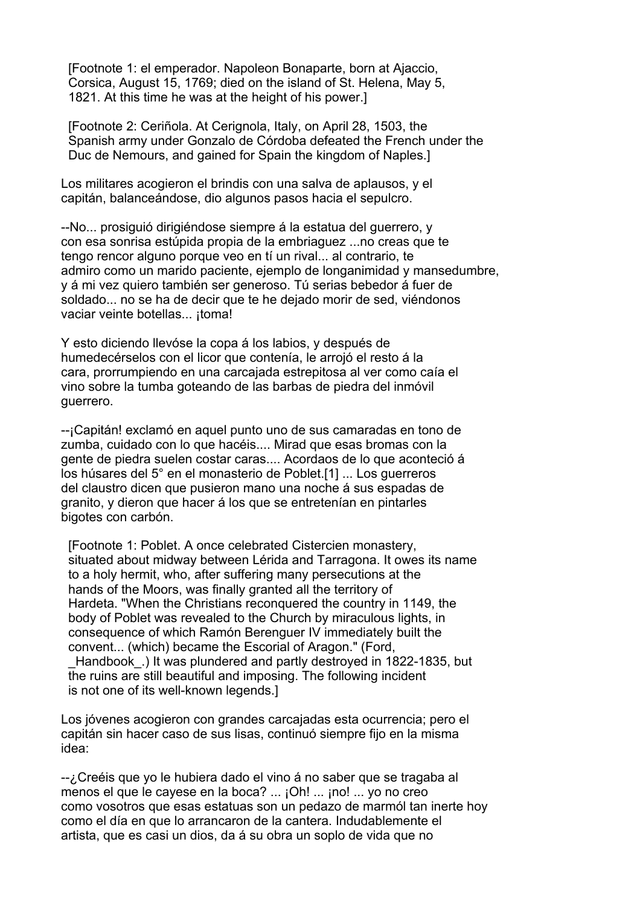[Footnote 1: el emperador. Napoleon Bonaparte, born at Ajaccio, Corsica, August 15, 1769; died on the island of St. Helena, May 5, 1821. At this time he was at the height of his power.]

 [Footnote 2: Ceriñola. At Cerignola, Italy, on April 28, 1503, the Spanish army under Gonzalo de Córdoba defeated the French under the Duc de Nemours, and gained for Spain the kingdom of Naples.]

Los militares acogieron el brindis con una salva de aplausos, y el capitán, balanceándose, dio algunos pasos hacia el sepulcro.

--No... prosiguió dirigiéndose siempre á la estatua del guerrero, y con esa sonrisa estúpida propia de la embriaguez ...no creas que te tengo rencor alguno porque veo en tí un rival... al contrario, te admiro como un marido paciente, ejemplo de longanimidad y mansedumbre, y á mi vez quiero también ser generoso. Tú serias bebedor á fuer de soldado... no se ha de decir que te he dejado morir de sed, viéndonos vaciar veinte botellas... itoma!

Y esto diciendo llevóse la copa á los labios, y después de humedecérselos con el licor que contenía, le arrojó el resto á la cara, prorrumpiendo en una carcajada estrepitosa al ver como caía el vino sobre la tumba goteando de las barbas de piedra del inmóvil guerrero.

--¡Capitán! exclamó en aquel punto uno de sus camaradas en tono de zumba, cuidado con lo que hacéis.... Mirad que esas bromas con la gente de piedra suelen costar caras.... Acordaos de lo que aconteció á los húsares del 5° en el monasterio de Poblet.[1] ... Los guerreros del claustro dicen que pusieron mano una noche á sus espadas de granito, y dieron que hacer á los que se entretenían en pintarles bigotes con carbón.

 [Footnote 1: Poblet. A once celebrated Cistercien monastery, situated about midway between Lérida and Tarragona. It owes its name to a holy hermit, who, after suffering many persecutions at the hands of the Moors, was finally granted all the territory of Hardeta. "When the Christians reconquered the country in 1149, the body of Poblet was revealed to the Church by miraculous lights, in consequence of which Ramón Berenguer IV immediately built the convent... (which) became the Escorial of Aragon." (Ford, Handbook. ) It was plundered and partly destroyed in 1822-1835, but the ruins are still beautiful and imposing. The following incident is not one of its well-known legends.]

Los jóvenes acogieron con grandes carcajadas esta ocurrencia; pero el capitán sin hacer caso de sus lisas, continuó siempre fijo en la misma idea:

--¿Creéis que yo le hubiera dado el vino á no saber que se tragaba al menos el que le cayese en la boca? ... ¡Oh! ... ¡no! ... yo no creo como vosotros que esas estatuas son un pedazo de marmól tan inerte hoy como el día en que lo arrancaron de la cantera. Indudablemente el artista, que es casi un dios, da á su obra un soplo de vida que no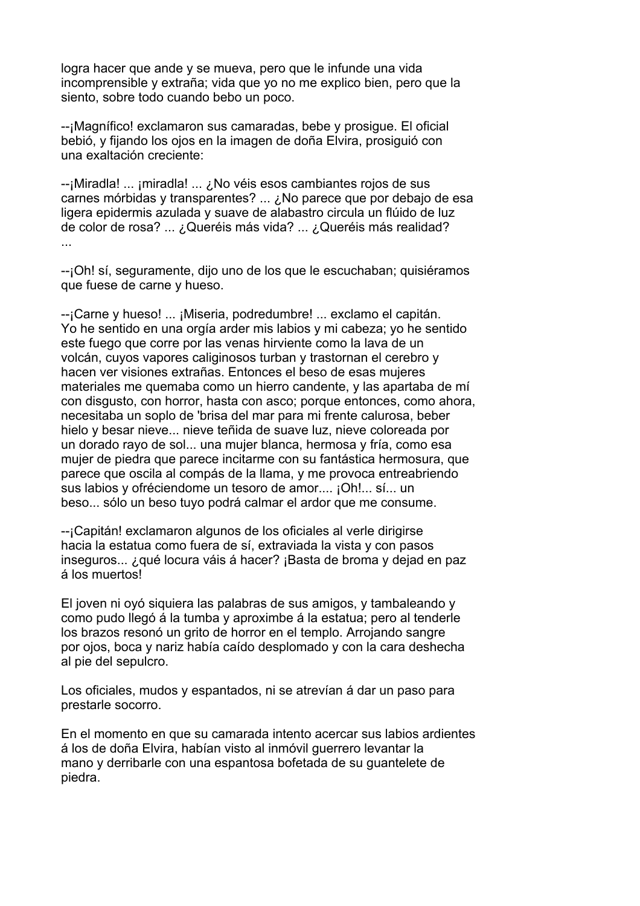logra hacer que ande y se mueva, pero que le infunde una vida incomprensible y extraña; vida que yo no me explico bien, pero que la siento, sobre todo cuando bebo un poco.

--¡Magnífico! exclamaron sus camaradas, bebe y prosigue. El oficial bebió, y fijando los ojos en la imagen de doña Elvira, prosiguió con una exaltación creciente:

--¡Miradla! ... ¡miradla! ... ¿No véis esos cambiantes rojos de sus carnes mórbidas y transparentes? ... ¿No parece que por debajo de esa ligera epidermis azulada y suave de alabastro circula un flúido de luz de color de rosa? ... ¿Queréis más vida? ... ¿Queréis más realidad? ...

--¡Oh! sí, seguramente, dijo uno de los que le escuchaban; quisiéramos que fuese de carne y hueso.

--¡Carne y hueso! ... ¡Miseria, podredumbre! ... exclamo el capitán. Yo he sentido en una orgía arder mis labios y mi cabeza; yo he sentido este fuego que corre por las venas hirviente como la lava de un volcán, cuyos vapores caliginosos turban y trastornan el cerebro y hacen ver visiones extrañas. Entonces el beso de esas mujeres materiales me quemaba como un hierro candente, y las apartaba de mí con disgusto, con horror, hasta con asco; porque entonces, como ahora, necesitaba un soplo de 'brisa del mar para mi frente calurosa, beber hielo y besar nieve... nieve teñida de suave luz, nieve coloreada por un dorado rayo de sol... una mujer blanca, hermosa y fría, como esa mujer de piedra que parece incitarme con su fantástica hermosura, que parece que oscila al compás de la llama, y me provoca entreabriendo sus labios y ofréciendome un tesoro de amor.... ¡Oh!... sí... un beso... sólo un beso tuyo podrá calmar el ardor que me consume.

--¡Capitán! exclamaron algunos de los oficiales al verle dirigirse hacia la estatua como fuera de sí, extraviada la vista y con pasos inseguros... ¿qué locura váis á hacer? ¡Basta de broma y dejad en paz á los muertos!

El joven ni oyó siquiera las palabras de sus amigos, y tambaleando y como pudo llegó á la tumba y aproximbe á la estatua; pero al tenderle los brazos resonó un grito de horror en el templo. Arrojando sangre por ojos, boca y nariz había caído desplomado y con la cara deshecha al pie del sepulcro.

Los oficiales, mudos y espantados, ni se atrevían á dar un paso para prestarle socorro.

En el momento en que su camarada intento acercar sus labios ardientes á los de doña Elvira, habían visto al inmóvil guerrero levantar la mano y derribarle con una espantosa bofetada de su guantelete de piedra.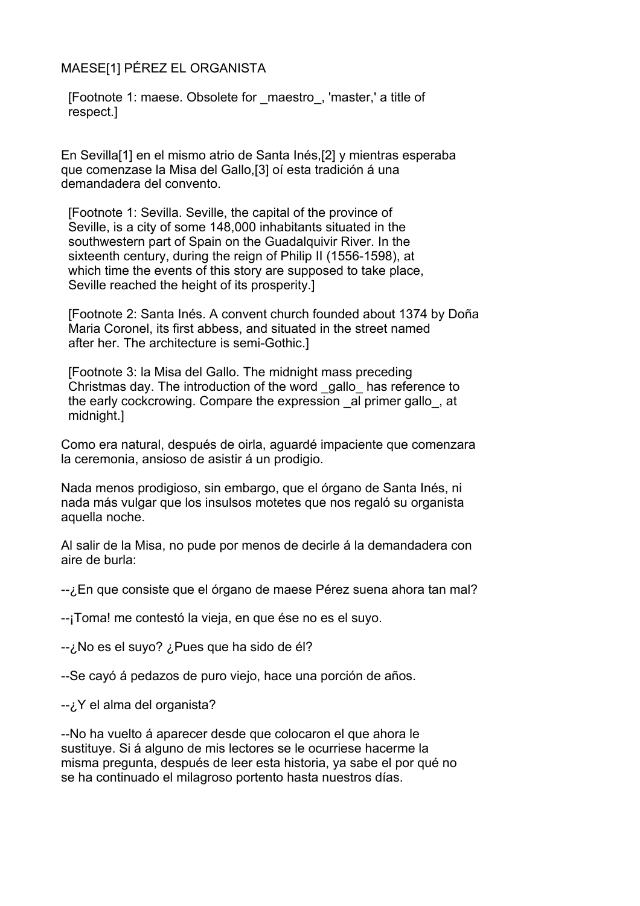## MAESE[1] PÉREZ EL ORGANISTA

 [Footnote 1: maese. Obsolete for \_maestro\_, 'master,' a title of respect.]

En Sevilla[1] en el mismo atrio de Santa Inés,[2] y mientras esperaba que comenzase la Misa del Gallo,[3] oí esta tradición á una demandadera del convento.

 [Footnote 1: Sevilla. Seville, the capital of the province of Seville, is a city of some 148,000 inhabitants situated in the southwestern part of Spain on the Guadalquivir River. In the sixteenth century, during the reign of Philip II (1556-1598), at which time the events of this story are supposed to take place, Seville reached the height of its prosperity.]

 [Footnote 2: Santa Inés. A convent church founded about 1374 by Doña Maria Coronel, its first abbess, and situated in the street named after her. The architecture is semi-Gothic.]

 [Footnote 3: la Misa del Gallo. The midnight mass preceding Christmas day. The introduction of the word \_gallo\_ has reference to the early cockcrowing. Compare the expression \_al primer gallo\_, at midnight.]

Como era natural, después de oirla, aguardé impaciente que comenzara la ceremonia, ansioso de asistir á un prodigio.

Nada menos prodigioso, sin embargo, que el órgano de Santa Inés, ni nada más vulgar que los insulsos motetes que nos regaló su organista aquella noche.

Al salir de la Misa, no pude por menos de decirle á la demandadera con aire de burla:

--¿En que consiste que el órgano de maese Pérez suena ahora tan mal?

--¡Toma! me contestó la vieja, en que ése no es el suyo.

--¿No es el suyo? ¿Pues que ha sido de él?

--Se cayó á pedazos de puro viejo, hace una porción de años.

--¿Y el alma del organista?

--No ha vuelto á aparecer desde que colocaron el que ahora le sustituye. Si á alguno de mis lectores se le ocurriese hacerme la misma pregunta, después de leer esta historia, ya sabe el por qué no se ha continuado el milagroso portento hasta nuestros días.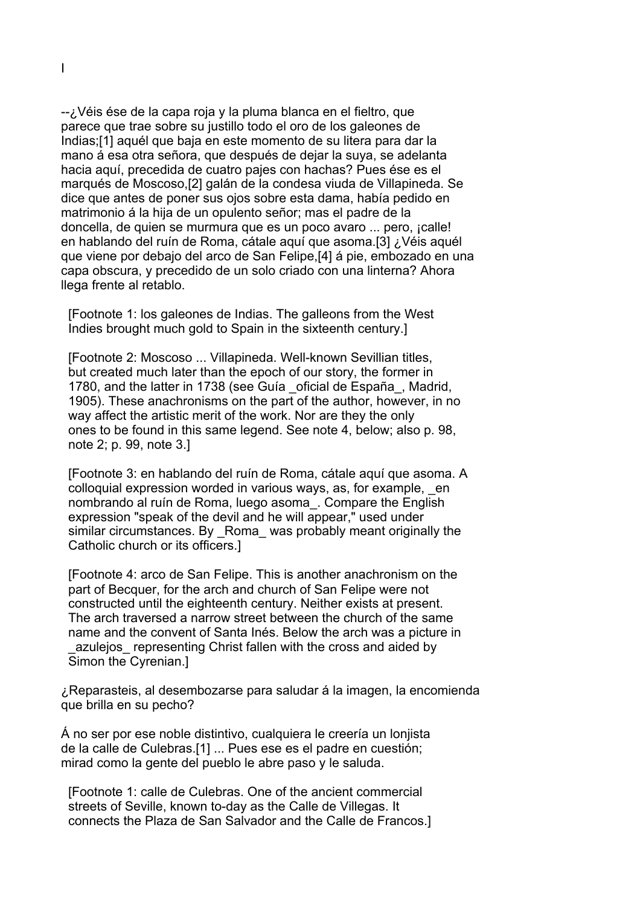--¿Véis ése de la capa roja y la pluma blanca en el fieltro, que parece que trae sobre su justillo todo el oro de los galeones de Indias;[1] aquél que baja en este momento de su litera para dar la mano á esa otra señora, que después de dejar la suya, se adelanta hacia aquí, precedida de cuatro pajes con hachas? Pues ése es el marqués de Moscoso,[2] galán de la condesa viuda de Villapineda. Se dice que antes de poner sus ojos sobre esta dama, había pedido en matrimonio á la hija de un opulento señor; mas el padre de la doncella, de quien se murmura que es un poco avaro ... pero, ¡calle! en hablando del ruín de Roma, cátale aquí que asoma.[3] ¿Véis aquél que viene por debajo del arco de San Felipe,[4] á pie, embozado en una capa obscura, y precedido de un solo criado con una linterna? Ahora llega frente al retablo.

 [Footnote 1: los galeones de Indias. The galleons from the West Indies brought much gold to Spain in the sixteenth century.]

 [Footnote 2: Moscoso ... Villapineda. Well-known Sevillian titles, but created much later than the epoch of our story, the former in 1780, and the latter in 1738 (see Guía oficial de España, Madrid, 1905). These anachronisms on the part of the author, however, in no way affect the artistic merit of the work. Nor are they the only ones to be found in this same legend. See note 4, below; also p. 98, note 2; p. 99, note 3.]

 [Footnote 3: en hablando del ruín de Roma, cátale aquí que asoma. A colloquial expression worded in various ways, as, for example, \_en nombrando al ruín de Roma, luego asoma\_. Compare the English expression "speak of the devil and he will appear," used under similar circumstances. By Roma was probably meant originally the Catholic church or its officers.]

 [Footnote 4: arco de San Felipe. This is another anachronism on the part of Becquer, for the arch and church of San Felipe were not constructed until the eighteenth century. Neither exists at present. The arch traversed a narrow street between the church of the same name and the convent of Santa Inés. Below the arch was a picture in azulejos representing Christ fallen with the cross and aided by Simon the Cyrenian.]

¿Reparasteis, al desembozarse para saludar á la imagen, la encomienda que brilla en su pecho?

Á no ser por ese noble distintivo, cualquiera le creería un lonjista de la calle de Culebras.[1] ... Pues ese es el padre en cuestión; mirad como la gente del pueblo le abre paso y le saluda.

 [Footnote 1: calle de Culebras. One of the ancient commercial streets of Seville, known to-day as the Calle de Villegas. It connects the Plaza de San Salvador and the Calle de Francos.]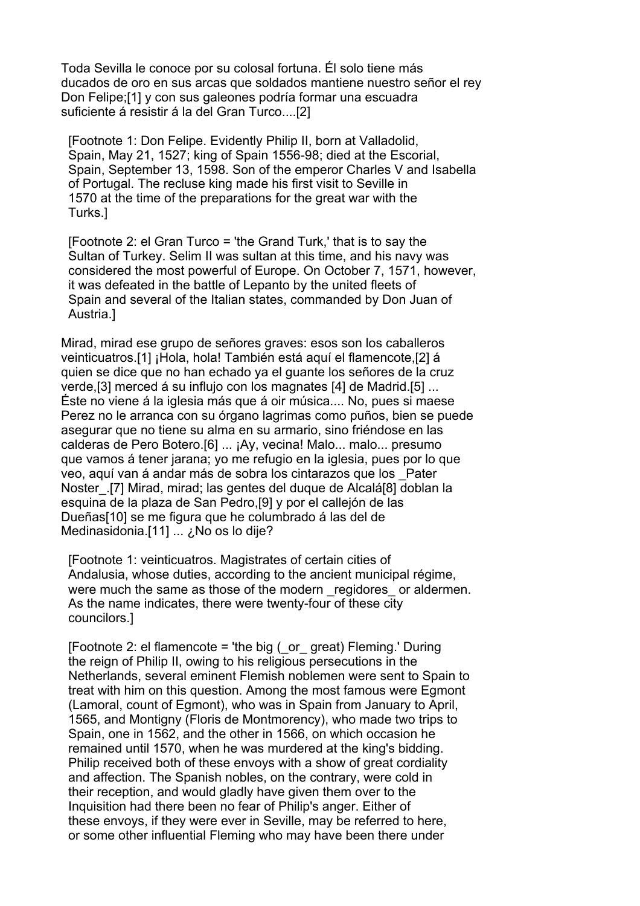Toda Sevilla le conoce por su colosal fortuna. Él solo tiene más ducados de oro en sus arcas que soldados mantiene nuestro señor el rey Don Felipe;[1] y con sus galeones podría formar una escuadra suficiente á resistir á la del Gran Turco....[2]

 [Footnote 1: Don Felipe. Evidently Philip II, born at Valladolid, Spain, May 21, 1527; king of Spain 1556-98; died at the Escorial, Spain, September 13, 1598. Son of the emperor Charles V and Isabella of Portugal. The recluse king made his first visit to Seville in 1570 at the time of the preparations for the great war with the Turks.]

 [Footnote 2: el Gran Turco = 'the Grand Turk,' that is to say the Sultan of Turkey. Selim II was sultan at this time, and his navy was considered the most powerful of Europe. On October 7, 1571, however, it was defeated in the battle of Lepanto by the united fleets of Spain and several of the Italian states, commanded by Don Juan of Austria.]

Mirad, mirad ese grupo de señores graves: esos son los caballeros veinticuatros.[1] ¡Hola, hola! También está aquí el flamencote,[2] á quien se dice que no han echado ya el guante los señores de la cruz verde,[3] merced á su influjo con los magnates [4] de Madrid.[5] ... Éste no viene á la iglesia más que á oir música.... No, pues si maese Perez no le arranca con su órgano lagrimas como puños, bien se puede asegurar que no tiene su alma en su armario, sino friéndose en las calderas de Pero Botero.[6] ... ¡Ay, vecina! Malo... malo... presumo que vamos á tener jarana; yo me refugio en la iglesia, pues por lo que veo, aquí van á andar más de sobra los cintarazos que los \_Pater Noster\_.[7] Mirad, mirad; las gentes del duque de Alcalá[8] doblan la esquina de la plaza de San Pedro,[9] y por el callejón de las Dueñas[10] se me figura que he columbrado á las del de Medinasidonia.[11] ... ¿No os lo dije?

 [Footnote 1: veinticuatros. Magistrates of certain cities of Andalusia, whose duties, according to the ancient municipal régime, were much the same as those of the modern regidores or aldermen. As the name indicates, there were twenty-four of these city councilors.]

[Footnote 2: el flamencote = 'the big  $($  or great) Fleming.' During the reign of Philip II, owing to his religious persecutions in the Netherlands, several eminent Flemish noblemen were sent to Spain to treat with him on this question. Among the most famous were Egmont (Lamoral, count of Egmont), who was in Spain from January to April, 1565, and Montigny (Floris de Montmorency), who made two trips to Spain, one in 1562, and the other in 1566, on which occasion he remained until 1570, when he was murdered at the king's bidding. Philip received both of these envoys with a show of great cordiality and affection. The Spanish nobles, on the contrary, were cold in their reception, and would gladly have given them over to the Inquisition had there been no fear of Philip's anger. Either of these envoys, if they were ever in Seville, may be referred to here, or some other influential Fleming who may have been there under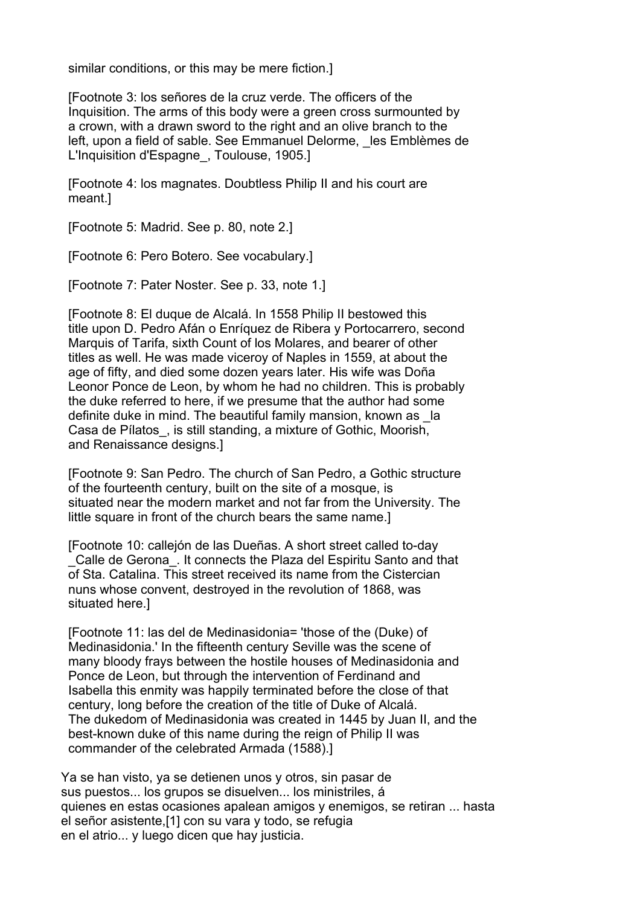similar conditions, or this may be mere fiction.]

 [Footnote 3: los señores de la cruz verde. The officers of the Inquisition. The arms of this body were a green cross surmounted by a crown, with a drawn sword to the right and an olive branch to the left, upon a field of sable. See Emmanuel Delorme, les Emblèmes de L'Inquisition d'Espagne, Toulouse, 1905.]

 [Footnote 4: los magnates. Doubtless Philip II and his court are meant.]

[Footnote 5: Madrid. See p. 80, note 2.]

[Footnote 6: Pero Botero. See vocabulary.]

[Footnote 7: Pater Noster. See p. 33, note 1.]

 [Footnote 8: El duque de Alcalá. In 1558 Philip II bestowed this title upon D. Pedro Afán o Enríquez de Ribera y Portocarrero, second Marquis of Tarifa, sixth Count of los Molares, and bearer of other titles as well. He was made viceroy of Naples in 1559, at about the age of fifty, and died some dozen years later. His wife was Doña Leonor Ponce de Leon, by whom he had no children. This is probably the duke referred to here, if we presume that the author had some definite duke in mind. The beautiful family mansion, known as la Casa de Pílatos\_, is still standing, a mixture of Gothic, Moorish, and Renaissance designs.]

 [Footnote 9: San Pedro. The church of San Pedro, a Gothic structure of the fourteenth century, built on the site of a mosque, is situated near the modern market and not far from the University. The little square in front of the church bears the same name.]

 [Footnote 10: callejón de las Dueñas. A short street called to-day \_Calle de Gerona\_. It connects the Plaza del Espiritu Santo and that of Sta. Catalina. This street received its name from the Cistercian nuns whose convent, destroyed in the revolution of 1868, was situated here.]

 [Footnote 11: las del de Medinasidonia= 'those of the (Duke) of Medinasidonia.' In the fifteenth century Seville was the scene of many bloody frays between the hostile houses of Medinasidonia and Ponce de Leon, but through the intervention of Ferdinand and Isabella this enmity was happily terminated before the close of that century, long before the creation of the title of Duke of Alcalá. The dukedom of Medinasidonia was created in 1445 by Juan II, and the best-known duke of this name during the reign of Philip II was commander of the celebrated Armada (1588).]

Ya se han visto, ya se detienen unos y otros, sin pasar de sus puestos... los grupos se disuelven... los ministriles, á quienes en estas ocasiones apalean amigos y enemigos, se retiran ... hasta el señor asistente,[1] con su vara y todo, se refugia en el atrio... y luego dicen que hay justicia.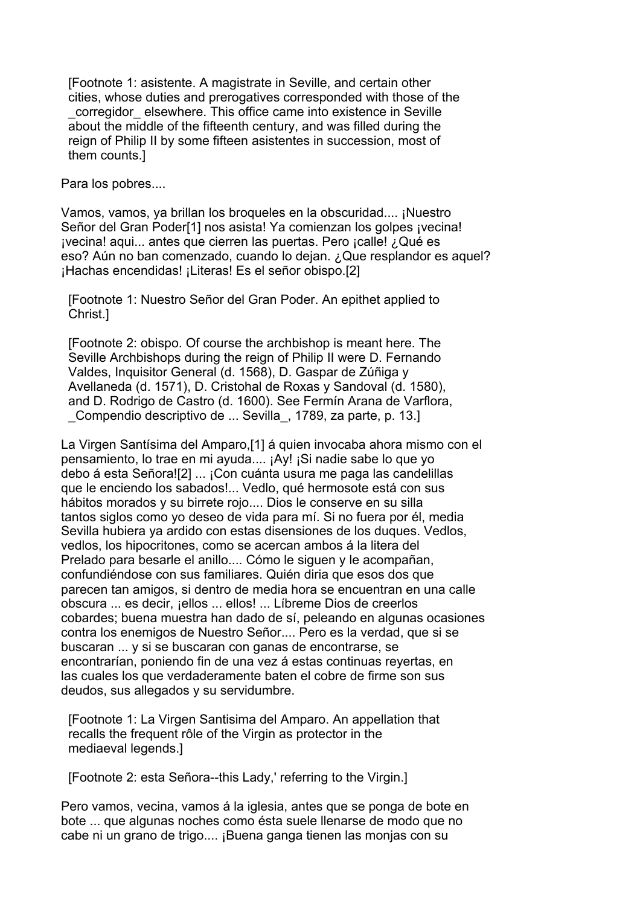[Footnote 1: asistente. A magistrate in Seville, and certain other cities, whose duties and prerogatives corresponded with those of the corregidor elsewhere. This office came into existence in Seville about the middle of the fifteenth century, and was filled during the reign of Philip II by some fifteen asistentes in succession, most of them counts.]

Para los pobres....

Vamos, vamos, ya brillan los broqueles en la obscuridad.... ¡Nuestro Señor del Gran Poder[1] nos asista! Ya comienzan los golpes ¡vecina! ¡vecina! aqui... antes que cierren las puertas. Pero ¡calle! ¿Qué es eso? Aún no ban comenzado, cuando lo dejan. ¿Que resplandor es aquel? ¡Hachas encendidas! ¡Literas! Es el señor obispo.[2]

 [Footnote 1: Nuestro Señor del Gran Poder. An epithet applied to Christ.]

 [Footnote 2: obispo. Of course the archbishop is meant here. The Seville Archbishops during the reign of Philip II were D. Fernando Valdes, Inquisitor General (d. 1568), D. Gaspar de Zúñiga y Avellaneda (d. 1571), D. Cristohal de Roxas y Sandoval (d. 1580), and D. Rodrigo de Castro (d. 1600). See Fermín Arana de Varflora, \_Compendio descriptivo de ... Sevilla\_, 1789, za parte, p. 13.]

La Virgen Santísima del Amparo,[1] á quien invocaba ahora mismo con el pensamiento, lo trae en mi ayuda.... ¡Ay! ¡Si nadie sabe lo que yo debo á esta Señora![2] ... ¡Con cuánta usura me paga las candelillas que le enciendo los sabados!... Vedlo, qué hermosote está con sus hábitos morados y su birrete rojo.... Dios le conserve en su silla tantos siglos como yo deseo de vida para mí. Si no fuera por él, media Sevilla hubiera ya ardido con estas disensiones de los duques. Vedlos, vedlos, los hipocritones, como se acercan ambos á la litera del Prelado para besarle el anillo.... Cómo le siguen y le acompañan, confundiéndose con sus familiares. Quién diria que esos dos que parecen tan amigos, si dentro de media hora se encuentran en una calle obscura ... es decir, ¡ellos ... ellos! ... Líbreme Dios de creerlos cobardes; buena muestra han dado de sí, peleando en algunas ocasiones contra los enemigos de Nuestro Señor.... Pero es la verdad, que si se buscaran ... y si se buscaran con ganas de encontrarse, se encontrarían, poniendo fin de una vez á estas continuas reyertas, en las cuales los que verdaderamente baten el cobre de firme son sus deudos, sus allegados y su servidumbre.

 [Footnote 1: La Virgen Santisima del Amparo. An appellation that recalls the frequent rôle of the Virgin as protector in the mediaeval legends.]

[Footnote 2: esta Señora--this Lady,' referring to the Virgin.]

Pero vamos, vecina, vamos á la iglesia, antes que se ponga de bote en bote ... que algunas noches como ésta suele llenarse de modo que no cabe ni un grano de trigo.... ¡Buena ganga tienen las monjas con su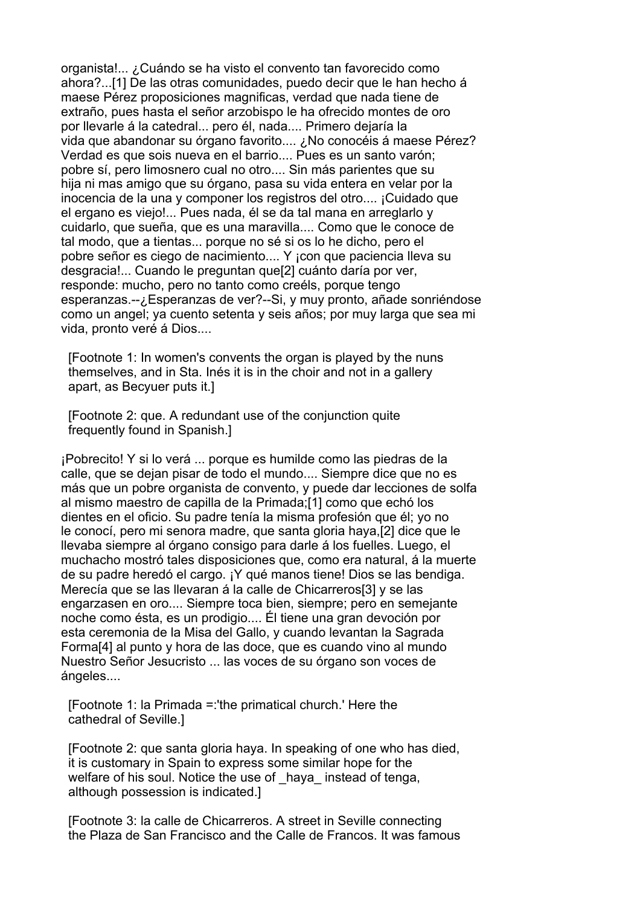organista!... ¿Cuándo se ha visto el convento tan favorecido como ahora?...[1] De las otras comunidades, puedo decir que le han hecho á maese Pérez proposiciones magnificas, verdad que nada tiene de extraño, pues hasta el señor arzobispo le ha ofrecido montes de oro por llevarle á la catedral... pero él, nada.... Primero dejaría la vida que abandonar su órgano favorito.... ¿No conocéis á maese Pérez? Verdad es que sois nueva en el barrio.... Pues es un santo varón; pobre sí, pero limosnero cual no otro.... Sin más parientes que su hija ni mas amigo que su órgano, pasa su vida entera en velar por la inocencia de la una y componer los registros del otro.... ¡Cuidado que el ergano es viejo!... Pues nada, él se da tal mana en arreglarlo y cuidarlo, que sueña, que es una maravilla.... Como que le conoce de tal modo, que a tientas... porque no sé si os lo he dicho, pero el pobre señor es ciego de nacimiento.... Y ¡con que paciencia lleva su desgracia!... Cuando le preguntan que[2] cuánto daría por ver, responde: mucho, pero no tanto como creéls, porque tengo esperanzas.--¿Esperanzas de ver?--Si, y muy pronto, añade sonriéndose como un angel; ya cuento setenta y seis años; por muy larga que sea mi vida, pronto veré á Dios....

 [Footnote 1: In women's convents the organ is played by the nuns themselves, and in Sta. Inés it is in the choir and not in a gallery apart, as Becyuer puts it.]

 [Footnote 2: que. A redundant use of the conjunction quite frequently found in Spanish.]

¡Pobrecito! Y si lo verá ... porque es humilde como las piedras de la calle, que se dejan pisar de todo el mundo.... Siempre dice que no es más que un pobre organista de convento, y puede dar lecciones de solfa al mismo maestro de capilla de la Primada;[1] como que echó los dientes en el oficio. Su padre tenía la misma profesión que él; yo no le conocí, pero mi senora madre, que santa gloria haya,[2] dice que le llevaba siempre al órgano consigo para darle á los fuelles. Luego, el muchacho mostró tales disposiciones que, como era natural, á la muerte de su padre heredó el cargo. ¡Y qué manos tiene! Dios se las bendiga. Merecía que se las llevaran á la calle de Chicarreros[3] y se las engarzasen en oro.... Siempre toca bien, siempre; pero en semejante noche como ésta, es un prodigio.... Él tiene una gran devoción por esta ceremonia de la Misa del Gallo, y cuando levantan la Sagrada Forma[4] al punto y hora de las doce, que es cuando vino al mundo Nuestro Señor Jesucristo ... las voces de su órgano son voces de ángeles....

 [Footnote 1: la Primada =:'the primatical church.' Here the cathedral of Seville.]

 [Footnote 2: que santa gloria haya. In speaking of one who has died, it is customary in Spain to express some similar hope for the welfare of his soul. Notice the use of haya instead of tenga, although possession is indicated.]

 [Footnote 3: la calle de Chicarreros. A street in Seville connecting the Plaza de San Francisco and the Calle de Francos. It was famous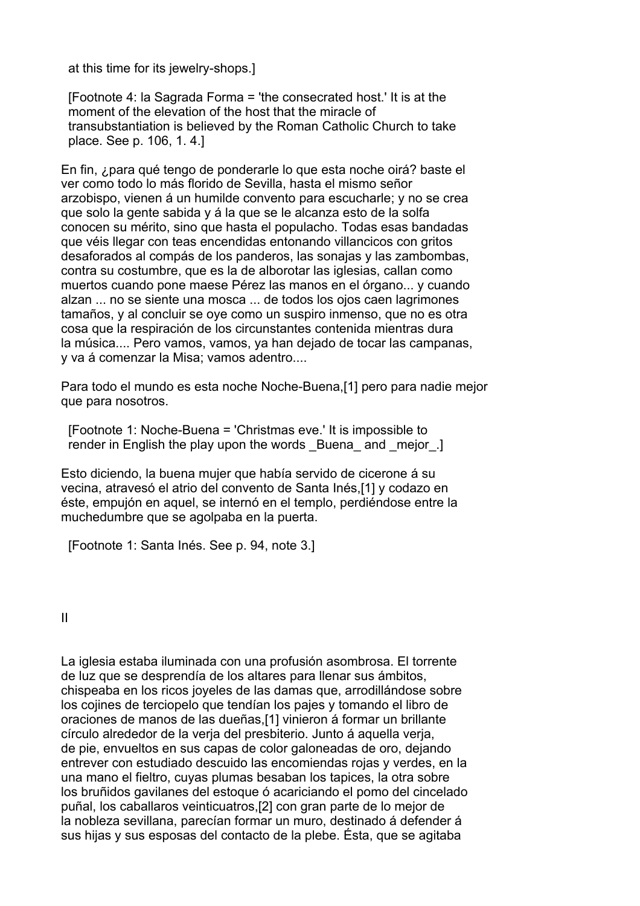at this time for its jewelry-shops.]

 [Footnote 4: la Sagrada Forma = 'the consecrated host.' It is at the moment of the elevation of the host that the miracle of transubstantiation is believed by the Roman Catholic Church to take place. See p. 106, 1. 4.]

En fin, ¿para qué tengo de ponderarle lo que esta noche oirá? baste el ver como todo lo más florido de Sevilla, hasta el mismo señor arzobispo, vienen á un humilde convento para escucharle; y no se crea que solo la gente sabida y á la que se le alcanza esto de la solfa conocen su mérito, sino que hasta el populacho. Todas esas bandadas que véis llegar con teas encendidas entonando villancicos con gritos desaforados al compás de los panderos, las sonajas y las zambombas, contra su costumbre, que es la de alborotar las iglesias, callan como muertos cuando pone maese Pérez las manos en el órgano... y cuando alzan ... no se siente una mosca ... de todos los ojos caen lagrimones tamaños, y al concluir se oye como un suspiro inmenso, que no es otra cosa que la respiración de los circunstantes contenida mientras dura la música.... Pero vamos, vamos, ya han dejado de tocar las campanas, y va á comenzar la Misa; vamos adentro....

Para todo el mundo es esta noche Noche-Buena,[1] pero para nadie mejor que para nosotros.

 [Footnote 1: Noche-Buena = 'Christmas eve.' It is impossible to render in English the play upon the words Buena and mejor.

Esto diciendo, la buena mujer que había servido de cicerone á su vecina, atravesó el atrio del convento de Santa Inés,[1] y codazo en éste, empujón en aquel, se internó en el templo, perdiéndose entre la muchedumbre que se agolpaba en la puerta.

[Footnote 1: Santa Inés. See p. 94, note 3.]

II

La iglesia estaba iluminada con una profusión asombrosa. El torrente de luz que se desprendía de los altares para llenar sus ámbitos, chispeaba en los ricos joyeles de las damas que, arrodillándose sobre los cojines de terciopelo que tendían los pajes y tomando el libro de oraciones de manos de las dueñas,[1] vinieron á formar un brillante círculo alrededor de la verja del presbiterio. Junto á aquella verja, de pie, envueltos en sus capas de color galoneadas de oro, dejando entrever con estudiado descuido las encomiendas rojas y verdes, en la una mano el fieltro, cuyas plumas besaban los tapices, la otra sobre los bruñidos gavilanes del estoque ó acariciando el pomo del cincelado puñal, los caballaros veinticuatros,[2] con gran parte de lo mejor de la nobleza sevillana, parecían formar un muro, destinado á defender á sus hijas y sus esposas del contacto de la plebe. Ésta, que se agitaba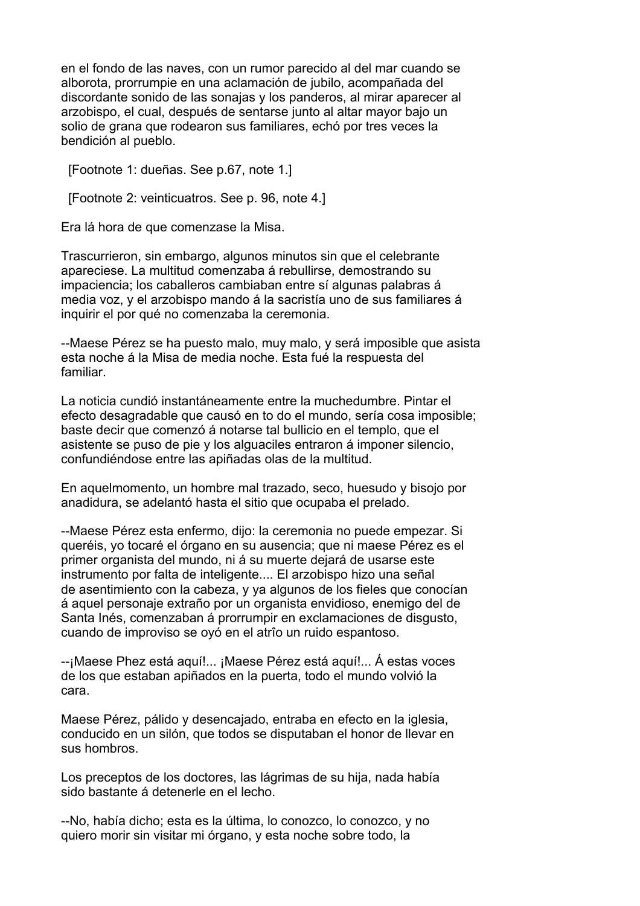en el fondo de las naves, con un rumor parecido al del mar cuando se alborota, prorrumpie en una aclamación de jubilo, acompañada del discordante sonido de las sonajas y los panderos, al mirar aparecer al arzobispo, el cual, después de sentarse junto al altar mayor bajo un solio de grana que rodearon sus familiares, echó por tres veces la bendición al pueblo.

[Footnote 1: dueñas. See p.67, note 1.]

[Footnote 2: veinticuatros. See p. 96, note 4.]

Era lá hora de que comenzase la Misa.

Trascurrieron, sin embargo, algunos minutos sin que el celebrante apareciese. La multitud comenzaba á rebullirse, demostrando su impaciencia; los caballeros cambiaban entre sí algunas palabras á media voz, y el arzobispo mando á la sacristía uno de sus familiares á inquirir el por qué no comenzaba la ceremonia.

--Maese Pérez se ha puesto malo, muy malo, y será imposible que asista esta noche á la Misa de media noche. Esta fué la respuesta del familiar.

La noticia cundió instantáneamente entre la muchedumbre. Pintar el efecto desagradable que causó en to do el mundo, sería cosa imposible; baste decir que comenzó á notarse tal bullicio en el templo, que el asistente se puso de pie y los alguaciles entraron á imponer silencio, confundiéndose entre las apiñadas olas de la multitud.

En aquelmomento, un hombre mal trazado, seco, huesudo y bisojo por anadidura, se adelantó hasta el sitio que ocupaba el prelado.

--Maese Pérez esta enfermo, dijo: la ceremonia no puede empezar. Si queréis, yo tocaré el órgano en su ausencia; que ni maese Pérez es el primer organista del mundo, ni á su muerte dejará de usarse este instrumento por falta de inteligente.... El arzobispo hizo una señal de asentimiento con la cabeza, y ya algunos de los fieles que conocían á aquel personaje extraño por un organista envidioso, enemigo del de Santa Inés, comenzaban á prorrumpir en exclamaciones de disgusto, cuando de improviso se oyó en el atrîo un ruido espantoso.

--¡Maese Phez está aquí!... ¡Maese Pérez está aquí!... Á estas voces de los que estaban apiñados en la puerta, todo el mundo volvió la cara.

Maese Pérez, pálido y desencajado, entraba en efecto en la iglesia, conducido en un silón, que todos se disputaban el honor de llevar en sus hombros.

Los preceptos de los doctores, las lágrimas de su hija, nada había sido bastante á detenerle en el lecho.

--No, había dicho; esta es la última, lo conozco, lo conozco, y no quiero morir sin visitar mi órgano, y esta noche sobre todo, la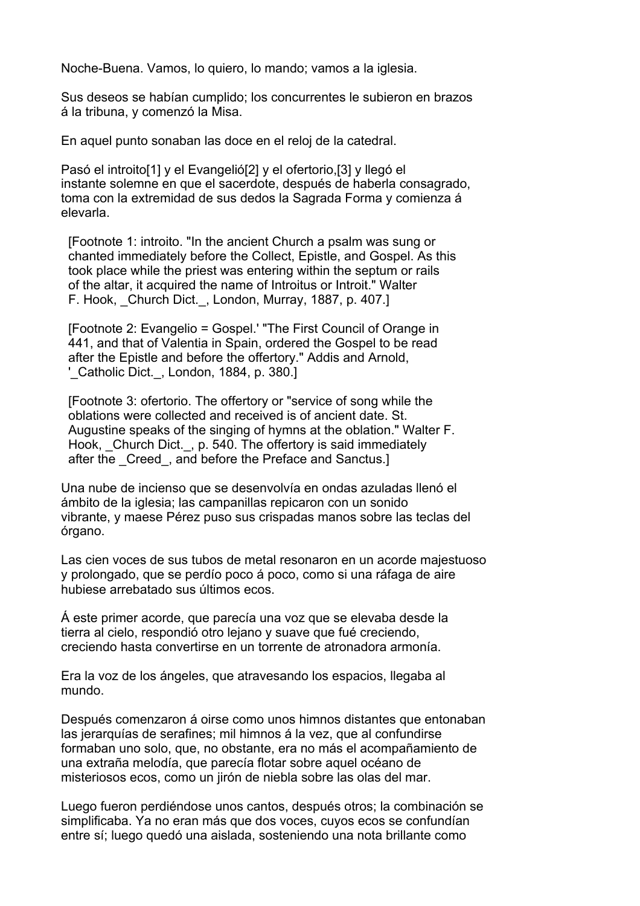Noche-Buena. Vamos, lo quiero, lo mando; vamos a la iglesia.

Sus deseos se habían cumplido; los concurrentes le subieron en brazos á la tribuna, y comenzó la Misa.

En aquel punto sonaban las doce en el reloj de la catedral.

Pasó el introito[1] y el Evangelió[2] y el ofertorio,[3] y llegó el instante solemne en que el sacerdote, después de haberla consagrado, toma con la extremidad de sus dedos la Sagrada Forma y comienza á elevarla.

 [Footnote 1: introito. "In the ancient Church a psalm was sung or chanted immediately before the Collect, Epistle, and Gospel. As this took place while the priest was entering within the septum or rails of the altar, it acquired the name of Introitus or Introit." Walter F. Hook, Church Dict., London, Murray, 1887, p. 407.]

 [Footnote 2: Evangelio = Gospel.' "The First Council of Orange in 441, and that of Valentia in Spain, ordered the Gospel to be read after the Epistle and before the offertory." Addis and Arnold, ' Catholic Dict., London, 1884, p. 380.]

 [Footnote 3: ofertorio. The offertory or "service of song while the oblations were collected and received is of ancient date. St. Augustine speaks of the singing of hymns at the oblation." Walter F. Hook, Church Dict., p. 540. The offertory is said immediately after the Creed, and before the Preface and Sanctus.]

Una nube de incienso que se desenvolvía en ondas azuladas llenó el ámbito de la iglesia; las campanillas repicaron con un sonido vibrante, y maese Pérez puso sus crispadas manos sobre las teclas del órgano.

Las cien voces de sus tubos de metal resonaron en un acorde majestuoso y prolongado, que se perdío poco á poco, como si una ráfaga de aire hubiese arrebatado sus últimos ecos.

Á este primer acorde, que parecía una voz que se elevaba desde la tierra al cielo, respondió otro lejano y suave que fué creciendo, creciendo hasta convertirse en un torrente de atronadora armonía.

Era la voz de los ángeles, que atravesando los espacios, llegaba al mundo.

Después comenzaron á oirse como unos himnos distantes que entonaban las jerarquías de serafines; mil himnos á la vez, que al confundirse formaban uno solo, que, no obstante, era no más el acompañamiento de una extraña melodía, que parecía flotar sobre aquel océano de misteriosos ecos, como un jirón de niebla sobre las olas del mar.

Luego fueron perdiéndose unos cantos, después otros; la combinación se simplificaba. Ya no eran más que dos voces, cuyos ecos se confundían entre sí; luego quedó una aislada, sosteniendo una nota brillante como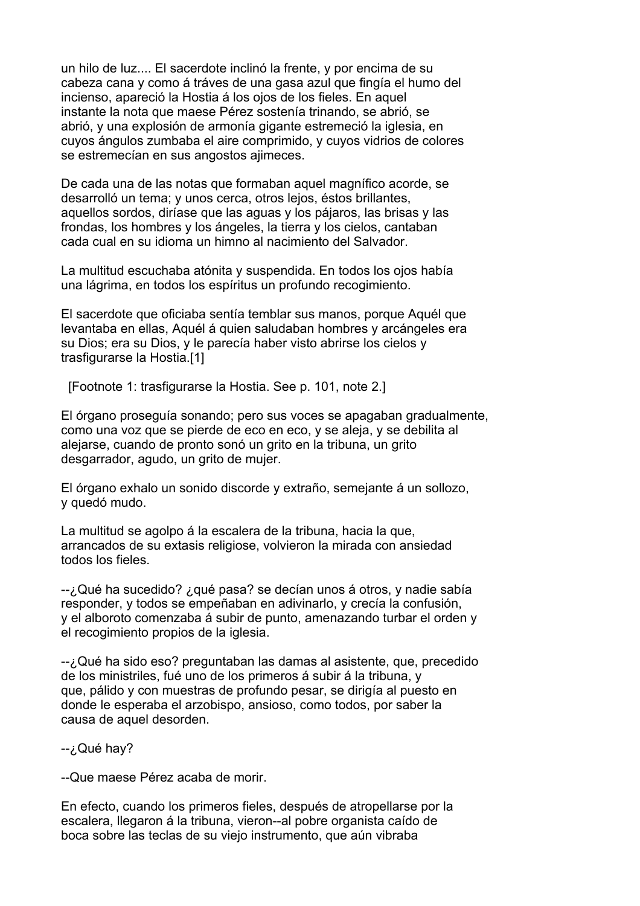un hilo de luz.... El sacerdote inclinó la frente, y por encima de su cabeza cana y como á tráves de una gasa azul que fingía el humo del incienso, apareció la Hostia á los ojos de los fieles. En aquel instante la nota que maese Pérez sostenía trinando, se abrió, se abrió, y una explosión de armonía gigante estremeció la iglesia, en cuyos ángulos zumbaba el aire comprimido, y cuyos vidrios de colores se estremecían en sus angostos ajimeces.

De cada una de las notas que formaban aquel magnífico acorde, se desarrolló un tema; y unos cerca, otros lejos, éstos brillantes, aquellos sordos, diríase que las aguas y los pájaros, las brisas y las frondas, los hombres y los ángeles, la tierra y los cielos, cantaban cada cual en su idioma un himno al nacimiento del Salvador.

La multitud escuchaba atónita y suspendida. En todos los ojos había una lágrima, en todos los espíritus un profundo recogimiento.

El sacerdote que oficiaba sentía temblar sus manos, porque Aquél que levantaba en ellas, Aquél á quien saludaban hombres y arcángeles era su Dios; era su Dios, y le parecía haber visto abrirse los cielos y trasfigurarse la Hostia.[1]

[Footnote 1: trasfigurarse la Hostia. See p. 101, note 2.]

El órgano proseguía sonando; pero sus voces se apagaban gradualmente, como una voz que se pierde de eco en eco, y se aleja, y se debilita al alejarse, cuando de pronto sonó un grito en la tribuna, un grito desgarrador, agudo, un grito de mujer.

El órgano exhalo un sonido discorde y extraño, semejante á un sollozo, y quedó mudo.

La multitud se agolpo á la escalera de la tribuna, hacia la que, arrancados de su extasis religiose, volvieron la mirada con ansiedad todos los fieles.

--¿Qué ha sucedido? ¿qué pasa? se decían unos á otros, y nadie sabía responder, y todos se empeñaban en adivinarlo, y crecía la confusión, y el alboroto comenzaba á subir de punto, amenazando turbar el orden y el recogimiento propios de la iglesia.

--¿Qué ha sido eso? preguntaban las damas al asistente, que, precedido de los ministriles, fué uno de los primeros á subir á la tribuna, y que, pálido y con muestras de profundo pesar, se dirigía al puesto en donde le esperaba el arzobispo, ansioso, como todos, por saber la causa de aquel desorden.

#### -- ¿Qué hay?

--Que maese Pérez acaba de morir.

En efecto, cuando los primeros fieles, después de atropellarse por la escalera, llegaron á la tribuna, vieron--al pobre organista caído de boca sobre las teclas de su viejo instrumento, que aún vibraba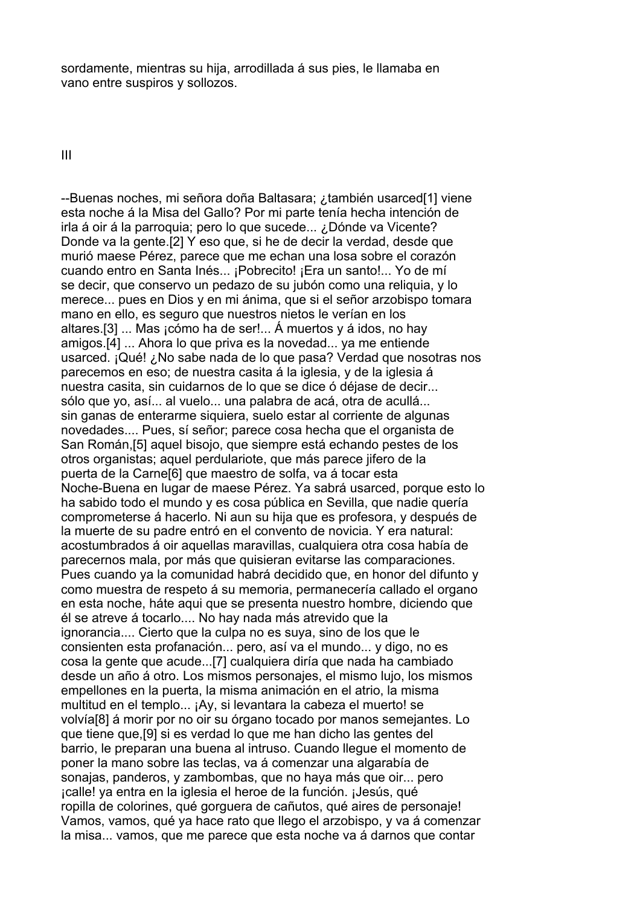sordamente, mientras su hija, arrodillada á sus pies, le llamaba en vano entre suspiros y sollozos.

III

--Buenas noches, mi señora doña Baltasara; ¿también usarced[1] viene esta noche á la Misa del Gallo? Por mi parte tenía hecha intención de irla á oir á la parroquia; pero lo que sucede... ¿Dónde va Vicente? Donde va la gente.[2] Y eso que, si he de decir la verdad, desde que murió maese Pérez, parece que me echan una losa sobre el corazón cuando entro en Santa Inés... ¡Pobrecito! ¡Era un santo!... Yo de mí se decir, que conservo un pedazo de su jubón como una reliquia, y lo merece... pues en Dios y en mi ánima, que si el señor arzobispo tomara mano en ello, es seguro que nuestros nietos le verían en los altares.[3] ... Mas ¡cómo ha de ser!... Á muertos y á idos, no hay amigos.[4] ... Ahora lo que priva es la novedad... ya me entiende usarced. ¡Qué! ¿No sabe nada de lo que pasa? Verdad que nosotras nos parecemos en eso; de nuestra casita á la iglesia, y de la iglesia á nuestra casita, sin cuidarnos de lo que se dice ó déjase de decir... sólo que yo, así... al vuelo... una palabra de acá, otra de acullá... sin ganas de enterarme siquiera, suelo estar al corriente de algunas novedades.... Pues, sí señor; parece cosa hecha que el organista de San Román,[5] aquel bisojo, que siempre está echando pestes de los otros organistas; aquel perdulariote, que más parece jifero de la puerta de la Carne[6] que maestro de solfa, va á tocar esta Noche-Buena en lugar de maese Pérez. Ya sabrá usarced, porque esto lo ha sabido todo el mundo y es cosa pública en Sevilla, que nadie quería comprometerse á hacerlo. Ni aun su hija que es profesora, y después de la muerte de su padre entró en el convento de novicia. Y era natural: acostumbrados á oir aquellas maravillas, cualquiera otra cosa había de parecernos mala, por más que quisieran evitarse las comparaciones. Pues cuando ya la comunidad habrá decidido que, en honor del difunto y como muestra de respeto á su memoria, permanecería callado el organo en esta noche, háte aqui que se presenta nuestro hombre, diciendo que él se atreve á tocarlo.... No hay nada más atrevido que la ignorancia.... Cierto que la culpa no es suya, sino de los que le consienten esta profanación... pero, así va el mundo... y digo, no es cosa la gente que acude...[7] cualquiera diría que nada ha cambiado desde un año á otro. Los mismos personajes, el mismo lujo, los mismos empellones en la puerta, la misma animación en el atrio, la misma multitud en el templo... ¡Ay, si levantara la cabeza el muerto! se volvía[8] á morir por no oir su órgano tocado por manos semejantes. Lo que tiene que,[9] si es verdad lo que me han dicho las gentes del barrio, le preparan una buena al intruso. Cuando llegue el momento de poner la mano sobre las teclas, va á comenzar una algarabía de sonajas, panderos, y zambombas, que no haya más que oir... pero ¡calle! ya entra en la iglesia el heroe de la función. ¡Jesús, qué ropilla de colorines, qué gorguera de cañutos, qué aires de personaje! Vamos, vamos, qué ya hace rato que llego el arzobispo, y va á comenzar la misa... vamos, que me parece que esta noche va á darnos que contar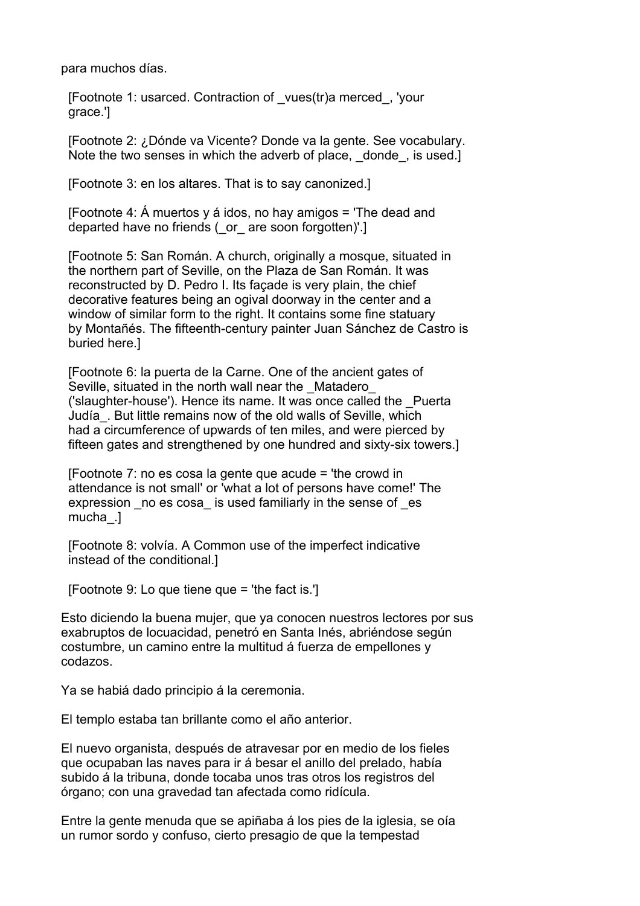para muchos días.

 [Footnote 1: usarced. Contraction of \_vues(tr)a merced\_, 'your grace.']

 [Footnote 2: ¿Dónde va Vicente? Donde va la gente. See vocabulary. Note the two senses in which the adverb of place, donde, is used.]

[Footnote 3: en los altares. That is to say canonized.]

[Footnote 4:  $\acute{A}$  muertos y á idos, no hay amigos = 'The dead and departed have no friends (\_or\_ are soon forgotten)'.]

 [Footnote 5: San Román. A church, originally a mosque, situated in the northern part of Seville, on the Plaza de San Román. It was reconstructed by D. Pedro I. Its façade is very plain, the chief decorative features being an ogival doorway in the center and a window of similar form to the right. It contains some fine statuary by Montañés. The fifteenth-century painter Juan Sánchez de Castro is buried here.]

 [Footnote 6: la puerta de la Carne. One of the ancient gates of Seville, situated in the north wall near the Matadero ('slaughter-house'). Hence its name. It was once called the \_Puerta Judía\_. But little remains now of the old walls of Seville, which had a circumference of upwards of ten miles, and were pierced by fifteen gates and strengthened by one hundred and sixty-six towers.]

 [Footnote 7: no es cosa la gente que acude = 'the crowd in attendance is not small' or 'what a lot of persons have come!' The expression no es cosa is used familiarly in the sense of es mucha\_.]

 [Footnote 8: volvía. A Common use of the imperfect indicative instead of the conditional.]

[Footnote 9: Lo que tiene que = 'the fact is.']

Esto diciendo la buena mujer, que ya conocen nuestros lectores por sus exabruptos de locuacidad, penetró en Santa Inés, abriéndose según costumbre, un camino entre la multitud á fuerza de empellones y codazos.

Ya se habiá dado principio á la ceremonia.

El templo estaba tan brillante como el año anterior.

El nuevo organista, después de atravesar por en medio de los fieles que ocupaban las naves para ir á besar el anillo del prelado, había subido á la tribuna, donde tocaba unos tras otros los registros del órgano; con una gravedad tan afectada como ridícula.

Entre la gente menuda que se apiñaba á los pies de la iglesia, se oía un rumor sordo y confuso, cierto presagio de que la tempestad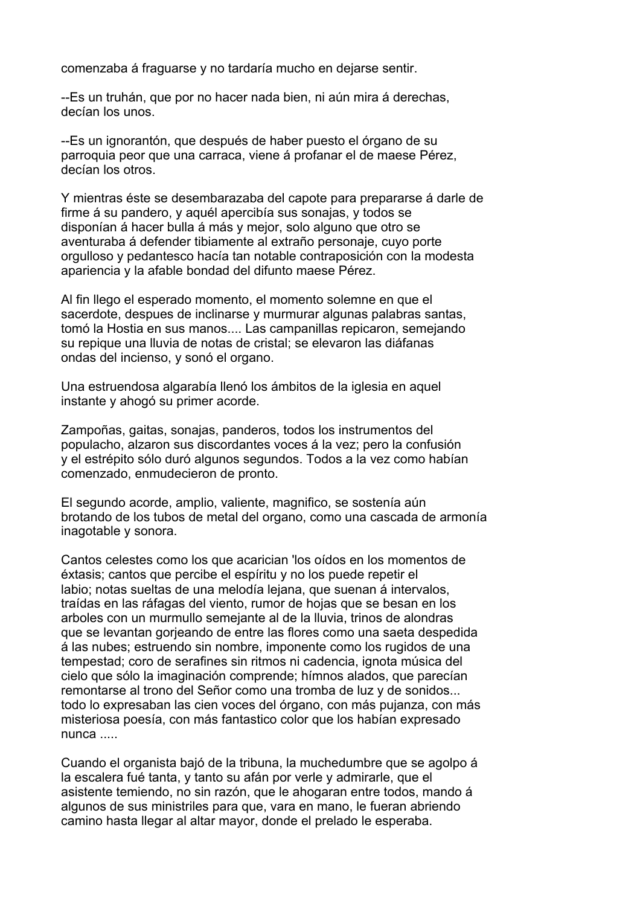comenzaba á fraguarse y no tardaría mucho en dejarse sentir.

--Es un truhán, que por no hacer nada bien, ni aún mira á derechas, decían los unos.

--Es un ignorantón, que después de haber puesto el órgano de su parroquia peor que una carraca, viene á profanar el de maese Pérez, decían los otros.

Y mientras éste se desembarazaba del capote para prepararse á darle de firme á su pandero, y aquél apercibía sus sonajas, y todos se disponían á hacer bulla á más y mejor, solo alguno que otro se aventuraba á defender tibiamente al extraño personaje, cuyo porte orgulloso y pedantesco hacía tan notable contraposición con la modesta apariencia y la afable bondad del difunto maese Pérez.

Al fin llego el esperado momento, el momento solemne en que el sacerdote, despues de inclinarse y murmurar algunas palabras santas, tomó la Hostia en sus manos.... Las campanillas repicaron, semejando su repique una lluvia de notas de cristal; se elevaron las diáfanas ondas del incienso, y sonó el organo.

Una estruendosa algarabía llenó los ámbitos de la iglesia en aquel instante y ahogó su primer acorde.

Zampoñas, gaitas, sonajas, panderos, todos los instrumentos del populacho, alzaron sus discordantes voces á la vez; pero la confusión y el estrépito sólo duró algunos segundos. Todos a la vez como habían comenzado, enmudecieron de pronto.

El segundo acorde, amplio, valiente, magnifico, se sostenía aún brotando de los tubos de metal del organo, como una cascada de armonía inagotable y sonora.

Cantos celestes como los que acarician 'los oídos en los momentos de éxtasis; cantos que percibe el espíritu y no los puede repetir el labio; notas sueltas de una melodía lejana, que suenan á intervalos, traídas en las ráfagas del viento, rumor de hojas que se besan en los arboles con un murmullo semejante al de la lluvia, trinos de alondras que se levantan gorjeando de entre las flores como una saeta despedida á las nubes; estruendo sin nombre, imponente como los rugidos de una tempestad; coro de serafines sin ritmos ni cadencia, ignota música del cielo que sólo la imaginación comprende; hímnos alados, que parecían remontarse al trono del Señor como una tromba de luz y de sonidos... todo lo expresaban las cien voces del órgano, con más pujanza, con más misteriosa poesía, con más fantastico color que los habían expresado nunca .....

Cuando el organista bajó de la tribuna, la muchedumbre que se agolpo á la escalera fué tanta, y tanto su afán por verle y admirarle, que el asistente temiendo, no sin razón, que le ahogaran entre todos, mando á algunos de sus ministriles para que, vara en mano, le fueran abriendo camino hasta llegar al altar mayor, donde el prelado le esperaba.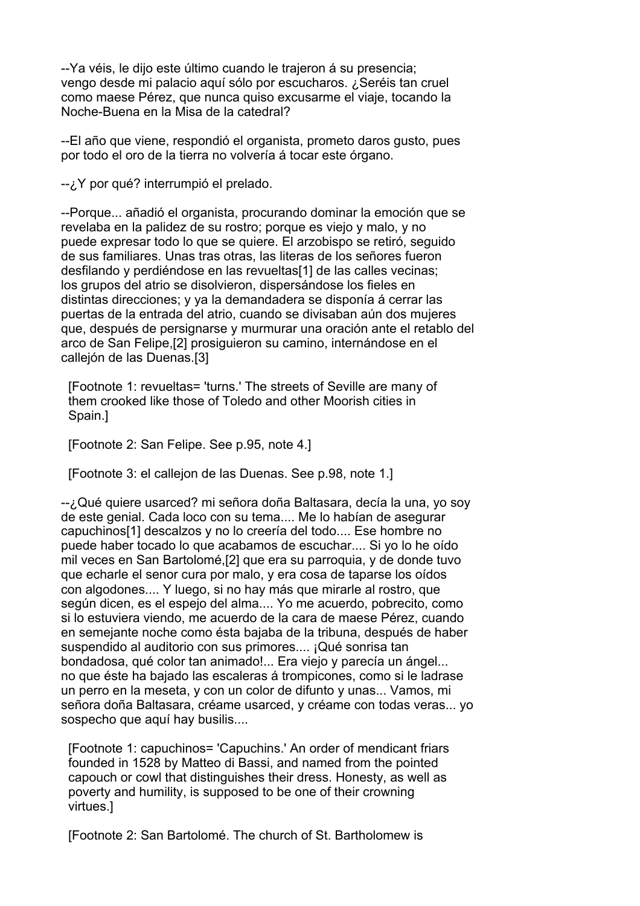--Ya véis, le dijo este último cuando le trajeron á su presencia; vengo desde mi palacio aquí sólo por escucharos. ¿Seréis tan cruel como maese Pérez, que nunca quiso excusarme el viaje, tocando la Noche-Buena en la Misa de la catedral?

--El año que viene, respondió el organista, prometo daros gusto, pues por todo el oro de la tierra no volvería á tocar este órgano.

--¿Y por qué? interrumpió el prelado.

--Porque... añadió el organista, procurando dominar la emoción que se revelaba en la palidez de su rostro; porque es viejo y malo, y no puede expresar todo lo que se quiere. El arzobispo se retiró, seguido de sus familiares. Unas tras otras, las literas de los señores fueron desfilando y perdiéndose en las revueltas[1] de las calles vecinas; los grupos del atrio se disolvieron, dispersándose los fieles en distintas direcciones; y ya la demandadera se disponía á cerrar las puertas de la entrada del atrio, cuando se divisaban aún dos mujeres que, después de persignarse y murmurar una oración ante el retablo del arco de San Felipe,[2] prosiguieron su camino, internándose en el callejón de las Duenas.[3]

 [Footnote 1: revueltas= 'turns.' The streets of Seville are many of them crooked like those of Toledo and other Moorish cities in Spain.]

[Footnote 2: San Felipe. See p.95, note 4.]

[Footnote 3: el callejon de las Duenas. See p.98, note 1.]

--¿Qué quiere usarced? mi señora doña Baltasara, decía la una, yo soy de este genial. Cada loco con su tema.... Me lo habían de asegurar capuchinos[1] descalzos y no lo creería del todo.... Ese hombre no puede haber tocado lo que acabamos de escuchar.... Si yo lo he oído mil veces en San Bartolomé,[2] que era su parroquia, y de donde tuvo que echarle el senor cura por malo, y era cosa de taparse los oídos con algodones.... Y luego, si no hay más que mirarle al rostro, que según dicen, es el espejo del alma.... Yo me acuerdo, pobrecito, como si lo estuviera viendo, me acuerdo de la cara de maese Pérez, cuando en semejante noche como ésta bajaba de la tribuna, después de haber suspendido al auditorio con sus primores.... ¡Qué sonrisa tan bondadosa, qué color tan animado!... Era viejo y parecía un ángel... no que éste ha bajado las escaleras á trompicones, como si le ladrase un perro en la meseta, y con un color de difunto y unas... Vamos, mi señora doña Baltasara, créame usarced, y créame con todas veras... yo sospecho que aquí hay busilis....

 [Footnote 1: capuchinos= 'Capuchins.' An order of mendicant friars founded in 1528 by Matteo di Bassi, and named from the pointed capouch or cowl that distinguishes their dress. Honesty, as well as poverty and humility, is supposed to be one of their crowning virtues.]

[Footnote 2: San Bartolomé. The church of St. Bartholomew is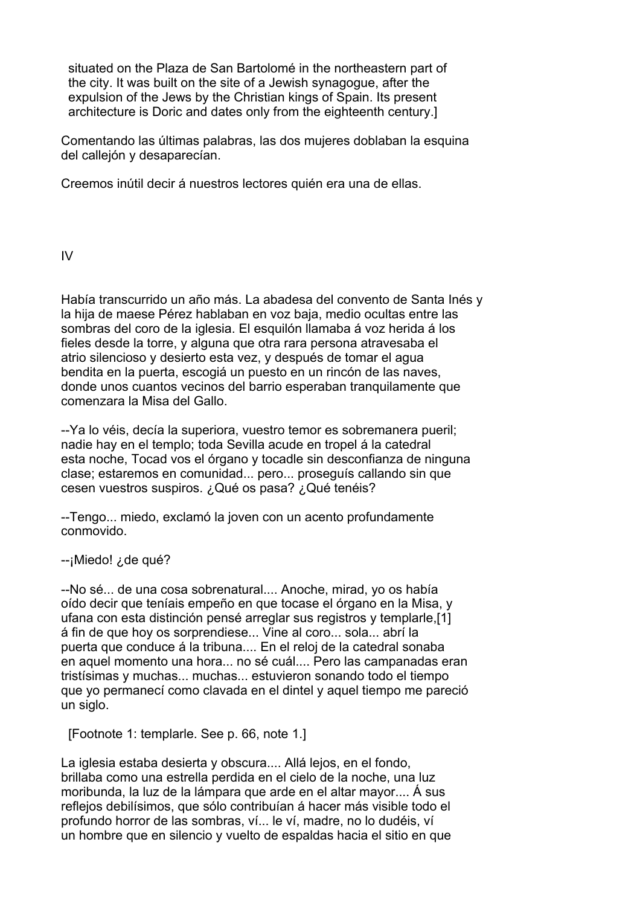situated on the Plaza de San Bartolomé in the northeastern part of the city. It was built on the site of a Jewish synagogue, after the expulsion of the Jews by the Christian kings of Spain. Its present architecture is Doric and dates only from the eighteenth century.]

Comentando las últimas palabras, las dos mujeres doblaban la esquina del callejón y desaparecían.

Creemos inútil decir á nuestros lectores quién era una de ellas.

IV

Había transcurrido un año más. La abadesa del convento de Santa Inés y la hija de maese Pérez hablaban en voz baja, medio ocultas entre las sombras del coro de la iglesia. El esquilón llamaba á voz herida á los fieles desde la torre, y alguna que otra rara persona atravesaba el atrio silencioso y desierto esta vez, y después de tomar el agua bendita en la puerta, escogiá un puesto en un rincón de las naves, donde unos cuantos vecinos del barrio esperaban tranquilamente que comenzara la Misa del Gallo.

--Ya lo véis, decía la superiora, vuestro temor es sobremanera pueril; nadie hay en el templo; toda Sevilla acude en tropel á la catedral esta noche, Tocad vos el órgano y tocadle sin desconfianza de ninguna clase; estaremos en comunidad... pero... proseguís callando sin que cesen vuestros suspiros. ¿Qué os pasa? ¿Qué tenéis?

--Tengo... miedo, exclamó la joven con un acento profundamente conmovido.

--¡Miedo! ¿de qué?

--No sé... de una cosa sobrenatural.... Anoche, mirad, yo os había oído decir que teníais empeño en que tocase el órgano en la Misa, y ufana con esta distinción pensé arreglar sus registros y templarle,[1] á fin de que hoy os sorprendiese... Vine al coro... sola... abrí la puerta que conduce á la tribuna.... En el reloj de la catedral sonaba en aquel momento una hora... no sé cuál.... Pero las campanadas eran tristísimas y muchas... muchas... estuvieron sonando todo el tiempo que yo permanecí como clavada en el dintel y aquel tiempo me pareció un siglo.

[Footnote 1: templarle. See p. 66, note 1.]

La iglesia estaba desierta y obscura.... Allá lejos, en el fondo, brillaba como una estrella perdida en el cielo de la noche, una luz moribunda, la luz de la lámpara que arde en el altar mayor.... Á sus reflejos debilísimos, que sólo contribuían á hacer más visible todo el profundo horror de las sombras, ví... le ví, madre, no lo dudéis, ví un hombre que en silencio y vuelto de espaldas hacia el sitio en que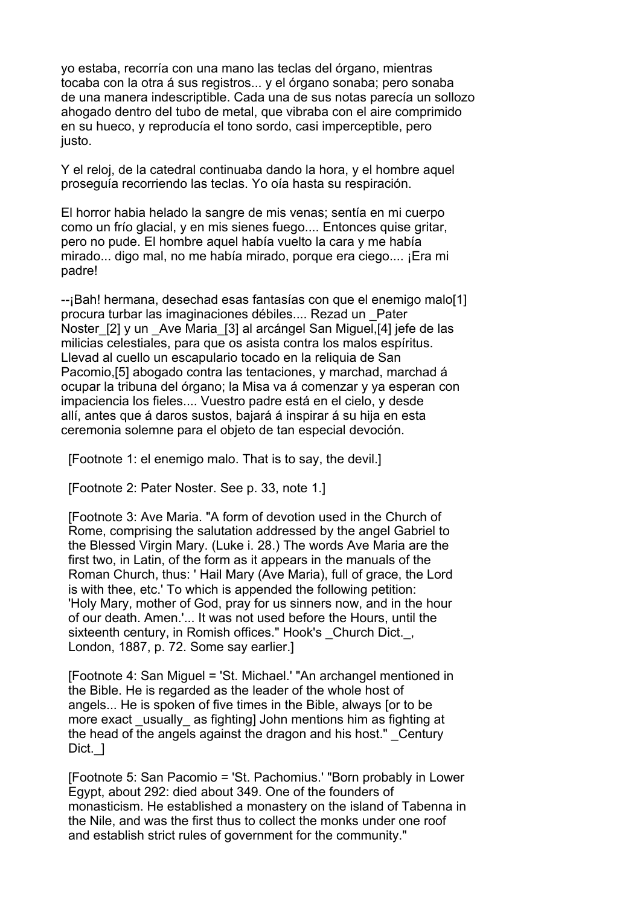yo estaba, recorría con una mano las teclas del órgano, mientras tocaba con la otra á sus registros... y el órgano sonaba; pero sonaba de una manera indescriptible. Cada una de sus notas parecía un sollozo ahogado dentro del tubo de metal, que vibraba con el aire comprimido en su hueco, y reproducía el tono sordo, casi imperceptible, pero justo.

Y el reloj, de la catedral continuaba dando la hora, y el hombre aquel proseguía recorriendo las teclas. Yo oía hasta su respiración.

El horror habia helado la sangre de mis venas; sentía en mi cuerpo como un frío glacial, y en mis sienes fuego.... Entonces quise gritar, pero no pude. El hombre aquel había vuelto la cara y me había mirado... digo mal, no me había mirado, porque era ciego.... ¡Era mi padre!

--¡Bah! hermana, desechad esas fantasías con que el enemigo malo[1] procura turbar las imaginaciones débiles.... Rezad un \_Pater Noster\_[2] y un \_Ave Maria\_[3] al arcángel San Miguel,[4] jefe de las milicias celestiales, para que os asista contra los malos espíritus. Llevad al cuello un escapulario tocado en la reliquia de San Pacomio,[5] abogado contra las tentaciones, y marchad, marchad á ocupar la tribuna del órgano; la Misa va á comenzar y ya esperan con impaciencia los fieles.... Vuestro padre está en el cielo, y desde allí, antes que á daros sustos, bajará á inspirar á su hija en esta ceremonia solemne para el objeto de tan especial devoción.

[Footnote 1: el enemigo malo. That is to say, the devil.]

[Footnote 2: Pater Noster. See p. 33, note 1.]

 [Footnote 3: Ave Maria. "A form of devotion used in the Church of Rome, comprising the salutation addressed by the angel Gabriel to the Blessed Virgin Mary. (Luke i. 28.) The words Ave Maria are the first two, in Latin, of the form as it appears in the manuals of the Roman Church, thus: ' Hail Mary (Ave Maria), full of grace, the Lord is with thee, etc.' To which is appended the following petition: 'Holy Mary, mother of God, pray for us sinners now, and in the hour of our death. Amen.'... It was not used before the Hours, until the sixteenth century, in Romish offices." Hook's Church Dict., London, 1887, p. 72. Some say earlier.]

 [Footnote 4: San Miguel = 'St. Michael.' "An archangel mentioned in the Bible. He is regarded as the leader of the whole host of angels... He is spoken of five times in the Bible, always [or to be more exact usually as fighting] John mentions him as fighting at the head of the angels against the dragon and his host." \_Century Dict. 1

 [Footnote 5: San Pacomio = 'St. Pachomius.' "Born probably in Lower Egypt, about 292: died about 349. One of the founders of monasticism. He established a monastery on the island of Tabenna in the Nile, and was the first thus to collect the monks under one roof and establish strict rules of government for the community."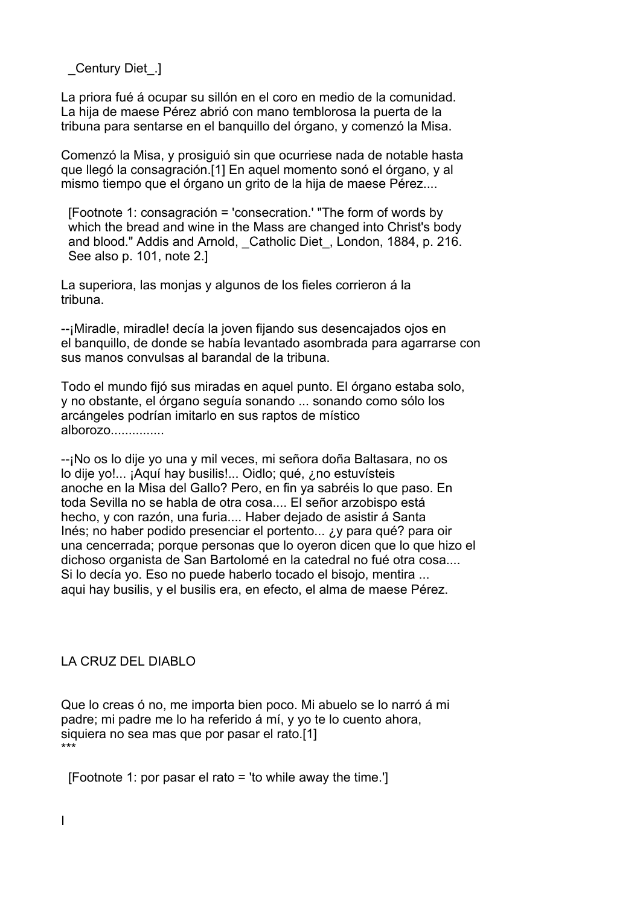\_Century Diet\_.]

La priora fué á ocupar su sillón en el coro en medio de la comunidad. La hija de maese Pérez abrió con mano temblorosa la puerta de la tribuna para sentarse en el banquillo del órgano, y comenzó la Misa.

Comenzó la Misa, y prosiguió sin que ocurriese nada de notable hasta que llegó la consagración.[1] En aquel momento sonó el órgano, y al mismo tiempo que el órgano un grito de la hija de maese Pérez....

 [Footnote 1: consagración = 'consecration.' "The form of words by which the bread and wine in the Mass are changed into Christ's body and blood." Addis and Arnold, Catholic Diet, London, 1884, p. 216. See also p. 101, note 2.1

La superiora, las monjas y algunos de los fieles corrieron á la tribuna.

--¡Miradle, miradle! decía la joven fijando sus desencajados ojos en el banquillo, de donde se había levantado asombrada para agarrarse con sus manos convulsas al barandal de la tribuna.

Todo el mundo fijó sus miradas en aquel punto. El órgano estaba solo, y no obstante, el órgano seguía sonando ... sonando como sólo los arcángeles podrían imitarlo en sus raptos de místico alborozo...............

--¡No os lo dije yo una y mil veces, mi señora doña Baltasara, no os lo dije yo!... ¡Aquí hay busilis!... Oidlo; qué, ¿no estuvísteis anoche en la Misa del Gallo? Pero, en fin ya sabréis lo que paso. En toda Sevilla no se habla de otra cosa.... El señor arzobispo está hecho, y con razón, una furia.... Haber dejado de asistir á Santa Inés; no haber podido presenciar el portento... ¿y para qué? para oir una cencerrada; porque personas que lo oyeron dicen que lo que hizo el dichoso organista de San Bartolomé en la catedral no fué otra cosa.... Si lo decía yo. Eso no puede haberlo tocado el bisojo, mentira ... aqui hay busilis, y el busilis era, en efecto, el alma de maese Pérez.

#### LA CRUZ DEL DIABLO

Que lo creas ó no, me importa bien poco. Mi abuelo se lo narró á mi padre; mi padre me lo ha referido á mí, y yo te lo cuento ahora, siquiera no sea mas que por pasar el rato.[1] \*\*\*

[Footnote 1: por pasar el rato = 'to while away the time.']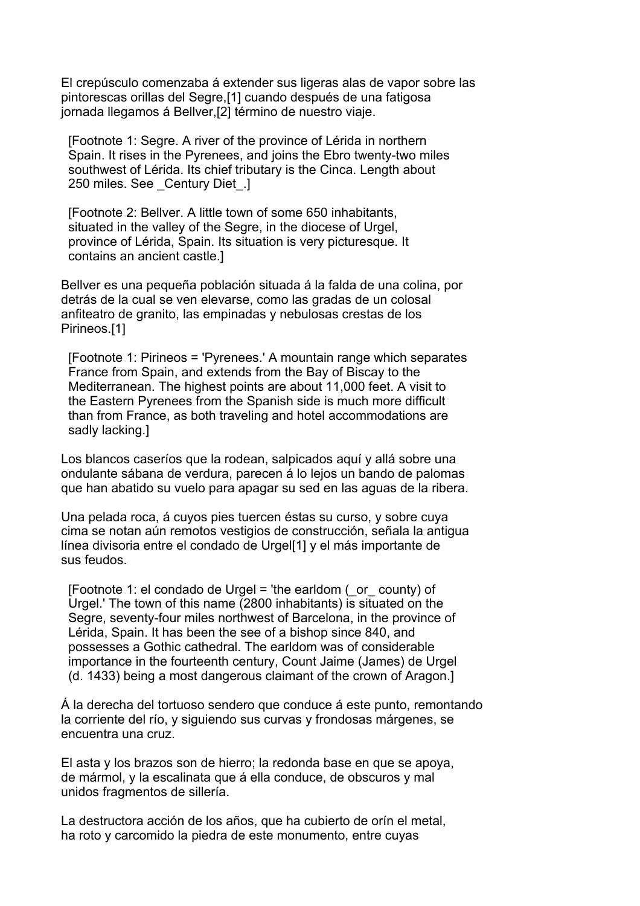El crepúsculo comenzaba á extender sus ligeras alas de vapor sobre las pintorescas orillas del Segre,[1] cuando después de una fatigosa jornada llegamos á Bellver,[2] término de nuestro viaje.

 [Footnote 1: Segre. A river of the province of Lérida in northern Spain. It rises in the Pyrenees, and joins the Ebro twenty-two miles southwest of Lérida. Its chief tributary is the Cinca. Length about 250 miles. See \_Century Diet\_.]

 [Footnote 2: Bellver. A little town of some 650 inhabitants, situated in the valley of the Segre, in the diocese of Urgel, province of Lérida, Spain. Its situation is very picturesque. It contains an ancient castle.]

Bellver es una pequeña población situada á la falda de una colina, por detrás de la cual se ven elevarse, como las gradas de un colosal anfiteatro de granito, las empinadas y nebulosas crestas de los Pirineos.[1]

 [Footnote 1: Pirineos = 'Pyrenees.' A mountain range which separates France from Spain, and extends from the Bay of Biscay to the Mediterranean. The highest points are about 11,000 feet. A visit to the Eastern Pyrenees from the Spanish side is much more difficult than from France, as both traveling and hotel accommodations are sadly lacking.]

Los blancos caseríos que la rodean, salpicados aquí y allá sobre una ondulante sábana de verdura, parecen á lo lejos un bando de palomas que han abatido su vuelo para apagar su sed en las aguas de la ribera.

Una pelada roca, á cuyos pies tuercen éstas su curso, y sobre cuya cima se notan aún remotos vestigios de construcción, señala la antigua línea divisoria entre el condado de Urgel[1] y el más importante de sus feudos.

[Footnote 1: el condado de Urgel = 'the earldom  $($  or county) of Urgel.' The town of this name (2800 inhabitants) is situated on the Segre, seventy-four miles northwest of Barcelona, in the province of Lérida, Spain. It has been the see of a bishop since 840, and possesses a Gothic cathedral. The earldom was of considerable importance in the fourteenth century, Count Jaime (James) de Urgel (d. 1433) being a most dangerous claimant of the crown of Aragon.]

Á la derecha del tortuoso sendero que conduce á este punto, remontando la corriente del río, y siguiendo sus curvas y frondosas márgenes, se encuentra una cruz.

El asta y los brazos son de hierro; la redonda base en que se apoya, de mármol, y la escalinata que á ella conduce, de obscuros y mal unidos fragmentos de sillería.

La destructora acción de los años, que ha cubierto de orín el metal, ha roto y carcomido la piedra de este monumento, entre cuyas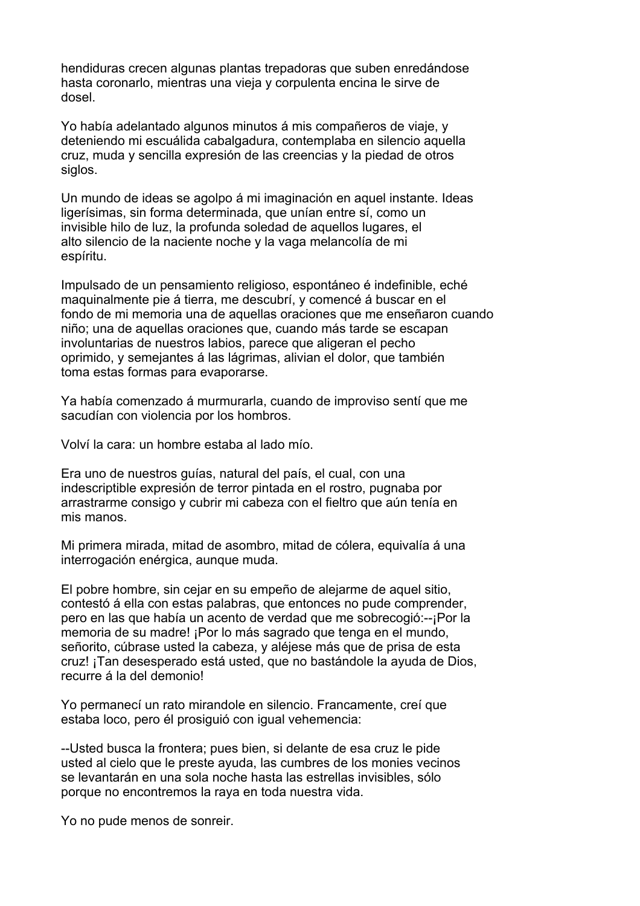hendiduras crecen algunas plantas trepadoras que suben enredándose hasta coronarlo, mientras una vieja y corpulenta encina le sirve de dosel.

Yo había adelantado algunos minutos á mis compañeros de viaje, y deteniendo mi escuálida cabalgadura, contemplaba en silencio aquella cruz, muda y sencilla expresión de las creencias y la piedad de otros siglos.

Un mundo de ideas se agolpo á mi imaginación en aquel instante. Ideas ligerísimas, sin forma determinada, que unían entre sí, como un invisible hilo de luz, la profunda soledad de aquellos lugares, el alto silencio de la naciente noche y la vaga melancolía de mi espíritu.

Impulsado de un pensamiento religioso, espontáneo é indefinible, eché maquinalmente pie á tierra, me descubrí, y comencé á buscar en el fondo de mi memoria una de aquellas oraciones que me enseñaron cuando niño; una de aquellas oraciones que, cuando más tarde se escapan involuntarias de nuestros labios, parece que aligeran el pecho oprimido, y semejantes á las lágrimas, alivian el dolor, que también toma estas formas para evaporarse.

Ya había comenzado á murmurarla, cuando de improviso sentí que me sacudían con violencia por los hombros.

Volví la cara: un hombre estaba al lado mío.

Era uno de nuestros guías, natural del país, el cual, con una indescriptible expresión de terror pintada en el rostro, pugnaba por arrastrarme consigo y cubrir mi cabeza con el fieltro que aún tenía en mis manos.

Mi primera mirada, mitad de asombro, mitad de cólera, equivalía á una interrogación enérgica, aunque muda.

El pobre hombre, sin cejar en su empeño de alejarme de aquel sitio, contestó á ella con estas palabras, que entonces no pude comprender, pero en las que había un acento de verdad que me sobrecogió:--¡Por la memoria de su madre! ¡Por lo más sagrado que tenga en el mundo, señorito, cúbrase usted la cabeza, y aléjese más que de prisa de esta cruz! ¡Tan desesperado está usted, que no bastándole la ayuda de Dios, recurre á la del demonio!

Yo permanecí un rato mirandole en silencio. Francamente, creí que estaba loco, pero él prosiguió con igual vehemencia:

--Usted busca la frontera; pues bien, si delante de esa cruz le pide usted al cielo que le preste ayuda, las cumbres de los monies vecinos se levantarán en una sola noche hasta las estrellas invisibles, sólo porque no encontremos la raya en toda nuestra vida.

Yo no pude menos de sonreir.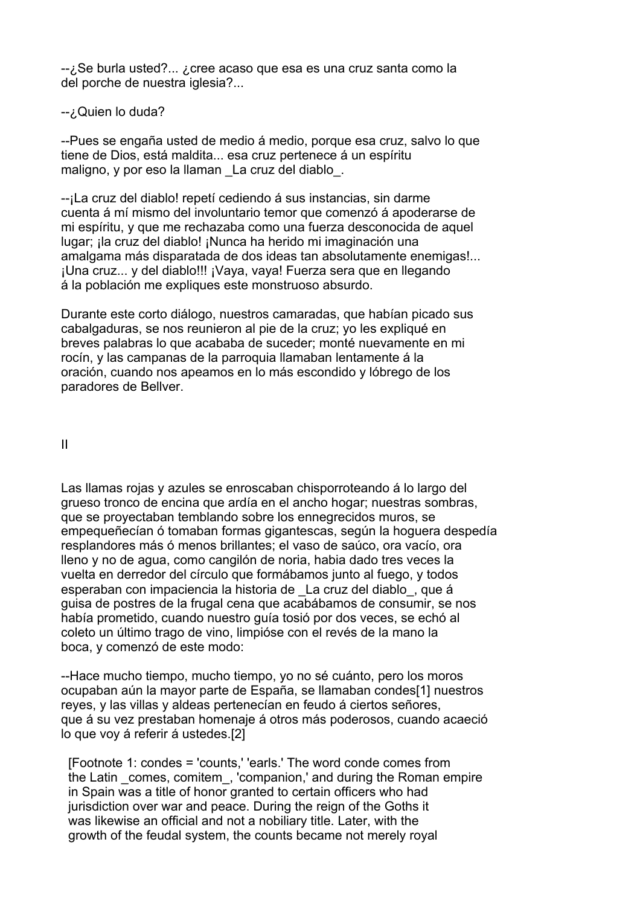--¿Se burla usted?... ¿cree acaso que esa es una cruz santa como la del porche de nuestra iglesia?...

### --; Quien lo duda?

--Pues se engaña usted de medio á medio, porque esa cruz, salvo lo que tiene de Dios, está maldita... esa cruz pertenece á un espíritu maligno, y por eso la llaman \_La cruz del diablo\_.

--¡La cruz del diablo! repetí cediendo á sus instancias, sin darme cuenta á mí mismo del involuntario temor que comenzó á apoderarse de mi espíritu, y que me rechazaba como una fuerza desconocida de aquel lugar; ¡la cruz del diablo! ¡Nunca ha herido mi imaginación una amalgama más disparatada de dos ideas tan absolutamente enemigas!... ¡Una cruz... y del diablo!!! ¡Vaya, vaya! Fuerza sera que en llegando á la población me expliques este monstruoso absurdo.

Durante este corto diálogo, nuestros camaradas, que habían picado sus cabalgaduras, se nos reunieron al pie de la cruz; yo les expliqué en breves palabras lo que acababa de suceder; monté nuevamente en mi rocín, y las campanas de la parroquia llamaban lentamente á la oración, cuando nos apeamos en lo más escondido y lóbrego de los paradores de Bellver.

II

Las llamas rojas y azules se enroscaban chisporroteando á lo largo del grueso tronco de encina que ardía en el ancho hogar; nuestras sombras, que se proyectaban temblando sobre los ennegrecidos muros, se empequeñecían ó tomaban formas gigantescas, según la hoguera despedía resplandores más ó menos brillantes; el vaso de saúco, ora vacío, ora lleno y no de agua, como cangilón de noria, habia dado tres veces la vuelta en derredor del círculo que formábamos junto al fuego, y todos esperaban con impaciencia la historia de La cruz del diablo, que á guisa de postres de la frugal cena que acabábamos de consumir, se nos había prometido, cuando nuestro guía tosió por dos veces, se echó al coleto un último trago de vino, limpióse con el revés de la mano la boca, y comenzó de este modo:

--Hace mucho tiempo, mucho tiempo, yo no sé cuánto, pero los moros ocupaban aún la mayor parte de España, se llamaban condes[1] nuestros reyes, y las villas y aldeas pertenecían en feudo á ciertos señores, que á su vez prestaban homenaje á otros más poderosos, cuando acaeció lo que voy á referir á ustedes.[2]

 [Footnote 1: condes = 'counts,' 'earls.' The word conde comes from the Latin comes, comitem, 'companion,' and during the Roman empire in Spain was a title of honor granted to certain officers who had jurisdiction over war and peace. During the reign of the Goths it was likewise an official and not a nobiliary title. Later, with the growth of the feudal system, the counts became not merely royal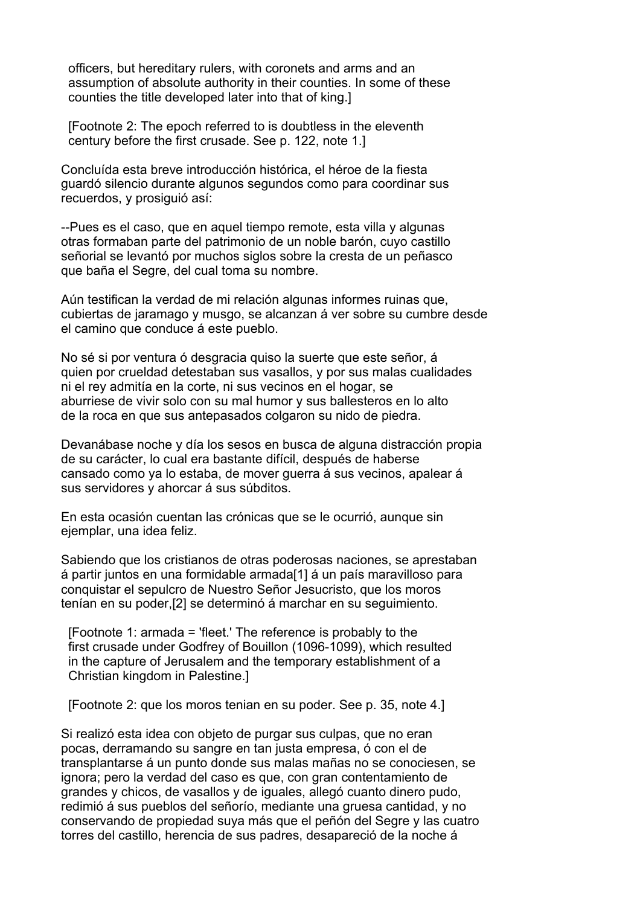officers, but hereditary rulers, with coronets and arms and an assumption of absolute authority in their counties. In some of these counties the title developed later into that of king.]

 [Footnote 2: The epoch referred to is doubtless in the eleventh century before the first crusade. See p. 122, note 1.]

Concluída esta breve introducción histórica, el héroe de la fiesta guardó silencio durante algunos segundos como para coordinar sus recuerdos, y prosiguió así:

--Pues es el caso, que en aquel tiempo remote, esta villa y algunas otras formaban parte del patrimonio de un noble barón, cuyo castillo señorial se levantó por muchos siglos sobre la cresta de un peñasco que baña el Segre, del cual toma su nombre.

Aún testifican la verdad de mi relación algunas informes ruinas que, cubiertas de jaramago y musgo, se alcanzan á ver sobre su cumbre desde el camino que conduce á este pueblo.

No sé si por ventura ó desgracia quiso la suerte que este señor, á quien por crueldad detestaban sus vasallos, y por sus malas cualidades ni el rey admitía en la corte, ni sus vecinos en el hogar, se aburriese de vivir solo con su mal humor y sus ballesteros en lo alto de la roca en que sus antepasados colgaron su nido de piedra.

Devanábase noche y día los sesos en busca de alguna distracción propia de su carácter, lo cual era bastante difícil, después de haberse cansado como ya lo estaba, de mover guerra á sus vecinos, apalear á sus servidores y ahorcar á sus súbditos.

En esta ocasión cuentan las crónicas que se le ocurrió, aunque sin ejemplar, una idea feliz.

Sabiendo que los cristianos de otras poderosas naciones, se aprestaban á partir juntos en una formidable armada[1] á un país maravilloso para conquistar el sepulcro de Nuestro Señor Jesucristo, que los moros tenían en su poder,[2] se determinó á marchar en su seguimiento.

 [Footnote 1: armada = 'fleet.' The reference is probably to the first crusade under Godfrey of Bouillon (1096-1099), which resulted in the capture of Jerusalem and the temporary establishment of a Christian kingdom in Palestine.]

[Footnote 2: que los moros tenian en su poder. See p. 35, note 4.]

Si realizó esta idea con objeto de purgar sus culpas, que no eran pocas, derramando su sangre en tan justa empresa, ó con el de transplantarse á un punto donde sus malas mañas no se conociesen, se ignora; pero la verdad del caso es que, con gran contentamiento de grandes y chicos, de vasallos y de iguales, allegó cuanto dinero pudo, redimió á sus pueblos del señorío, mediante una gruesa cantidad, y no conservando de propiedad suya más que el peñón del Segre y las cuatro torres del castillo, herencia de sus padres, desapareció de la noche á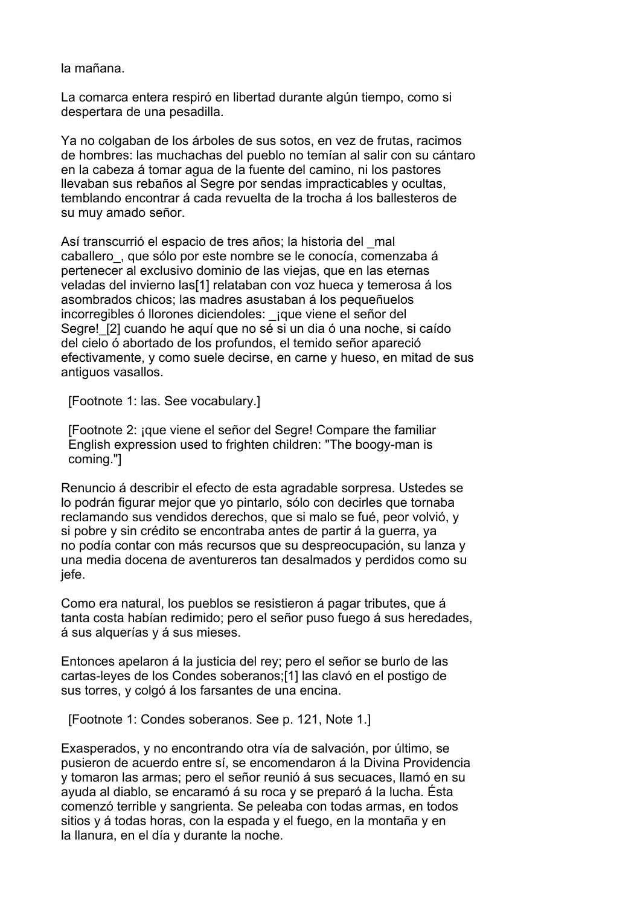la mañana.

La comarca entera respiró en libertad durante algún tiempo, como si despertara de una pesadilla.

Ya no colgaban de los árboles de sus sotos, en vez de frutas, racimos de hombres: las muchachas del pueblo no temían al salir con su cántaro en la cabeza á tomar agua de la fuente del camino, ni los pastores llevaban sus rebaños al Segre por sendas impracticables y ocultas, temblando encontrar á cada revuelta de la trocha á los ballesteros de su muy amado señor.

Así transcurrió el espacio de tres años; la historia del \_mal caballero\_, que sólo por este nombre se le conocía, comenzaba á pertenecer al exclusivo dominio de las viejas, que en las eternas veladas del invierno las[1] relataban con voz hueca y temerosa á los asombrados chicos; las madres asustaban á los pequeñuelos incorregibles ó llorones diciendoles: jque viene el señor del Segre! [2] cuando he aguí que no sé si un dia ó una noche, si caído del cielo ó abortado de los profundos, el temido señor apareció efectivamente, y como suele decirse, en carne y hueso, en mitad de sus antiguos vasallos.

[Footnote 1: las. See vocabulary.]

 [Footnote 2: ¡que viene el señor del Segre! Compare the familiar English expression used to frighten children: "The boogy-man is coming."]

Renuncio á describir el efecto de esta agradable sorpresa. Ustedes se lo podrán figurar mejor que yo pintarlo, sólo con decirles que tornaba reclamando sus vendidos derechos, que si malo se fué, peor volvió, y si pobre y sin crédito se encontraba antes de partir á la guerra, ya no podía contar con más recursos que su despreocupación, su lanza y una media docena de aventureros tan desalmados y perdidos como su jefe.

Como era natural, los pueblos se resistieron á pagar tributes, que á tanta costa habían redimido; pero el señor puso fuego á sus heredades, á sus alquerías y á sus mieses.

Entonces apelaron á la justicia del rey; pero el señor se burlo de las cartas-leyes de los Condes soberanos;[1] las clavó en el postigo de sus torres, y colgó á los farsantes de una encina.

[Footnote 1: Condes soberanos. See p. 121, Note 1.]

Exasperados, y no encontrando otra vía de salvación, por último, se pusieron de acuerdo entre sí, se encomendaron á la Divina Providencia y tomaron las armas; pero el señor reunió á sus secuaces, llamó en su ayuda al diablo, se encaramó á su roca y se preparó á la lucha. Ésta comenzó terrible y sangrienta. Se peleaba con todas armas, en todos sitios y á todas horas, con la espada y el fuego, en la montaña y en la llanura, en el día y durante la noche.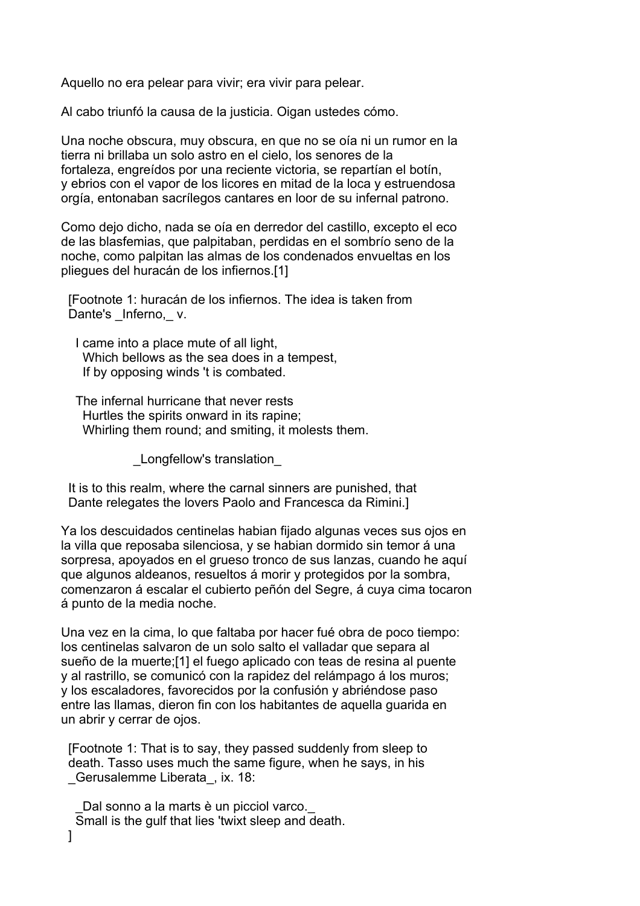Aquello no era pelear para vivir; era vivir para pelear.

Al cabo triunfó la causa de la justicia. Oigan ustedes cómo.

Una noche obscura, muy obscura, en que no se oía ni un rumor en la tierra ni brillaba un solo astro en el cielo, los senores de la fortaleza, engreídos por una reciente victoria, se repartían el botín, y ebrios con el vapor de los licores en mitad de la loca y estruendosa orgía, entonaban sacrílegos cantares en loor de su infernal patrono.

Como dejo dicho, nada se oía en derredor del castillo, excepto el eco de las blasfemias, que palpitaban, perdidas en el sombrío seno de la noche, como palpitan las almas de los condenados envueltas en los pliegues del huracán de los infiernos.[1]

 [Footnote 1: huracán de los infiernos. The idea is taken from Dante's Inferno, v.

 I came into a place mute of all light, Which bellows as the sea does in a tempest, If by opposing winds 't is combated.

 The infernal hurricane that never rests Hurtles the spirits onward in its rapine; Whirling them round; and smiting, it molests them.

\_Longfellow's translation\_

 It is to this realm, where the carnal sinners are punished, that Dante relegates the lovers Paolo and Francesca da Rimini.]

Ya los descuidados centinelas habian fijado algunas veces sus ojos en la villa que reposaba silenciosa, y se habian dormido sin temor á una sorpresa, apoyados en el grueso tronco de sus lanzas, cuando he aquí que algunos aldeanos, resueltos á morir y protegidos por la sombra, comenzaron á escalar el cubierto peñón del Segre, á cuya cima tocaron á punto de la media noche.

Una vez en la cima, lo que faltaba por hacer fué obra de poco tiempo: los centinelas salvaron de un solo salto el valladar que separa al sueño de la muerte;[1] el fuego aplicado con teas de resina al puente y al rastrillo, se comunicó con la rapidez del relámpago á los muros; y los escaladores, favorecidos por la confusión y abriéndose paso entre las llamas, dieron fin con los habitantes de aquella guarida en un abrir y cerrar de ojos.

 [Footnote 1: That is to say, they passed suddenly from sleep to death. Tasso uses much the same figure, when he says, in his Gerusalemme Liberata, ix. 18:

Dal sonno a la marts è un picciol varco. Small is the gulf that lies 'twixt sleep and death. ]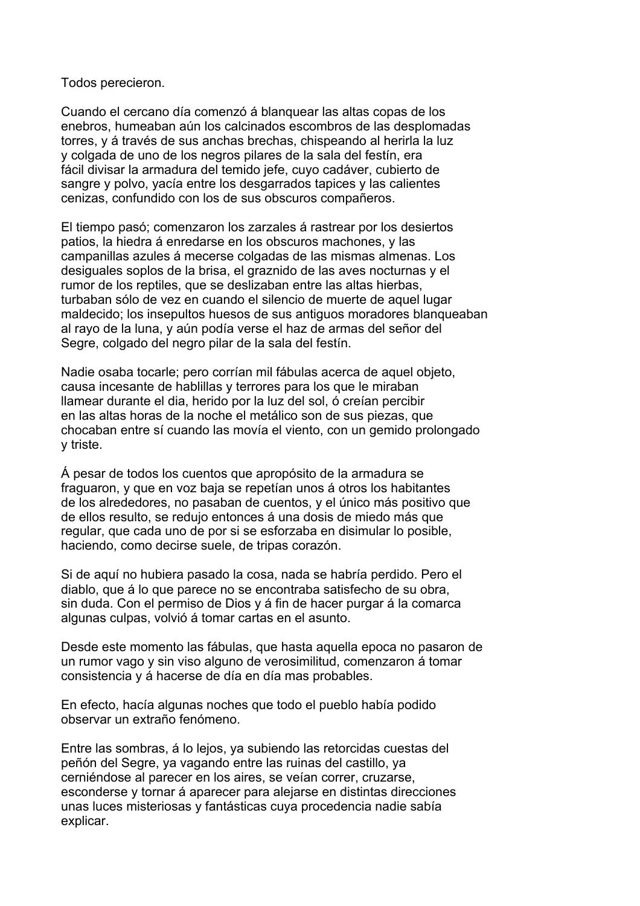Todos perecieron.

Cuando el cercano día comenzó á blanquear las altas copas de los enebros, humeaban aún los calcinados escombros de las desplomadas torres, y á través de sus anchas brechas, chispeando al herirla la luz y colgada de uno de los negros pilares de la sala del festín, era fácil divisar la armadura del temido jefe, cuyo cadáver, cubierto de sangre y polvo, yacía entre los desgarrados tapices y las calientes cenizas, confundido con los de sus obscuros compañeros.

El tiempo pasó; comenzaron los zarzales á rastrear por los desiertos patios, la hiedra á enredarse en los obscuros machones, y las campanillas azules á mecerse colgadas de las mismas almenas. Los desiguales soplos de la brisa, el graznido de las aves nocturnas y el rumor de los reptiles, que se deslizaban entre las altas hierbas, turbaban sólo de vez en cuando el silencio de muerte de aquel lugar maldecido; los insepultos huesos de sus antiguos moradores blanqueaban al rayo de la luna, y aún podía verse el haz de armas del señor del Segre, colgado del negro pilar de la sala del festín.

Nadie osaba tocarle; pero corrían mil fábulas acerca de aquel objeto, causa incesante de hablillas y terrores para los que le miraban llamear durante el dia, herido por la luz del sol, ó creían percibir en las altas horas de la noche el metálico son de sus piezas, que chocaban entre sí cuando las movía el viento, con un gemido prolongado y triste.

Á pesar de todos los cuentos que apropósito de la armadura se fraguaron, y que en voz baja se repetían unos á otros los habitantes de los alrededores, no pasaban de cuentos, y el único más positivo que de ellos resulto, se redujo entonces á una dosis de miedo más que regular, que cada uno de por si se esforzaba en disimular lo posible, haciendo, como decirse suele, de tripas corazón.

Si de aquí no hubiera pasado la cosa, nada se habría perdido. Pero el diablo, que á lo que parece no se encontraba satisfecho de su obra, sin duda. Con el permiso de Dios y á fin de hacer purgar á la comarca algunas culpas, volvió á tomar cartas en el asunto.

Desde este momento las fábulas, que hasta aquella epoca no pasaron de un rumor vago y sin viso alguno de verosimilitud, comenzaron á tomar consistencia y á hacerse de día en día mas probables.

En efecto, hacía algunas noches que todo el pueblo había podido observar un extraño fenómeno.

Entre las sombras, á lo lejos, ya subiendo las retorcidas cuestas del peñón del Segre, ya vagando entre las ruinas del castillo, ya cerniéndose al parecer en los aires, se veían correr, cruzarse, esconderse y tornar á aparecer para alejarse en distintas direcciones unas luces misteriosas y fantásticas cuya procedencia nadie sabía explicar.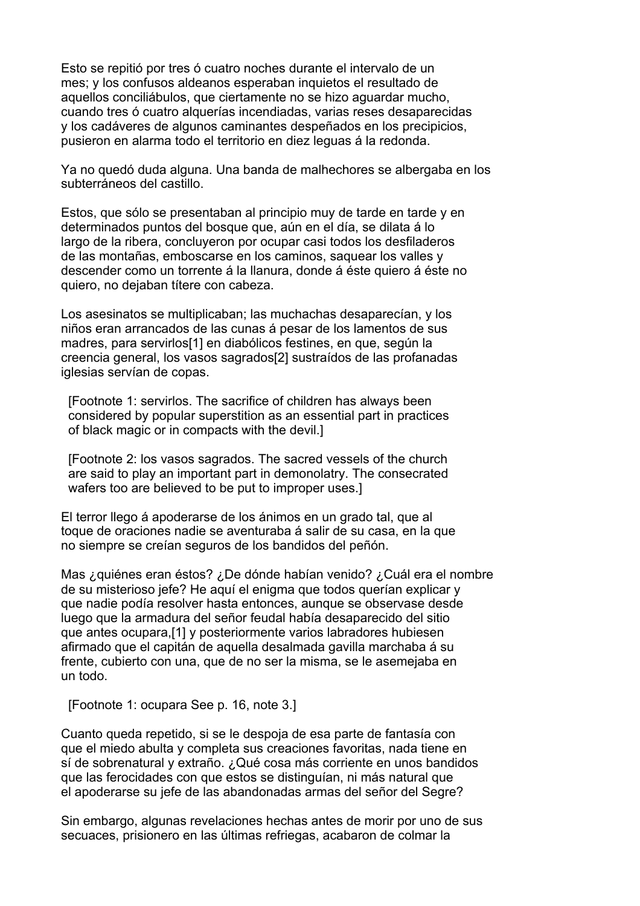Esto se repitió por tres ó cuatro noches durante el intervalo de un mes; y los confusos aldeanos esperaban inquietos el resultado de aquellos conciliábulos, que ciertamente no se hizo aguardar mucho, cuando tres ó cuatro alquerías incendiadas, varias reses desaparecidas y los cadáveres de algunos caminantes despeñados en los precipicios, pusieron en alarma todo el territorio en diez leguas á la redonda.

Ya no quedó duda alguna. Una banda de malhechores se albergaba en los subterráneos del castillo.

Estos, que sólo se presentaban al principio muy de tarde en tarde y en determinados puntos del bosque que, aún en el día, se dilata á lo largo de la ribera, concluyeron por ocupar casi todos los desfiladeros de las montañas, emboscarse en los caminos, saquear los valles y descender como un torrente á la llanura, donde á éste quiero á éste no quiero, no dejaban títere con cabeza.

Los asesinatos se multiplicaban; las muchachas desaparecían, y los niños eran arrancados de las cunas á pesar de los lamentos de sus madres, para servirlos[1] en diabólicos festines, en que, según la creencia general, los vasos sagrados[2] sustraídos de las profanadas iglesias servían de copas.

 [Footnote 1: servirlos. The sacrifice of children has always been considered by popular superstition as an essential part in practices of black magic or in compacts with the devil.]

 [Footnote 2: los vasos sagrados. The sacred vessels of the church are said to play an important part in demonolatry. The consecrated wafers too are believed to be put to improper uses.]

El terror llego á apoderarse de los ánimos en un grado tal, que al toque de oraciones nadie se aventuraba á salir de su casa, en la que no siempre se creían seguros de los bandidos del peñón.

Mas ¿quiénes eran éstos? ¿De dónde habían venido? ¿Cuál era el nombre de su misterioso jefe? He aquí el enigma que todos querían explicar y que nadie podía resolver hasta entonces, aunque se observase desde luego que la armadura del señor feudal había desaparecido del sitio que antes ocupara,[1] y posteriormente varios labradores hubiesen afirmado que el capitán de aquella desalmada gavilla marchaba á su frente, cubierto con una, que de no ser la misma, se le asemejaba en un todo.

[Footnote 1: ocupara See p. 16, note 3.]

Cuanto queda repetido, si se le despoja de esa parte de fantasía con que el miedo abulta y completa sus creaciones favoritas, nada tiene en sí de sobrenatural y extraño. ¿Qué cosa más corriente en unos bandidos que las ferocidades con que estos se distinguían, ni más natural que el apoderarse su jefe de las abandonadas armas del señor del Segre?

Sin embargo, algunas revelaciones hechas antes de morir por uno de sus secuaces, prisionero en las últimas refriegas, acabaron de colmar la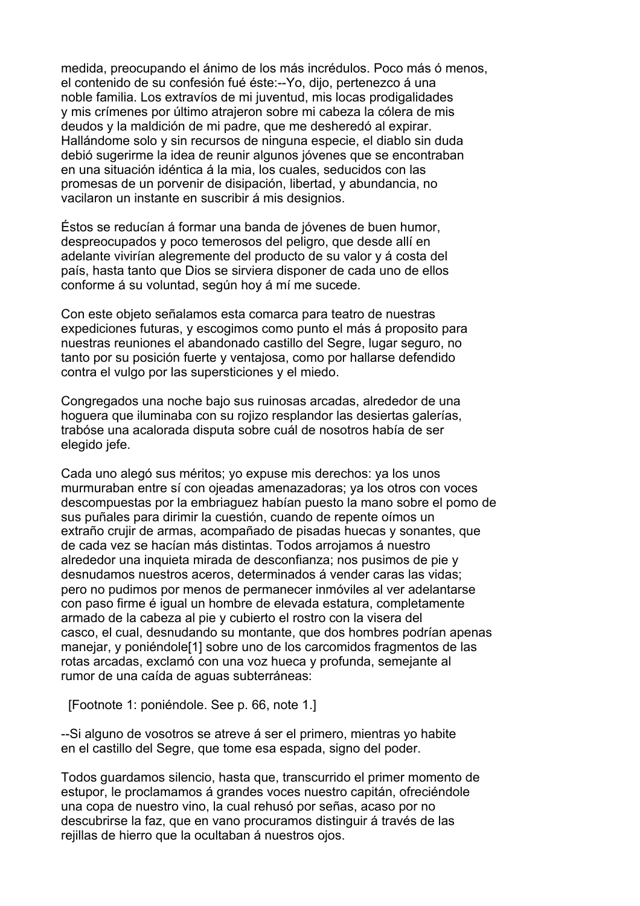medida, preocupando el ánimo de los más incrédulos. Poco más ó menos, el contenido de su confesión fué éste:--Yo, dijo, pertenezco á una noble familia. Los extravíos de mi juventud, mis locas prodigalidades y mis crímenes por último atrajeron sobre mi cabeza la cólera de mis deudos y la maldición de mi padre, que me desheredó al expirar. Hallándome solo y sin recursos de ninguna especie, el diablo sin duda debió sugerirme la idea de reunir algunos jóvenes que se encontraban en una situación idéntica á la mia, los cuales, seducidos con las promesas de un porvenir de disipación, libertad, y abundancia, no vacilaron un instante en suscribir á mis designios.

Éstos se reducían á formar una banda de jóvenes de buen humor, despreocupados y poco temerosos del peligro, que desde allí en adelante vivirían alegremente del producto de su valor y á costa del país, hasta tanto que Dios se sirviera disponer de cada uno de ellos conforme á su voluntad, según hoy á mí me sucede.

Con este objeto señalamos esta comarca para teatro de nuestras expediciones futuras, y escogimos como punto el más á proposito para nuestras reuniones el abandonado castillo del Segre, lugar seguro, no tanto por su posición fuerte y ventajosa, como por hallarse defendido contra el vulgo por las supersticiones y el miedo.

Congregados una noche bajo sus ruinosas arcadas, alrededor de una hoguera que iluminaba con su rojizo resplandor las desiertas galerías, trabóse una acalorada disputa sobre cuál de nosotros había de ser elegido jefe.

Cada uno alegó sus méritos; yo expuse mis derechos: ya los unos murmuraban entre sí con ojeadas amenazadoras; ya los otros con voces descompuestas por la embriaguez habían puesto la mano sobre el pomo de sus puñales para dirimir la cuestión, cuando de repente oímos un extraño crujir de armas, acompañado de pisadas huecas y sonantes, que de cada vez se hacían más distintas. Todos arrojamos á nuestro alrededor una inquieta mirada de desconfianza; nos pusimos de pie y desnudamos nuestros aceros, determinados á vender caras las vidas; pero no pudimos por menos de permanecer inmóviles al ver adelantarse con paso firme é igual un hombre de elevada estatura, completamente armado de la cabeza al pie y cubierto el rostro con la visera del casco, el cual, desnudando su montante, que dos hombres podrían apenas manejar, y poniéndole[1] sobre uno de los carcomidos fragmentos de las rotas arcadas, exclamó con una voz hueca y profunda, semejante al rumor de una caída de aguas subterráneas:

[Footnote 1: poniéndole. See p. 66, note 1.]

--Si alguno de vosotros se atreve á ser el primero, mientras yo habite en el castillo del Segre, que tome esa espada, signo del poder.

Todos guardamos silencio, hasta que, transcurrido el primer momento de estupor, le proclamamos á grandes voces nuestro capitán, ofreciéndole una copa de nuestro vino, la cual rehusó por señas, acaso por no descubrirse la faz, que en vano procuramos distinguir á través de las rejillas de hierro que la ocultaban á nuestros ojos.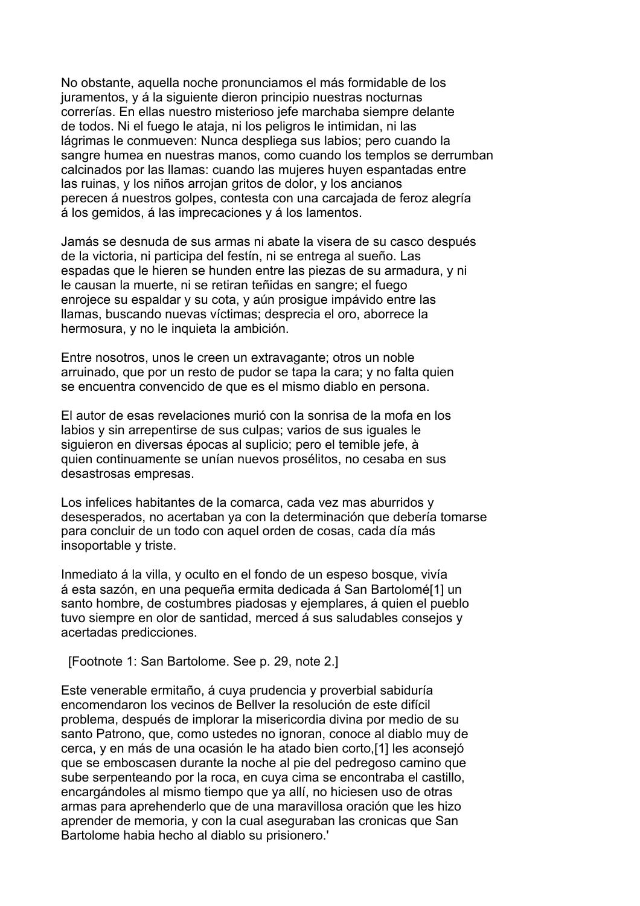No obstante, aquella noche pronunciamos el más formidable de los juramentos, y á la siguiente dieron principio nuestras nocturnas correrías. En ellas nuestro misterioso jefe marchaba siempre delante de todos. Ni el fuego le ataja, ni los peligros le intimidan, ni las lágrimas le conmueven: Nunca despliega sus labios; pero cuando la sangre humea en nuestras manos, como cuando los templos se derrumban calcinados por las llamas: cuando las mujeres huyen espantadas entre las ruinas, y los niños arrojan gritos de dolor, y los ancianos perecen á nuestros golpes, contesta con una carcajada de feroz alegría á los gemidos, á las imprecaciones y á los lamentos.

Jamás se desnuda de sus armas ni abate la visera de su casco después de la victoria, ni participa del festín, ni se entrega al sueño. Las espadas que le hieren se hunden entre las piezas de su armadura, y ni le causan la muerte, ni se retiran teñidas en sangre; el fuego enrojece su espaldar y su cota, y aún prosigue impávido entre las llamas, buscando nuevas víctimas; desprecia el oro, aborrece la hermosura, y no le inquieta la ambición.

Entre nosotros, unos le creen un extravagante; otros un noble arruinado, que por un resto de pudor se tapa la cara; y no falta quien se encuentra convencido de que es el mismo diablo en persona.

El autor de esas revelaciones murió con la sonrisa de la mofa en los labios y sin arrepentirse de sus culpas; varios de sus iguales le siguieron en diversas épocas al suplicio; pero el temible jefe, à quien continuamente se unían nuevos prosélitos, no cesaba en sus desastrosas empresas.

Los infelices habitantes de la comarca, cada vez mas aburridos y desesperados, no acertaban ya con la determinación que debería tomarse para concluir de un todo con aquel orden de cosas, cada día más insoportable y triste.

Inmediato á la villa, y oculto en el fondo de un espeso bosque, vivía á esta sazón, en una pequeña ermita dedicada á San Bartolomé[1] un santo hombre, de costumbres piadosas y ejemplares, á quien el pueblo tuvo siempre en olor de santidad, merced á sus saludables consejos y acertadas predicciones.

[Footnote 1: San Bartolome. See p. 29, note 2.]

Este venerable ermitaño, á cuya prudencia y proverbial sabiduría encomendaron los vecinos de Bellver la resolución de este difícil problema, después de implorar la misericordia divina por medio de su santo Patrono, que, como ustedes no ignoran, conoce al diablo muy de cerca, y en más de una ocasión le ha atado bien corto,[1] les aconsejó que se emboscasen durante la noche al pie del pedregoso camino que sube serpenteando por la roca, en cuya cima se encontraba el castillo, encargándoles al mismo tiempo que ya allí, no hiciesen uso de otras armas para aprehenderlo que de una maravillosa oración que les hizo aprender de memoria, y con la cual aseguraban las cronicas que San Bartolome habia hecho al diablo su prisionero.'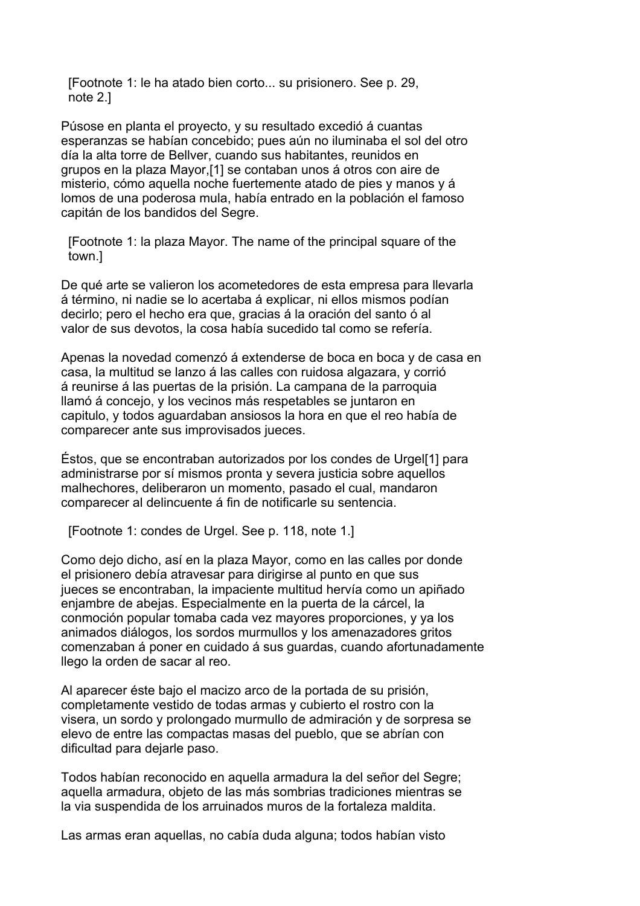[Footnote 1: le ha atado bien corto... su prisionero. See p. 29, note 2.]

Púsose en planta el proyecto, y su resultado excedió á cuantas esperanzas se habían concebido; pues aún no iluminaba el sol del otro día la alta torre de Bellver, cuando sus habitantes, reunidos en grupos en la plaza Mayor,[1] se contaban unos á otros con aire de misterio, cómo aquella noche fuertemente atado de pies y manos y á lomos de una poderosa mula, había entrado en la población el famoso capitán de los bandidos del Segre.

 [Footnote 1: la plaza Mayor. The name of the principal square of the town.]

De qué arte se valieron los acometedores de esta empresa para llevarla á término, ni nadie se lo acertaba á explicar, ni ellos mismos podían decirlo; pero el hecho era que, gracias á la oración del santo ó al valor de sus devotos, la cosa había sucedido tal como se refería.

Apenas la novedad comenzó á extenderse de boca en boca y de casa en casa, la multitud se lanzo á las calles con ruidosa algazara, y corrió á reunirse á las puertas de la prisión. La campana de la parroquia llamó á concejo, y los vecinos más respetables se juntaron en capitulo, y todos aguardaban ansiosos la hora en que el reo había de comparecer ante sus improvisados jueces.

Éstos, que se encontraban autorizados por los condes de Urgel[1] para administrarse por sí mismos pronta y severa justicia sobre aquellos malhechores, deliberaron un momento, pasado el cual, mandaron comparecer al delincuente á fin de notificarle su sentencia.

[Footnote 1: condes de Urgel. See p. 118, note 1.]

Como dejo dicho, así en la plaza Mayor, como en las calles por donde el prisionero debía atravesar para dirigirse al punto en que sus jueces se encontraban, la impaciente multitud hervía como un apiñado enjambre de abejas. Especialmente en la puerta de la cárcel, la conmoción popular tomaba cada vez mayores proporciones, y ya los animados diálogos, los sordos murmullos y los amenazadores gritos comenzaban á poner en cuidado á sus guardas, cuando afortunadamente llego la orden de sacar al reo.

Al aparecer éste bajo el macizo arco de la portada de su prisión, completamente vestido de todas armas y cubierto el rostro con la visera, un sordo y prolongado murmullo de admiración y de sorpresa se elevo de entre las compactas masas del pueblo, que se abrían con dificultad para dejarle paso.

Todos habían reconocido en aquella armadura la del señor del Segre; aquella armadura, objeto de las más sombrias tradiciones mientras se la via suspendida de los arruinados muros de la fortaleza maldita.

Las armas eran aquellas, no cabía duda alguna; todos habían visto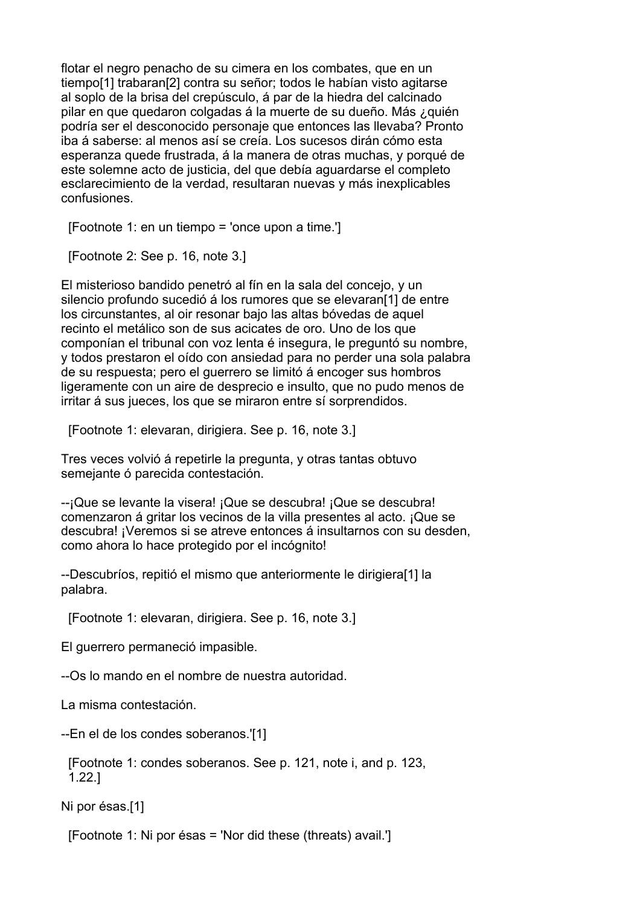flotar el negro penacho de su cimera en los combates, que en un tiempo[1] trabaran[2] contra su señor; todos le habían visto agitarse al soplo de la brisa del crepúsculo, á par de la hiedra del calcinado pilar en que quedaron colgadas á la muerte de su dueño. Más ¿quién podría ser el desconocido personaje que entonces las llevaba? Pronto iba á saberse: al menos así se creía. Los sucesos dirán cómo esta esperanza quede frustrada, á la manera de otras muchas, y porqué de este solemne acto de justicia, del que debía aguardarse el completo esclarecimiento de la verdad, resultaran nuevas y más inexplicables confusiones.

[Footnote 1: en un tiempo = 'once upon a time.']

[Footnote 2: See p. 16, note 3.]

El misterioso bandido penetró al fín en la sala del concejo, y un silencio profundo sucedió á los rumores que se elevaran[1] de entre los circunstantes, al oir resonar bajo las altas bóvedas de aquel recinto el metálico son de sus acicates de oro. Uno de los que componían el tribunal con voz lenta é insegura, le preguntó su nombre, y todos prestaron el oído con ansiedad para no perder una sola palabra de su respuesta; pero el guerrero se limitó á encoger sus hombros ligeramente con un aire de desprecio e insulto, que no pudo menos de irritar á sus jueces, los que se miraron entre sí sorprendidos.

[Footnote 1: elevaran, dirigiera. See p. 16, note 3.]

Tres veces volvió á repetirle la pregunta, y otras tantas obtuvo semejante ó parecida contestación.

--¡Que se levante la visera! ¡Que se descubra! ¡Que se descubra! comenzaron á gritar los vecinos de la villa presentes al acto. ¡Que se descubra! ¡Veremos si se atreve entonces á insultarnos con su desden, como ahora lo hace protegido por el incógnito!

--Descubríos, repitió el mismo que anteriormente le dirigiera[1] la palabra.

[Footnote 1: elevaran, dirigiera. See p. 16, note 3.]

El guerrero permaneció impasible.

--Os lo mando en el nombre de nuestra autoridad.

La misma contestación.

--En el de los condes soberanos.'[1]

 [Footnote 1: condes soberanos. See p. 121, note i, and p. 123, 1.22.]

Ni por ésas.[1]

[Footnote 1: Ni por ésas = 'Nor did these (threats) avail.']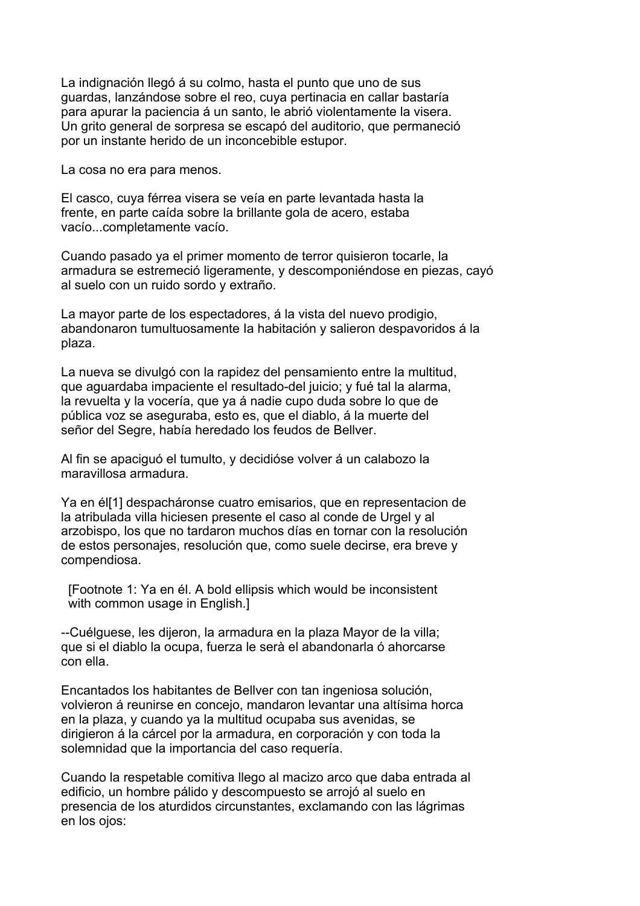La indignación llegó á su colmo, hasta el punto que uno de sus guardas, lanzándose sobre el reo, cuya pertinacia en callar bastaría para apurar la paciencia á un santo, le abrió violentamente la visera. Un grito general de sorpresa se escapó del auditorio, que permaneció por un instante herido de un inconcebible estupor.

La cosa no era para menos.

El casco, cuya férrea visera se veía en parte levantada hasta la frente, en parte caída sobre la brillante gola de acero, estaba vacío...completamente vacío.

Cuando pasado ya el primer momento de terror quisieron tocarle, la armadura se estremeció ligeramente, y descomponiéndose en piezas, cayó al suelo con un ruido sordo y extraño.

La mayor parte de los espectadores, á la vista del nuevo prodigio, abandonaron tumultuosamente Ia habitación y salieron despavoridos á la plaza.

La nueva se divulgó con la rapidez del pensamiento entre la multitud, que aguardaba impaciente el resultado-del juicio; y fué tal la alarma, la revuelta y la vocería, que ya á nadie cupo duda sobre lo que de pública voz se aseguraba, esto es, que el diablo, á la muerte del señor del Segre, había heredado los feudos de Bellver.

Al fin se apaciguó el tumulto, y decidióse volver á un calabozo la maravillosa armadura.

Ya en él[1] despacháronse cuatro emisarios, que en representacion de la atribulada villa hiciesen presente el caso al conde de Urgel y al arzobispo, los que no tardaron muchos días en tornar con la resolución de estos personajes, resolución que, como suele decirse, era breve y compendiosa.

 [Footnote 1: Ya en él. A bold ellipsis which would be inconsistent with common usage in English.]

--Cuélguese, les dijeron, la armadura en la plaza Mayor de la villa; que si el diablo la ocupa, fuerza le serà el abandonarla ó ahorcarse con ella.

Encantados los habitantes de Bellver con tan ingeniosa solución, volvieron á reunirse en concejo, mandaron levantar una altísima horca en la plaza, y cuando ya la multitud ocupaba sus avenidas, se dirigieron á la cárcel por la armadura, en corporación y con toda la solemnidad que la importancia del caso requería.

Cuando la respetable comitiva llego al macizo arco que daba entrada al edificio, un hombre pálido y descompuesto se arrojó al suelo en presencia de los aturdidos circunstantes, exclamando con las lágrimas en los ojos: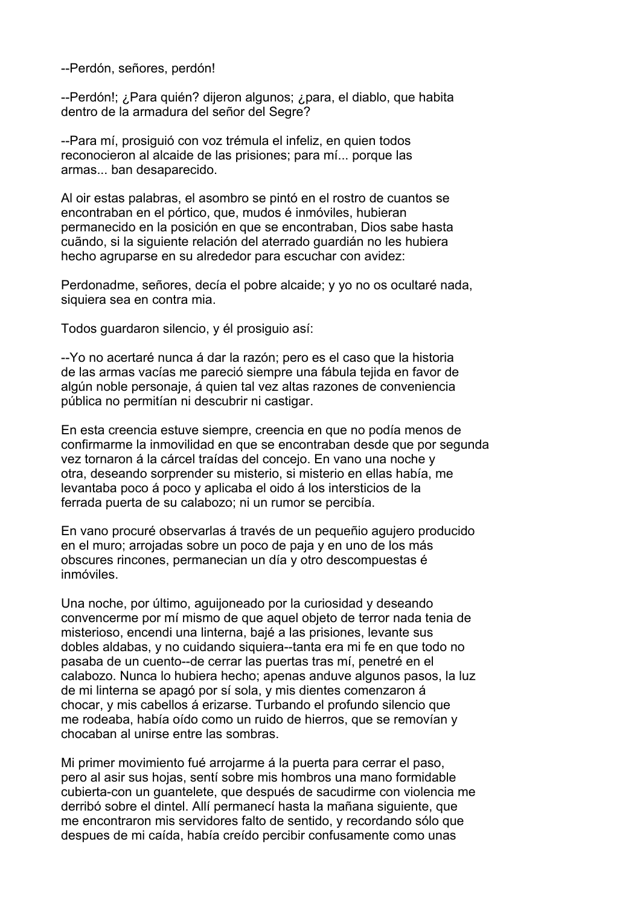--Perdón, señores, perdón!

--Perdón!; ¿Para quién? dijeron algunos; ¿para, el diablo, que habita dentro de la armadura del señor del Segre?

--Para mí, prosiguió con voz trémula el infeliz, en quien todos reconocieron al alcaide de las prisiones; para mí... porque las armas... ban desaparecido.

Al oir estas palabras, el asombro se pintó en el rostro de cuantos se encontraban en el pórtico, que, mudos é inmóviles, hubieran permanecido en la posición en que se encontraban, Dios sabe hasta cuãndo, si la siguiente relación del aterrado guardián no les hubiera hecho agruparse en su alrededor para escuchar con avidez:

Perdonadme, señores, decía el pobre alcaide; y yo no os ocultaré nada, siquiera sea en contra mia.

Todos guardaron silencio, y él prosiguio así:

--Yo no acertaré nunca á dar la razón; pero es el caso que la historia de las armas vacías me pareció siempre una fábula tejida en favor de algún noble personaje, á quien tal vez altas razones de conveniencia pública no permitían ni descubrir ni castigar.

En esta creencia estuve siempre, creencia en que no podía menos de confirmarme la inmovilidad en que se encontraban desde que por segunda vez tornaron á la cárcel traídas del concejo. En vano una noche y otra, deseando sorprender su misterio, si misterio en ellas había, me levantaba poco á poco y aplicaba el oido á los intersticios de la ferrada puerta de su calabozo; ni un rumor se percibía.

En vano procuré observarlas á través de un pequeñio agujero producido en el muro; arrojadas sobre un poco de paja y en uno de los más obscures rincones, permanecian un día y otro descompuestas é inmóviles.

Una noche, por último, aguijoneado por la curiosidad y deseando convencerme por mí mismo de que aquel objeto de terror nada tenia de misterioso, encendi una linterna, bajé a las prisiones, levante sus dobles aldabas, y no cuidando siquiera--tanta era mi fe en que todo no pasaba de un cuento--de cerrar las puertas tras mí, penetré en el calabozo. Nunca lo hubiera hecho; apenas anduve algunos pasos, la luz de mi linterna se apagó por sí sola, y mis dientes comenzaron á chocar, y mis cabellos á erizarse. Turbando el profundo silencio que me rodeaba, había oído como un ruido de hierros, que se removían y chocaban al unirse entre las sombras.

Mi primer movimiento fué arrojarme á la puerta para cerrar el paso, pero al asir sus hojas, sentí sobre mis hombros una mano formidable cubierta-con un guantelete, que después de sacudirme con violencia me derribó sobre el dintel. Allí permanecí hasta la mañana siguiente, que me encontraron mis servidores falto de sentido, y recordando sólo que despues de mi caída, había creído percibir confusamente como unas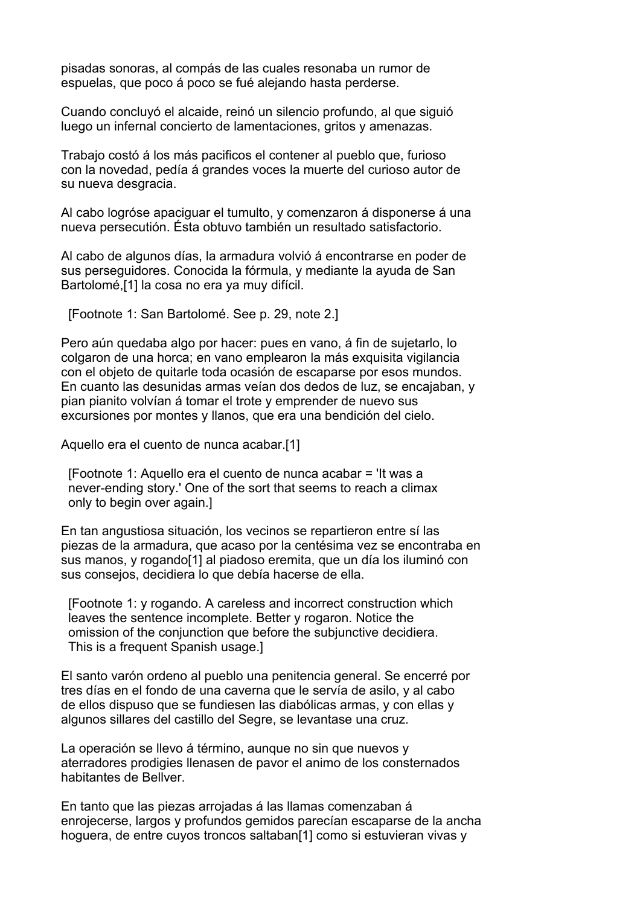pisadas sonoras, al compás de las cuales resonaba un rumor de espuelas, que poco á poco se fué alejando hasta perderse.

Cuando concluyó el alcaide, reinó un silencio profundo, al que siguió luego un infernal concierto de lamentaciones, gritos y amenazas.

Trabajo costó á los más pacificos el contener al pueblo que, furioso con la novedad, pedía á grandes voces la muerte del curioso autor de su nueva desgracia.

Al cabo logróse apaciguar el tumulto, y comenzaron á disponerse á una nueva persecutión. Ésta obtuvo también un resultado satisfactorio.

Al cabo de algunos días, la armadura volvió á encontrarse en poder de sus perseguidores. Conocida la fórmula, y mediante la ayuda de San Bartolomé,[1] la cosa no era ya muy difícil.

[Footnote 1: San Bartolomé. See p. 29, note 2.]

Pero aún quedaba algo por hacer: pues en vano, á fin de sujetarlo, lo colgaron de una horca; en vano emplearon la más exquisita vigilancia con el objeto de quitarle toda ocasión de escaparse por esos mundos. En cuanto las desunidas armas veían dos dedos de luz, se encajaban, y pian pianito volvían á tomar el trote y emprender de nuevo sus excursiones por montes y llanos, que era una bendición del cielo.

Aquello era el cuento de nunca acabar.[1]

 [Footnote 1: Aquello era el cuento de nunca acabar = 'It was a never-ending story.' One of the sort that seems to reach a climax only to begin over again.]

En tan angustiosa situación, los vecinos se repartieron entre sí las piezas de la armadura, que acaso por la centésima vez se encontraba en sus manos, y rogando[1] al piadoso eremita, que un día los iluminó con sus consejos, decidiera lo que debía hacerse de ella.

 [Footnote 1: y rogando. A careless and incorrect construction which leaves the sentence incomplete. Better y rogaron. Notice the omission of the conjunction que before the subjunctive decidiera. This is a frequent Spanish usage.]

El santo varón ordeno al pueblo una penitencia general. Se encerré por tres días en el fondo de una caverna que le servía de asilo, y al cabo de ellos dispuso que se fundiesen las diabólicas armas, y con ellas y algunos sillares del castillo del Segre, se levantase una cruz.

La operación se llevo á término, aunque no sin que nuevos y aterradores prodigies llenasen de pavor el animo de los consternados habitantes de Bellver.

En tanto que las piezas arrojadas á las llamas comenzaban á enrojecerse, largos y profundos gemidos parecían escaparse de la ancha hoguera, de entre cuyos troncos saltaban[1] como si estuvieran vivas y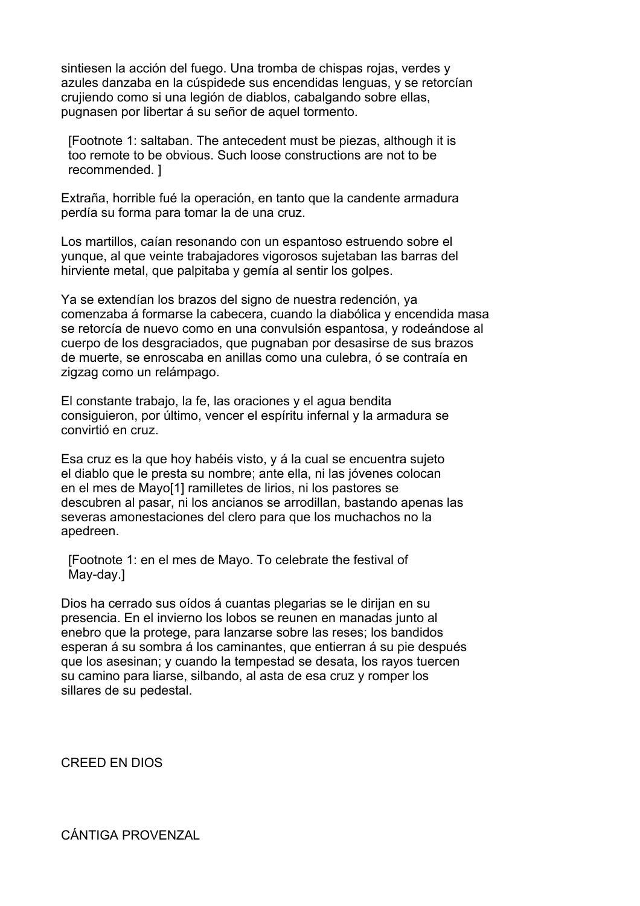sintiesen la acción del fuego. Una tromba de chispas rojas, verdes y azules danzaba en la cúspidede sus encendidas lenguas, y se retorcían crujiendo como si una legión de diablos, cabalgando sobre ellas, pugnasen por libertar á su señor de aquel tormento.

 [Footnote 1: saltaban. The antecedent must be piezas, although it is too remote to be obvious. Such loose constructions are not to be recommended. ]

Extraña, horrible fué la operación, en tanto que la candente armadura perdía su forma para tomar la de una cruz.

Los martillos, caían resonando con un espantoso estruendo sobre el yunque, al que veinte trabajadores vigorosos sujetaban las barras del hirviente metal, que palpitaba y gemía al sentir los golpes.

Ya se extendían los brazos del signo de nuestra redención, ya comenzaba á formarse la cabecera, cuando la diabólica y encendida masa se retorcía de nuevo como en una convulsión espantosa, y rodeándose al cuerpo de los desgraciados, que pugnaban por desasirse de sus brazos de muerte, se enroscaba en anillas como una culebra, ó se contraía en zigzag como un relámpago.

El constante trabajo, la fe, las oraciones y el agua bendita consiguieron, por último, vencer el espíritu infernal y la armadura se convirtió en cruz.

Esa cruz es la que hoy habéis visto, y á la cual se encuentra sujeto el diablo que le presta su nombre; ante ella, ni las jóvenes colocan en el mes de Mayo[1] ramilletes de lirios, ni los pastores se descubren al pasar, ni los ancianos se arrodillan, bastando apenas las severas amonestaciones del clero para que los muchachos no la apedreen.

 [Footnote 1: en el mes de Mayo. To celebrate the festival of May-day.]

Dios ha cerrado sus oídos á cuantas plegarias se le dirijan en su presencia. En el invierno los lobos se reunen en manadas junto al enebro que la protege, para lanzarse sobre las reses; los bandidos esperan á su sombra á los caminantes, que entierran á su pie después que los asesinan; y cuando la tempestad se desata, los rayos tuercen su camino para liarse, silbando, al asta de esa cruz y romper los sillares de su pedestal.

CREED EN DIOS

CÁNTIGA PROVENZAL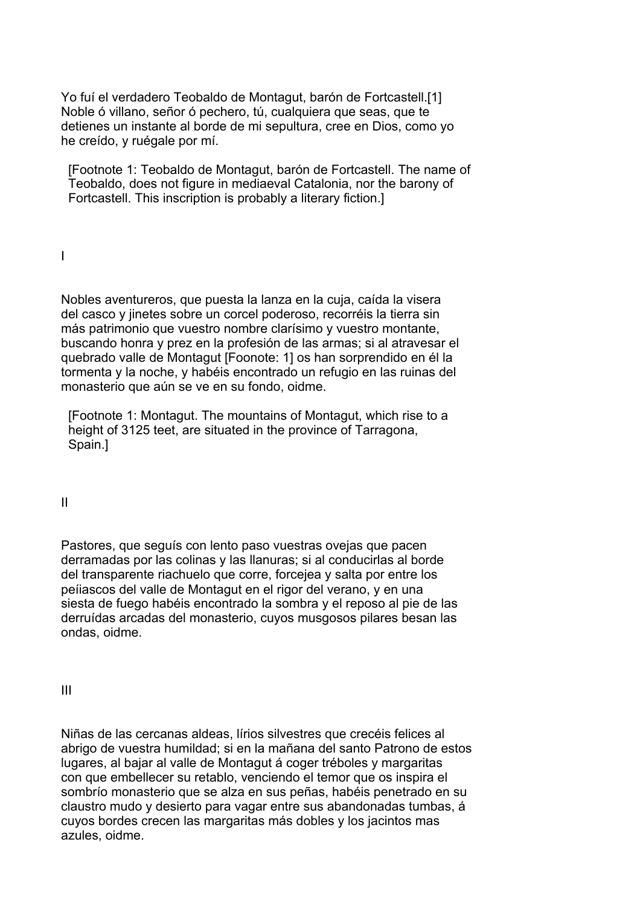Yo fuí el verdadero Teobaldo de Montagut, barón de Fortcastell.[1] Noble ó villano, señor ó pechero, tú, cualquiera que seas, que te detienes un instante al borde de mi sepultura, cree en Dios, como yo he creído, y ruégale por mí.

 [Footnote 1: Teobaldo de Montagut, barón de Fortcastell. The name of Teobaldo, does not figure in mediaeval Catalonia, nor the barony of Fortcastell. This inscription is probably a literary fiction.]

I

Nobles aventureros, que puesta la lanza en la cuja, caída la visera del casco y jinetes sobre un corcel poderoso, recorréis la tierra sin más patrimonio que vuestro nombre clarísimo y vuestro montante, buscando honra y prez en la profesión de las armas; si al atravesar el quebrado valle de Montagut [Foonote: 1] os han sorprendido en él la tormenta y la noche, y habéis encontrado un refugio en las ruinas del monasterio que aún se ve en su fondo, oidme.

 [Footnote 1: Montagut. The mountains of Montagut, which rise to a height of 3125 teet, are situated in the province of Tarragona, Spain.]

II

Pastores, que seguís con lento paso vuestras ovejas que pacen derramadas por las colinas y las llanuras; si al conducirlas al borde del transparente riachuelo que corre, forcejea y salta por entre los peíiascos del valle de Montagut en el rigor del verano, y en una siesta de fuego habéis encontrado la sombra y el reposo al pie de las derruídas arcadas del monasterio, cuyos musgosos pilares besan las ondas, oidme.

III

Niñas de las cercanas aldeas, lírios silvestres que crecéis felices al abrigo de vuestra humildad; si en la mañana del santo Patrono de estos lugares, al bajar al valle de Montagut á coger tréboles y margaritas con que embellecer su retablo, venciendo el temor que os inspira el sombrío monasterio que se alza en sus peñas, habéis penetrado en su claustro mudo y desierto para vagar entre sus abandonadas tumbas, á cuyos bordes crecen las margaritas más dobles y los jacintos mas azules, oidme.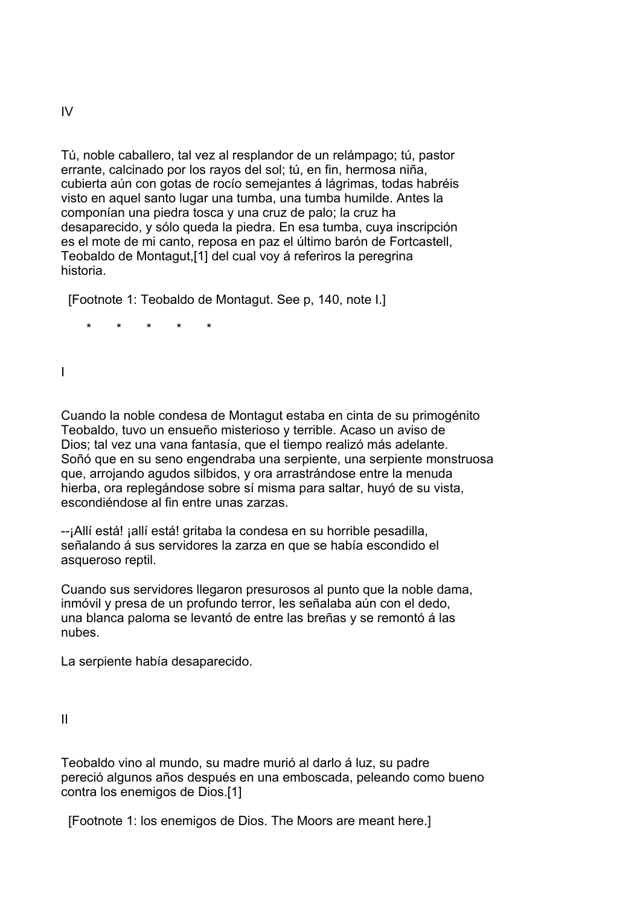Tú, noble caballero, tal vez al resplandor de un relámpago; tú, pastor errante, calcinado por los rayos del sol; tú, en fin, hermosa niña, cubierta aún con gotas de rocío semejantes á lágrimas, todas habréis visto en aquel santo lugar una tumba, una tumba humilde. Antes la componían una piedra tosca y una cruz de palo; la cruz ha desaparecido, y sólo queda la piedra. En esa tumba, cuya inscripción es el mote de mi canto, reposa en paz el último barón de Fortcastell, Teobaldo de Montagut,[1] del cual voy á referiros la peregrina historia.

[Footnote 1: Teobaldo de Montagut. See p, 140, note I.]

\* \* \* \* \*

I

Cuando la noble condesa de Montagut estaba en cinta de su primogénito Teobaldo, tuvo un ensueño misterioso y terrible. Acaso un aviso de Dios; tal vez una vana fantasía, que el tiempo realizó más adelante. Soñó que en su seno engendraba una serpiente, una serpiente monstruosa que, arrojando agudos silbidos, y ora arrastrándose entre la menuda hierba, ora replegándose sobre sí misma para saltar, huyó de su vista, escondiéndose al fin entre unas zarzas.

--¡Allí está! ¡allí está! gritaba la condesa en su horrible pesadilla, señalando á sus servidores la zarza en que se había escondido el asqueroso reptil.

Cuando sus servidores llegaron presurosos al punto que la noble dama, inmóvil y presa de un profundo terror, les señalaba aún con el dedo, una blanca paloma se levantó de entre las breñas y se remontó á las nubes.

La serpiente había desaparecido.

II

Teobaldo vino al mundo, su madre murió al darlo á luz, su padre pereció algunos años después en una emboscada, peleando como bueno contra los enemigos de Dios.[1]

[Footnote 1: los enemigos de Dios. The Moors are meant here.]

IV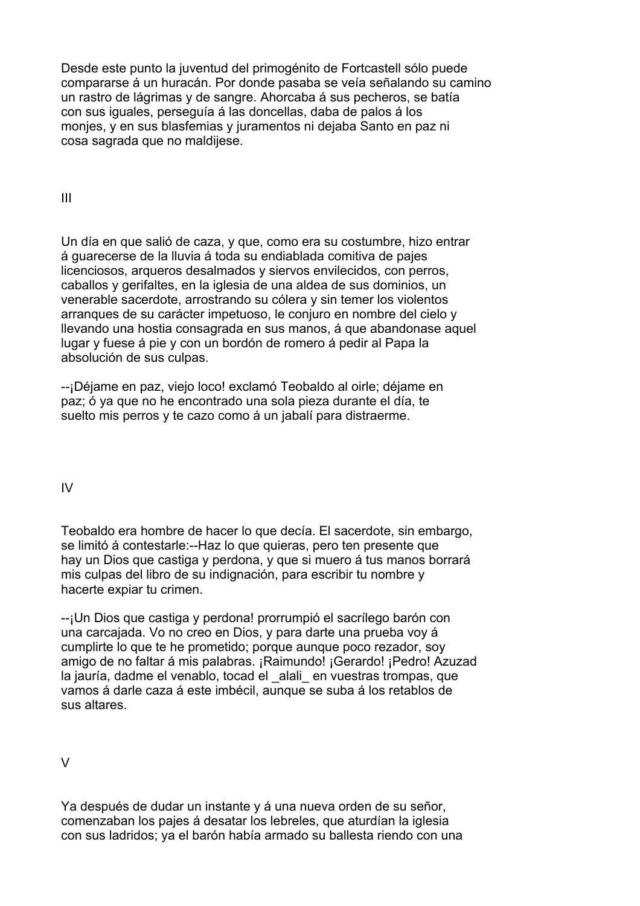Desde este punto la juventud del primogénito de Fortcastell sólo puede compararse á un huracán. Por donde pasaba se veía señalando su camino un rastro de lágrimas y de sangre. Ahorcaba á sus pecheros, se batía con sus iguales, perseguía á las doncellas, daba de palos á los monjes, y en sus blasfemias y juramentos ni dejaba Santo en paz ni cosa sagrada que no maldijese.

III

Un día en que salió de caza, y que, como era su costumbre, hizo entrar á guarecerse de la lluvia á toda su endiablada comitiva de pajes licenciosos, arqueros desalmados y siervos envilecidos, con perros, caballos y gerifaltes, en la iglesia de una aldea de sus dominios, un venerable sacerdote, arrostrando su cólera y sin temer los violentos arranques de su carácter impetuoso, le conjuro en nombre del cielo y llevando una hostia consagrada en sus manos, á que abandonase aquel lugar y fuese á pie y con un bordón de romero á pedir al Papa la absolución de sus culpas.

--¡Déjame en paz, viejo loco! exclamó Teobaldo al oirle; déjame en paz; ó ya que no he encontrado una sola pieza durante el día, te suelto mis perros y te cazo como á un jabalí para distraerme.

# IV

Teobaldo era hombre de hacer lo que decía. El sacerdote, sin embargo, se limitó á contestarle:--Haz lo que quieras, pero ten presente que hay un Dios que castiga y perdona, y que si muero á tus manos borrará mis culpas del libro de su indignación, para escribir tu nombre y hacerte expiar tu crimen.

--¡Un Dios que castiga y perdona! prorrumpió el sacrílego barón con una carcajada. Vo no creo en Dios, y para darte una prueba voy á cumplirte lo que te he prometido; porque aunque poco rezador, soy amigo de no faltar á mis palabras. ¡Raimundo! ¡Gerardo! ¡Pedro! Azuzad la jauría, dadme el venablo, tocad el alali en vuestras trompas, que vamos á darle caza á este imbécil, aunque se suba á los retablos de sus altares.

V

Ya después de dudar un instante y á una nueva orden de su señor, comenzaban los pajes á desatar los lebreles, que aturdían la iglesia con sus ladridos; ya el barón había armado su ballesta riendo con una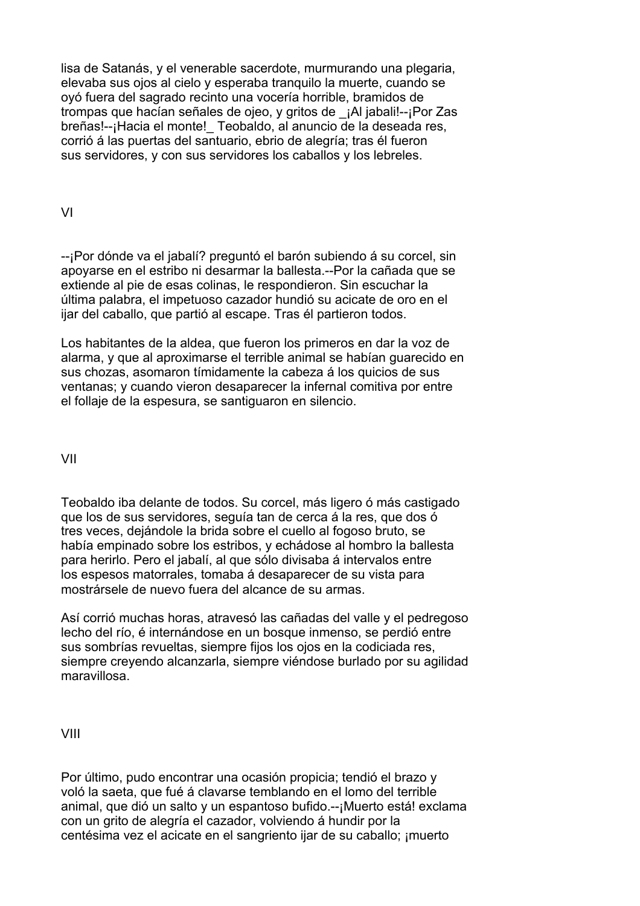lisa de Satanás, y el venerable sacerdote, murmurando una plegaria, elevaba sus ojos al cielo y esperaba tranquilo la muerte, cuando se oyó fuera del sagrado recinto una vocería horrible, bramidos de trompas que hacían señales de ojeo, y gritos de \_¡Al jabali!--¡Por Zas breñas!--¡Hacia el monte!\_ Teobaldo, al anuncio de la deseada res, corrió á las puertas del santuario, ebrio de alegría; tras él fueron sus servidores, y con sus servidores los caballos y los lebreles.

VI

--¡Por dónde va el jabalí? preguntó el barón subiendo á su corcel, sin apoyarse en el estribo ni desarmar la ballesta.--Por la cañada que se extiende al pie de esas colinas, le respondieron. Sin escuchar la última palabra, el impetuoso cazador hundió su acicate de oro en el ijar del caballo, que partió al escape. Tras él partieron todos.

Los habitantes de la aldea, que fueron los primeros en dar la voz de alarma, y que al aproximarse el terrible animal se habían guarecido en sus chozas, asomaron tímidamente la cabeza á los quicios de sus ventanas; y cuando vieron desaparecer la infernal comitiva por entre el follaje de la espesura, se santiguaron en silencio.

VII

Teobaldo iba delante de todos. Su corcel, más ligero ó más castigado que los de sus servidores, seguía tan de cerca á la res, que dos ó tres veces, dejándole la brida sobre el cuello al fogoso bruto, se había empinado sobre los estribos, y echádose al hombro la ballesta para herirlo. Pero el jabalí, al que sólo divisaba á intervalos entre los espesos matorrales, tomaba á desaparecer de su vista para mostrársele de nuevo fuera del alcance de su armas.

Así corrió muchas horas, atravesó las cañadas del valle y el pedregoso lecho del río, é internándose en un bosque inmenso, se perdió entre sus sombrías revueltas, siempre fijos los ojos en la codiciada res, siempre creyendo alcanzarla, siempre viéndose burlado por su agilidad maravillosa.

VIII

Por último, pudo encontrar una ocasión propicia; tendió el brazo y voló la saeta, que fué á clavarse temblando en el lomo del terrible animal, que dió un salto y un espantoso bufido.--¡Muerto está! exclama con un grito de alegría el cazador, volviendo á hundir por la centésima vez el acicate en el sangriento ijar de su caballo; ¡muerto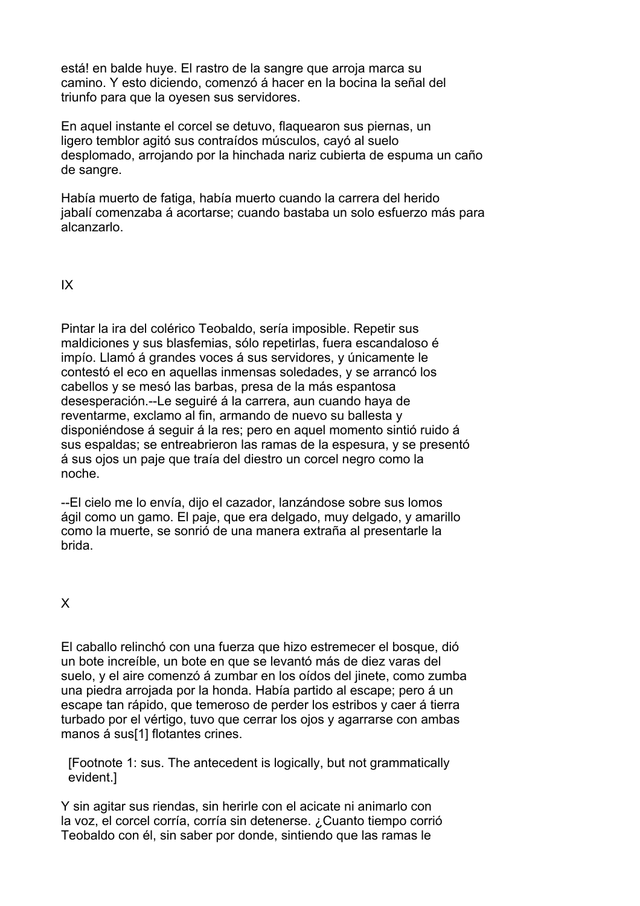está! en balde huye. El rastro de la sangre que arroja marca su camino. Y esto diciendo, comenzó á hacer en la bocina la señal del triunfo para que la oyesen sus servidores.

En aquel instante el corcel se detuvo, flaquearon sus piernas, un ligero temblor agitó sus contraídos músculos, cayó al suelo desplomado, arrojando por la hinchada nariz cubierta de espuma un caño de sangre.

Había muerto de fatiga, había muerto cuando la carrera del herido jabalí comenzaba á acortarse; cuando bastaba un solo esfuerzo más para alcanzarlo.

IX

Pintar la ira del colérico Teobaldo, sería imposible. Repetir sus maldiciones y sus blasfemias, sólo repetirlas, fuera escandaloso é impío. Llamó á grandes voces á sus servidores, y únicamente le contestó el eco en aquellas inmensas soledades, y se arrancó los cabellos y se mesó las barbas, presa de la más espantosa desesperación.--Le seguiré á la carrera, aun cuando haya de reventarme, exclamo al fin, armando de nuevo su ballesta y disponiéndose á seguir á la res; pero en aquel momento sintió ruido á sus espaldas; se entreabrieron las ramas de la espesura, y se presentó á sus ojos un paje que traía del diestro un corcel negro como la noche.

--El cielo me lo envía, dijo el cazador, lanzándose sobre sus lomos ágil como un gamo. El paje, que era delgado, muy delgado, y amarillo como la muerte, se sonrió de una manera extraña al presentarle la brida.

X

El caballo relinchó con una fuerza que hizo estremecer el bosque, dió un bote increíble, un bote en que se levantó más de diez varas del suelo, y el aire comenzó á zumbar en los oídos del jinete, como zumba una piedra arrojada por la honda. Había partido al escape; pero á un escape tan rápido, que temeroso de perder los estribos y caer á tierra turbado por el vértigo, tuvo que cerrar los ojos y agarrarse con ambas manos á sus[1] flotantes crines.

 [Footnote 1: sus. The antecedent is logically, but not grammatically evident.]

Y sin agitar sus riendas, sin herirle con el acicate ni animarlo con la voz, el corcel corría, corría sin detenerse. ¿Cuanto tiempo corrió Teobaldo con él, sin saber por donde, sintiendo que las ramas le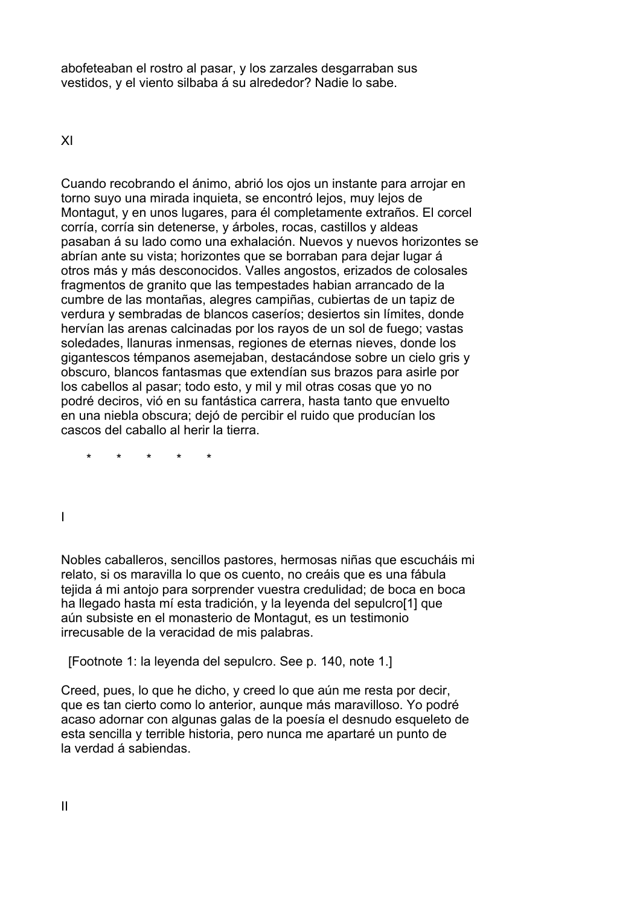abofeteaban el rostro al pasar, y los zarzales desgarraban sus vestidos, y el viento silbaba á su alrededor? Nadie lo sabe.

XI

Cuando recobrando el ánimo, abrió los ojos un instante para arrojar en torno suyo una mirada inquieta, se encontró lejos, muy lejos de Montagut, y en unos lugares, para él completamente extraños. El corcel corría, corría sin detenerse, y árboles, rocas, castillos y aldeas pasaban á su lado como una exhalación. Nuevos y nuevos horizontes se abrían ante su vista; horizontes que se borraban para dejar lugar á otros más y más desconocidos. Valles angostos, erizados de colosales fragmentos de granito que las tempestades habian arrancado de la cumbre de las montañas, alegres campiñas, cubiertas de un tapiz de verdura y sembradas de blancos caseríos; desiertos sin límites, donde hervían las arenas calcinadas por los rayos de un sol de fuego; vastas soledades, llanuras inmensas, regiones de eternas nieves, donde los gigantescos témpanos asemejaban, destacándose sobre un cielo gris y obscuro, blancos fantasmas que extendían sus brazos para asirle por los cabellos al pasar; todo esto, y mil y mil otras cosas que yo no podré deciros, vió en su fantástica carrera, hasta tanto que envuelto en una niebla obscura; dejó de percibir el ruido que producían los cascos del caballo al herir la tierra.

\* \* \* \* \*

I

Nobles caballeros, sencillos pastores, hermosas niñas que escucháis mi relato, si os maravilla lo que os cuento, no creáis que es una fábula tejida á mi antojo para sorprender vuestra credulidad; de boca en boca ha llegado hasta mí esta tradición, y la leyenda del sepulcro[1] que aún subsiste en el monasterio de Montagut, es un testimonio irrecusable de la veracidad de mis palabras.

[Footnote 1: la leyenda del sepulcro. See p. 140, note 1.]

Creed, pues, lo que he dicho, y creed lo que aún me resta por decir, que es tan cierto como lo anterior, aunque más maravilloso. Yo podré acaso adornar con algunas galas de la poesía el desnudo esqueleto de esta sencilla y terrible historia, pero nunca me apartaré un punto de la verdad á sabiendas.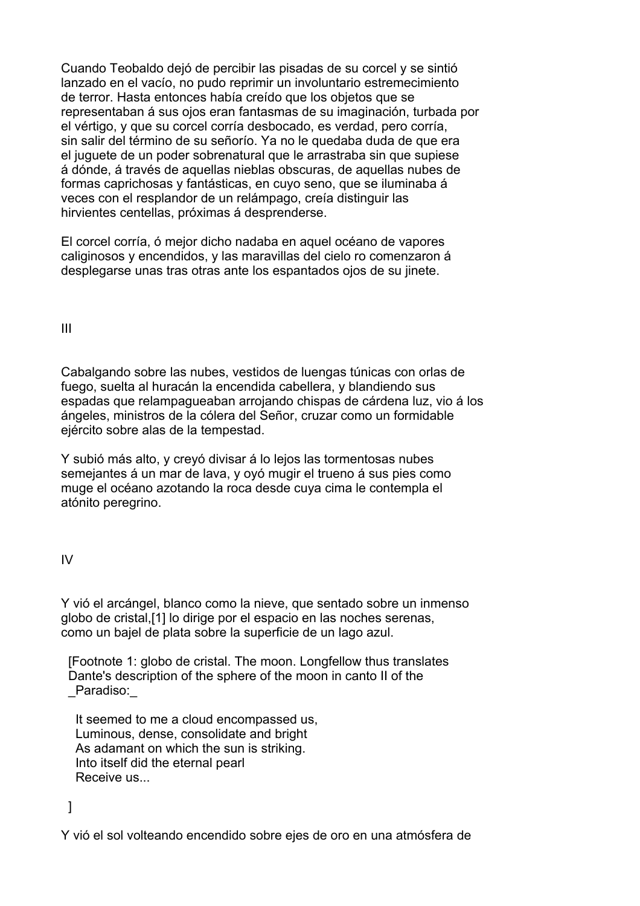Cuando Teobaldo dejó de percibir las pisadas de su corcel y se sintió lanzado en el vacío, no pudo reprimir un involuntario estremecimiento de terror. Hasta entonces había creído que los objetos que se representaban á sus ojos eran fantasmas de su imaginación, turbada por el vértigo, y que su corcel corría desbocado, es verdad, pero corría, sin salir del término de su señorío. Ya no le quedaba duda de que era el juguete de un poder sobrenatural que le arrastraba sin que supiese á dónde, á través de aquellas nieblas obscuras, de aquellas nubes de formas caprichosas y fantásticas, en cuyo seno, que se iluminaba á veces con el resplandor de un relámpago, creía distinguir las hirvientes centellas, próximas á desprenderse.

El corcel corría, ó mejor dicho nadaba en aquel océano de vapores caliginosos y encendidos, y las maravillas del cielo ro comenzaron á desplegarse unas tras otras ante los espantados ojos de su jinete.

III

Cabalgando sobre las nubes, vestidos de luengas túnicas con orlas de fuego, suelta al huracán la encendida cabellera, y blandiendo sus espadas que relampagueaban arrojando chispas de cárdena luz, vio á los ángeles, ministros de la cólera del Señor, cruzar como un formidable ejército sobre alas de la tempestad.

Y subió más alto, y creyó divisar á lo lejos las tormentosas nubes semejantes á un mar de lava, y oyó mugir el trueno á sus pies como muge el océano azotando la roca desde cuya cima le contempla el atónito peregrino.

IV

Y vió el arcángel, blanco como la nieve, que sentado sobre un inmenso globo de cristal,[1] lo dirige por el espacio en las noches serenas, como un bajel de plata sobre la superficie de un lago azul.

 [Footnote 1: globo de cristal. The moon. Longfellow thus translates Dante's description of the sphere of the moon in canto II of the Paradiso:

 It seemed to me a cloud encompassed us, Luminous, dense, consolidate and bright As adamant on which the sun is striking. Into itself did the eternal pearl Receive us...

]

Y vió el sol volteando encendido sobre ejes de oro en una atmósfera de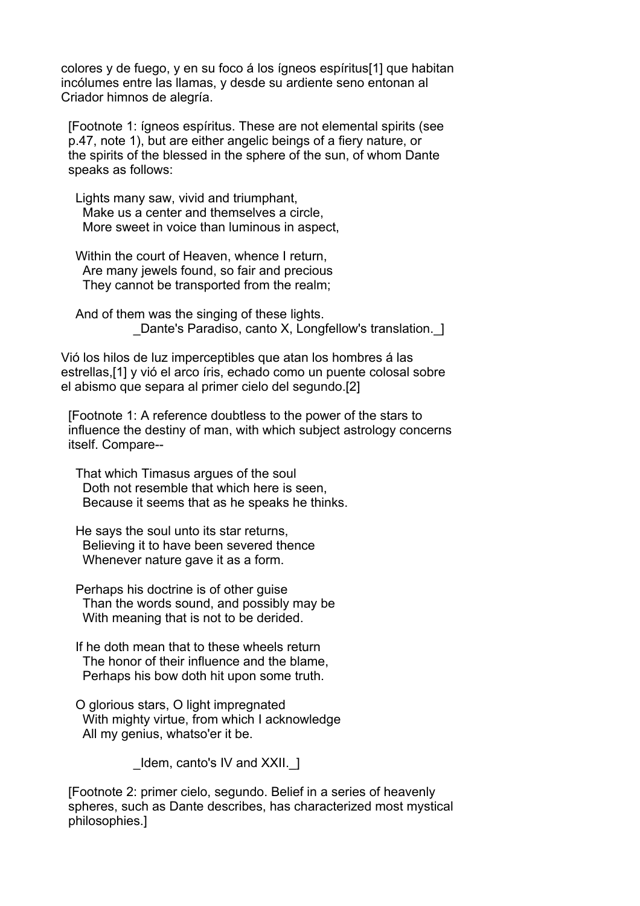colores y de fuego, y en su foco á los ígneos espíritus[1] que habitan incólumes entre las llamas, y desde su ardiente seno entonan al Criador himnos de alegría.

 [Footnote 1: ígneos espíritus. These are not elemental spirits (see p.47, note 1), but are either angelic beings of a fiery nature, or the spirits of the blessed in the sphere of the sun, of whom Dante speaks as follows:

 Lights many saw, vivid and triumphant, Make us a center and themselves a circle, More sweet in voice than luminous in aspect,

Within the court of Heaven, whence I return, Are many jewels found, so fair and precious They cannot be transported from the realm;

 And of them was the singing of these lights. Dante's Paradiso, canto X, Longfellow's translation. 1

Vió los hilos de luz imperceptibles que atan los hombres á las estrellas,[1] y vió el arco íris, echado como un puente colosal sobre el abismo que separa al primer cielo del segundo.[2]

 [Footnote 1: A reference doubtless to the power of the stars to influence the destiny of man, with which subject astrology concerns itself. Compare--

 That which Timasus argues of the soul Doth not resemble that which here is seen, Because it seems that as he speaks he thinks.

 He says the soul unto its star returns, Believing it to have been severed thence Whenever nature gave it as a form.

 Perhaps his doctrine is of other guise Than the words sound, and possibly may be With meaning that is not to be derided.

- If he doth mean that to these wheels return The honor of their influence and the blame, Perhaps his bow doth hit upon some truth.
- O glorious stars, O light impregnated With mighty virtue, from which I acknowledge All my genius, whatso'er it be.

Idem, canto's IV and XXII. 1

 [Footnote 2: primer cielo, segundo. Belief in a series of heavenly spheres, such as Dante describes, has characterized most mystical philosophies.]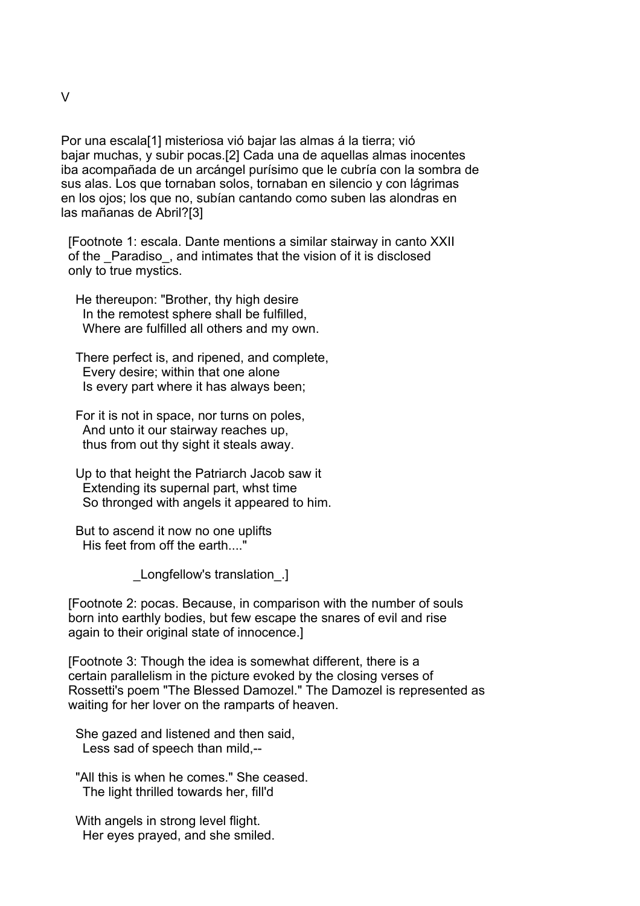Por una escala[1] misteriosa vió bajar las almas á la tierra; vió bajar muchas, y subir pocas.[2] Cada una de aquellas almas inocentes iba acompañada de un arcángel purísimo que le cubría con la sombra de sus alas. Los que tornaban solos, tornaban en silencio y con lágrimas en los ojos; los que no, subían cantando como suben las alondras en las mañanas de Abril?[3]

 [Footnote 1: escala. Dante mentions a similar stairway in canto XXII of the \_Paradiso\_, and intimates that the vision of it is disclosed only to true mystics.

 He thereupon: "Brother, thy high desire In the remotest sphere shall be fulfilled, Where are fulfilled all others and my own.

 There perfect is, and ripened, and complete, Every desire; within that one alone Is every part where it has always been;

 For it is not in space, nor turns on poles, And unto it our stairway reaches up, thus from out thy sight it steals away.

 Up to that height the Patriarch Jacob saw it Extending its supernal part, whst time So thronged with angels it appeared to him.

 But to ascend it now no one uplifts His feet from off the earth...."

\_Longfellow's translation\_.]

 [Footnote 2: pocas. Because, in comparison with the number of souls born into earthly bodies, but few escape the snares of evil and rise again to their original state of innocence.]

 [Footnote 3: Though the idea is somewhat different, there is a certain parallelism in the picture evoked by the closing verses of Rossetti's poem "The Blessed Damozel." The Damozel is represented as waiting for her lover on the ramparts of heaven.

 She gazed and listened and then said, Less sad of speech than mild,--

 "All this is when he comes." She ceased. The light thrilled towards her, fill'd

 With angels in strong level flight. Her eyes prayed, and she smiled.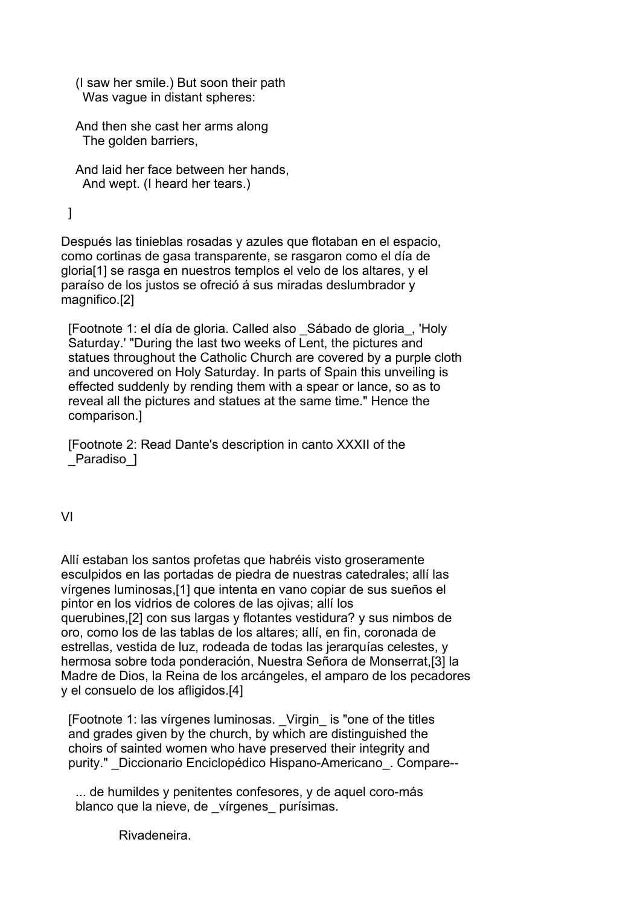- (I saw her smile.) But soon their path Was vague in distant spheres:
- And then she cast her arms along The golden barriers,
- And laid her face between her hands, And wept. (I heard her tears.)

# ]

Después las tinieblas rosadas y azules que flotaban en el espacio, como cortinas de gasa transparente, se rasgaron como el día de gloria[1] se rasga en nuestros templos el velo de los altares, y el paraíso de los justos se ofreció á sus miradas deslumbrador y magnifico.[2]

 [Footnote 1: el día de gloria. Called also \_Sábado de gloria\_, 'Holy Saturday.' "During the last two weeks of Lent, the pictures and statues throughout the Catholic Church are covered by a purple cloth and uncovered on Holy Saturday. In parts of Spain this unveiling is effected suddenly by rending them with a spear or lance, so as to reveal all the pictures and statues at the same time." Hence the comparison.]

 [Footnote 2: Read Dante's description in canto XXXII of the Paradiso 1

### VI

Allí estaban los santos profetas que habréis visto groseramente esculpidos en las portadas de piedra de nuestras catedrales; allí las vírgenes luminosas,[1] que intenta en vano copiar de sus sueños el pintor en los vidrios de colores de las ojivas; allí los querubines,[2] con sus largas y flotantes vestidura? y sus nimbos de oro, como los de las tablas de los altares; allí, en fin, coronada de estrellas, vestida de luz, rodeada de todas las jerarquías celestes, y hermosa sobre toda ponderación, Nuestra Señora de Monserrat,[3] la Madre de Dios, la Reina de los arcángeles, el amparo de los pecadores y el consuelo de los afligidos.[4]

 [Footnote 1: las vírgenes luminosas. \_Virgin\_ is "one of the titles and grades given by the church, by which are distinguished the choirs of sainted women who have preserved their integrity and purity." \_Diccionario Enciclopédico Hispano-Americano\_. Compare--

 ... de humildes y penitentes confesores, y de aquel coro-más blanco que la nieve, de vírgenes purísimas.

Rivadeneira.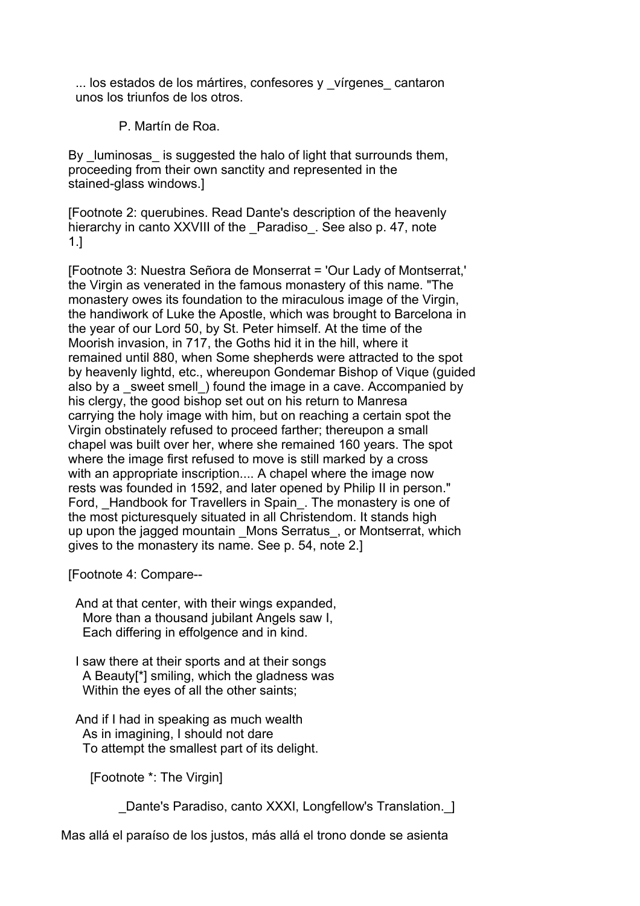... los estados de los mártires, confesores y vírgenes cantaron unos los triunfos de los otros.

P. Martín de Roa.

By luminosas is suggested the halo of light that surrounds them, proceeding from their own sanctity and represented in the stained-glass windows.]

 [Footnote 2: querubines. Read Dante's description of the heavenly hierarchy in canto XXVIII of the Paradiso. See also p. 47, note 1.]

 [Footnote 3: Nuestra Señora de Monserrat = 'Our Lady of Montserrat,' the Virgin as venerated in the famous monastery of this name. "The monastery owes its foundation to the miraculous image of the Virgin, the handiwork of Luke the Apostle, which was brought to Barcelona in the year of our Lord 50, by St. Peter himself. At the time of the Moorish invasion, in 717, the Goths hid it in the hill, where it remained until 880, when Some shepherds were attracted to the spot by heavenly lightd, etc., whereupon Gondemar Bishop of Vique (guided also by a \_sweet smell\_) found the image in a cave. Accompanied by his clergy, the good bishop set out on his return to Manresa carrying the holy image with him, but on reaching a certain spot the Virgin obstinately refused to proceed farther; thereupon a small chapel was built over her, where she remained 160 years. The spot where the image first refused to move is still marked by a cross with an appropriate inscription.... A chapel where the image now rests was founded in 1592, and later opened by Philip II in person." Ford, Handbook for Travellers in Spain. The monastery is one of the most picturesquely situated in all Christendom. It stands high up upon the jagged mountain Mons Serratus, or Montserrat, which gives to the monastery its name. See p. 54, note 2.]

[Footnote 4: Compare--

 And at that center, with their wings expanded, More than a thousand jubilant Angels saw I, Each differing in effolgence and in kind.

 I saw there at their sports and at their songs A Beauty[\*] smiling, which the gladness was Within the eyes of all the other saints:

 And if I had in speaking as much wealth As in imagining, I should not dare To attempt the smallest part of its delight.

[Footnote \*: The Virgin]

Dante's Paradiso, canto XXXI, Longfellow's Translation. 1

Mas allá el paraíso de los justos, más allá el trono donde se asienta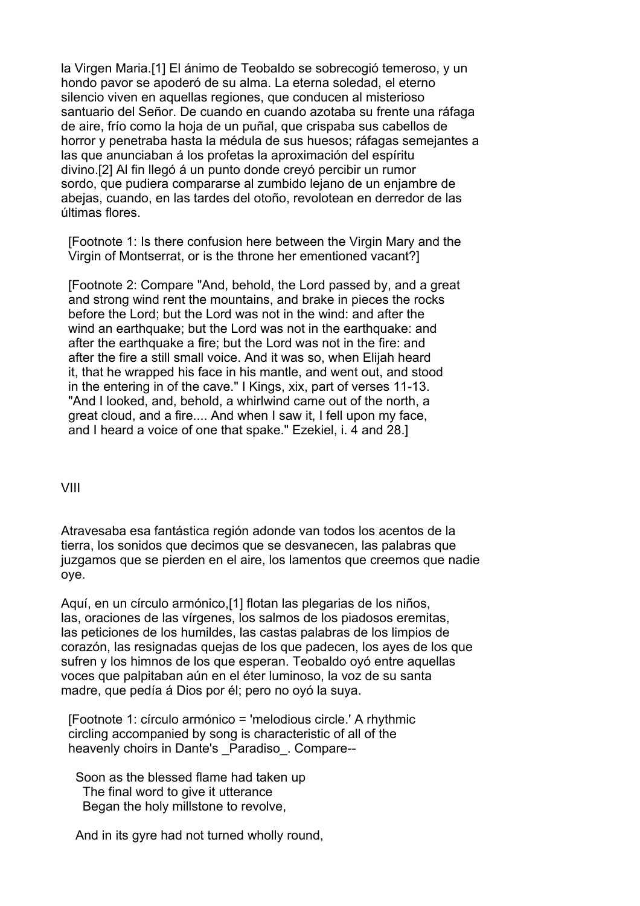la Virgen Maria.[1] El ánimo de Teobaldo se sobrecogió temeroso, y un hondo pavor se apoderó de su alma. La eterna soledad, el eterno silencio viven en aquellas regiones, que conducen al misterioso santuario del Señor. De cuando en cuando azotaba su frente una ráfaga de aire, frío como la hoja de un puñal, que crispaba sus cabellos de horror y penetraba hasta la médula de sus huesos; ráfagas semejantes a las que anunciaban á los profetas la aproximación del espíritu divino.[2] Al fin llegó á un punto donde creyó percibir un rumor sordo, que pudiera compararse al zumbido lejano de un enjambre de abejas, cuando, en las tardes del otoño, revolotean en derredor de las últimas flores.

 [Footnote 1: Is there confusion here between the Virgin Mary and the Virgin of Montserrat, or is the throne her ementioned vacant?]

 [Footnote 2: Compare "And, behold, the Lord passed by, and a great and strong wind rent the mountains, and brake in pieces the rocks before the Lord; but the Lord was not in the wind: and after the wind an earthquake; but the Lord was not in the earthquake: and after the earthquake a fire; but the Lord was not in the fire: and after the fire a still small voice. And it was so, when Elijah heard it, that he wrapped his face in his mantle, and went out, and stood in the entering in of the cave." I Kings, xix, part of verses 11-13. "And I looked, and, behold, a whirlwind came out of the north, a great cloud, and a fire.... And when I saw it, I fell upon my face, and I heard a voice of one that spake." Ezekiel, i. 4 and 28.]

VIII

Atravesaba esa fantástica región adonde van todos los acentos de la tierra, los sonidos que decimos que se desvanecen, las palabras que juzgamos que se pierden en el aire, los lamentos que creemos que nadie oye.

Aquí, en un círculo armónico,[1] flotan las plegarias de los niños, las, oraciones de las vírgenes, los salmos de los piadosos eremitas, las peticiones de los humildes, las castas palabras de los limpios de corazón, las resignadas quejas de los que padecen, los ayes de los que sufren y los himnos de los que esperan. Teobaldo oyó entre aquellas voces que palpitaban aún en el éter luminoso, la voz de su santa madre, que pedía á Dios por él; pero no oyó la suya.

 [Footnote 1: círculo armónico = 'melodious circle.' A rhythmic circling accompanied by song is characteristic of all of the heavenly choirs in Dante's Paradiso. Compare--

 Soon as the blessed flame had taken up The final word to give it utterance Began the holy millstone to revolve,

And in its gyre had not turned wholly round,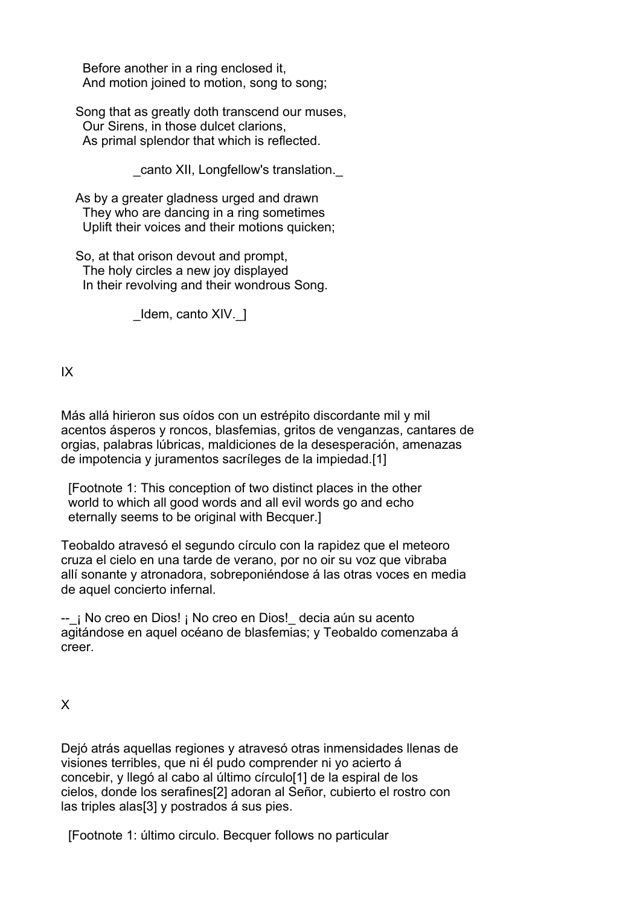Before another in a ring enclosed it, And motion joined to motion, song to song;

 Song that as greatly doth transcend our muses, Our Sirens, in those dulcet clarions, As primal splendor that which is reflected.

\_canto XII, Longfellow's translation.\_

 As by a greater gladness urged and drawn They who are dancing in a ring sometimes Uplift their voices and their motions quicken;

 So, at that orison devout and prompt, The holy circles a new joy displayed In their revolving and their wondrous Song.

\_Idem, canto XIV.\_]

IX

Más allá hirieron sus oídos con un estrépito discordante mil y mil acentos ásperos y roncos, blasfemias, gritos de venganzas, cantares de orgias, palabras lúbricas, maldiciones de la desesperación, amenazas de impotencia y juramentos sacríleges de la impiedad.[1]

 [Footnote 1: This conception of two distinct places in the other world to which all good words and all evil words go and echo eternally seems to be original with Becquer.]

Teobaldo atravesó el segundo círculo con la rapidez que el meteoro cruza el cielo en una tarde de verano, por no oir su voz que vibraba allí sonante y atronadora, sobreponiéndose á las otras voces en media de aquel concierto infernal.

-- ¡ No creo en Dios! ¡ No creo en Dios! decia aún su acento agitándose en aquel océano de blasfemias; y Teobaldo comenzaba á creer.

X

Dejó atrás aquellas regiones y atravesó otras inmensidades llenas de visiones terribles, que ni él pudo comprender ni yo acierto á concebir, y llegó al cabo al último círculo[1] de la espiral de los cielos, donde los serafines[2] adoran al Señor, cubierto el rostro con las triples alas[3] y postrados á sus pies.

[Footnote 1: último circulo. Becquer follows no particular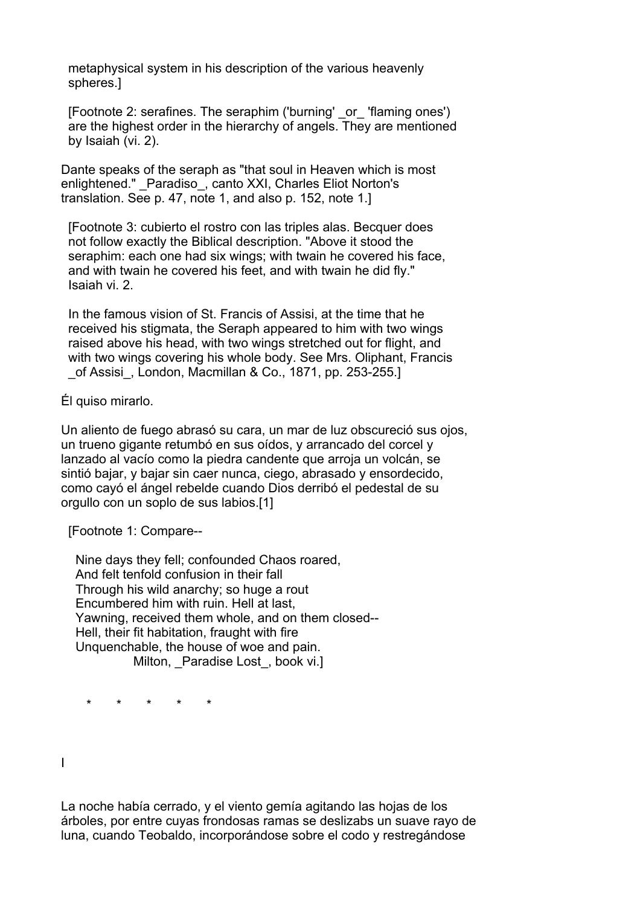metaphysical system in his description of the various heavenly spheres.]

 [Footnote 2: serafines. The seraphim ('burning' \_or\_ 'flaming ones') are the highest order in the hierarchy of angels. They are mentioned by Isaiah (vi. 2).

Dante speaks of the seraph as "that soul in Heaven which is most enlightened." Paradiso, canto XXI, Charles Eliot Norton's translation. See p. 47, note 1, and also p. 152, note 1.]

 [Footnote 3: cubierto el rostro con las triples alas. Becquer does not follow exactly the Biblical description. "Above it stood the seraphim: each one had six wings; with twain he covered his face, and with twain he covered his feet, and with twain he did fly." Isaiah vi. 2.

 In the famous vision of St. Francis of Assisi, at the time that he received his stigmata, the Seraph appeared to him with two wings raised above his head, with two wings stretched out for flight, and with two wings covering his whole body. See Mrs. Oliphant, Francis \_of Assisi\_, London, Macmillan & Co., 1871, pp. 253-255.]

Él quiso mirarlo.

Un aliento de fuego abrasó su cara, un mar de luz obscureció sus ojos, un trueno gigante retumbó en sus oídos, y arrancado del corcel y lanzado al vacío como la piedra candente que arroja un volcán, se sintió bajar, y bajar sin caer nunca, ciego, abrasado y ensordecido, como cayó el ángel rebelde cuando Dios derribó el pedestal de su orgullo con un soplo de sus labios.[1]

[Footnote 1: Compare--

 Nine days they fell; confounded Chaos roared, And felt tenfold confusion in their fall Through his wild anarchy; so huge a rout Encumbered him with ruin. Hell at last, Yawning, received them whole, and on them closed-- Hell, their fit habitation, fraught with fire Unquenchable, the house of woe and pain. Milton, Paradise Lost, book vi.]

\* \* \* \* \*

I

La noche había cerrado, y el viento gemía agitando las hojas de los árboles, por entre cuyas frondosas ramas se deslizabs un suave rayo de luna, cuando Teobaldo, incorporándose sobre el codo y restregándose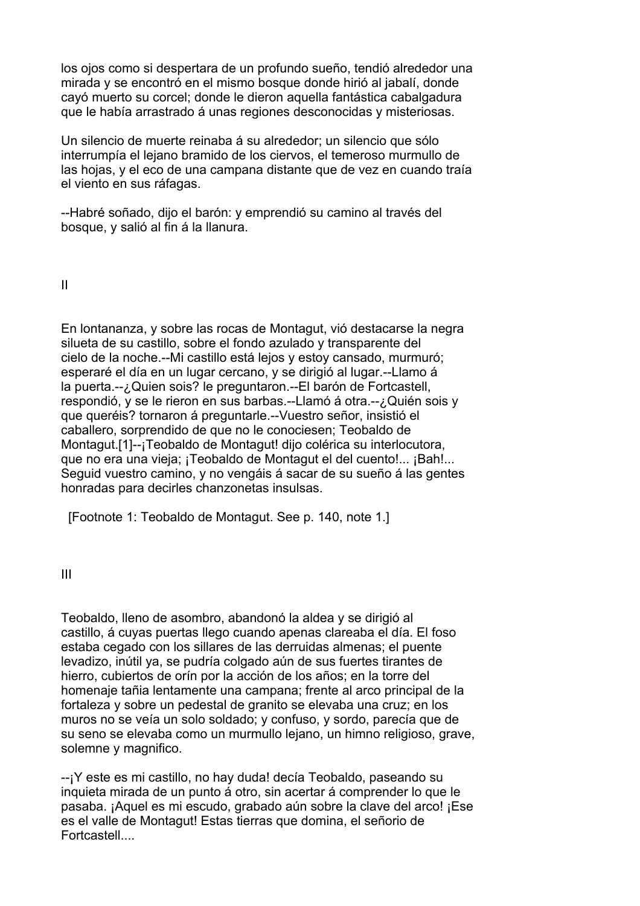los ojos como si despertara de un profundo sueño, tendió alrededor una mirada y se encontró en el mismo bosque donde hirió al jabalí, donde cayó muerto su corcel; donde le dieron aquella fantástica cabalgadura que le había arrastrado á unas regiones desconocidas y misteriosas.

Un silencio de muerte reinaba á su alrededor; un silencio que sólo interrumpía el lejano bramido de los ciervos, el temeroso murmullo de las hojas, y el eco de una campana distante que de vez en cuando traía el viento en sus ráfagas.

--Habré soñado, dijo el barón: y emprendió su camino al través del bosque, y salió al fin á la llanura.

II

En lontananza, y sobre las rocas de Montagut, vió destacarse la negra silueta de su castillo, sobre el fondo azulado y transparente del cielo de la noche.--Mi castillo está lejos y estoy cansado, murmuró; esperaré el día en un lugar cercano, y se dirigió al lugar.--Llamo á la puerta.--¿Quien sois? le preguntaron.--El barón de Fortcastell, respondió, y se le rieron en sus barbas.--Llamó á otra.--¿Quién sois y que queréis? tornaron á preguntarle.--Vuestro señor, insistió el caballero, sorprendido de que no le conociesen; Teobaldo de Montagut.[1]--¡Teobaldo de Montagut! dijo colérica su interlocutora, que no era una vieja; ¡Teobaldo de Montagut el del cuento!... ¡Bah!... Seguid vuestro camino, y no vengáis á sacar de su sueño á las gentes honradas para decirles chanzonetas insulsas.

[Footnote 1: Teobaldo de Montagut. See p. 140, note 1.]

III

Teobaldo, lleno de asombro, abandonó la aldea y se dirigió al castillo, á cuyas puertas llego cuando apenas clareaba el día. El foso estaba cegado con los sillares de las derruidas almenas; el puente levadizo, inútil ya, se pudría colgado aún de sus fuertes tirantes de hierro, cubiertos de orín por la acción de los años; en la torre del homenaje tañia lentamente una campana; frente al arco principal de la fortaleza y sobre un pedestal de granito se elevaba una cruz; en los muros no se veía un solo soldado; y confuso, y sordo, parecía que de su seno se elevaba como un murmullo lejano, un himno religioso, grave, solemne y magnifico.

--¡Y este es mi castillo, no hay duda! decía Teobaldo, paseando su inquieta mirada de un punto á otro, sin acertar á comprender lo que le pasaba. ¡Aquel es mi escudo, grabado aún sobre la clave del arco! ¡Ese es el valle de Montagut! Estas tierras que domina, el señorio de Fortcastell....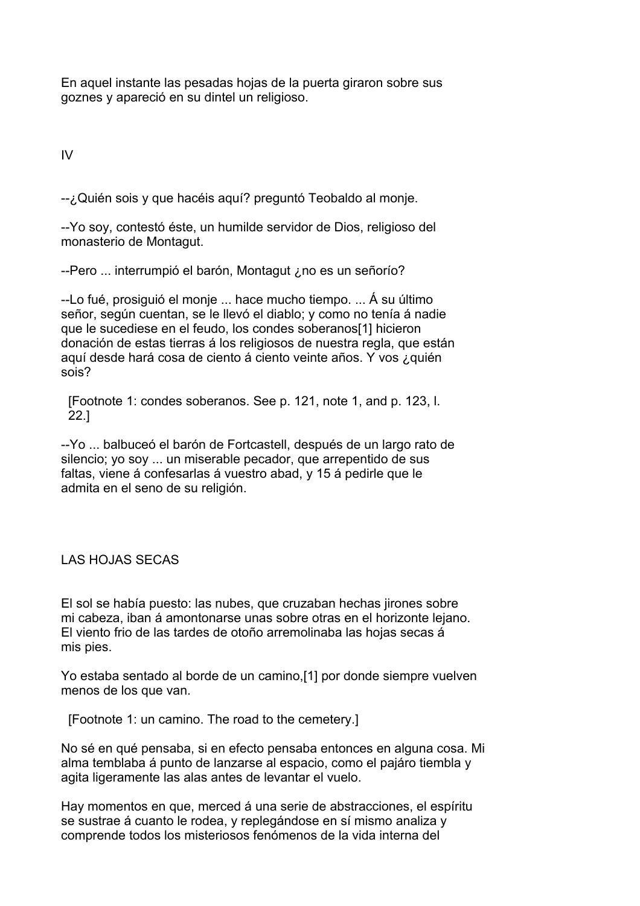En aquel instante las pesadas hojas de la puerta giraron sobre sus goznes y apareció en su dintel un religioso.

IV

--¿Quién sois y que hacéis aquí? preguntó Teobaldo al monje.

--Yo soy, contestó éste, un humilde servidor de Dios, religioso del monasterio de Montagut.

--Pero ... interrumpió el barón, Montagut ¿no es un señorío?

--Lo fué, prosiguió el monje ... hace mucho tiempo. ... Á su último señor, según cuentan, se le llevó el diablo; y como no tenía á nadie que le sucediese en el feudo, los condes soberanos[1] hicieron donación de estas tierras á los religiosos de nuestra regla, que están aquí desde hará cosa de ciento á ciento veinte años. Y vos ¿quién sois?

 [Footnote 1: condes soberanos. See p. 121, note 1, and p. 123, l. 22.]

--Yo ... balbuceó el barón de Fortcastell, después de un largo rato de silencio; yo soy ... un miserable pecador, que arrepentido de sus faltas, viene á confesarlas á vuestro abad, y 15 á pedirle que le admita en el seno de su religión.

LAS HOJAS SECAS

El sol se había puesto: las nubes, que cruzaban hechas jirones sobre mi cabeza, iban á amontonarse unas sobre otras en el horizonte lejano. El viento frio de las tardes de otoño arremolinaba las hojas secas á mis pies.

Yo estaba sentado al borde de un camino,[1] por donde siempre vuelven menos de los que van.

[Footnote 1: un camino. The road to the cemetery.]

No sé en qué pensaba, si en efecto pensaba entonces en alguna cosa. Mi alma temblaba á punto de lanzarse al espacio, como el pajáro tiembla y agita ligeramente las alas antes de levantar el vuelo.

Hay momentos en que, merced á una serie de abstracciones, el espíritu se sustrae á cuanto le rodea, y replegándose en sí mismo analiza y comprende todos los misteriosos fenómenos de la vida interna del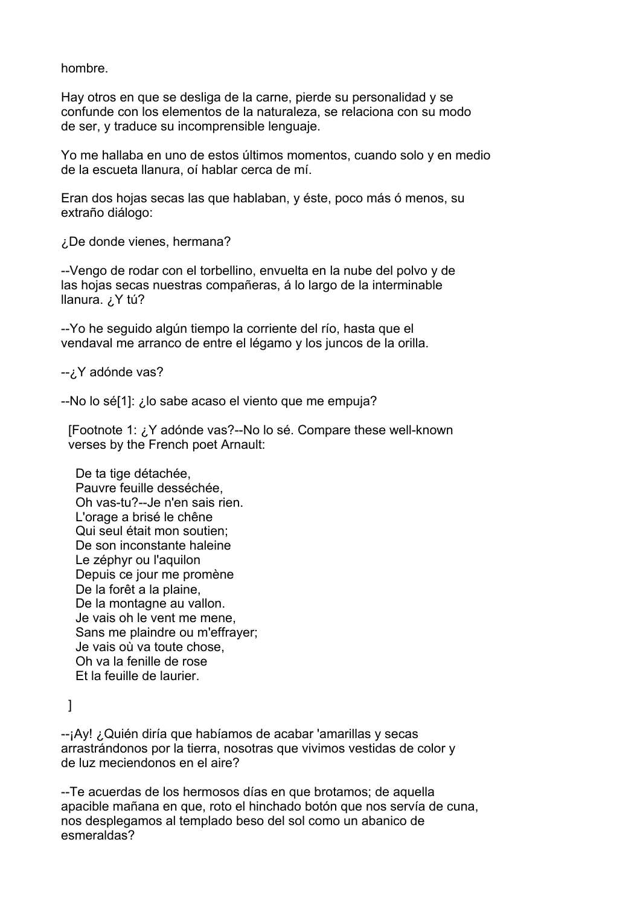hombre.

Hay otros en que se desliga de la carne, pierde su personalidad y se confunde con los elementos de la naturaleza, se relaciona con su modo de ser, y traduce su incomprensible lenguaje.

Yo me hallaba en uno de estos últimos momentos, cuando solo y en medio de la escueta llanura, oí hablar cerca de mí.

Eran dos hojas secas las que hablaban, y éste, poco más ó menos, su extraño diálogo:

¿De donde vienes, hermana?

--Vengo de rodar con el torbellino, envuelta en la nube del polvo y de las hojas secas nuestras compañeras, á lo largo de la interminable llanura. ¿Y tú?

--Yo he seguido algún tiempo la corriente del río, hasta que el vendaval me arranco de entre el légamo y los juncos de la orilla.

-- ¿Y adónde vas?

--No lo sé[1]: ¿lo sabe acaso el viento que me empuja?

 [Footnote 1: ¿Y adónde vas?--No lo sé. Compare these well-known verses by the French poet Arnault:

 De ta tige détachée, Pauvre feuille desséchée, Oh vas-tu?--Je n'en sais rien. L'orage a brisé le chêne Qui seul était mon soutien; De son inconstante haleine Le zéphyr ou l'aquilon Depuis ce jour me promène De la forêt a la plaine, De la montagne au vallon. Je vais oh le vent me mene, Sans me plaindre ou m'effrayer; Je vais où va toute chose, Oh va la fenille de rose Et la feuille de laurier.

]

--¡Ay! ¿Quién diría que habíamos de acabar 'amarillas y secas arrastrándonos por la tierra, nosotras que vivimos vestidas de color y de luz meciendonos en el aire?

--Te acuerdas de los hermosos días en que brotamos; de aquella apacible mañana en que, roto el hinchado botón que nos servía de cuna, nos desplegamos al templado beso del sol como un abanico de esmeraldas?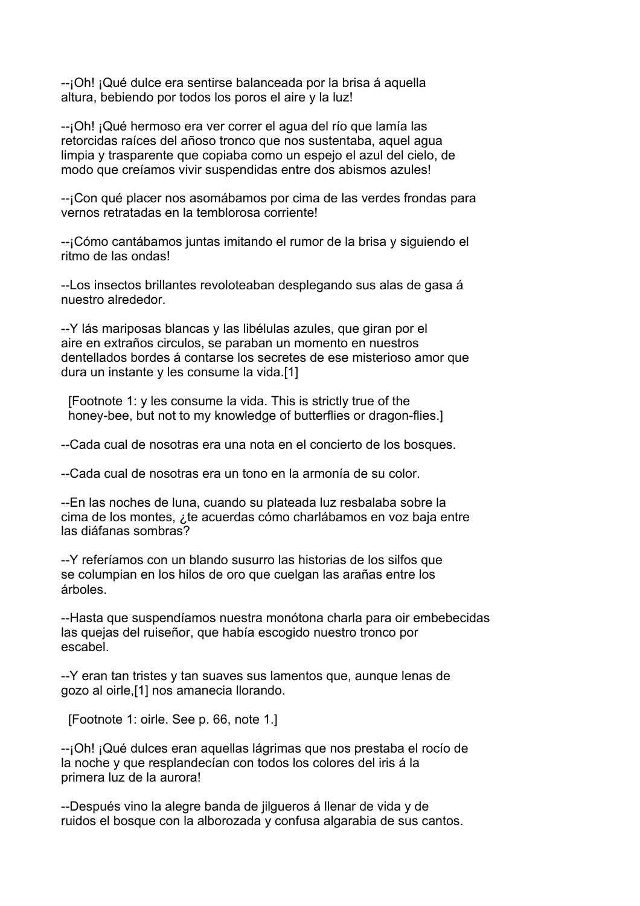--¡Oh! ¡Qué dulce era sentirse balanceada por la brisa á aquella altura, bebiendo por todos los poros el aire y la luz!

--¡Oh! ¡Qué hermoso era ver correr el agua del río que lamía las retorcidas raíces del añoso tronco que nos sustentaba, aquel agua limpia y trasparente que copiaba como un espejo el azul del cielo, de modo que creíamos vivir suspendidas entre dos abismos azules!

--¡Con qué placer nos asomábamos por cima de las verdes frondas para vernos retratadas en la temblorosa corriente!

--¡Cómo cantábamos juntas imitando el rumor de la brisa y siguiendo el ritmo de las ondas!

--Los insectos brillantes revoloteaban desplegando sus alas de gasa á nuestro alrededor.

--Y lás mariposas blancas y las libélulas azules, que giran por el aire en extraños circulos, se paraban un momento en nuestros dentellados bordes á contarse los secretes de ese misterioso amor que dura un instante y les consume la vida.[1]

 [Footnote 1: y les consume la vida. This is strictly true of the honey-bee, but not to my knowledge of butterflies or dragon-flies.]

--Cada cual de nosotras era una nota en el concierto de los bosques.

--Cada cual de nosotras era un tono en la armonía de su color.

--En las noches de luna, cuando su plateada luz resbalaba sobre la cima de los montes, ¿te acuerdas cómo charlábamos en voz baja entre las diáfanas sombras?

--Y referíamos con un blando susurro las historias de los silfos que se columpian en los hilos de oro que cuelgan las arañas entre los árboles.

--Hasta que suspendíamos nuestra monótona charla para oir embebecidas las quejas del ruiseñor, que había escogido nuestro tronco por escabel.

--Y eran tan tristes y tan suaves sus lamentos que, aunque lenas de gozo al oirle,[1] nos amanecia llorando.

[Footnote 1: oirle. See p. 66, note 1.]

--¡Oh! ¡Qué dulces eran aquellas lágrimas que nos prestaba el rocío de la noche y que resplandecían con todos los colores del iris á la primera luz de la aurora!

--Después vino la alegre banda de jilgueros á llenar de vida y de ruidos el bosque con la alborozada y confusa algarabia de sus cantos.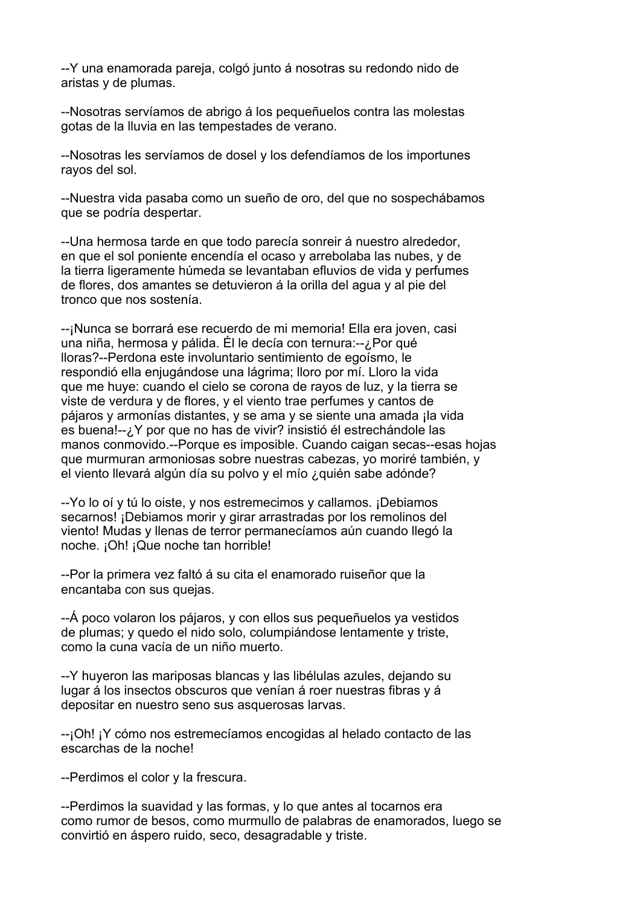--Y una enamorada pareja, colgó junto á nosotras su redondo nido de aristas y de plumas.

--Nosotras servíamos de abrigo á los pequeñuelos contra las molestas gotas de la lluvia en las tempestades de verano.

--Nosotras les servíamos de dosel y los defendíamos de los importunes rayos del sol.

--Nuestra vida pasaba como un sueño de oro, del que no sospechábamos que se podría despertar.

--Una hermosa tarde en que todo parecía sonreir á nuestro alrededor, en que el sol poniente encendía el ocaso y arrebolaba las nubes, y de la tierra ligeramente húmeda se levantaban efluvios de vida y perfumes de flores, dos amantes se detuvieron á la orilla del agua y al pie del tronco que nos sostenía.

--¡Nunca se borrará ese recuerdo de mi memoria! Ella era joven, casi una niña, hermosa y pálida. Él le decía con ternura:--¿Por qué lloras?--Perdona este involuntario sentimiento de egoísmo, le respondió ella enjugándose una lágrima; lloro por mí. Lloro la vida que me huye: cuando el cielo se corona de rayos de luz, y la tierra se viste de verdura y de flores, y el viento trae perfumes y cantos de pájaros y armonías distantes, y se ama y se siente una amada ¡la vida es buena!--¿Y por que no has de vivir? insistió él estrechándole las manos conmovido.--Porque es imposible. Cuando caigan secas--esas hojas que murmuran armoniosas sobre nuestras cabezas, yo moriré también, y el viento llevará algún día su polvo y el mío ¿quién sabe adónde?

--Yo lo oí y tú lo oiste, y nos estremecimos y callamos. ¡Debiamos secarnos! ¡Debiamos morir y girar arrastradas por los remolinos del viento! Mudas y llenas de terror permanecíamos aún cuando llegó la noche. ¡Oh! ¡Que noche tan horrible!

--Por la primera vez faltó á su cita el enamorado ruiseñor que la encantaba con sus quejas.

--Á poco volaron los pájaros, y con ellos sus pequeñuelos ya vestidos de plumas; y quedo el nido solo, columpiándose lentamente y triste, como la cuna vacía de un niño muerto.

--Y huyeron las mariposas blancas y las libélulas azules, dejando su lugar á los insectos obscuros que venían á roer nuestras fibras y á depositar en nuestro seno sus asquerosas larvas.

--¡Oh! ¡Y cómo nos estremecíamos encogidas al helado contacto de las escarchas de la noche!

--Perdimos el color y la frescura.

--Perdimos la suavidad y las formas, y lo que antes al tocarnos era como rumor de besos, como murmullo de palabras de enamorados, luego se convirtió en áspero ruido, seco, desagradable y triste.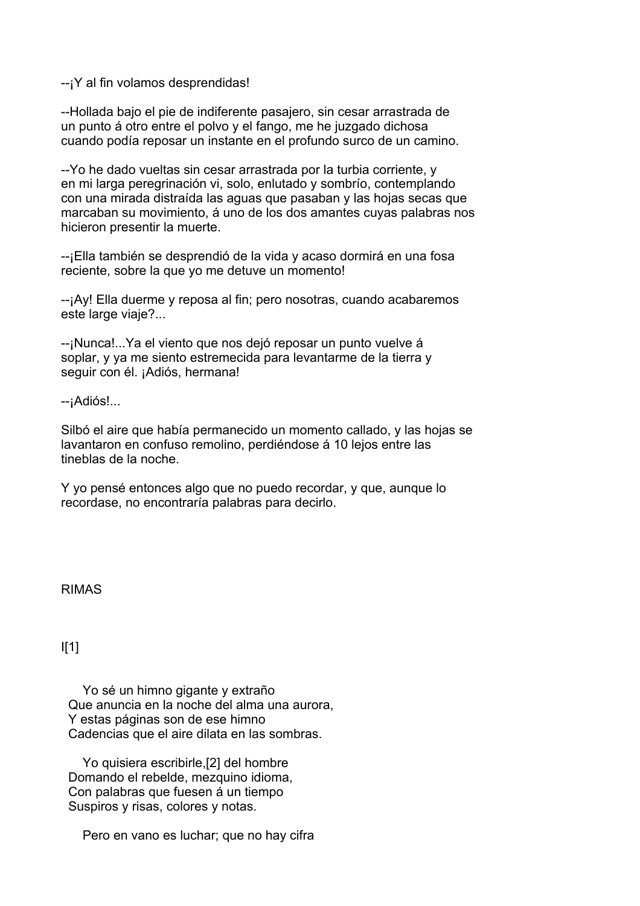--¡Y al fin volamos desprendidas!

--Hollada bajo el pie de indiferente pasajero, sin cesar arrastrada de un punto á otro entre el polvo y el fango, me he juzgado dichosa cuando podía reposar un instante en el profundo surco de un camino.

--Yo he dado vueltas sin cesar arrastrada por la turbia corriente, y en mi larga peregrinación vi, solo, enlutado y sombrío, contemplando con una mirada distraída las aguas que pasaban y las hojas secas que marcaban su movimiento, á uno de los dos amantes cuyas palabras nos hicieron presentir la muerte.

--¡Ella también se desprendió de la vida y acaso dormirá en una fosa reciente, sobre la que yo me detuve un momento!

--¡Ay! Ella duerme y reposa al fin; pero nosotras, cuando acabaremos este large viaje?...

--¡Nunca!...Ya el viento que nos dejó reposar un punto vuelve á soplar, y ya me siento estremecida para levantarme de la tierra y seguir con él. ¡Adiós, hermana!

--¡Adiós!...

Silbó el aire que había permanecido un momento callado, y las hojas se lavantaron en confuso remolino, perdiéndose á 10 lejos entre las tineblas de la noche.

Y yo pensé entonces algo que no puedo recordar, y que, aunque lo recordase, no encontraría palabras para decirlo.

RIMAS

I[1]

 Yo sé un himno gigante y extraño Que anuncia en la noche del alma una aurora, Y estas páginas son de ese himno Cadencias que el aire dilata en las sombras.

 Yo quisiera escribirle,[2] del hombre Domando el rebelde, mezquino idioma, Con palabras que fuesen á un tiempo Suspiros y risas, colores y notas.

Pero en vano es luchar; que no hay cifra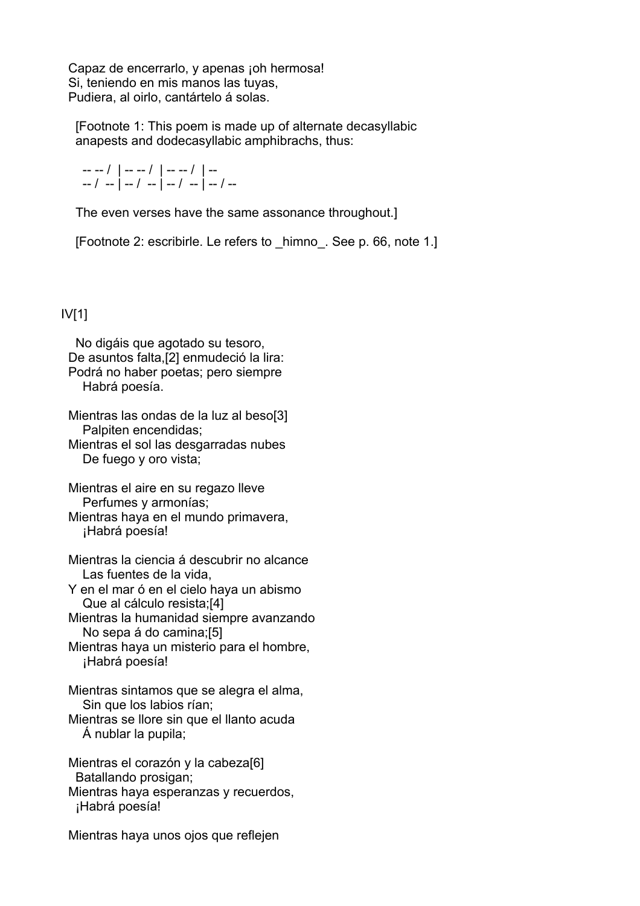Capaz de encerrarlo, y apenas ¡oh hermosa! Si, teniendo en mis manos las tuyas, Pudiera, al oirlo, cantártelo á solas.

 [Footnote 1: This poem is made up of alternate decasyllabic anapests and dodecasyllabic amphibrachs, thus:

-- -- / | -- -- / | -- -- / | ---- / -- | -- / -- | -- / -- | -- / --

The even verses have the same assonance throughout.]

[Footnote 2: escribirle. Le refers to \_himno\_. See p. 66, note 1.]

# IV[1]

 No digáis que agotado su tesoro, De asuntos falta,[2] enmudeció la lira: Podrá no haber poetas; pero siempre Habrá poesía.

 Mientras las ondas de la luz al beso[3] Palpiten encendidas; Mientras el sol las desgarradas nubes De fuego y oro vista;

 Mientras el aire en su regazo lleve Perfumes y armonías;

 Mientras haya en el mundo primavera, ¡Habrá poesía!

 Mientras la ciencia á descubrir no alcance Las fuentes de la vida,

 Y en el mar ó en el cielo haya un abismo Que al cálculo resista;[4]

 Mientras la humanidad siempre avanzando No sepa á do camina;[5]

 Mientras haya un misterio para el hombre, ¡Habrá poesía!

 Mientras sintamos que se alegra el alma, Sin que los labios rían;

 Mientras se llore sin que el llanto acuda Á nublar la pupila;

 Mientras el corazón y la cabeza[6] Batallando prosigan; Mientras haya esperanzas y recuerdos, ¡Habrá poesía!

Mientras haya unos ojos que reflejen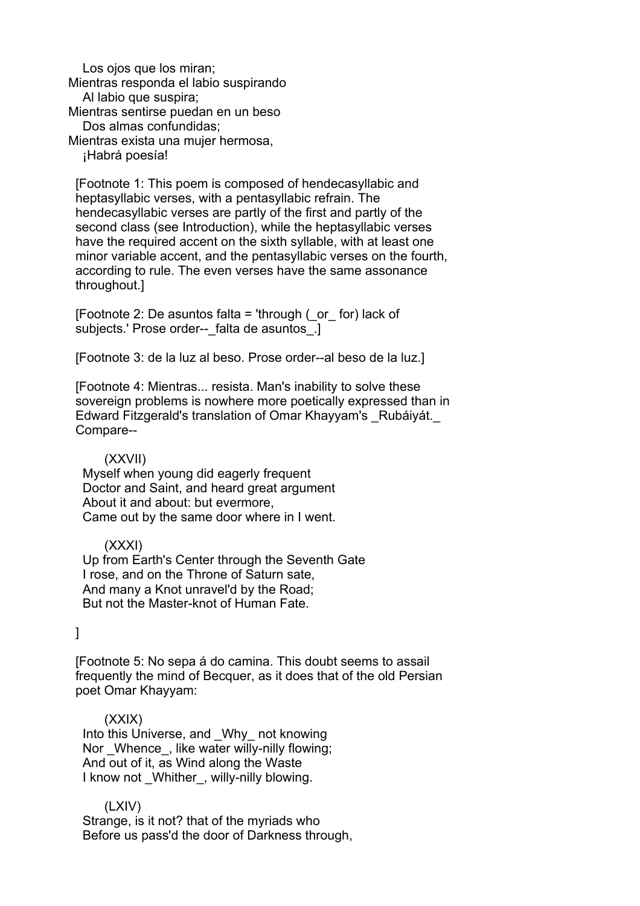Los ojos que los miran; Mientras responda el labio suspirando Al labio que suspira; Mientras sentirse puedan en un beso Dos almas confundidas; Mientras exista una mujer hermosa, ¡Habrá poesía!

 [Footnote 1: This poem is composed of hendecasyllabic and heptasyllabic verses, with a pentasyllabic refrain. The hendecasyllabic verses are partly of the first and partly of the second class (see Introduction), while the heptasyllabic verses have the required accent on the sixth syllable, with at least one minor variable accent, and the pentasyllabic verses on the fourth, according to rule. The even verses have the same assonance throughout.]

[Footnote 2: De asuntos falta = 'through  $($  or for) lack of subjects.' Prose order-- falta de asuntos.]

[Footnote 3: de la luz al beso. Prose order--al beso de la luz.]

 [Footnote 4: Mientras... resista. Man's inability to solve these sovereign problems is nowhere more poetically expressed than in Edward Fitzgerald's translation of Omar Khayyam's \_Rubáiyát.\_ Compare--

### (XXVII)

 Myself when young did eagerly frequent Doctor and Saint, and heard great argument About it and about: but evermore, Came out by the same door where in I went.

### (XXXI)

 Up from Earth's Center through the Seventh Gate I rose, and on the Throne of Saturn sate, And many a Knot unravel'd by the Road; But not the Master-knot of Human Fate.

]

 [Footnote 5: No sepa á do camina. This doubt seems to assail frequently the mind of Becquer, as it does that of the old Persian poet Omar Khayyam:

### (XXIX)

 Into this Universe, and \_Why\_ not knowing Nor Whence, like water willy-nilly flowing; And out of it, as Wind along the Waste I know not Whither, willy-nilly blowing.

### (LXIV)

 Strange, is it not? that of the myriads who Before us pass'd the door of Darkness through,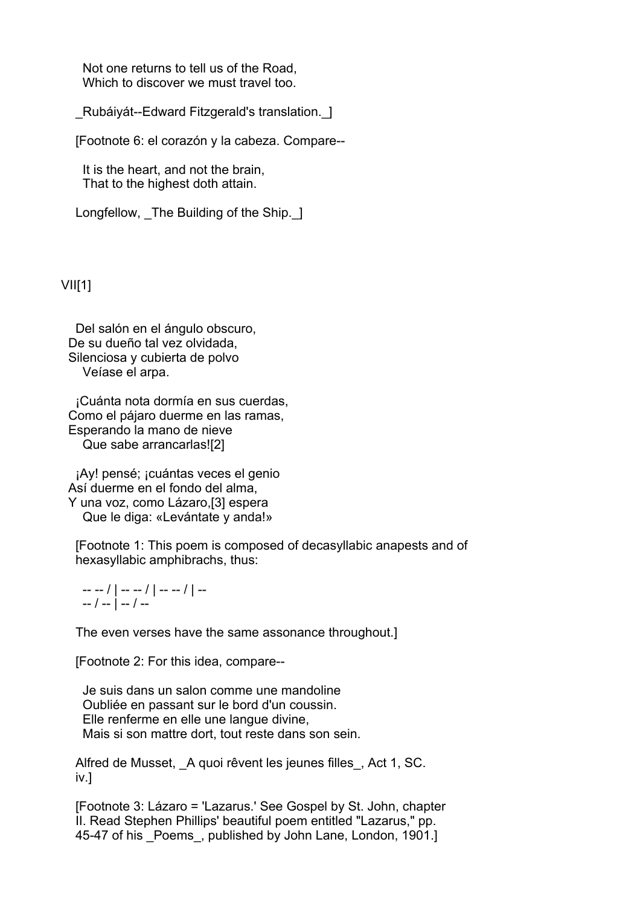Not one returns to tell us of the Road, Which to discover we must travel too.

\_Rubáiyát--Edward Fitzgerald's translation.\_]

[Footnote 6: el corazón y la cabeza. Compare--

 It is the heart, and not the brain, That to the highest doth attain.

Longfellow, The Building of the Ship. 1

### $VIII$ [1]

 Del salón en el ángulo obscuro, De su dueño tal vez olvidada, Silenciosa y cubierta de polvo Veíase el arpa.

 ¡Cuánta nota dormía en sus cuerdas, Como el pájaro duerme en las ramas, Esperando la mano de nieve Que sabe arrancarlas![2]

 ¡Ay! pensé; ¡cuántas veces el genio Así duerme en el fondo del alma, Y una voz, como Lázaro,[3] espera Que le diga: «Levántate y anda!»

 [Footnote 1: This poem is composed of decasyllabic anapests and of hexasyllabic amphibrachs, thus:

 -- -- / | -- -- / | -- -- / | -- -- / -- | -- / --

The even verses have the same assonance throughout.]

[Footnote 2: For this idea, compare--

 Je suis dans un salon comme une mandoline Oubliée en passant sur le bord d'un coussin. Elle renferme en elle une langue divine, Mais si son mattre dort, tout reste dans son sein.

Alfred de Musset, A quoi rêvent les jeunes filles, Act 1, SC. iv.]

 [Footnote 3: Lázaro = 'Lazarus.' See Gospel by St. John, chapter II. Read Stephen Phillips' beautiful poem entitled "Lazarus," pp. 45-47 of his Poems, published by John Lane, London, 1901.]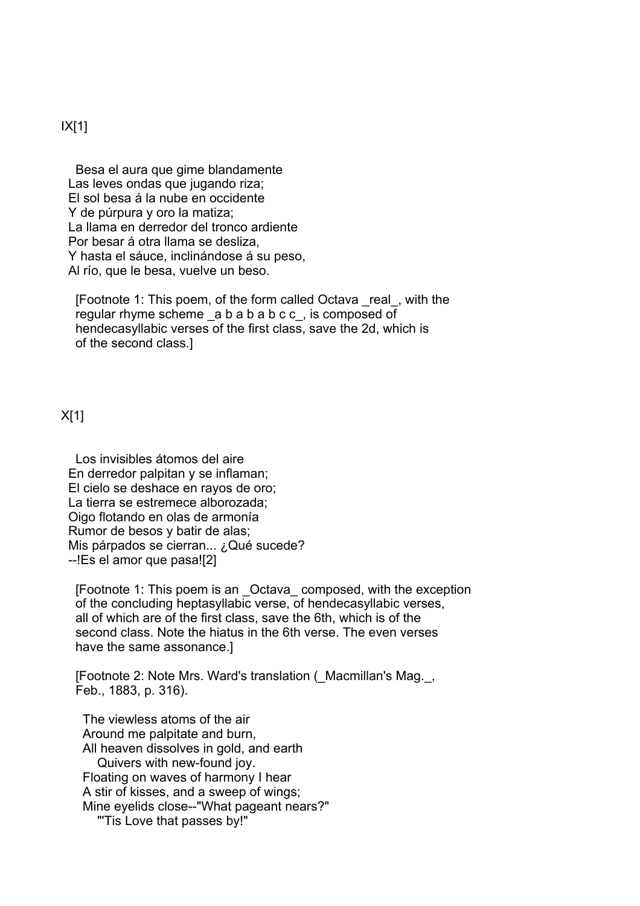### IX[1]

 Besa el aura que gime blandamente Las leves ondas que jugando riza; El sol besa á la nube en occidente Y de púrpura y oro la matiza; La llama en derredor del tronco ardiente Por besar á otra llama se desliza, Y hasta el sáuce, inclinándose á su peso, Al río, que le besa, vuelve un beso.

 [Footnote 1: This poem, of the form called Octava \_real\_, with the regular rhyme scheme a b a b a b c c, is composed of hendecasyllabic verses of the first class, save the 2d, which is of the second class.]

### X[1]

 Los invisibles átomos del aire En derredor palpitan y se inflaman; El cielo se deshace en rayos de oro; La tierra se estremece alborozada; Oigo flotando en olas de armonía Rumor de besos y batir de alas; Mis párpados se cierran... ¿Qué sucede? --!Es el amor que pasa![2]

 [Footnote 1: This poem is an \_Octava\_ composed, with the exception of the concluding heptasyllabic verse, of hendecasyllabic verses, all of which are of the first class, save the 6th, which is of the second class. Note the hiatus in the 6th verse. The even verses have the same assonance.]

 [Footnote 2: Note Mrs. Ward's translation (\_Macmillan's Mag.\_, Feb., 1883, p. 316).

 The viewless atoms of the air Around me palpitate and burn, All heaven dissolves in gold, and earth Quivers with new-found joy. Floating on waves of harmony I hear A stir of kisses, and a sweep of wings; Mine eyelids close--"What pageant nears?" "'Tis Love that passes by!"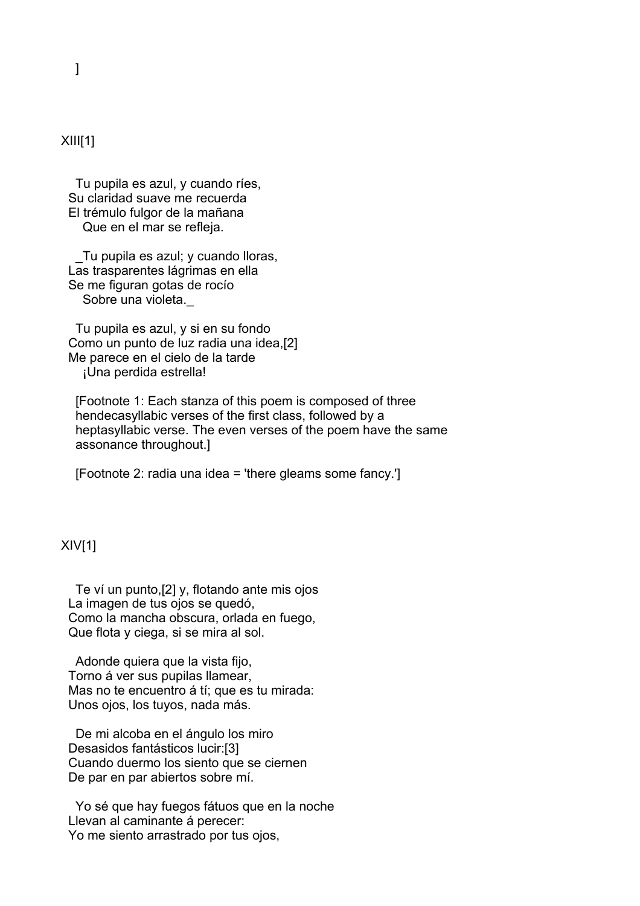# $XIII[1]$

 Tu pupila es azul, y cuando ríes, Su claridad suave me recuerda El trémulo fulgor de la mañana Que en el mar se refleja.

 \_Tu pupila es azul; y cuando lloras, Las trasparentes lágrimas en ella Se me figuran gotas de rocío Sobre una violeta.

 Tu pupila es azul, y si en su fondo Como un punto de luz radia una idea,[2] Me parece en el cielo de la tarde ¡Una perdida estrella!

 [Footnote 1: Each stanza of this poem is composed of three hendecasyllabic verses of the first class, followed by a heptasyllabic verse. The even verses of the poem have the same assonance throughout.]

[Footnote 2: radia una idea = 'there gleams some fancy.']

### XIV[1]

 Te ví un punto,[2] y, flotando ante mis ojos La imagen de tus ojos se quedó, Como la mancha obscura, orlada en fuego, Que flota y ciega, si se mira al sol.

 Adonde quiera que la vista fijo, Torno á ver sus pupilas llamear, Mas no te encuentro á tí: que es tu mirada: Unos ojos, los tuyos, nada más.

 De mi alcoba en el ángulo los miro Desasidos fantásticos lucir:[3] Cuando duermo los siento que se ciernen De par en par abiertos sobre mí.

 Yo sé que hay fuegos fátuos que en la noche Llevan al caminante á perecer: Yo me siento arrastrado por tus ojos,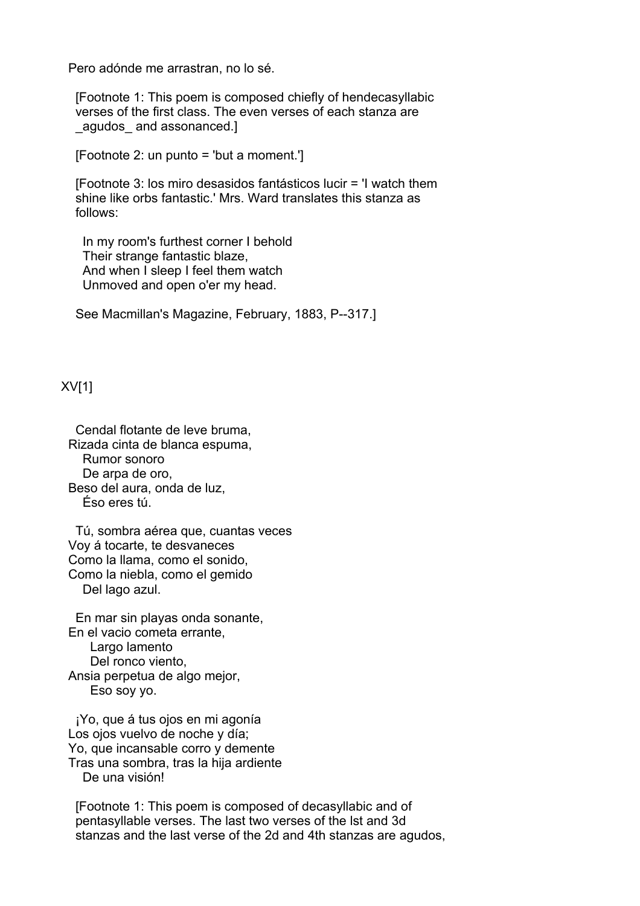Pero adónde me arrastran, no lo sé.

 [Footnote 1: This poem is composed chiefly of hendecasyllabic verses of the first class. The even verses of each stanza are agudos and assonanced.]

[Footnote 2: un punto = 'but a moment.']

 [Footnote 3: los miro desasidos fantásticos lucir = 'I watch them shine like orbs fantastic.' Mrs. Ward translates this stanza as follows:

 In my room's furthest corner I behold Their strange fantastic blaze, And when I sleep I feel them watch Unmoved and open o'er my head.

See Macmillan's Magazine, February, 1883, P--317.]

XV[1]

 Cendal flotante de leve bruma, Rizada cinta de blanca espuma, Rumor sonoro De arpa de oro, Beso del aura, onda de luz, Éso eres tú.

 Tú, sombra aérea que, cuantas veces Voy á tocarte, te desvaneces Como la llama, como el sonido, Como la niebla, como el gemido Del lago azul.

 En mar sin playas onda sonante, En el vacio cometa errante, Largo lamento Del ronco viento, Ansia perpetua de algo mejor, Eso soy yo.

 ¡Yo, que á tus ojos en mi agonía Los ojos vuelvo de noche y día; Yo, que incansable corro y demente Tras una sombra, tras la hija ardiente De una visión!

 [Footnote 1: This poem is composed of decasyllabic and of pentasyllable verses. The last two verses of the lst and 3d stanzas and the last verse of the 2d and 4th stanzas are agudos,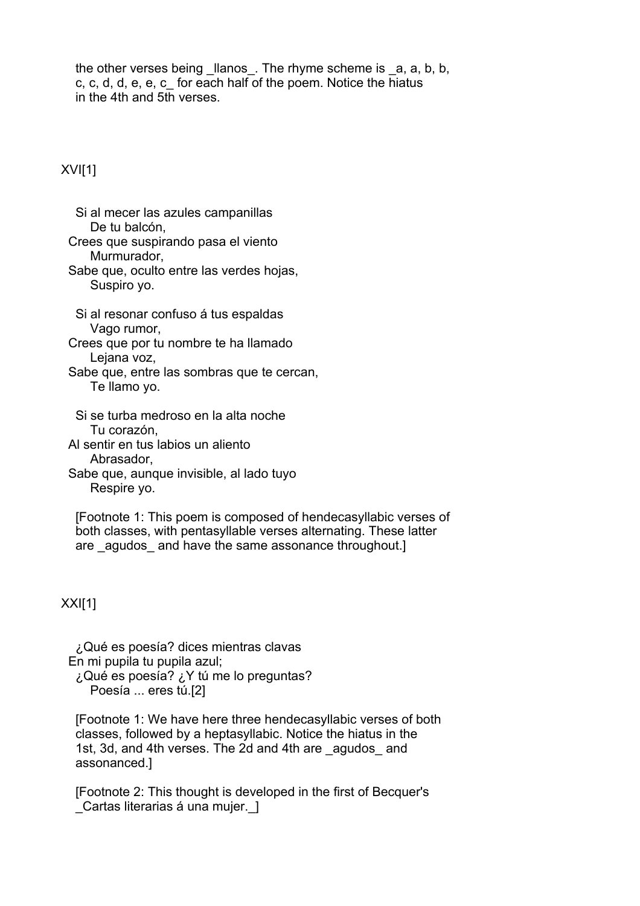the other verses being llanos. The rhyme scheme is a, a, b, b, c, c, d, d, e, e, c\_ for each half of the poem. Notice the hiatus in the 4th and 5th verses.

XVI[1]

 Si al mecer las azules campanillas De tu balcón,

 Crees que suspirando pasa el viento Murmurador,

 Sabe que, oculto entre las verdes hojas, Suspiro yo.

 Si al resonar confuso á tus espaldas Vago rumor,

 Crees que por tu nombre te ha llamado Lejana voz,

 Sabe que, entre las sombras que te cercan, Te llamo yo.

 Si se turba medroso en la alta noche Tu corazón,

Al sentir en tus labios un aliento

Abrasador,

 Sabe que, aunque invisible, al lado tuyo Respire yo.

 [Footnote 1: This poem is composed of hendecasyllabic verses of both classes, with pentasyllable verses alternating. These latter are agudos and have the same assonance throughout.]

XXI[1]

 ¿Qué es poesía? dices mientras clavas En mi pupila tu pupila azul; ¿Qué es poesía? ¿Y tú me lo preguntas?

Poesía ... eres tú.[2]

 [Footnote 1: We have here three hendecasyllabic verses of both classes, followed by a heptasyllabic. Notice the hiatus in the 1st, 3d, and 4th verses. The 2d and 4th are agudos and assonanced.]

 [Footnote 2: This thought is developed in the first of Becquer's Cartas literarias á una mujer. 1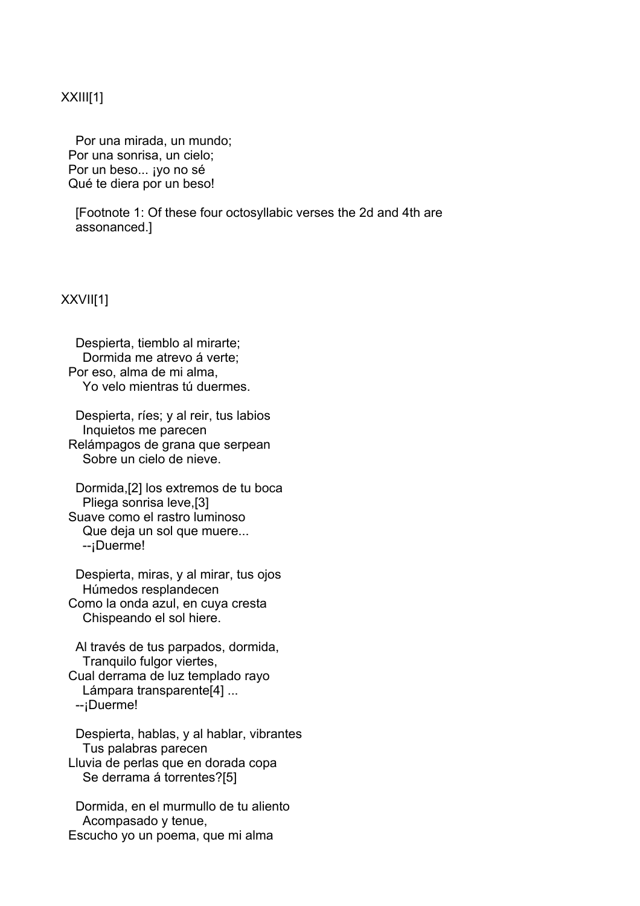### XXIII[1]

 Por una mirada, un mundo; Por una sonrisa, un cielo; Por un beso... ¡yo no sé Qué te diera por un beso!

 [Footnote 1: Of these four octosyllabic verses the 2d and 4th are assonanced.]

XXVII[1]

 Despierta, tiemblo al mirarte; Dormida me atrevo á verte; Por eso, alma de mi alma, Yo velo mientras tú duermes.

 Despierta, ríes; y al reir, tus labios Inquietos me parecen Relámpagos de grana que serpean Sobre un cielo de nieve.

 Dormida,[2] los extremos de tu boca Pliega sonrisa leve,[3] Suave como el rastro luminoso Que deja un sol que muere... --¡Duerme!

 Despierta, miras, y al mirar, tus ojos Húmedos resplandecen Como la onda azul, en cuya cresta Chispeando el sol hiere.

 Al través de tus parpados, dormida, Tranquilo fulgor viertes, Cual derrama de luz templado rayo Lámpara transparente[4] ... --¡Duerme!

 Despierta, hablas, y al hablar, vibrantes Tus palabras parecen Lluvia de perlas que en dorada copa Se derrama á torrentes?[5]

 Dormida, en el murmullo de tu aliento Acompasado y tenue, Escucho yo un poema, que mi alma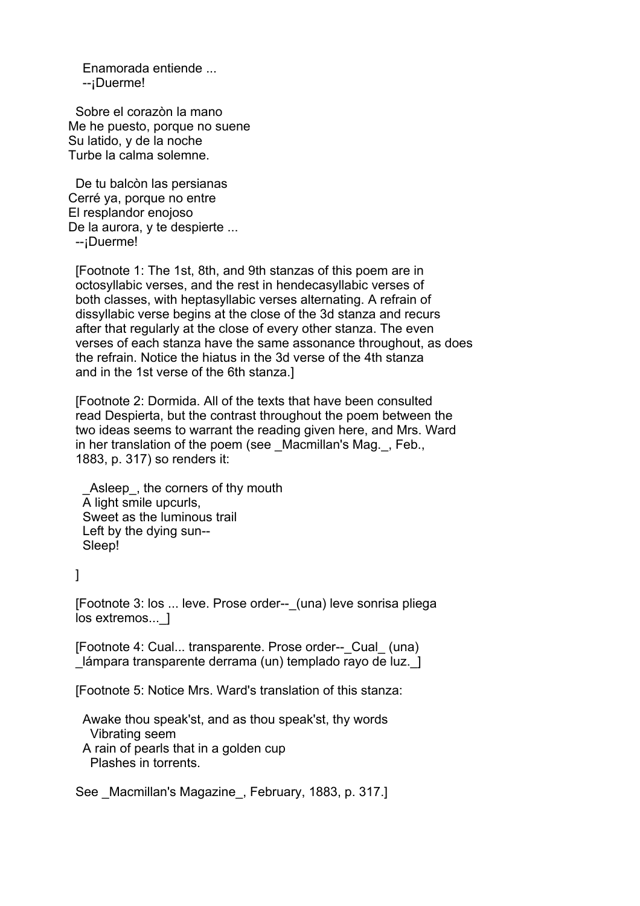Enamorada entiende ... --¡Duerme!

 Sobre el corazòn la mano Me he puesto, porque no suene Su latido, y de la noche Turbe la calma solemne.

 De tu balcòn las persianas Cerré ya, porque no entre El resplandor enojoso De la aurora, y te despierte ... --¡Duerme!

 [Footnote 1: The 1st, 8th, and 9th stanzas of this poem are in octosyllabic verses, and the rest in hendecasyllabic verses of both classes, with heptasyllabic verses alternating. A refrain of dissyllabic verse begins at the close of the 3d stanza and recurs after that regularly at the close of every other stanza. The even verses of each stanza have the same assonance throughout, as does the refrain. Notice the hiatus in the 3d verse of the 4th stanza and in the 1st verse of the 6th stanza.]

 [Footnote 2: Dormida. All of the texts that have been consulted read Despierta, but the contrast throughout the poem between the two ideas seems to warrant the reading given here, and Mrs. Ward in her translation of the poem (see Macmillan's Mag., Feb., 1883, p. 317) so renders it:

Asleep, the corners of thy mouth A light smile upcurls, Sweet as the luminous trail Left by the dying sun-- Sleep!

]

 [Footnote 3: los ... leve. Prose order--\_(una) leve sonrisa pliega los extremos... 1

[Footnote 4: Cual... transparente. Prose order-- Cual (una) lámpara transparente derrama (un) templado rayo de luz. 1

[Footnote 5: Notice Mrs. Ward's translation of this stanza:

 Awake thou speak'st, and as thou speak'st, thy words Vibrating seem A rain of pearls that in a golden cup Plashes in torrents.

See Macmillan's Magazine, February, 1883, p. 317.]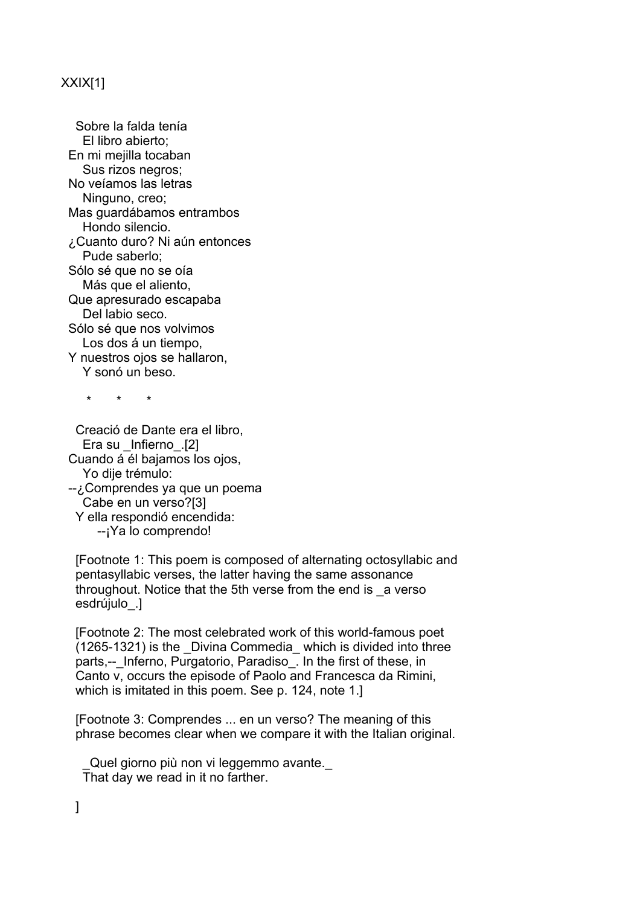# XXIX[1]

 Sobre la falda tenía El libro abierto; En mi mejilla tocaban Sus rizos negros; No veíamos las letras Ninguno, creo; Mas guardábamos entrambos Hondo silencio. ¿Cuanto duro? Ni aún entonces Pude saberlo; Sólo sé que no se oía Más que el aliento, Que apresurado escapaba Del labio seco. Sólo sé que nos volvimos Los dos á un tiempo, Y nuestros ojos se hallaron, Y sonó un beso.

\* \* \*

 Creació de Dante era el libro, Era su \_Infierno\_.[2] Cuando á él bajamos los ojos, Yo dije trémulo: --¿Comprendes ya que un poema Cabe en un verso?[3] Y ella respondió encendida: --¡Ya lo comprendo!

 [Footnote 1: This poem is composed of alternating octosyllabic and pentasyllabic verses, the latter having the same assonance throughout. Notice that the 5th verse from the end is \_a verso esdrújulo .]

 [Footnote 2: The most celebrated work of this world-famous poet (1265-1321) is the \_Divina Commedia\_ which is divided into three parts,-- Inferno, Purgatorio, Paradiso. In the first of these, in Canto v, occurs the episode of Paolo and Francesca da Rimini, which is imitated in this poem. See p. 124, note 1.1

 [Footnote 3: Comprendes ... en un verso? The meaning of this phrase becomes clear when we compare it with the Italian original.

Quel giorno più non vi leggemmo avante. That day we read in it no farther.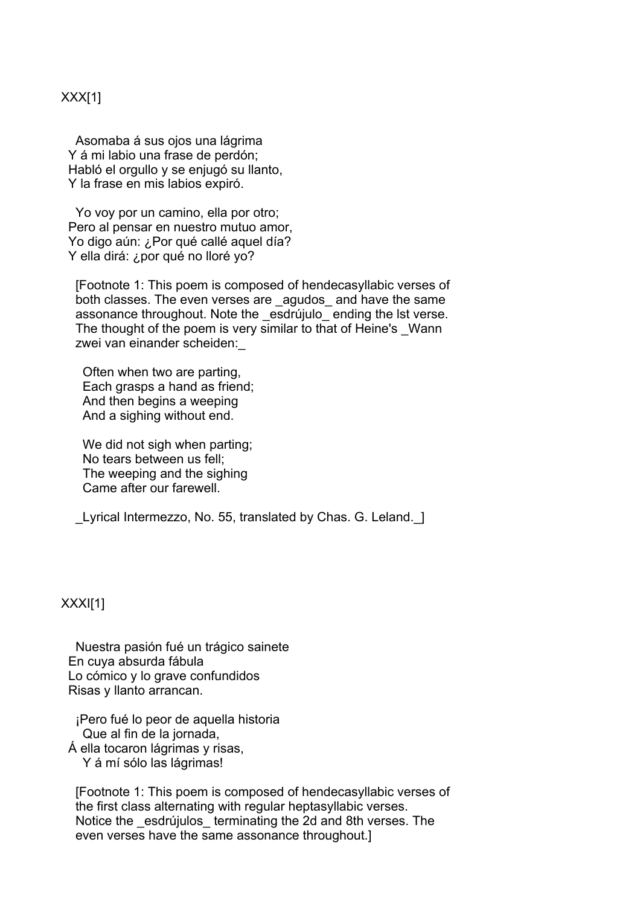## XXX[1]

 Asomaba á sus ojos una lágrima Y á mi labio una frase de perdón; Habló el orgullo y se enjugó su llanto, Y la frase en mis labios expiró.

 Yo voy por un camino, ella por otro; Pero al pensar en nuestro mutuo amor, Yo digo aún: ¿Por qué callé aquel día? Y ella dirá: ¿por qué no lloré yo?

 [Footnote 1: This poem is composed of hendecasyllabic verses of both classes. The even verses are agudos and have the same assonance throughout. Note the esdrújulo ending the lst verse. The thought of the poem is very similar to that of Heine's Wann zwei van einander scheiden:\_

 Often when two are parting, Each grasps a hand as friend; And then begins a weeping And a sighing without end.

We did not sigh when parting; No tears between us fell; The weeping and the sighing Came after our farewell.

Lyrical Intermezzo, No. 55, translated by Chas. G. Leland. 1

XXXI[1]

 Nuestra pasión fué un trágico sainete En cuya absurda fábula Lo cómico y lo grave confundidos Risas y llanto arrancan.

 ¡Pero fué lo peor de aquella historia Que al fin de la jornada, Á ella tocaron lágrimas y risas, Y á mí sólo las lágrimas!

 [Footnote 1: This poem is composed of hendecasyllabic verses of the first class alternating with regular heptasyllabic verses. Notice the esdrújulos terminating the 2d and 8th verses. The even verses have the same assonance throughout.]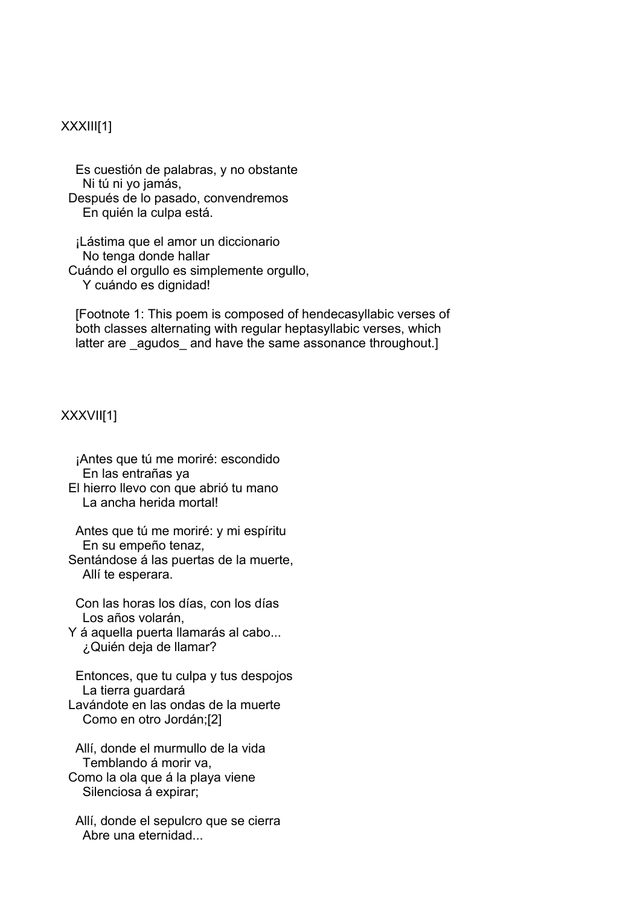### XXXIII[1]

 Es cuestión de palabras, y no obstante Ni tú ni yo jamás, Después de lo pasado, convendremos En quién la culpa está.

 ¡Lástima que el amor un diccionario No tenga donde hallar Cuándo el orgullo es simplemente orgullo, Y cuándo es dignidad!

 [Footnote 1: This poem is composed of hendecasyllabic verses of both classes alternating with regular heptasyllabic verses, which latter are agudos and have the same assonance throughout.]

### XXXVII[1]

 ¡Antes que tú me moriré: escondido En las entrañas ya El hierro llevo con que abrió tu mano La ancha herida mortal!

 Antes que tú me moriré: y mi espíritu En su empeño tenaz,

 Sentándose á las puertas de la muerte, Allí te esperara.

 Con las horas los días, con los días Los años volarán,

 Y á aquella puerta llamarás al cabo... ¿Quién deja de llamar?

 Entonces, que tu culpa y tus despojos La tierra guardará Lavándote en las ondas de la muerte Como en otro Jordán;[2]

 Allí, donde el murmullo de la vida Temblando á morir va, Como la ola que á la playa viene Silenciosa á expirar;

 Allí, donde el sepulcro que se cierra Abre una eternidad...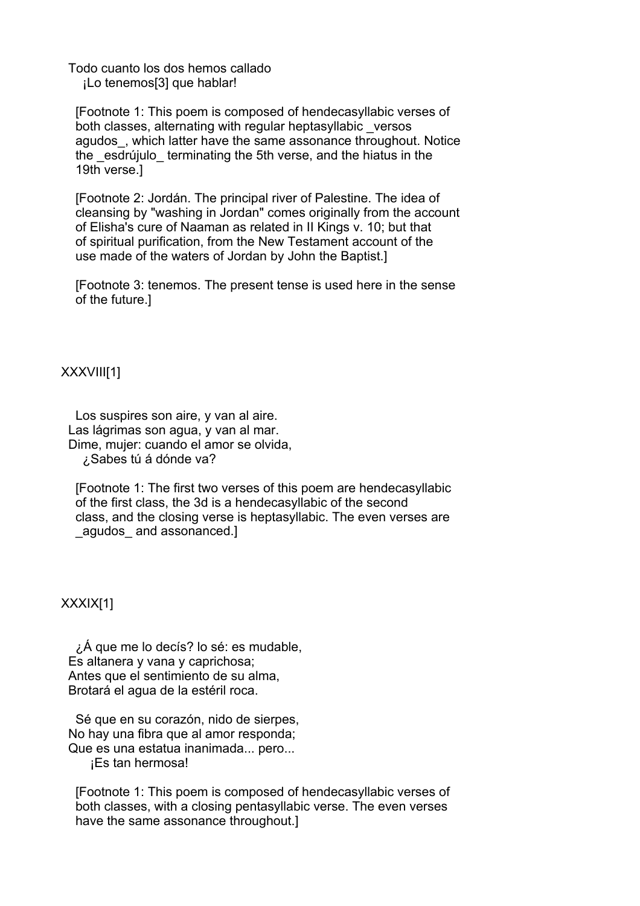Todo cuanto los dos hemos callado ¡Lo tenemos[3] que hablar!

 [Footnote 1: This poem is composed of hendecasyllabic verses of both classes, alternating with regular heptasyllabic \_versos agudos, which latter have the same assonance throughout. Notice the esdrújulo terminating the 5th verse, and the hiatus in the 19th verse.]

 [Footnote 2: Jordán. The principal river of Palestine. The idea of cleansing by "washing in Jordan" comes originally from the account of Elisha's cure of Naaman as related in II Kings v. 10; but that of spiritual purification, from the New Testament account of the use made of the waters of Jordan by John the Baptist.]

 [Footnote 3: tenemos. The present tense is used here in the sense of the future.]

XXXVIII[1]

 Los suspires son aire, y van al aire. Las lágrimas son agua, y van al mar. Dime, mujer: cuando el amor se olvida, ¿Sabes tú á dónde va?

 [Footnote 1: The first two verses of this poem are hendecasyllabic of the first class, the 3d is a hendecasyllabic of the second class, and the closing verse is heptasyllabic. The even verses are agudos and assonanced.]

XXXIX[1]

 ¿Á que me lo decís? lo sé: es mudable, Es altanera y vana y caprichosa; Antes que el sentimiento de su alma, Brotará el agua de la estéril roca.

 Sé que en su corazón, nido de sierpes, No hay una fibra que al amor responda; Que es una estatua inanimada... pero...

¡Es tan hermosa!

 [Footnote 1: This poem is composed of hendecasyllabic verses of both classes, with a closing pentasyllabic verse. The even verses have the same assonance throughout.]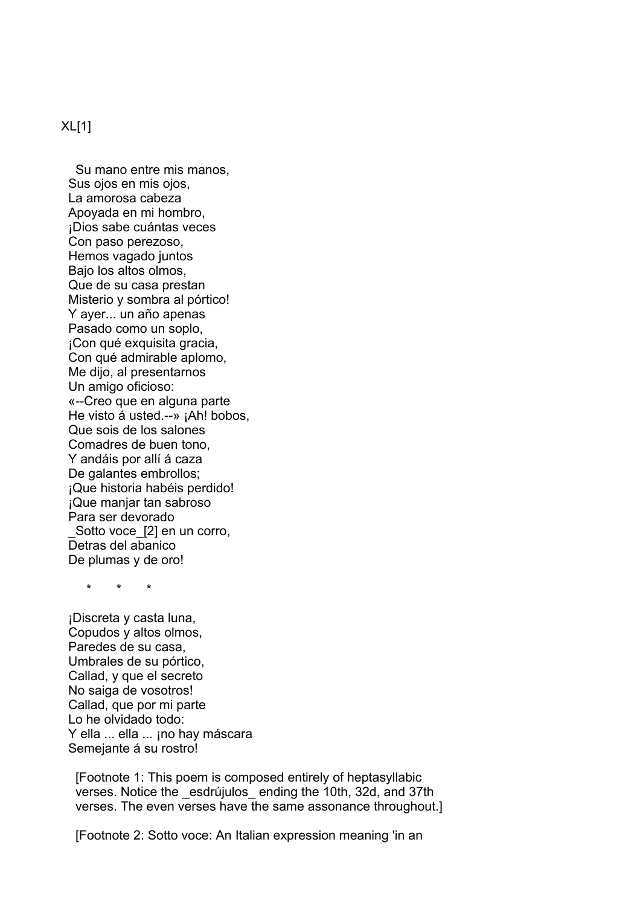### XL[1]

 Su mano entre mis manos, Sus ojos en mis ojos, La amorosa cabeza Apoyada en mi hombro, ¡Dios sabe cuántas veces Con paso perezoso, Hemos vagado juntos Bajo los altos olmos, Que de su casa prestan Misterio y sombra al pórtico! Y ayer... un año apenas Pasado como un soplo, ¡Con qué exquisita gracia, Con qué admirable aplomo, Me dijo, al presentarnos Un amigo oficioso: «--Creo que en alguna parte He visto á usted.--» ¡Ah! bobos, Que sois de los salones Comadres de buen tono, Y andáis por allí á caza De galantes embrollos; ¡Que historia habéis perdido! ¡Que manjar tan sabroso Para ser devorado Sotto voce [2] en un corro, Detras del abanico De plumas y de oro!

\* \* \*

 ¡Discreta y casta luna, Copudos y altos olmos, Paredes de su casa, Umbrales de su pórtico, Callad, y que el secreto No saiga de vosotros! Callad, que por mi parte Lo he olvidado todo: Y ella ... ella ... ¡no hay máscara Semejante á su rostro!

 [Footnote 1: This poem is composed entirely of heptasyllabic verses. Notice the \_esdrújulos\_ ending the 10th, 32d, and 37th verses. The even verses have the same assonance throughout.]

[Footnote 2: Sotto voce: An Italian expression meaning 'in an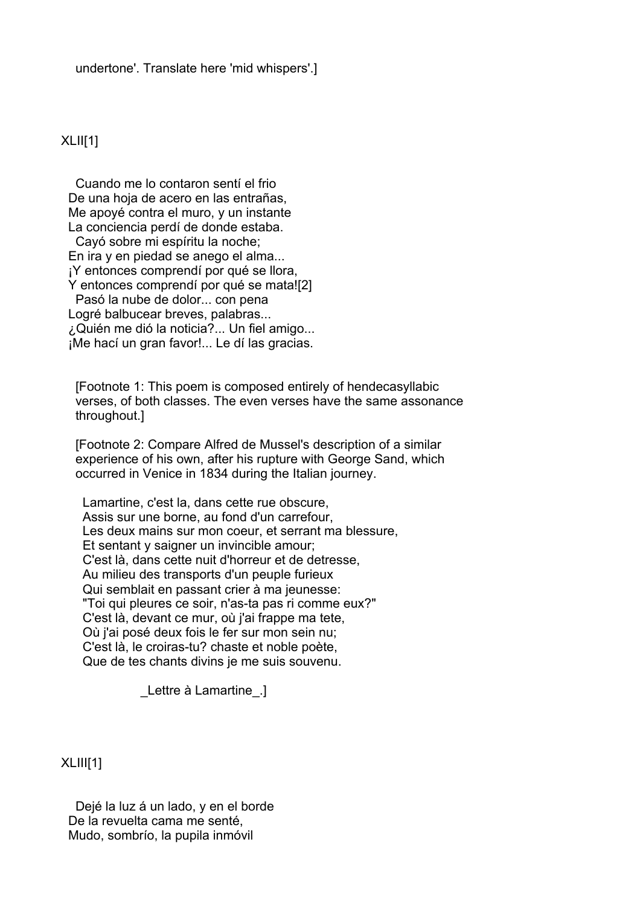## $XLIII[1]$

 Cuando me lo contaron sentí el frio De una hoja de acero en las entrañas, Me apoyé contra el muro, y un instante La conciencia perdí de donde estaba. Cayó sobre mi espíritu la noche; En ira y en piedad se anego el alma... ¡Y entonces comprendí por qué se llora, Y entonces comprendí por qué se mata![2] Pasó la nube de dolor... con pena Logré balbucear breves, palabras... ¿Quién me dió la noticia?... Un fiel amigo... ¡Me hací un gran favor!... Le dí las gracias.

 [Footnote 1: This poem is composed entirely of hendecasyllabic verses, of both classes. The even verses have the same assonance throughout.]

 [Footnote 2: Compare Alfred de Mussel's description of a similar experience of his own, after his rupture with George Sand, which occurred in Venice in 1834 during the Italian journey.

 Lamartine, c'est la, dans cette rue obscure, Assis sur une borne, au fond d'un carrefour, Les deux mains sur mon coeur, et serrant ma blessure, Et sentant y saigner un invincible amour; C'est là, dans cette nuit d'horreur et de detresse, Au milieu des transports d'un peuple furieux Qui semblait en passant crier à ma jeunesse: "Toi qui pleures ce soir, n'as-ta pas ri comme eux?" C'est là, devant ce mur, où j'ai frappe ma tete, Où j'ai posé deux fois le fer sur mon sein nu; C'est là, le croiras-tu? chaste et noble poète, Que de tes chants divins je me suis souvenu.

\_Lettre à Lamartine\_.]

XLIII[1]

 Dejé la luz á un lado, y en el borde De la revuelta cama me senté, Mudo, sombrío, la pupila inmóvil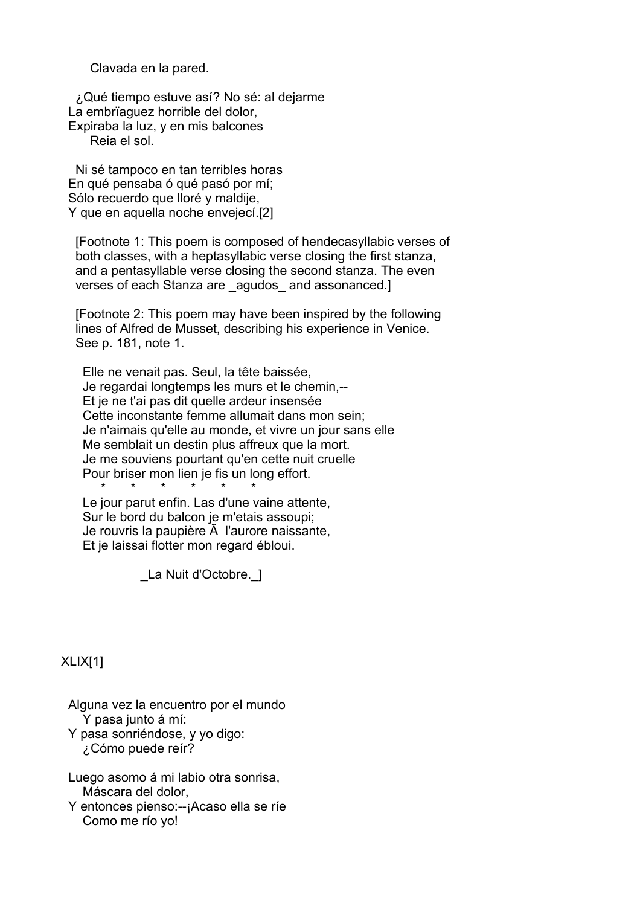Clavada en la pared.

 ¿Qué tiempo estuve así? No sé: al dejarme La embrïaguez horrible del dolor, Expiraba la luz, y en mis balcones

Reia el sol.

 Ni sé tampoco en tan terribles horas En qué pensaba ó qué pasó por mí; Sólo recuerdo que lloré y maldije. Y que en aquella noche envejecí.[2]

 [Footnote 1: This poem is composed of hendecasyllabic verses of both classes, with a heptasyllabic verse closing the first stanza, and a pentasyllable verse closing the second stanza. The even verses of each Stanza are agudos and assonanced.]

 [Footnote 2: This poem may have been inspired by the following lines of Alfred de Musset, describing his experience in Venice. See p. 181, note 1.

 Elle ne venait pas. Seul, la tête baissée, Je regardai longtemps les murs et le chemin,-- Et je ne t'ai pas dit quelle ardeur insensée Cette inconstante femme allumait dans mon sein; Je n'aimais qu'elle au monde, et vivre un jour sans elle Me semblait un destin plus affreux que la mort. Je me souviens pourtant qu'en cette nuit cruelle Pour briser mon lien je fis un long effort. \* \* \* \* \* \*

 Le jour parut enfin. Las d'une vaine attente, Sur le bord du balcon je m'etais assoupi; Je rouvris la paupière  $\tilde{A}$  l'aurore naissante, Et je laissai flotter mon regard ébloui.

La Nuit d'Octobre. ]

XLIX[1]

 Alguna vez la encuentro por el mundo Y pasa junto á mí:

 Y pasa sonriéndose, y yo digo: ¿Cómo puede reír?

 Luego asomo á mi labio otra sonrisa, Máscara del dolor,

 Y entonces pienso:--¡Acaso ella se ríe Como me río yo!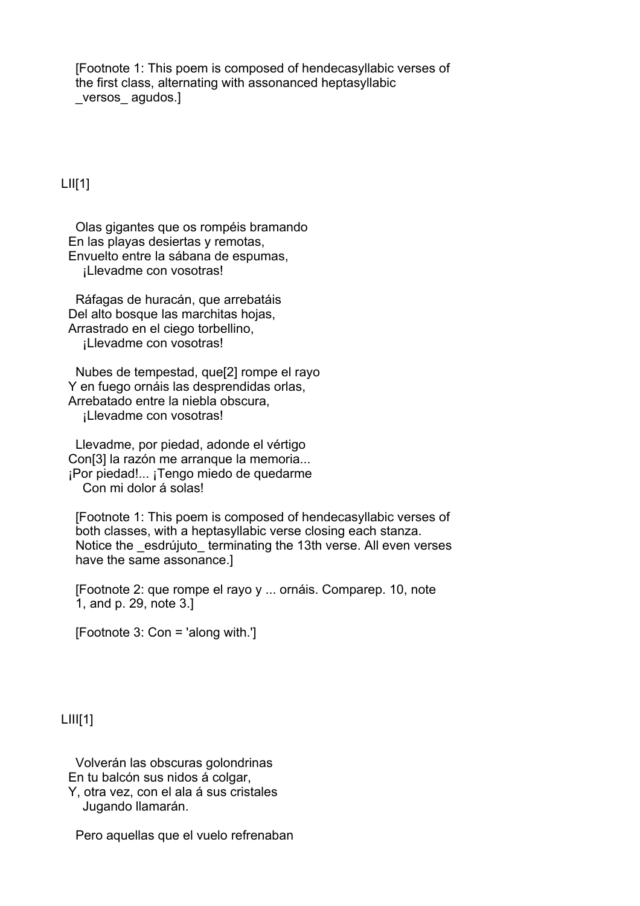[Footnote 1: This poem is composed of hendecasyllabic verses of the first class, alternating with assonanced heptasyllabic versos agudos.]

# $LIII[1]$

 Olas gigantes que os rompéis bramando En las playas desiertas y remotas, Envuelto entre la sábana de espumas, ¡Llevadme con vosotras!

 Ráfagas de huracán, que arrebatáis Del alto bosque las marchitas hojas, Arrastrado en el ciego torbellino, ¡Llevadme con vosotras!

 Nubes de tempestad, que[2] rompe el rayo Y en fuego ornáis las desprendidas orlas, Arrebatado entre la niebla obscura, ¡Llevadme con vosotras!

 Llevadme, por piedad, adonde el vértigo Con[3] la razón me arranque la memoria... ¡Por piedad!... ¡Tengo miedo de quedarme Con mi dolor á solas!

 [Footnote 1: This poem is composed of hendecasyllabic verses of both classes, with a heptasyllabic verse closing each stanza. Notice the esdrújuto terminating the 13th verse. All even verses have the same assonance.]

 [Footnote 2: que rompe el rayo y ... ornáis. Comparep. 10, note 1, and p. 29, note 3.]

[Footnote 3: Con = 'along with.']

### $LIII[1]$

 Volverán las obscuras golondrinas En tu balcón sus nidos á colgar, Y, otra vez, con el ala á sus cristales

Jugando llamarán.

Pero aquellas que el vuelo refrenaban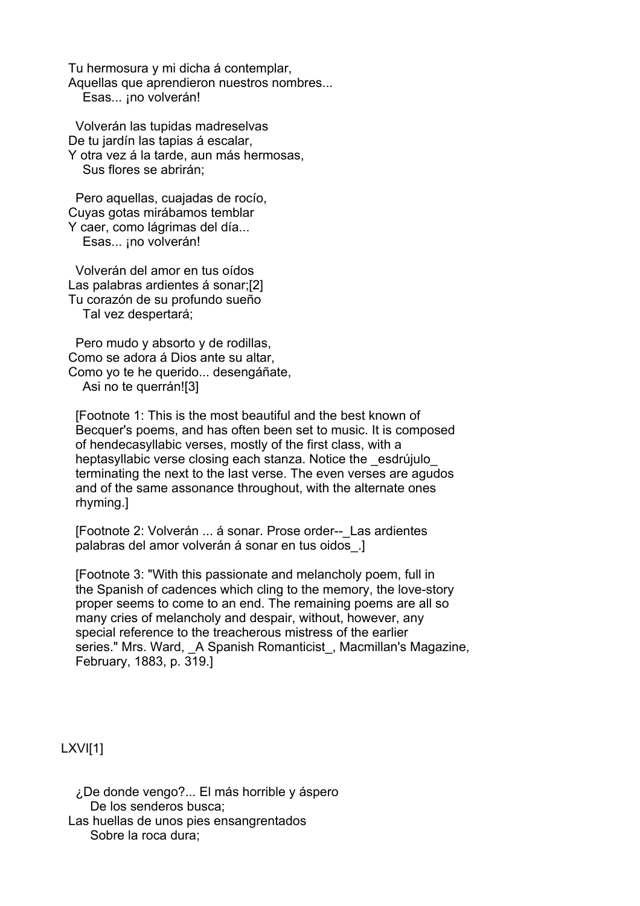Tu hermosura y mi dicha á contemplar, Aquellas que aprendieron nuestros nombres... Esas... ¡no volverán!

 Volverán las tupidas madreselvas De tu jardín las tapias á escalar, Y otra vez á la tarde, aun más hermosas, Sus flores se abrirán;

 Pero aquellas, cuajadas de rocío, Cuyas gotas mirábamos temblar Y caer, como lágrimas del día... Esas... ¡no volverán!

 Volverán del amor en tus oídos Las palabras ardientes á sonar;[2] Tu corazón de su profundo sueño Tal vez despertará;

 Pero mudo y absorto y de rodillas, Como se adora á Dios ante su altar, Como yo te he querido... desengáñate, Asi no te querrán![3]

 [Footnote 1: This is the most beautiful and the best known of Becquer's poems, and has often been set to music. It is composed of hendecasyllabic verses, mostly of the first class, with a heptasyllabic verse closing each stanza. Notice the esdrújulo terminating the next to the last verse. The even verses are agudos and of the same assonance throughout, with the alternate ones rhyming.]

[Footnote 2: Volverán ... á sonar. Prose order-- Las ardientes palabras del amor volverán á sonar en tus oidos\_.]

 [Footnote 3: "With this passionate and melancholy poem, full in the Spanish of cadences which cling to the memory, the love-story proper seems to come to an end. The remaining poems are all so many cries of melancholy and despair, without, however, any special reference to the treacherous mistress of the earlier series." Mrs. Ward, A Spanish Romanticist, Macmillan's Magazine, February, 1883, p. 319.]

LXVI[1]

 ¿De donde vengo?... El más horrible y áspero De los senderos busca; Las huellas de unos pies ensangrentados Sobre la roca dura;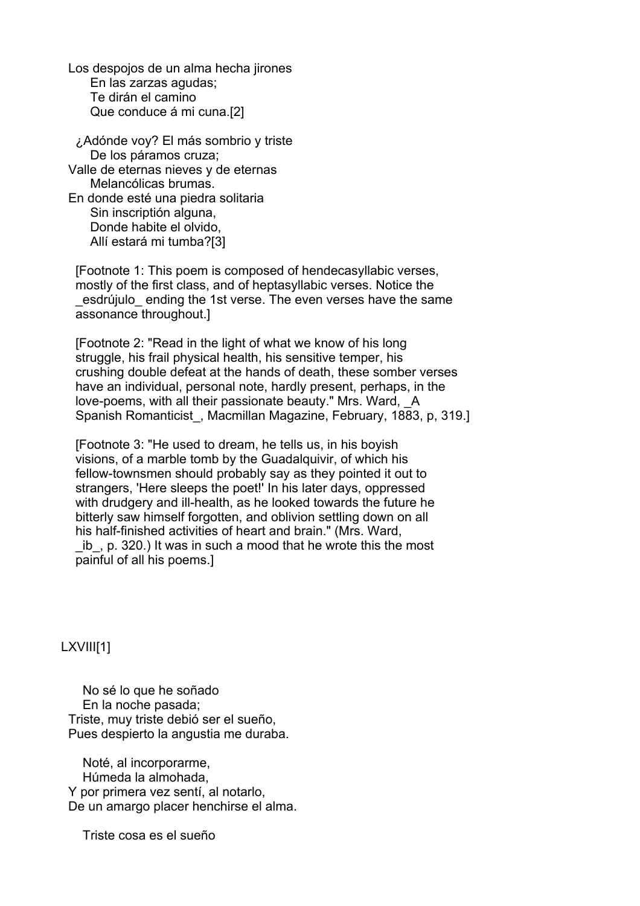Los despojos de un alma hecha jirones En las zarzas agudas; Te dirán el camino Que conduce á mi cuna.[2]

 ¿Adónde voy? El más sombrio y triste De los páramos cruza; Valle de eternas nieves y de eternas Melancólicas brumas. En donde esté una piedra solitaria Sin inscriptión alguna, Donde habite el olvido, Allí estará mi tumba?[3]

 [Footnote 1: This poem is composed of hendecasyllabic verses, mostly of the first class, and of heptasyllabic verses. Notice the esdrújulo ending the 1st verse. The even verses have the same assonance throughout.]

 [Footnote 2: "Read in the light of what we know of his long struggle, his frail physical health, his sensitive temper, his crushing double defeat at the hands of death, these somber verses have an individual, personal note, hardly present, perhaps, in the love-poems, with all their passionate beauty." Mrs. Ward, \_A Spanish Romanticist\_, Macmillan Magazine, February, 1883, p, 319.]

 [Footnote 3: "He used to dream, he tells us, in his boyish visions, of a marble tomb by the Guadalquivir, of which his fellow-townsmen should probably say as they pointed it out to strangers, 'Here sleeps the poet!' In his later days, oppressed with drudgery and ill-health, as he looked towards the future he bitterly saw himself forgotten, and oblivion settling down on all his half-finished activities of heart and brain." (Mrs. Ward, ib, p. 320.) It was in such a mood that he wrote this the most painful of all his poems.]

LXVIII[1]

 No sé lo que he soñado En la noche pasada; Triste, muy triste debió ser el sueño, Pues despierto la angustia me duraba.

 Noté, al incorporarme, Húmeda la almohada, Y por primera vez sentí, al notarlo, De un amargo placer henchirse el alma.

Triste cosa es el sueño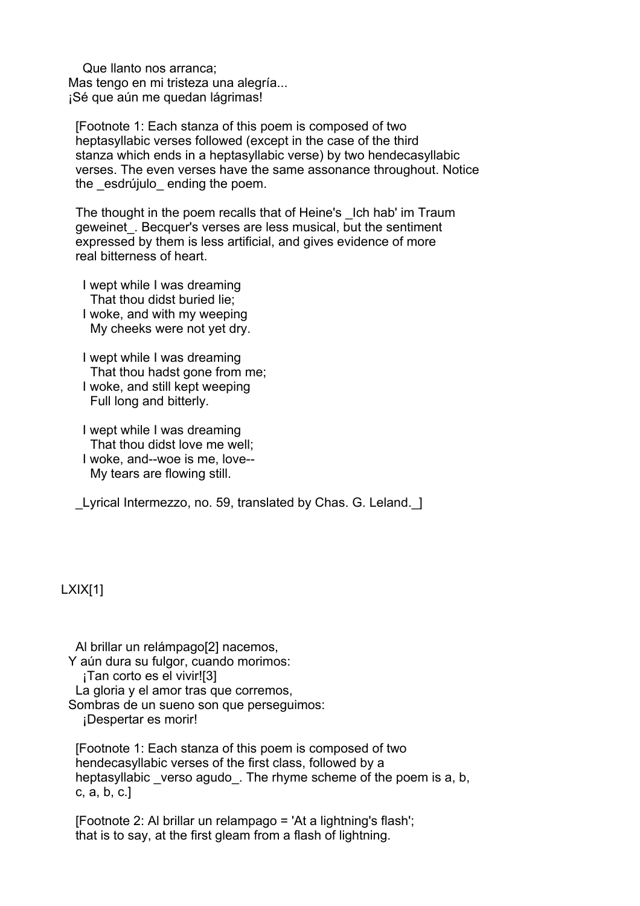Que llanto nos arranca; Mas tengo en mi tristeza una alegría... ¡Sé que aún me quedan lágrimas!

 [Footnote 1: Each stanza of this poem is composed of two heptasyllabic verses followed (except in the case of the third stanza which ends in a heptasyllabic verse) by two hendecasyllabic verses. The even verses have the same assonance throughout. Notice the esdrújulo ending the poem.

The thought in the poem recalls that of Heine's Lch hab' im Traum geweinet. Becquer's verses are less musical, but the sentiment expressed by them is less artificial, and gives evidence of more real bitterness of heart.

 I wept while I was dreaming That thou didst buried lie; I woke, and with my weeping My cheeks were not yet dry.

 I wept while I was dreaming That thou hadst gone from me; I woke, and still kept weeping Full long and bitterly.

 I wept while I was dreaming That thou didst love me well; I woke, and--woe is me, love-- My tears are flowing still.

Lyrical Intermezzo, no. 59, translated by Chas. G. Leland. 1

# LXIX[1]

 Al brillar un relámpago[2] nacemos, Y aún dura su fulgor, cuando morimos: ¡Tan corto es el vivir![3] La gloria y el amor tras que corremos. Sombras de un sueno son que perseguimos: ¡Despertar es morir!

 [Footnote 1: Each stanza of this poem is composed of two hendecasyllabic verses of the first class, followed by a heptasyllabic verso agudo. The rhyme scheme of the poem is a, b, c, a, b, c.]

 [Footnote 2: Al brillar un relampago = 'At a lightning's flash'; that is to say, at the first gleam from a flash of lightning.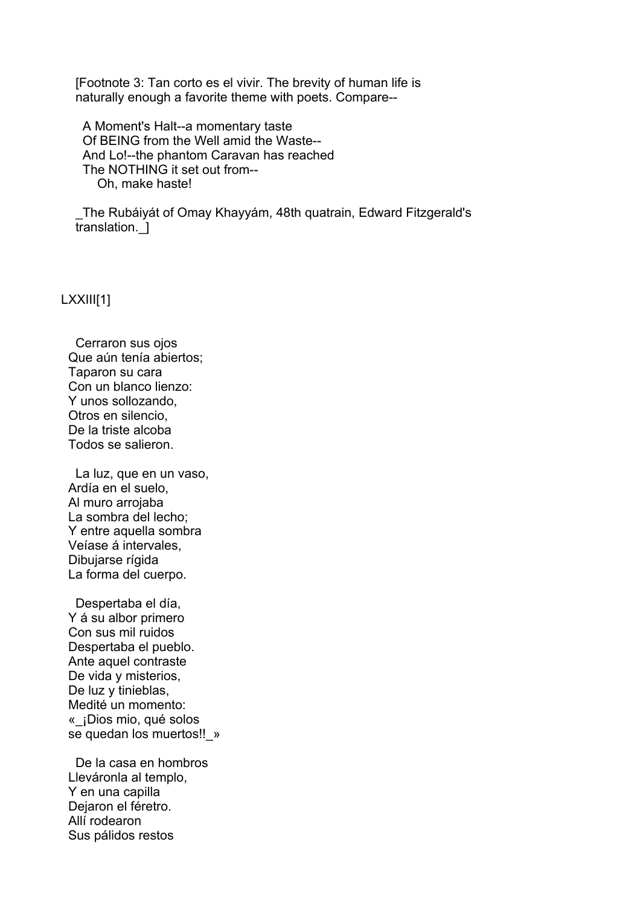[Footnote 3: Tan corto es el vivir. The brevity of human life is naturally enough a favorite theme with poets. Compare--

 A Moment's Halt--a momentary taste Of BEING from the Well amid the Waste-- And Lo!--the phantom Caravan has reached The NOTHING it set out from-- Oh, make haste!

 \_The Rubáiyát of Omay Khayyám, 48th quatrain, Edward Fitzgerald's translation.\_]

#### LXXIII[1]

 Cerraron sus ojos Que aún tenía abiertos; Taparon su cara Con un blanco lienzo: Y unos sollozando, Otros en silencio, De la triste alcoba Todos se salieron.

 La luz, que en un vaso, Ardía en el suelo, Al muro arrojaba La sombra del lecho; Y entre aquella sombra Veíase á intervales, Dibujarse rígida La forma del cuerpo.

 Despertaba el día, Y á su albor primero Con sus mil ruidos Despertaba el pueblo. Ante aquel contraste De vida y misterios, De luz v tinieblas, Medité un momento: «\_¡Dios mio, qué solos se quedan los muertos!! »

 De la casa en hombros Lleváronla al templo, Y en una capilla Dejaron el féretro. Allí rodearon Sus pálidos restos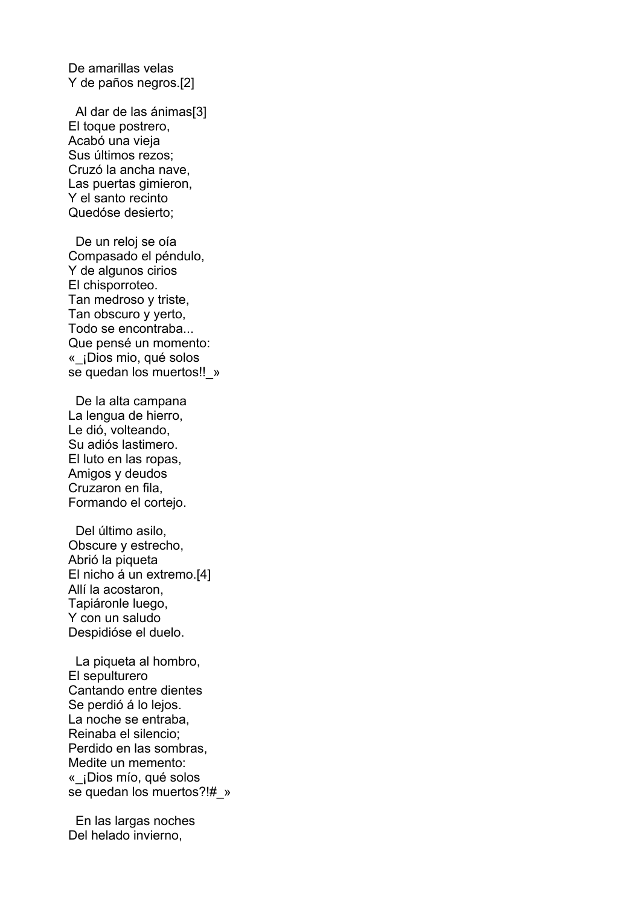De amarillas velas Y de paños negros.[2]

 Al dar de las ánimas[3] El toque postrero, Acabó una vieja Sus últimos rezos; Cruzó la ancha nave, Las puertas gimieron, Y el santo recinto Quedóse desierto;

 De un reloj se oía Compasado el péndulo, Y de algunos cirios El chisporroteo. Tan medroso y triste, Tan obscuro y yerto, Todo se encontraba... Que pensé un momento: «\_¡Dios mio, qué solos se quedan los muertos!! »

 De la alta campana La lengua de hierro, Le dió, volteando, Su adiós lastimero. El luto en las ropas, Amigos y deudos Cruzaron en fila, Formando el cortejo.

 Del último asilo, Obscure y estrecho, Abrió la piqueta El nicho á un extremo.[4] Allí la acostaron, Tapiáronle luego, Y con un saludo Despidióse el duelo.

 La piqueta al hombro, El sepulturero Cantando entre dientes Se perdió á lo lejos. La noche se entraba, Reinaba el silencio; Perdido en las sombras, Medite un memento: «\_¡Dios mío, qué solos se quedan los muertos?!#\_»

 En las largas noches Del helado invierno,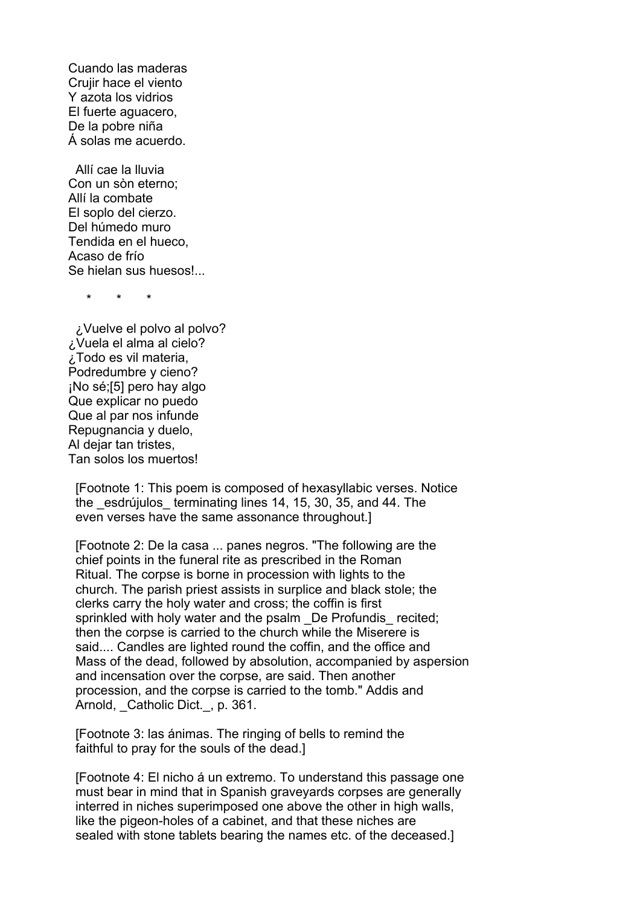Cuando las maderas Crujir hace el viento Y azota los vidrios El fuerte aguacero, De la pobre niña Á solas me acuerdo.

 Allí cae la lluvia Con un sòn eterno; Allí la combate El soplo del cierzo. Del húmedo muro Tendida en el hueco, Acaso de frío Se hielan sus huesos!...

\* \* \*

 ¿Vuelve el polvo al polvo? ¿Vuela el alma al cielo? ¿Todo es vil materia, Podredumbre y cieno? ¡No sé;[5] pero hay algo Que explicar no puedo Que al par nos infunde Repugnancia y duelo, Al dejar tan tristes, Tan solos los muertos!

 [Footnote 1: This poem is composed of hexasyllabic verses. Notice the esdrújulos terminating lines 14, 15, 30, 35, and 44. The even verses have the same assonance throughout.]

 [Footnote 2: De la casa ... panes negros. "The following are the chief points in the funeral rite as prescribed in the Roman Ritual. The corpse is borne in procession with lights to the church. The parish priest assists in surplice and black stole; the clerks carry the holy water and cross; the coffin is first sprinkled with holy water and the psalm De Profundis recited: then the corpse is carried to the church while the Miserere is said.... Candles are lighted round the coffin, and the office and Mass of the dead, followed by absolution, accompanied by aspersion and incensation over the corpse, are said. Then another procession, and the corpse is carried to the tomb." Addis and Arnold, Catholic Dict., p. 361.

 [Footnote 3: las ánimas. The ringing of bells to remind the faithful to pray for the souls of the dead.]

 [Footnote 4: El nicho á un extremo. To understand this passage one must bear in mind that in Spanish graveyards corpses are generally interred in niches superimposed one above the other in high walls, like the pigeon-holes of a cabinet, and that these niches are sealed with stone tablets bearing the names etc. of the deceased.]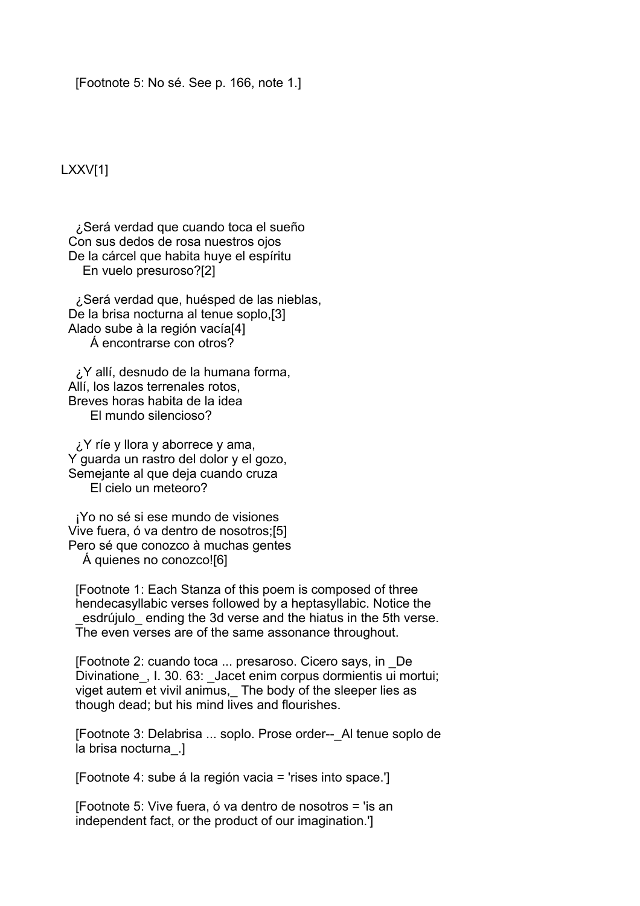[Footnote 5: No sé. See p. 166, note 1.]

## LXXV[1]

 ¿Será verdad que cuando toca el sueño Con sus dedos de rosa nuestros ojos De la cárcel que habita huye el espíritu En vuelo presuroso?[2]

 ¿Será verdad que, huésped de las nieblas, De la brisa nocturna al tenue soplo,[3] Alado sube à la región vacía[4] Á encontrarse con otros?

 ¿Y allí, desnudo de la humana forma, Allí, los lazos terrenales rotos, Breves horas habita de la idea El mundo silencioso?

 ¿Y ríe y llora y aborrece y ama, Y guarda un rastro del dolor y el gozo, Semejante al que deja cuando cruza El cielo un meteoro?

 ¡Yo no sé si ese mundo de visiones Vive fuera, ó va dentro de nosotros;[5] Pero sé que conozco à muchas gentes Á quienes no conozco![6]

 [Footnote 1: Each Stanza of this poem is composed of three hendecasyllabic verses followed by a heptasyllabic. Notice the esdrújulo ending the 3d verse and the hiatus in the 5th verse. The even verses are of the same assonance throughout.

 [Footnote 2: cuando toca ... presaroso. Cicero says, in \_De Divinatione, I. 30. 63: Jacet enim corpus dormientis ui mortui; viget autem et vivil animus. The body of the sleeper lies as though dead; but his mind lives and flourishes.

[Footnote 3: Delabrisa ... soplo. Prose order-- Al tenue soplo de la brisa nocturna\_.]

[Footnote 4: sube á la región vacia = 'rises into space.']

 [Footnote 5: Vive fuera, ó va dentro de nosotros = 'is an independent fact, or the product of our imagination.']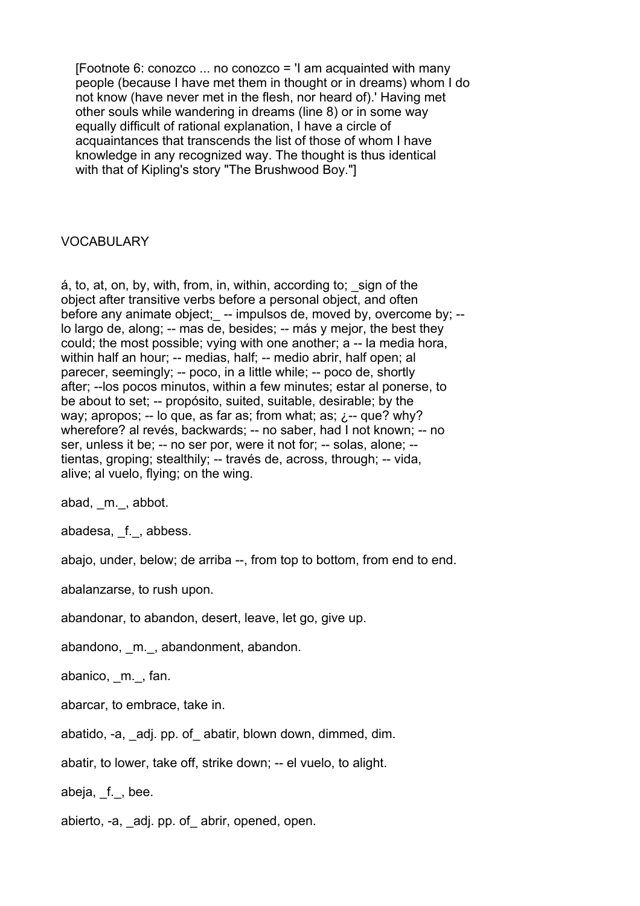$[footnote 6: conozo ... no conozo = 'I am acquainted with many]$  people (because I have met them in thought or in dreams) whom I do not know (have never met in the flesh, nor heard of).' Having met other souls while wandering in dreams (line 8) or in some way equally difficult of rational explanation, I have a circle of acquaintances that transcends the list of those of whom I have knowledge in any recognized way. The thought is thus identical with that of Kipling's story "The Brushwood Boy."]

## VOCABULARY

 $\dot{a}$ , to, at, on, by, with, from, in, within, according to;  $\dot{a}$  sign of the object after transitive verbs before a personal object, and often before any animate object; -- impulsos de, moved by, overcome by; -lo largo de, along; -- mas de, besides; -- más y mejor, the best they could; the most possible; vying with one another; a -- la media hora, within half an hour; -- medias, half; -- medio abrir, half open; al parecer, seemingly; -- poco, in a little while; -- poco de, shortly after; --los pocos minutos, within a few minutes; estar al ponerse, to be about to set; -- propósito, suited, suitable, desirable; by the way; apropos; -- lo que, as far as; from what; as;  $\chi$ -- que? why? wherefore? al revés, backwards; -- no saber, had I not known; -- no ser, unless it be; -- no ser por, were it not for; -- solas, alone; - tientas, groping; stealthily; -- través de, across, through; -- vida, alive; al vuelo, flying; on the wing.

abad, m., abbot.

abadesa, f., abbess.

abajo, under, below; de arriba --, from top to bottom, from end to end.

abalanzarse, to rush upon.

abandonar, to abandon, desert, leave, let go, give up.

abandono, m., abandonment, abandon.

abanico, \_m.\_, fan.

abarcar, to embrace, take in.

abatido, -a, \_adj. pp. of\_ abatir, blown down, dimmed, dim.

abatir, to lower, take off, strike down; -- el vuelo, to alight.

abeja, \_f.\_, bee.

abierto, -a, adj. pp. of abrir, opened, open.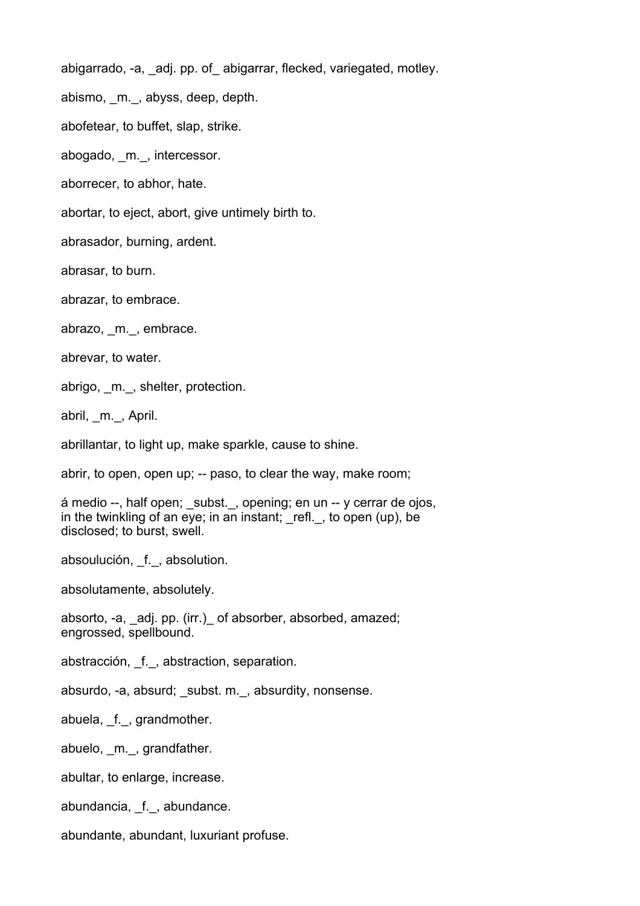abigarrado, -a, adj. pp. of abigarrar, flecked, variegated, motley.

abismo, \_m.\_, abyss, deep, depth.

abofetear, to buffet, slap, strike.

abogado, m., intercessor.

aborrecer, to abhor, hate.

abortar, to eject, abort, give untimely birth to.

abrasador, burning, ardent.

abrasar, to burn.

abrazar, to embrace.

abrazo, \_m.\_, embrace.

abrevar, to water.

abrigo, m., shelter, protection.

abril, \_m.\_, April.

abrillantar, to light up, make sparkle, cause to shine.

abrir, to open, open up; -- paso, to clear the way, make room;

á medio --, half open; subst., opening; en un -- y cerrar de ojos, in the twinkling of an eye; in an instant;  $rel.$ , to open (up), be disclosed; to burst, swell.

absoulución, f., absolution.

absolutamente, absolutely.

absorto, -a, \_adj. pp. (irr.)\_ of absorber, absorbed, amazed; engrossed, spellbound.

abstracción, \_f.\_, abstraction, separation.

absurdo, -a, absurd; subst. m., absurdity, nonsense.

abuela, \_f.\_, grandmother.

abuelo, m., grandfather.

abultar, to enlarge, increase.

abundancia, f., abundance.

abundante, abundant, luxuriant profuse.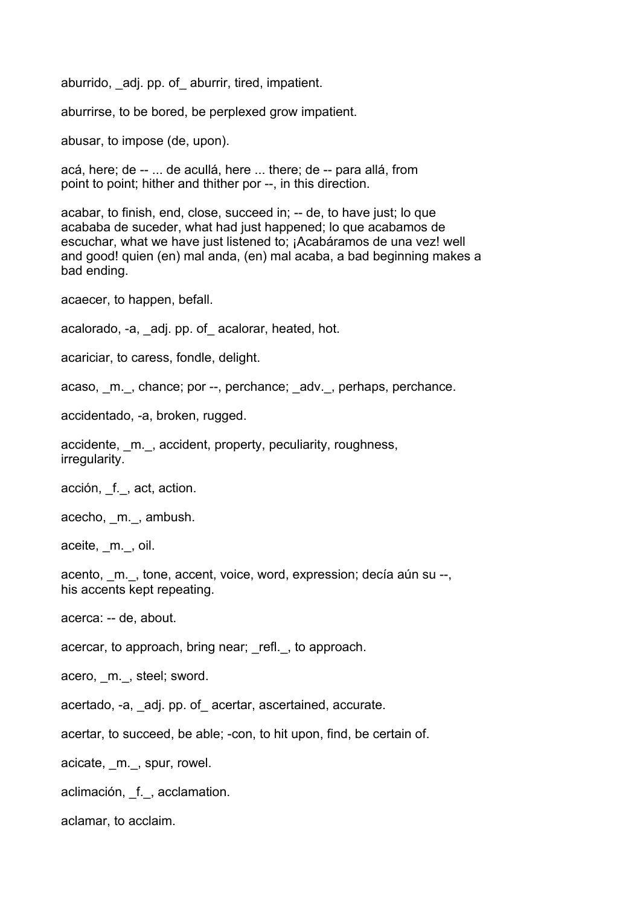aburrido, adj. pp. of aburrir, tired, impatient.

aburrirse, to be bored, be perplexed grow impatient.

abusar, to impose (de, upon).

acá, here; de -- ... de acullá, here ... there; de -- para allá, from point to point; hither and thither por --, in this direction.

acabar, to finish, end, close, succeed in; -- de, to have just; lo que acababa de suceder, what had just happened; lo que acabamos de escuchar, what we have just listened to; ¡Acabáramos de una vez! well and good! quien (en) mal anda, (en) mal acaba, a bad beginning makes a bad ending.

acaecer, to happen, befall.

acalorado, -a, adj. pp. of acalorar, heated, hot.

acariciar, to caress, fondle, delight.

acaso, m., chance; por --, perchance; adv., perhaps, perchance.

accidentado, -a, broken, rugged.

accidente, m., accident, property, peculiarity, roughness, irregularity.

acción, f., act, action.

acecho, \_m.\_, ambush.

aceite, m., oil.

acento, m., tone, accent, voice, word, expression; decía aún su --, his accents kept repeating.

acerca: -- de, about.

acercar, to approach, bring near; refl., to approach.

acero, m., steel; sword.

acertado, -a, \_adj. pp. of\_ acertar, ascertained, accurate.

acertar, to succeed, be able; -con, to hit upon, find, be certain of.

acicate, \_m.\_, spur, rowel.

aclimación, f., acclamation.

aclamar, to acclaim.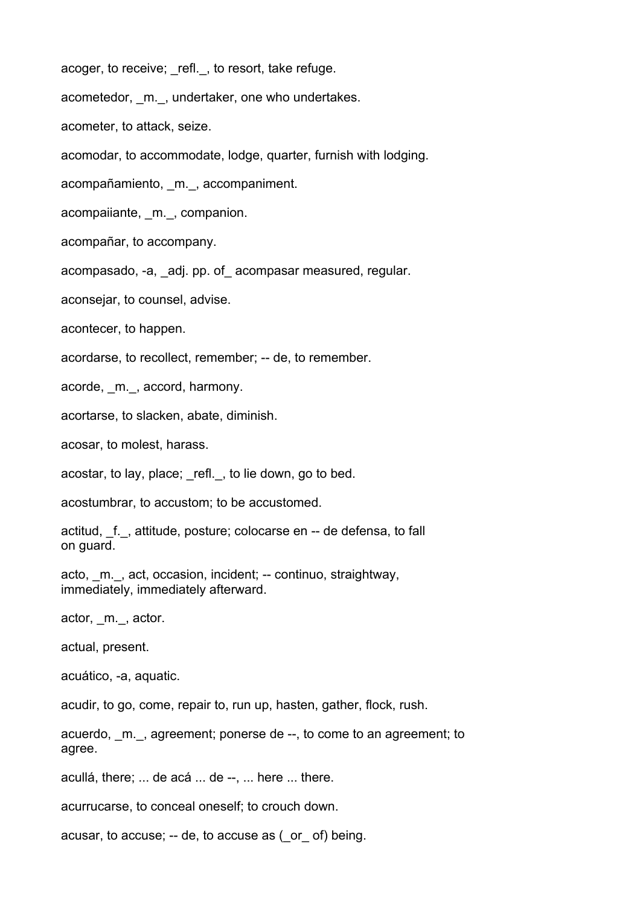acoger, to receive; refl., to resort, take refuge.

acometedor, m., undertaker, one who undertakes.

acometer, to attack, seize.

acomodar, to accommodate, lodge, quarter, furnish with lodging.

acompañamiento, \_m.\_, accompaniment.

acompaiiante, \_m.\_, companion.

acompañar, to accompany.

acompasado, -a, adj. pp. of acompasar measured, regular.

aconsejar, to counsel, advise.

acontecer, to happen.

acordarse, to recollect, remember; -- de, to remember.

acorde, m., accord, harmony.

acortarse, to slacken, abate, diminish.

acosar, to molest, harass.

acostar, to lay, place; \_refl.\_, to lie down, go to bed.

acostumbrar, to accustom; to be accustomed.

actitud, \_f.\_, attitude, posture; colocarse en -- de defensa, to fall on guard.

acto, m., act, occasion, incident; -- continuo, straightway, immediately, immediately afterward.

actor, m., actor.

actual, present.

acuático, -a, aquatic.

acudir, to go, come, repair to, run up, hasten, gather, flock, rush.

acuerdo, \_m.\_, agreement; ponerse de --, to come to an agreement; to agree.

acullá, there; ... de acá ... de --, ... here ... there.

acurrucarse, to conceal oneself; to crouch down.

acusar, to accuse; -- de, to accuse as (\_or\_ of) being.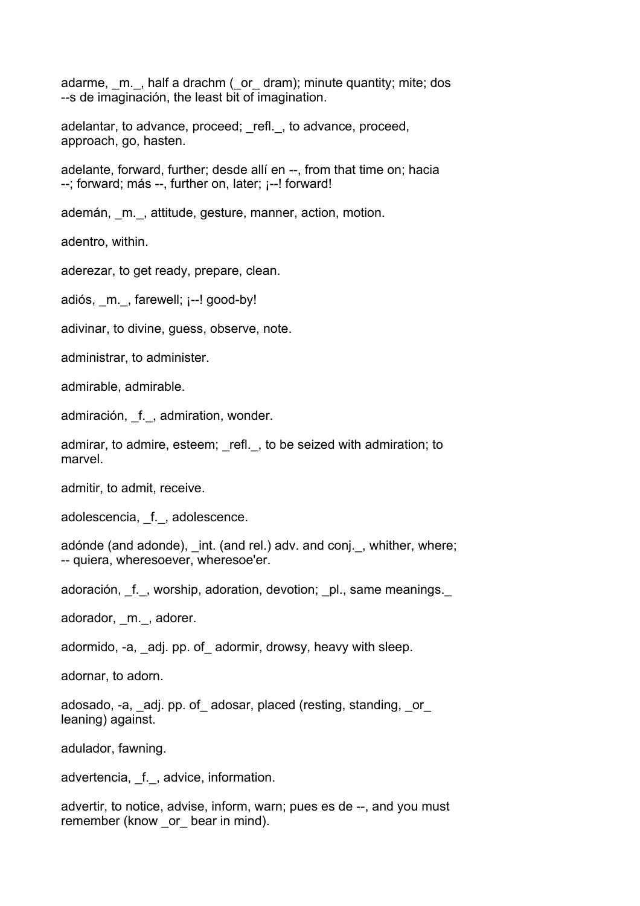adarme, m., half a drachm (or dram); minute quantity; mite; dos --s de imaginación, the least bit of imagination.

adelantar, to advance, proceed; refl., to advance, proceed, approach, go, hasten.

adelante, forward, further; desde allí en --, from that time on; hacia --; forward; más --, further on, later; ¡--! forward!

ademán, m., attitude, gesture, manner, action, motion.

adentro, within.

aderezar, to get ready, prepare, clean.

adiós, m., farewell; ¡--! good-by!

adivinar, to divine, guess, observe, note.

administrar, to administer.

admirable, admirable.

admiración, f., admiration, wonder.

admirar, to admire, esteem; refl., to be seized with admiration; to marvel.

admitir, to admit, receive.

adolescencia, f., adolescence.

adónde (and adonde), int. (and rel.) adv. and conj., whither, where; -- quiera, wheresoever, wheresoe'er.

adoración, f., worship, adoration, devotion; pl., same meanings.

adorador, m., adorer.

adormido, -a, adj. pp. of adormir, drowsy, heavy with sleep.

adornar, to adorn.

adosado, -a, adj. pp. of adosar, placed (resting, standing, or leaning) against.

adulador, fawning.

advertencia, f., advice, information.

advertir, to notice, advise, inform, warn; pues es de --, and you must remember (know or bear in mind).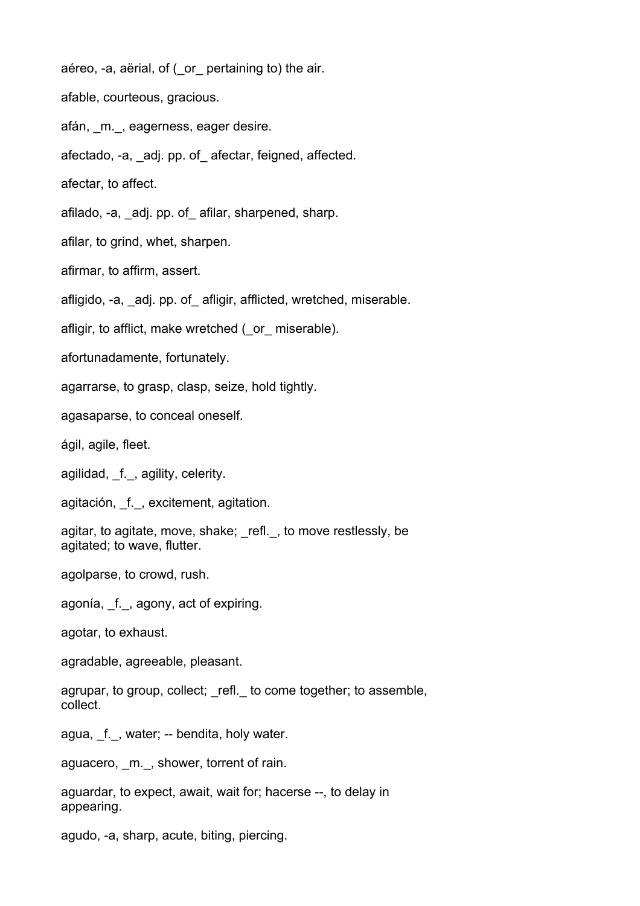aéreo, -a, aërial, of (\_or\_ pertaining to) the air.

afable, courteous, gracious.

afán, m., eagerness, eager desire.

afectado, -a, \_adj. pp. of\_ afectar, feigned, affected.

afectar, to affect.

afilado, -a, \_adj. pp. of\_ afilar, sharpened, sharp.

afilar, to grind, whet, sharpen.

afirmar, to affirm, assert.

afligido, -a, adj. pp. of afligir, afflicted, wretched, miserable.

afligir, to afflict, make wretched (\_or\_ miserable).

afortunadamente, fortunately.

agarrarse, to grasp, clasp, seize, hold tightly.

agasaparse, to conceal oneself.

ágil, agile, fleet.

agilidad, f., agility, celerity.

agitación, f., excitement, agitation.

agitar, to agitate, move, shake; \_refl.\_, to move restlessly, be agitated; to wave, flutter.

agolparse, to crowd, rush.

agonía, \_f.\_, agony, act of expiring.

agotar, to exhaust.

agradable, agreeable, pleasant.

agrupar, to group, collect; refl. to come together; to assemble, collect.

agua, \_f.\_, water; -- bendita, holy water.

aguacero, m., shower, torrent of rain.

aguardar, to expect, await, wait for; hacerse --, to delay in appearing.

agudo, -a, sharp, acute, biting, piercing.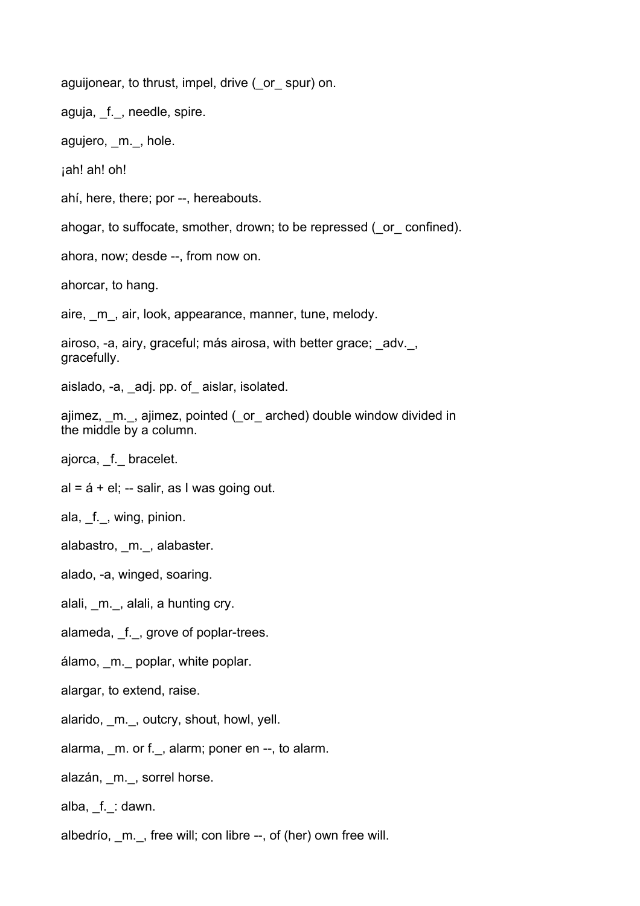aguijonear, to thrust, impel, drive (or spur) on.

aguja, f., needle, spire.

agujero, m., hole.

¡ah! ah! oh!

ahí, here, there; por --, hereabouts.

ahogar, to suffocate, smother, drown; to be repressed (\_or\_ confined).

ahora, now; desde --, from now on.

ahorcar, to hang.

aire, m, air, look, appearance, manner, tune, melody.

airoso, -a, airy, graceful; más airosa, with better grace; adv., gracefully.

aislado, -a, \_adj. pp. of\_ aislar, isolated.

ajimez, \_m.\_, ajimez, pointed (\_or\_ arched) double window divided in the middle by a column.

ajorca, \_f.\_ bracelet.

 $al = 4 + el$ ; -- salir, as I was going out.

ala, f., wing, pinion.

alabastro, m., alabaster.

alado, -a, winged, soaring.

alali, m., alali, a hunting cry.

alameda, f., grove of poplar-trees.

álamo, \_m.\_ poplar, white poplar.

alargar, to extend, raise.

alarido, \_m.\_, outcry, shout, howl, yell.

alarma, m. or f., alarm; poner en --, to alarm.

alazán, m., sorrel horse.

alba, f. : dawn.

albedrío, m., free will; con libre --, of (her) own free will.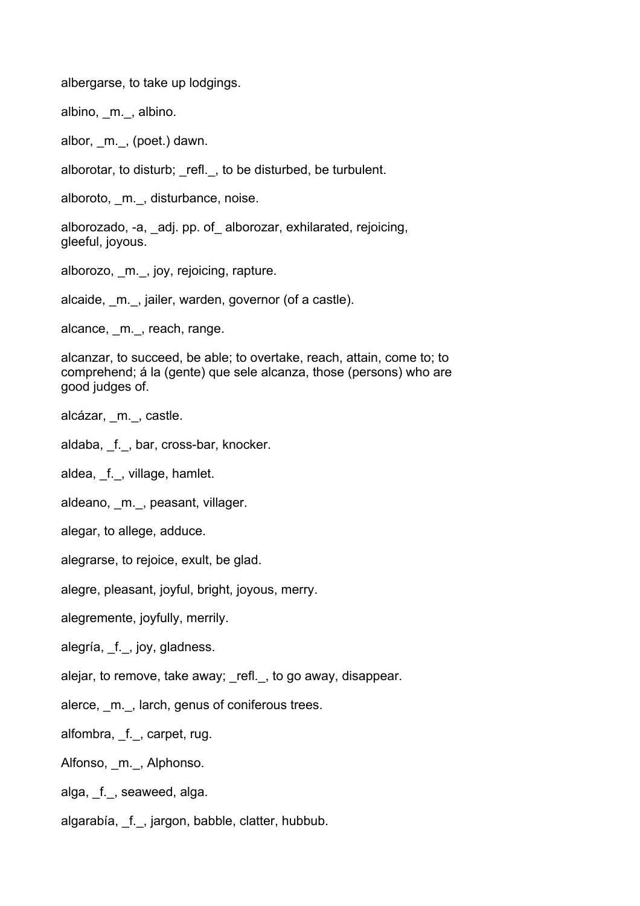albergarse, to take up lodgings.

albino, m., albino.

albor, m., (poet.) dawn.

alborotar, to disturb; \_refl.\_, to be disturbed, be turbulent.

alboroto, m., disturbance, noise.

alborozado, -a, \_adj. pp. of\_ alborozar, exhilarated, rejoicing, gleeful, joyous.

alborozo, m., joy, rejoicing, rapture.

alcaide, m., jailer, warden, governor (of a castle).

alcance, m., reach, range.

alcanzar, to succeed, be able; to overtake, reach, attain, come to; to comprehend; á la (gente) que sele alcanza, those (persons) who are good judges of.

- alcázar, \_m.\_, castle.
- aldaba, f., bar, cross-bar, knocker.
- aldea, f., village, hamlet.
- aldeano, m., peasant, villager.
- alegar, to allege, adduce.
- alegrarse, to rejoice, exult, be glad.

alegre, pleasant, joyful, bright, joyous, merry.

alegremente, joyfully, merrily.

alegría, \_f.\_, joy, gladness.

alejar, to remove, take away; refl., to go away, disappear.

alerce, m., larch, genus of coniferous trees.

alfombra, \_f.\_, carpet, rug.

Alfonso, m., Alphonso.

alga, \_f.\_, seaweed, alga.

algarabía, f., jargon, babble, clatter, hubbub.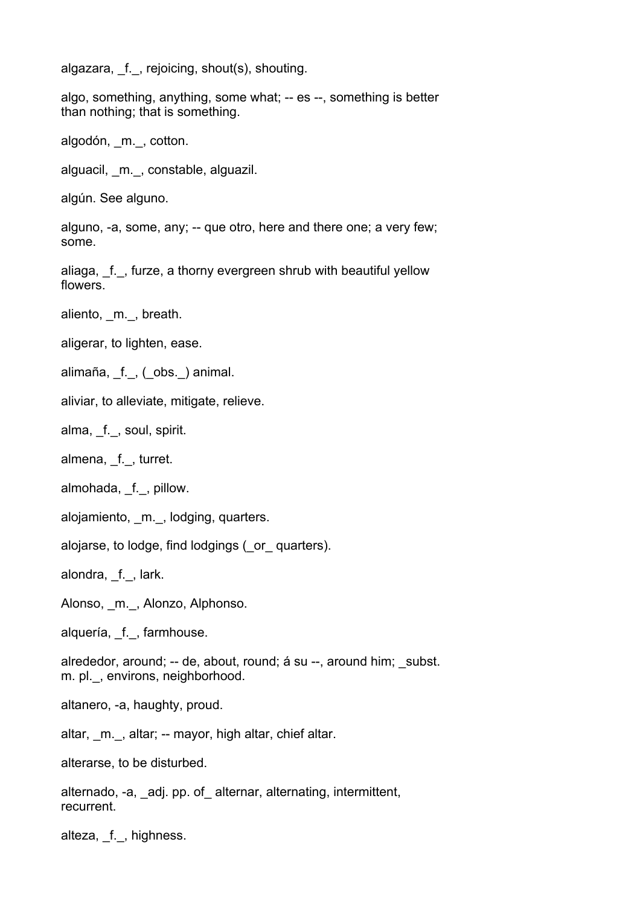algazara, f., rejoicing, shout(s), shouting.

algo, something, anything, some what; -- es --, something is better than nothing; that is something.

algodón, m., cotton.

alguacil, \_m.\_, constable, alguazil.

algún. See alguno.

alguno, -a, some, any; -- que otro, here and there one; a very few; some.

aliaga, f., furze, a thorny evergreen shrub with beautiful yellow flowers.

aliento, m., breath.

aligerar, to lighten, ease.

alimaña, f., (obs.) animal.

aliviar, to alleviate, mitigate, relieve.

alma, f., soul, spirit.

almena, f., turret.

almohada, f., pillow.

alojamiento, m., lodging, quarters.

alojarse, to lodge, find lodgings (\_or\_ quarters).

alondra, f., lark.

Alonso, m.\_, Alonzo, Alphonso.

alquería, f., farmhouse.

alrededor, around; -- de, about, round; á su --, around him; subst. m. pl., environs, neighborhood.

altanero, -a, haughty, proud.

altar, \_m.\_, altar; -- mayor, high altar, chief altar.

alterarse, to be disturbed.

alternado, -a, \_adj. pp. of\_ alternar, alternating, intermittent, recurrent.

alteza, f., highness.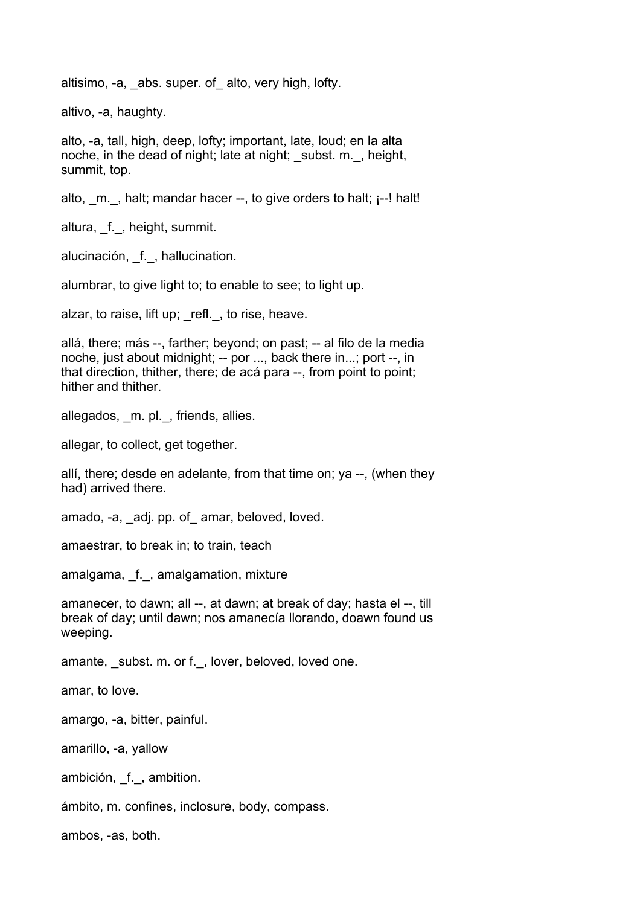altisimo, -a, abs. super. of alto, very high, lofty.

altivo, -a, haughty.

alto, -a, tall, high, deep, lofty; important, late, loud; en la alta noche, in the dead of night; late at night; subst. m., height, summit, top.

alto,  $m.$ , halt; mandar hacer  $-$ , to give orders to halt;  $i$ --! halt!

altura, \_f.\_, height, summit.

alucinación, f., hallucination.

alumbrar, to give light to; to enable to see; to light up.

alzar, to raise, lift up; refl., to rise, heave.

allá, there; más --, farther; beyond; on past; -- al filo de la media noche, just about midnight; -- por ..., back there in...; port --, in that direction, thither, there; de acá para --, from point to point; hither and thither.

allegados, m. pl., friends, allies.

allegar, to collect, get together.

allí, there; desde en adelante, from that time on; ya --, (when they had) arrived there.

amado, -a, adj. pp. of amar, beloved, loved.

amaestrar, to break in; to train, teach

amalgama, f., amalgamation, mixture

amanecer, to dawn; all --, at dawn; at break of day; hasta el --, till break of day; until dawn; nos amanecía llorando, doawn found us weeping.

amante, \_subst. m. or f.\_, lover, beloved, loved one.

amar, to love.

amargo, -a, bitter, painful.

amarillo, -a, yallow

ambición, f., ambition.

ámbito, m. confines, inclosure, body, compass.

ambos, -as, both.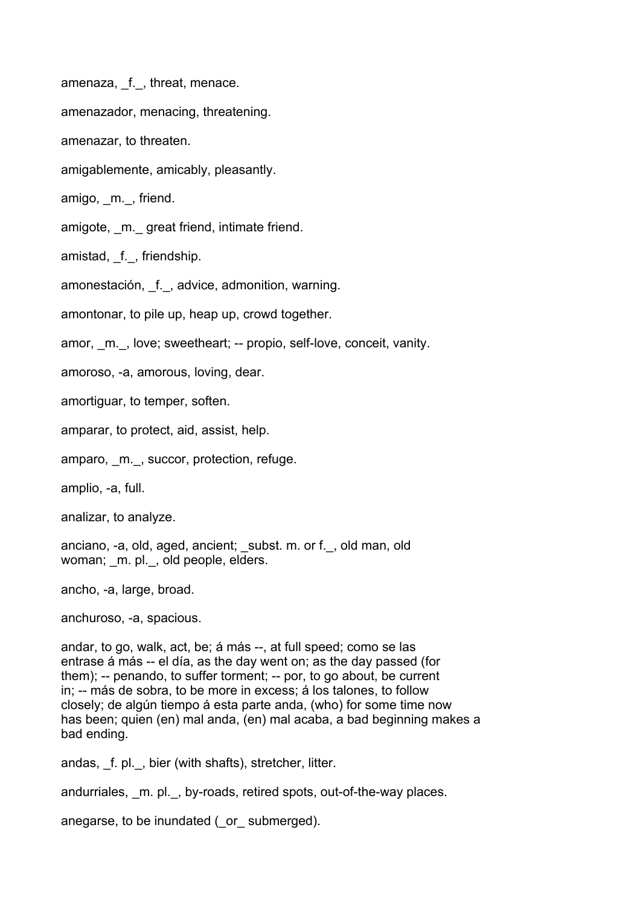amenaza, f., threat, menace.

amenazador, menacing, threatening.

amenazar, to threaten.

amigablemente, amicably, pleasantly.

amigo, m., friend.

amigote, \_m.\_ great friend, intimate friend.

amistad, f., friendship.

amonestación, f., advice, admonition, warning.

amontonar, to pile up, heap up, crowd together.

amor, m., love; sweetheart; -- propio, self-love, conceit, vanity.

amoroso, -a, amorous, loving, dear.

amortiguar, to temper, soften.

amparar, to protect, aid, assist, help.

amparo, m., succor, protection, refuge.

amplio, -a, full.

analizar, to analyze.

anciano, -a, old, aged, ancient; subst. m. or f., old man, old woman; m. pl., old people, elders.

ancho, -a, large, broad.

anchuroso, -a, spacious.

andar, to go, walk, act, be; á más --, at full speed; como se las entrase á más -- el día, as the day went on; as the day passed (for them); -- penando, to suffer torment; -- por, to go about, be current in; -- más de sobra, to be more in excess; á los talones, to follow closely; de algún tiempo á esta parte anda, (who) for some time now has been; quien (en) mal anda, (en) mal acaba, a bad beginning makes a bad ending.

andas, f. pl., bier (with shafts), stretcher, litter.

andurriales, \_m. pl.\_, by-roads, retired spots, out-of-the-way places.

anegarse, to be inundated ( or submerged).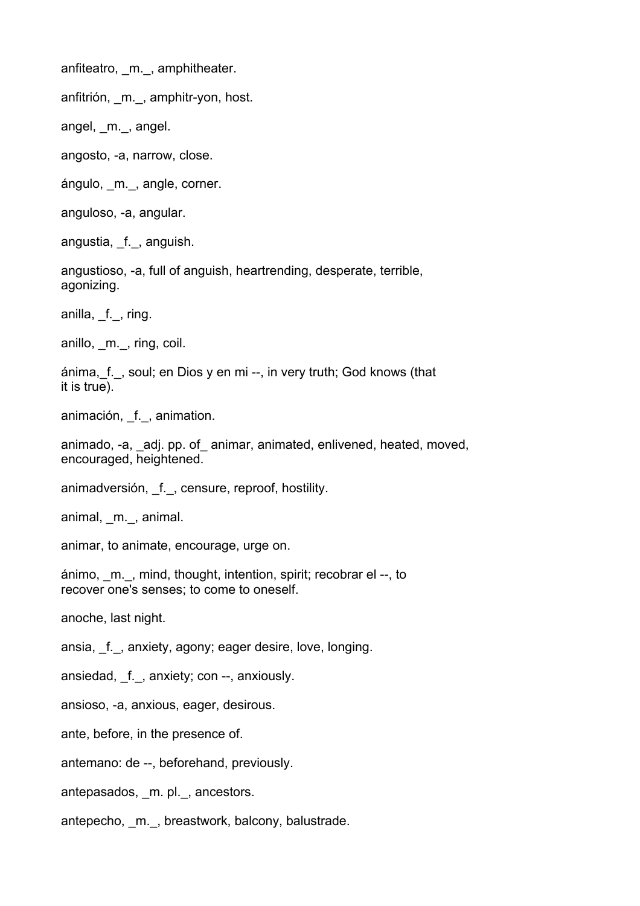anfiteatro, m., amphitheater.

anfitrión, \_m.\_, amphitr-yon, host.

angel, m., angel.

angosto, -a, narrow, close.

ángulo, m., angle, corner.

anguloso, -a, angular.

angustia, f., anguish.

angustioso, -a, full of anguish, heartrending, desperate, terrible, agonizing.

anilla, f., ring.

anillo, m., ring, coil.

ánima, f., soul; en Dios y en mi --, in very truth; God knows (that it is true).

animación, \_f.\_, animation.

animado, -a, adj. pp. of animar, animated, enlivened, heated, moved, encouraged, heightened.

animadversión, f., censure, reproof, hostility.

animal, \_m.\_, animal.

animar, to animate, encourage, urge on.

ánimo, \_m.\_, mind, thought, intention, spirit; recobrar el --, to recover one's senses; to come to oneself.

anoche, last night.

ansia, f., anxiety, agony; eager desire, love, longing.

ansiedad, f.\_, anxiety; con --, anxiously.

ansioso, -a, anxious, eager, desirous.

ante, before, in the presence of.

antemano: de --, beforehand, previously.

antepasados, \_m. pl.\_, ancestors.

antepecho, m., breastwork, balcony, balustrade.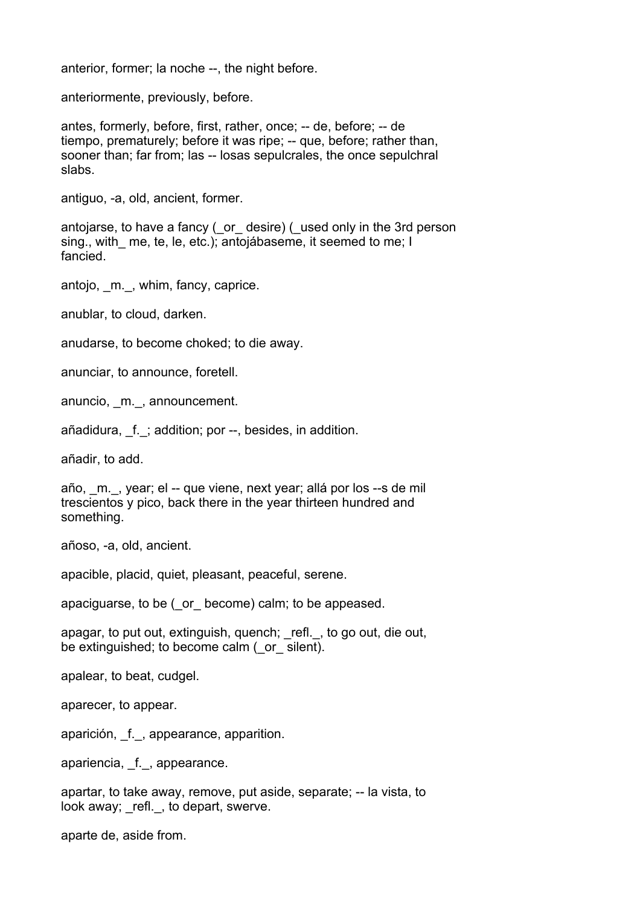anterior, former; la noche --, the night before.

anteriormente, previously, before.

antes, formerly, before, first, rather, once; -- de, before; -- de tiempo, prematurely; before it was ripe; -- que, before; rather than, sooner than; far from; las -- losas sepulcrales, the once sepulchral slabs.

antiguo, -a, old, ancient, former.

antojarse, to have a fancy (\_or\_ desire) (\_used only in the 3rd person sing., with me, te, le, etc.); antojábaseme, it seemed to me; I fancied.

antojo, m., whim, fancy, caprice.

anublar, to cloud, darken.

anudarse, to become choked; to die away.

anunciar, to announce, foretell.

anuncio, \_m.\_, announcement.

añadidura, f.; addition; por --, besides, in addition.

añadir, to add.

año, m., year; el -- que viene, next year; allá por los --s de mil trescientos y pico, back there in the year thirteen hundred and something.

añoso, -a, old, ancient.

apacible, placid, quiet, pleasant, peaceful, serene.

apaciguarse, to be (\_or\_ become) calm; to be appeased.

apagar, to put out, extinguish, quench; refl., to go out, die out, be extinguished; to become calm ( or silent).

apalear, to beat, cudgel.

aparecer, to appear.

aparición, f., appearance, apparition.

apariencia, f., appearance.

apartar, to take away, remove, put aside, separate; -- la vista, to look away; refl., to depart, swerve.

aparte de, aside from.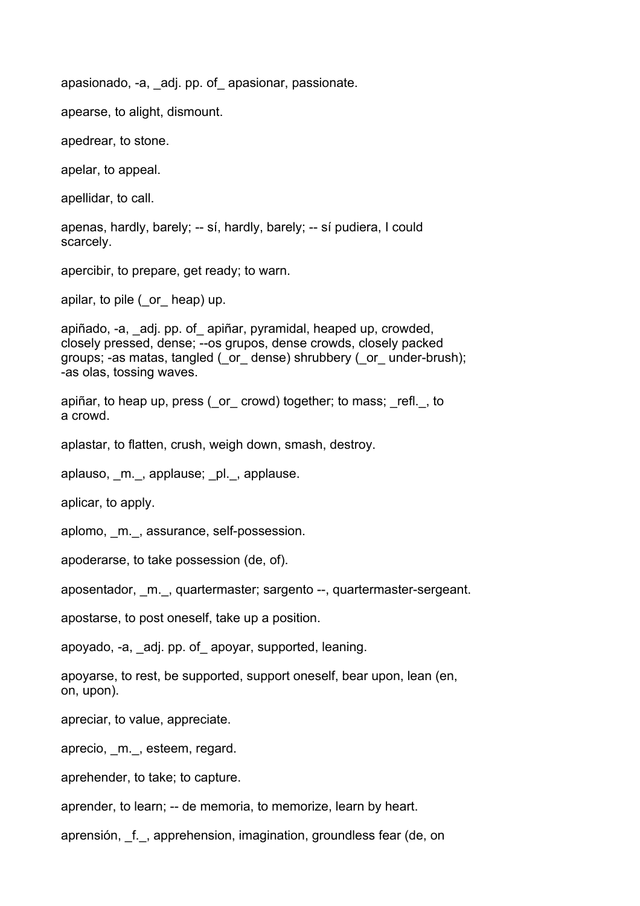apasionado, -a, \_adj. pp. of\_ apasionar, passionate.

apearse, to alight, dismount.

apedrear, to stone.

apelar, to appeal.

apellidar, to call.

apenas, hardly, barely; -- sí, hardly, barely; -- sí pudiera, I could scarcely.

apercibir, to prepare, get ready; to warn.

apilar, to pile ( or heap) up.

apiñado, -a, \_adj. pp. of\_ apiñar, pyramidal, heaped up, crowded, closely pressed, dense; --os grupos, dense crowds, closely packed groups; -as matas, tangled (\_or\_ dense) shrubbery (\_or\_ under-brush); -as olas, tossing waves.

apiñar, to heap up, press (\_or\_ crowd) together; to mass; \_refl.\_, to a crowd.

aplastar, to flatten, crush, weigh down, smash, destroy.

aplauso, m., applause; pl., applause.

aplicar, to apply.

aplomo, m., assurance, self-possession.

apoderarse, to take possession (de, of).

aposentador, m., quartermaster; sargento --, quartermaster-sergeant.

apostarse, to post oneself, take up a position.

apoyado, -a, \_adj. pp. of\_ apoyar, supported, leaning.

apoyarse, to rest, be supported, support oneself, bear upon, lean (en, on, upon).

apreciar, to value, appreciate.

aprecio, m., esteem, regard.

aprehender, to take; to capture.

aprender, to learn; -- de memoria, to memorize, learn by heart.

aprensión, \_f.\_, apprehension, imagination, groundless fear (de, on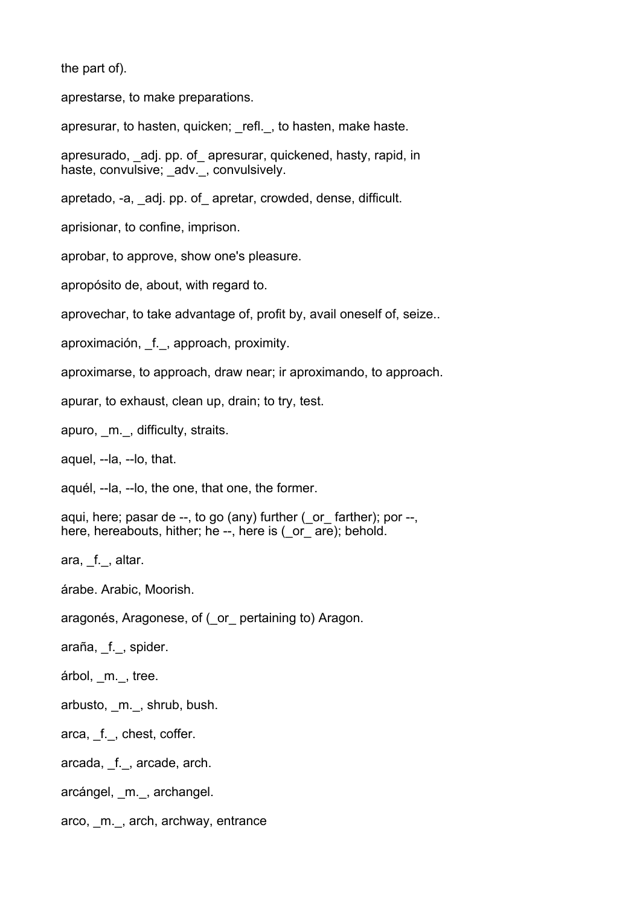the part of).

aprestarse, to make preparations.

apresurar, to hasten, quicken; refl., to hasten, make haste.

apresurado, adj. pp. of apresurar, quickened, hasty, rapid, in haste, convulsive; \_adv.\_, convulsively.

apretado, -a, \_adj. pp. of\_ apretar, crowded, dense, difficult.

aprisionar, to confine, imprison.

aprobar, to approve, show one's pleasure.

apropósito de, about, with regard to.

aprovechar, to take advantage of, profit by, avail oneself of, seize..

aproximación, f., approach, proximity.

aproximarse, to approach, draw near; ir aproximando, to approach.

apurar, to exhaust, clean up, drain; to try, test.

apuro, m., difficulty, straits.

aquel, --la, --lo, that.

aquél, --la, --lo, the one, that one, the former.

aqui, here; pasar de --, to go (any) further ( or farther); por --, here, hereabouts, hither; he --, here is ( or are); behold.

ara, f., altar.

árabe. Arabic, Moorish.

aragonés, Aragonese, of (\_or\_ pertaining to) Aragon.

araña, f., spider.

árbol, m., tree.

arbusto, \_m.\_, shrub, bush.

arca, \_f.\_, chest, coffer.

arcada, f., arcade, arch.

arcángel, \_m.\_, archangel.

arco, m., arch, archway, entrance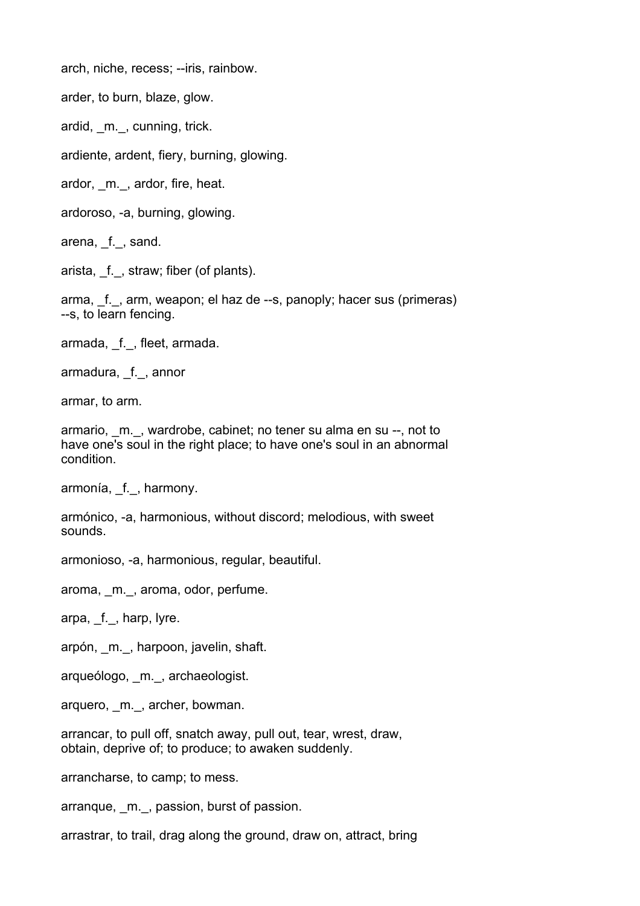arch, niche, recess; --iris, rainbow.

arder, to burn, blaze, glow.

ardid, m., cunning, trick.

ardiente, ardent, fiery, burning, glowing.

ardor, m., ardor, fire, heat.

ardoroso, -a, burning, glowing.

arena, f., sand.

arista, f., straw; fiber (of plants).

arma, f., arm, weapon; el haz de --s, panoply; hacer sus (primeras) --s, to learn fencing.

armada, f., fleet, armada.

armadura, f., annor

armar, to arm.

armario, m., wardrobe, cabinet; no tener su alma en su --, not to have one's soul in the right place; to have one's soul in an abnormal condition.

armonía, \_f.\_, harmony.

armónico, -a, harmonious, without discord; melodious, with sweet sounds.

armonioso, -a, harmonious, regular, beautiful.

aroma, \_m.\_, aroma, odor, perfume.

arpa, f., harp, lyre.

arpón, \_m.\_, harpoon, javelin, shaft.

arqueólogo, m., archaeologist.

arquero, m., archer, bowman.

arrancar, to pull off, snatch away, pull out, tear, wrest, draw, obtain, deprive of; to produce; to awaken suddenly.

arrancharse, to camp; to mess.

arranque, m., passion, burst of passion.

arrastrar, to trail, drag along the ground, draw on, attract, bring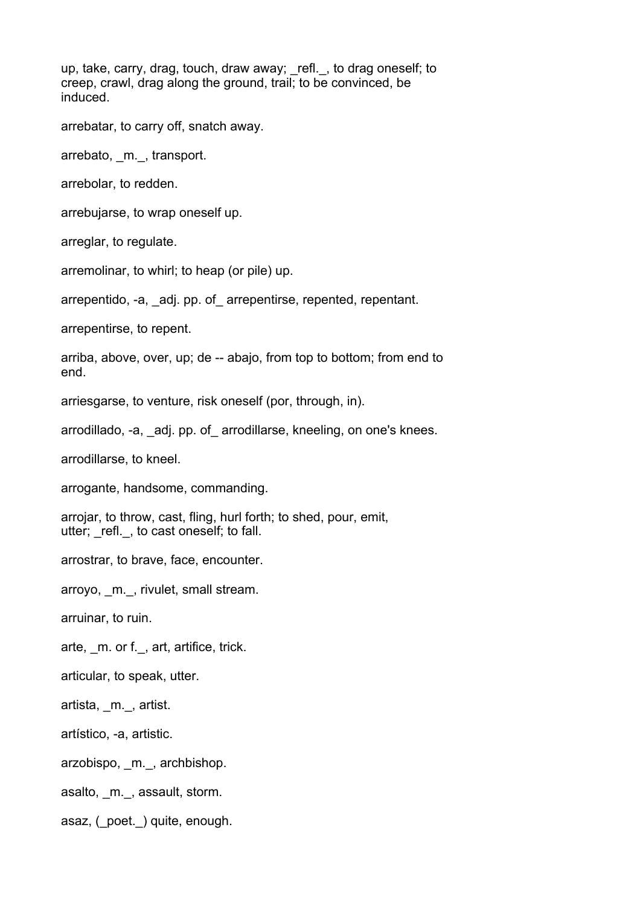up, take, carry, drag, touch, draw away; \_refl.\_, to drag oneself; to creep, crawl, drag along the ground, trail; to be convinced, be induced.

arrebatar, to carry off, snatch away.

arrebato, m., transport.

arrebolar, to redden.

arrebujarse, to wrap oneself up.

arreglar, to regulate.

arremolinar, to whirl; to heap (or pile) up.

arrepentido, -a, adj. pp. of arrepentirse, repented, repentant.

arrepentirse, to repent.

arriba, above, over, up; de -- abajo, from top to bottom; from end to end.

arriesgarse, to venture, risk oneself (por, through, in).

arrodillado, -a, adj. pp. of arrodillarse, kneeling, on one's knees.

arrodillarse, to kneel.

arrogante, handsome, commanding.

arrojar, to throw, cast, fling, hurl forth; to shed, pour, emit, utter; refl., to cast oneself; to fall.

arrostrar, to brave, face, encounter.

arroyo, \_m.\_, rivulet, small stream.

arruinar, to ruin.

arte, m. or f., art, artifice, trick.

articular, to speak, utter.

artista, \_m.\_, artist.

artístico, -a, artistic.

arzobispo, m., archbishop.

asalto, \_m.\_, assault, storm.

asaz, ( poet. ) quite, enough.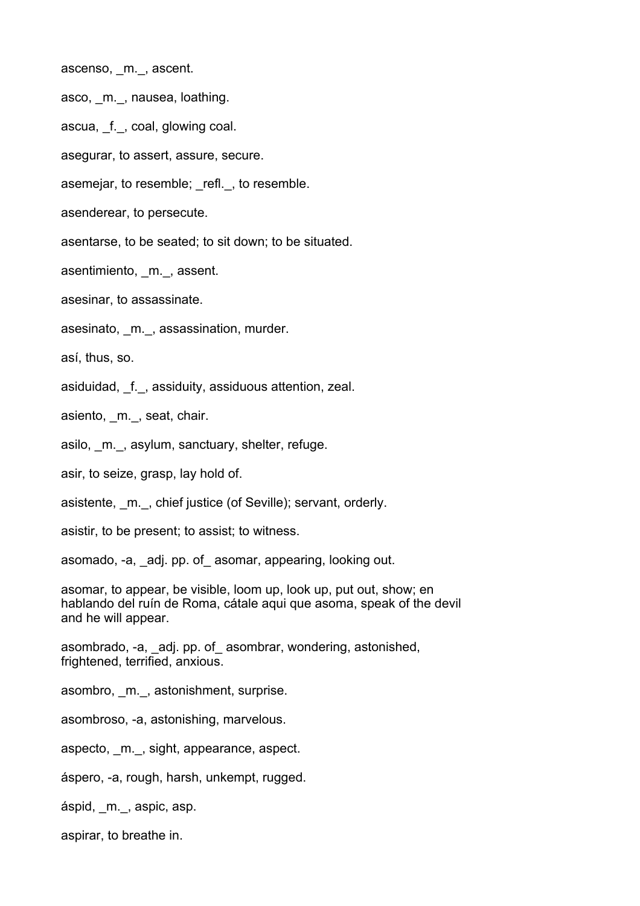ascenso, \_m.\_, ascent.

asco, m., nausea, loathing.

ascua, f., coal, glowing coal.

asegurar, to assert, assure, secure.

asemejar, to resemble; refl., to resemble.

asenderear, to persecute.

asentarse, to be seated; to sit down; to be situated.

asentimiento, m., assent.

asesinar, to assassinate.

asesinato, m., assassination, murder.

así, thus, so.

asiduidad, f., assiduity, assiduous attention, zeal.

asiento, m., seat, chair.

asilo, m., asylum, sanctuary, shelter, refuge.

asir, to seize, grasp, lay hold of.

asistente, m., chief justice (of Seville); servant, orderly.

asistir, to be present; to assist; to witness.

asomado, -a, \_adj. pp. of\_ asomar, appearing, looking out.

asomar, to appear, be visible, loom up, look up, put out, show; en hablando del ruín de Roma, cátale aqui que asoma, speak of the devil and he will appear.

asombrado, -a, \_adj. pp. of\_ asombrar, wondering, astonished, frightened, terrified, anxious.

asombro, m., astonishment, surprise.

asombroso, -a, astonishing, marvelous.

aspecto, m., sight, appearance, aspect.

áspero, -a, rough, harsh, unkempt, rugged.

áspid, m., aspic, asp.

aspirar, to breathe in.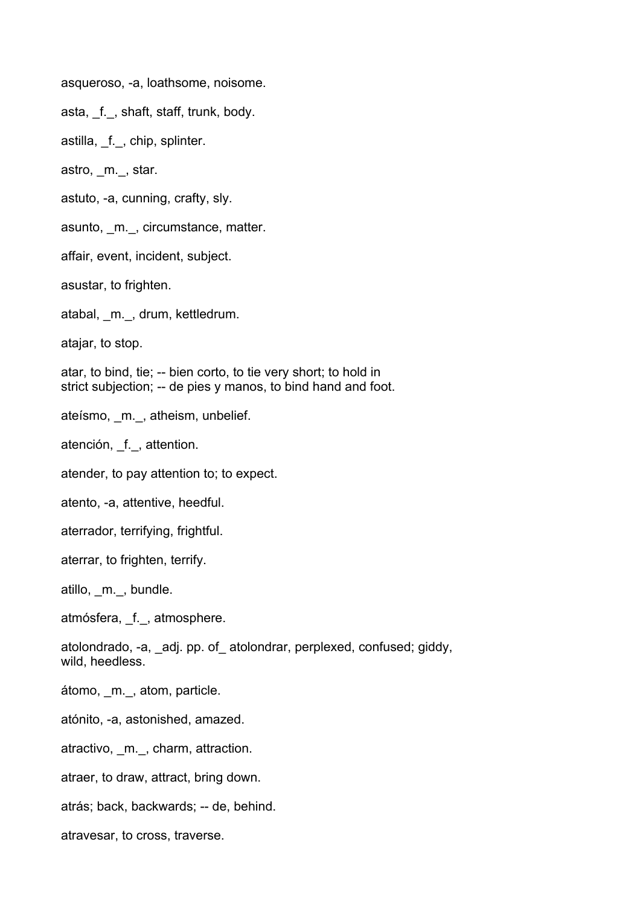asqueroso, -a, loathsome, noisome.

asta, f., shaft, staff, trunk, body.

astilla, f., chip, splinter.

astro, \_m.\_, star.

astuto, -a, cunning, crafty, sly.

asunto, \_m.\_, circumstance, matter.

affair, event, incident, subject.

asustar, to frighten.

atabal, \_m.\_, drum, kettledrum.

atajar, to stop.

atar, to bind, tie; -- bien corto, to tie very short; to hold in strict subjection; -- de pies y manos, to bind hand and foot.

ateísmo, \_m.\_, atheism, unbelief.

atención, \_f.\_, attention.

atender, to pay attention to; to expect.

atento, -a, attentive, heedful.

aterrador, terrifying, frightful.

aterrar, to frighten, terrify.

atillo, \_m.\_, bundle.

atmósfera, \_f.\_, atmosphere.

atolondrado, -a, adj. pp. of atolondrar, perplexed, confused; giddy, wild, heedless.

átomo, m., atom, particle.

atónito, -a, astonished, amazed.

atractivo, m., charm, attraction.

atraer, to draw, attract, bring down.

atrás; back, backwards; -- de, behind.

atravesar, to cross, traverse.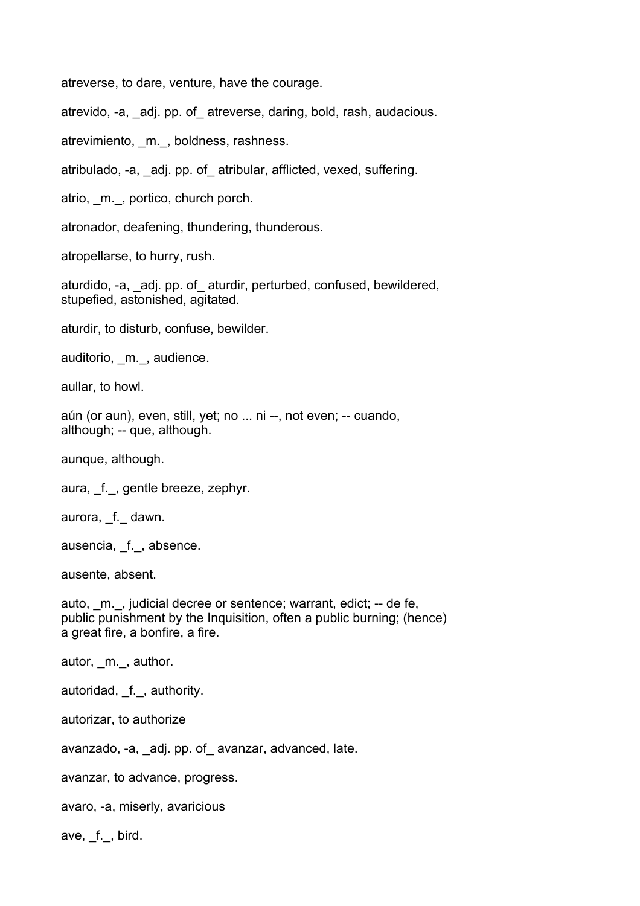atreverse, to dare, venture, have the courage.

atrevido, -a, \_adj. pp. of\_ atreverse, daring, bold, rash, audacious.

atrevimiento, m., boldness, rashness.

atribulado, -a, \_adj. pp. of\_ atribular, afflicted, vexed, suffering.

atrio, m., portico, church porch.

atronador, deafening, thundering, thunderous.

atropellarse, to hurry, rush.

aturdido, -a, \_adj. pp. of\_ aturdir, perturbed, confused, bewildered, stupefied, astonished, agitated.

aturdir, to disturb, confuse, bewilder.

auditorio, m., audience.

aullar, to howl.

aún (or aun), even, still, yet; no ... ni --, not even; -- cuando, although; -- que, although.

aunque, although.

aura, f., gentle breeze, zephyr.

aurora, f. dawn.

ausencia, f., absence.

ausente, absent.

auto, \_m.\_, judicial decree or sentence; warrant, edict; -- de fe, public punishment by the Inquisition, often a public burning; (hence) a great fire, a bonfire, a fire.

autor, \_m.\_, author.

autoridad, f., authority.

autorizar, to authorize

avanzado, -a, \_adj. pp. of\_ avanzar, advanced, late.

avanzar, to advance, progress.

avaro, -a, miserly, avaricious

ave, f., bird.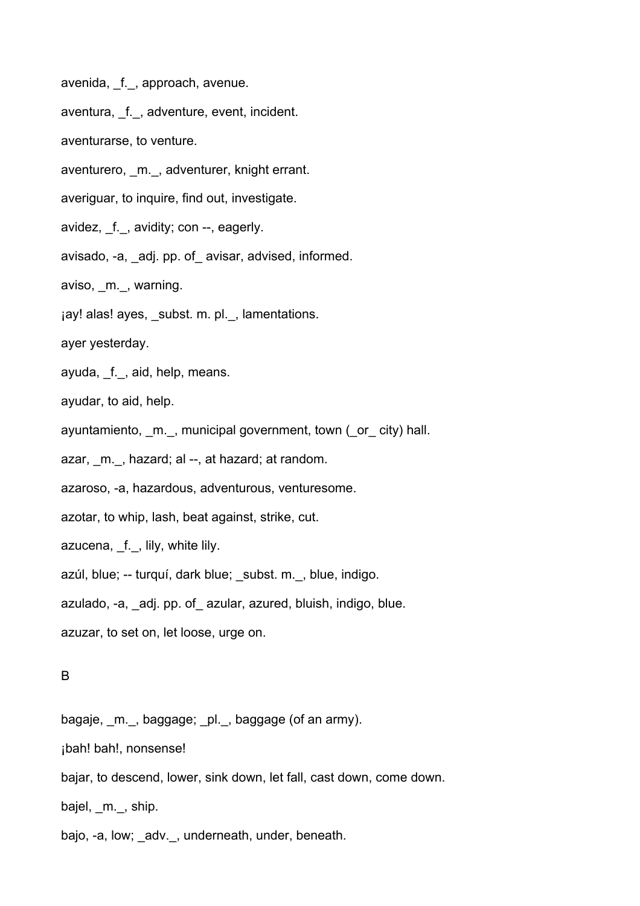avenida, f., approach, avenue.

aventura, f., adventure, event, incident.

aventurarse, to venture.

aventurero, \_m.\_, adventurer, knight errant.

averiguar, to inquire, find out, investigate.

avidez, \_f.\_, avidity; con --, eagerly.

avisado, -a, \_adj. pp. of\_ avisar, advised, informed.

aviso, m., warning.

jay! alas! ayes, subst. m. pl., lamentations.

ayer yesterday.

ayuda, f., aid, help, means.

ayudar, to aid, help.

ayuntamiento, m., municipal government, town (or city) hall.

azar, m., hazard; al --, at hazard; at random.

azaroso, -a, hazardous, adventurous, venturesome.

azotar, to whip, lash, beat against, strike, cut.

azucena, \_f.\_, lily, white lily.

azúl, blue; -- turquí, dark blue; subst. m., blue, indigo.

azulado, -a, \_adj. pp. of\_ azular, azured, bluish, indigo, blue.

azuzar, to set on, let loose, urge on.

#### B

bagaje, \_m.\_, baggage; \_pl.\_, baggage (of an army).

¡bah! bah!, nonsense!

bajar, to descend, lower, sink down, let fall, cast down, come down.

bajel, m., ship.

bajo, -a, low; \_adv.\_, underneath, under, beneath.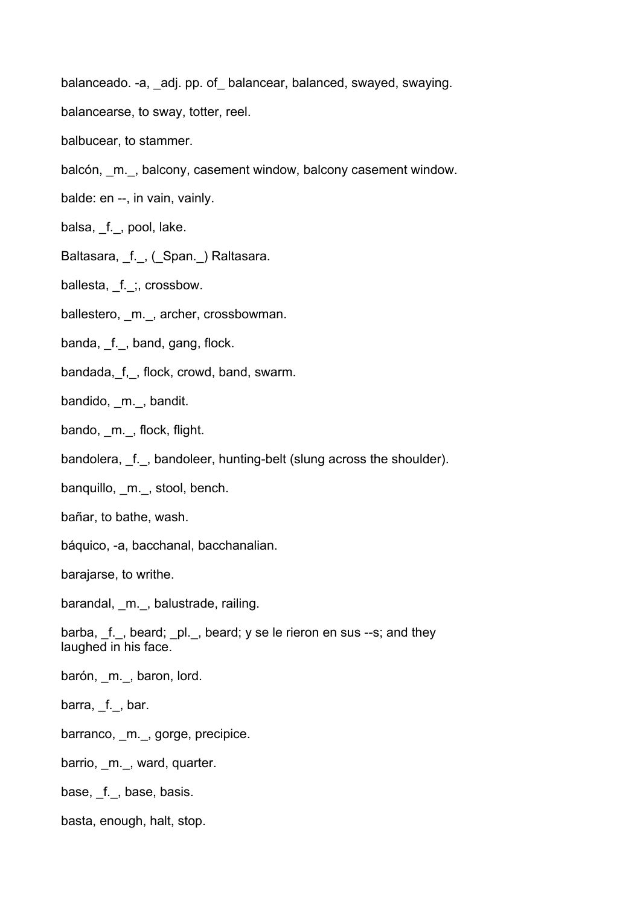balanceado. -a, adj. pp. of balancear, balanced, swayed, swaying.

- balancearse, to sway, totter, reel.
- balbucear, to stammer.
- balcón, \_m.\_, balcony, casement window, balcony casement window.
- balde: en --, in vain, vainly.
- balsa, \_f.\_, pool, lake.
- Baltasara, f., (Span.) Raltasara.
- ballesta, f. ;, crossbow.
- ballestero, \_m.\_, archer, crossbowman.
- banda, f., band, gang, flock.
- bandada, f,, flock, crowd, band, swarm.
- bandido, m., bandit.
- bando, m., flock, flight.
- bandolera, f., bandoleer, hunting-belt (slung across the shoulder).
- banquillo, m., stool, bench.
- bañar, to bathe, wash.
- báquico, -a, bacchanal, bacchanalian.
- barajarse, to writhe.

barandal, \_m.\_, balustrade, railing.

- barba, \_f.\_, beard; \_pl.\_, beard; y se le rieron en sus --s; and they laughed in his face.
- barón, m., baron, lord.
- barra, f., bar.
- barranco, \_m.\_, gorge, precipice.
- barrio, m., ward, quarter.
- base, \_f.\_, base, basis.
- basta, enough, halt, stop.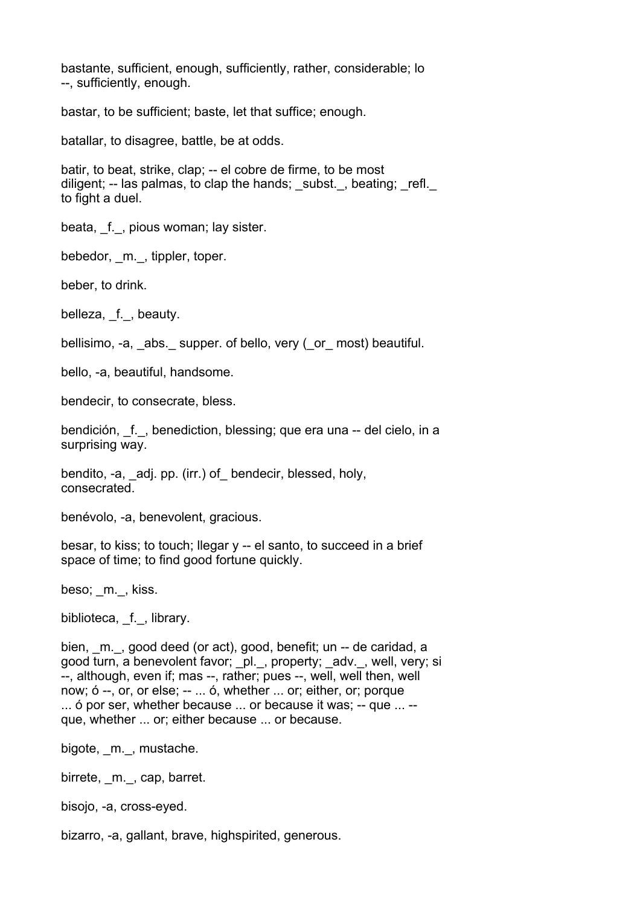bastante, sufficient, enough, sufficiently, rather, considerable; lo --, sufficiently, enough.

bastar, to be sufficient; baste, let that suffice; enough.

batallar, to disagree, battle, be at odds.

batir, to beat, strike, clap; -- el cobre de firme, to be most diligent;  $-$  las palmas, to clap the hands; subst., beating; refl. to fight a duel.

beata, f., pious woman; lay sister.

bebedor, m., tippler, toper.

beber, to drink.

belleza, f., beauty.

bellisimo, -a, abs. supper. of bello, very (or most) beautiful.

bello, -a, beautiful, handsome.

bendecir, to consecrate, bless.

bendición, f., benediction, blessing; que era una -- del cielo, in a surprising way.

bendito, -a, adj. pp. (irr.) of bendecir, blessed, holy, consecrated.

benévolo, -a, benevolent, gracious.

besar, to kiss; to touch; llegar y -- el santo, to succeed in a brief space of time; to find good fortune quickly.

beso; m., kiss.

biblioteca, f., library.

bien, m., good deed (or act), good, benefit; un -- de caridad, a good turn, a benevolent favor; \_pl.\_, property; \_adv.\_, well, very; si --, although, even if; mas --, rather; pues --, well, well then, well now; ó --, or, or else; -- ... ó, whether ... or; either, or; porque ... ó por ser, whether because ... or because it was; -- que ... - que, whether ... or; either because ... or because.

bigote, m., mustache.

birrete, m., cap, barret.

bisojo, -a, cross-eyed.

bizarro, -a, gallant, brave, highspirited, generous.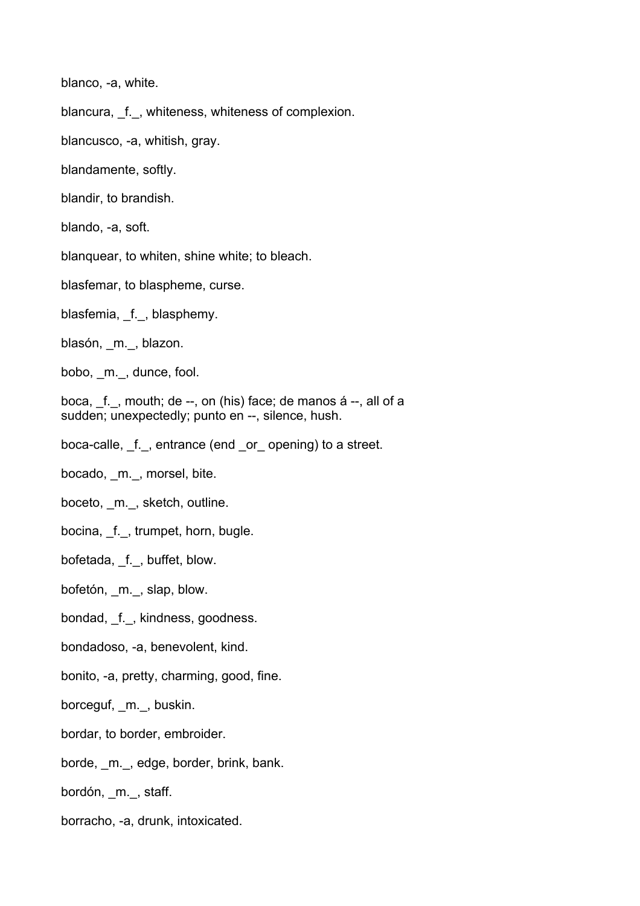blanco, -a, white.

blancura, f., whiteness, whiteness of complexion.

blancusco, -a, whitish, gray.

blandamente, softly.

blandir, to brandish.

blando, -a, soft.

blanquear, to whiten, shine white; to bleach.

blasfemar, to blaspheme, curse.

blasfemia, f., blasphemy.

blasón, m., blazon.

bobo, m., dunce, fool.

boca, \_f.\_, mouth; de --, on (his) face; de manos á --, all of a sudden; unexpectedly; punto en --, silence, hush.

boca-calle, f., entrance (end or opening) to a street.

bocado, \_m.\_, morsel, bite.

boceto, m., sketch, outline.

bocina, \_f.\_, trumpet, horn, bugle.

bofetada, \_f.\_, buffet, blow.

bofetón, \_m.\_, slap, blow.

bondad, f., kindness, goodness.

bondadoso, -a, benevolent, kind.

bonito, -a, pretty, charming, good, fine.

borceguf, m., buskin.

bordar, to border, embroider.

borde, m., edge, border, brink, bank.

bordón, \_m.\_, staff.

borracho, -a, drunk, intoxicated.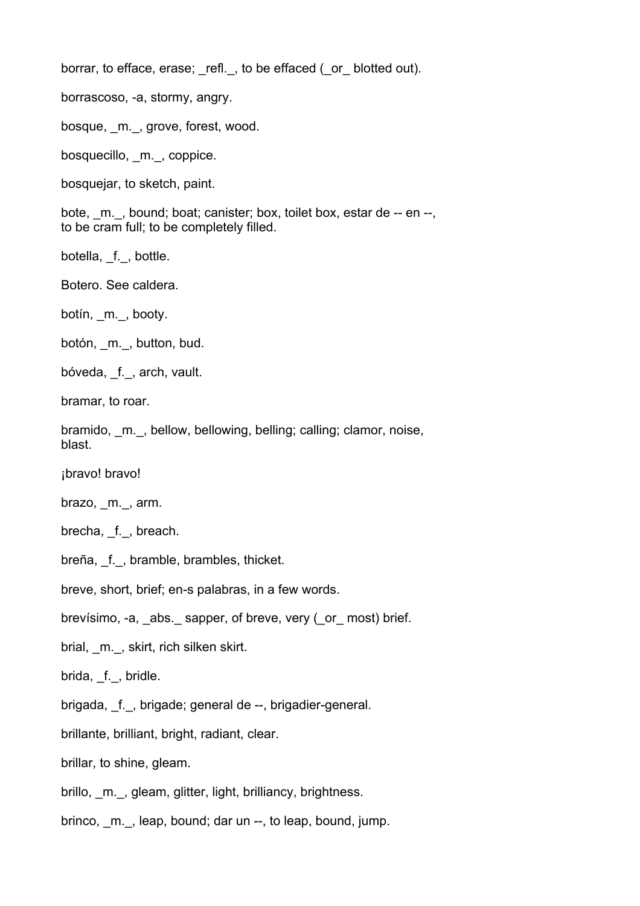borrar, to efface, erase; refl., to be effaced (or blotted out).

borrascoso, -a, stormy, angry.

bosque, m., grove, forest, wood.

bosquecillo, \_m.\_, coppice.

bosquejar, to sketch, paint.

bote, m., bound; boat; canister; box, toilet box, estar de -- en --, to be cram full; to be completely filled.

botella, f., bottle.

Botero. See caldera.

botín, m., booty.

botón, \_m.\_, button, bud.

bóveda, f., arch, vault.

bramar, to roar.

bramido, m., bellow, bellowing, belling; calling; clamor, noise, blast.

¡bravo! bravo!

brazo, m., arm.

brecha, f., breach.

breña, \_f.\_, bramble, brambles, thicket.

breve, short, brief; en-s palabras, in a few words.

brevísimo, -a, \_abs.\_ sapper, of breve, very (\_or\_ most) brief.

brial, m., skirt, rich silken skirt.

brida, f., bridle.

brigada, \_f.\_, brigade; general de --, brigadier-general.

brillante, brilliant, bright, radiant, clear.

brillar, to shine, gleam.

brillo, \_m.\_, gleam, glitter, light, brilliancy, brightness.

brinco, m., leap, bound; dar un --, to leap, bound, jump.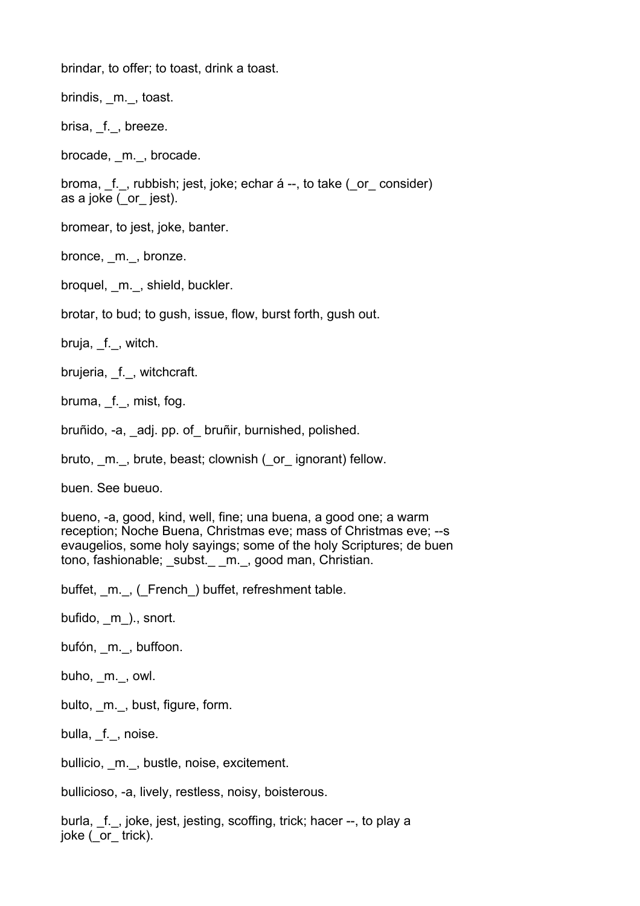brindar, to offer; to toast, drink a toast.

brindis, \_m.\_, toast.

brisa, f., breeze.

brocade, m., brocade.

broma, f., rubbish; jest, joke; echar á --, to take ( or consider) as a joke  $\overline{C}$  or jest).

bromear, to jest, joke, banter.

bronce, m., bronze.

broquel, m., shield, buckler.

brotar, to bud; to gush, issue, flow, burst forth, gush out.

bruja, f., witch.

brujeria, f., witchcraft.

bruma, f., mist, fog.

bruñido, -a, \_adj. pp. of\_ bruñir, burnished, polished.

bruto, m., brute, beast; clownish (or ignorant) fellow.

buen. See bueuo.

bueno, -a, good, kind, well, fine; una buena, a good one; a warm reception; Noche Buena, Christmas eve; mass of Christmas eve; --s evaugelios, some holy sayings; some of the holy Scriptures; de buen tono, fashionable; subst. m., good man, Christian.

buffet, m., (French) buffet, refreshment table.

bufido, m )., snort.

bufón, m., buffoon.

buho, m., owl.

bulto, m., bust, figure, form.

bulla, f., noise.

bullicio, m., bustle, noise, excitement.

bullicioso, -a, lively, restless, noisy, boisterous.

burla, f., joke, jest, jesting, scoffing, trick; hacer --, to play a joke ( or trick).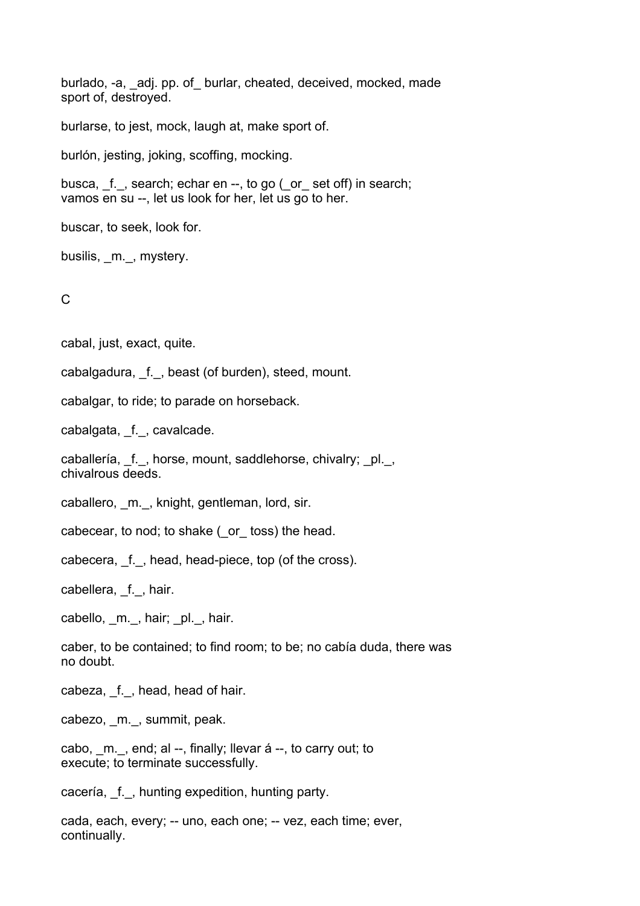burlado, -a, adj. pp. of burlar, cheated, deceived, mocked, made sport of, destroyed.

burlarse, to jest, mock, laugh at, make sport of.

burlón, jesting, joking, scoffing, mocking.

busca, f., search; echar en --, to go ( or set off) in search; vamos en su --, let us look for her, let us go to her.

buscar, to seek, look for.

busilis, m., mystery.

C

cabal, just, exact, quite.

cabalgadura, f., beast (of burden), steed, mount.

cabalgar, to ride; to parade on horseback.

cabalgata, \_f.\_, cavalcade.

caballería, f., horse, mount, saddlehorse, chivalry; pl., chivalrous deeds.

caballero, m., knight, gentleman, lord, sir.

cabecear, to nod; to shake (\_or\_ toss) the head.

cabecera, f., head, head-piece, top (of the cross).

cabellera, f., hair.

cabello, m.\_, hair; \_pl.\_, hair.

caber, to be contained; to find room; to be; no cabía duda, there was no doubt.

cabeza, f., head, head of hair.

cabezo, \_m.\_, summit, peak.

cabo, m., end; al --, finally; llevar á --, to carry out; to execute; to terminate successfully.

cacería, \_f.\_, hunting expedition, hunting party.

cada, each, every; -- uno, each one; -- vez, each time; ever, continually.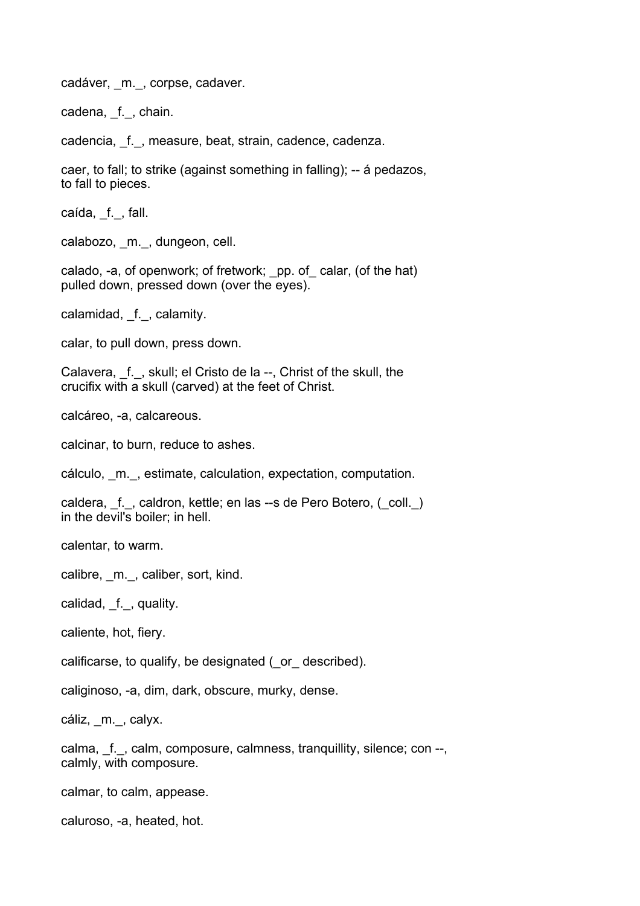cadáver, m., corpse, cadaver.

cadena, f., chain.

cadencia, f., measure, beat, strain, cadence, cadenza.

caer, to fall; to strike (against something in falling); -- á pedazos, to fall to pieces.

caída, f., fall.

calabozo, m., dungeon, cell.

calado, -a, of openwork; of fretwork; \_pp. of\_ calar, (of the hat) pulled down, pressed down (over the eyes).

calamidad, f., calamity.

calar, to pull down, press down.

Calavera, f., skull; el Cristo de la --, Christ of the skull, the crucifix with a skull (carved) at the feet of Christ.

calcáreo, -a, calcareous.

calcinar, to burn, reduce to ashes.

cálculo, \_m.\_, estimate, calculation, expectation, computation.

caldera, f., caldron, kettle; en las --s de Pero Botero, (coll.) in the devil's boiler; in hell.

calentar, to warm.

calibre, m., caliber, sort, kind.

calidad, \_f.\_, quality.

caliente, hot, fiery.

calificarse, to qualify, be designated (\_or\_ described).

caliginoso, -a, dim, dark, obscure, murky, dense.

cáliz, \_m.\_, calyx.

calma, f. \_, calm, composure, calmness, tranquillity, silence; con --, calmly, with composure.

calmar, to calm, appease.

caluroso, -a, heated, hot.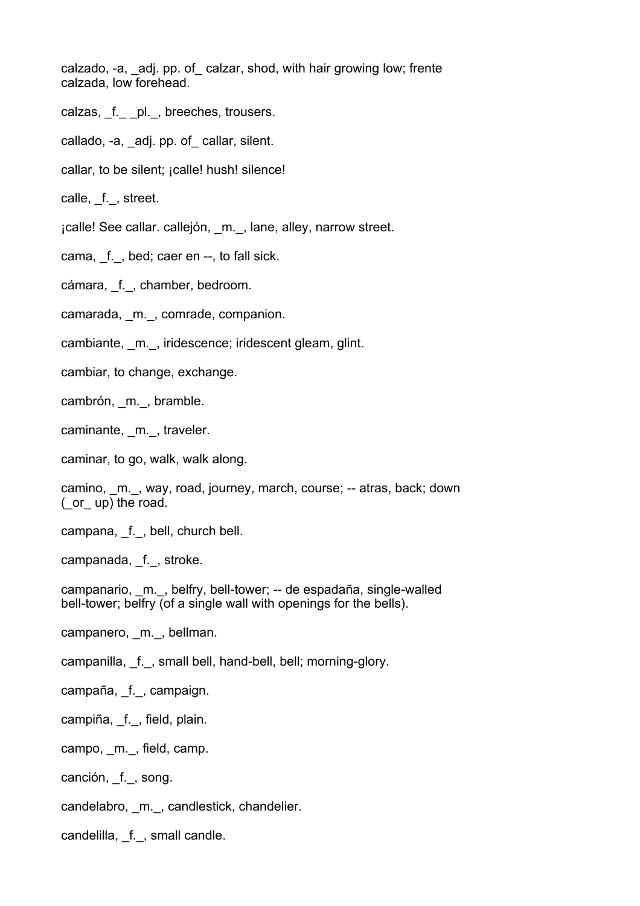calzado, -a, \_adj. pp. of\_ calzar, shod, with hair growing low; frente calzada, low forehead.

- calzas, f. pl., breeches, trousers.
- callado, -a, adj. pp. of callar, silent.
- callar, to be silent; ¡calle! hush! silence!
- calle, f., street.
- ¡calle! See callar. callejón, \_m.\_, lane, alley, narrow street.
- cama, f., bed; caer en --, to fall sick.
- cámara, \_f.\_, chamber, bedroom.
- camarada, m., comrade, companion.
- cambiante, m., iridescence; iridescent gleam, glint.
- cambiar, to change, exchange.
- cambrón, \_m.\_, bramble.
- caminante, m., traveler.
- caminar, to go, walk, walk along.
- camino, m., way, road, journey, march, course; -- atras, back; down (\_or\_ up) the road.
- campana, \_f.\_, bell, church bell.
- campanada, f., stroke.
- campanario, m., belfry, bell-tower; -- de espadaña, single-walled bell-tower; belfry (of a single wall with openings for the bells).
- campanero, m., bellman.
- campanilla, \_f.\_, small bell, hand-bell, bell; morning-glory.
- campaña, \_f.\_, campaign.
- campiña, \_f.\_, field, plain.
- campo, m., field, camp.
- canción, f., song.
- candelabro, m., candlestick, chandelier.
- candelilla, f., small candle.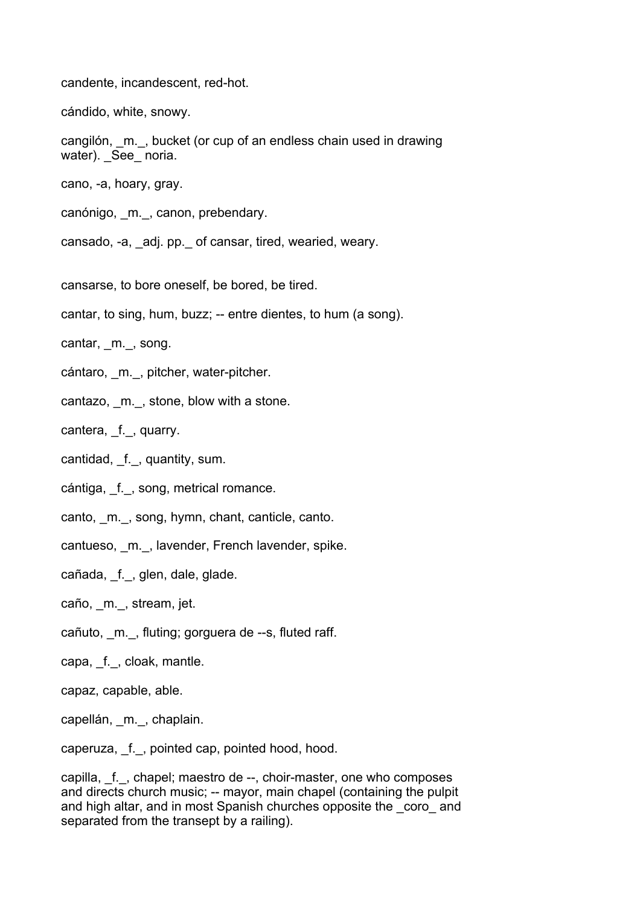candente, incandescent, red-hot.

cándido, white, snowy.

cangilón, \_m.\_, bucket (or cup of an endless chain used in drawing water). See noria.

cano, -a, hoary, gray.

canónigo, m., canon, prebendary.

cansado, -a, adj. pp. of cansar, tired, wearied, weary.

cansarse, to bore oneself, be bored, be tired.

cantar, to sing, hum, buzz; -- entre dientes, to hum (a song).

cantar, m., song.

- cántaro, m., pitcher, water-pitcher.
- cantazo, m., stone, blow with a stone.

cantera, f., quarry.

cantidad, f., quantity, sum.

cántiga, f., song, metrical romance.

canto, m., song, hymn, chant, canticle, canto.

cantueso, m., lavender, French lavender, spike.

cañada, f., glen, dale, glade.

caño, \_m.\_, stream, jet.

- cañuto, \_m.\_, fluting; gorguera de --s, fluted raff.
- capa, \_f.\_, cloak, mantle.

capaz, capable, able.

capellán, \_m.\_, chaplain.

caperuza, f., pointed cap, pointed hood, hood.

capilla, f., chapel; maestro de --, choir-master, one who composes and directs church music; -- mayor, main chapel (containing the pulpit and high altar, and in most Spanish churches opposite the coro and separated from the transept by a railing).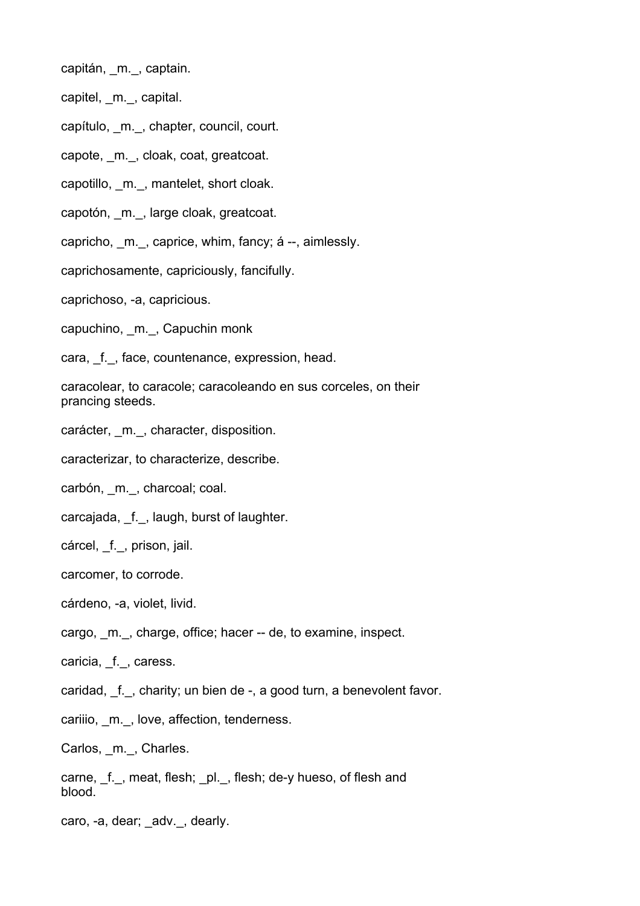capitán, m., captain.

capitel, \_m.\_, capital.

capítulo, \_m.\_, chapter, council, court.

capote, m., cloak, coat, greatcoat.

capotillo, m., mantelet, short cloak.

capotón, m., large cloak, greatcoat.

capricho, m., caprice, whim, fancy; á --, aimlessly.

caprichosamente, capriciously, fancifully.

caprichoso, -a, capricious.

capuchino, \_m.\_, Capuchin monk

cara, f., face, countenance, expression, head.

caracolear, to caracole; caracoleando en sus corceles, on their prancing steeds.

carácter, \_m.\_, character, disposition.

caracterizar, to characterize, describe.

carbón, m., charcoal; coal.

carcajada, f., laugh, burst of laughter.

## cárcel, \_f., prison, jail.

carcomer, to corrode.

cárdeno, -a, violet, livid.

cargo, \_m.\_, charge, office; hacer -- de, to examine, inspect.

caricia, f., caress.

caridad, f., charity; un bien de -, a good turn, a benevolent favor.

cariiio, \_m.\_, love, affection, tenderness.

Carlos, m., Charles.

carne, f., meat, flesh; pl., flesh; de-y hueso, of flesh and blood.

caro, -a, dear; adv., dearly.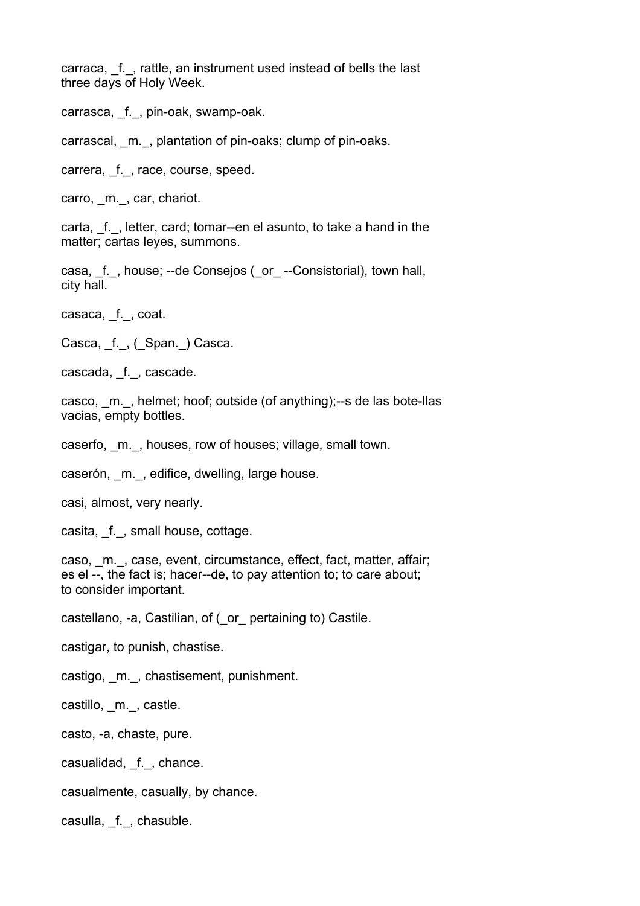carraca, f., rattle, an instrument used instead of bells the last three days of Holy Week.

carrasca, \_f.\_, pin-oak, swamp-oak.

carrascal, \_m.\_, plantation of pin-oaks; clump of pin-oaks.

carrera, \_f.\_, race, course, speed.

carro, m., car, chariot.

carta, f., letter, card; tomar--en el asunto, to take a hand in the matter; cartas leyes, summons.

casa, f., house; --de Consejos (or --Consistorial), town hall, city hall.

casaca, f., coat.

Casca, f., (Span.) Casca.

cascada, f., cascade.

casco, \_m.\_, helmet; hoof; outside (of anything);--s de las bote-llas vacias, empty bottles.

caserfo, m., houses, row of houses; village, small town.

caserón, m., edifice, dwelling, large house.

casi, almost, very nearly.

casita, f., small house, cottage.

caso, m., case, event, circumstance, effect, fact, matter, affair; es el --, the fact is; hacer--de, to pay attention to; to care about; to consider important.

castellano, -a, Castilian, of (\_or\_ pertaining to) Castile.

castigar, to punish, chastise.

castigo, m., chastisement, punishment.

castillo, m., castle.

casto, -a, chaste, pure.

casualidad, f., chance.

casualmente, casually, by chance.

casulla, f., chasuble.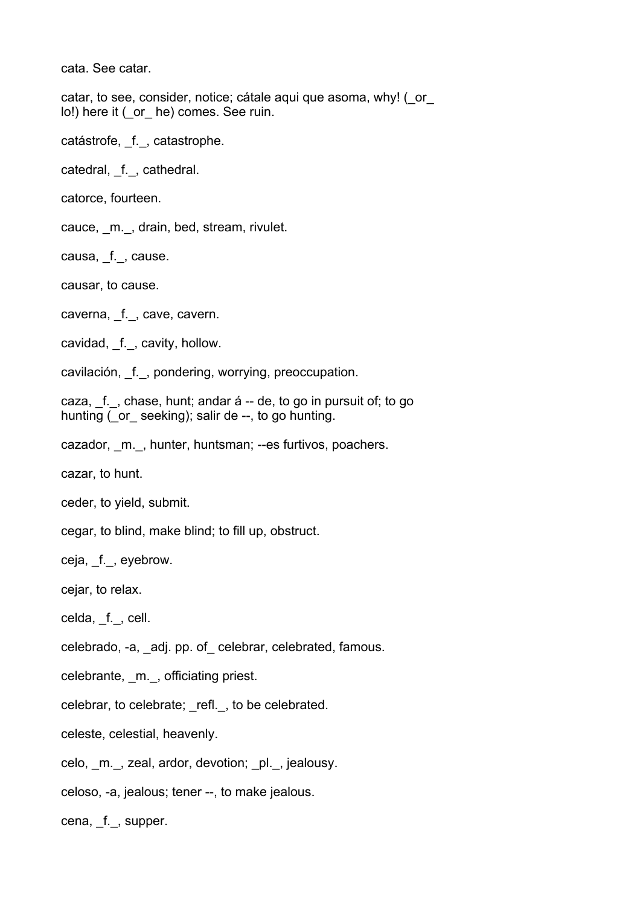cata. See catar.

catar, to see, consider, notice; cátale aqui que asoma, why! (\_or\_ lo!) here it ( or he) comes. See ruin.

catástrofe, \_f.\_, catastrophe.

catedral, \_f.\_, cathedral.

catorce, fourteen.

cauce, \_m.\_, drain, bed, stream, rivulet.

causa, f., cause.

causar, to cause.

caverna, f., cave, cavern.

cavidad, \_f.\_, cavity, hollow.

cavilación, f., pondering, worrying, preoccupation.

caza,  $f.$ , chase, hunt; andar  $\acute{a}$  -- de, to go in pursuit of; to go hunting (or seeking); salir de --, to go hunting.

cazador, m., hunter, huntsman; --es furtivos, poachers.

cazar, to hunt.

ceder, to yield, submit.

cegar, to blind, make blind; to fill up, obstruct.

ceja, f., eyebrow.

cejar, to relax.

celda, \_f.\_, cell.

celebrado, -a, \_adj. pp. of\_ celebrar, celebrated, famous.

celebrante, \_m.\_, officiating priest.

celebrar, to celebrate; refl., to be celebrated.

celeste, celestial, heavenly.

celo, m., zeal, ardor, devotion; pl., jealousy.

celoso, -a, jealous; tener --, to make jealous.

cena, f., supper.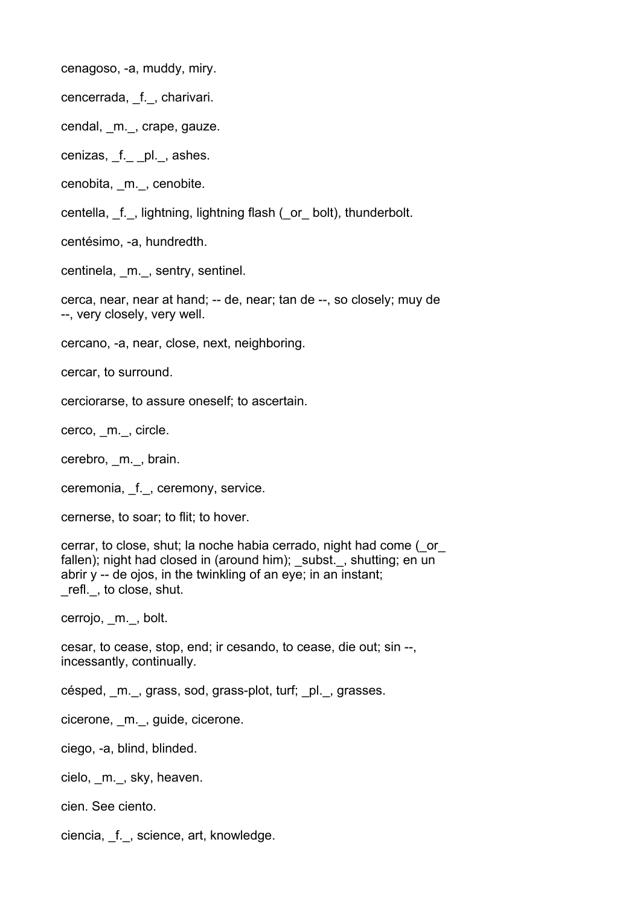cenagoso, -a, muddy, miry.

cencerrada, \_f.\_, charivari.

cendal, m., crape, gauze.

cenizas, f. pl., ashes.

cenobita, \_m.\_, cenobite.

centella, f., lightning, lightning flash (or bolt), thunderbolt.

centésimo, -a, hundredth.

centinela, \_m.\_, sentry, sentinel.

cerca, near, near at hand; -- de, near; tan de --, so closely; muy de --, very closely, very well.

cercano, -a, near, close, next, neighboring.

cercar, to surround.

cerciorarse, to assure oneself; to ascertain.

cerco, \_m.\_, circle.

cerebro, m., brain.

ceremonia, f., ceremony, service.

cernerse, to soar; to flit; to hover.

cerrar, to close, shut; la noche habia cerrado, night had come (\_or\_ fallen); night had closed in (around him); subst., shutting; en un abrir y -- de ojos, in the twinkling of an eye; in an instant; \_refl.\_, to close, shut.

cerrojo, m.\_, bolt.

cesar, to cease, stop, end; ir cesando, to cease, die out; sin --, incessantly, continually.

césped, m., grass, sod, grass-plot, turf; pl., grasses.

cicerone, \_m.\_, guide, cicerone.

ciego, -a, blind, blinded.

cielo, \_m.\_, sky, heaven.

cien. See ciento.

ciencia, \_f.\_, science, art, knowledge.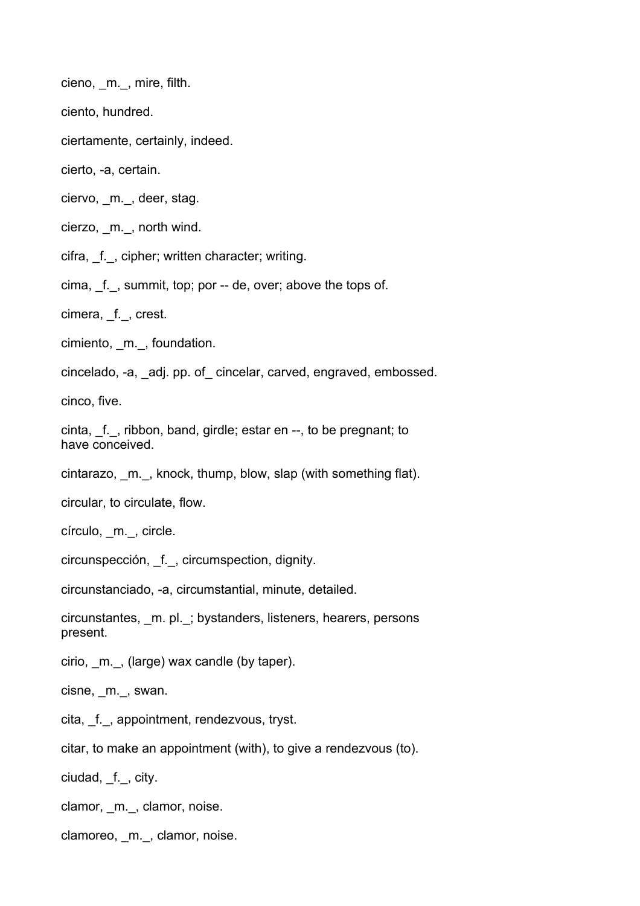cieno, \_m.\_, mire, filth.

ciento, hundred.

ciertamente, certainly, indeed.

cierto, -a, certain.

ciervo, m., deer, stag.

cierzo, \_m.\_, north wind.

cifra, f., cipher; written character; writing.

cima, f., summit, top; por -- de, over; above the tops of.

cimera, f., crest.

cimiento, \_m.\_, foundation.

cincelado, -a, \_adj. pp. of\_ cincelar, carved, engraved, embossed.

cinco, five.

cinta, \_f.\_, ribbon, band, girdle; estar en --, to be pregnant; to have conceived.

cintarazo, \_m.\_, knock, thump, blow, slap (with something flat).

circular, to circulate, flow.

círculo, \_m.\_, circle.

circunspección, \_f.\_, circumspection, dignity.

circunstanciado, -a, circumstantial, minute, detailed.

circunstantes, \_m. pl.\_; bystanders, listeners, hearers, persons present.

cirio, \_m.\_, (large) wax candle (by taper).

cisne, m., swan.

cita, \_f.\_, appointment, rendezvous, tryst.

citar, to make an appointment (with), to give a rendezvous (to).

ciudad, f., city.

clamor, m., clamor, noise.

clamoreo, \_m.\_, clamor, noise.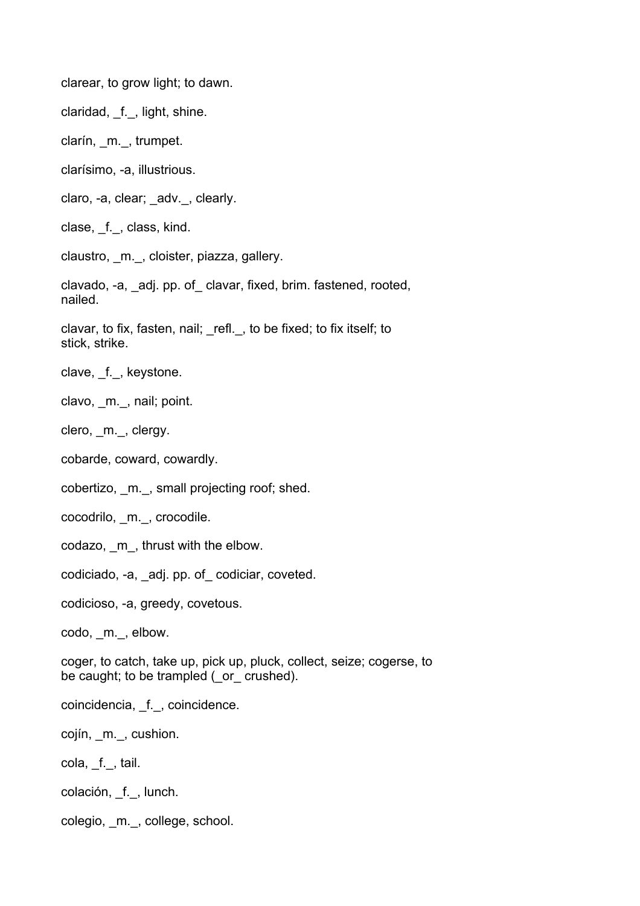clarear, to grow light; to dawn.

claridad, f., light, shine.

clarín, \_m.\_, trumpet.

clarísimo, -a, illustrious.

claro, -a, clear; adv., clearly.

clase, \_f.\_, class, kind.

claustro, m., cloister, piazza, gallery.

clavado, -a, \_adj. pp. of\_ clavar, fixed, brim. fastened, rooted, nailed.

clavar, to fix, fasten, nail; \_refl.\_, to be fixed; to fix itself; to stick, strike.

clave, f., keystone.

clavo, \_m.\_, nail; point.

clero, m., clergy.

cobarde, coward, cowardly.

cobertizo, \_m.\_, small projecting roof; shed.

cocodrilo, \_m.\_, crocodile.

codazo, \_m\_, thrust with the elbow.

codiciado, -a, \_adj. pp. of\_ codiciar, coveted.

codicioso, -a, greedy, covetous.

codo, m., elbow.

coger, to catch, take up, pick up, pluck, collect, seize; cogerse, to be caught; to be trampled ( $\sigma$  crushed).

coincidencia, \_f.\_, coincidence.

cojín, \_m.\_, cushion.

cola, f., tail.

colación, \_f.\_, lunch.

colegio, \_m.\_, college, school.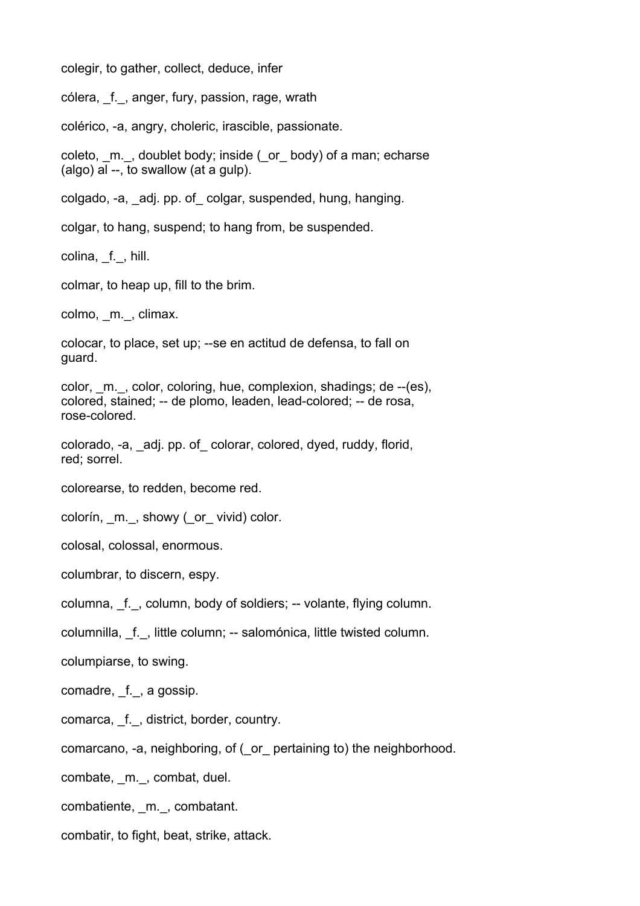colegir, to gather, collect, deduce, infer

cólera, \_f.\_, anger, fury, passion, rage, wrath

colérico, -a, angry, choleric, irascible, passionate.

coleto, m., doublet body; inside (or body) of a man; echarse (algo) al --, to swallow (at a gulp).

colgado, -a, \_adj. pp. of\_ colgar, suspended, hung, hanging.

colgar, to hang, suspend; to hang from, be suspended.

colina, f., hill.

colmar, to heap up, fill to the brim.

colmo, m., climax.

colocar, to place, set up; --se en actitud de defensa, to fall on guard.

color, \_m.\_, color, coloring, hue, complexion, shadings; de --(es), colored, stained; -- de plomo, leaden, lead-colored; -- de rosa, rose-colored.

colorado, -a, \_adj. pp. of\_ colorar, colored, dyed, ruddy, florid, red; sorrel.

colorearse, to redden, become red.

colorín, m., showy (or vivid) color.

colosal, colossal, enormous.

columbrar, to discern, espy.

columna, f., column, body of soldiers; -- volante, flying column.

columnilla, \_f.\_, little column; -- salomónica, little twisted column.

columpiarse, to swing.

comadre, f., a gossip.

- comarca, \_f.\_, district, border, country.
- comarcano, -a, neighboring, of (\_or\_ pertaining to) the neighborhood.

combate, \_m.\_, combat, duel.

combatiente, \_m.\_, combatant.

combatir, to fight, beat, strike, attack.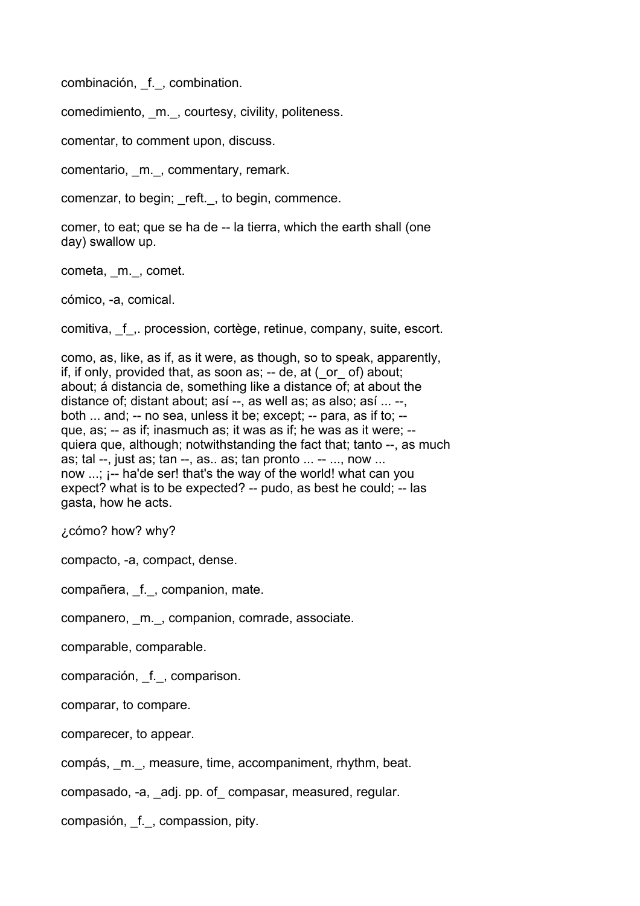combinación, \_f.\_, combination.

comedimiento, \_m.\_, courtesy, civility, politeness.

comentar, to comment upon, discuss.

comentario, \_m.\_, commentary, remark.

comenzar, to begin; reft., to begin, commence.

comer, to eat; que se ha de -- la tierra, which the earth shall (one day) swallow up.

cometa, \_m. , comet.

cómico, -a, comical.

comitiva, \_f\_,. procession, cortège, retinue, company, suite, escort.

como, as, like, as if, as it were, as though, so to speak, apparently, if, if only, provided that, as soon as;  $-$  de, at ( $\sigma$  of) about; about; á distancia de, something like a distance of; at about the distance of; distant about; así --, as well as; as also; así ... --, both ... and; -- no sea, unless it be; except; -- para, as if to; - que, as; -- as if; inasmuch as; it was as if; he was as it were; - quiera que, although; notwithstanding the fact that; tanto --, as much as; tal --, just as; tan --, as.. as; tan pronto ... -- ..., now ... now ...; ¡-- ha'de ser! that's the way of the world! what can you expect? what is to be expected? -- pudo, as best he could; -- las gasta, how he acts.

¿cómo? how? why?

compacto, -a, compact, dense.

compañera, \_f.\_, companion, mate.

companero, \_m.\_, companion, comrade, associate.

comparable, comparable.

comparación, \_f.\_, comparison.

comparar, to compare.

comparecer, to appear.

compás, \_m.\_, measure, time, accompaniment, rhythm, beat.

compasado, -a, \_adj. pp. of\_ compasar, measured, regular.

compasión, \_f.\_, compassion, pity.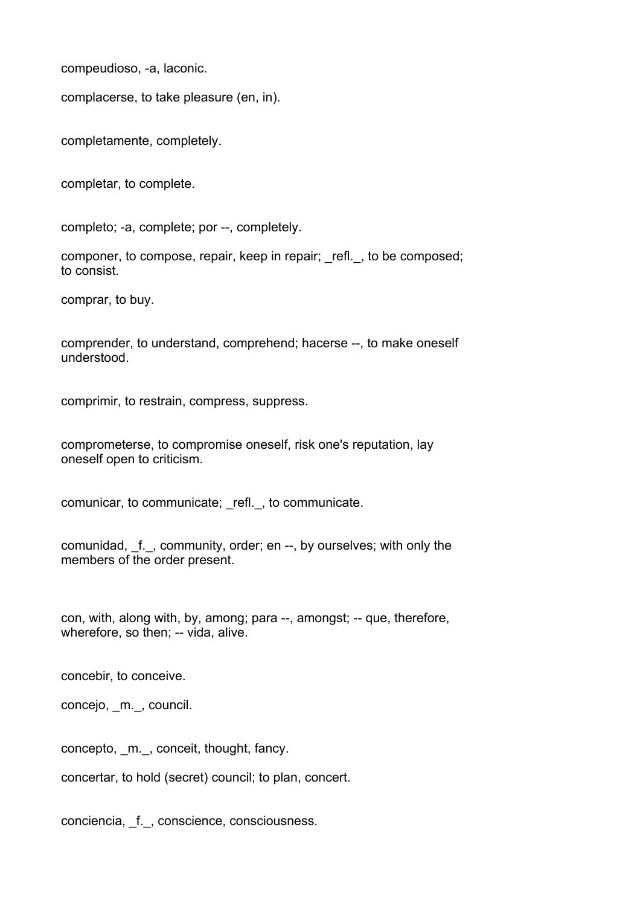compeudioso, -a, laconic.

complacerse, to take pleasure (en, in).

completamente, completely.

completar, to complete.

completo; -a, complete; por --, completely.

componer, to compose, repair, keep in repair; refl., to be composed; to consist.

comprar, to buy.

comprender, to understand, comprehend; hacerse --, to make oneself understood.

comprimir, to restrain, compress, suppress.

comprometerse, to compromise oneself, risk one's reputation, lay oneself open to criticism.

comunicar, to communicate; refl., to communicate.

comunidad, f., community, order; en --, by ourselves; with only the members of the order present.

con, with, along with, by, among; para --, amongst; -- que, therefore, wherefore, so then; -- vida, alive.

concebir, to conceive.

concejo, \_m.\_, council.

concepto, \_m.\_, conceit, thought, fancy.

concertar, to hold (secret) council; to plan, concert.

conciencia, \_f.\_, conscience, consciousness.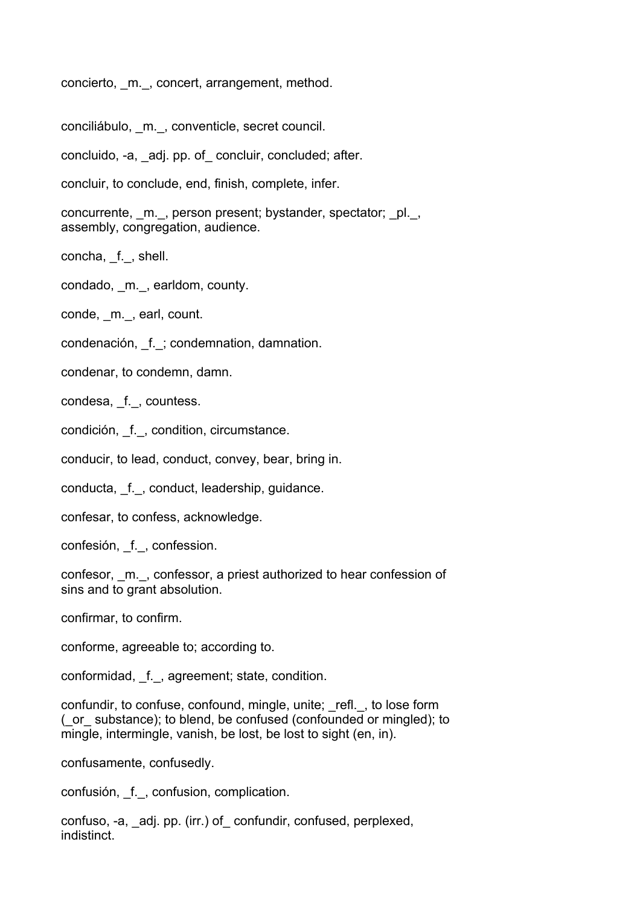concierto, \_m.\_, concert, arrangement, method.

conciliábulo, \_m.\_, conventicle, secret council.

concluido, -a, \_adj. pp. of\_ concluir, concluded; after.

concluir, to conclude, end, finish, complete, infer.

concurrente, m., person present; bystander, spectator; pl., assembly, congregation, audience.

concha, \_f.\_, shell.

condado, \_m.\_, earldom, county.

conde, m., earl, count.

condenación, \_f.\_; condemnation, damnation.

condenar, to condemn, damn.

condesa, \_f.\_, countess.

condición, \_f.\_, condition, circumstance.

conducir, to lead, conduct, convey, bear, bring in.

conducta, f., conduct, leadership, guidance.

confesar, to confess, acknowledge.

confesión, \_f.\_, confession.

confesor, \_m.\_, confessor, a priest authorized to hear confession of sins and to grant absolution.

confirmar, to confirm.

conforme, agreeable to; according to.

conformidad, \_f.\_, agreement; state, condition.

confundir, to confuse, confound, mingle, unite; refl., to lose form (\_or\_ substance); to blend, be confused (confounded or mingled); to mingle, intermingle, vanish, be lost, be lost to sight (en, in).

confusamente, confusedly.

confusión, \_f.\_, confusion, complication.

confuso, -a, \_adj. pp. (irr.) of\_ confundir, confused, perplexed, indistinct.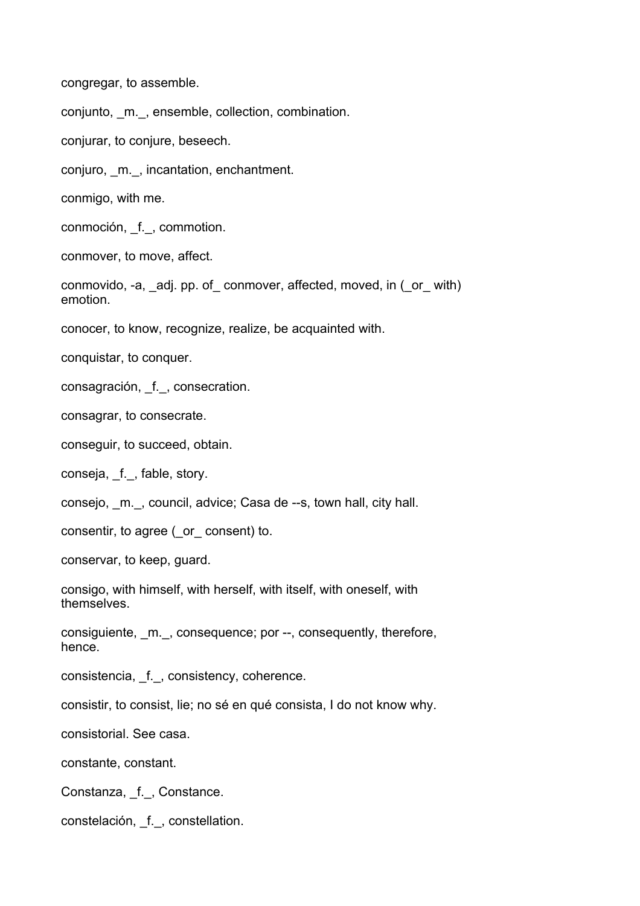congregar, to assemble.

conjunto, \_m.\_, ensemble, collection, combination.

conjurar, to conjure, beseech.

conjuro, \_m.\_, incantation, enchantment.

conmigo, with me.

conmoción, \_f.\_, commotion.

conmover, to move, affect.

conmovido, -a, adj. pp. of conmover, affected, moved, in ( or with) emotion.

conocer, to know, recognize, realize, be acquainted with.

conquistar, to conquer.

consagración, \_f.\_, consecration.

consagrar, to consecrate.

conseguir, to succeed, obtain.

conseja, \_f.\_, fable, story.

consejo, \_m.\_, council, advice; Casa de --s, town hall, city hall.

consentir, to agree (\_or\_ consent) to.

conservar, to keep, guard.

consigo, with himself, with herself, with itself, with oneself, with themselves.

consiguiente, \_m.\_, consequence; por --, consequently, therefore, hence.

consistencia, f., consistency, coherence.

consistir, to consist, lie; no sé en qué consista, I do not know why.

consistorial. See casa.

constante, constant.

Constanza, \_f.\_, Constance.

constelación, \_f.\_, constellation.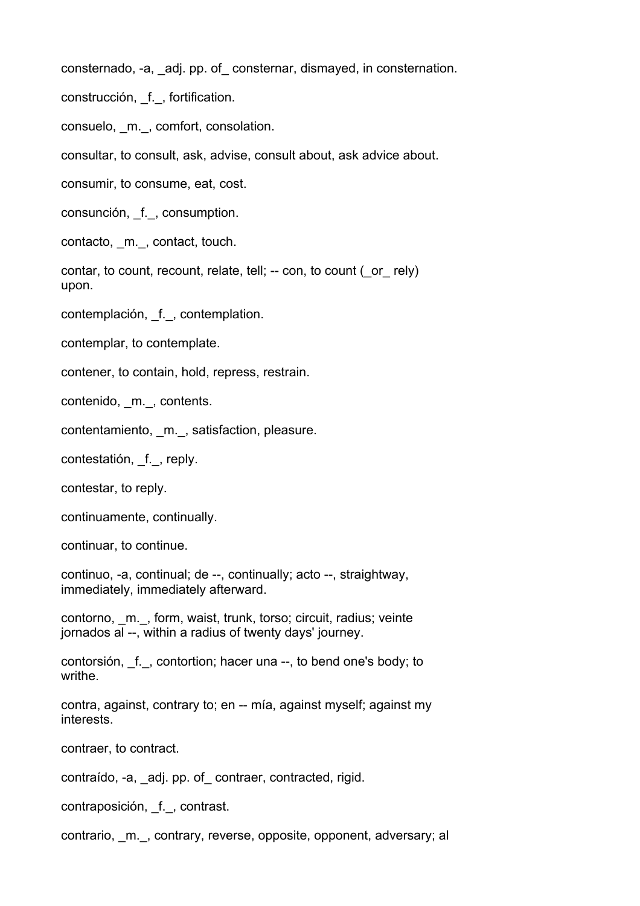consternado, -a, \_adj. pp. of\_ consternar, dismayed, in consternation.

construcción, f., fortification.

consuelo, \_m.\_, comfort, consolation.

consultar, to consult, ask, advise, consult about, ask advice about.

consumir, to consume, eat, cost.

consunción, \_f.\_, consumption.

contacto, m., contact, touch.

contar, to count, recount, relate, tell; -- con, to count ( or rely) upon.

contemplación, f., contemplation.

contemplar, to contemplate.

contener, to contain, hold, repress, restrain.

contenido, \_m.\_, contents.

contentamiento, m., satisfaction, pleasure.

contestatión, f., replv.

contestar, to reply.

continuamente, continually.

continuar, to continue.

continuo, -a, continual; de --, continually; acto --, straightway, immediately, immediately afterward.

contorno, m., form, waist, trunk, torso; circuit, radius; veinte jornados al --, within a radius of twenty days' journey.

contorsión, \_f.\_, contortion; hacer una --, to bend one's body; to writhe.

contra, against, contrary to; en -- mía, against myself; against my interests.

contraer, to contract.

contraído, -a, \_adj. pp. of\_ contraer, contracted, rigid.

contraposición, \_f.\_, contrast.

contrario, m., contrary, reverse, opposite, opponent, adversary; al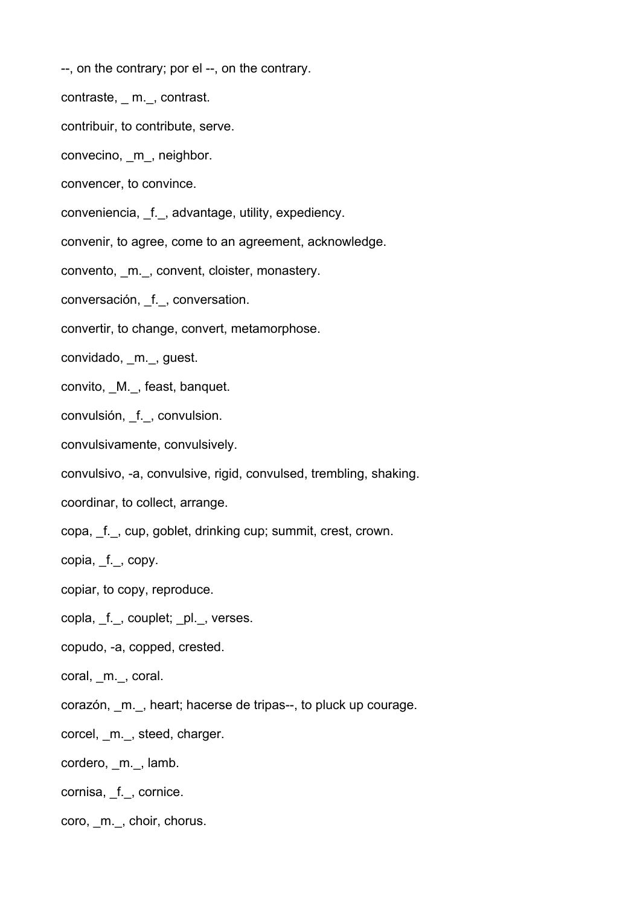- --, on the contrary; por el --, on the contrary.
- contraste, \_ m.\_, contrast.
- contribuir, to contribute, serve.
- convecino, \_m\_, neighbor.
- convencer, to convince.
- conveniencia, \_f.\_, advantage, utility, expediency.
- convenir, to agree, come to an agreement, acknowledge.
- convento, m., convent, cloister, monastery.
- conversación, \_f.\_, conversation.
- convertir, to change, convert, metamorphose.
- convidado, \_m.\_, guest.
- convito, \_M.\_, feast, banquet.
- convulsión, \_f.\_, convulsion.
- convulsivamente, convulsively.
- convulsivo, -a, convulsive, rigid, convulsed, trembling, shaking.
- coordinar, to collect, arrange.
- copa, \_f.\_, cup, goblet, drinking cup; summit, crest, crown.
- copia, f., copy.
- copiar, to copy, reproduce.
- copla, f., couplet; \_pl.\_, verses.
- copudo, -a, copped, crested.
- coral, m., coral.
- corazón, \_m.\_, heart; hacerse de tripas--, to pluck up courage.
- corcel, \_m.\_, steed, charger.
- cordero, m., lamb.
- cornisa, \_f.\_, cornice.
- coro, \_m.\_, choir, chorus.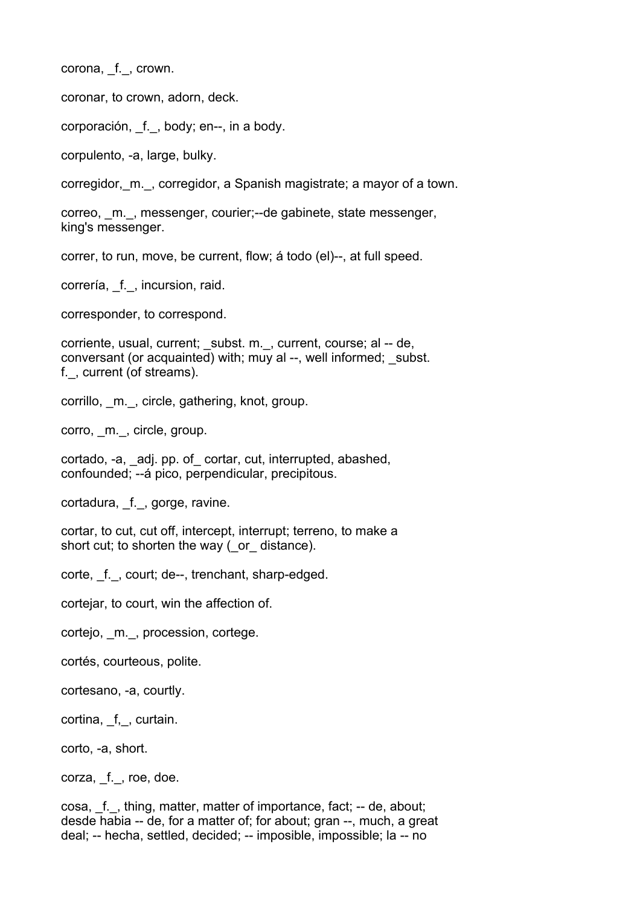corona, \_f.\_, crown.

coronar, to crown, adorn, deck.

corporación, \_f. , body; en--, in a body.

corpulento, -a, large, bulky.

corregidor,\_m.\_, corregidor, a Spanish magistrate; a mayor of a town.

correo, \_m.\_, messenger, courier;--de gabinete, state messenger, king's messenger.

correr, to run, move, be current, flow; á todo (el)--, at full speed.

correría, \_f.\_, incursion, raid.

corresponder, to correspond.

corriente, usual, current; \_subst. m.\_, current, course; al -- de, conversant (or acquainted) with; muy al --, well informed; subst. f.\_, current (of streams).

corrillo, \_m.\_, circle, gathering, knot, group.

corro, m.<sub>,</sub> circle, group.

cortado, -a, adj. pp. of cortar, cut, interrupted, abashed, confounded; --á pico, perpendicular, precipitous.

cortadura, \_f.\_, gorge, ravine.

cortar, to cut, cut off, intercept, interrupt; terreno, to make a short cut; to shorten the way (or distance).

corte, f., court; de--, trenchant, sharp-edged.

cortejar, to court, win the affection of.

cortejo, m., procession, cortege.

cortés, courteous, polite.

cortesano, -a, courtly.

cortina, f, curtain.

corto, -a, short.

corza, f., roe, doe.

cosa, \_f.\_, thing, matter, matter of importance, fact; -- de, about; desde habia -- de, for a matter of; for about; gran --, much, a great deal; -- hecha, settled, decided; -- imposible, impossible; la -- no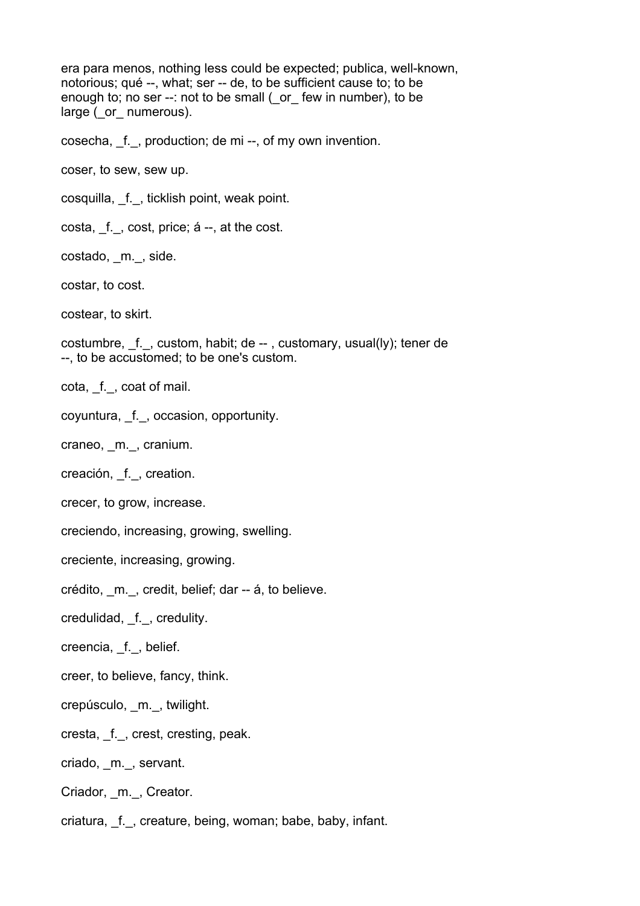era para menos, nothing less could be expected; publica, well-known, notorious; qué --, what; ser -- de, to be sufficient cause to; to be enough to; no ser --: not to be small ( or few in number), to be large ( or \_ numerous).

cosecha, f., production; de mi --, of my own invention.

coser, to sew, sew up.

cosquilla, \_f.\_, ticklish point, weak point.

costa, \_f.\_, cost, price; á --, at the cost.

costado, \_m.\_, side.

costar, to cost.

costear, to skirt.

costumbre, \_f.\_, custom, habit; de -- , customary, usual(ly); tener de --, to be accustomed; to be one's custom.

cota, \_f.\_, coat of mail.

coyuntura, \_f.\_, occasion, opportunity.

craneo, \_m.\_, cranium.

creación, \_f.\_, creation.

crecer, to grow, increase.

creciendo, increasing, growing, swelling.

creciente, increasing, growing.

crédito, \_m.\_, credit, belief; dar -- á, to believe.

credulidad, \_f.\_, credulity.

creencia, f., belief.

creer, to believe, fancy, think.

crepúsculo, \_m.\_, twilight.

cresta, \_f.\_, crest, cresting, peak.

criado, \_m.\_, servant.

Criador, \_m.\_, Creator.

criatura, f., creature, being, woman; babe, baby, infant.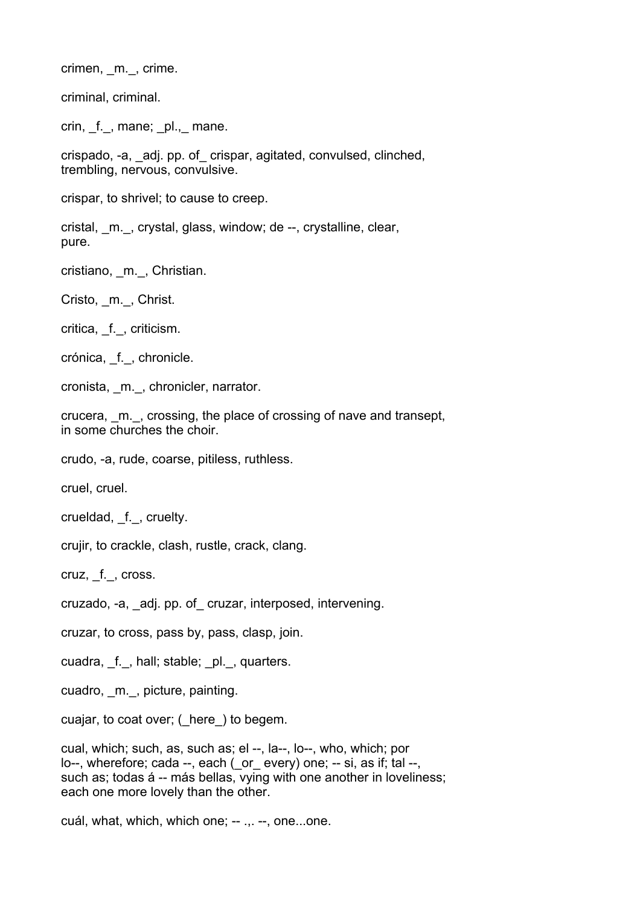crimen, m., crime.

criminal, criminal.

crin, f., mane; pl., mane.

crispado, -a, \_adj. pp. of\_ crispar, agitated, convulsed, clinched, trembling, nervous, convulsive.

crispar, to shrivel; to cause to creep.

cristal, \_m.\_, crystal, glass, window; de --, crystalline, clear, pure.

cristiano, \_m.\_, Christian.

Cristo, m., Christ.

critica, \_f.\_, criticism.

crónica, \_f.\_, chronicle.

cronista, m., chronicler, narrator.

crucera, \_m.\_, crossing, the place of crossing of nave and transept, in some churches the choir.

crudo, -a, rude, coarse, pitiless, ruthless.

cruel, cruel.

crueldad, f., cruelty.

crujir, to crackle, clash, rustle, crack, clang.

cruz, \_f.\_, cross.

cruzado, -a, \_adj. pp. of\_ cruzar, interposed, intervening.

cruzar, to cross, pass by, pass, clasp, join.

cuadra, f., hall; stable; pl., quarters.

cuadro, m., picture, painting.

cuajar, to coat over; (\_here\_) to begem.

cual, which; such, as, such as; el --, la--, lo--, who, which; por lo--, wherefore; cada --, each ( or every) one; -- si, as if; tal --, such as; todas á -- más bellas, vying with one another in loveliness; each one more lovely than the other.

cuál, what, which, which one; -- .,. --, one...one.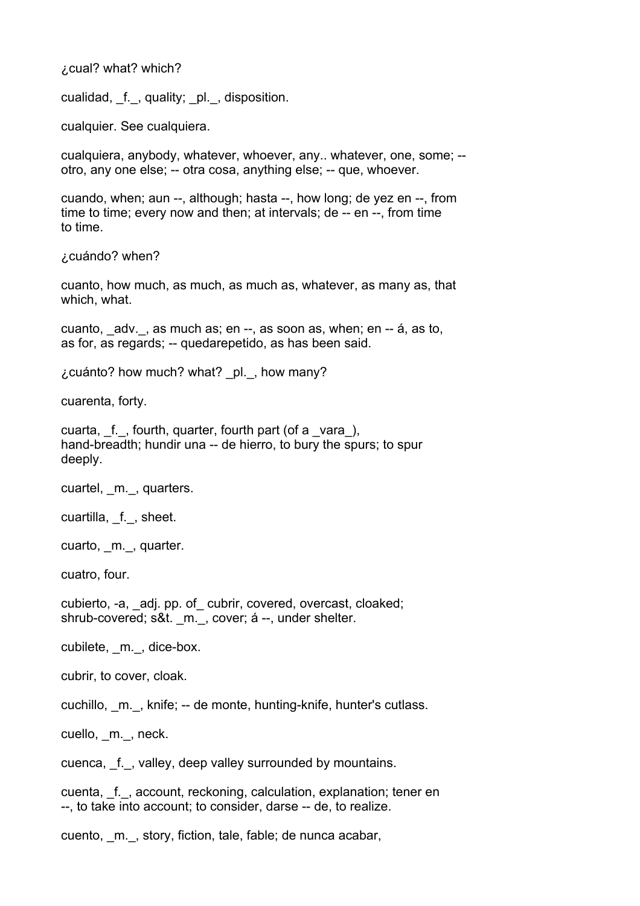¿cual? what? which?

cualidad, \_f.\_, quality; \_pl.\_, disposition.

cualquier. See cualquiera.

cualquiera, anybody, whatever, whoever, any.. whatever, one, some; - otro, any one else; -- otra cosa, anything else; -- que, whoever.

cuando, when; aun --, although; hasta --, how long; de yez en --, from time to time; every now and then; at intervals; de -- en --, from time to time.

¿cuándo? when?

cuanto, how much, as much, as much as, whatever, as many as, that which, what.

cuanto, \_adv.\_, as much as; en --, as soon as, when; en -- á, as to, as for, as regards; -- quedarepetido, as has been said.

¿cuánto? how much? what? \_pl.\_, how many?

cuarenta, forty.

cuarta, f., fourth, quarter, fourth part (of a vara), hand-breadth; hundir una -- de hierro, to bury the spurs; to spur deeply.

cuartel, m., quarters.

cuartilla, f., sheet.

cuarto, \_m.\_, quarter.

cuatro, four.

cubierto, -a, \_adj. pp. of\_ cubrir, covered, overcast, cloaked; shrub-covered; s&t. m., cover; á --, under shelter.

cubilete, m., dice-box.

cubrir, to cover, cloak.

cuchillo, \_m.\_, knife; -- de monte, hunting-knife, hunter's cutlass.

cuello, m., neck.

cuenca, f., valley, deep valley surrounded by mountains.

cuenta, f., account, reckoning, calculation, explanation; tener en --, to take into account; to consider, darse -- de, to realize.

cuento, \_m.\_, story, fiction, tale, fable; de nunca acabar,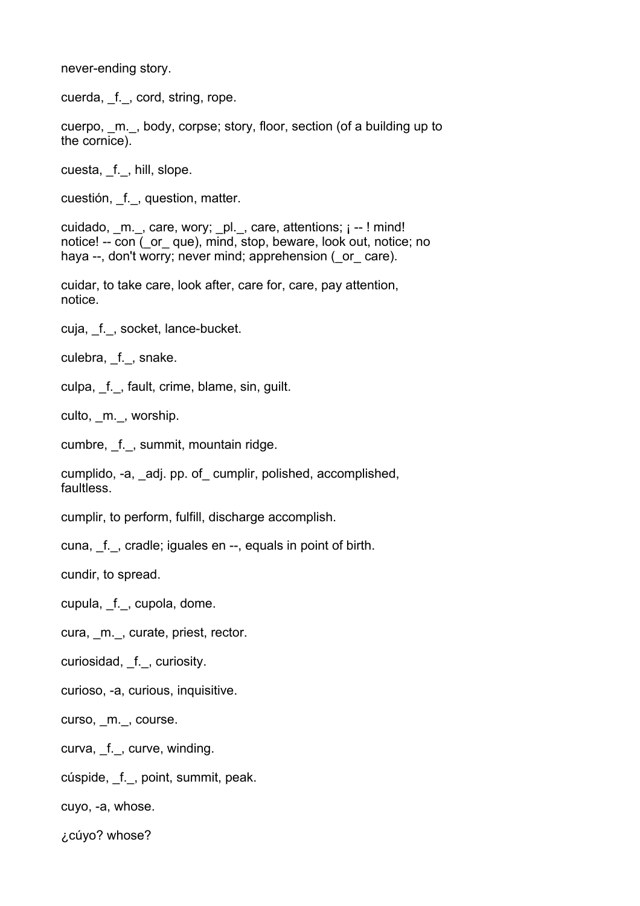never-ending story.

cuerda, f., cord, string, rope.

cuerpo, m., body, corpse; story, floor, section (of a building up to the cornice).

cuesta, \_f.\_, hill, slope.

cuestión, f., question, matter.

cuidado, \_m.\_, care, wory; \_pl.\_, care, attentions; ¡ -- ! mind! notice! -- con ( or que), mind, stop, beware, look out, notice; no haya --, don't worry; never mind; apprehension ( or care).

cuidar, to take care, look after, care for, care, pay attention, notice.

cuja, f., socket, lance-bucket.

culebra, f., snake.

culpa, f., fault, crime, blame, sin, guilt.

culto, m., worship.

cumbre, f., summit, mountain ridge.

cumplido, -a, \_adj. pp. of\_ cumplir, polished, accomplished, faultless.

cumplir, to perform, fulfill, discharge accomplish.

cuna, f., cradle; iguales en --, equals in point of birth.

cundir, to spread.

cupula, \_f.\_, cupola, dome.

cura, m., curate, priest, rector.

curiosidad, \_f.\_, curiosity.

curioso, -a, curious, inquisitive.

curso, m., course.

curva, f., curve, winding.

cúspide, \_f.\_, point, summit, peak.

cuyo, -a, whose.

¿cúyo? whose?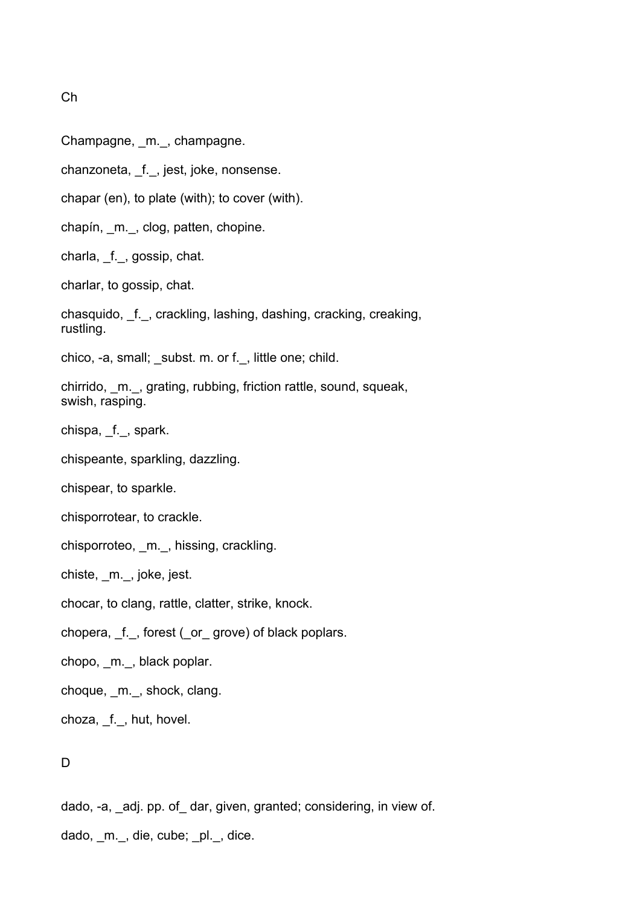Ch

- Champagne, m., champagne.
- chanzoneta, \_f.\_, jest, joke, nonsense.
- chapar (en), to plate (with); to cover (with).
- chapín, \_m.\_, clog, patten, chopine.
- charla, \_f.\_, gossip, chat.
- charlar, to gossip, chat.
- chasquido, \_f.\_, crackling, lashing, dashing, cracking, creaking, rustling.
- chico, -a, small; \_subst. m. or f.\_, little one; child.
- chirrido, \_m.\_, grating, rubbing, friction rattle, sound, squeak, swish, rasping.
- chispa, f., spark.
- chispeante, sparkling, dazzling.
- chispear, to sparkle.
- chisporrotear, to crackle.
- chisporroteo, \_m.\_, hissing, crackling.
- chiste, \_m.\_, joke, jest.
- chocar, to clang, rattle, clatter, strike, knock.
- chopera, f., forest (or grove) of black poplars.
- chopo, \_m.\_, black poplar.
- choque, \_m.\_, shock, clang.
- choza, \_f.\_, hut, hovel.

## D

- dado, -a, adj. pp. of dar, given, granted; considering, in view of.
- dado, m., die, cube; pl., dice.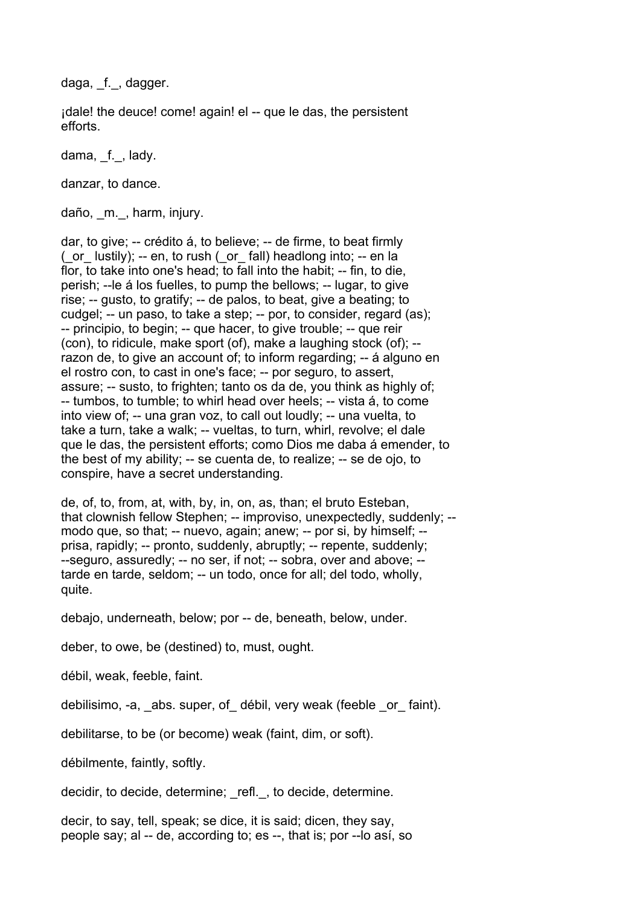daga, f., dagger.

¡dale! the deuce! come! again! el -- que le das, the persistent efforts.

dama, f., lady.

danzar, to dance.

daño, \_m.\_, harm, injury.

dar, to give; -- crédito á, to believe; -- de firme, to beat firmly  $($  or lustily); -- en, to rush  $($  or fall) headlong into; -- en la flor, to take into one's head; to fall into the habit; -- fin, to die, perish; --le á los fuelles, to pump the bellows; -- lugar, to give rise; -- gusto, to gratify; -- de palos, to beat, give a beating; to cudgel; -- un paso, to take a step; -- por, to consider, regard (as); -- principio, to begin; -- que hacer, to give trouble; -- que reir (con), to ridicule, make sport (of), make a laughing stock (of); - razon de, to give an account of; to inform regarding; -- á alguno en el rostro con, to cast in one's face; -- por seguro, to assert, assure; -- susto, to frighten; tanto os da de, you think as highly of; -- tumbos, to tumble; to whirl head over heels; -- vista á, to come into view of; -- una gran voz, to call out loudly; -- una vuelta, to take a turn, take a walk; -- vueltas, to turn, whirl, revolve; el dale que le das, the persistent efforts; como Dios me daba á emender, to the best of my ability; -- se cuenta de, to realize; -- se de ojo, to conspire, have a secret understanding.

de, of, to, from, at, with, by, in, on, as, than; el bruto Esteban, that clownish fellow Stephen; -- improviso, unexpectedly, suddenly; - modo que, so that; -- nuevo, again; anew; -- por si, by himself; - prisa, rapidly; -- pronto, suddenly, abruptly; -- repente, suddenly; --seguro, assuredly; -- no ser, if not; -- sobra, over and above; - tarde en tarde, seldom; -- un todo, once for all; del todo, wholly, quite.

debajo, underneath, below; por -- de, beneath, below, under.

deber, to owe, be (destined) to, must, ought.

débil, weak, feeble, faint.

debilisimo, -a, abs. super, of débil, very weak (feeble or faint).

debilitarse, to be (or become) weak (faint, dim, or soft).

débilmente, faintly, softly.

decidir, to decide, determine; refl., to decide, determine.

decir, to say, tell, speak; se dice, it is said; dicen, they say, people say; al -- de, according to; es --, that is; por --lo así, so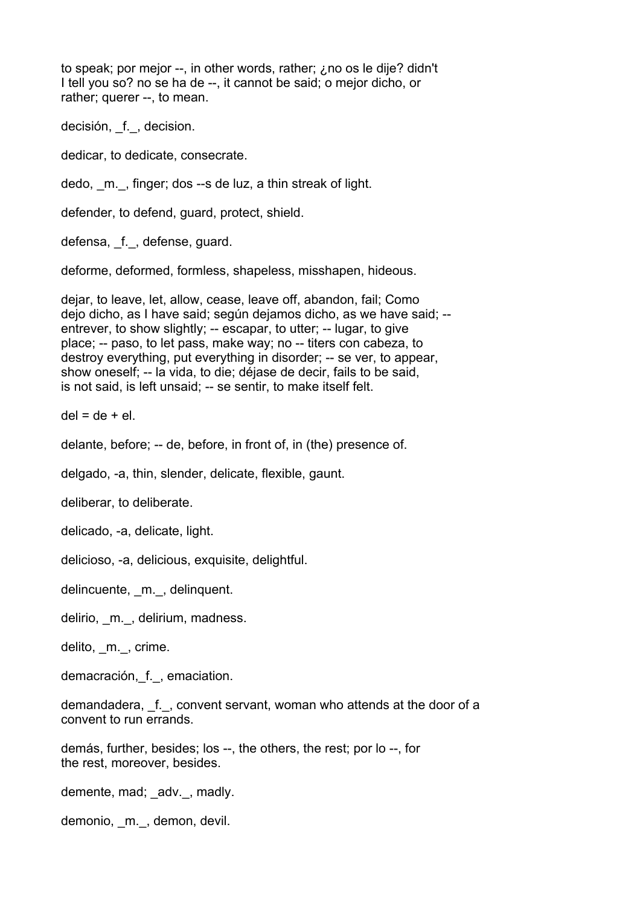to speak; por mejor --, in other words, rather; ¿no os le dije? didn't I tell you so? no se ha de --, it cannot be said; o mejor dicho, or rather; querer --, to mean.

decisión, f., decision.

dedicar, to dedicate, consecrate.

dedo, \_m.\_, finger; dos --s de luz, a thin streak of light.

defender, to defend, guard, protect, shield.

defensa, f., defense, quard.

deforme, deformed, formless, shapeless, misshapen, hideous.

dejar, to leave, let, allow, cease, leave off, abandon, fail; Como dejo dicho, as I have said; según dejamos dicho, as we have said; - entrever, to show slightly; -- escapar, to utter; -- lugar, to give place; -- paso, to let pass, make way; no -- titers con cabeza, to destroy everything, put everything in disorder; -- se ver, to appear, show oneself; -- la vida, to die; déjase de decir, fails to be said, is not said, is left unsaid; -- se sentir, to make itself felt.

 $del = de + el.$ 

delante, before; -- de, before, in front of, in (the) presence of.

delgado, -a, thin, slender, delicate, flexible, gaunt.

deliberar, to deliberate.

delicado, -a, delicate, light.

delicioso, -a, delicious, exquisite, delightful.

delincuente, m., delinquent.

delirio, m., delirium, madness.

delito, m., crime.

demacración,\_f.\_, emaciation.

demandadera, f., convent servant, woman who attends at the door of a convent to run errands.

demás, further, besides; los --, the others, the rest; por lo --, for the rest, moreover, besides.

demente, mad; \_adv.\_, madly.

demonio, m., demon, devil.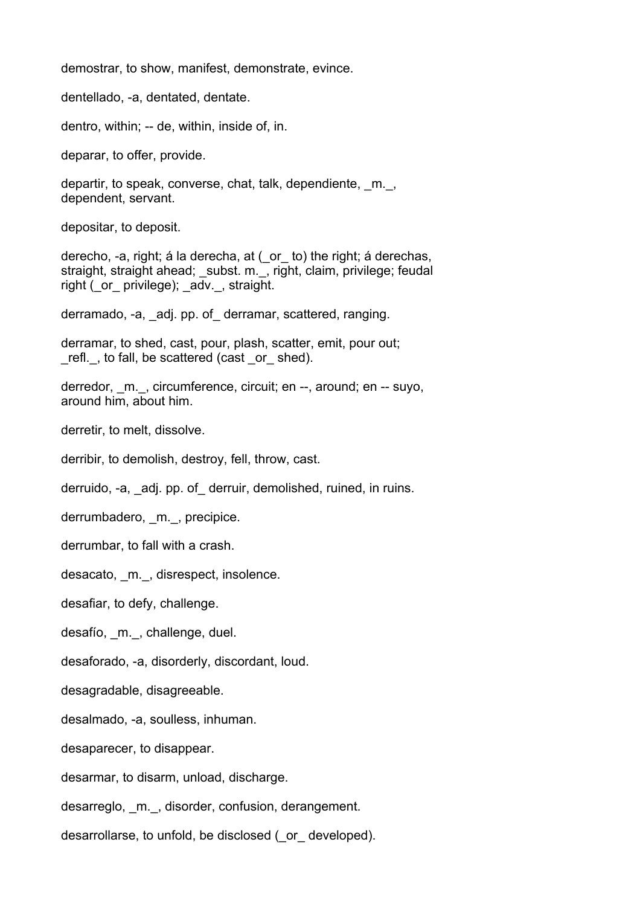demostrar, to show, manifest, demonstrate, evince.

dentellado, -a, dentated, dentate.

dentro, within; -- de, within, inside of, in.

deparar, to offer, provide.

departir, to speak, converse, chat, talk, dependiente, \_m.\_, dependent, servant.

depositar, to deposit.

derecho, -a, right; á la derecha, at (\_or\_ to) the right; á derechas, straight, straight ahead; \_subst. m.\_, right, claim, privilege; feudal right ( or privilege); adv., straight.

derramado, -a, adj. pp. of derramar, scattered, ranging.

derramar, to shed, cast, pour, plash, scatter, emit, pour out; refl., to fall, be scattered (cast or shed).

derredor, m., circumference, circuit; en --, around; en -- suyo, around him, about him.

derretir, to melt, dissolve.

derribir, to demolish, destroy, fell, throw, cast.

derruido, -a, adj. pp. of derruir, demolished, ruined, in ruins.

derrumbadero, m., precipice.

derrumbar, to fall with a crash.

desacato, m., disrespect, insolence.

desafiar, to defy, challenge.

desafío, \_m.\_, challenge, duel.

desaforado, -a, disorderly, discordant, loud.

desagradable, disagreeable.

desalmado, -a, soulless, inhuman.

desaparecer, to disappear.

desarmar, to disarm, unload, discharge.

desarreglo, \_m.\_, disorder, confusion, derangement.

desarrollarse, to unfold, be disclosed ( or developed).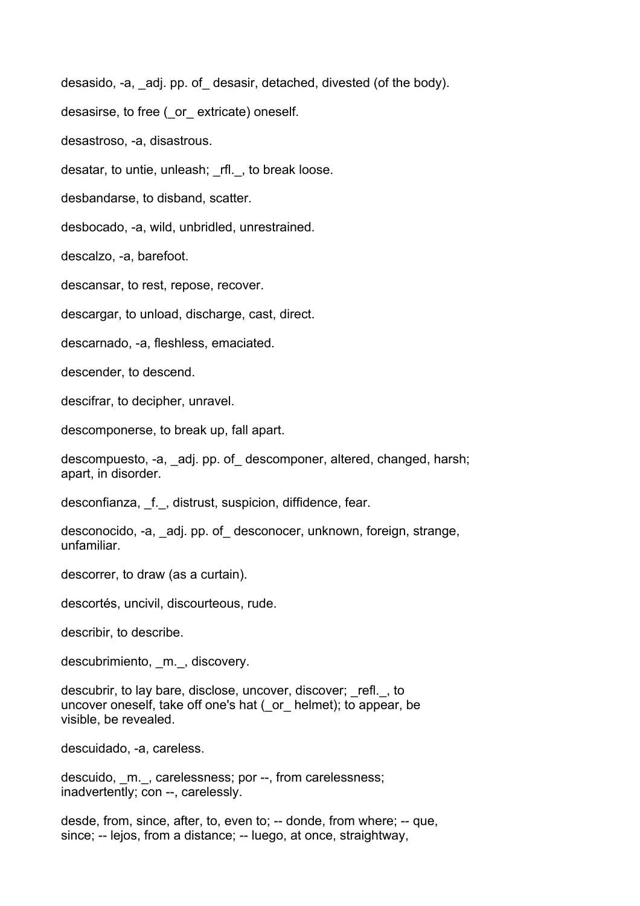desasido, -a, adj. pp. of desasir, detached, divested (of the body).

desasirse, to free ( or extricate) oneself.

desastroso, -a, disastrous.

desatar, to untie, unleash; \_rfl.\_, to break loose.

desbandarse, to disband, scatter.

desbocado, -a, wild, unbridled, unrestrained.

descalzo, -a, barefoot.

descansar, to rest, repose, recover.

descargar, to unload, discharge, cast, direct.

descarnado, -a, fleshless, emaciated.

descender, to descend.

descifrar, to decipher, unravel.

descomponerse, to break up, fall apart.

descompuesto, -a, adj. pp. of descomponer, altered, changed, harsh; apart, in disorder.

desconfianza, f., distrust, suspicion, diffidence, fear.

desconocido, -a, \_adj. pp. of\_ desconocer, unknown, foreign, strange, unfamiliar.

descorrer, to draw (as a curtain).

descortés, uncivil, discourteous, rude.

describir, to describe.

descubrimiento, m., discovery.

descubrir, to lay bare, disclose, uncover, discover; \_refl.\_, to uncover oneself, take off one's hat (\_or\_ helmet); to appear, be visible, be revealed.

descuidado, -a, careless.

descuido, m., carelessness; por --, from carelessness; inadvertently; con --, carelessly.

desde, from, since, after, to, even to; -- donde, from where; -- que, since; -- lejos, from a distance; -- luego, at once, straightway,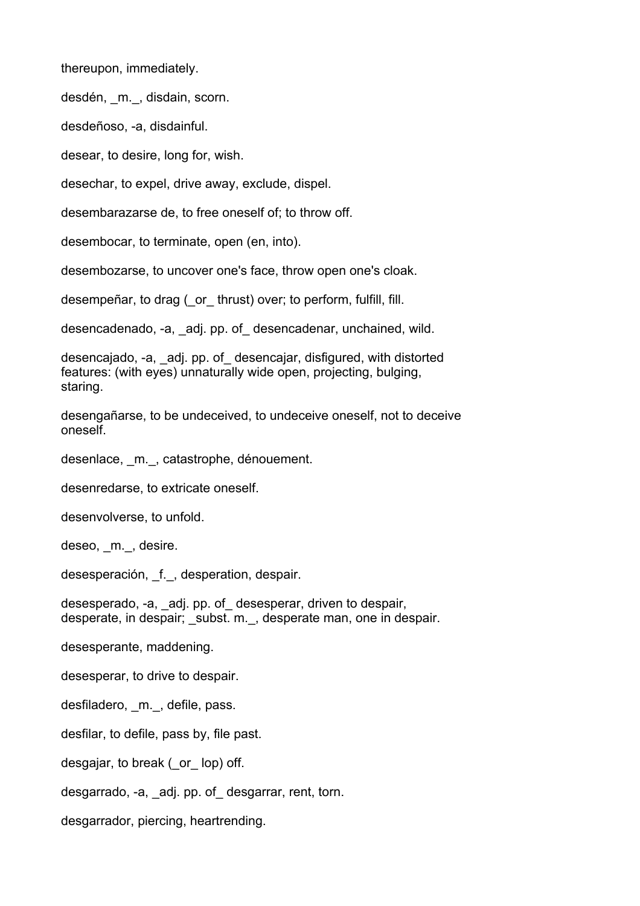thereupon, immediately.

desdén, m., disdain, scorn.

desdeñoso, -a, disdainful.

desear, to desire, long for, wish.

desechar, to expel, drive away, exclude, dispel.

desembarazarse de, to free oneself of; to throw off.

desembocar, to terminate, open (en, into).

desembozarse, to uncover one's face, throw open one's cloak.

desempeñar, to drag (\_or\_ thrust) over; to perform, fulfill, fill.

desencadenado, -a, adj. pp. of desencadenar, unchained, wild.

desencajado, -a, \_adj. pp. of\_ desencajar, disfigured, with distorted features: (with eyes) unnaturally wide open, projecting, bulging, staring.

desengañarse, to be undeceived, to undeceive oneself, not to deceive oneself.

desenlace, m., catastrophe, dénouement.

desenredarse, to extricate oneself.

desenvolverse, to unfold.

deseo, m., desire.

desesperación, f., desperation, despair.

desesperado, -a, \_adj. pp. of\_ desesperar, driven to despair, desperate, in despair; subst. m., desperate man, one in despair.

desesperante, maddening.

desesperar, to drive to despair.

desfiladero, m., defile, pass.

desfilar, to defile, pass by, file past.

desgajar, to break (\_or\_ lop) off.

desgarrado, -a, \_adj. pp. of\_ desgarrar, rent, torn.

desgarrador, piercing, heartrending.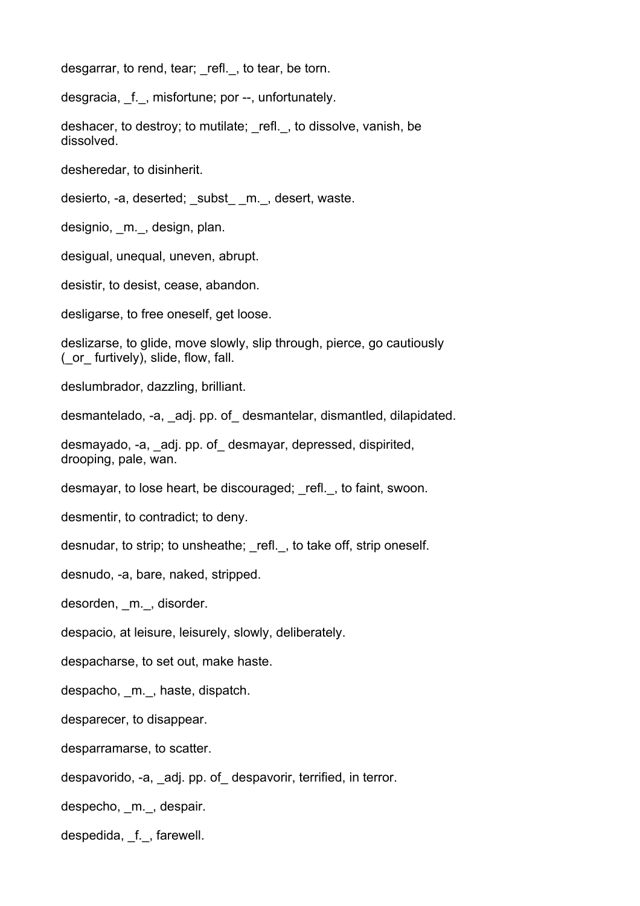desgarrar, to rend, tear; refl., to tear, be torn.

desgracia, \_f.\_, misfortune; por --, unfortunately.

deshacer, to destroy; to mutilate; refl., to dissolve, vanish, be dissolved.

desheredar, to disinherit.

desierto, -a, deserted; \_subst\_ \_m. , desert, waste.

designio, \_m.\_, design, plan.

desigual, unequal, uneven, abrupt.

desistir, to desist, cease, abandon.

desligarse, to free oneself, get loose.

deslizarse, to glide, move slowly, slip through, pierce, go cautiously (\_or\_ furtively), slide, flow, fall.

deslumbrador, dazzling, brilliant.

desmantelado, -a, \_adj. pp. of\_ desmantelar, dismantled, dilapidated.

desmayado, -a, adj. pp. of desmayar, depressed, dispirited, drooping, pale, wan.

desmayar, to lose heart, be discouraged; refl., to faint, swoon.

desmentir, to contradict; to deny.

desnudar, to strip; to unsheathe; refl., to take off, strip oneself.

desnudo, -a, bare, naked, stripped.

desorden, m., disorder.

despacio, at leisure, leisurely, slowly, deliberately.

despacharse, to set out, make haste.

despacho, m., haste, dispatch.

desparecer, to disappear.

desparramarse, to scatter.

despavorido, -a, \_adj. pp. of\_ despavorir, terrified, in terror.

despecho, m., despair.

despedida, f., farewell.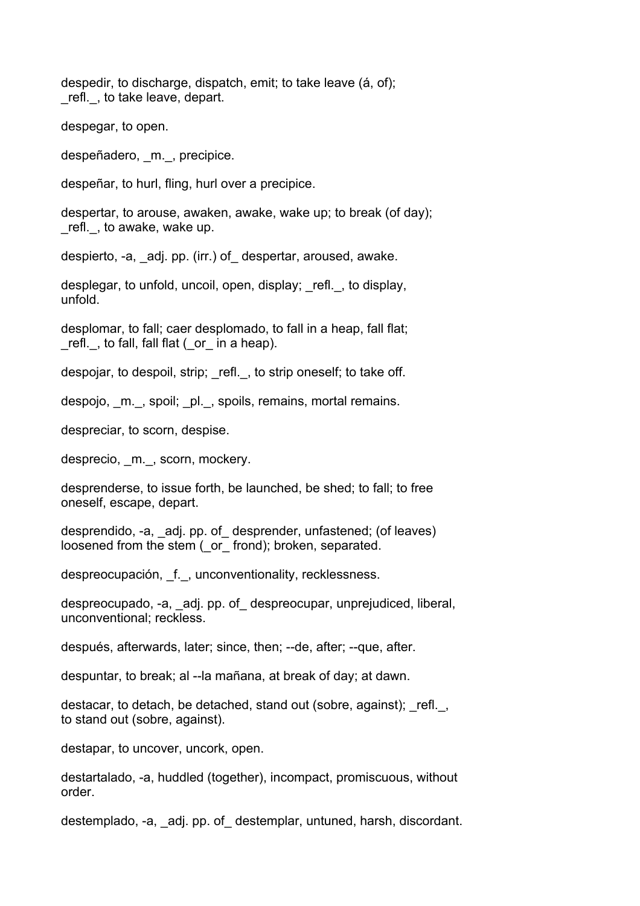despedir, to discharge, dispatch, emit; to take leave (á, of); refl., to take leave, depart.

despegar, to open.

despeñadero, m., precipice.

despeñar, to hurl, fling, hurl over a precipice.

despertar, to arouse, awaken, awake, wake up; to break (of day); \_refl.\_, to awake, wake up.

despierto, -a, \_adj. pp. (irr.) of\_ despertar, aroused, awake.

desplegar, to unfold, uncoil, open, display; \_refl.\_, to display, unfold.

desplomar, to fall; caer desplomado, to fall in a heap, fall flat; \_refl.\_, to fall, fall flat (\_or\_ in a heap).

despojar, to despoil, strip; refl., to strip oneself; to take off.

despojo, m., spoil; pl., spoils, remains, mortal remains.

despreciar, to scorn, despise.

desprecio, m., scorn, mockery.

desprenderse, to issue forth, be launched, be shed; to fall; to free oneself, escape, depart.

desprendido, -a, \_adj. pp. of\_ desprender, unfastened; (of leaves) loosened from the stem ( or frond); broken, separated.

despreocupación, \_f.\_, unconventionality, recklessness.

despreocupado, -a, \_adj. pp. of\_ despreocupar, unprejudiced, liberal, unconventional; reckless.

después, afterwards, later; since, then; --de, after; --que, after.

despuntar, to break; al --la mañana, at break of day; at dawn.

destacar, to detach, be detached, stand out (sobre, against); refl., to stand out (sobre, against).

destapar, to uncover, uncork, open.

destartalado, -a, huddled (together), incompact, promiscuous, without order.

destemplado, -a, \_adj. pp. of\_ destemplar, untuned, harsh, discordant.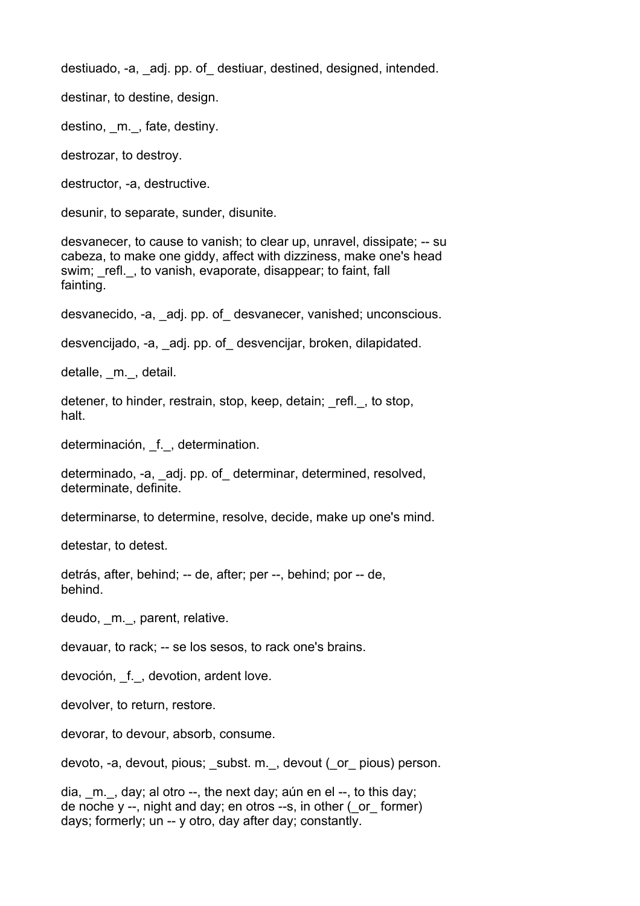destiuado, -a, \_adj. pp. of\_ destiuar, destined, designed, intended.

destinar, to destine, design.

destino, m., fate, destiny.

destrozar, to destroy.

destructor, -a, destructive.

desunir, to separate, sunder, disunite.

desvanecer, to cause to vanish; to clear up, unravel, dissipate; -- su cabeza, to make one giddy, affect with dizziness, make one's head swim; refl., to vanish, evaporate, disappear; to faint, fall fainting.

desvanecido, -a, \_adj. pp. of\_ desvanecer, vanished; unconscious.

desvencijado, -a, \_adj. pp. of\_ desvencijar, broken, dilapidated.

detalle, m., detail.

detener, to hinder, restrain, stop, keep, detain; refl., to stop, halt.

determinación, f., determination.

determinado, -a, \_adj. pp. of\_ determinar, determined, resolved, determinate, definite.

determinarse, to determine, resolve, decide, make up one's mind.

detestar, to detest.

detrás, after, behind; -- de, after; per --, behind; por -- de, behind.

deudo, m., parent, relative.

devauar, to rack; -- se los sesos, to rack one's brains.

devoción, f., devotion, ardent love.

devolver, to return, restore.

devorar, to devour, absorb, consume.

devoto, -a, devout, pious; \_subst. m.\_, devout (\_or\_ pious) person.

dia,  $m.$ , day; al otro  $-$ , the next day; aún en el  $-$ , to this day; de noche y --, night and day; en otros --s, in other (\_or\_ former) days; formerly; un -- y otro, day after day; constantly.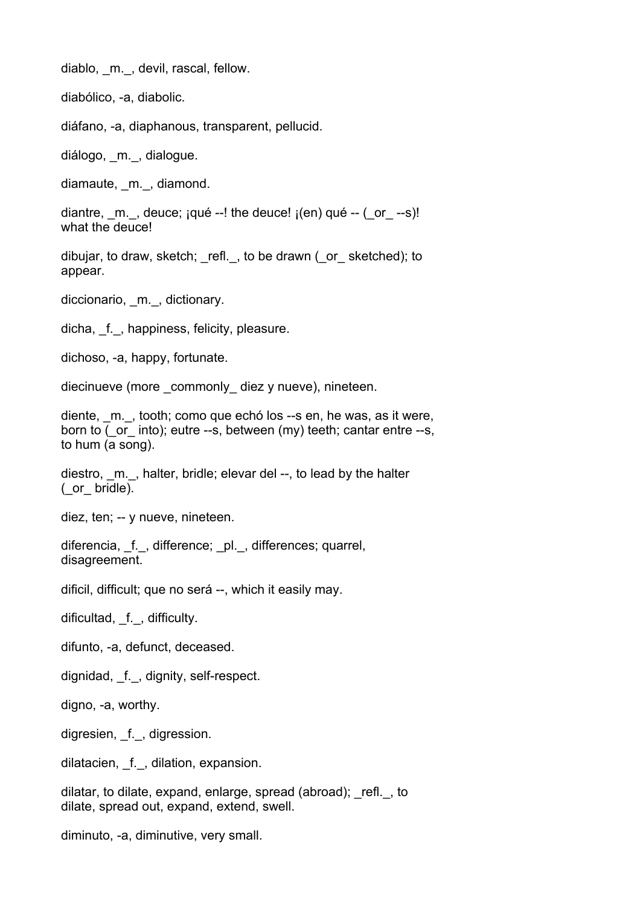diablo, m., devil, rascal, fellow.

diabólico, -a, diabolic.

diáfano, -a, diaphanous, transparent, pellucid.

diálogo, m., dialogue.

diamaute, m., diamond.

diantre,  $m.$ , deuce;  $iqué -!$  the deuce!  $_l(en)$  qué  $-l$  ( $or$  --s)! what the deuce!

dibujar, to draw, sketch; \_refl.\_, to be drawn (\_or\_ sketched); to appear.

diccionario, m., dictionary.

dicha, f., happiness, felicity, pleasure.

dichoso, -a, happy, fortunate.

diecinueve (more commonly diez y nueve), nineteen.

diente, \_m.\_, tooth; como que echó los --s en, he was, as it were, born to ( or into); eutre --s, between (my) teeth; cantar entre --s, to hum (a song).

diestro, m., halter, bridle; elevar del --, to lead by the halter  $($  or  $bridle).$ 

diez, ten; -- y nueve, nineteen.

diferencia, f., difference; pl., differences; quarrel, disagreement.

dificil, difficult; que no será --, which it easily may.

dificultad, f., difficulty.

difunto, -a, defunct, deceased.

dignidad, f., dignity, self-respect.

digno, -a, worthy.

digresien, f., digression.

dilatacien, f., dilation, expansion.

dilatar, to dilate, expand, enlarge, spread (abroad); \_refl.\_, to dilate, spread out, expand, extend, swell.

diminuto, -a, diminutive, very small.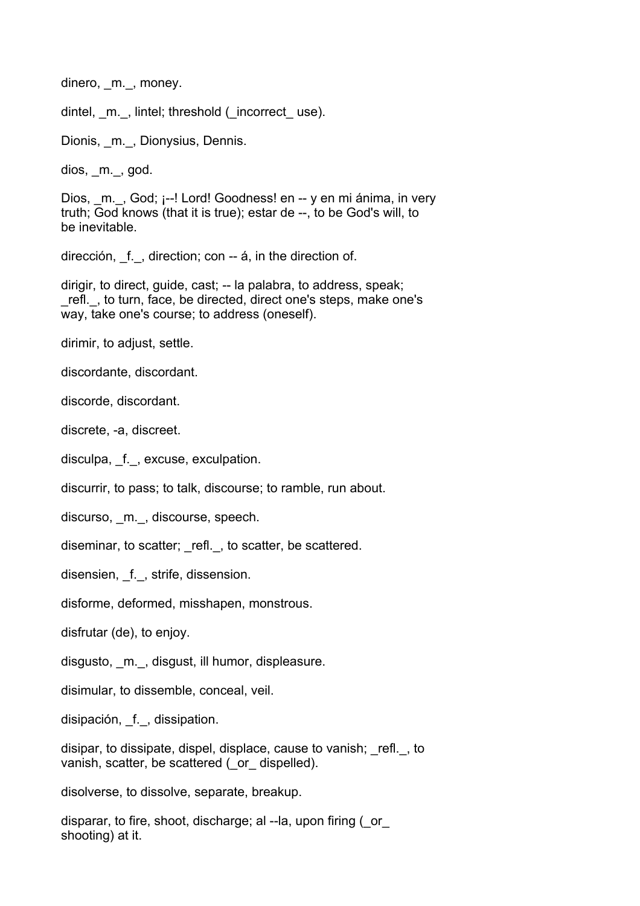dinero, m., money.

dintel, m., lintel; threshold (incorrect use).

Dionis, m., Dionysius, Dennis.

dios, \_m.\_, god.

Dios, m., God; ¡--! Lord! Goodness! en -- y en mi ánima, in very truth; God knows (that it is true); estar de --, to be God's will, to be inevitable.

dirección, f., direction; con -- á, in the direction of.

dirigir, to direct, guide, cast; -- la palabra, to address, speak; \_refl.\_, to turn, face, be directed, direct one's steps, make one's way, take one's course; to address (oneself).

dirimir, to adjust, settle.

discordante, discordant.

discorde, discordant.

discrete, -a, discreet.

disculpa, f., excuse, exculpation.

discurrir, to pass; to talk, discourse; to ramble, run about.

discurso, m., discourse, speech.

diseminar, to scatter; refl., to scatter, be scattered.

disensien, f., strife, dissension.

disforme, deformed, misshapen, monstrous.

disfrutar (de), to enjoy.

disgusto, m., disgust, ill humor, displeasure.

disimular, to dissemble, conceal, veil.

disipación, f., dissipation.

disipar, to dissipate, dispel, displace, cause to vanish; \_refl.\_, to vanish, scatter, be scattered ( or dispelled).

disolverse, to dissolve, separate, breakup.

disparar, to fire, shoot, discharge; al --la, upon firing (\_or\_ shooting) at it.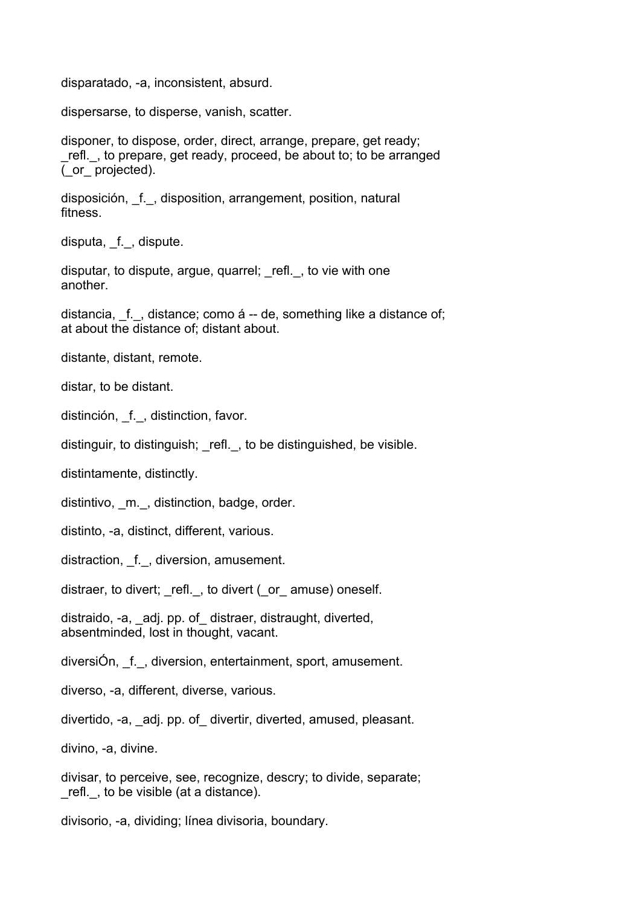disparatado, -a, inconsistent, absurd.

dispersarse, to disperse, vanish, scatter.

disponer, to dispose, order, direct, arrange, prepare, get ready; \_refl.\_, to prepare, get ready, proceed, be about to; to be arranged (\_or\_ projected).

disposición, f., disposition, arrangement, position, natural fitness.

disputa, f., dispute.

disputar, to dispute, argue, quarrel; refl., to vie with one another.

distancia, f., distance; como á -- de, something like a distance of; at about the distance of; distant about.

distante, distant, remote.

distar, to be distant.

distinción, f., distinction, favor.

distinguir, to distinguish; refl., to be distinguished, be visible.

distintamente, distinctly.

distintivo, m., distinction, badge, order.

distinto, -a, distinct, different, various.

distraction, f., diversion, amusement.

distraer, to divert; refl., to divert (or amuse) oneself.

distraido, -a, \_adj. pp. of\_ distraer, distraught, diverted, absentminded, lost in thought, vacant.

diversiÓn, \_f.\_, diversion, entertainment, sport, amusement.

diverso, -a, different, diverse, various.

divertido, -a, \_adj. pp. of\_ divertir, diverted, amused, pleasant.

divino, -a, divine.

divisar, to perceive, see, recognize, descry; to divide, separate; \_refl.\_, to be visible (at a distance).

divisorio, -a, dividing; línea divisoria, boundary.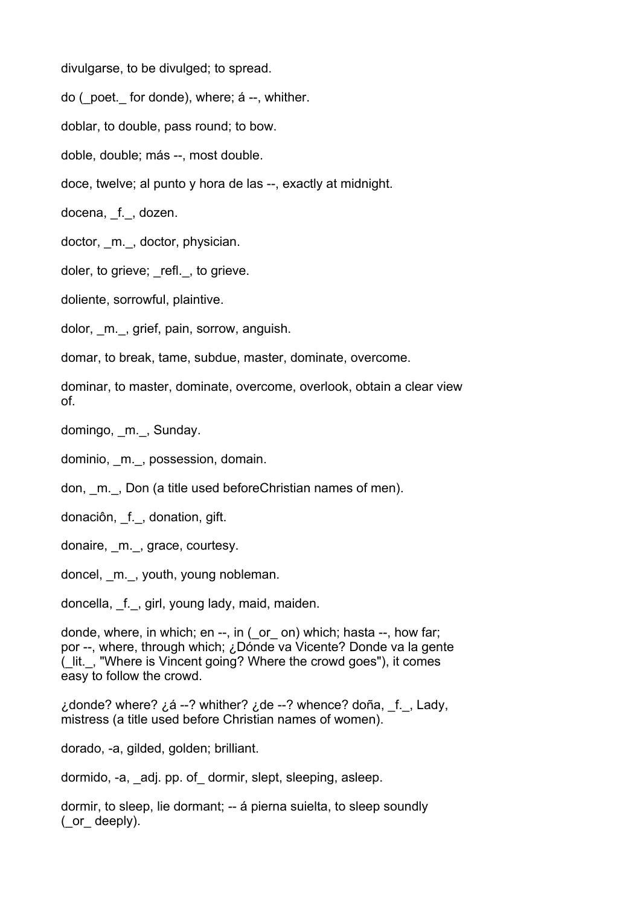divulgarse, to be divulged; to spread.

do (\_poet.\_ for donde), where; á --, whither.

doblar, to double, pass round; to bow.

doble, double; más --, most double.

doce, twelve; al punto y hora de las --, exactly at midnight.

docena, f., dozen.

doctor, m., doctor, physician.

doler, to grieve; refl., to grieve.

doliente, sorrowful, plaintive.

dolor, \_m.\_, grief, pain, sorrow, anguish.

domar, to break, tame, subdue, master, dominate, overcome.

dominar, to master, dominate, overcome, overlook, obtain a clear view of.

domingo, m., Sunday.

dominio, m., possession, domain.

don, m., Don (a title used beforeChristian names of men).

donaciôn, \_f.\_, donation, gift.

donaire, \_m.\_, grace, courtesy.

doncel, m., youth, young nobleman.

doncella, f., girl, young lady, maid, maiden.

donde, where, in which; en --, in (\_or\_ on) which; hasta --, how far; por --, where, through which; ¿Dónde va Vicente? Donde va la gente (\_lit.\_, "Where is Vincent going? Where the crowd goes"), it comes easy to follow the crowd.

¿donde? where?  $2.6 - 2$  whither?  $2.6e - 2$  whence? doña, f., Lady, mistress (a title used before Christian names of women).

dorado, -a, gilded, golden; brilliant.

dormido, -a, adj. pp. of dormir, slept, sleeping, asleep.

dormir, to sleep, lie dormant; -- á pierna suielta, to sleep soundly (\_or\_ deeply).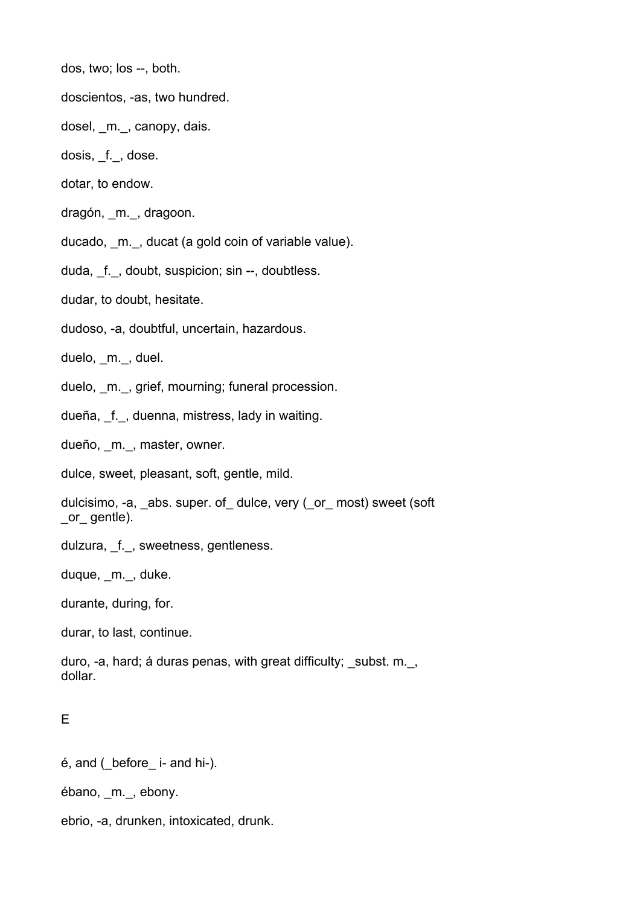dos, two; los --, both.

doscientos, -as, two hundred.

dosel, m., canopy, dais.

dosis, f., dose.

dotar, to endow.

dragón, m., dragoon.

ducado, m., ducat (a gold coin of variable value).

duda, f., doubt, suspicion; sin --, doubtless.

dudar, to doubt, hesitate.

dudoso, -a, doubtful, uncertain, hazardous.

duelo, m., duel.

duelo, m., grief, mourning; funeral procession.

dueña, \_f.\_, duenna, mistress, lady in waiting.

dueño, m., master, owner.

dulce, sweet, pleasant, soft, gentle, mild.

dulcisimo, -a, abs. super. of dulce, very ( or most) sweet (soft \_or\_ gentle).

dulzura, \_f.\_, sweetness, gentleness.

duque, m., duke.

durante, during, for.

durar, to last, continue.

duro, -a, hard; á duras penas, with great difficulty; \_subst. m.\_, dollar.

## E

é, and (\_before\_ i- and hi-).

ébano, \_m.\_, ebony.

ebrio, -a, drunken, intoxicated, drunk.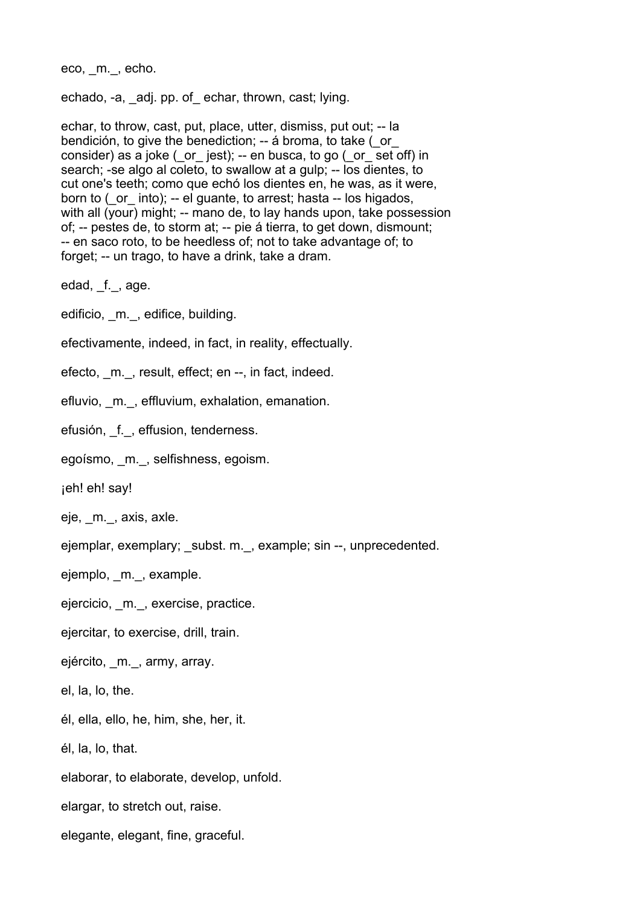eco, m., echo.

echado, -a, \_adj. pp. of\_ echar, thrown, cast; lying.

echar, to throw, cast, put, place, utter, dismiss, put out; -- la bendición, to give the benediction; -- á broma, to take ( or consider) as a joke ( $\circ$  jest); -- en busca, to go ( $\circ$  or set off) in search; -se algo al coleto, to swallow at a gulp; -- los dientes, to cut one's teeth; como que echó los dientes en, he was, as it were, born to (\_or\_ into); -- el guante, to arrest; hasta -- los higados, with all (your) might; -- mano de, to lay hands upon, take possession of; -- pestes de, to storm at; -- pie á tierra, to get down, dismount; -- en saco roto, to be heedless of; not to take advantage of; to forget; -- un trago, to have a drink, take a dram.

edad, f., age.

edificio, m., edifice, building.

efectivamente, indeed, in fact, in reality, effectually.

efecto, m., result, effect; en --, in fact, indeed.

efluvio, m., effluvium, exhalation, emanation.

efusión, f., effusion, tenderness.

egoísmo, \_m.\_, selfishness, egoism.

¡eh! eh! say!

eje, \_m.\_, axis, axle.

ejemplar, exemplary; subst. m., example; sin --, unprecedented.

ejemplo, m., example.

ejercicio, m., exercise, practice.

ejercitar, to exercise, drill, train.

ejército, \_m.\_, army, array.

el, la, lo, the.

él, ella, ello, he, him, she, her, it.

él, la, lo, that.

elaborar, to elaborate, develop, unfold.

elargar, to stretch out, raise.

elegante, elegant, fine, graceful.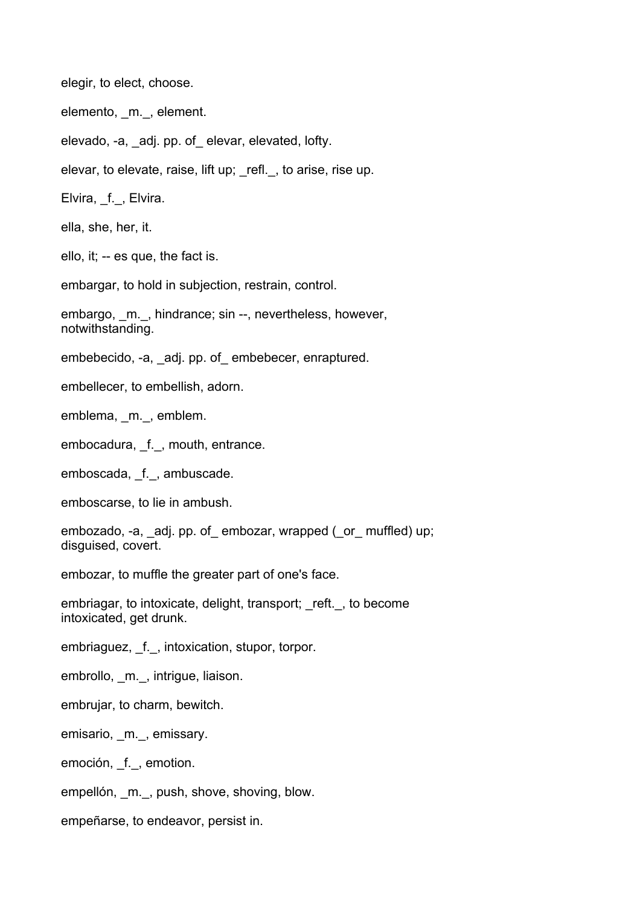elegir, to elect, choose.

elemento, m., element.

elevado, -a, adj. pp. of elevar, elevated, lofty.

elevar, to elevate, raise, lift up; \_refl.\_, to arise, rise up.

Elvira, f., Elvira.

ella, she, her, it.

ello, it; -- es que, the fact is.

embargar, to hold in subjection, restrain, control.

embargo, m., hindrance; sin --, nevertheless, however, notwithstanding.

embebecido, -a, adj. pp. of embebecer, enraptured.

embellecer, to embellish, adorn.

emblema, \_m.\_, emblem.

embocadura, f., mouth, entrance.

emboscada, f., ambuscade.

emboscarse, to lie in ambush.

embozado, -a, \_adj. pp. of\_ embozar, wrapped (\_or\_ muffled) up; disguised, covert.

embozar, to muffle the greater part of one's face.

embriagar, to intoxicate, delight, transport; reft., to become intoxicated, get drunk.

embriaguez, f., intoxication, stupor, torpor.

embrollo, m., intrigue, liaison.

embrujar, to charm, bewitch.

emisario, \_m.\_, emissary.

emoción, f., emotion.

empellón, \_m.\_, push, shove, shoving, blow.

empeñarse, to endeavor, persist in.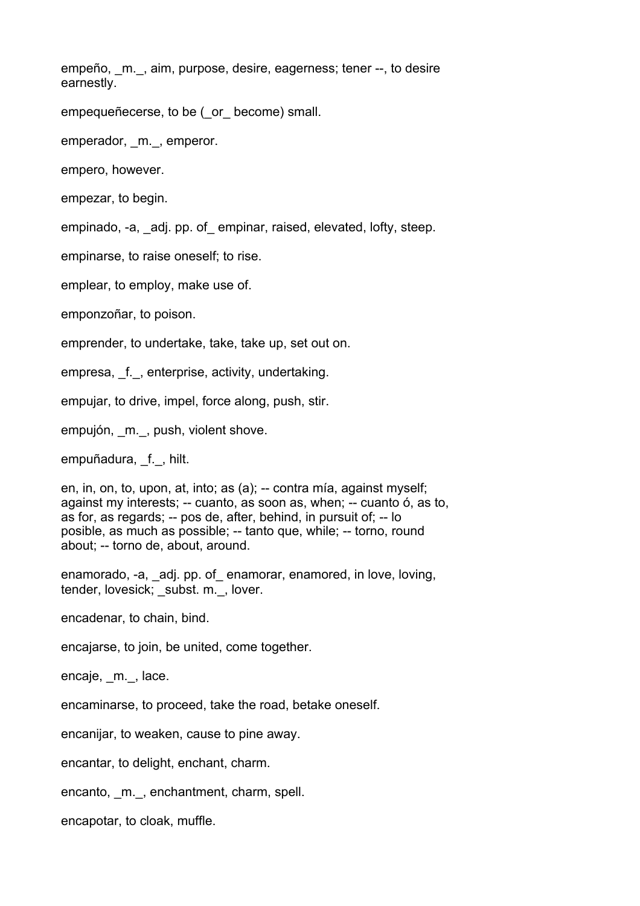empeño, m., aim, purpose, desire, eagerness; tener --, to desire earnestly.

empequeñecerse, to be ( or become) small.

emperador, m., emperor.

empero, however.

empezar, to begin.

empinado, -a, adj. pp. of empinar, raised, elevated, lofty, steep.

empinarse, to raise oneself; to rise.

emplear, to employ, make use of.

emponzoñar, to poison.

emprender, to undertake, take, take up, set out on.

empresa, f., enterprise, activity, undertaking.

empujar, to drive, impel, force along, push, stir.

empujón, m., push, violent shove.

empuñadura, f., hilt.

en, in, on, to, upon, at, into; as (a); -- contra mía, against myself; against my interests; -- cuanto, as soon as, when; -- cuanto ó, as to, as for, as regards; -- pos de, after, behind, in pursuit of; -- lo posible, as much as possible; -- tanto que, while; -- torno, round about; -- torno de, about, around.

enamorado, -a, adj. pp. of enamorar, enamored, in love, loving, tender, lovesick; subst. m., lover.

encadenar, to chain, bind.

encajarse, to join, be united, come together.

encaje, m., lace.

encaminarse, to proceed, take the road, betake oneself.

encanijar, to weaken, cause to pine away.

encantar, to delight, enchant, charm.

encanto, m., enchantment, charm, spell.

encapotar, to cloak, muffle.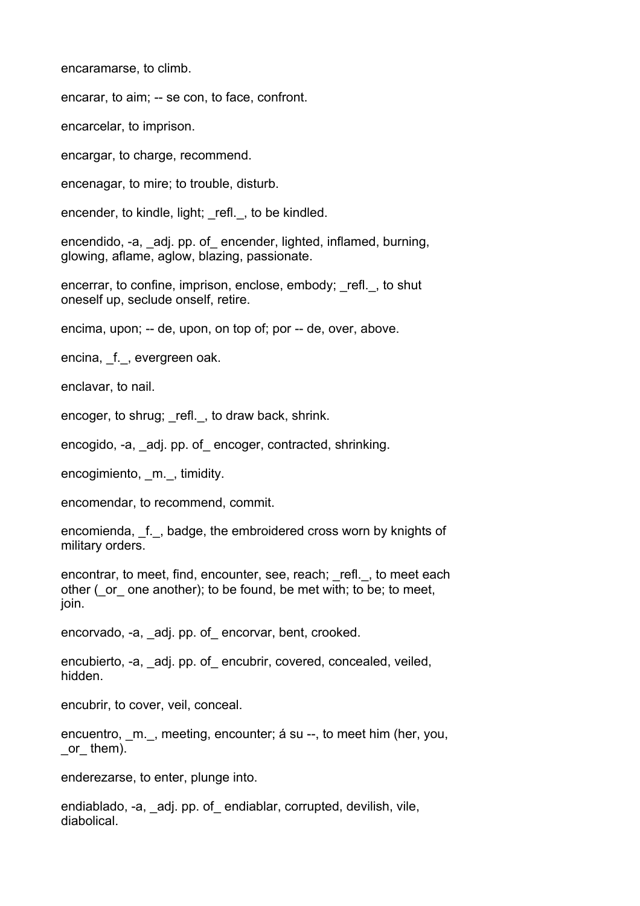encaramarse, to climb.

encarar, to aim; -- se con, to face, confront.

encarcelar, to imprison.

encargar, to charge, recommend.

encenagar, to mire; to trouble, disturb.

encender, to kindle, light; refl., to be kindled.

encendido, -a, adj. pp. of encender, lighted, inflamed, burning, glowing, aflame, aglow, blazing, passionate.

encerrar, to confine, imprison, enclose, embody; refl., to shut oneself up, seclude onself, retire.

encima, upon; -- de, upon, on top of; por -- de, over, above.

encina, f., evergreen oak.

enclavar, to nail.

encoger, to shrug; refl., to draw back, shrink.

encogido, -a, adj. pp. of encoger, contracted, shrinking.

encogimiento, m., timidity.

encomendar, to recommend, commit.

encomienda, f., badge, the embroidered cross worn by knights of military orders.

encontrar, to meet, find, encounter, see, reach; \_refl.\_, to meet each other (\_or\_ one another); to be found, be met with; to be; to meet, join.

encorvado, -a, adj. pp. of encorvar, bent, crooked.

encubierto, -a, adj. pp. of encubrir, covered, concealed, veiled, hidden.

encubrir, to cover, veil, conceal.

encuentro, m., meeting, encounter; á su --, to meet him (her, you, \_or\_ them).

enderezarse, to enter, plunge into.

endiablado, -a, \_adj. pp. of endiablar, corrupted, devilish, vile, diabolical.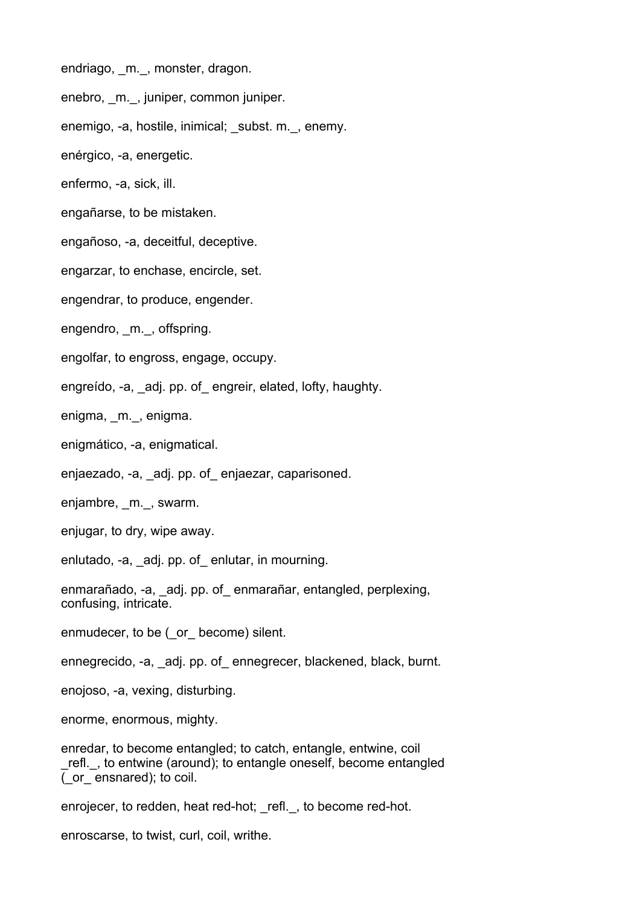endriago, m., monster, dragon.

enebro, m., juniper, common juniper.

enemigo, -a, hostile, inimical; subst. m., enemy.

enérgico, -a, energetic.

enfermo, -a, sick, ill.

engañarse, to be mistaken.

engañoso, -a, deceitful, deceptive.

engarzar, to enchase, encircle, set.

engendrar, to produce, engender.

engendro, m., offspring.

engolfar, to engross, engage, occupy.

engreído, -a, adj. pp. of engreir, elated, lofty, haughty.

enigma, m., enigma.

enigmático, -a, enigmatical.

enjaezado, -a, adj. pp. of enjaezar, caparisoned.

enjambre, m., swarm.

enjugar, to dry, wipe away.

enlutado, -a, adj. pp. of enlutar, in mourning.

enmarañado, -a, \_adj. pp. of\_ enmarañar, entangled, perplexing, confusing, intricate.

enmudecer, to be ( or become) silent.

ennegrecido, -a, adj. pp. of ennegrecer, blackened, black, burnt.

enojoso, -a, vexing, disturbing.

enorme, enormous, mighty.

enredar, to become entangled; to catch, entangle, entwine, coil refl., to entwine (around); to entangle oneself, become entangled (\_or\_ ensnared); to coil.

enrojecer, to redden, heat red-hot; refl., to become red-hot.

enroscarse, to twist, curl, coil, writhe.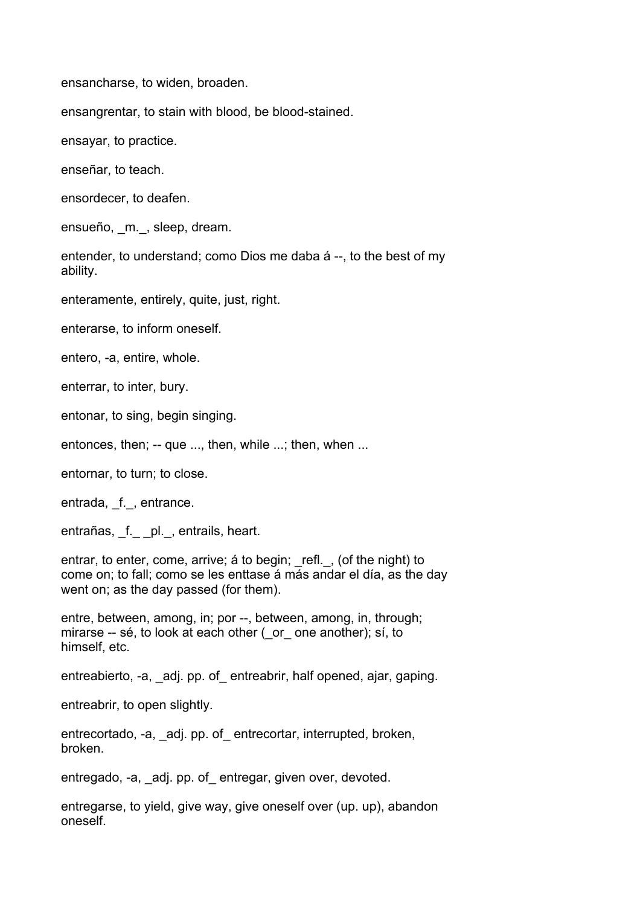ensancharse, to widen, broaden.

ensangrentar, to stain with blood, be blood-stained.

ensayar, to practice.

enseñar, to teach.

ensordecer, to deafen.

ensueño, \_m.\_, sleep, dream.

entender, to understand; como Dios me daba á --, to the best of my ability.

enteramente, entirely, quite, just, right.

enterarse, to inform oneself.

entero, -a, entire, whole.

enterrar, to inter, bury.

entonar, to sing, begin singing.

entonces, then; -- que ..., then, while ...; then, when ...

entornar, to turn; to close.

entrada, f., entrance.

entrañas, \_f. \_ \_pl. \_, entrails, heart.

entrar, to enter, come, arrive; á to begin; refl., (of the night) to come on; to fall; como se les enttase á más andar el día, as the day went on; as the day passed (for them).

entre, between, among, in; por --, between, among, in, through; mirarse -- sé, to look at each other ( or one another); sí, to himself, etc.

entreabierto, -a, adj. pp. of entreabrir, half opened, ajar, gaping.

entreabrir, to open slightly.

entrecortado, -a, adj. pp. of entrecortar, interrupted, broken, broken.

entregado, -a, adj. pp. of entregar, given over, devoted.

entregarse, to yield, give way, give oneself over (up. up), abandon oneself.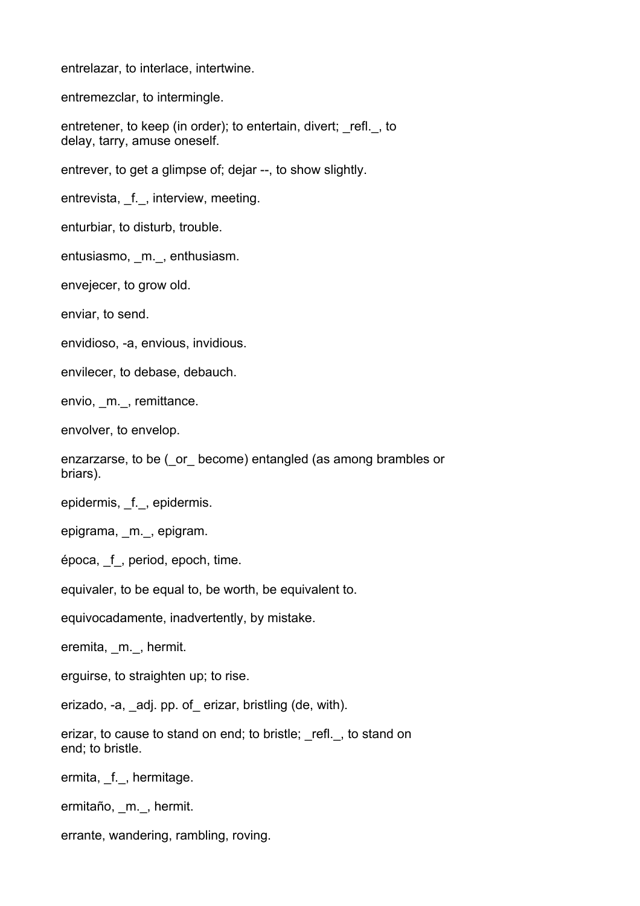entrelazar, to interlace, intertwine.

entremezclar, to intermingle.

entretener, to keep (in order); to entertain, divert; refl., to delay, tarry, amuse oneself.

entrever, to get a glimpse of; dejar --, to show slightly.

entrevista, f., interview, meeting.

enturbiar, to disturb, trouble.

entusiasmo, m., enthusiasm.

envejecer, to grow old.

enviar, to send.

envidioso, -a, envious, invidious.

envilecer, to debase, debauch.

envio, \_m.\_, remittance.

envolver, to envelop.

enzarzarse, to be ( or become) entangled (as among brambles or briars).

epidermis, \_f.\_, epidermis.

epigrama, \_m.\_, epigram.

época, \_f\_, period, epoch, time.

equivaler, to be equal to, be worth, be equivalent to.

equivocadamente, inadvertently, by mistake.

eremita, \_m.\_, hermit.

erguirse, to straighten up; to rise.

erizado, -a, adj. pp. of erizar, bristling (de, with).

erizar, to cause to stand on end; to bristle; refl., to stand on end; to bristle.

ermita, f., hermitage.

ermitaño, \_m.\_, hermit.

errante, wandering, rambling, roving.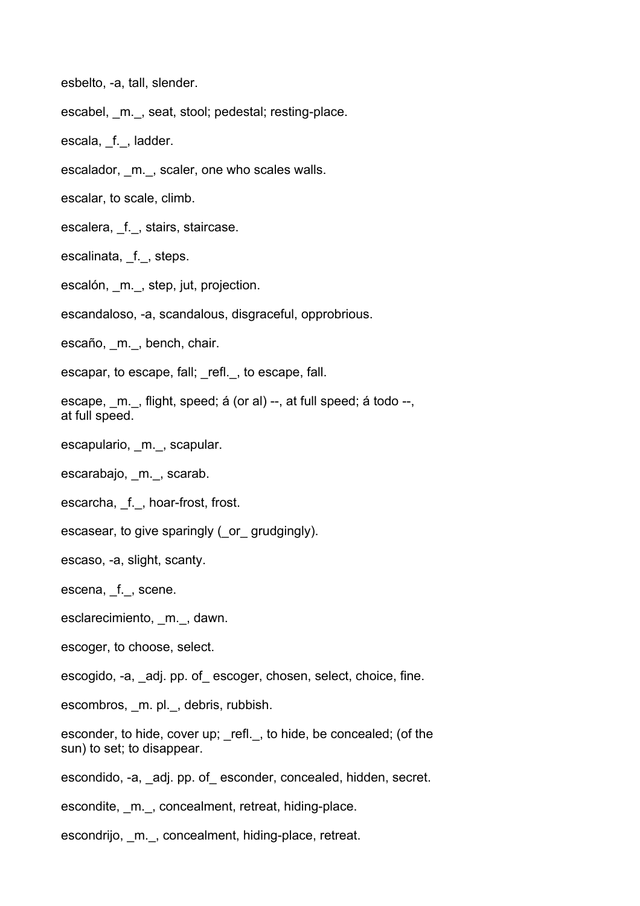esbelto, -a, tall, slender.

escabel, m., seat, stool; pedestal; resting-place.

escala, f., ladder.

escalador, \_m.\_, scaler, one who scales walls.

escalar, to scale, climb.

escalera, \_f.\_, stairs, staircase.

escalinata, f., steps.

escalón, m., step, jut, projection.

escandaloso, -a, scandalous, disgraceful, opprobrious.

escaño, m., bench, chair.

escapar, to escape, fall; refl., to escape, fall.

escape, \_m.\_, flight, speed; á (or al) --, at full speed; á todo --, at full speed.

escapulario, m., scapular.

escarabajo, \_m.\_, scarab.

escarcha, f., hoar-frost, frost.

escasear, to give sparingly (\_or\_ grudgingly).

escaso, -a, slight, scanty.

escena, \_f.\_, scene.

esclarecimiento, m., dawn.

escoger, to choose, select.

escogido, -a, \_adj. pp. of\_ escoger, chosen, select, choice, fine.

escombros, m. pl., debris, rubbish.

esconder, to hide, cover up; \_refl.\_, to hide, be concealed; (of the sun) to set; to disappear.

escondido, -a, \_adj. pp. of\_ esconder, concealed, hidden, secret.

escondite, m., concealment, retreat, hiding-place.

escondrijo, m., concealment, hiding-place, retreat.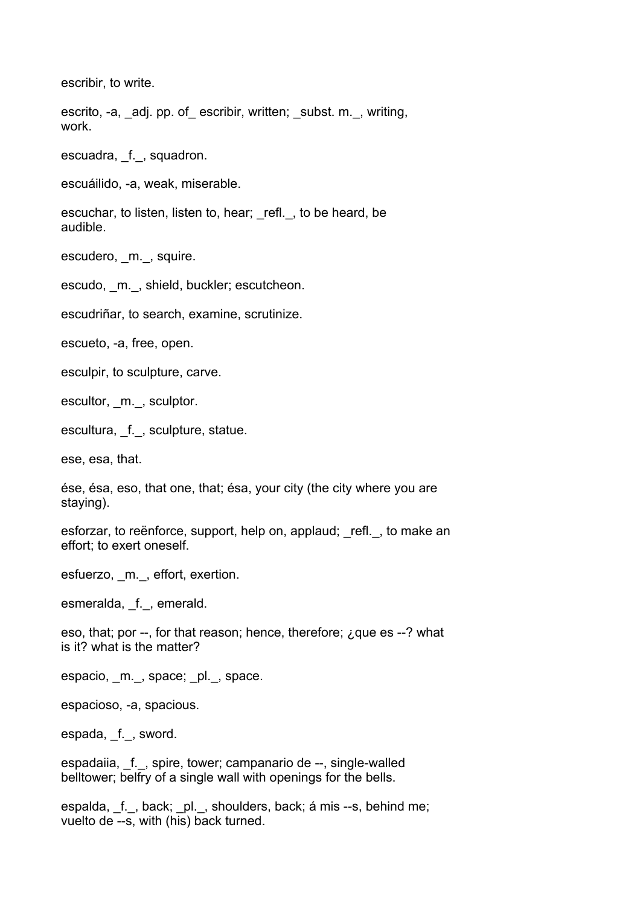escribir, to write.

escrito, -a, adj. pp. of escribir, written; subst. m., writing, work.

escuadra, f., squadron.

escuáilido, -a, weak, miserable.

escuchar, to listen, listen to, hear; refl., to be heard, be audible.

escudero, m., squire.

escudo, m., shield, buckler; escutcheon.

escudriñar, to search, examine, scrutinize.

escueto, -a, free, open.

esculpir, to sculpture, carve.

escultor, \_m.\_, sculptor.

escultura, f., sculpture, statue.

ese, esa, that.

ése, ésa, eso, that one, that; ésa, your city (the city where you are staying).

esforzar, to reënforce, support, help on, applaud; refl., to make an effort; to exert oneself.

esfuerzo, m., effort, exertion.

esmeralda, \_f.\_, emerald.

eso, that; por --, for that reason; hence, therefore; ¿que es --? what is it? what is the matter?

espacio, m., space; pl., space.

espacioso, -a, spacious.

espada, f., sword.

espadaiia, f., spire, tower; campanario de --, single-walled belltower; belfry of a single wall with openings for the bells.

espalda, f., back; pl., shoulders, back; á mis --s, behind me; vuelto de --s, with (his) back turned.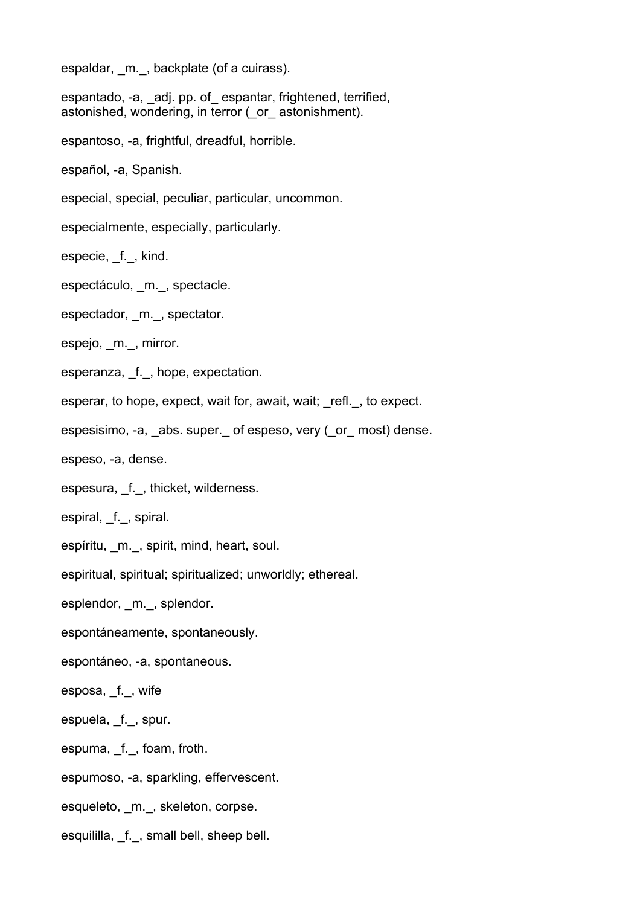espaldar, m., backplate (of a cuirass).

espantado, -a, \_adj. pp. of\_ espantar, frightened, terrified, astonished, wondering, in terror (\_or\_ astonishment).

espantoso, -a, frightful, dreadful, horrible.

español, -a, Spanish.

especial, special, peculiar, particular, uncommon.

especialmente, especially, particularly.

especie, f., kind.

espectáculo, m., spectacle.

espectador, m., spectator.

espejo, m., mirror.

esperanza, f., hope, expectation.

esperar, to hope, expect, wait for, await, wait; refl., to expect.

espesisimo, -a, abs. super. of espeso, very (or most) dense.

espeso, -a, dense.

espesura, f., thicket, wilderness.

espiral, f., spiral.

espíritu, m., spirit, mind, heart, soul.

espiritual, spiritual; spiritualized; unworldly; ethereal.

esplendor, m., splendor.

espontáneamente, spontaneously.

espontáneo, -a, spontaneous.

esposa, f., wife

espuela, \_f.\_, spur.

espuma, f., foam, froth.

espumoso, -a, sparkling, effervescent.

esqueleto, m., skeleton, corpse.

esquililla, f., small bell, sheep bell.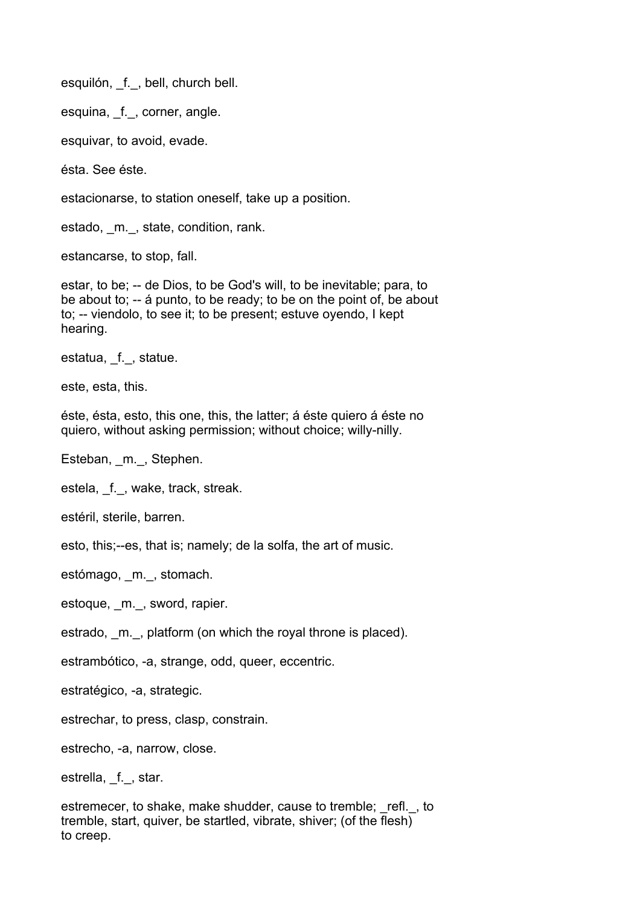esquilón, \_f.\_, bell, church bell.

esquina, f., corner, angle.

esquivar, to avoid, evade.

ésta. See éste.

estacionarse, to station oneself, take up a position.

estado, \_m.\_, state, condition, rank.

estancarse, to stop, fall.

estar, to be; -- de Dios, to be God's will, to be inevitable; para, to be about to; -- á punto, to be ready; to be on the point of, be about to; -- viendolo, to see it; to be present; estuve oyendo, I kept hearing.

estatua, f., statue.

este, esta, this.

éste, ésta, esto, this one, this, the latter; á éste quiero á éste no quiero, without asking permission; without choice; willy-nilly.

Esteban, m., Stephen.

estela, f., wake, track, streak.

estéril, sterile, barren.

esto, this;--es, that is; namely; de la solfa, the art of music.

estómago, m., stomach.

estoque, \_m.\_, sword, rapier.

estrado, \_m.\_, platform (on which the royal throne is placed).

estrambótico, -a, strange, odd, queer, eccentric.

estratégico, -a, strategic.

estrechar, to press, clasp, constrain.

estrecho, -a, narrow, close.

estrella, f., star.

estremecer, to shake, make shudder, cause to tremble; refl., to tremble, start, quiver, be startled, vibrate, shiver; (of the flesh) to creep.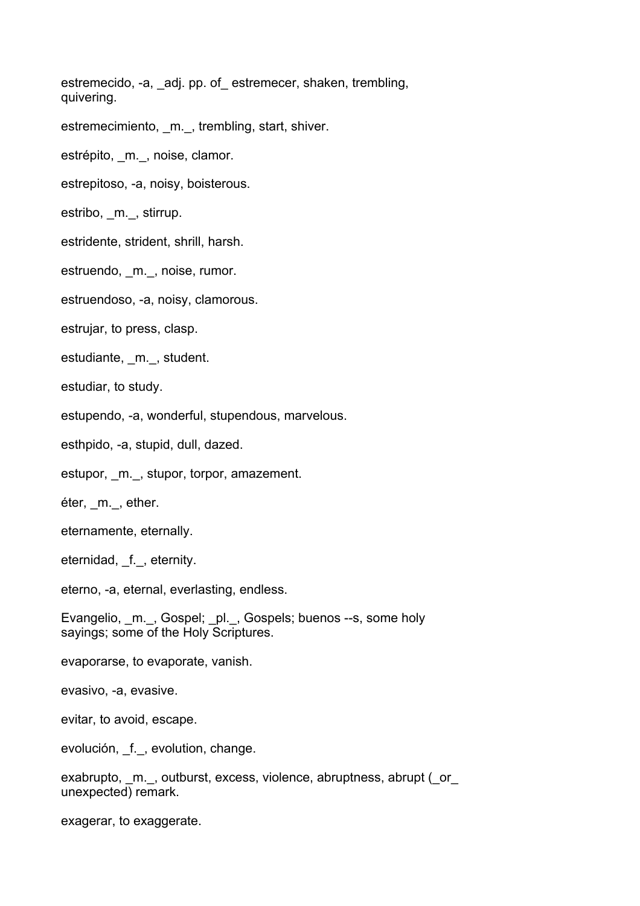estremecido, -a, adj. pp. of estremecer, shaken, trembling, quivering.

estremecimiento, m., trembling, start, shiver.

estrépito, m., noise, clamor.

estrepitoso, -a, noisy, boisterous.

estribo, m., stirrup.

estridente, strident, shrill, harsh.

estruendo, m., noise, rumor.

estruendoso, -a, noisy, clamorous.

estrujar, to press, clasp.

estudiante, m., student.

estudiar, to study.

estupendo, -a, wonderful, stupendous, marvelous.

esthpido, -a, stupid, dull, dazed.

estupor, m., stupor, torpor, amazement.

éter, m., ether.

eternamente, eternally.

eternidad, f., eternity.

eterno, -a, eternal, everlasting, endless.

Evangelio, m. , Gospel; pl., Gospels; buenos --s, some holy sayings; some of the Holy Scriptures.

evaporarse, to evaporate, vanish.

evasivo, -a, evasive.

evitar, to avoid, escape.

evolución, f., evolution, change.

exabrupto, m., outburst, excess, violence, abruptness, abrupt ( $\circ$  or unexpected) remark.

exagerar, to exaggerate.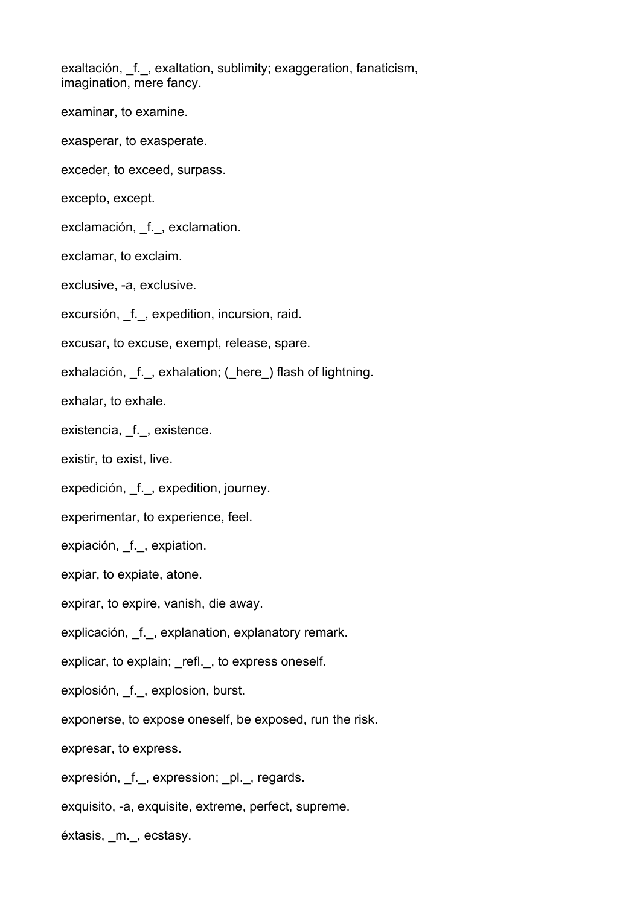exaltación, f., exaltation, sublimity; exaggeration, fanaticism, imagination, mere fancy.

- examinar, to examine.
- exasperar, to exasperate.
- exceder, to exceed, surpass.
- excepto, except.
- exclamación, \_f.\_, exclamation.
- exclamar, to exclaim.
- exclusive, -a, exclusive.
- excursión, f., expedition, incursion, raid.
- excusar, to excuse, exempt, release, spare.
- exhalación, f., exhalation; (here) flash of lightning.
- exhalar, to exhale.
- existencia, f., existence.
- existir, to exist, live.
- expedición, f., expedition, journey.
- experimentar, to experience, feel.
- expiación, f., expiation.
- expiar, to expiate, atone.
- expirar, to expire, vanish, die away.
- explicación, f., explanation, explanatory remark.
- explicar, to explain; refl., to express oneself.
- explosión, f., explosion, burst.
- exponerse, to expose oneself, be exposed, run the risk.
- expresar, to express.
- expresión, \_f.\_, expression; \_pl.\_, regards.
- exquisito, -a, exquisite, extreme, perfect, supreme.
- éxtasis, \_m.\_, ecstasy.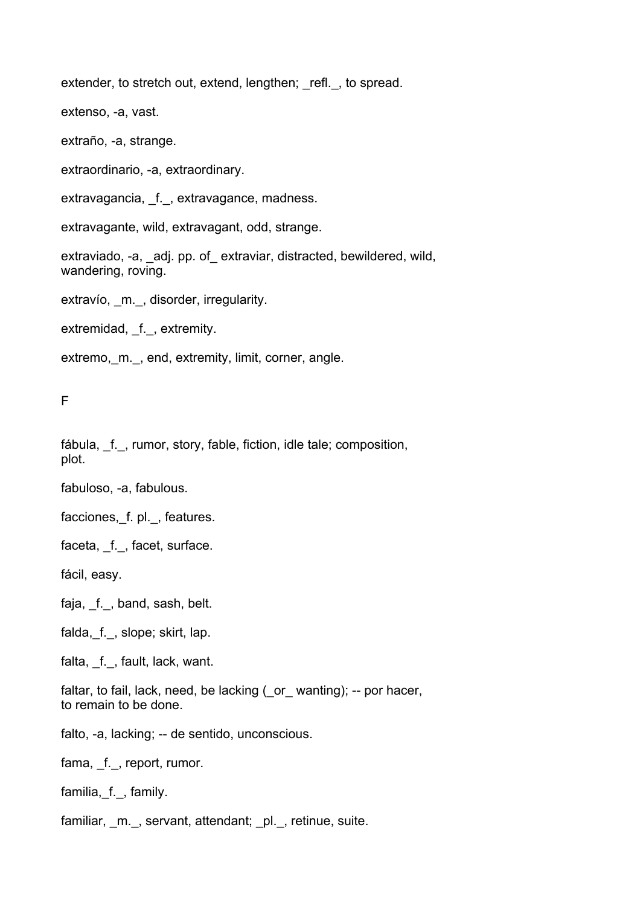extender, to stretch out, extend, lengthen; refl., to spread.

extenso, -a, vast.

extraño, -a, strange.

extraordinario, -a, extraordinary.

extravagancia, f., extravagance, madness.

extravagante, wild, extravagant, odd, strange.

extraviado, -a, adj. pp. of extraviar, distracted, bewildered, wild, wandering, roving.

extravío, m., disorder, irregularity.

extremidad, \_f.\_, extremity.

extremo, m.\_, end, extremity, limit, corner, angle.

F

fábula, f., rumor, story, fable, fiction, idle tale; composition, plot.

fabuloso, -a, fabulous.

facciones, f. pl., features.

faceta, f., facet, surface.

fácil, easy.

faja, f., band, sash, belt.

falda, f., slope; skirt, lap.

falta, \_f.\_, fault, lack, want.

faltar, to fail, lack, need, be lacking ( or wanting); -- por hacer, to remain to be done.

falto, -a, lacking; -- de sentido, unconscious.

fama, f., report, rumor.

familia,\_f.\_, family.

familiar, m., servant, attendant; pl., retinue, suite.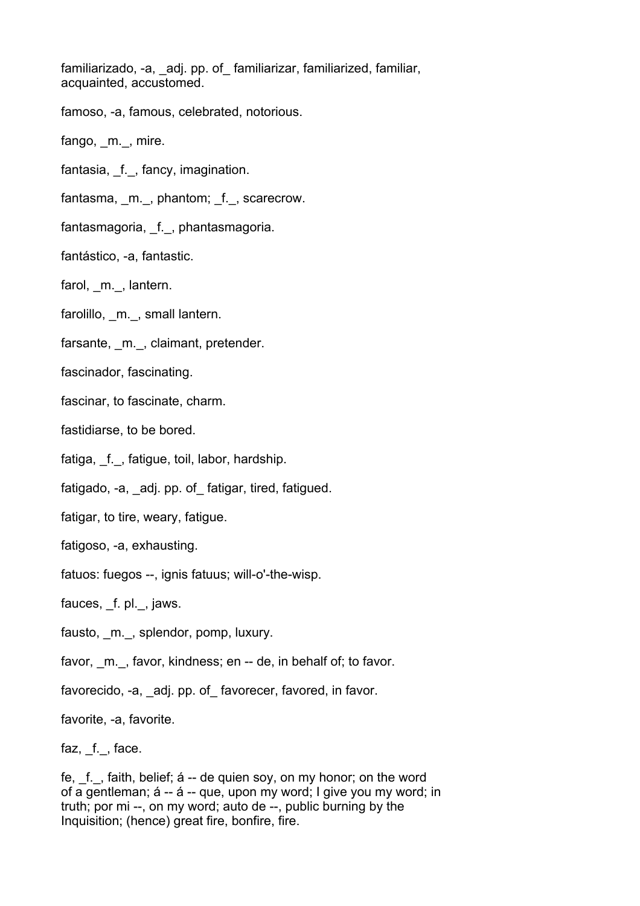familiarizado, -a, adj. pp. of familiarizar, familiarized, familiar, acquainted, accustomed.

famoso, -a, famous, celebrated, notorious.

fango, m., mire.

fantasia, \_f.\_, fancy, imagination.

fantasma, m., phantom; f., scarecrow.

fantasmagoria, \_f.\_, phantasmagoria.

fantástico, -a, fantastic.

farol, m., lantern.

farolillo, m., small lantern.

farsante, m., claimant, pretender.

fascinador, fascinating.

fascinar, to fascinate, charm.

fastidiarse, to be bored.

fatiga, f., fatigue, toil, labor, hardship.

fatigado, -a, adj. pp. of fatigar, tired, fatigued.

fatigar, to tire, weary, fatigue.

fatigoso, -a, exhausting.

fatuos: fuegos --, ignis fatuus; will-o'-the-wisp.

fauces, \_f. pl.\_, jaws.

fausto, m., splendor, pomp, luxury.

favor, m., favor, kindness; en -- de, in behalf of; to favor.

favorecido, -a, adj. pp. of favorecer, favored, in favor.

favorite, -a, favorite.

faz, f., face.

fe, f., faith, belief; á -- de quien soy, on my honor; on the word of a gentleman; á -- á -- que, upon my word; I give you my word; in truth; por mi --, on my word; auto de --, public burning by the Inquisition; (hence) great fire, bonfire, fire.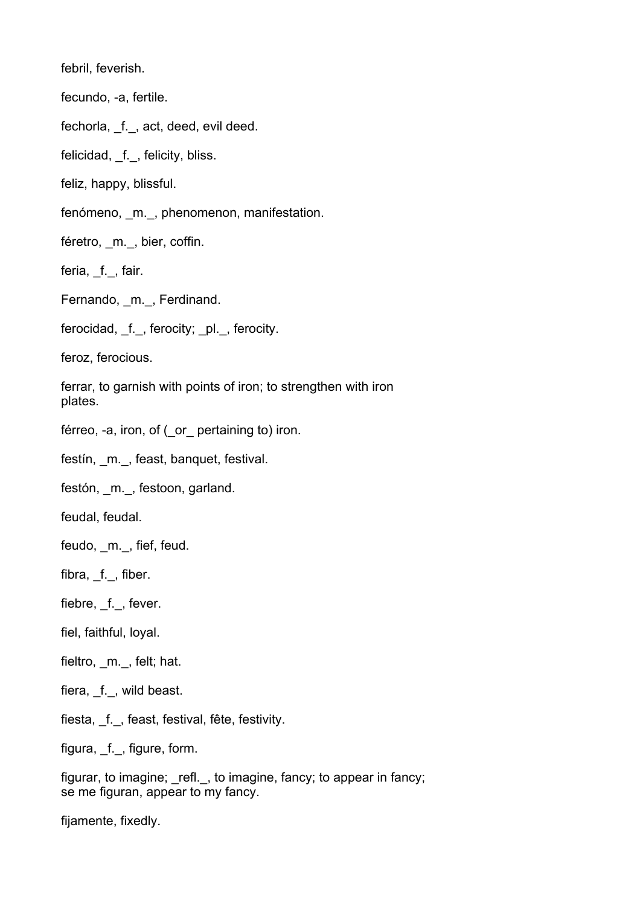febril, feverish.

fecundo, -a, fertile.

fechorla, f., act, deed, evil deed.

felicidad, \_f.\_, felicity, bliss.

feliz, happy, blissful.

fenómeno, m., phenomenon, manifestation.

féretro, m., bier, coffin.

feria, f., fair.

Fernando, m., Ferdinand.

ferocidad, f., ferocity; pl., ferocity.

feroz, ferocious.

ferrar, to garnish with points of iron; to strengthen with iron plates.

férreo, -a, iron, of ( or pertaining to) iron.

festín, m., feast, banquet, festival.

festón, m., festoon, garland.

feudal, feudal.

feudo, \_m.\_, fief, feud.

fibra, f., fiber.

fiebre, \_f.\_, fever.

fiel, faithful, loyal.

fieltro, \_m.\_, felt; hat.

fiera, f., wild beast.

fiesta, \_f.\_, feast, festival, fête, festivity.

figura, f., figure, form.

figurar, to imagine; refl., to imagine, fancy; to appear in fancy; se me figuran, appear to my fancy.

fijamente, fixedly.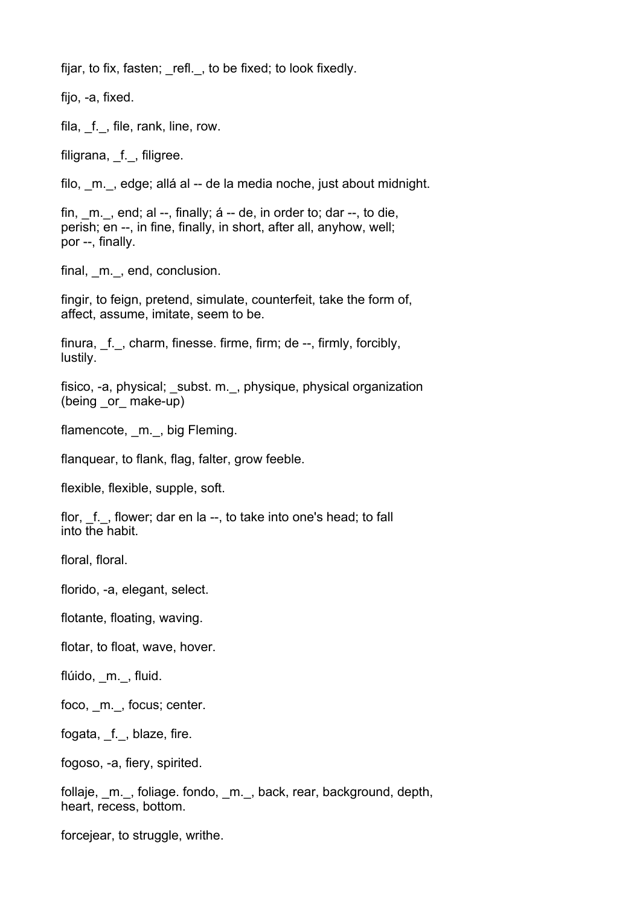fijar, to fix, fasten; refl., to be fixed; to look fixedly.

fijo, -a, fixed. fila, f., file, rank, line, row. filigrana, f., filigree. filo, \_m.\_, edge; allá al -- de la media noche, just about midnight. fin,  $m.$ , end; al --, finally; á -- de, in order to; dar --, to die, perish; en --, in fine, finally, in short, after all, anyhow, well; por --, finally. final, m., end, conclusion. fingir, to feign, pretend, simulate, counterfeit, take the form of, affect, assume, imitate, seem to be. finura, f., charm, finesse. firme, firm; de --, firmly, forcibly, lustily. fisico, -a, physical; subst. m., physique, physical organization (being \_or\_ make-up) flamencote, m., big Fleming. flanquear, to flank, flag, falter, grow feeble. flexible, flexible, supple, soft. flor, f., flower; dar en la --, to take into one's head; to fall into the habit. floral, floral. florido, -a, elegant, select. flotante, floating, waving. flotar, to float, wave, hover. flúido, m., fluid. foco, m., focus; center. fogata, \_f.\_, blaze, fire. fogoso, -a, fiery, spirited.

follaje, \_m.\_, foliage. fondo, \_m.\_, back, rear, background, depth, heart, recess, bottom.

forcejear, to struggle, writhe.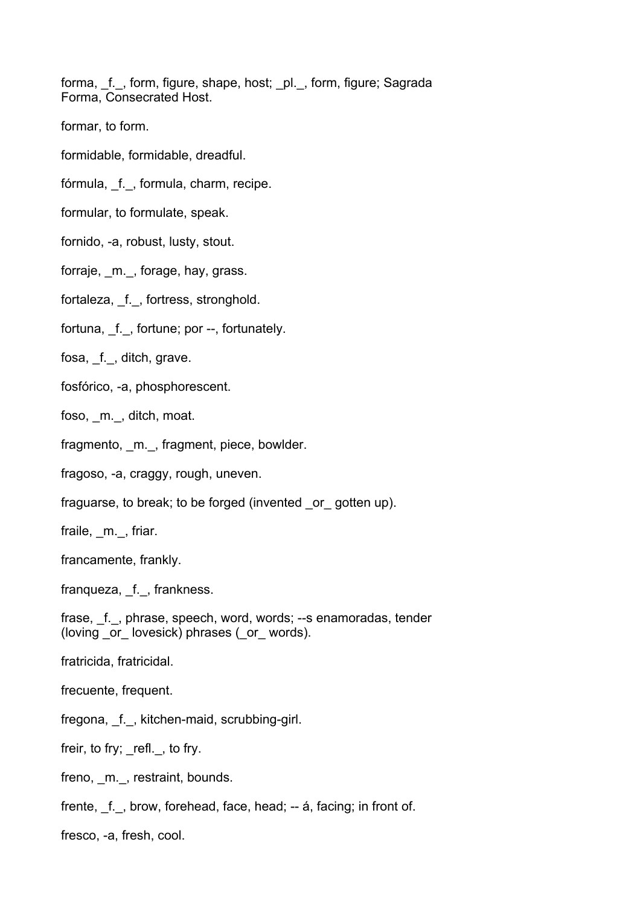forma, f., form, figure, shape, host; pl., form, figure; Sagrada Forma, Consecrated Host.

- formar, to form.
- formidable, formidable, dreadful.
- fórmula, \_f.\_, formula, charm, recipe.
- formular, to formulate, speak.
- fornido, -a, robust, lusty, stout.
- forraje, m., forage, hay, grass.
- fortaleza, f., fortress, stronghold.
- fortuna, f., fortune; por --, fortunately.
- fosa, f., ditch, grave.
- fosfórico, -a, phosphorescent.
- foso, m., ditch, moat.
- fragmento, m., fragment, piece, bowlder.
- fragoso, -a, craggy, rough, uneven.
- fraguarse, to break; to be forged (invented \_or\_ gotten up).
- fraile, m., friar.
- francamente, frankly.
- franqueza, f., frankness.
- frase, f., phrase, speech, word, words; --s enamoradas, tender (loving or lovesick) phrases (or words).
- fratricida, fratricidal.
- frecuente, frequent.
- fregona, \_f.\_, kitchen-maid, scrubbing-girl.
- freir, to fry; refl., to fry.
- freno, m., restraint, bounds.
- frente, f., brow, forehead, face, head; -- á, facing; in front of.
- fresco, -a, fresh, cool.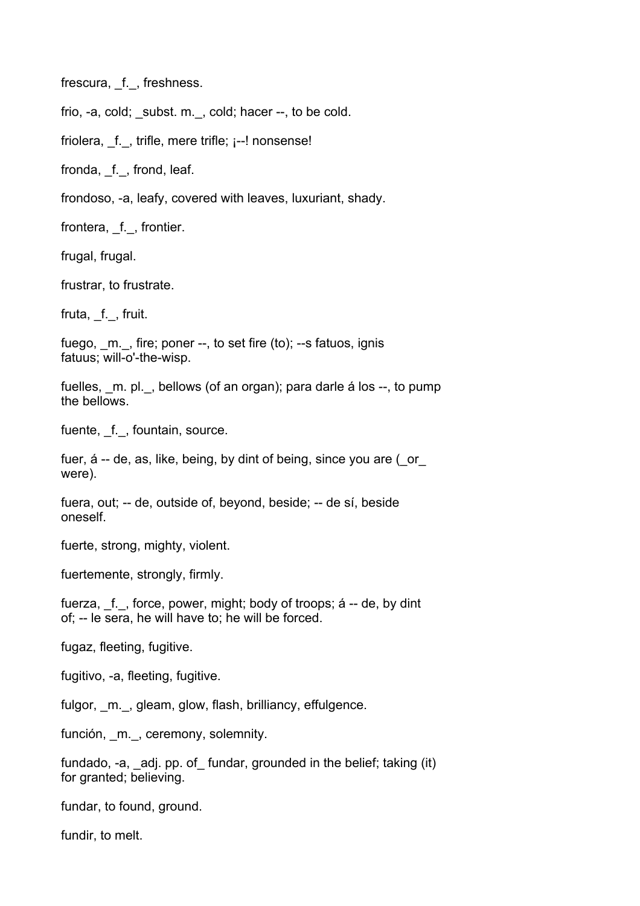frescura, f., freshness.

frio, -a, cold; subst. m., cold; hacer --, to be cold.

friolera,  $f.$ , trifle, mere trifle;  $i$ --! nonsense!

fronda, \_f.\_, frond, leaf.

frondoso, -a, leafy, covered with leaves, luxuriant, shady.

frontera, \_f.\_, frontier.

frugal, frugal.

frustrar, to frustrate.

fruta, f., fruit.

fuego, m., fire; poner --, to set fire (to); --s fatuos, ignis fatuus; will-o'-the-wisp.

fuelles, m. pl., bellows (of an organ); para darle á los --, to pump the bellows.

fuente, f., fountain, source.

fuer, á -- de, as, like, being, by dint of being, since you are ( or were).

fuera, out; -- de, outside of, beyond, beside; -- de sí, beside oneself.

fuerte, strong, mighty, violent.

fuertemente, strongly, firmly.

fuerza, \_f.\_, force, power, might; body of troops; á -- de, by dint of; -- le sera, he will have to; he will be forced.

fugaz, fleeting, fugitive.

fugitivo, -a, fleeting, fugitive.

fulgor, m., gleam, glow, flash, brilliancy, effulgence.

función, m., ceremony, solemnity.

fundado, -a, adj. pp. of fundar, grounded in the belief; taking (it) for granted; believing.

fundar, to found, ground.

fundir, to melt.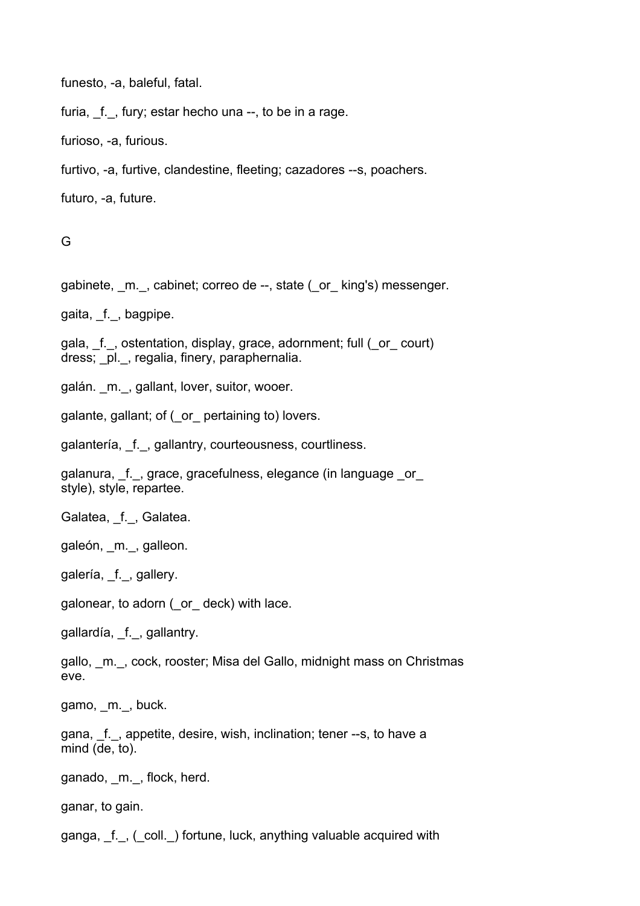funesto, -a, baleful, fatal.

furia,  $f.$ , fury; estar hecho una  $-$ , to be in a rage.

furioso, -a, furious.

furtivo, -a, furtive, clandestine, fleeting; cazadores --s, poachers.

futuro, -a, future.

G

gabinete, m., cabinet; correo de --, state ( or king's) messenger.

gaita, f., bagpipe.

gala, \_f.\_, ostentation, display, grace, adornment; full (\_or\_ court) dress; \_pl.\_, regalia, finery, paraphernalia.

galán. m., gallant, lover, suitor, wooer.

galante, gallant; of (\_or\_ pertaining to) lovers.

galantería, f., gallantry, courteousness, courtliness.

galanura, \_f.\_, grace, gracefulness, elegance (in language \_or\_ style), style, repartee.

Galatea, f., Galatea.

galeón, \_m.\_, galleon.

galería, f., gallery.

galonear, to adorn (\_or\_ deck) with lace.

gallardía, \_f.\_, gallantry.

gallo, \_m.\_, cock, rooster; Misa del Gallo, midnight mass on Christmas eve.

gamo, m., buck.

gana, \_f.\_, appetite, desire, wish, inclination; tener --s, to have a mind (de, to).

ganado, m., flock, herd.

ganar, to gain.

ganga, f., (coll.) fortune, luck, anything valuable acquired with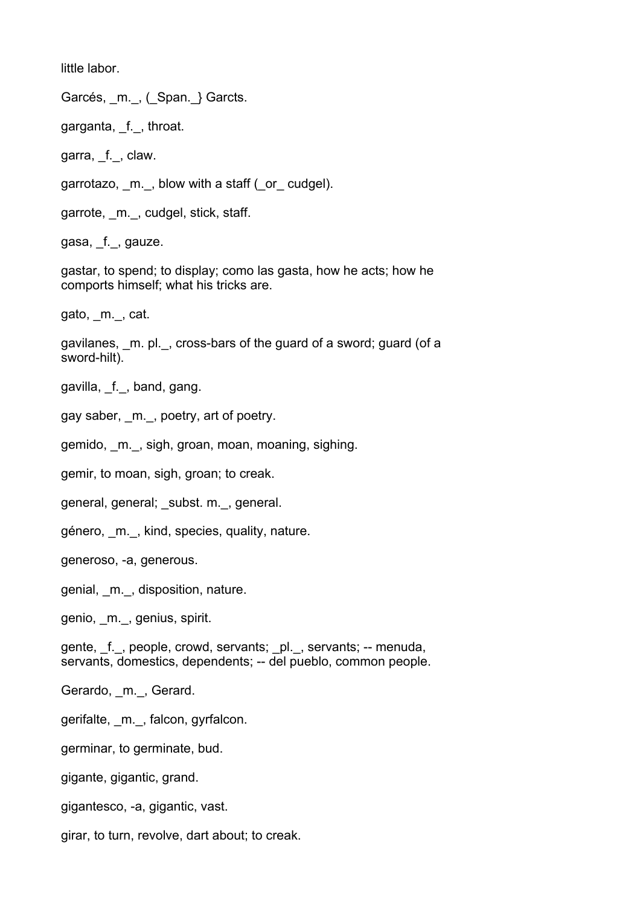little labor.

Garcés, \_m.\_, (\_Span.\_} Garcts.

garganta, \_f.\_, throat.

garra, f., claw.

garrotazo, m., blow with a staff (or cudgel).

garrote, m., cudgel, stick, staff.

gasa, f., gauze.

gastar, to spend; to display; como las gasta, how he acts; how he comports himself; what his tricks are.

gato, \_m.\_, cat.

gavilanes, m. pl., cross-bars of the guard of a sword; guard (of a sword-hilt).

gavilla, \_f.\_, band, gang.

gay saber, \_m.\_, poetry, art of poetry.

gemido, \_m.\_, sigh, groan, moan, moaning, sighing.

gemir, to moan, sigh, groan; to creak.

general, general; subst. m., general.

género, \_m.\_, kind, species, quality, nature.

generoso, -a, generous.

genial, \_m.\_, disposition, nature.

genio, \_m.\_, genius, spirit.

gente, f., people, crowd, servants; pl., servants; -- menuda, servants, domestics, dependents; -- del pueblo, common people.

Gerardo, m., Gerard.

gerifalte, \_m.\_, falcon, gyrfalcon.

germinar, to germinate, bud.

gigante, gigantic, grand.

gigantesco, -a, gigantic, vast.

girar, to turn, revolve, dart about; to creak.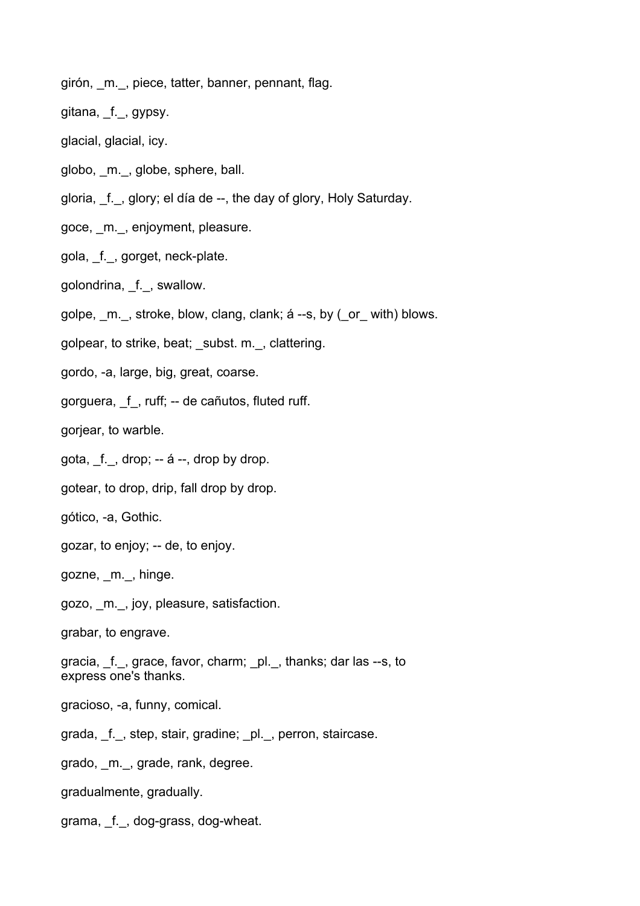girón, m., piece, tatter, banner, pennant, flag.

gitana, \_f.\_, gypsy.

glacial, glacial, icy.

globo, \_m.\_, globe, sphere, ball.

gloria, \_f.\_, glory; el día de --, the day of glory, Holy Saturday.

goce, \_m.\_, enjoyment, pleasure.

gola, \_f.\_, gorget, neck-plate.

golondrina, \_f.\_, swallow.

golpe, \_m.\_, stroke, blow, clang, clank; á --s, by (\_or\_ with) blows.

golpear, to strike, beat; \_subst. m.\_, clattering.

gordo, -a, large, big, great, coarse.

gorguera, \_f\_, ruff; -- de cañutos, fluted ruff.

gorjear, to warble.

gota,  $f.$ , drop;  $-4$   $-$ , drop by drop.

gotear, to drop, drip, fall drop by drop.

gótico, -a, Gothic.

gozar, to enjoy; -- de, to enjoy.

gozne, \_m.\_, hinge.

gozo, \_m.\_, joy, pleasure, satisfaction.

grabar, to engrave.

gracia, \_f.\_, grace, favor, charm; \_pl.\_, thanks; dar las --s, to express one's thanks.

gracioso, -a, funny, comical.

grada, \_f.\_, step, stair, gradine; \_pl.\_, perron, staircase.

grado, \_m.\_, grade, rank, degree.

gradualmente, gradually.

grama, \_f.\_, dog-grass, dog-wheat.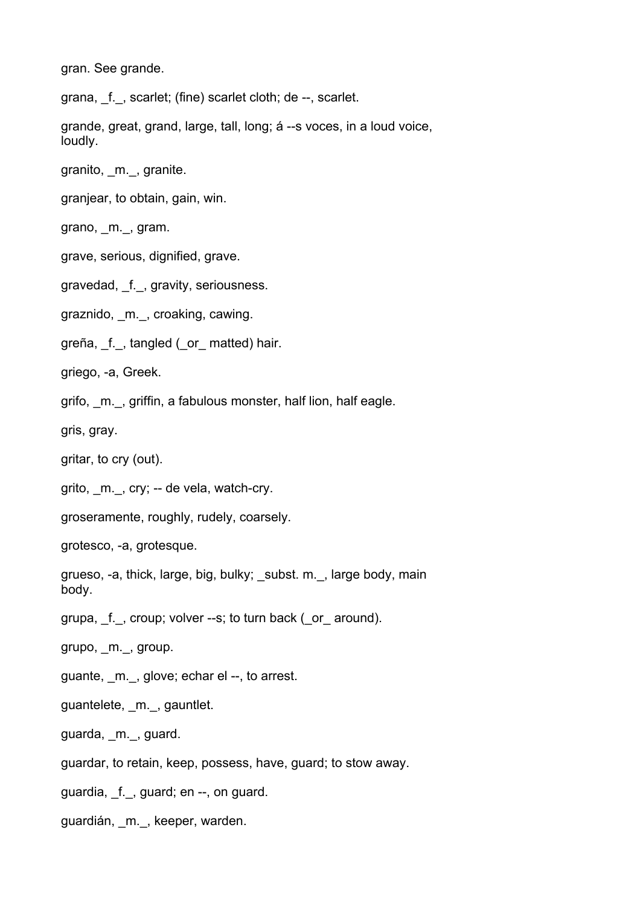gran. See grande.

grana, f., scarlet; (fine) scarlet cloth; de --, scarlet.

grande, great, grand, large, tall, long; á --s voces, in a loud voice, loudly.

granito, \_m.\_, granite.

granjear, to obtain, gain, win.

grano, \_m.\_, gram.

grave, serious, dignified, grave.

gravedad, f., gravity, seriousness.

graznido, m., croaking, cawing.

greña, f., tangled (or matted) hair.

griego, -a, Greek.

grifo, m., griffin, a fabulous monster, half lion, half eagle.

gris, gray.

gritar, to cry (out).

grito, m., cry; -- de vela, watch-cry.

groseramente, roughly, rudely, coarsely.

grotesco, -a, grotesque.

grueso, -a, thick, large, big, bulky; subst. m., large body, main body.

grupa, \_f. \_, croup; volver --s; to turn back ( or around).

grupo, \_m.\_, group.

guante, m., glove; echar el --, to arrest.

guantelete, m., gauntlet.

guarda, m., guard.

guardar, to retain, keep, possess, have, guard; to stow away.

guardia, \_f.\_, guard; en --, on guard.

guardián, m., keeper, warden.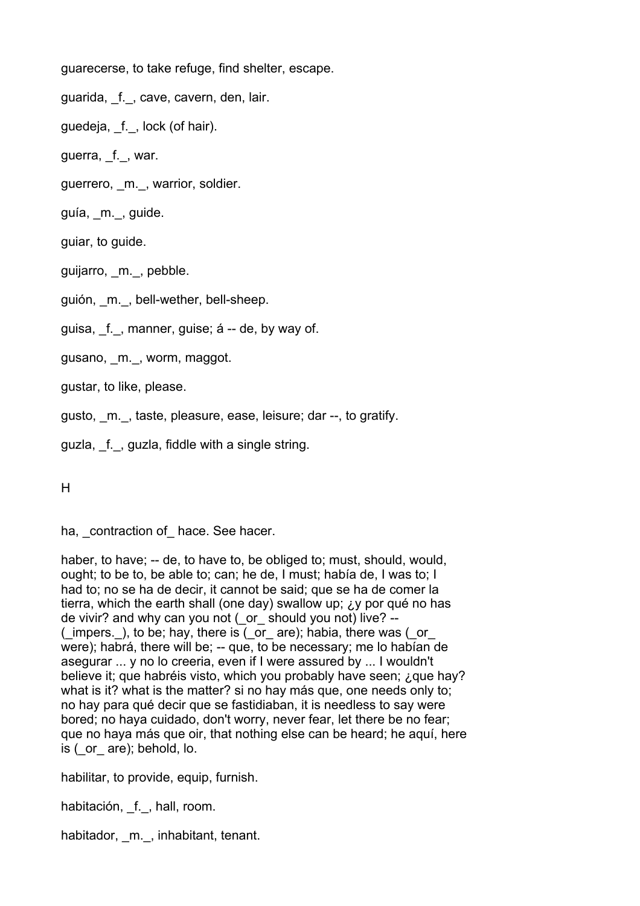guarecerse, to take refuge, find shelter, escape.

guarida, f., cave, cavern, den, lair.

guedeja, f., lock (of hair).

guerra, f., war.

guerrero, m., warrior, soldier.

guía, m., guide.

guiar, to guide.

guijarro, m., pebble.

guión, m., bell-wether, bell-sheep.

guisa, f., manner, guise; á -- de, by way of.

gusano, m., worm, maggot.

gustar, to like, please.

gusto, m., taste, pleasure, ease, leisure; dar --, to gratify.

guzla, f., guzla, fiddle with a single string.

H

ha, contraction of hace. See hacer.

haber, to have; -- de, to have to, be obliged to; must, should, would, ought; to be to, be able to; can; he de, I must; había de, I was to; I had to; no se ha de decir, it cannot be said; que se ha de comer la tierra, which the earth shall (one day) swallow up; ¿y por qué no has de vivir? and why can you not (\_or\_ should you not) live? -- ( $\overline{m}$  impers.), to be; hay, there is ( $\overline{m}$  or  $\overline{m}$ ); habia, there was ( $\overline{m}$ were); habrá, there will be; -- que, to be necessary; me lo habían de asegurar ... y no lo creeria, even if I were assured by ... I wouldn't believe it; que habréis visto, which you probably have seen; ¿que hay? what is it? what is the matter? si no hay más que, one needs only to: no hay para qué decir que se fastidiaban, it is needless to say were bored; no haya cuidado, don't worry, never fear, let there be no fear; que no haya más que oir, that nothing else can be heard; he aquí, here is (\_or\_ are); behold, lo.

habilitar, to provide, equip, furnish.

habitación, f., hall, room.

habitador, m., inhabitant, tenant.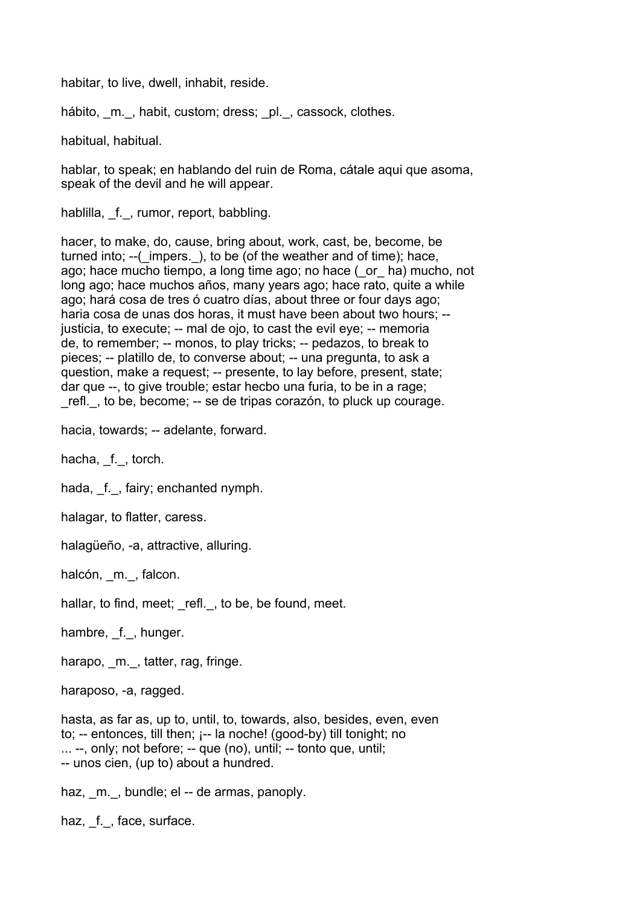habitar, to live, dwell, inhabit, reside.

hábito, m., habit, custom; dress; pl., cassock, clothes.

habitual, habitual.

hablar, to speak; en hablando del ruin de Roma, cátale aqui que asoma, speak of the devil and he will appear.

hablilla, f., rumor, report, babbling.

hacer, to make, do, cause, bring about, work, cast, be, become, be turned into: --( impers. ), to be (of the weather and of time); hace, ago; hace mucho tiempo, a long time ago; no hace (\_or\_ ha) mucho, not long ago; hace muchos años, many years ago; hace rato, quite a while ago; hará cosa de tres ó cuatro días, about three or four days ago; haria cosa de unas dos horas, it must have been about two hours; - justicia, to execute; -- mal de ojo, to cast the evil eye; -- memoria de, to remember; -- monos, to play tricks; -- pedazos, to break to pieces; -- platillo de, to converse about; -- una pregunta, to ask a question, make a request; -- presente, to lay before, present, state; dar que --, to give trouble; estar hecbo una furia, to be in a rage; \_refl.\_, to be, become; -- se de tripas corazón, to pluck up courage.

hacia, towards; -- adelante, forward.

hacha, f., torch.

hada, f., fairy; enchanted nymph.

halagar, to flatter, caress.

halagüeño, -a, attractive, alluring.

halcón, m., falcon.

hallar, to find, meet; refl., to be, be found, meet.

hambre, f., hunger.

harapo, m., tatter, rag, fringe.

haraposo, -a, ragged.

hasta, as far as, up to, until, to, towards, also, besides, even, even to; -- entonces, till then; ¡-- la noche! (good-by) till tonight; no ... --, only; not before; -- que (no), until; -- tonto que, until; -- unos cien, (up to) about a hundred.

haz, m., bundle; el -- de armas, panoply.

haz, f., face, surface.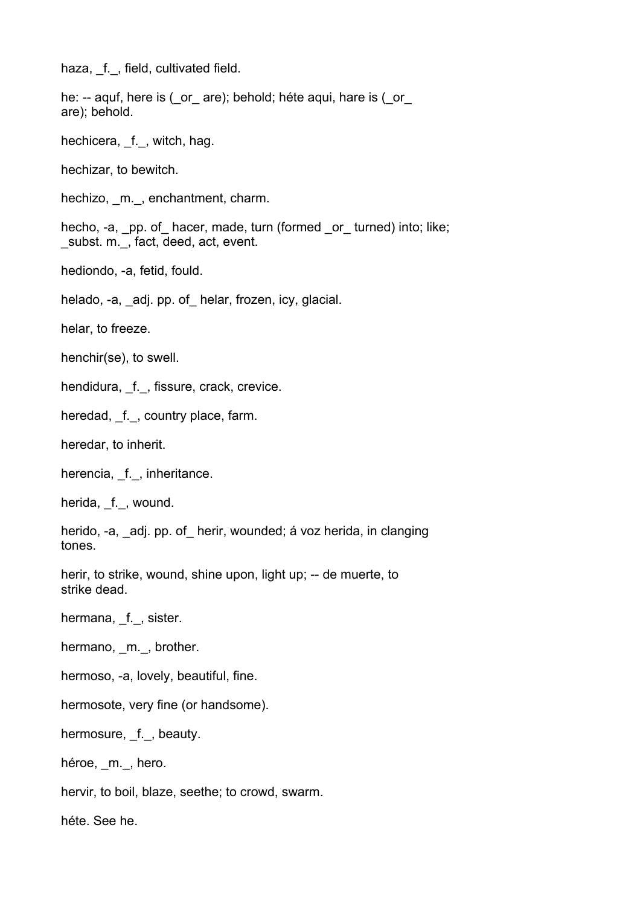haza, f., field, cultivated field.

he: -- aquf, here is (\_or\_ are); behold; héte aqui, hare is (\_or\_ are); behold.

hechicera, f., witch, hag.

hechizar, to bewitch.

hechizo, m., enchantment, charm.

hecho, -a, \_pp. of\_ hacer, made, turn (formed \_or\_ turned) into; like; subst. m., fact, deed, act, event.

hediondo, -a, fetid, fould.

helado, -a, adj. pp. of helar, frozen, icy, glacial.

helar, to freeze.

henchir(se), to swell.

hendidura, f., fissure, crack, crevice.

heredad, \_f.\_, country place, farm.

heredar, to inherit.

herencia, \_f.\_, inheritance.

herida, f., wound.

herido, -a, adj. pp. of herir, wounded; á voz herida, in clanging tones.

herir, to strike, wound, shine upon, light up; -- de muerte, to strike dead.

hermana, f., sister.

hermano, m., brother.

hermoso, -a, lovely, beautiful, fine.

hermosote, very fine (or handsome).

hermosure, \_f. \_, beauty.

héroe, m., hero.

hervir, to boil, blaze, seethe; to crowd, swarm.

héte. See he.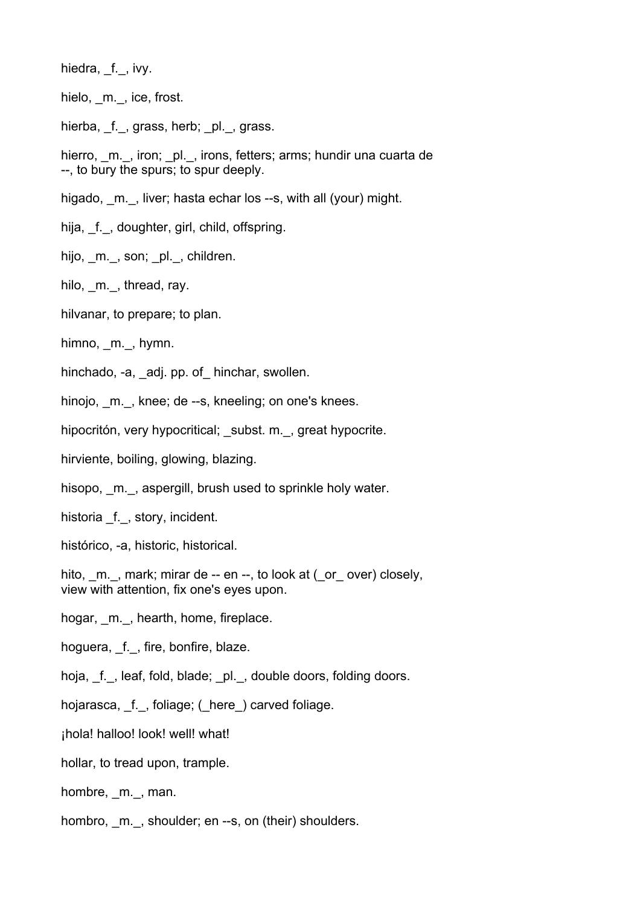hiedra, f., ivy.

hielo, \_m.\_, ice, frost.

hierba, f., grass, herb; pl., grass.

hierro, m., iron; pl., irons, fetters; arms; hundir una cuarta de --, to bury the spurs; to spur deeply.

higado, m., liver; hasta echar los --s, with all (your) might.

hija, \_f.\_, doughter, girl, child, offspring.

hijo, m., son; pl., children.

hilo, m., thread, ray.

hilvanar, to prepare; to plan.

himno, m., hymn.

hinchado, -a, adj. pp. of hinchar, swollen.

hinojo, m., knee; de --s, kneeling; on one's knees.

hipocritón, very hypocritical; subst. m., great hypocrite.

hirviente, boiling, glowing, blazing.

hisopo, m., aspergill, brush used to sprinkle holy water.

historia f., story, incident.

histórico, -a, historic, historical.

hito, m., mark; mirar de -- en --, to look at (\_or\_ over) closely, view with attention, fix one's eyes upon.

hogar, m., hearth, home, fireplace.

hoguera, f., fire, bonfire, blaze.

hoja, f., leaf, fold, blade; pl., double doors, folding doors.

hojarasca, f., foliage; ( here ) carved foliage.

¡hola! halloo! look! well! what!

hollar, to tread upon, trample.

hombre, \_m.\_, man.

hombro, m., shoulder; en --s, on (their) shoulders.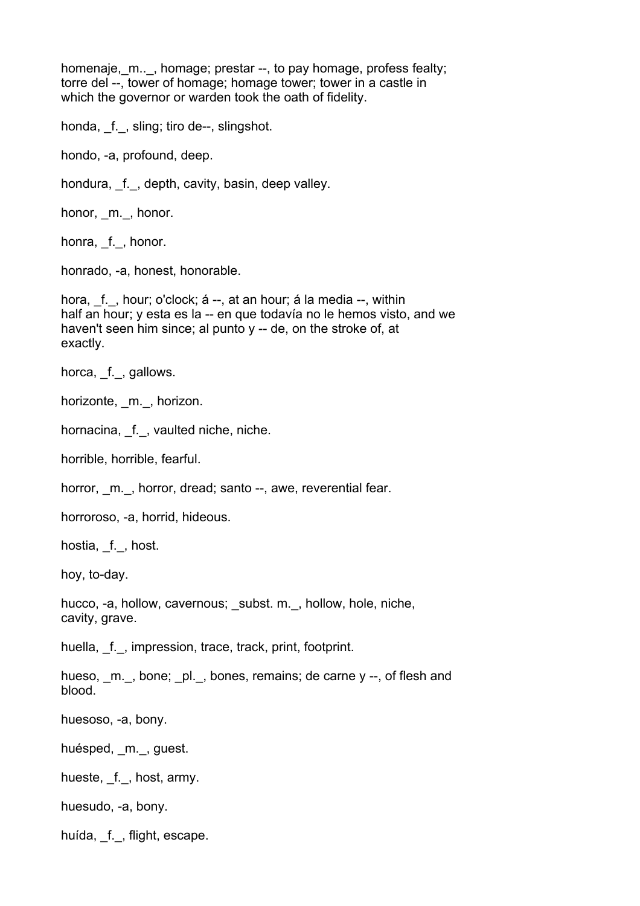homenaje, m..., homage; prestar --, to pay homage, profess fealty; torre del --, tower of homage; homage tower; tower in a castle in which the governor or warden took the oath of fidelity.

honda, f., sling; tiro de--, slingshot.

hondo, -a, profound, deep.

hondura, \_f.\_, depth, cavity, basin, deep valley.

honor, m., honor.

honra, \_f., honor.

honrado, -a, honest, honorable.

hora, f., hour; o'clock; á --, at an hour; á la media --, within half an hour; y esta es la -- en que todavía no le hemos visto, and we haven't seen him since; al punto y -- de, on the stroke of, at exactly.

horca, f., gallows.

horizonte, m., horizon.

hornacina, f.\_, vaulted niche, niche.

horrible, horrible, fearful.

horror, m., horror, dread; santo --, awe, reverential fear.

horroroso, -a, horrid, hideous.

hostia, f., host.

hoy, to-day.

hucco, -a, hollow, cavernous; \_subst. m.\_, hollow, hole, niche, cavity, grave.

huella, f., impression, trace, track, print, footprint.

hueso,  $m.$ , bone;  $pl.$ , bones, remains; de carne y --, of flesh and blood.

huesoso, -a, bony.

huésped, m., guest.

hueste, f., host, army.

huesudo, -a, bony.

huída, f., flight, escape.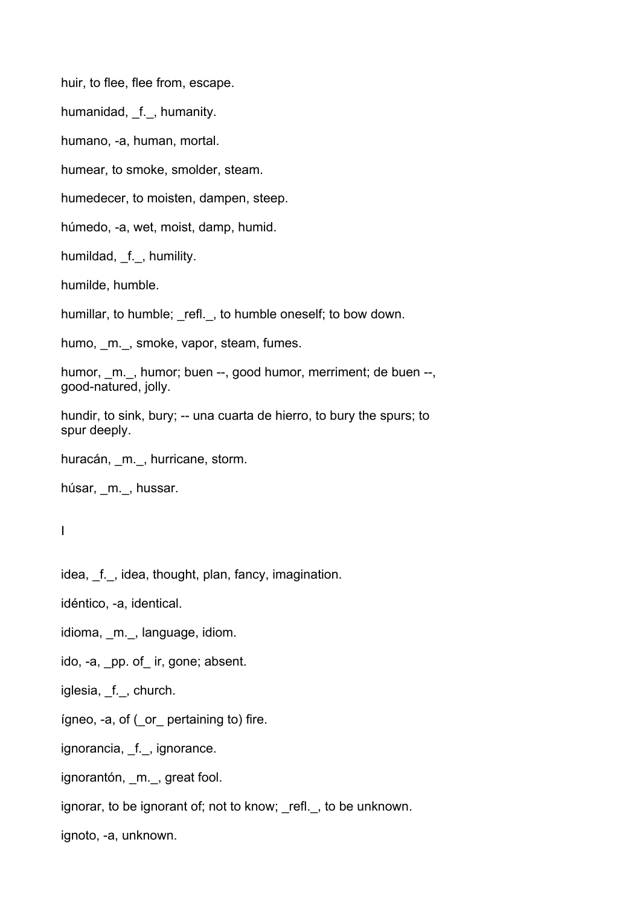huir, to flee, flee from, escape.

humanidad, f., humanity.

humano, -a, human, mortal.

humear, to smoke, smolder, steam.

humedecer, to moisten, dampen, steep.

húmedo, -a, wet, moist, damp, humid.

humildad, f., humility.

humilde, humble.

humillar, to humble; refl., to humble oneself; to bow down.

humo, m., smoke, vapor, steam, fumes.

humor, m., humor; buen --, good humor, merriment; de buen --, good-natured, jolly.

hundir, to sink, bury; -- una cuarta de hierro, to bury the spurs; to spur deeply.

huracán, m., hurricane, storm.

```
húsar, m., hussar.
```
I

idea, f., idea, thought, plan, fancy, imagination.

idéntico, -a, identical.

idioma, m., language, idiom.

ido, -a, \_pp. of\_ ir, gone; absent.

iglesia, f., church.

ígneo, -a, of (\_or\_ pertaining to) fire.

ignorancia, f., ignorance.

ignorantón, m., great fool.

ignorar, to be ignorant of; not to know; refl., to be unknown.

ignoto, -a, unknown.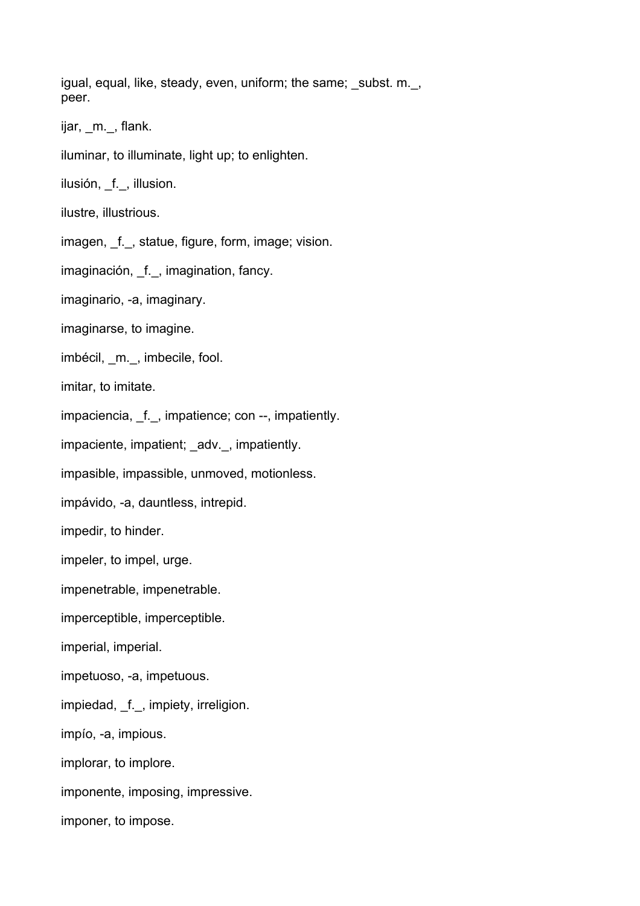igual, equal, like, steady, even, uniform; the same; subst. m., peer.

ijar, m., flank.

iluminar, to illuminate, light up; to enlighten.

ilusión, f., illusion.

ilustre, illustrious.

imagen, f., statue, figure, form, image; vision.

imaginación, f., imagination, fancy.

imaginario, -a, imaginary.

imaginarse, to imagine.

imbécil, m., imbecile, fool.

imitar, to imitate.

impaciencia, f., impatience; con --, impatiently.

impaciente, impatient; adv., impatiently.

impasible, impassible, unmoved, motionless.

impávido, -a, dauntless, intrepid.

impedir, to hinder.

impeler, to impel, urge.

impenetrable, impenetrable.

imperceptible, imperceptible.

imperial, imperial.

impetuoso, -a, impetuous.

impiedad, f., impiety, irreligion.

impío, -a, impious.

implorar, to implore.

imponente, imposing, impressive.

imponer, to impose.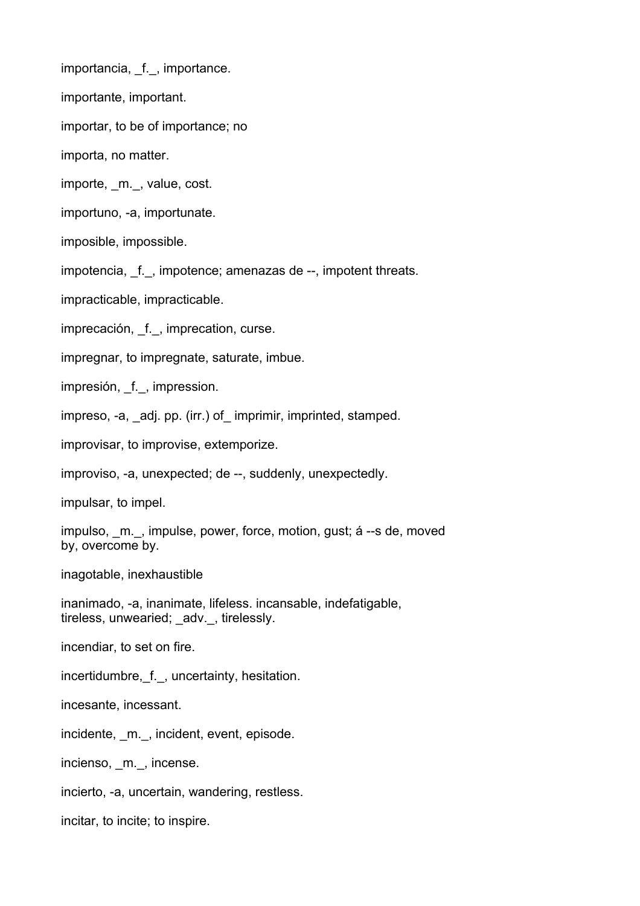importancia, f., importance.

importante, important.

importar, to be of importance; no

importa, no matter.

importe, m., value, cost.

importuno, -a, importunate.

imposible, impossible.

impotencia, f., impotence; amenazas de --, impotent threats.

impracticable, impracticable.

imprecación, f., imprecation, curse.

impregnar, to impregnate, saturate, imbue.

impresión, f., impression.

impreso, -a, adj. pp. (irr.) of imprimir, imprinted, stamped.

improvisar, to improvise, extemporize.

improviso, -a, unexpected; de --, suddenly, unexpectedly.

impulsar, to impel.

impulso, m., impulse, power, force, motion, gust; á --s de, moved by, overcome by.

inagotable, inexhaustible

inanimado, -a, inanimate, lifeless. incansable, indefatigable, tireless, unwearied; adv., tirelessly.

incendiar, to set on fire.

incertidumbre, f., uncertainty, hesitation.

incesante, incessant.

incidente, m., incident, event, episode.

incienso, m., incense.

incierto, -a, uncertain, wandering, restless.

incitar, to incite; to inspire.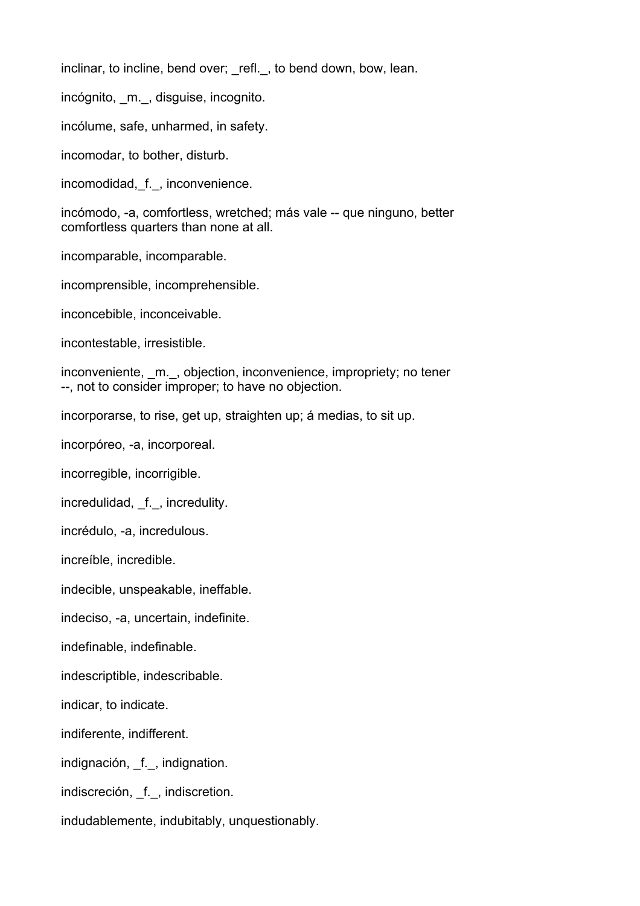inclinar, to incline, bend over; refl., to bend down, bow, lean.

incógnito, m., disguise, incognito.

incólume, safe, unharmed, in safety.

incomodar, to bother, disturb.

incomodidad, f., inconvenience.

incómodo, -a, comfortless, wretched; más vale -- que ninguno, better comfortless quarters than none at all.

incomparable, incomparable.

incomprensible, incomprehensible.

inconcebible, inconceivable.

incontestable, irresistible.

inconveniente, m., objection, inconvenience, impropriety; no tener --, not to consider improper; to have no objection.

incorporarse, to rise, get up, straighten up; á medias, to sit up.

incorpóreo, -a, incorporeal.

incorregible, incorrigible.

incredulidad, f., incredulity.

incrédulo, -a, incredulous.

increíble, incredible.

indecible, unspeakable, ineffable.

indeciso, -a, uncertain, indefinite.

indefinable, indefinable.

indescriptible, indescribable.

indicar, to indicate.

indiferente, indifferent.

indignación, f., indignation.

indiscreción, \_f.\_, indiscretion.

indudablemente, indubitably, unquestionably.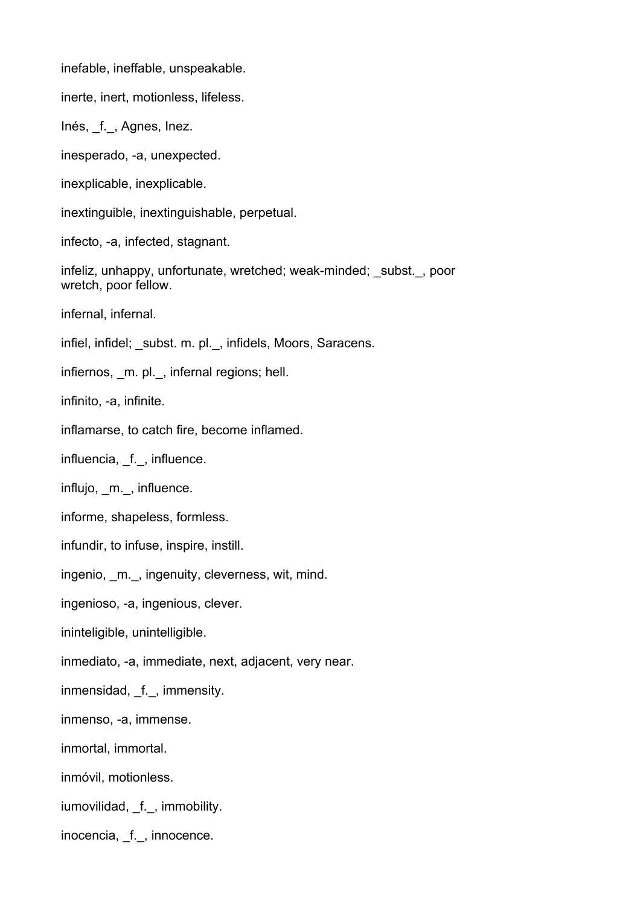inefable, ineffable, unspeakable.

inerte, inert, motionless, lifeless.

Inés, \_f.\_, Agnes, Inez.

inesperado, -a, unexpected.

inexplicable, inexplicable.

inextinguible, inextinguishable, perpetual.

infecto, -a, infected, stagnant.

infeliz, unhappy, unfortunate, wretched; weak-minded; subst., poor wretch, poor fellow.

infernal, infernal.

infiel, infidel; subst. m. pl., infidels, Moors, Saracens.

infiernos, m. pl., infernal regions; hell.

infinito, -a, infinite.

inflamarse, to catch fire, become inflamed.

influencia, f., influence.

influjo, m., influence.

informe, shapeless, formless.

infundir, to infuse, inspire, instill.

ingenio, m., ingenuity, cleverness, wit, mind.

ingenioso, -a, ingenious, clever.

ininteligible, unintelligible.

inmediato, -a, immediate, next, adjacent, very near.

inmensidad, f., immensity.

inmenso, -a, immense.

inmortal, immortal.

inmóvil, motionless.

iumovilidad, f., immobility.

inocencia, \_f.\_, innocence.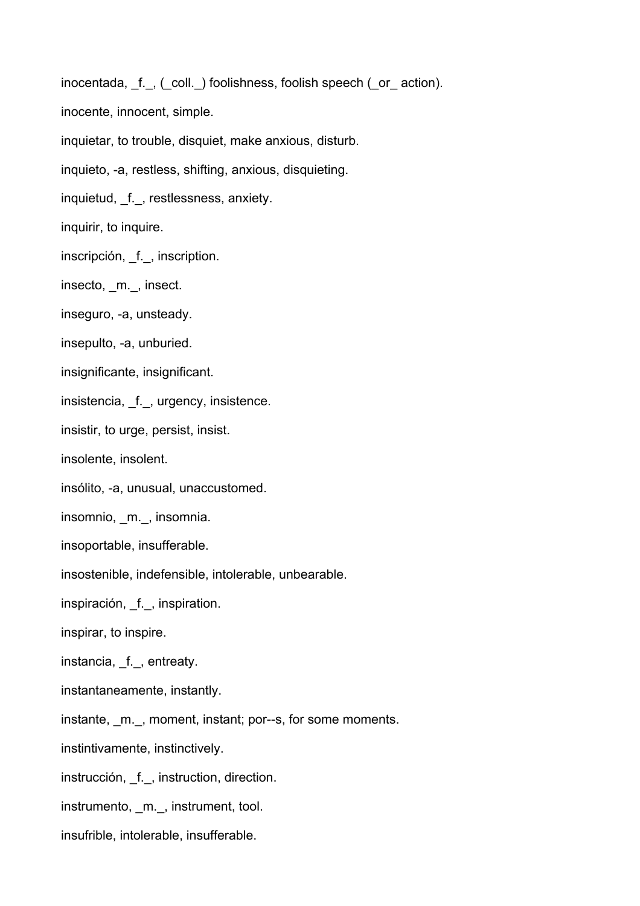inocentada, f., (coll.) foolishness, foolish speech (or action).

inocente, innocent, simple.

inquietar, to trouble, disquiet, make anxious, disturb.

inquieto, -a, restless, shifting, anxious, disquieting.

inquietud, f., restlessness, anxiety.

inquirir, to inquire.

inscripción, f., inscription.

insecto, m., insect.

inseguro, -a, unsteady.

insepulto, -a, unburied.

insignificante, insignificant.

insistencia, \_f.\_, urgency, insistence.

insistir, to urge, persist, insist.

insolente, insolent.

insólito, -a, unusual, unaccustomed.

insomnio, \_m.\_, insomnia.

insoportable, insufferable.

insostenible, indefensible, intolerable, unbearable.

inspiración, \_f.\_, inspiration.

inspirar, to inspire.

instancia, \_f.\_, entreaty.

instantaneamente, instantly.

instante, \_m.\_, moment, instant; por--s, for some moments.

instintivamente, instinctively.

instrucción, f., instruction, direction.

instrumento, m., instrument, tool.

insufrible, intolerable, insufferable.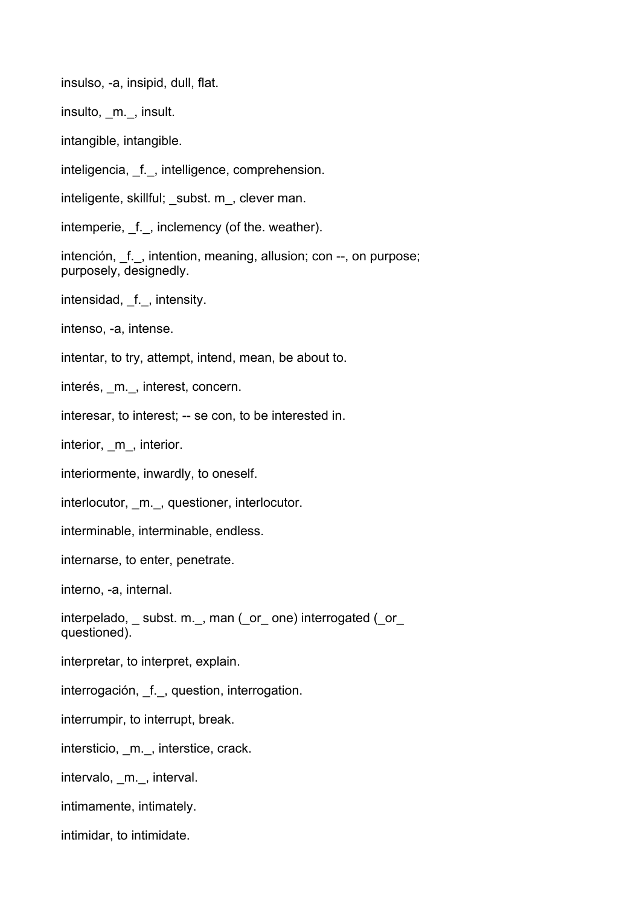insulso, -a, insipid, dull, flat.

insulto, m., insult.

intangible, intangible.

inteligencia, \_f.\_, intelligence, comprehension.

inteligente, skillful; subst. m, clever man.

intemperie, \_f.\_, inclemency (of the. weather).

intención, f., intention, meaning, allusion; con --, on purpose; purposely, designedly.

intensidad, f., intensity.

intenso, -a, intense.

intentar, to try, attempt, intend, mean, be about to.

interés, m., interest, concern.

interesar, to interest; -- se con, to be interested in.

interior, m, interior.

interiormente, inwardly, to oneself.

interlocutor, m., questioner, interlocutor.

interminable, interminable, endless.

internarse, to enter, penetrate.

interno, -a, internal.

interpelado, subst. m., man (or one) interrogated (or questioned).

interpretar, to interpret, explain.

interrogación, f., question, interrogation.

interrumpir, to interrupt, break.

intersticio, m., interstice, crack.

intervalo, m., interval.

intimamente, intimately.

intimidar, to intimidate.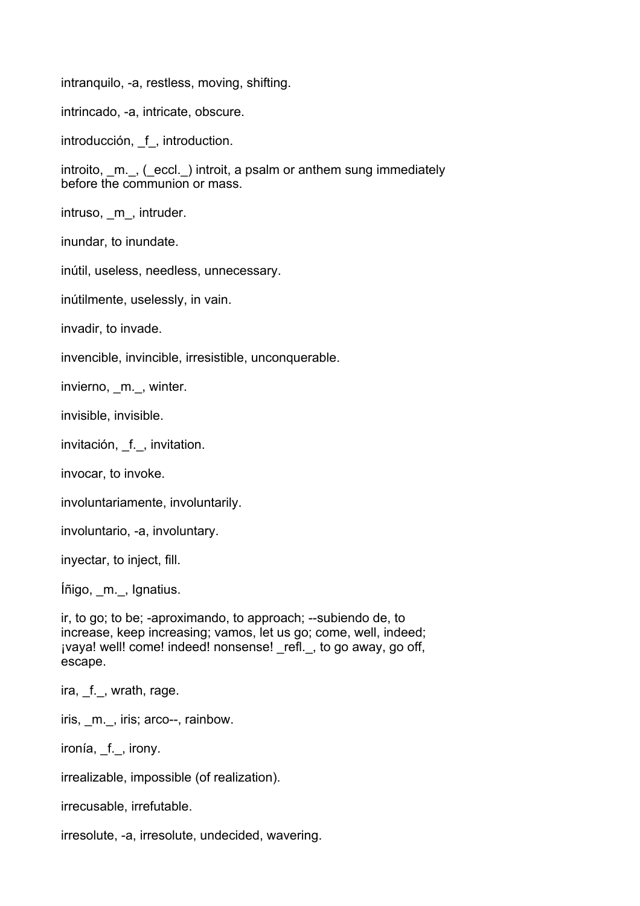intranquilo, -a, restless, moving, shifting.

intrincado, -a, intricate, obscure.

introducción, f, introduction.

introito, \_m.\_, (\_eccl.\_) introit, a psalm or anthem sung immediately before the communion or mass.

intruso, m, intruder.

inundar, to inundate.

inútil, useless, needless, unnecessary.

inútilmente, uselessly, in vain.

invadir, to invade.

invencible, invincible, irresistible, unconquerable.

invierno, m., winter.

invisible, invisible.

invitación, f., invitation.

invocar, to invoke.

involuntariamente, involuntarily.

involuntario, -a, involuntary.

inyectar, to inject, fill.

Íñigo, \_m.\_, Ignatius.

ir, to go; to be; -aproximando, to approach; --subiendo de, to increase, keep increasing; vamos, let us go; come, well, indeed; jvaya! well! come! indeed! nonsense! refl., to go away, go off, escape.

ira, f., wrath, rage.

iris, \_m.\_, iris; arco--, rainbow.

ironía, f., irony.

irrealizable, impossible (of realization).

irrecusable, irrefutable.

irresolute, -a, irresolute, undecided, wavering.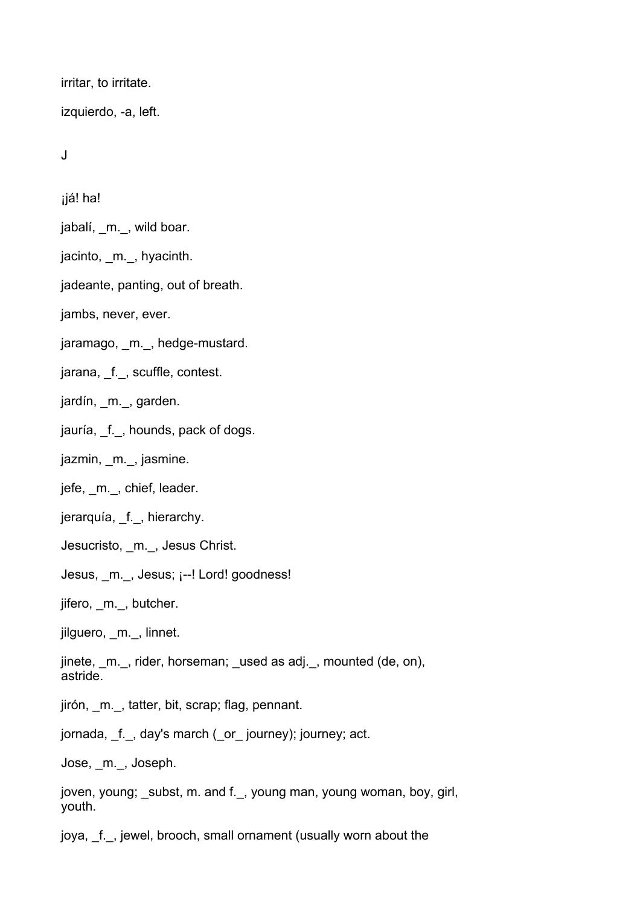irritar, to irritate.

izquierdo, -a, left.

J

ijá! ha!

jabalí, \_m.\_, wild boar.

jacinto, m., hyacinth.

jadeante, panting, out of breath.

jambs, never, ever.

jaramago, m., hedge-mustard.

jarana, f., scuffle, contest.

jardín, \_m.\_, garden.

jauría, f., hounds, pack of dogs.

jazmin, m., jasmine.

jefe, m., chief, leader.

jerarquía, f., hierarchy.

Jesucristo, \_m.\_, Jesus Christ.

Jesus, m., Jesus; ¡--! Lord! goodness!

jifero, \_m.\_, butcher.

jilguero, m., linnet.

jinete, \_m.\_, rider, horseman; \_used as adj.\_, mounted (de, on), astride.

jirón, \_m.\_, tatter, bit, scrap; flag, pennant.

jornada, \_f.\_, day's march (\_or\_ journey); journey; act.

Jose, \_m.\_, Joseph.

joven, young; subst, m. and f., young man, young woman, boy, girl, youth.

joya, f., jewel, brooch, small ornament (usually worn about the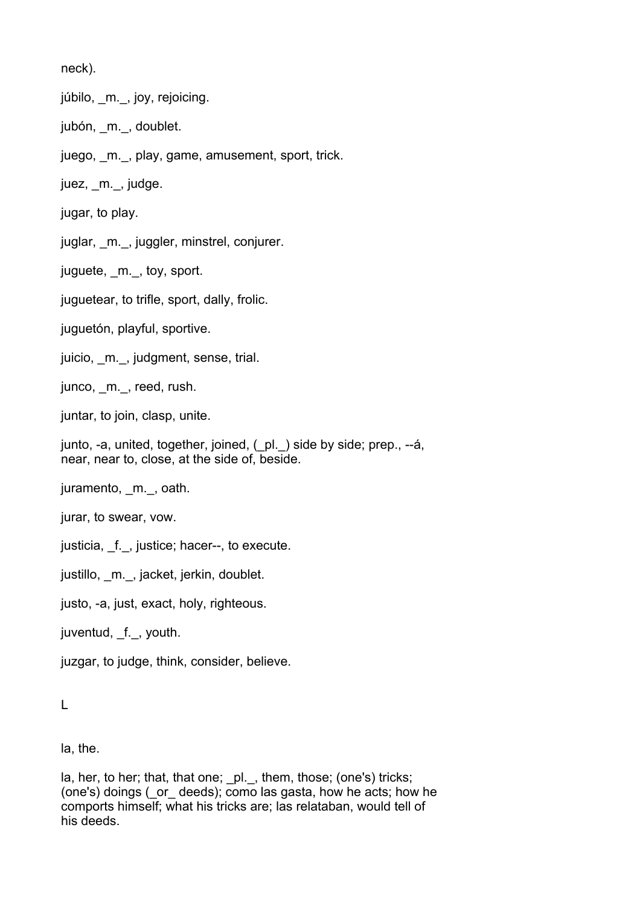neck).

júbilo, \_m.\_, joy, rejoicing.

jubón, m., doublet.

juego, m., play, game, amusement, sport, trick.

juez, \_m.\_, judge.

jugar, to play.

juglar, m., juggler, minstrel, conjurer.

juguete, m., toy, sport.

juguetear, to trifle, sport, dally, frolic.

juguetón, playful, sportive.

juicio, m. \_, judgment, sense, trial.

junco, m., reed, rush.

juntar, to join, clasp, unite.

junto, -a, united, together, joined, (\_pl.\_) side by side; prep., --á, near, near to, close, at the side of, beside.

juramento, m., oath.

jurar, to swear, vow.

justicia, f., justice; hacer--, to execute.

justillo, m., jacket, jerkin, doublet.

justo, -a, just, exact, holy, righteous.

juventud, f., youth.

juzgar, to judge, think, consider, believe.

L

la, the.

la, her, to her; that, that one; \_pl.\_, them, those; (one's) tricks; (one's) doings (\_or\_ deeds); como las gasta, how he acts; how he comports himself; what his tricks are; las relataban, would tell of his deeds.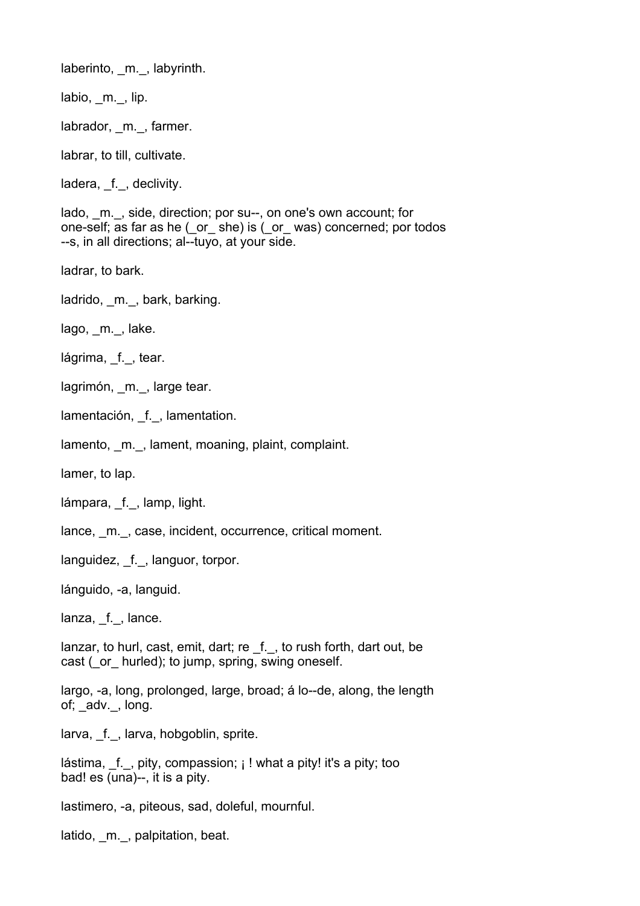laberinto, m., labyrinth.

labio, m., lip.

labrador, m., farmer.

labrar, to till, cultivate.

ladera, f., declivity.

lado, m., side, direction; por su--, on one's own account; for one-self; as far as he (\_or\_ she) is (\_or\_ was) concerned; por todos --s, in all directions; al--tuyo, at your side.

ladrar, to bark.

ladrido, m., bark, barking.

lago, m., lake.

lágrima, f., tear.

lagrimón, m., large tear.

lamentación, f., lamentation.

lamento, \_m.\_, lament, moaning, plaint, complaint.

lamer, to lap.

lámpara, f., lamp, light.

lance, \_m.\_, case, incident, occurrence, critical moment.

languidez, f., languor, torpor.

lánguido, -a, languid.

lanza, f., lance.

lanzar, to hurl, cast, emit, dart; re f., to rush forth, dart out, be cast ( or hurled); to jump, spring, swing oneself.

largo, -a, long, prolonged, large, broad; á lo--de, along, the length of; adv., long.

larva, f., larva, hobgoblin, sprite.

lástima, f., pity, compassion; ¡ ! what a pity! it's a pity; too bad! es (una)--, it is a pity.

lastimero, -a, piteous, sad, doleful, mournful.

latido, \_m.\_, palpitation, beat.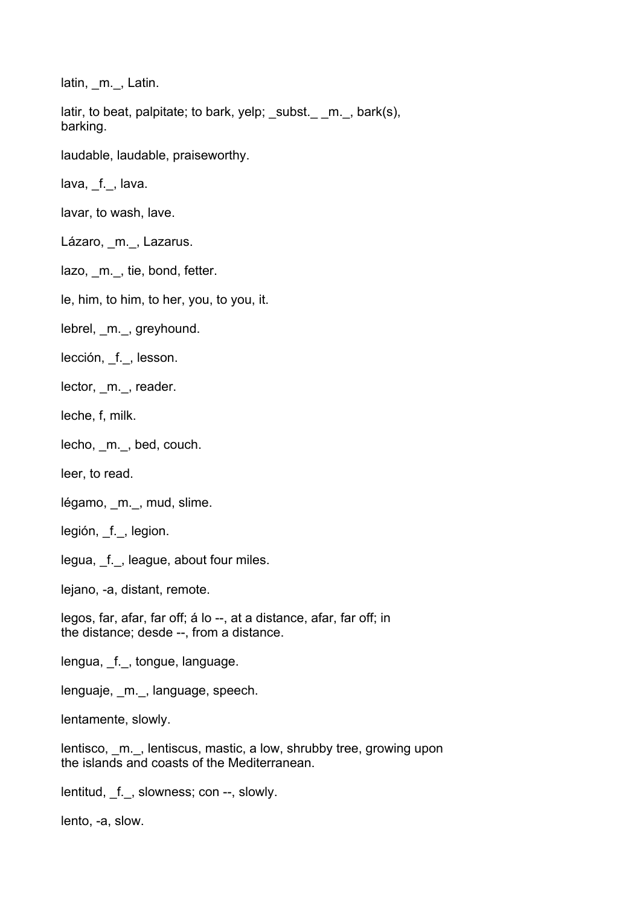latin, m., Latin.

latir, to beat, palpitate; to bark, yelp; subst.  $m.$ , bark(s), barking.

laudable, laudable, praiseworthy.

lava, f., lava.

lavar, to wash, lave.

Lázaro, m., Lazarus.

lazo, m., tie, bond, fetter.

le, him, to him, to her, you, to you, it.

lebrel, \_m.\_, greyhound.

lección, f., lesson.

lector, m., reader.

leche, f, milk.

lecho, m., bed, couch.

leer, to read.

légamo, m., mud, slime.

legión, \_f.\_, legion.

legua, f., league, about four miles.

lejano, -a, distant, remote.

legos, far, afar, far off; á lo --, at a distance, afar, far off; in the distance; desde --, from a distance.

lengua, \_f.\_, tongue, language.

lenguaje, m., language, speech.

lentamente, slowly.

lentisco, m., lentiscus, mastic, a low, shrubby tree, growing upon the islands and coasts of the Mediterranean.

lentitud, \_f.\_, slowness; con --, slowly.

lento, -a, slow.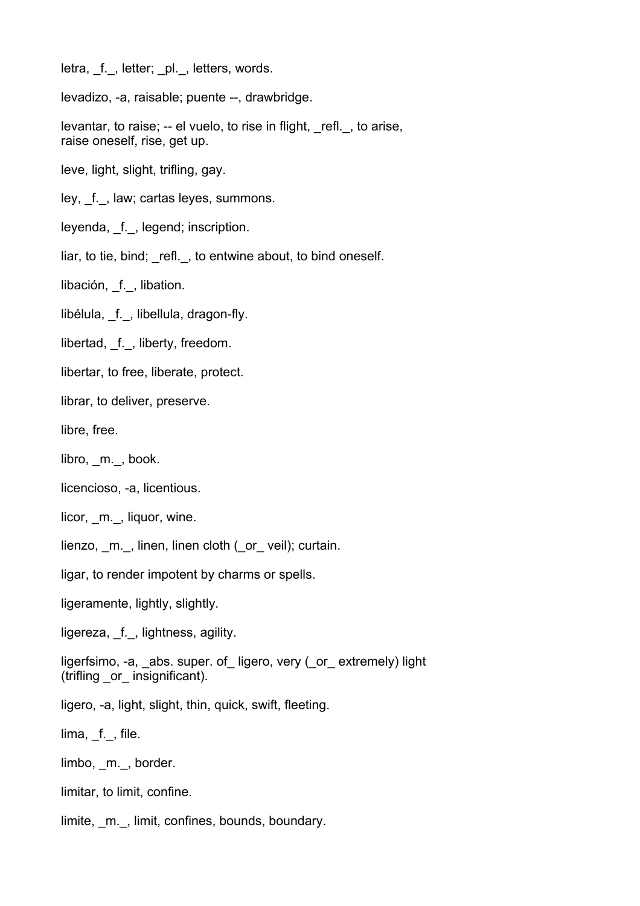letra, f., letter; pl., letters, words.

levadizo, -a, raisable; puente --, drawbridge.

levantar, to raise; -- el vuelo, to rise in flight, \_refl.\_, to arise, raise oneself, rise, get up.

leve, light, slight, trifling, gay.

ley, f., law; cartas leyes, summons.

leyenda, \_f.\_, legend; inscription.

liar, to tie, bind; refl., to entwine about, to bind oneself.

libación, f., libation.

libélula, f., libellula, dragon-fly.

libertad, \_f.\_, liberty, freedom.

libertar, to free, liberate, protect.

librar, to deliver, preserve.

libre, free.

libro, m., book.

licencioso, -a, licentious.

licor, m., liquor, wine.

lienzo, \_m.\_, linen, linen cloth (\_or\_ veil); curtain.

ligar, to render impotent by charms or spells.

ligeramente, lightly, slightly.

ligereza, f., lightness, agility.

ligerfsimo, -a, \_abs. super. of\_ ligero, very (\_or\_ extremely) light (trifling \_or\_ insignificant).

ligero, -a, light, slight, thin, quick, swift, fleeting.

 $lima, f_{-}$ , file.

limbo, m., border.

limitar, to limit, confine.

limite, m., limit, confines, bounds, boundary.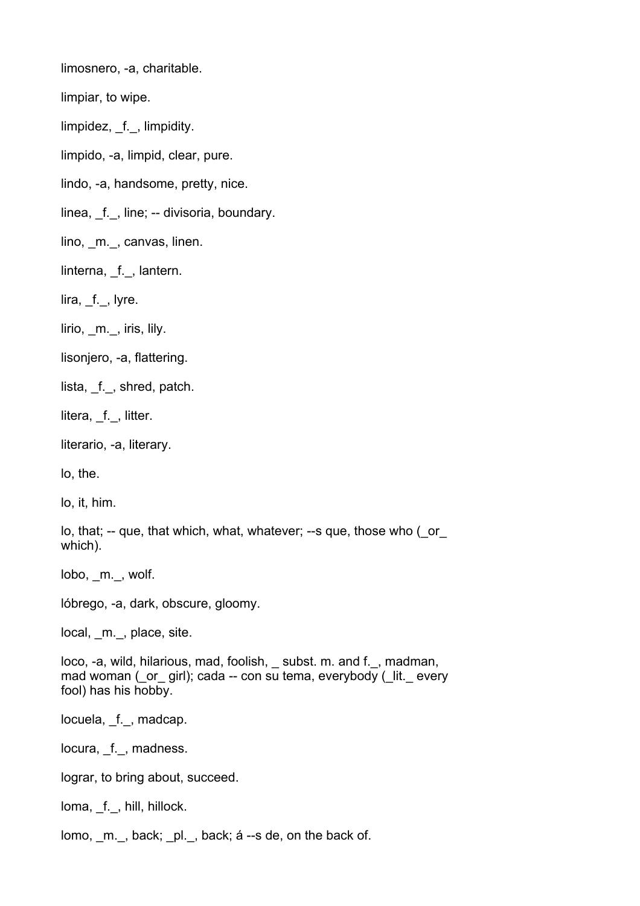limosnero, -a, charitable.

limpiar, to wipe.

limpidez, f., limpidity.

limpido, -a, limpid, clear, pure.

lindo, -a, handsome, pretty, nice.

linea, f., line; -- divisoria, boundary.

lino, m., canvas, linen.

linterna, f., lantern.

lira, f., lyre.

lirio, \_m.\_, iris, lily.

lisonjero, -a, flattering.

lista, f., shred, patch.

litera, \_f.\_, litter.

literario, -a, literary.

lo, the.

lo, it, him.

lo, that; -- que, that which, what, whatever; --s que, those who (\_or\_ which).

lobo, m., wolf.

lóbrego, -a, dark, obscure, gloomy.

local, m., place, site.

loco, -a, wild, hilarious, mad, foolish, \_ subst. m. and f.\_, madman, mad woman ( or girl); cada -- con su tema, everybody ( lit. every fool) has his hobby.

locuela, \_f.\_, madcap.

locura, f., madness.

lograr, to bring about, succeed.

loma, f., hill, hillock.

lomo, \_m.\_, back; \_pl.\_, back; á --s de, on the back of.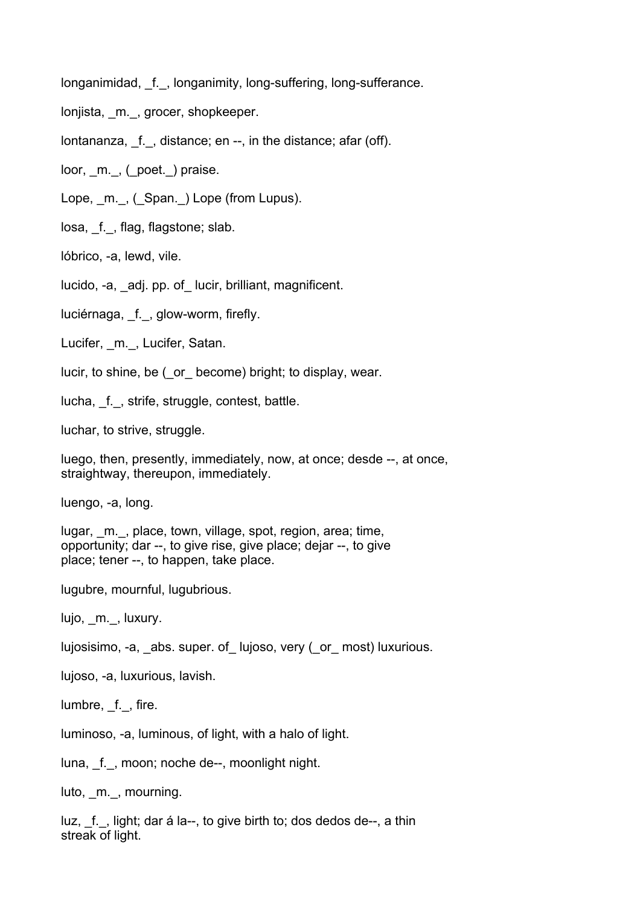longanimidad, f., longanimity, long-suffering, long-sufferance.

lonjista, m., grocer, shopkeeper.

lontananza, f., distance; en --, in the distance; afar (off).

loor, \_m.\_, (\_poet.\_) praise.

Lope, m., (Span.) Lope (from Lupus).

losa, \_f.\_, flag, flagstone; slab.

lóbrico, -a, lewd, vile.

lucido, -a, \_adj. pp. of\_ lucir, brilliant, magnificent.

luciérnaga, f., glow-worm, firefly.

Lucifer, m., Lucifer, Satan.

lucir, to shine, be (\_or\_ become) bright; to display, wear.

lucha, f., strife, struggle, contest, battle.

luchar, to strive, struggle.

luego, then, presently, immediately, now, at once; desde --, at once, straightway, thereupon, immediately.

luengo, -a, long.

lugar, m., place, town, village, spot, region, area; time, opportunity; dar --, to give rise, give place; dejar --, to give place; tener --, to happen, take place.

lugubre, mournful, lugubrious.

lujo, m., luxury.

lujosisimo, -a, abs. super. of lujoso, very ( or most) luxurious.

lujoso, -a, luxurious, lavish.

lumbre, f., fire.

luminoso, -a, luminous, of light, with a halo of light.

luna, f., moon; noche de--, moonlight night.

luto, \_m.\_, mourning.

luz, f., light; dar á la--, to give birth to; dos dedos de--, a thin streak of light.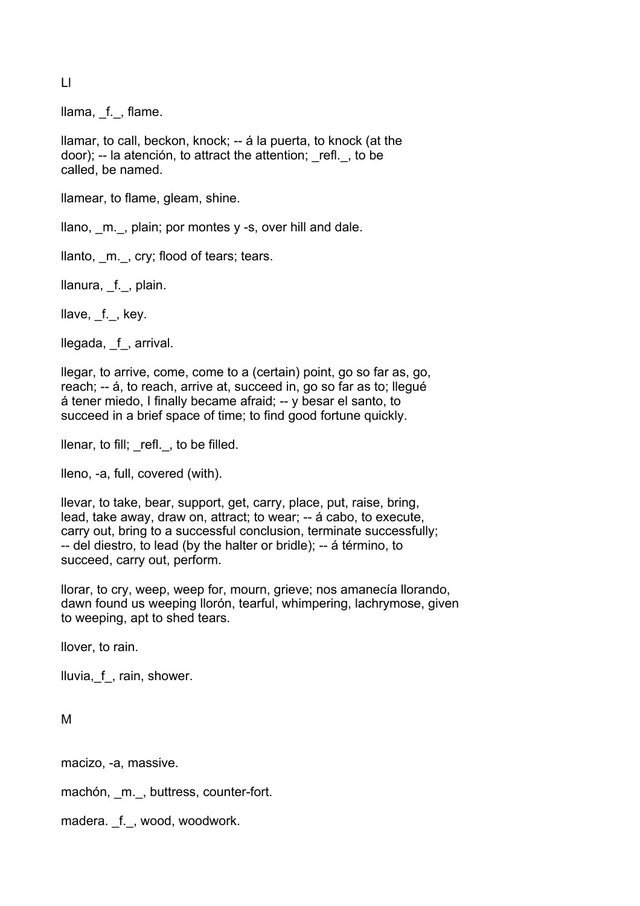Ll

llama, f., flame.

llamar, to call, beckon, knock; -- á la puerta, to knock (at the door); -- la atención, to attract the attention; refl., to be called, be named.

llamear, to flame, gleam, shine.

llano, m., plain; por montes y -s, over hill and dale.

llanto, \_m.\_, cry; flood of tears; tears.

llanura, \_f.\_, plain.

llave, f., key.

llegada, f, arrival.

llegar, to arrive, come, come to a (certain) point, go so far as, go, reach; -- á, to reach, arrive at, succeed in, go so far as to; llegué á tener miedo, I finally became afraid; -- y besar el santo, to succeed in a brief space of time; to find good fortune quickly.

llenar, to fill; \_refl.\_, to be filled.

lleno, -a, full, covered (with).

llevar, to take, bear, support, get, carry, place, put, raise, bring, lead, take away, draw on, attract; to wear; -- á cabo, to execute, carry out, bring to a successful conclusion, terminate successfully; -- del diestro, to lead (by the halter or bridle); -- á término, to succeed, carry out, perform.

llorar, to cry, weep, weep for, mourn, grieve; nos amanecía llorando, dawn found us weeping llorón, tearful, whimpering, lachrymose, given to weeping, apt to shed tears.

llover, to rain.

lluvia,\_f\_, rain, shower.

M

macizo, -a, massive.

machón, \_m.\_, buttress, counter-fort.

madera. f., wood, woodwork.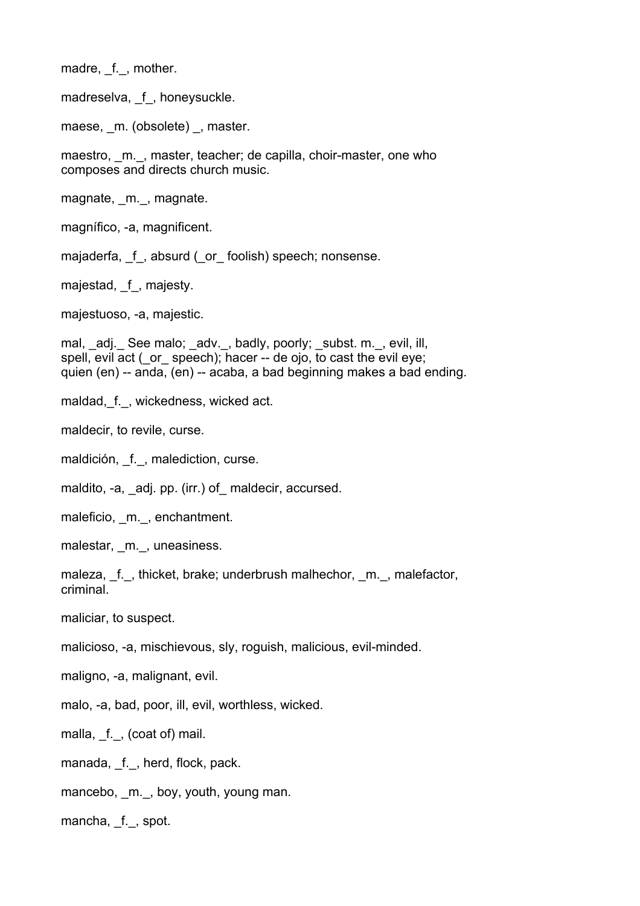madre, f., mother.

madreselva, f, honeysuckle.

maese, m. (obsolete), master.

maestro, m., master, teacher; de capilla, choir-master, one who composes and directs church music.

magnate, m., magnate.

magnífico, -a, magnificent.

majaderfa, f, absurd (or foolish) speech; nonsense.

majestad, f, majesty.

majestuoso, -a, majestic.

mal, \_adj.\_ See malo; \_adv.\_, badly, poorly; \_subst. m.\_, evil, ill, spell, evil act ( or speech); hacer -- de ojo, to cast the evil eye; quien (en) -- anda, (en) -- acaba, a bad beginning makes a bad ending.

maldad, f., wickedness, wicked act.

maldecir, to revile, curse.

maldición, f., malediction, curse.

maldito, -a, adj. pp. (irr.) of maldecir, accursed.

maleficio, m., enchantment.

malestar, \_m.\_, uneasiness.

maleza, f., thicket, brake; underbrush malhechor, m., malefactor, criminal.

maliciar, to suspect.

malicioso, -a, mischievous, sly, roguish, malicious, evil-minded.

maligno, -a, malignant, evil.

malo, -a, bad, poor, ill, evil, worthless, wicked.

malla, \_f.\_, (coat of) mail.

manada, f., herd, flock, pack.

mancebo, \_m.\_, boy, youth, young man.

mancha, f., spot.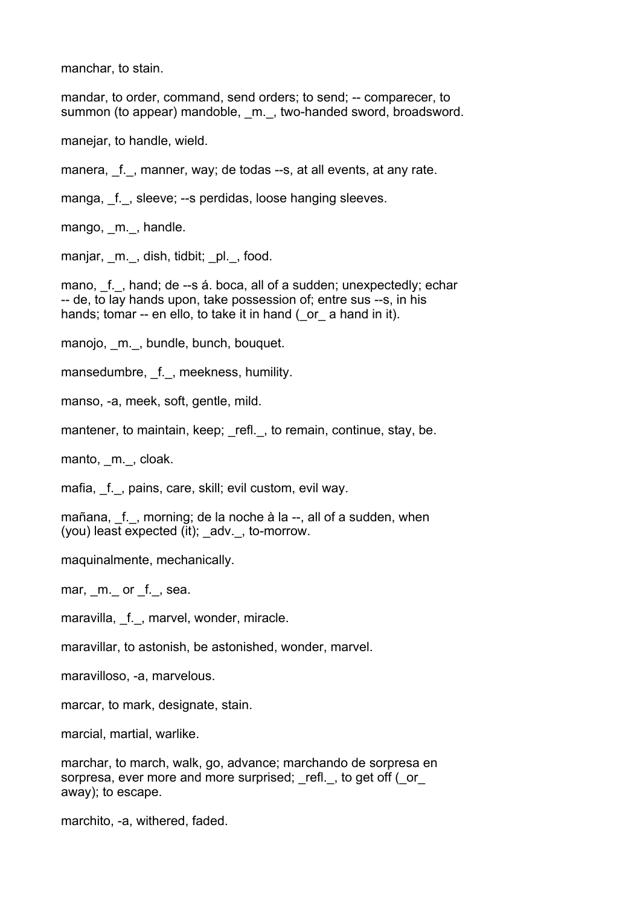manchar, to stain.

mandar, to order, command, send orders; to send; -- comparecer, to summon (to appear) mandoble, m., two-handed sword, broadsword.

manejar, to handle, wield.

manera, \_f.\_, manner, way; de todas --s, at all events, at any rate.

manga, f., sleeve; --s perdidas, loose hanging sleeves.

mango, m., handle.

manjar, m., dish, tidbit; pl., food.

mano, f., hand; de --s á. boca, all of a sudden; unexpectedly; echar -- de, to lay hands upon, take possession of; entre sus --s, in his hands; tomar -- en ello, to take it in hand ( or a hand in it).

manojo, m., bundle, bunch, bouquet.

mansedumbre, f., meekness, humility.

manso, -a, meek, soft, gentle, mild.

mantener, to maintain, keep; refl., to remain, continue, stay, be.

manto, m., cloak.

mafia, f., pains, care, skill; evil custom, evil way.

mañana, f., morning; de la noche à la --, all of a sudden, when (you) least expected (it); adv., to-morrow.

maquinalmente, mechanically.

mar, m. or f., sea.

maravilla, f., marvel, wonder, miracle.

maravillar, to astonish, be astonished, wonder, marvel.

maravilloso, -a, marvelous.

marcar, to mark, designate, stain.

marcial, martial, warlike.

marchar, to march, walk, go, advance; marchando de sorpresa en sorpresa, ever more and more surprised; refl., to get off ( $\circ$ or away); to escape.

marchito, -a, withered, faded.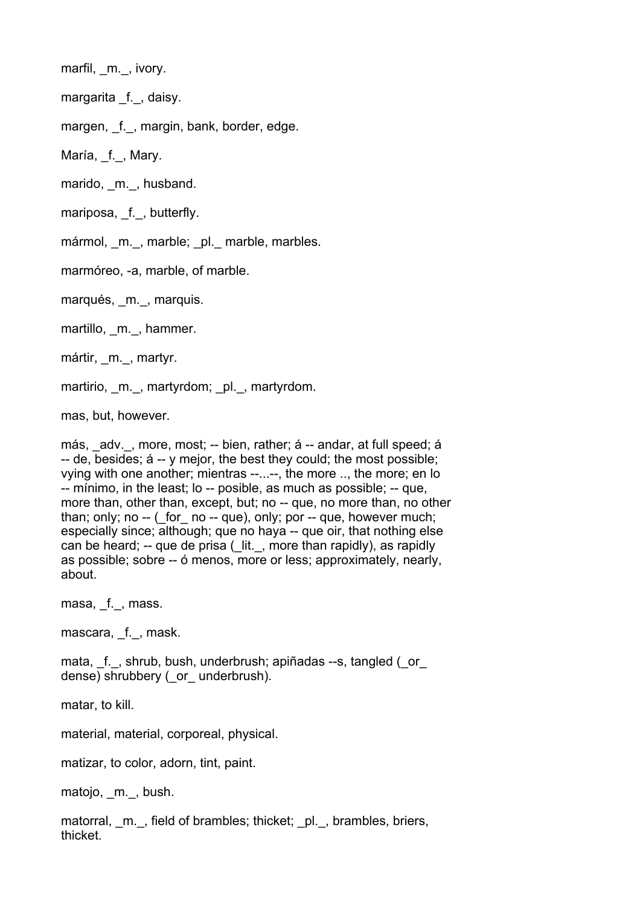marfil, m., ivory.

margarita f., daisy.

margen, f., margin, bank, border, edge.

María, f., Mary.

marido, m., husband.

mariposa, f., butterfly.

mármol, m., marble; \_pl.\_ marble, marbles.

marmóreo, -a, marble, of marble.

marqués, m., marquis.

martillo, m., hammer.

mártir, m., martyr.

martirio, m., martyrdom; pl., martyrdom.

mas, but, however.

más, adv., more, most; -- bien, rather; á -- andar, at full speed; á -- de, besides; á -- y mejor, the best they could; the most possible; vying with one another; mientras --...--, the more .., the more; en lo -- mínimo, in the least; lo -- posible, as much as possible; -- que, more than, other than, except, but; no -- que, no more than, no other than; only; no  $-$  ( for  $\pi$  no  $-$  que), only; por  $-$  que, however much; especially since; although; que no haya -- que oir, that nothing else can be heard; -- que de prisa ( lit., more than rapidly), as rapidly as possible; sobre -- ó menos, more or less; approximately, nearly, about.

masa, \_f.\_, mass.

mascara, f., mask.

mata, f., shrub, bush, underbrush; apiñadas --s, tangled ( or dense) shrubbery ( or underbrush).

matar, to kill.

material, material, corporeal, physical.

matizar, to color, adorn, tint, paint.

matojo, \_m.\_, bush.

matorral, m., field of brambles; thicket; \_pl.\_, brambles, briers, thicket.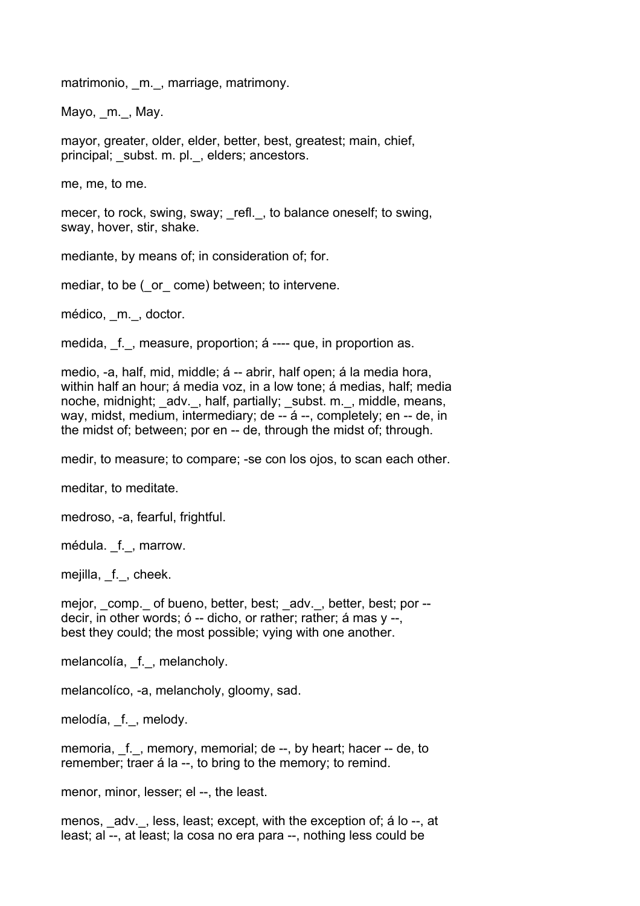matrimonio, m., marriage, matrimony.

Mayo, m., May.

mayor, greater, older, elder, better, best, greatest; main, chief, principal; subst. m. pl., elders; ancestors.

me, me, to me.

mecer, to rock, swing, sway; refl., to balance oneself; to swing, sway, hover, stir, shake.

mediante, by means of; in consideration of; for.

mediar, to be ( or come) between; to intervene.

médico, \_m.\_, doctor.

medida, f., measure, proportion; á ---- que, in proportion as.

medio, -a, half, mid, middle; á -- abrir, half open; á la media hora, within half an hour; á media voz, in a low tone; á medias, half; media noche, midnight; adv., half, partially; subst. m., middle, means, way, midst, medium, intermediary; de -- á --, completely; en -- de, in the midst of; between; por en -- de, through the midst of; through.

medir, to measure; to compare; -se con los ojos, to scan each other.

meditar, to meditate.

medroso, -a, fearful, frightful.

médula. \_f.\_, marrow.

mejilla, \_f., cheek.

mejor, \_comp.\_ of bueno, better, best; \_adv.\_, better, best; por - decir, in other words; ó -- dicho, or rather; rather; á mas y --, best they could; the most possible; vying with one another.

melancolía, f., melancholy.

melancolíco, -a, melancholy, gloomy, sad.

melodía, f., melody.

memoria, f., memory, memorial; de --, by heart; hacer -- de, to remember; traer á la --, to bring to the memory; to remind.

menor, minor, lesser; el --, the least.

menos, adv., less, least; except, with the exception of; á lo --, at least; al --, at least; la cosa no era para --, nothing less could be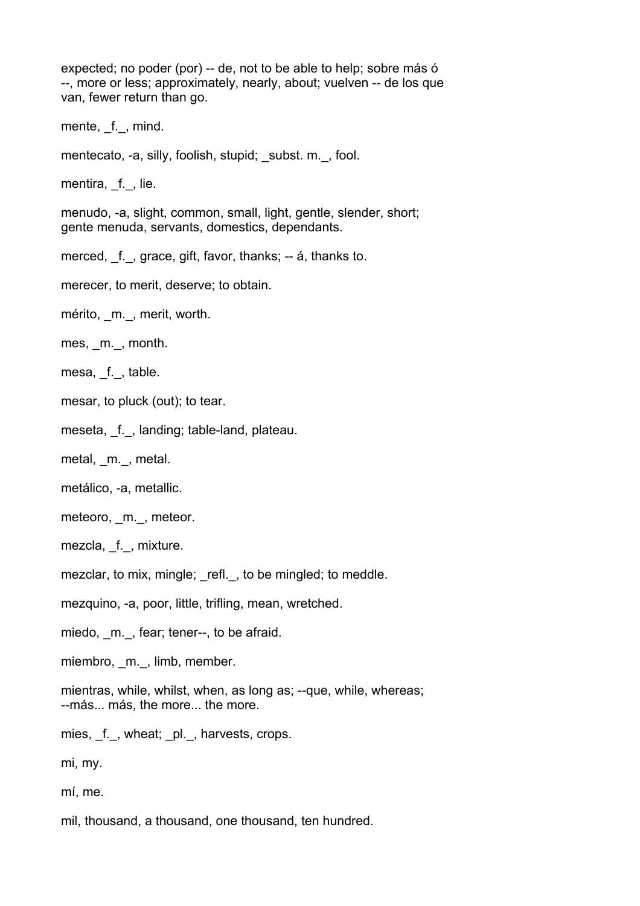expected; no poder (por) -- de, not to be able to help; sobre más ó --, more or less; approximately, nearly, about; vuelven -- de los que van, fewer return than go.

mente, f., mind.

mentecato, -a, silly, foolish, stupid; subst. m., fool.

mentira, f., lie.

menudo, -a, slight, common, small, light, gentle, slender, short; gente menuda, servants, domestics, dependants.

merced, f., grace, gift, favor, thanks; -- á, thanks to.

merecer, to merit, deserve; to obtain.

mérito, m., merit, worth.

mes, m., month.

mesa, f., table.

mesar, to pluck (out); to tear.

meseta, \_f.\_, landing; table-land, plateau.

metal, m., metal.

metálico, -a, metallic.

meteoro, \_m.\_, meteor.

mezcla, f., mixture.

mezclar, to mix, mingle; refl., to be mingled; to meddle.

mezquino, -a, poor, little, trifling, mean, wretched.

miedo, m., fear; tener--, to be afraid.

miembro, m., limb, member.

mientras, while, whilst, when, as long as: --que, while, whereas; --más... más, the more... the more.

mies, \_f.\_, wheat; \_pl.\_, harvests, crops.

mi, my.

mí, me.

mil, thousand, a thousand, one thousand, ten hundred.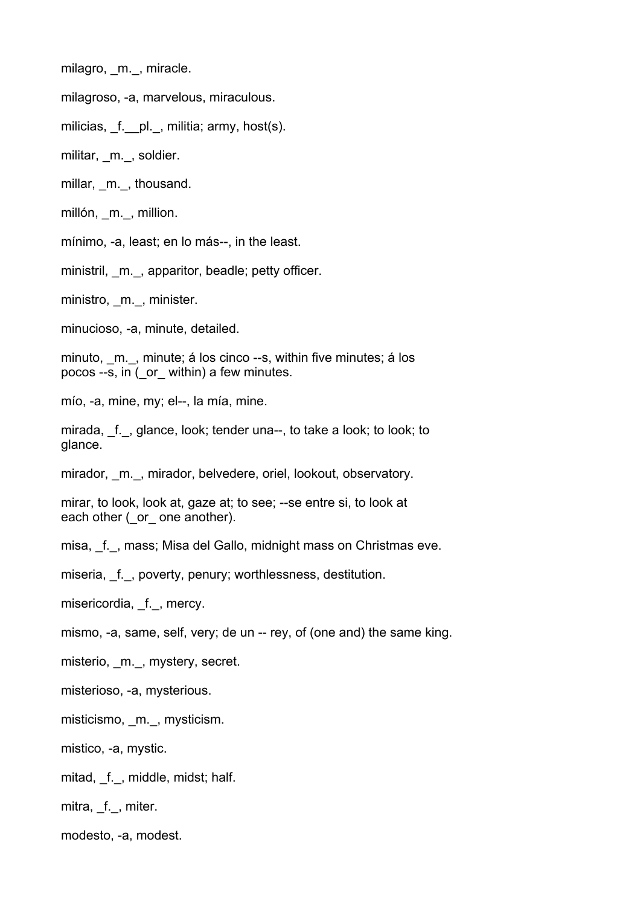milagro, m., miracle.

milagroso, -a, marvelous, miraculous.

milicias, f. pl., militia; army, host(s).

militar, m., soldier.

millar, m., thousand.

millón, m., million.

mínimo, -a, least; en lo más--, in the least.

ministril, m., apparitor, beadle; petty officer.

ministro, m., minister.

minucioso, -a, minute, detailed.

minuto, m., minute; á los cinco --s, within five minutes; á los pocos --s, in (\_or\_ within) a few minutes.

mío, -a, mine, my; el--, la mía, mine.

mirada, f., glance, look; tender una--, to take a look; to look; to glance.

mirador, m., mirador, belvedere, oriel, lookout, observatory.

mirar, to look, look at, gaze at; to see; --se entre si, to look at each other ( or one another).

misa, f., mass; Misa del Gallo, midnight mass on Christmas eve.

miseria, f., poverty, penury; worthlessness, destitution.

misericordia, \_f.\_, mercy.

mismo, -a, same, self, very; de un -- rey, of (one and) the same king.

misterio, \_m.\_, mystery, secret.

misterioso, -a, mysterious.

misticismo, \_m.\_, mysticism.

mistico, -a, mystic.

mitad, f., middle, midst; half.

mitra, f., miter.

modesto, -a, modest.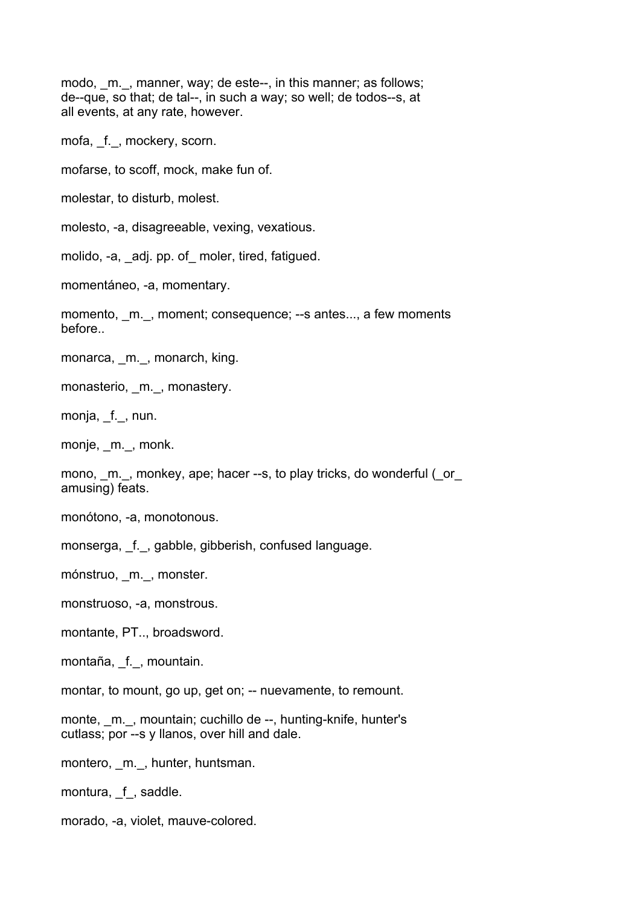modo, m., manner, way; de este--, in this manner; as follows; de--que, so that; de tal--, in such a way; so well; de todos--s, at all events, at any rate, however.

mofa, f., mockery, scorn.

mofarse, to scoff, mock, make fun of.

molestar, to disturb, molest.

molesto, -a, disagreeable, vexing, vexatious.

molido, -a, adj. pp. of moler, tired, fatigued.

momentáneo, -a, momentary.

momento, m., moment; consequence; --s antes..., a few moments before..

monarca, m., monarch, king.

monasterio, m., monastery.

monja, \_f.\_, nun.

monje, m., monk.

mono, m., monkey, ape; hacer --s, to play tricks, do wonderful ( $\sigma$ r amusing) feats.

monótono, -a, monotonous.

monserga, \_f.\_, gabble, gibberish, confused language.

mónstruo, m., monster.

monstruoso, -a, monstrous.

montante, PT.., broadsword.

montaña, f., mountain.

montar, to mount, go up, get on; -- nuevamente, to remount.

monte, m., mountain; cuchillo de --, hunting-knife, hunter's cutlass; por --s y llanos, over hill and dale.

montero, m., hunter, huntsman.

montura, f, saddle.

morado, -a, violet, mauve-colored.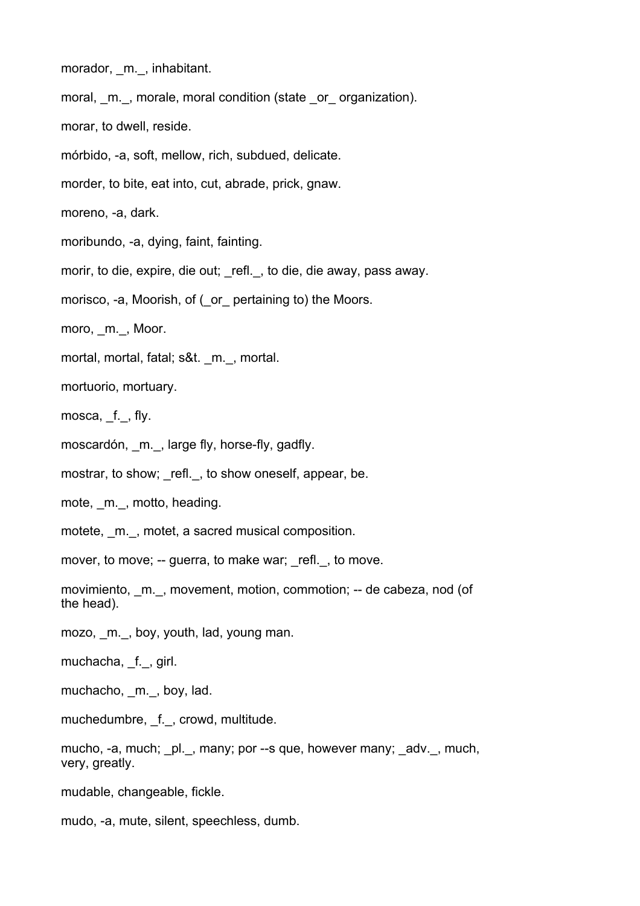- morador, m., inhabitant.
- moral, m., morale, moral condition (state or organization).
- morar, to dwell, reside.
- mórbido, -a, soft, mellow, rich, subdued, delicate.
- morder, to bite, eat into, cut, abrade, prick, gnaw.
- moreno, -a, dark.
- moribundo, -a, dying, faint, fainting.
- morir, to die, expire, die out; refl., to die, die away, pass away.
- morisco, -a, Moorish, of ( or pertaining to) the Moors.
- moro, m., Moor.
- mortal, mortal, fatal; s&t. m., mortal.
- mortuorio, mortuary.
- mosca, f., fly.
- moscardón, m., large fly, horse-fly, gadfly.
- mostrar, to show; refl., to show oneself, appear, be.
- mote, m., motto, heading.
- motete, m., motet, a sacred musical composition.
- mover, to move; -- guerra, to make war; \_refl. , to move.
- movimiento, m., movement, motion, commotion; -- de cabeza, nod (of the head).
- mozo, m., boy, youth, lad, young man.
- muchacha, \_f.\_, girl.
- muchacho, m., boy, lad.
- muchedumbre, \_f.\_, crowd, multitude.
- mucho, -a, much; pl., many; por --s que, however many; \_adv.\_, much, very, greatly.
- mudable, changeable, fickle.
- mudo, -a, mute, silent, speechless, dumb.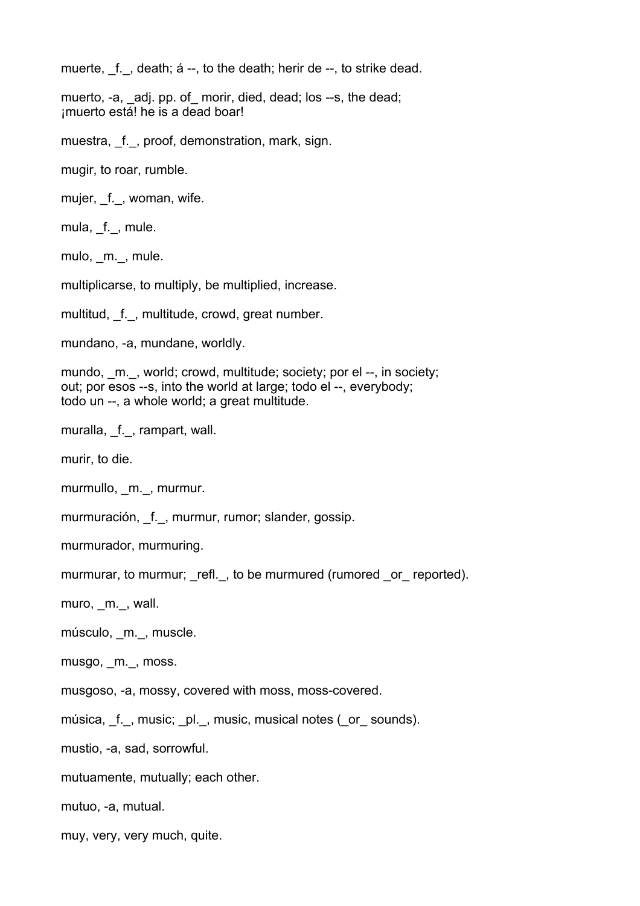muerte, f., death; á --, to the death; herir de --, to strike dead.

muerto, -a, \_adj. pp. of\_ morir, died, dead; los --s, the dead; ¡muerto está! he is a dead boar!

muestra, f., proof, demonstration, mark, sign.

mugir, to roar, rumble.

mujer, f., woman, wife.

mula, \_f.\_, mule.

mulo, m., mule.

multiplicarse, to multiply, be multiplied, increase.

multitud, f., multitude, crowd, great number.

mundano, -a, mundane, worldly.

mundo, m., world; crowd, multitude; society; por el --, in society; out; por esos --s, into the world at large; todo el --, everybody; todo un --, a whole world; a great multitude.

muralla, f., rampart, wall.

murir, to die.

murmullo, m., murmur.

murmuración, f., murmur, rumor; slander, gossip.

murmurador, murmuring.

murmurar, to murmur; refl., to be murmured (rumored or reported).

muro, \_m.\_, wall.

músculo, m., muscle.

musgo, \_m.\_, moss.

musgoso, -a, mossy, covered with moss, moss-covered.

música, \_f.\_, music; \_pl.\_, music, musical notes (\_or\_ sounds).

mustio, -a, sad, sorrowful.

mutuamente, mutually; each other.

mutuo, -a, mutual.

muy, very, very much, quite.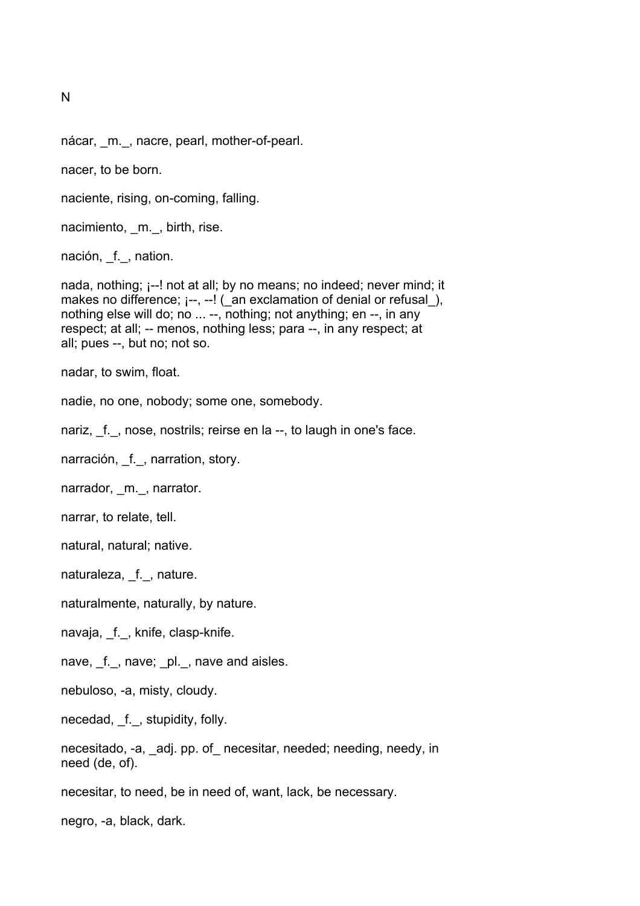N

nácar, m., nacre, pearl, mother-of-pearl.

nacer, to be born.

naciente, rising, on-coming, falling.

nacimiento, \_m.\_, birth, rise.

nación, f., nation.

nada, nothing; ¡--! not at all; by no means; no indeed; never mind; it makes no difference;  $i$ --,  $-i$  ( an exclamation of denial or refusal), nothing else will do; no ... --, nothing; not anything; en --, in any respect; at all; -- menos, nothing less; para --, in any respect; at all; pues --, but no; not so.

nadar, to swim, float.

nadie, no one, nobody; some one, somebody.

nariz, f., nose, nostrils; reirse en la --, to laugh in one's face.

narración, f., narration, story.

narrador, m., narrator.

narrar, to relate, tell.

natural, natural; native.

naturaleza, f., nature.

naturalmente, naturally, by nature.

navaja, f., knife, clasp-knife.

nave, \_f.\_, nave; \_pl.\_, nave and aisles.

nebuloso, -a, misty, cloudy.

necedad, \_f.\_, stupidity, folly.

necesitado, -a, \_adj. pp. of\_ necesitar, needed; needing, needy, in need (de, of).

necesitar, to need, be in need of, want, lack, be necessary.

negro, -a, black, dark.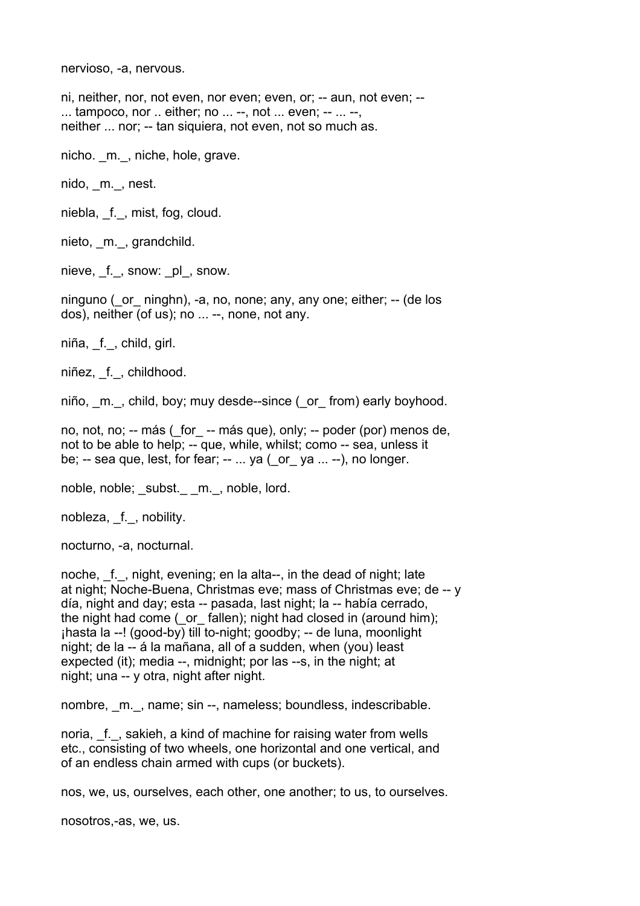nervioso, -a, nervous.

ni, neither, nor, not even, nor even; even, or; -- aun, not even; --  $\dots$  tampoco, nor  $\dots$  either; no  $\dots$  --, not  $\dots$  even; --  $\dots$  --, neither ... nor; -- tan siquiera, not even, not so much as.

nicho. m., niche, hole, grave.

nido, m., nest.

niebla, f., mist, fog, cloud.

nieto, m., grandchild.

nieve, f., snow: \_pl\_, snow.

ninguno (or ninghn), -a, no, none; any, any one; either; -- (de los dos), neither (of us); no ... --, none, not any.

niña, \_f.\_, child, girl.

niñez, \_f.\_, childhood.

niño, m., child, boy; muy desde--since ( or from) early boyhood.

no, not, no; -- más (\_for\_ -- más que), only; -- poder (por) menos de, not to be able to help; -- que, while, whilst; como -- sea, unless it be; -- sea que, lest, for fear; -- ... ya (\_or\_ ya ... --), no longer.

noble, noble; subst. m., noble, lord.

nobleza, f., nobility.

nocturno, -a, nocturnal.

noche, f., night, evening; en la alta--, in the dead of night; late at night; Noche-Buena, Christmas eve; mass of Christmas eve; de -- y día, night and day; esta -- pasada, last night; la -- había cerrado, the night had come ( or fallen); night had closed in (around him);  $i$ hasta la --! (good-by) till to-night; goodby; -- de luna, moonlight night; de la -- á la mañana, all of a sudden, when (you) least expected (it); media --, midnight; por las --s, in the night; at night; una -- y otra, night after night.

nombre, m., name; sin --, nameless; boundless, indescribable.

noria, f., sakieh, a kind of machine for raising water from wells etc., consisting of two wheels, one horizontal and one vertical, and of an endless chain armed with cups (or buckets).

nos, we, us, ourselves, each other, one another; to us, to ourselves.

nosotros,-as, we, us.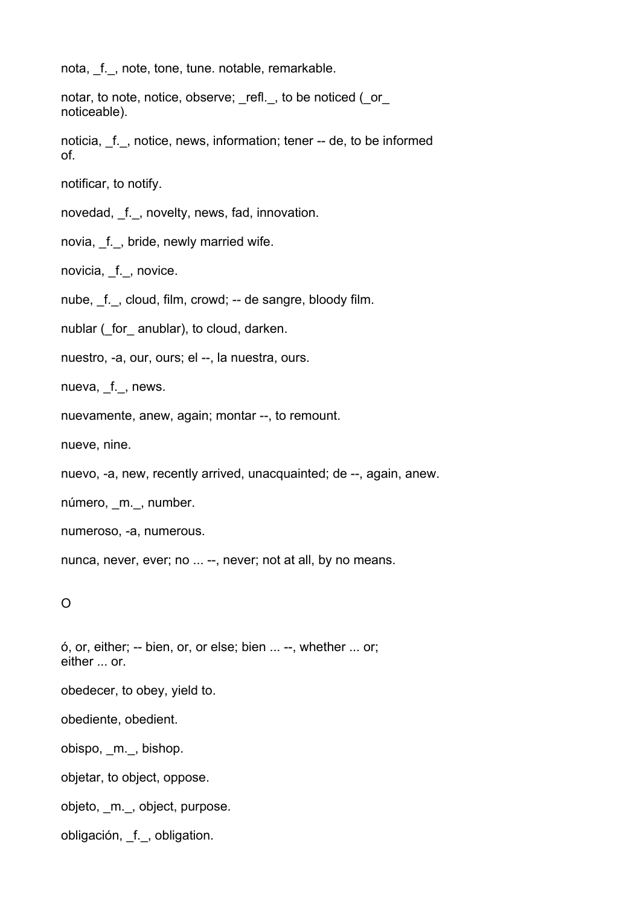nota, f., note, tone, tune. notable, remarkable.

notar, to note, notice, observe; refl., to be noticed (\_or\_ noticeable).

noticia, \_f.\_, notice, news, information; tener -- de, to be informed of.

notificar, to notify.

novedad, f., novelty, news, fad, innovation.

novia, f., bride, newly married wife.

novicia, f., novice.

nube, f., cloud, film, crowd; -- de sangre, bloody film.

nublar ( for anublar), to cloud, darken.

nuestro, -a, our, ours; el --, la nuestra, ours.

nueva, f., news.

nuevamente, anew, again; montar --, to remount.

nueve, nine.

nuevo, -a, new, recently arrived, unacquainted; de --, again, anew.

número, m., number.

numeroso, -a, numerous.

nunca, never, ever; no ... --, never; not at all, by no means.

O

ó, or, either; -- bien, or, or else; bien ... --, whether ... or; either ... or. obedecer, to obey, yield to. obediente, obedient. obispo, \_m.\_, bishop. objetar, to object, oppose. objeto, \_m.\_, object, purpose. obligación, \_f.\_, obligation.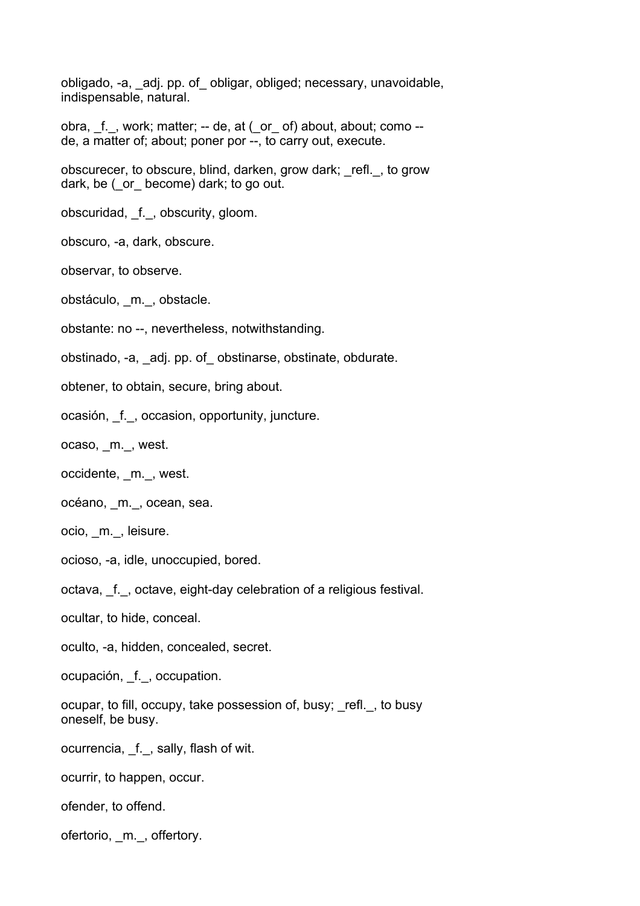obligado, -a, \_adj. pp. of\_ obligar, obliged; necessary, unavoidable, indispensable, natural.

obra, \_f.\_, work; matter; -- de, at (\_or\_ of) about, about; como - de, a matter of; about; poner por --, to carry out, execute.

obscurecer, to obscure, blind, darken, grow dark; \_refl.\_, to grow dark, be ( or become) dark; to go out.

obscuridad, \_f.\_, obscurity, gloom.

obscuro, -a, dark, obscure.

observar, to observe.

obstáculo, \_m.\_, obstacle.

obstante: no --, nevertheless, notwithstanding.

obstinado, -a, \_adj. pp. of\_ obstinarse, obstinate, obdurate.

obtener, to obtain, secure, bring about.

ocasión, \_f.\_, occasion, opportunity, juncture.

ocaso, m., west.

occidente, \_m.\_, west.

océano, \_m.\_, ocean, sea.

ocio, \_m.\_, leisure.

ocioso, -a, idle, unoccupied, bored.

octava, f., octave, eight-day celebration of a religious festival.

ocultar, to hide, conceal.

oculto, -a, hidden, concealed, secret.

ocupación, \_f.\_, occupation.

ocupar, to fill, occupy, take possession of, busy; \_refl.\_, to busy oneself, be busy.

ocurrencia, f., sally, flash of wit.

ocurrir, to happen, occur.

ofender, to offend.

ofertorio, \_m.\_, offertory.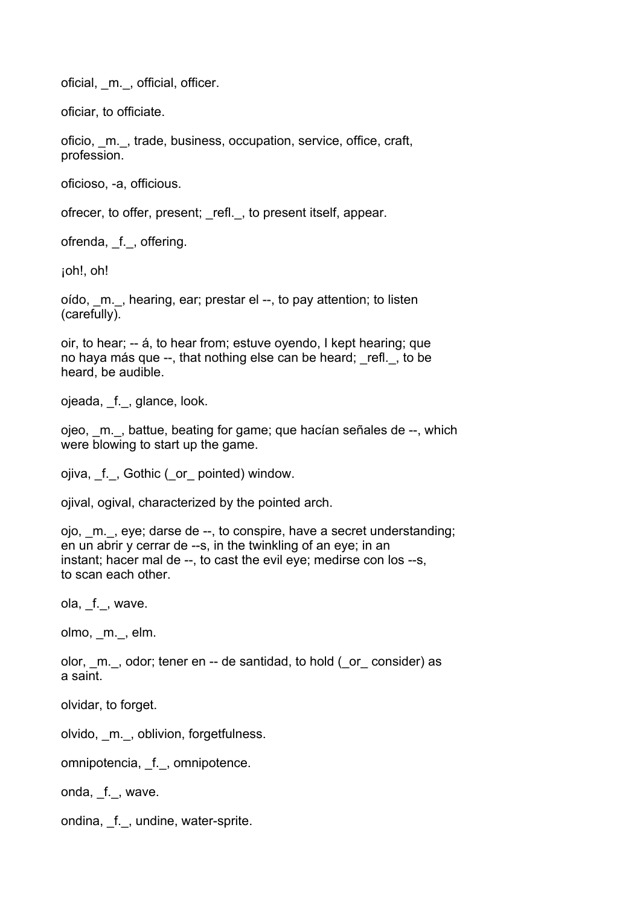oficial, \_m.\_, official, officer.

oficiar, to officiate.

oficio, \_m.\_, trade, business, occupation, service, office, craft, profession.

oficioso, -a, officious.

ofrecer, to offer, present; refl., to present itself, appear.

ofrenda, f., offering.

¡oh!, oh!

oído, \_m.\_, hearing, ear; prestar el --, to pay attention; to listen (carefully).

oir, to hear; -- á, to hear from; estuve oyendo, I kept hearing; que no haya más que --, that nothing else can be heard; refl., to be heard, be audible.

ojeada, \_f.\_, glance, look.

ojeo, \_m.\_, battue, beating for game; que hacían señales de --, which were blowing to start up the game.

ojiva, \_f.\_, Gothic (\_or\_ pointed) window.

ojival, ogival, characterized by the pointed arch.

ojo, \_m.\_, eye; darse de --, to conspire, have a secret understanding; en un abrir y cerrar de --s, in the twinkling of an eye; in an instant; hacer mal de --, to cast the evil eye; medirse con los --s, to scan each other.

ola,  $_f$ <sub>.</sub>, wave.

olmo, \_m.\_, elm.

olor, m., odor; tener en -- de santidad, to hold ( or consider) as a saint.

olvidar, to forget.

olvido, \_m.\_, oblivion, forgetfulness.

omnipotencia, \_f.\_, omnipotence.

onda, f., wave.

ondina, f., undine, water-sprite.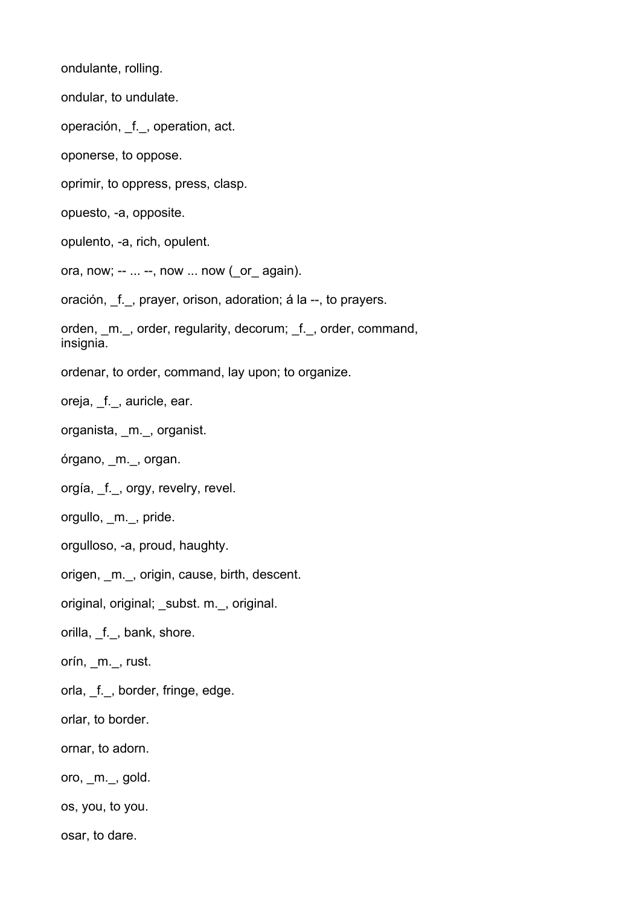ondulante, rolling.

ondular, to undulate.

operación, f., operation, act.

oponerse, to oppose.

oprimir, to oppress, press, clasp.

opuesto, -a, opposite.

opulento, -a, rich, opulent.

ora, now; --  $\dots$  --, now  $\dots$  now ( or again).

oración, \_f.\_, prayer, orison, adoration; á la --, to prayers.

orden, m., order, regularity, decorum; f., order, command, insignia.

ordenar, to order, command, lay upon; to organize.

oreja, f., auricle, ear.

organista, \_m.\_, organist.

órgano, \_m.\_, organ.

orgía, \_f.\_, orgy, revelry, revel.

orgullo, \_m.\_, pride.

orgulloso, -a, proud, haughty.

origen, m., origin, cause, birth, descent.

original, original; \_subst. m.\_, original.

orilla, f., bank, shore.

orín, \_m.\_, rust.

orla, f., border, fringe, edge.

orlar, to border.

ornar, to adorn.

oro, \_m.\_, gold.

os, you, to you.

osar, to dare.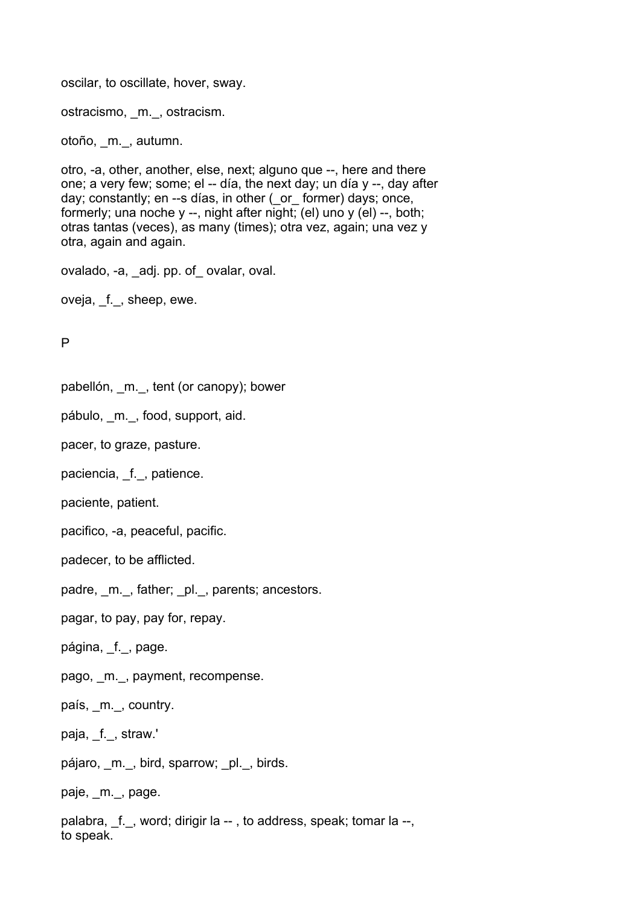oscilar, to oscillate, hover, sway.

ostracismo, \_m.\_, ostracism.

otoño, \_m.\_, autumn.

otro, -a, other, another, else, next; alguno que --, here and there one; a very few; some; el -- día, the next day; un día y --, day after day; constantly; en --s días, in other ( or former) days; once, formerly; una noche y --, night after night; (el) uno y (el) --, both; otras tantas (veces), as many (times); otra vez, again; una vez y otra, again and again.

ovalado, -a, \_adj. pp. of\_ ovalar, oval.

oveja, f., sheep, ewe.

P

pabellón, \_m.\_, tent (or canopy); bower

pábulo, \_m.\_, food, support, aid.

pacer, to graze, pasture.

paciencia, \_f.\_, patience.

paciente, patient.

pacifico, -a, peaceful, pacific.

padecer, to be afflicted.

padre, \_m.\_, father; \_pl.\_, parents; ancestors.

pagar, to pay, pay for, repay.

página, \_f.\_, page.

pago, m., payment, recompense.

país, m., country.

paja, f., straw.'

pájaro, m., bird, sparrow; pl., birds.

paje, \_m.\_, page.

palabra, f., word; dirigir la --, to address, speak; tomar la --, to speak.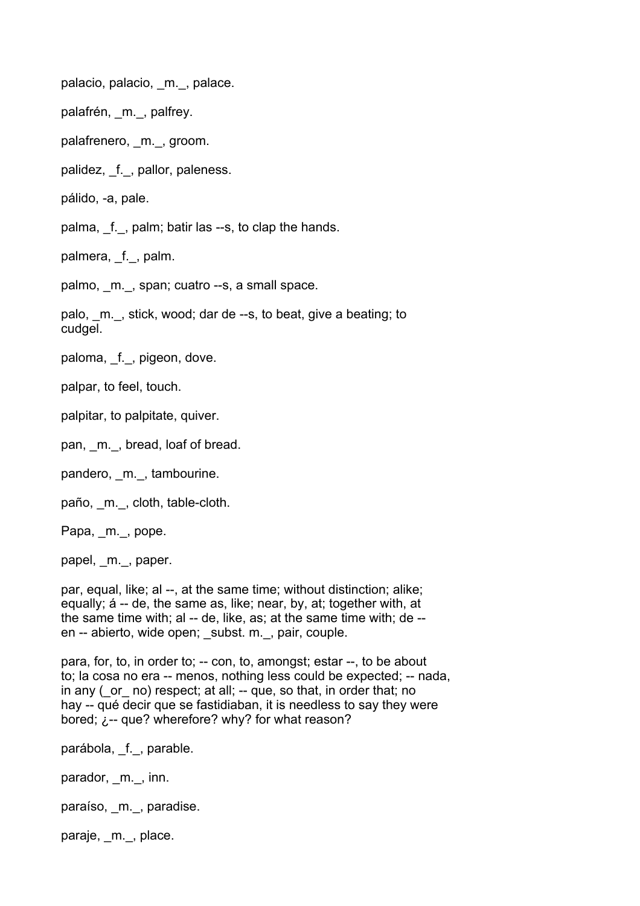palacio, palacio, m., palace.

palafrén, m., palfrey.

palafrenero, m., groom.

palidez, \_f.\_, pallor, paleness.

pálido, -a, pale.

palma, \_f.\_, palm; batir las --s, to clap the hands.

palmera, f., palm.

palmo, m., span; cuatro --s, a small space.

palo, m., stick, wood; dar de --s, to beat, give a beating; to cudgel.

paloma, \_f., pigeon, dove.

palpar, to feel, touch.

palpitar, to palpitate, quiver.

pan, m., bread, loaf of bread.

pandero, m., tambourine.

paño, m., cloth, table-cloth.

Papa, \_m.\_, pope.

papel, m., paper.

par, equal, like; al --, at the same time; without distinction; alike; equally; á -- de, the same as, like; near, by, at; together with, at the same time with; al -- de, like, as; at the same time with; de - en -- abierto, wide open; subst. m., pair, couple.

para, for, to, in order to; -- con, to, amongst; estar --, to be about to; la cosa no era -- menos, nothing less could be expected; -- nada, in any ( or no) respect; at all; -- que, so that, in order that; no hay -- qué decir que se fastidiaban, it is needless to say they were bored;  $\lambda$ -- que? wherefore? why? for what reason?

parábola, \_f.\_, parable.

parador, m., inn.

paraíso, m., paradise.

paraje, m., place.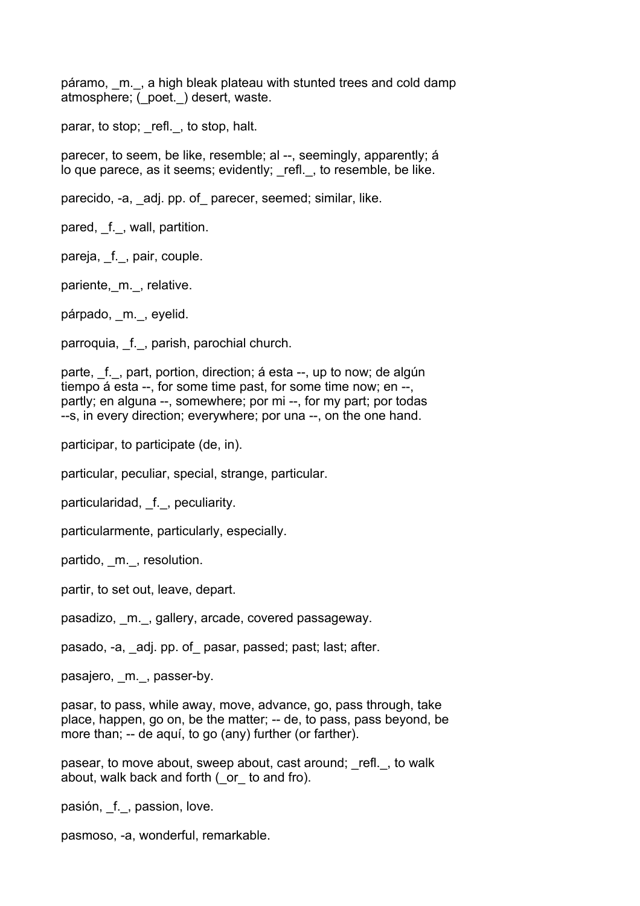páramo, m., a high bleak plateau with stunted trees and cold damp atmosphere; (\_poet.\_) desert, waste.

parar, to stop; refl., to stop, halt.

parecer, to seem, be like, resemble; al --, seemingly, apparently; á lo que parece, as it seems; evidently; \_refl.\_, to resemble, be like.

parecido, -a, adj. pp. of parecer, seemed; similar, like.

pared, f., wall, partition.

pareja, f., pair, couple.

pariente, m., relative.

párpado, m., eyelid.

parroquia, f., parish, parochial church.

parte, f., part, portion, direction; á esta --, up to now; de algún tiempo á esta --, for some time past, for some time now; en --, partly; en alguna --, somewhere; por mi --, for my part; por todas --s, in every direction; everywhere; por una --, on the one hand.

participar, to participate (de, in).

particular, peculiar, special, strange, particular.

particularidad, f., peculiarity.

particularmente, particularly, especially.

partido, m., resolution.

partir, to set out, leave, depart.

pasadizo, m., gallery, arcade, covered passageway.

pasado, -a, adj. pp. of pasar, passed; past; last; after.

pasajero, m., passer-by.

pasar, to pass, while away, move, advance, go, pass through, take place, happen, go on, be the matter; -- de, to pass, pass beyond, be more than; -- de aquí, to go (any) further (or farther).

pasear, to move about, sweep about, cast around; refl., to walk about, walk back and forth (\_or\_ to and fro).

pasión, f., passion, love.

pasmoso, -a, wonderful, remarkable.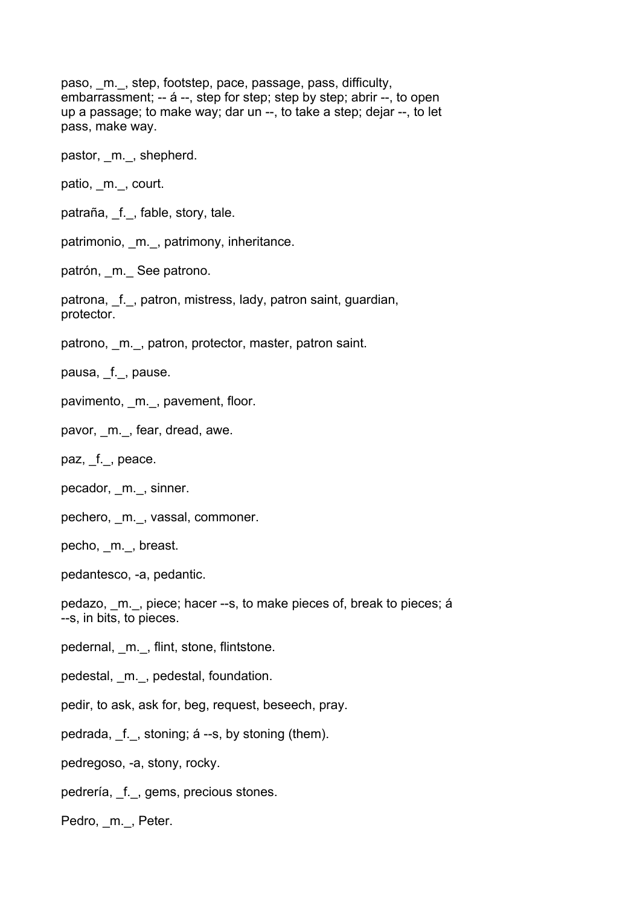paso, m., step, footstep, pace, passage, pass, difficulty, embarrassment; -- á --, step for step; step by step; abrir --, to open up a passage; to make way; dar un --, to take a step; dejar --, to let pass, make way.

pastor, m., shepherd.

patio, m., court.

patraña, f., fable, story, tale.

patrimonio, m., patrimony, inheritance.

patrón, m. See patrono.

patrona, f., patron, mistress, lady, patron saint, guardian, protector.

patrono, m., patron, protector, master, patron saint.

pausa, f., pause.

- pavimento, \_m.\_, pavement, floor.
- pavor, m., fear, dread, awe.

paz, \_f.\_, peace.

- pecador, m., sinner.
- pechero, \_m.\_, vassal, commoner.
- pecho, \_m.\_, breast.

pedantesco, -a, pedantic.

pedazo, \_m.\_, piece; hacer --s, to make pieces of, break to pieces; á --s, in bits, to pieces.

pedernal, \_m.\_, flint, stone, flintstone.

pedestal, m., pedestal, foundation.

pedir, to ask, ask for, beg, request, beseech, pray.

pedrada, \_f.\_, stoning; á --s, by stoning (them).

pedregoso, -a, stony, rocky.

pedrería, \_f.\_, gems, precious stones.

Pedro, m., Peter.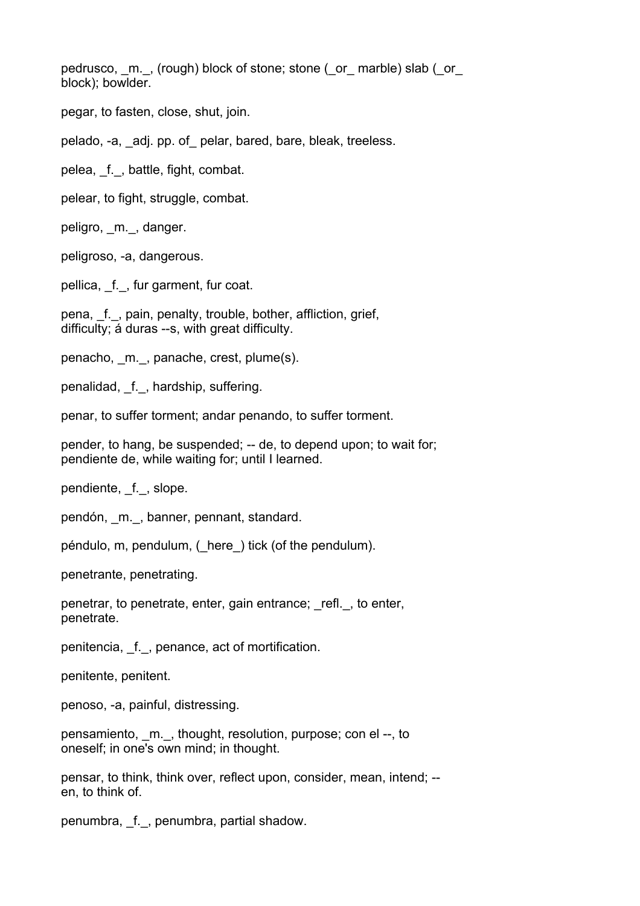pedrusco, m., (rough) block of stone; stone (or marble) slab (or block); bowlder.

pegar, to fasten, close, shut, join.

pelado, -a, \_adj. pp. of\_ pelar, bared, bare, bleak, treeless.

pelea, \_f.\_, battle, fight, combat.

pelear, to fight, struggle, combat.

peligro, \_m.\_, danger.

peligroso, -a, dangerous.

pellica, f., fur garment, fur coat.

pena, f., pain, penalty, trouble, bother, affliction, grief, difficulty; á duras --s, with great difficulty.

penacho, \_m.\_, panache, crest, plume(s).

penalidad, f., hardship, suffering.

penar, to suffer torment; andar penando, to suffer torment.

pender, to hang, be suspended; -- de, to depend upon; to wait for; pendiente de, while waiting for; until I learned.

pendiente, f., slope.

pendón, \_m.\_, banner, pennant, standard.

péndulo, m, pendulum, (\_here\_) tick (of the pendulum).

penetrante, penetrating.

penetrar, to penetrate, enter, gain entrance; \_refl.\_, to enter, penetrate.

penitencia, \_f.\_, penance, act of mortification.

penitente, penitent.

penoso, -a, painful, distressing.

pensamiento, \_m.\_, thought, resolution, purpose; con el --, to oneself; in one's own mind; in thought.

pensar, to think, think over, reflect upon, consider, mean, intend; - en, to think of.

penumbra, \_f.\_, penumbra, partial shadow.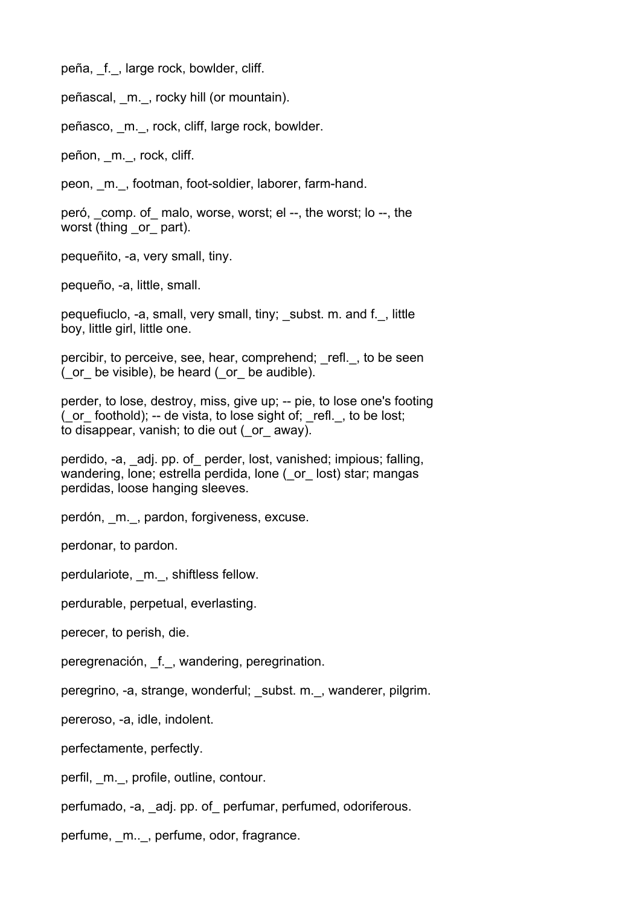peña, \_f.\_, large rock, bowlder, cliff.

peñascal, \_m.\_, rocky hill (or mountain).

peñasco, \_m.\_, rock, cliff, large rock, bowlder.

peñon, m., rock, cliff.

peon, \_m.\_, footman, foot-soldier, laborer, farm-hand.

peró, comp. of malo, worse, worst; el --, the worst; lo --, the worst (thing or part).

pequeñito, -a, very small, tiny.

pequeño, -a, little, small.

pequefiuclo, -a, small, very small, tiny; \_subst. m. and f.\_, little boy, little girl, little one.

percibir, to perceive, see, hear, comprehend; refl., to be seen (\_or\_ be visible), be heard (\_or\_ be audible).

perder, to lose, destroy, miss, give up; -- pie, to lose one's footing ( $\alpha$  foothold); -- de vista, to lose sight of;  $\alpha$ refl., to be lost; to disappear, vanish; to die out (\_or\_ away).

perdido, -a, \_adj. pp. of\_ perder, lost, vanished; impious; falling, wandering, lone; estrella perdida, lone (\_or\_ lost) star; mangas perdidas, loose hanging sleeves.

perdón, \_m.\_, pardon, forgiveness, excuse.

perdonar, to pardon.

perdulariote, m., shiftless fellow.

perdurable, perpetual, everlasting.

perecer, to perish, die.

peregrenación, \_f.\_, wandering, peregrination.

peregrino, -a, strange, wonderful; \_subst. m.\_, wanderer, pilgrim.

pereroso, -a, idle, indolent.

perfectamente, perfectly.

perfil, m., profile, outline, contour.

perfumado, -a, \_adj. pp. of\_ perfumar, perfumed, odoriferous.

perfume, m.., perfume, odor, fragrance.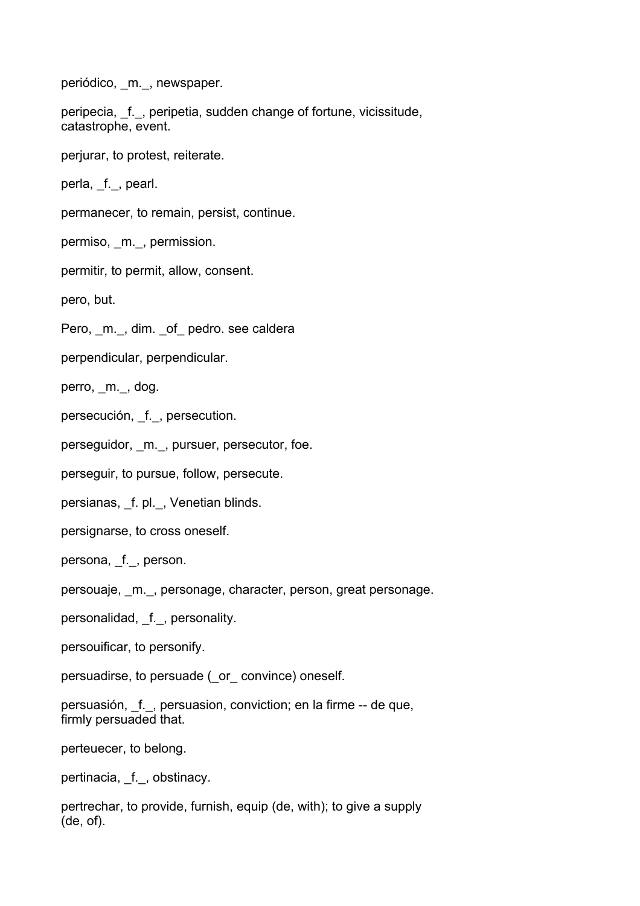periódico, m., newspaper.

peripecia, f., peripetia, sudden change of fortune, vicissitude, catastrophe, event.

perjurar, to protest, reiterate.

perla, f., pearl.

permanecer, to remain, persist, continue.

permiso, m., permission.

permitir, to permit, allow, consent.

pero, but.

Pero, m., dim. of pedro. see caldera

perpendicular, perpendicular.

perro, m., dog.

persecución, f., persecution.

perseguidor, m., pursuer, persecutor, foe.

perseguir, to pursue, follow, persecute.

persianas, f. pl., Venetian blinds.

persignarse, to cross oneself.

persona, f., person.

persouaje, \_m.\_, personage, character, person, great personage.

personalidad, f., personality.

persouificar, to personify.

persuadirse, to persuade (\_or\_ convince) oneself.

persuasión, f., persuasion, conviction; en la firme -- de que, firmly persuaded that.

perteuecer, to belong.

pertinacia, f., obstinacy.

pertrechar, to provide, furnish, equip (de, with); to give a supply (de, of).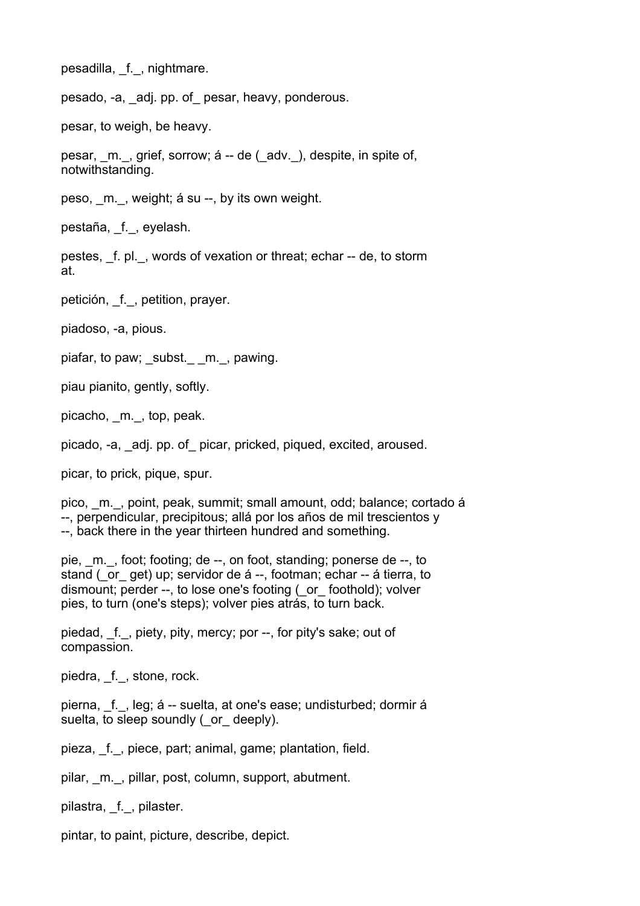pesadilla, \_f.\_, nightmare.

pesado, -a, \_adj. pp. of\_ pesar, heavy, ponderous.

pesar, to weigh, be heavy.

pesar, m., grief, sorrow; á -- de (adv.), despite, in spite of, notwithstanding.

peso, \_m.\_, weight; á su --, by its own weight.

pestaña, \_f.\_, eyelash.

pestes, \_f. pl.\_, words of vexation or threat; echar -- de, to storm at.

petición, f., petition, prayer.

piadoso, -a, pious.

piafar, to paw; subst. m., pawing.

piau pianito, gently, softly.

picacho, \_m.\_, top, peak.

picado, -a, \_adj. pp. of\_ picar, pricked, piqued, excited, aroused.

picar, to prick, pique, spur.

pico, \_m.\_, point, peak, summit; small amount, odd; balance; cortado á --, perpendicular, precipitous; allá por los años de mil trescientos y --, back there in the year thirteen hundred and something.

pie, \_m.\_, foot; footing; de --, on foot, standing; ponerse de --, to stand (\_or\_ get) up; servidor de á --, footman; echar -- á tierra, to dismount; perder --, to lose one's footing (\_or\_ foothold); volver pies, to turn (one's steps); volver pies atrás, to turn back.

piedad, f., piety, pity, mercy; por --, for pity's sake; out of compassion.

piedra, f., stone, rock.

pierna, f., leg; á -- suelta, at one's ease; undisturbed; dormir á suelta, to sleep soundly ( or deeply).

pieza, \_f.\_, piece, part; animal, game; plantation, field.

pilar, \_m.\_, pillar, post, column, support, abutment.

pilastra, f., pilaster.

pintar, to paint, picture, describe, depict.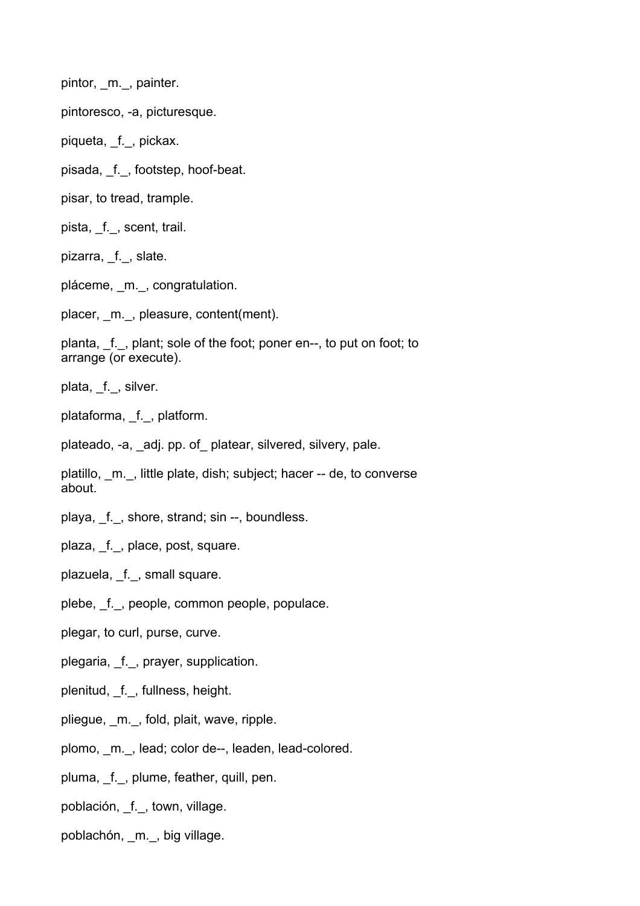pintor, m., painter.

pintoresco, -a, picturesque.

piqueta, \_f.\_, pickax.

pisada, \_f.\_, footstep, hoof-beat.

pisar, to tread, trample.

pista, \_f.\_, scent, trail.

pizarra, f., slate.

pláceme, \_m.\_, congratulation.

placer, \_m.\_, pleasure, content(ment).

planta, \_f.\_, plant; sole of the foot; poner en--, to put on foot; to arrange (or execute).

plata, \_f.\_, silver.

plataforma, \_f.\_, platform.

plateado, -a, \_adj. pp. of\_ platear, silvered, silvery, pale.

platillo, \_m.\_, little plate, dish; subject; hacer -- de, to converse about.

playa, \_f.\_, shore, strand; sin --, boundless.

plaza, \_f.\_, place, post, square.

plazuela, \_f.\_, small square.

plebe, \_f.\_, people, common people, populace.

plegar, to curl, purse, curve.

plegaria, \_f.\_, prayer, supplication.

plenitud, \_f.\_, fullness, height.

pliegue, \_m.\_, fold, plait, wave, ripple.

plomo, m., lead; color de--, leaden, lead-colored.

pluma, f., plume, feather, quill, pen.

población, \_f.\_, town, village.

poblachón, \_m.\_, big village.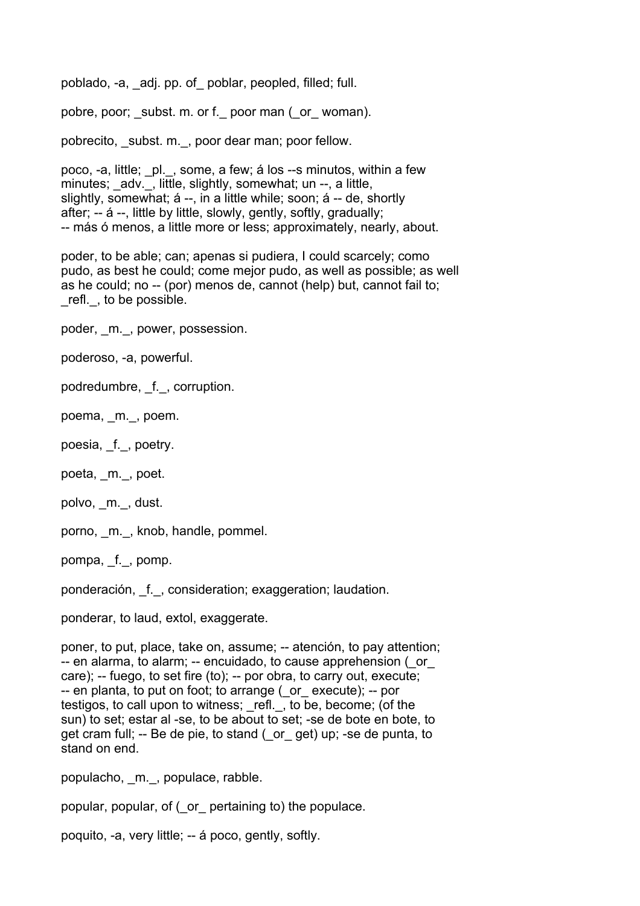poblado, -a, \_adj. pp. of\_ poblar, peopled, filled; full.

pobre, poor; subst. m. or f. poor man (or woman).

pobrecito, \_subst. m.\_, poor dear man; poor fellow.

poco, -a, little; \_pl.\_, some, a few; á los --s minutos, within a few minutes; adv., little, slightly, somewhat; un --, a little, slightly, somewhat; á --, in a little while; soon; á -- de, shortly after; -- á --, little by little, slowly, gently, softly, gradually; -- más ó menos, a little more or less; approximately, nearly, about.

poder, to be able; can; apenas si pudiera, I could scarcely; como pudo, as best he could; come mejor pudo, as well as possible; as well as he could; no -- (por) menos de, cannot (help) but, cannot fail to; refl., to be possible.

poder, \_m.\_, power, possession.

poderoso, -a, powerful.

podredumbre, \_f.\_, corruption.

poema, \_m.\_, poem.

poesia, \_f.\_, poetry.

poeta, \_m.\_, poet.

polvo, m., dust.

porno, m., knob, handle, pommel.

pompa, \_f.\_, pomp.

ponderación, \_f.\_, consideration; exaggeration; laudation.

ponderar, to laud, extol, exaggerate.

poner, to put, place, take on, assume; -- atención, to pay attention; -- en alarma, to alarm; -- encuidado, to cause apprehension (\_or\_ care); -- fuego, to set fire (to); -- por obra, to carry out, execute; -- en planta, to put on foot; to arrange (\_or\_ execute); -- por testigos, to call upon to witness; refl., to be, become; (of the sun) to set; estar al -se, to be about to set; -se de bote en bote, to get cram full; -- Be de pie, to stand (\_or\_ get) up; -se de punta, to stand on end.

populacho, \_m.\_, populace, rabble.

popular, popular, of (\_or\_ pertaining to) the populace.

poquito, -a, very little; -- á poco, gently, softly.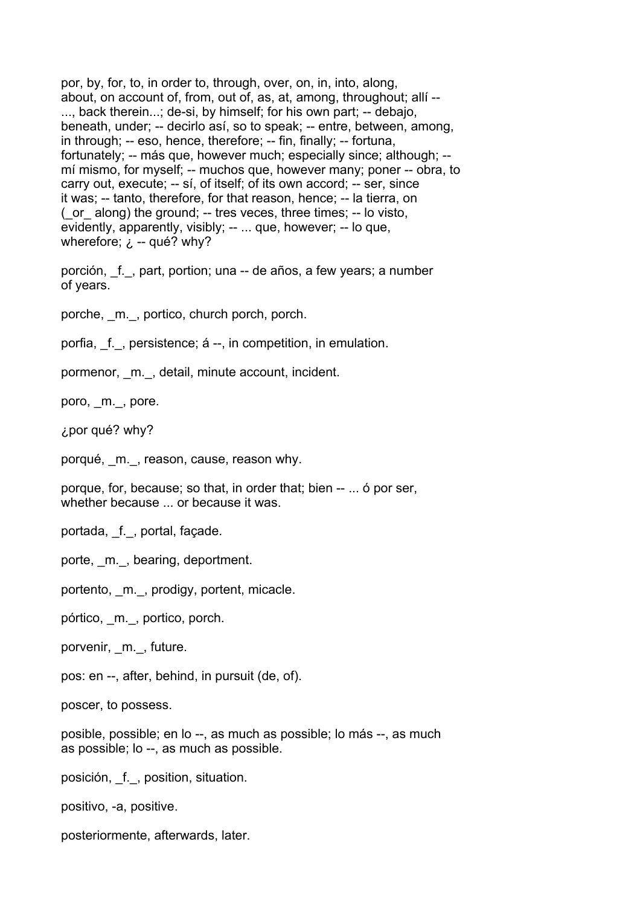por, by, for, to, in order to, through, over, on, in, into, along, about, on account of, from, out of, as, at, among, throughout; allí -- ..., back therein...; de-si, by himself; for his own part; -- debajo, beneath, under; -- decirlo así, so to speak; -- entre, between, among, in through; -- eso, hence, therefore; -- fin, finally; -- fortuna, fortunately; -- más que, however much; especially since; although; - mí mismo, for myself; -- muchos que, however many; poner -- obra, to carry out, execute; -- sí, of itself; of its own accord; -- ser, since it was; -- tanto, therefore, for that reason, hence; -- la tierra, on (\_or\_ along) the ground; -- tres veces, three times; -- lo visto, evidently, apparently, visibly; -- ... que, however; -- lo que, wherefore;  $\lambda$  -- qué? why?

porción, \_f.\_, part, portion; una -- de años, a few years; a number of years.

porche, \_m.\_, portico, church porch, porch.

porfia, f., persistence; á --, in competition, in emulation.

pormenor, \_m.\_, detail, minute account, incident.

poro, \_m.\_, pore.

¿por qué? why?

porqué, m., reason, cause, reason why.

porque, for, because; so that, in order that; bien -- ... ó por ser, whether because ... or because it was.

portada, \_f.\_, portal, façade.

porte, m., bearing, deportment.

portento, \_m.\_, prodigy, portent, micacle.

pórtico, \_m.\_, portico, porch.

porvenir, m., future.

pos: en --, after, behind, in pursuit (de, of).

poscer, to possess.

posible, possible; en lo --, as much as possible; lo más --, as much as possible; lo --, as much as possible.

posición, \_f.\_, position, situation.

positivo, -a, positive.

posteriormente, afterwards, later.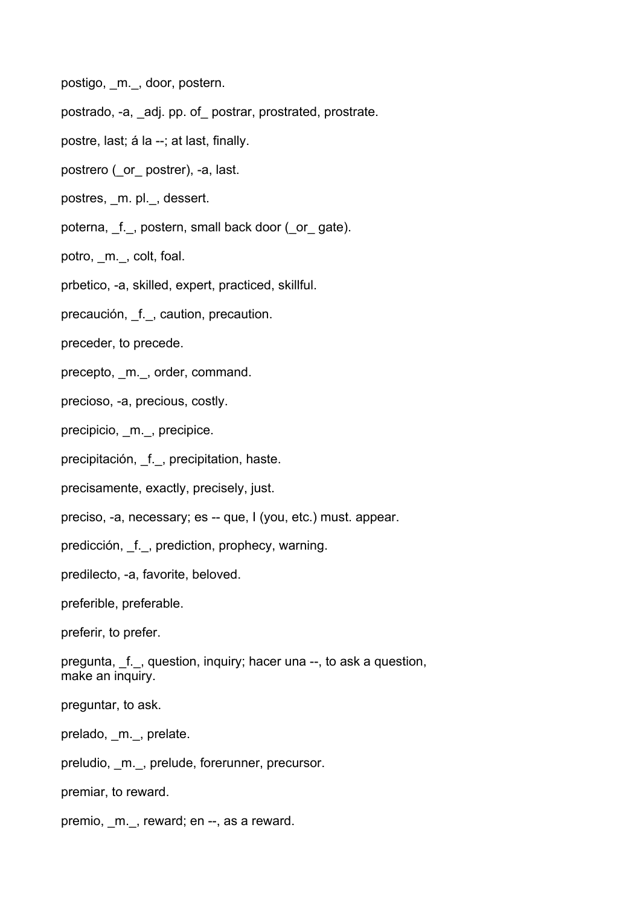postigo, \_m.\_, door, postern.

postrado, -a, \_adj. pp. of\_ postrar, prostrated, prostrate.

- postre, last; á la --; at last, finally.
- postrero (\_or\_ postrer), -a, last.

postres, m. pl., dessert.

poterna, \_f.\_, postern, small back door (\_or\_ gate).

potro, m., colt, foal.

prbetico, -a, skilled, expert, practiced, skillful.

precaución, f., caution, precaution.

preceder, to precede.

precepto, m., order, command.

precioso, -a, precious, costly.

precipicio, m., precipice.

precipitación, f., precipitation, haste.

precisamente, exactly, precisely, just.

preciso, -a, necessary; es -- que, I (you, etc.) must. appear.

predicción, \_f.\_, prediction, prophecy, warning.

predilecto, -a, favorite, beloved.

preferible, preferable.

preferir, to prefer.

pregunta, \_f.\_, question, inquiry; hacer una --, to ask a question, make an inquiry.

preguntar, to ask.

prelado, \_m.\_, prelate.

preludio, m., prelude, forerunner, precursor.

premiar, to reward.

premio, m., reward; en --, as a reward.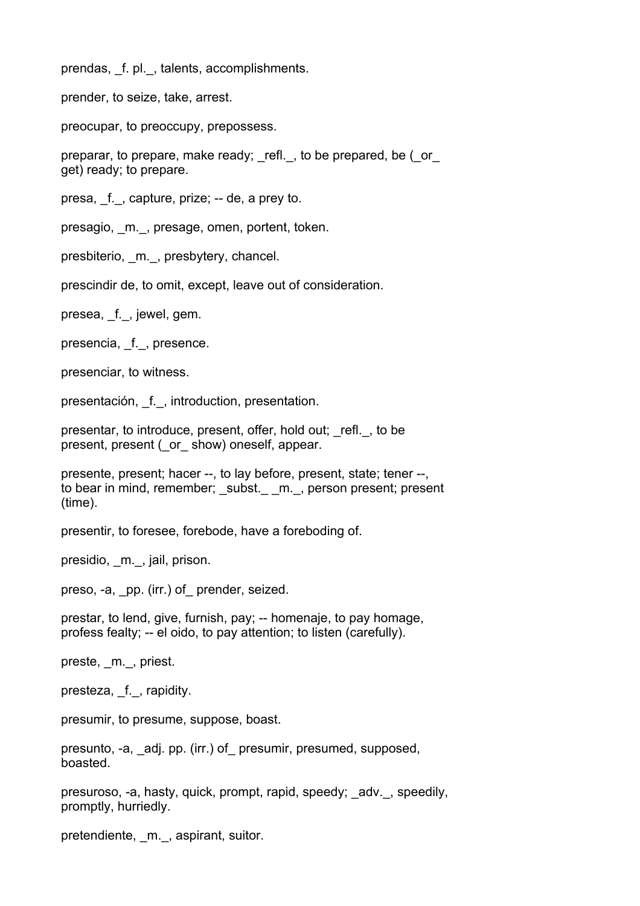prendas, f. pl., talents, accomplishments.

prender, to seize, take, arrest.

preocupar, to preoccupy, prepossess.

preparar, to prepare, make ready; refl., to be prepared, be ( $\circ$  or get) ready; to prepare.

presa, \_f.\_, capture, prize; -- de, a prey to.

presagio, m., presage, omen, portent, token.

presbiterio, m., presbytery, chancel.

prescindir de, to omit, except, leave out of consideration.

presea, f., jewel, gem.

presencia, f., presence.

presenciar, to witness.

presentación, \_f.\_, introduction, presentation.

presentar, to introduce, present, offer, hold out; \_refl.\_, to be present, present (\_or\_ show) oneself, appear.

presente, present; hacer --, to lay before, present, state; tener --, to bear in mind, remember; subst. m., person present; present (time).

presentir, to foresee, forebode, have a foreboding of.

presidio, m., jail, prison.

preso, -a, pp. (irr.) of prender, seized.

prestar, to lend, give, furnish, pay; -- homenaje, to pay homage, profess fealty; -- el oido, to pay attention; to listen (carefully).

preste, \_m.\_, priest.

presteza, f., rapidity.

presumir, to presume, suppose, boast.

presunto, -a, \_adj. pp. (irr.) of\_ presumir, presumed, supposed, boasted.

presuroso, -a, hasty, quick, prompt, rapid, speedy; \_adv.\_, speedily, promptly, hurriedly.

pretendiente, m., aspirant, suitor.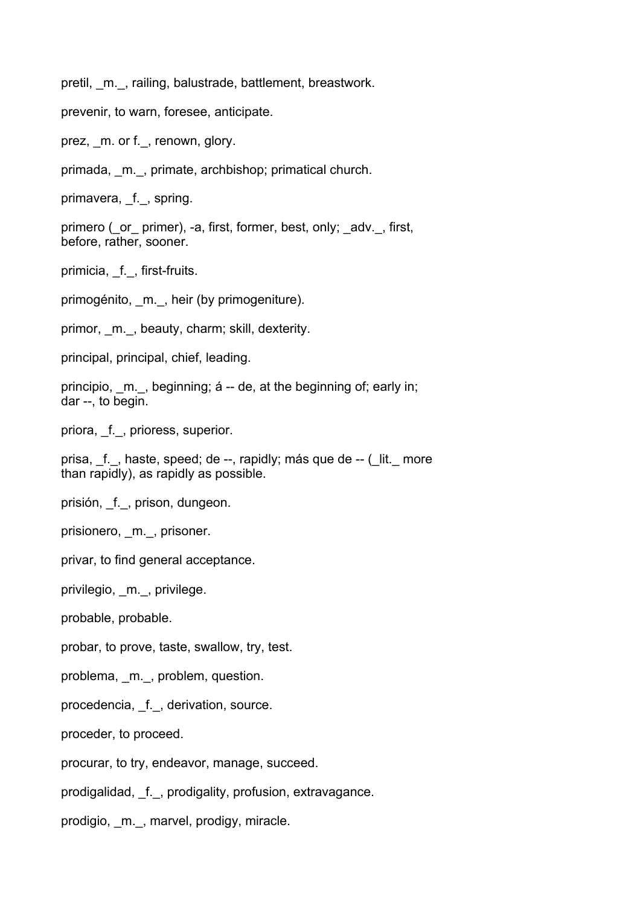pretil, m., railing, balustrade, battlement, breastwork.

prevenir, to warn, foresee, anticipate.

prez, m. or f., renown, glory.

primada, \_m.\_, primate, archbishop; primatical church.

primavera, f., spring.

primero ( or primer), -a, first, former, best, only; adv., first, before, rather, sooner.

primicia, f., first-fruits.

primogénito, m., heir (by primogeniture).

primor, m., beauty, charm; skill, dexterity.

principal, principal, chief, leading.

principio, m., beginning; á -- de, at the beginning of; early in; dar --, to begin.

priora, \_f.\_, prioress, superior.

prisa, f., haste, speed; de --, rapidly; más que de -- ( lit. more than rapidly), as rapidly as possible.

prisión, \_f.\_, prison, dungeon.

prisionero, \_m.\_, prisoner.

privar, to find general acceptance.

privilegio, \_m.\_, privilege.

probable, probable.

probar, to prove, taste, swallow, try, test.

problema, \_m.\_, problem, question.

procedencia, f., derivation, source.

proceder, to proceed.

procurar, to try, endeavor, manage, succeed.

prodigalidad, \_f.\_, prodigality, profusion, extravagance.

prodigio, m., marvel, prodigy, miracle.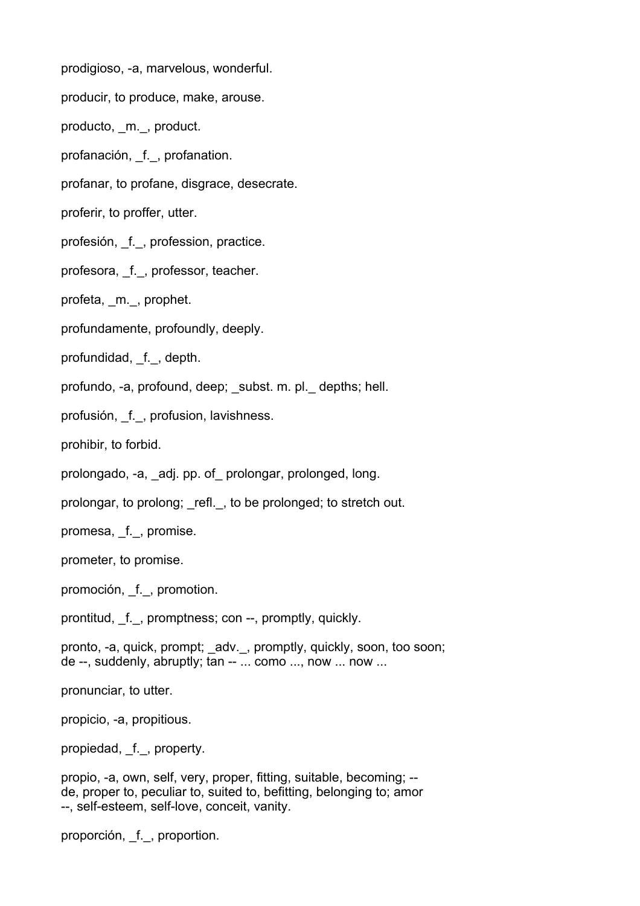prodigioso, -a, marvelous, wonderful.

producir, to produce, make, arouse.

producto, \_m.\_, product.

profanación, \_f.\_, profanation.

profanar, to profane, disgrace, desecrate.

proferir, to proffer, utter.

profesión, f., profession, practice.

profesora, f., professor, teacher.

profeta, \_m.\_, prophet.

profundamente, profoundly, deeply.

profundidad, \_f., depth.

profundo, -a, profound, deep; \_subst. m. pl.\_ depths; hell.

profusión, \_f.\_, profusion, lavishness.

prohibir, to forbid.

prolongado, -a, \_adj. pp. of\_ prolongar, prolonged, long.

prolongar, to prolong; refl., to be prolonged; to stretch out.

promesa, \_f.\_, promise.

prometer, to promise.

promoción, \_f.\_, promotion.

prontitud, \_f.\_, promptness; con --, promptly, quickly.

pronto, -a, quick, prompt; \_adv.\_, promptly, quickly, soon, too soon; de --, suddenly, abruptly; tan -- ... como ..., now ... now ...

pronunciar, to utter.

propicio, -a, propitious.

propiedad, f., property.

propio, -a, own, self, very, proper, fitting, suitable, becoming; - de, proper to, peculiar to, suited to, befitting, belonging to; amor --, self-esteem, self-love, conceit, vanity.

proporción, \_f.\_, proportion.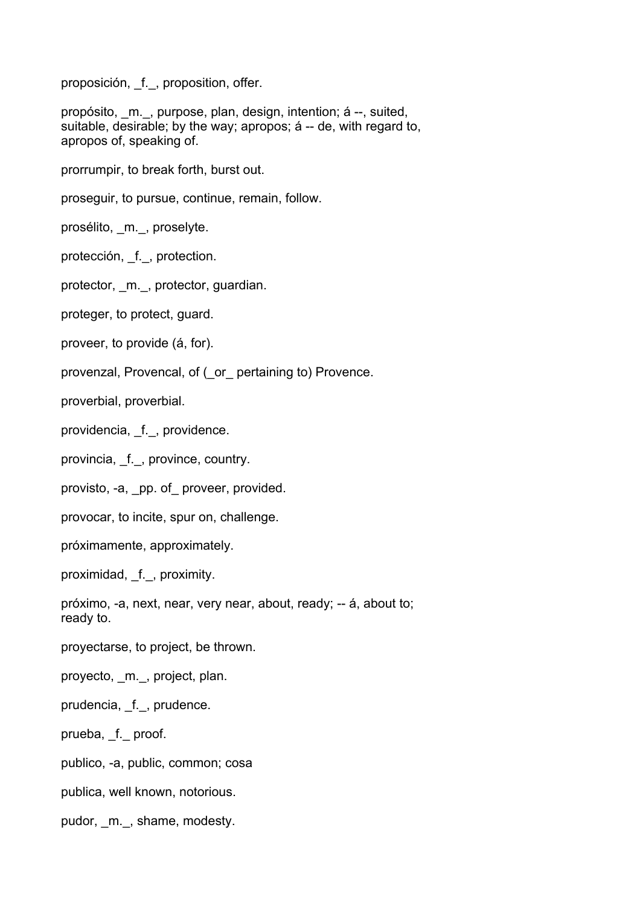proposición, f., proposition, offer.

propósito, \_m.\_, purpose, plan, design, intention; á --, suited, suitable, desirable; by the way; apropos; á -- de, with regard to, apropos of, speaking of.

prorrumpir, to break forth, burst out.

proseguir, to pursue, continue, remain, follow.

prosélito, \_m.\_, proselyte.

protección, f., protection.

protector, \_m.\_, protector, guardian.

proteger, to protect, guard.

proveer, to provide (á, for).

provenzal, Provencal, of (\_or\_ pertaining to) Provence.

proverbial, proverbial.

providencia, f., providence.

provincia, f., province, country.

provisto, -a, \_pp. of\_ proveer, provided.

provocar, to incite, spur on, challenge.

próximamente, approximately.

proximidad, \_f.\_, proximity.

próximo, -a, next, near, very near, about, ready; -- á, about to; ready to.

proyectarse, to project, be thrown.

proyecto, \_m.\_, project, plan.

prudencia, f., prudence.

prueba, \_f.\_ proof.

publico, -a, public, common; cosa

publica, well known, notorious.

pudor, m., shame, modesty.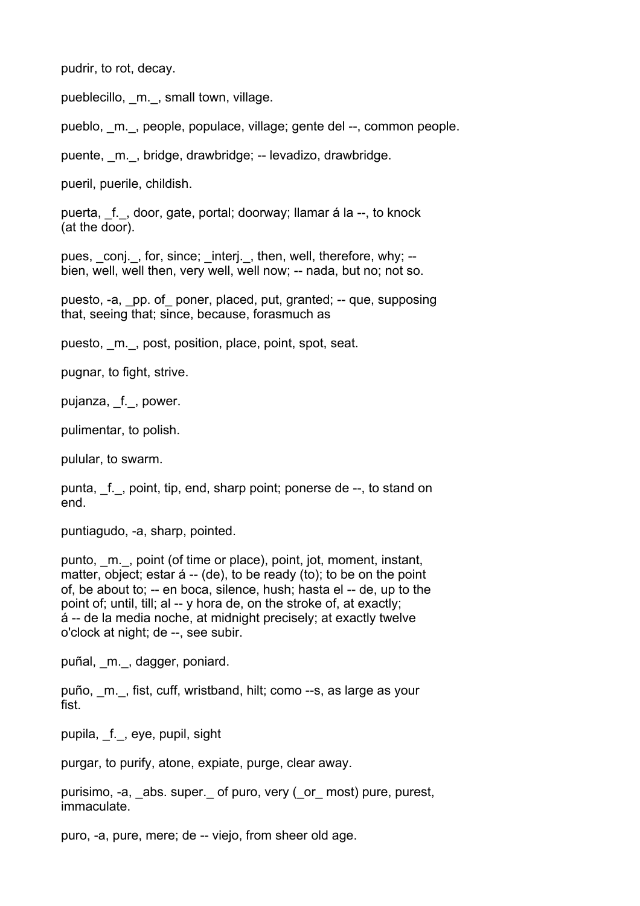pudrir, to rot, decay.

pueblecillo, m., small town, village.

pueblo, \_m.\_, people, populace, village; gente del --, common people.

puente, m., bridge, drawbridge; -- levadizo, drawbridge.

pueril, puerile, childish.

puerta, \_f.\_, door, gate, portal; doorway; llamar á la --, to knock (at the door).

pues, \_conj.\_, for, since; interj., then, well, therefore. why: -bien, well, well then, very well, well now; -- nada, but no; not so.

puesto, -a, \_pp. of\_ poner, placed, put, granted; -- que, supposing that, seeing that; since, because, forasmuch as

puesto, \_m.\_, post, position, place, point, spot, seat.

pugnar, to fight, strive.

pujanza, \_f.\_, power.

pulimentar, to polish.

pulular, to swarm.

punta, f., point, tip, end, sharp point; ponerse de --, to stand on end.

puntiagudo, -a, sharp, pointed.

punto, m., point (of time or place), point, jot, moment, instant, matter, object; estar á -- (de), to be ready (to); to be on the point of, be about to; -- en boca, silence, hush; hasta el -- de, up to the point of; until, till; al -- y hora de, on the stroke of, at exactly; á -- de la media noche, at midnight precisely; at exactly twelve o'clock at night; de --, see subir.

puñal, \_m.\_, dagger, poniard.

puño, \_m.\_, fist, cuff, wristband, hilt; como --s, as large as your fist.

pupila, \_f.\_, eye, pupil, sight

purgar, to purify, atone, expiate, purge, clear away.

purisimo, -a, \_abs. super.\_ of puro, very (\_or\_ most) pure, purest, immaculate.

puro, -a, pure, mere; de -- viejo, from sheer old age.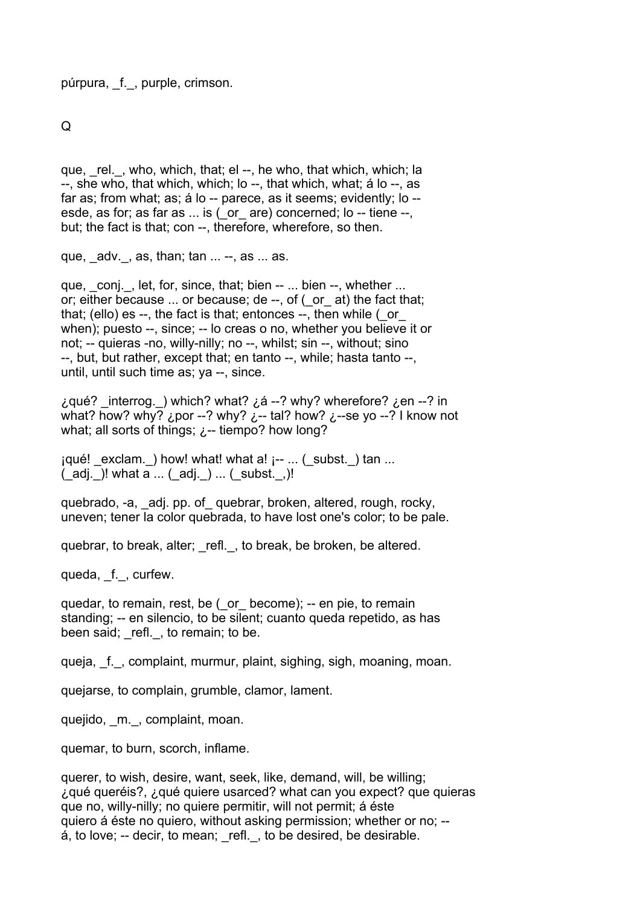púrpura, \_f.\_, purple, crimson.

Q

que, \_rel.\_, who, which, that; el --, he who, that which, which; la --, she who, that which, which; lo --, that which, what; á lo --, as far as; from what; as; á lo -- parece, as it seems; evidently; lo - esde, as for; as far as ... is ( or are) concerned; lo -- tiene --, but; the fact is that; con --, therefore, wherefore, so then.

que,  $adv.$ , as, than;  $tan \dots -$ , as  $\dots$  as.

que, conj., let, for, since, that; bien -- ... bien --, whether ... or; either because ... or because; de --, of (\_or\_ at) the fact that; that; (ello) es --, the fact is that; entonces --, then while ( or when); puesto --, since; -- lo creas o no, whether you believe it or not; -- quieras -no, willy-nilly; no --, whilst; sin --, without; sino --, but, but rather, except that; en tanto --, while; hasta tanto --, until, until such time as; ya --, since.

¿qué? \_interrog.\_) which? what? ¿á --? why? wherefore? ¿en --? in what? how? why? ¿por --? why? ¿-- tal? how? ¿--se yo --? I know not what; all sorts of things;  $\lambda$ -- tiempo? how long?

 $iqu\'e!$  exclam. ) how! what! what a!  $i-$  ... (\_subst. ) tan ...  $($  adj.  $)!$  what a ...  $($  adj.  $)$  ...  $($  subst.  $,)!$ 

quebrado, -a, \_adj. pp. of\_ quebrar, broken, altered, rough, rocky, uneven; tener la color quebrada, to have lost one's color; to be pale.

quebrar, to break, alter; refl., to break, be broken, be altered.

queda, f., curfew.

quedar, to remain, rest, be (\_or\_ become); -- en pie, to remain standing; -- en silencio, to be silent; cuanto queda repetido, as has been said; refl., to remain; to be.

queja, f., complaint, murmur, plaint, sighing, sigh, moaning, moan.

quejarse, to complain, grumble, clamor, lament.

quejido, m., complaint, moan.

quemar, to burn, scorch, inflame.

querer, to wish, desire, want, seek, like, demand, will, be willing; ¿qué queréis?, ¿qué quiere usarced? what can you expect? que quieras que no, willy-nilly; no quiere permitir, will not permit; á éste quiero á éste no quiero, without asking permission; whether or no; --  $\acute{a}$ , to love; -- decir, to mean; refl., to be desired, be desirable.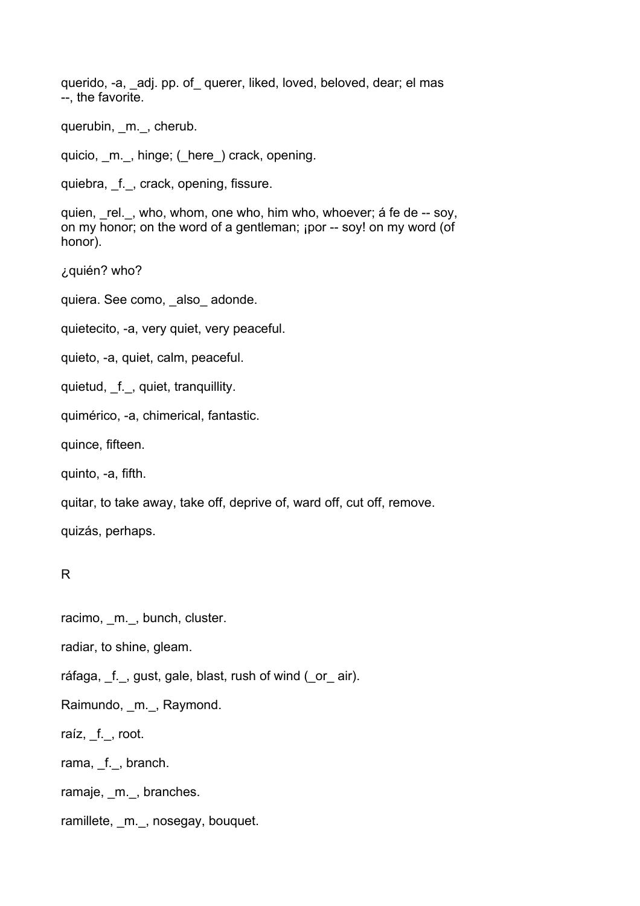querido, -a, adj. pp. of querer, liked, loved, beloved, dear; el mas --, the favorite.

querubin, m., cherub.

quicio, \_m.\_, hinge; (\_here\_) crack, opening.

quiebra, f., crack, opening, fissure.

quien, rel., who, whom, one who, him who, whoever; á fe de -- soy, on my honor; on the word of a gentleman; ¡por -- soy! on my word (of honor).

¿quién? who?

quiera. See como, also adonde.

quietecito, -a, very quiet, very peaceful.

quieto, -a, quiet, calm, peaceful.

quietud, f., quiet, tranquillity.

quimérico, -a, chimerical, fantastic.

quince, fifteen.

quinto, -a, fifth.

quitar, to take away, take off, deprive of, ward off, cut off, remove.

quizás, perhaps.

## R

racimo, m., bunch, cluster.

radiar, to shine, gleam.

ráfaga, f., gust, gale, blast, rush of wind (\_or\_ air).

Raimundo, m., Raymond.

raíz, f., root.

rama, f., branch.

ramaje, \_m.\_, branches.

ramillete, m., nosegay, bouquet.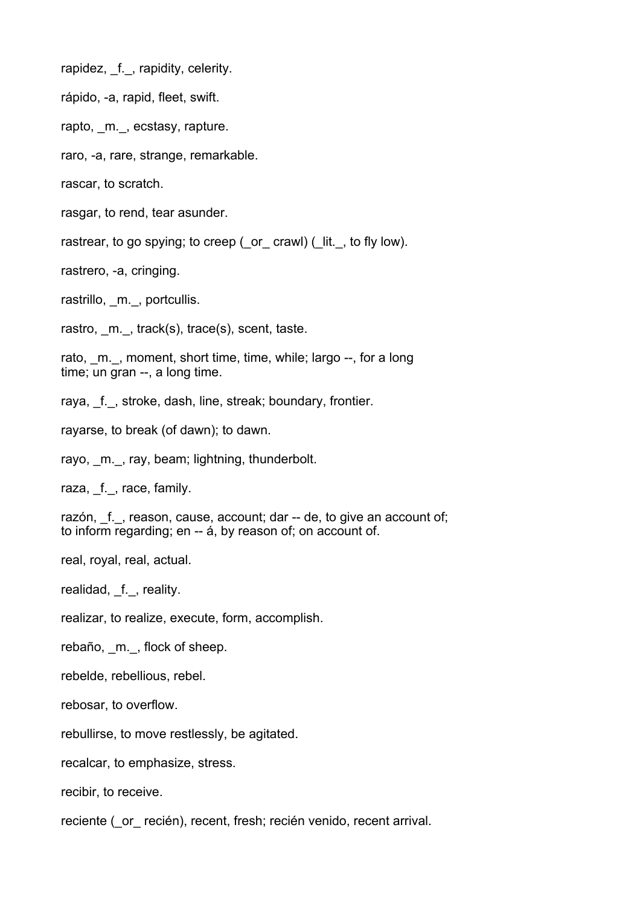rapidez, f., rapidity, celerity.

rápido, -a, rapid, fleet, swift.

rapto, m., ecstasy, rapture.

raro, -a, rare, strange, remarkable.

rascar, to scratch.

rasgar, to rend, tear asunder.

rastrear, to go spying; to creep (\_or\_ crawl) (\_lit.\_, to fly low).

rastrero, -a, cringing.

rastrillo, m., portcullis.

rastro, m., track(s), trace(s), scent, taste.

rato, m., moment, short time, time, while; largo --, for a long time; un gran --, a long time.

raya, f., stroke, dash, line, streak; boundary, frontier.

rayarse, to break (of dawn); to dawn.

rayo, m., ray, beam; lightning, thunderbolt.

raza, f., race, family.

razón, f., reason, cause, account; dar -- de, to give an account of; to inform regarding; en -- á, by reason of; on account of.

real, royal, real, actual.

realidad, f., reality.

realizar, to realize, execute, form, accomplish.

rebaño, m., flock of sheep.

rebelde, rebellious, rebel.

rebosar, to overflow.

rebullirse, to move restlessly, be agitated.

recalcar, to emphasize, stress.

recibir, to receive.

reciente ( or recién), recent, fresh; recién venido, recent arrival.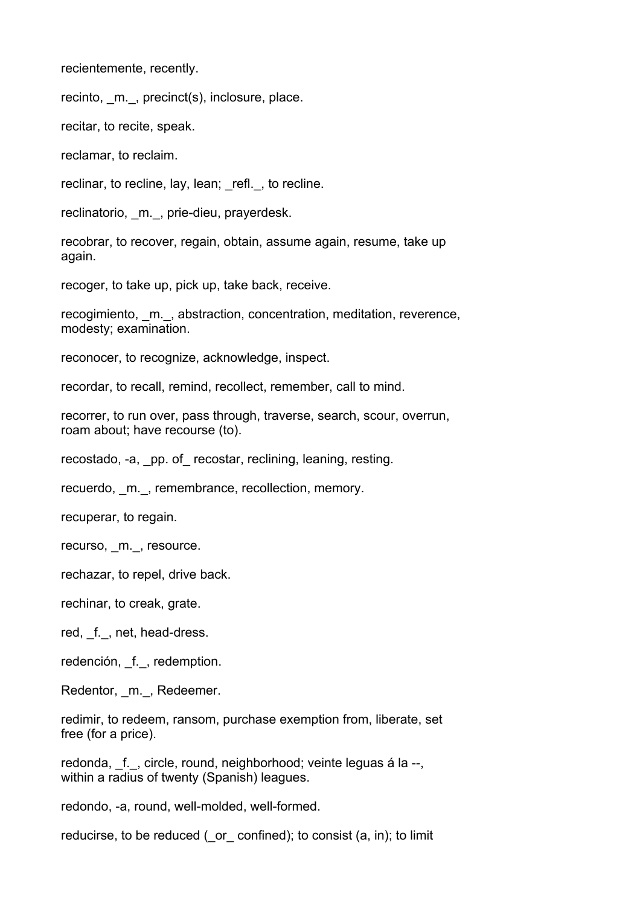recientemente, recently.

recinto, \_m.\_, precinct(s), inclosure, place.

recitar, to recite, speak.

reclamar, to reclaim.

reclinar, to recline, lay, lean; refl., to recline.

reclinatorio, m., prie-dieu, prayerdesk.

recobrar, to recover, regain, obtain, assume again, resume, take up again.

recoger, to take up, pick up, take back, receive.

recogimiento, m., abstraction, concentration, meditation, reverence, modesty; examination.

reconocer, to recognize, acknowledge, inspect.

recordar, to recall, remind, recollect, remember, call to mind.

recorrer, to run over, pass through, traverse, search, scour, overrun, roam about; have recourse (to).

recostado, -a, pp. of recostar, reclining, leaning, resting.

recuerdo, m., remembrance, recollection, memory.

recuperar, to regain.

recurso, \_m.\_, resource.

rechazar, to repel, drive back.

rechinar, to creak, grate.

red, f., net, head-dress.

redención, f., redemption.

Redentor, m., Redeemer.

redimir, to redeem, ransom, purchase exemption from, liberate, set free (for a price).

redonda, f., circle, round, neighborhood; veinte leguas á la --, within a radius of twenty (Spanish) leagues.

redondo, -a, round, well-molded, well-formed.

reducirse, to be reduced ( $\sigma$  confined); to consist (a, in); to limit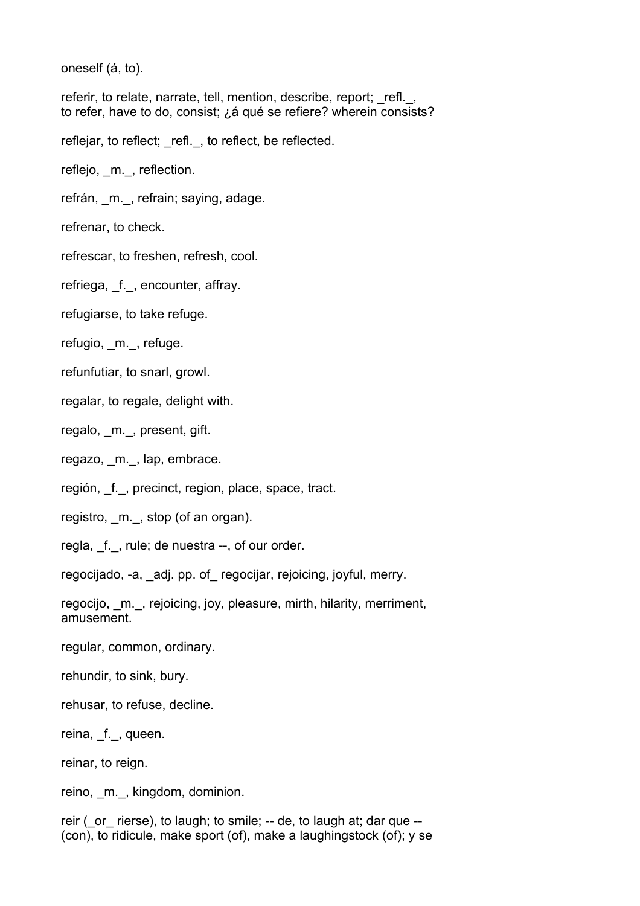oneself (á, to).

referir, to relate, narrate, tell, mention, describe, report; refl., to refer, have to do, consist; ¿á qué se refiere? wherein consists?

reflejar, to reflect; refl., to reflect, be reflected.

reflejo, \_m.\_, reflection.

refrán, m., refrain; saying, adage.

refrenar, to check.

refrescar, to freshen, refresh, cool.

refriega, f., encounter, affray.

refugiarse, to take refuge.

refugio, m., refuge.

refunfutiar, to snarl, growl.

regalar, to regale, delight with.

regalo, m., present, gift.

regazo, m., lap, embrace.

región, f., precinct, region, place, space, tract.

registro, \_m.\_, stop (of an organ).

regla, f., rule; de nuestra --, of our order.

regocijado, -a, \_adj. pp. of\_ regocijar, rejoicing, joyful, merry.

regocijo, \_m.\_, rejoicing, joy, pleasure, mirth, hilarity, merriment, amusement.

regular, common, ordinary.

rehundir, to sink, bury.

rehusar, to refuse, decline.

reina, \_f.\_, queen.

reinar, to reign.

reino, \_m.\_, kingdom, dominion.

reir ( or rierse), to laugh; to smile; -- de, to laugh at; dar que --(con), to ridicule, make sport (of), make a laughingstock (of); y se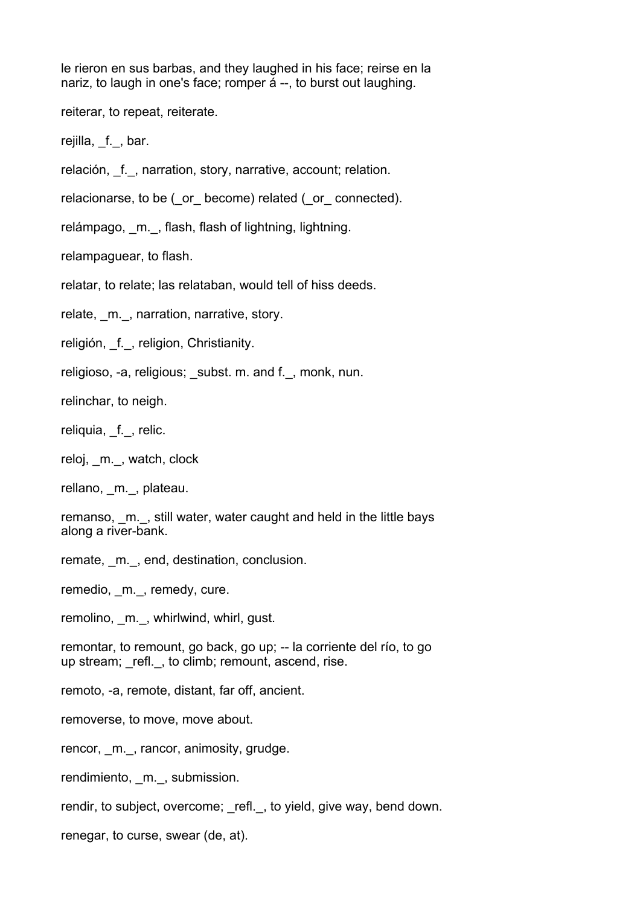le rieron en sus barbas, and they laughed in his face; reirse en la nariz, to laugh in one's face; romper á --, to burst out laughing.

reiterar, to repeat, reiterate.

rejilla, f., bar.

relación, \_f.\_, narration, story, narrative, account; relation.

relacionarse, to be ( or become) related ( or connected).

relámpago, m., flash, flash of lightning, lightning.

relampaguear, to flash.

relatar, to relate; las relataban, would tell of hiss deeds.

relate, m., narration, narrative, story.

religión, f., religion, Christianity.

religioso, -a, religious; subst. m. and f., monk, nun.

relinchar, to neigh.

reliquia, f., relic.

reloj, \_m.\_, watch, clock

rellano, m., plateau.

remanso, m., still water, water caught and held in the little bays along a river-bank.

remate, m., end, destination, conclusion.

remedio, \_m.\_, remedy, cure.

remolino, m., whirlwind, whirl, qust.

remontar, to remount, go back, go up; -- la corriente del río, to go up stream; refl., to climb; remount, ascend, rise.

remoto, -a, remote, distant, far off, ancient.

removerse, to move, move about.

rencor, m., rancor, animosity, grudge.

rendimiento, m., submission.

rendir, to subject, overcome; refl., to yield, give way, bend down.

renegar, to curse, swear (de, at).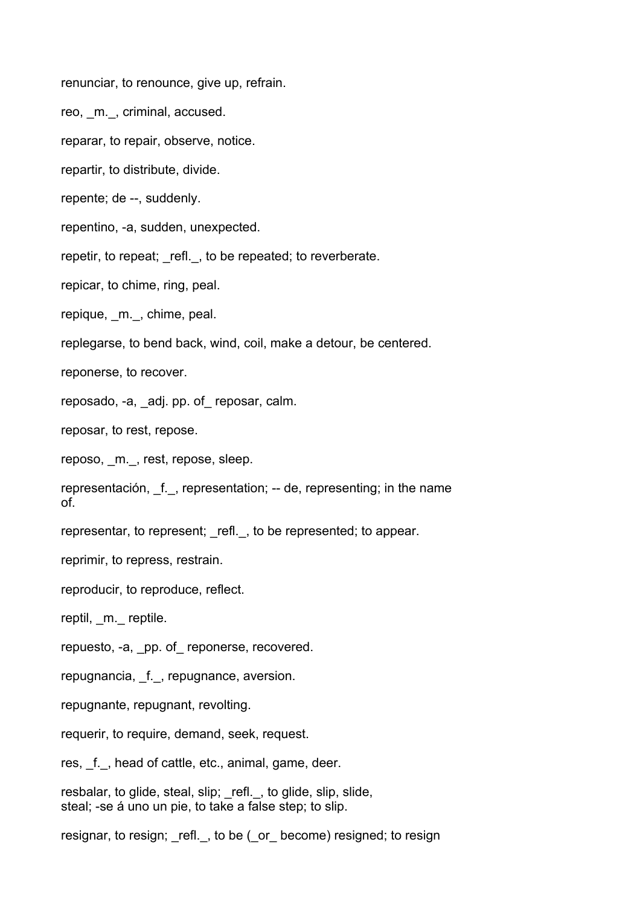renunciar, to renounce, give up, refrain.

reo, m., criminal, accused.

reparar, to repair, observe, notice.

repartir, to distribute, divide.

repente; de --, suddenly.

repentino, -a, sudden, unexpected.

repetir, to repeat; refl., to be repeated; to reverberate.

repicar, to chime, ring, peal.

repique, m., chime, peal.

replegarse, to bend back, wind, coil, make a detour, be centered.

reponerse, to recover.

reposado, -a, adj. pp. of reposar, calm.

reposar, to rest, repose.

reposo, m., rest, repose, sleep.

representación, f., representation; -- de, representing; in the name of.

representar, to represent; refl., to be represented; to appear.

reprimir, to repress, restrain.

reproducir, to reproduce, reflect.

reptil, m. reptile.

repuesto, -a, pp. of reponerse, recovered.

repugnancia, f., repugnance, aversion.

repugnante, repugnant, revolting.

requerir, to require, demand, seek, request.

res, f., head of cattle, etc., animal, game, deer.

resbalar, to glide, steal, slip; \_refl.\_, to glide, slip, slide, steal; -se á uno un pie, to take a false step; to slip.

resignar, to resign; refl., to be ( or become) resigned; to resigned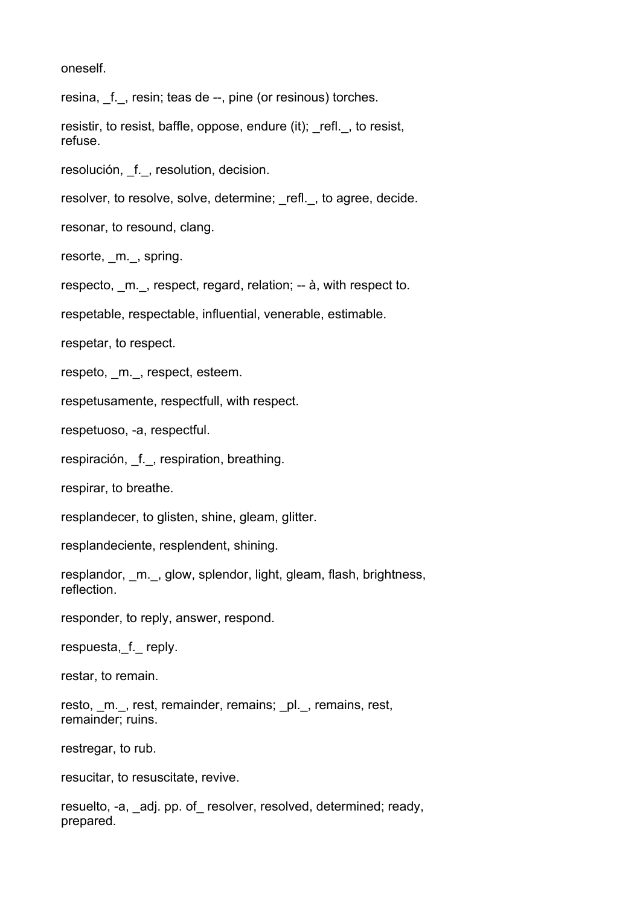oneself.

resina, f., resin; teas de --, pine (or resinous) torches.

resistir, to resist, baffle, oppose, endure (it); refl., to resist, refuse.

resolución, \_f.\_, resolution, decision.

resolver, to resolve, solve, determine; refl., to agree, decide.

resonar, to resound, clang.

resorte, m., spring.

respecto, m., respect, regard, relation; -- à, with respect to.

respetable, respectable, influential, venerable, estimable.

respetar, to respect.

respeto, m., respect, esteem.

respetusamente, respectfull, with respect.

respetuoso, -a, respectful.

respiración, f., respiration, breathing.

respirar, to breathe.

resplandecer, to glisten, shine, gleam, glitter.

resplandeciente, resplendent, shining.

resplandor, m., glow, splendor, light, gleam, flash, brightness, reflection.

responder, to reply, answer, respond.

respuesta, f. reply.

restar, to remain.

resto, m., rest, remainder, remains; pl., remains, rest, remainder; ruins.

restregar, to rub.

resucitar, to resuscitate, revive.

resuelto, -a, adj. pp. of resolver, resolved, determined; ready, prepared.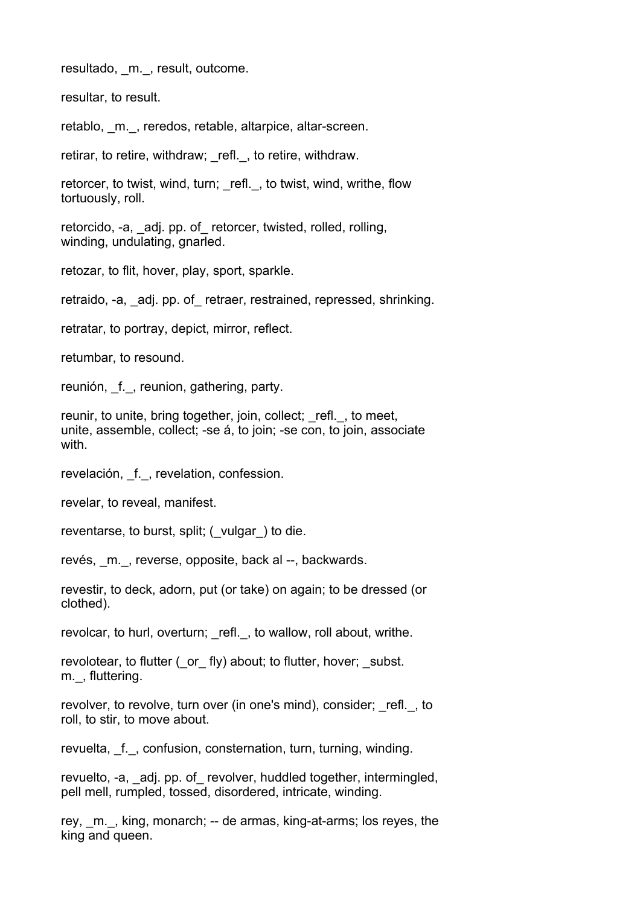resultado, m., result, outcome.

resultar, to result.

retablo, m., reredos, retable, altarpice, altar-screen.

retirar, to retire, withdraw; refl., to retire, withdraw.

retorcer, to twist, wind, turn; refl., to twist, wind, writhe, flow tortuously, roll.

retorcido, -a, adj. pp. of retorcer, twisted, rolled, rolling, winding, undulating, gnarled.

retozar, to flit, hover, play, sport, sparkle.

retraido, -a, adj. pp. of retraer, restrained, repressed, shrinking.

retratar, to portray, depict, mirror, reflect.

retumbar, to resound.

reunión, f., reunion, gathering, party.

reunir, to unite, bring together, join, collect; refl., to meet, unite, assemble, collect; -se á, to join; -se con, to join, associate with.

revelación, f., revelation, confession.

revelar, to reveal, manifest.

reventarse, to burst, split; (\_vulgar \_) to die.

revés, m., reverse, opposite, back al --, backwards.

revestir, to deck, adorn, put (or take) on again; to be dressed (or clothed).

revolcar, to hurl, overturn; refl., to wallow, roll about, writhe.

revolotear, to flutter ( or fly) about; to flutter, hover; subst. m., fluttering.

revolver, to revolve, turn over (in one's mind), consider; refl., to roll, to stir, to move about.

revuelta, f., confusion, consternation, turn, turning, winding.

revuelto, -a, adj. pp. of revolver, huddled together, intermingled, pell mell, rumpled, tossed, disordered, intricate, winding.

rey, m., king, monarch; -- de armas, king-at-arms; los reyes, the king and queen.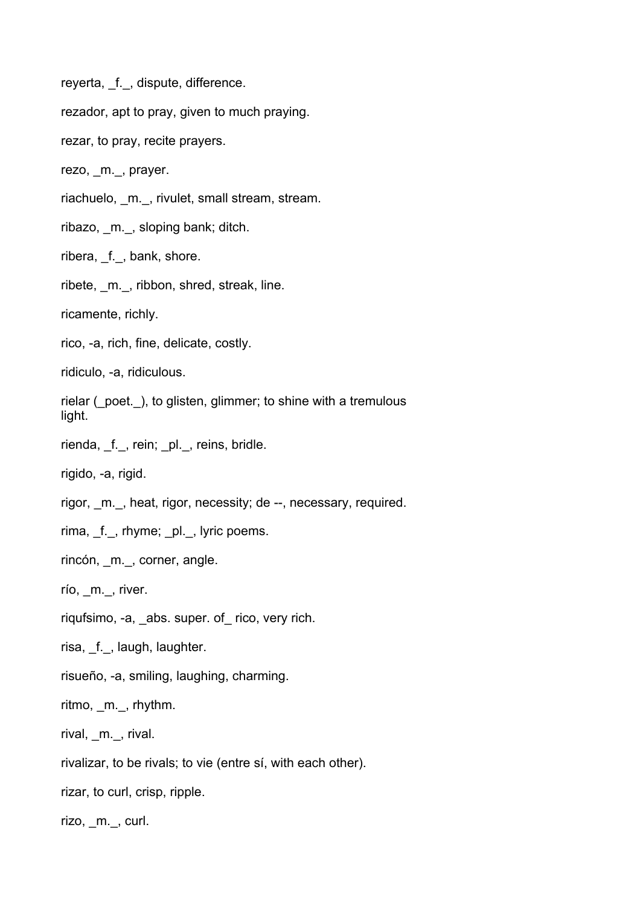reyerta, f., dispute, difference.

rezador, apt to pray, given to much praying.

rezar, to pray, recite prayers.

rezo, \_m.\_, prayer.

riachuelo, m., rivulet, small stream, stream.

ribazo, \_m.\_, sloping bank; ditch.

ribera, f., bank, shore.

ribete, m., ribbon, shred, streak, line.

ricamente, richly.

rico, -a, rich, fine, delicate, costly.

ridiculo, -a, ridiculous.

rielar (\_poet.\_), to glisten, glimmer; to shine with a tremulous light.

rienda, f., rein; pl., reins, bridle.

rigido, -a, rigid.

rigor, m., heat, rigor, necessity; de --, necessary, required.

rima, \_f.\_, rhyme; \_pl.\_, lyric poems.

rincón, m., corner, angle.

río, m., river.

riqufsimo, -a, abs. super. of\_ rico, very rich.

risa, f., laugh, laughter.

risueño, -a, smiling, laughing, charming.

ritmo, \_m.\_, rhythm.

rival, \_m.\_, rival.

rivalizar, to be rivals; to vie (entre sí, with each other).

rizar, to curl, crisp, ripple.

rizo, m., curl.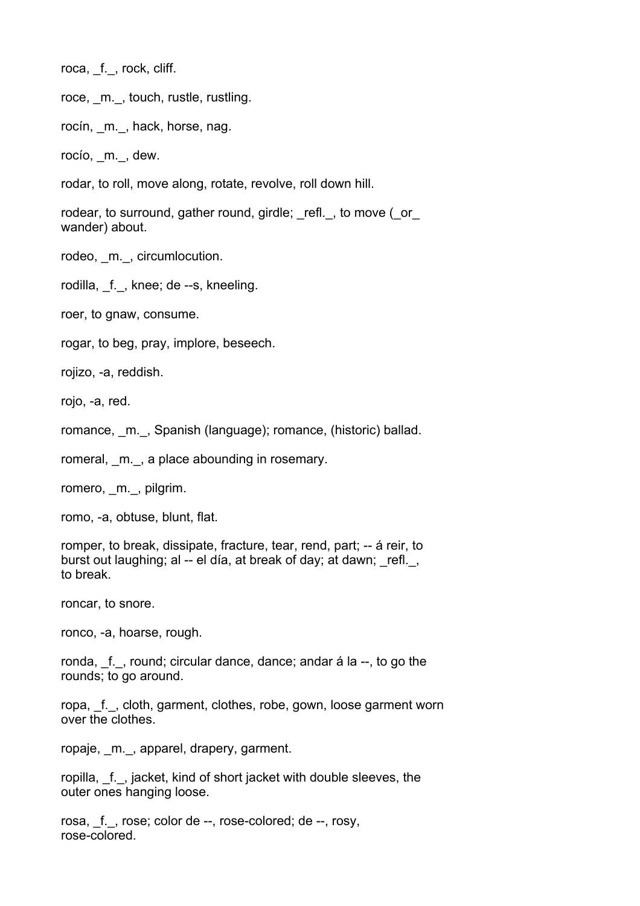roca, f., rock, cliff.

roce, \_m.\_, touch, rustle, rustling.

rocín, m., hack, horse, nag.

rocío, \_m.\_, dew.

rodar, to roll, move along, rotate, revolve, roll down hill.

rodear, to surround, gather round, girdle; refl., to move ( $\circ$ or wander) about.

rodeo, m., circumlocution.

rodilla, f., knee; de --s, kneeling.

roer, to gnaw, consume.

rogar, to beg, pray, implore, beseech.

rojizo, -a, reddish.

rojo, -a, red.

romance, m., Spanish (language); romance, (historic) ballad.

romeral, m., a place abounding in rosemary.

romero, m., pilgrim.

romo, -a, obtuse, blunt, flat.

romper, to break, dissipate, fracture, tear, rend, part; -- á reir, to burst out laughing; al -- el día, at break of day; at dawn; refl., to break.

roncar, to snore.

ronco, -a, hoarse, rough.

ronda, f., round; circular dance, dance; andar á la --, to go the rounds; to go around.

ropa, f., cloth, garment, clothes, robe, gown, loose garment worn over the clothes.

ropaje, m., apparel, drapery, garment.

ropilla, f., jacket, kind of short jacket with double sleeves, the outer ones hanging loose.

rosa, f., rose; color de --, rose-colored; de --, rosy, rose-colored.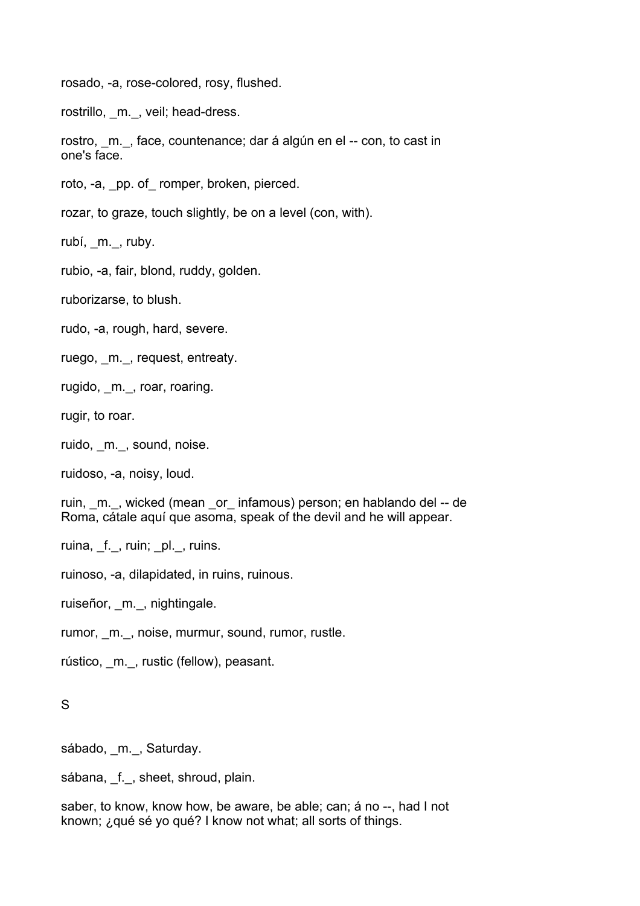rosado, -a, rose-colored, rosy, flushed.

rostrillo, m., veil; head-dress.

rostro, m., face, countenance; dar á algún en el -- con, to cast in one's face.

roto, -a, pp. of romper, broken, pierced.

rozar, to graze, touch slightly, be on a level (con, with).

rubí, m., ruby.

rubio, -a, fair, blond, ruddy, golden.

ruborizarse, to blush.

rudo, -a, rough, hard, severe.

ruego, m., request, entreaty.

rugido, m., roar, roaring.

rugir, to roar.

ruido, m., sound, noise.

ruidoso, -a, noisy, loud.

ruin, m., wicked (mean or infamous) person; en hablando del -- de Roma, cátale aquí que asoma, speak of the devil and he will appear.

ruina, f., ruin; pl., ruins.

ruinoso, -a, dilapidated, in ruins, ruinous.

ruiseñor, \_m.\_, nightingale.

rumor, m., noise, murmur, sound, rumor, rustle.

rústico, \_m.\_, rustic (fellow), peasant.

## S

sábado, m., Saturday.

sábana, f., sheet, shroud, plain.

saber, to know, know how, be aware, be able; can; á no --, had I not known; ¿qué sé yo qué? I know not what; all sorts of things.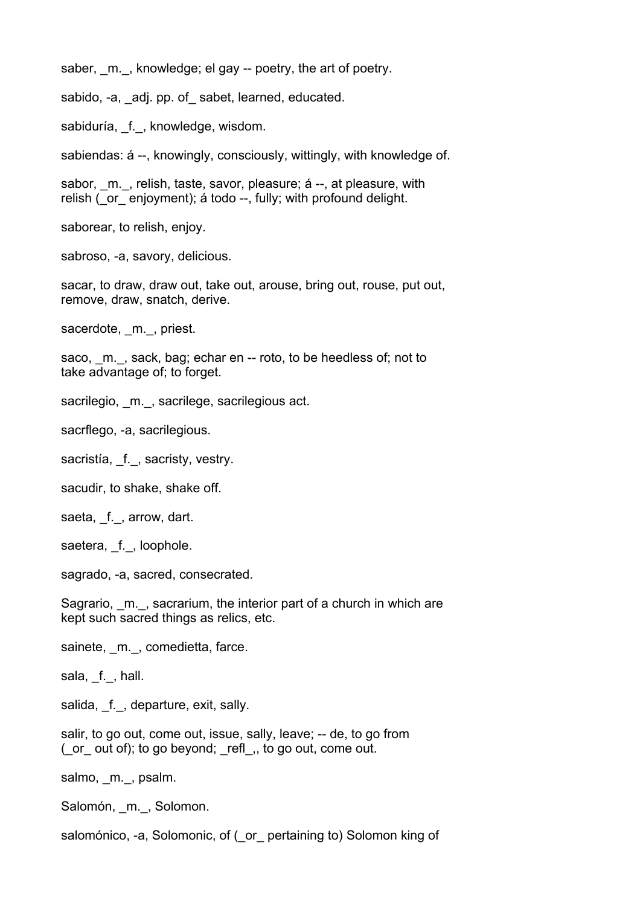saber, m., knowledge; el gay -- poetry, the art of poetry.

sabido, -a, \_adj. pp. of\_sabet, learned, educated.

sabiduría, f., knowledge, wisdom.

sabiendas: á --, knowingly, consciously, wittingly, with knowledge of.

sabor, m., relish, taste, savor, pleasure; á --, at pleasure, with relish ( or enjoyment); á todo --, fully; with profound delight.

saborear, to relish, enjoy.

sabroso, -a, savory, delicious.

sacar, to draw, draw out, take out, arouse, bring out, rouse, put out, remove, draw, snatch, derive.

sacerdote, m., priest.

saco, m., sack, bag; echar en -- roto, to be heedless of; not to take advantage of; to forget.

sacrilegio, m., sacrilege, sacrilegious act.

sacrflego, -a, sacrilegious.

sacristía, f., sacristy, vestry.

sacudir, to shake, shake off.

saeta, f., arrow, dart.

saetera, f., loophole.

sagrado, -a, sacred, consecrated.

Sagrario, m., sacrarium, the interior part of a church in which are kept such sacred things as relics, etc.

sainete, m., comedietta, farce.

sala, f., hall.

salida, f., departure, exit, sally.

salir, to go out, come out, issue, sally, leave; -- de, to go from ( $\alpha$  or  $\alpha$  out of); to go beyond; refletted, to go out, come out.

salmo, m., psalm.

Salomón, m., Solomon.

salomónico, -a, Solomonic, of ( or pertaining to) Solomon king of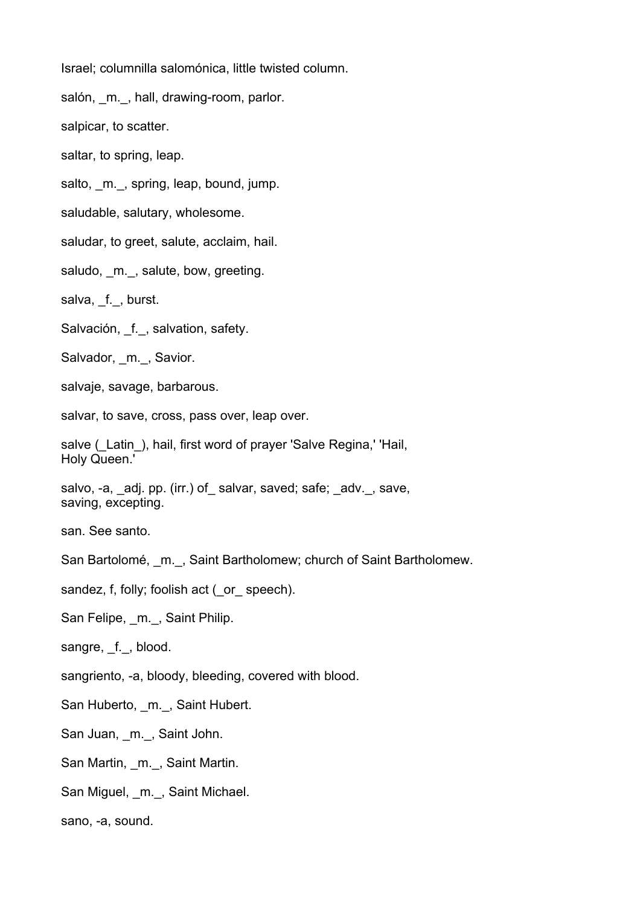Israel; columnilla salomónica, little twisted column.

salón, m., hall, drawing-room, parlor.

salpicar, to scatter.

saltar, to spring, leap.

salto, m., spring, leap, bound, jump.

saludable, salutary, wholesome.

saludar, to greet, salute, acclaim, hail.

saludo, m., salute, bow, greeting.

salva, f., burst.

Salvación, f., salvation, safety.

Salvador, m., Savior.

salvaje, savage, barbarous.

salvar, to save, cross, pass over, leap over.

salve (Latin), hail, first word of prayer 'Salve Regina,' 'Hail, Holy Queen.'

salvo, -a, adj. pp. (irr.) of salvar, saved; safe; adv., save, saving, excepting.

san. See santo.

San Bartolomé, m., Saint Bartholomew; church of Saint Bartholomew.

sandez, f, folly; foolish act ( or speech).

San Felipe, m., Saint Philip.

sangre, f., blood.

sangriento, -a, bloody, bleeding, covered with blood.

San Huberto, m., Saint Hubert.

San Juan, \_m.\_, Saint John.

San Martin, m., Saint Martin.

San Miguel, \_m.\_, Saint Michael.

sano, -a, sound.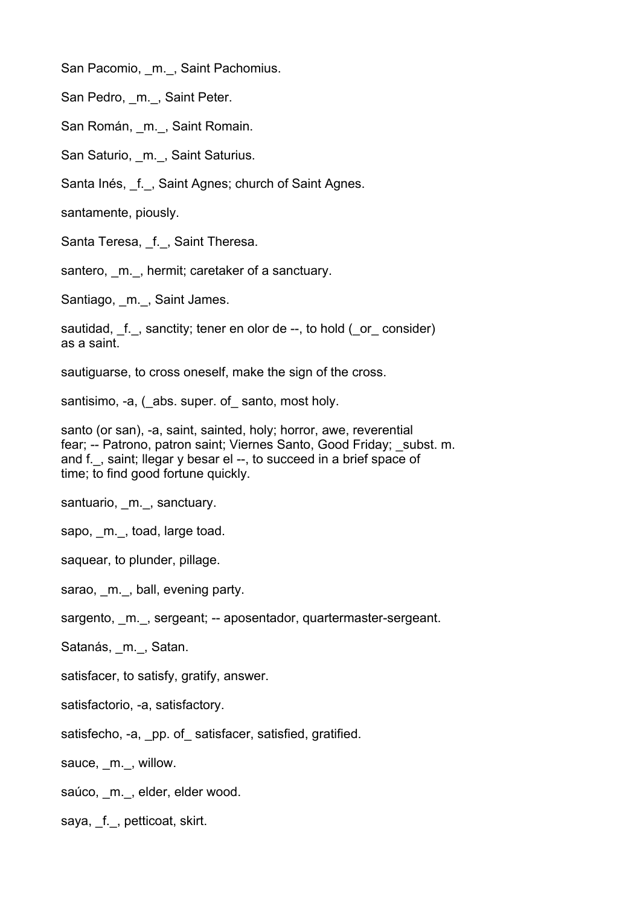San Pacomio, m., Saint Pachomius.

San Pedro, m., Saint Peter.

San Román, m., Saint Romain.

San Saturio, m., Saint Saturius.

Santa Inés, f., Saint Agnes; church of Saint Agnes.

santamente, piously.

Santa Teresa, f., Saint Theresa.

santero, m., hermit; caretaker of a sanctuary.

Santiago, m., Saint James.

sautidad, f., sanctity; tener en olor de --, to hold ( or consider) as a saint.

sautiguarse, to cross oneself, make the sign of the cross.

santisimo, -a, (abs. super. of santo, most holy.

santo (or san), -a, saint, sainted, holy; horror, awe, reverential fear; -- Patrono, patron saint; Viernes Santo, Good Friday; subst. m. and f. . saint; llegar y besar el --, to succeed in a brief space of time; to find good fortune quickly.

santuario, m., sanctuary.

sapo, m., toad, large toad.

saquear, to plunder, pillage.

sarao, m., ball, evening party.

sargento, m., sergeant; -- aposentador, quartermaster-sergeant.

Satanás, m., Satan.

satisfacer, to satisfy, gratify, answer.

satisfactorio, -a, satisfactory.

satisfecho, -a, \_pp. of\_satisfacer, satisfied, gratified.

sauce, m., willow.

saúco, \_m.\_, elder, elder wood.

saya, f., petticoat, skirt.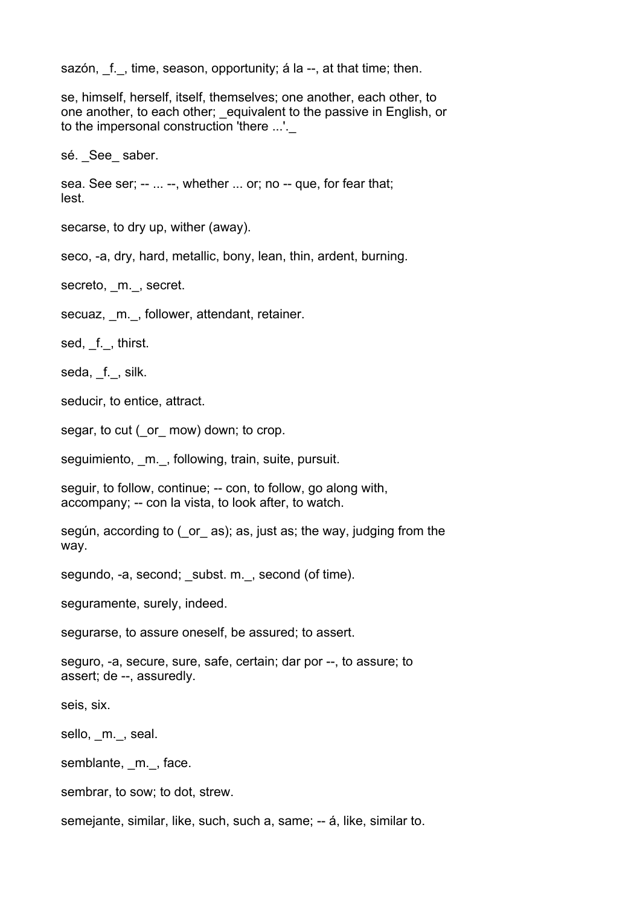sazón, f., time, season, opportunity; á la --, at that time; then.

se, himself, herself, itself, themselves; one another, each other, to one another, to each other; \_equivalent to the passive in English, or to the impersonal construction 'there ...'.

sé. See saber.

sea. See ser; -- ... --, whether ... or; no -- que, for fear that; lest.

secarse, to dry up, wither (away).

seco, -a, dry, hard, metallic, bony, lean, thin, ardent, burning.

secreto, m., secret.

secuaz, m., follower, attendant, retainer.

sed, \_f., thirst.

seda, f., silk.

seducir, to entice, attract.

segar, to cut ( or mow) down; to crop.

seguimiento, m., following, train, suite, pursuit.

seguir, to follow, continue; -- con, to follow, go along with, accompany; -- con la vista, to look after, to watch.

según, according to (\_or\_ as); as, just as; the way, judging from the way.

segundo, -a, second; subst. m., second (of time).

seguramente, surely, indeed.

segurarse, to assure oneself, be assured; to assert.

seguro, -a, secure, sure, safe, certain; dar por --, to assure; to assert; de --, assuredly.

seis, six.

sello, \_m.\_, seal.

semblante, m., face.

sembrar, to sow; to dot, strew.

semejante, similar, like, such, such a, same; -- á, like, similar to.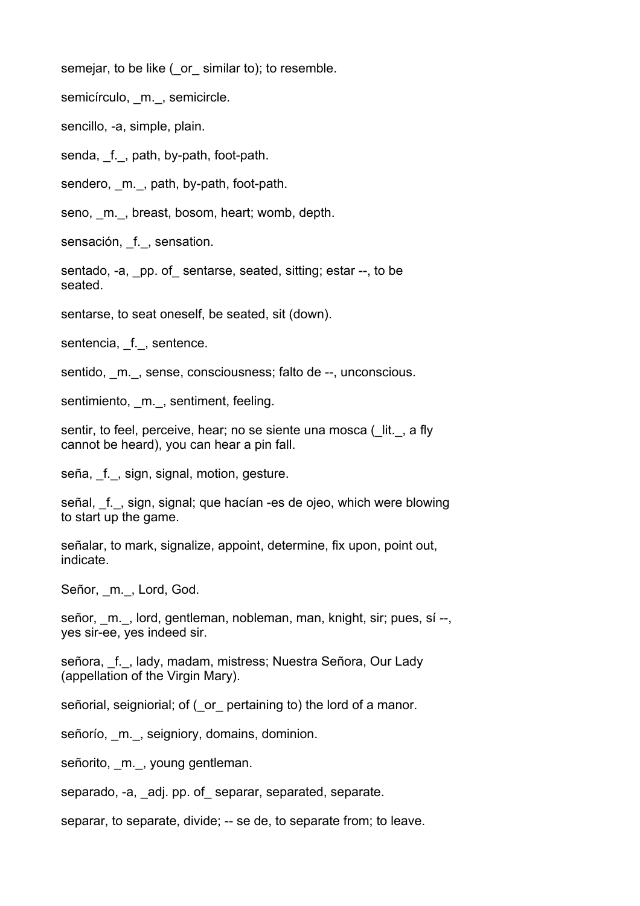semejar, to be like ( or similar to); to resemble.

semicírculo, m., semicircle.

sencillo, -a, simple, plain.

senda, f., path, by-path, foot-path.

sendero, m., path, by-path, foot-path.

seno, m., breast, bosom, heart; womb, depth.

sensación, f., sensation.

sentado, -a, pp. of sentarse, seated, sitting; estar --, to be seated.

sentarse, to seat oneself, be seated, sit (down).

sentencia, f., sentence.

sentido, m., sense, consciousness; falto de --, unconscious.

sentimiento, m., sentiment, feeling.

sentir, to feel, perceive, hear; no se siente una mosca ( lit., a fly cannot be heard), you can hear a pin fall.

seña, \_f.\_, sign, signal, motion, gesture.

señal, \_f. \_, sign, signal; que hacían -es de ojeo, which were blowing to start up the game.

señalar, to mark, signalize, appoint, determine, fix upon, point out, indicate.

Señor, m., Lord, God.

señor, \_m.\_, lord, gentleman, nobleman, man, knight, sir; pues, sí --, yes sir-ee, yes indeed sir.

señora, f., lady, madam, mistress; Nuestra Señora, Our Lady (appellation of the Virgin Mary).

señorial, seigniorial; of ( or pertaining to) the lord of a manor.

señorío, m., seigniory, domains, dominion.

señorito, m., young gentleman.

separado, -a, adj. pp. of separar, separated, separate.

separar, to separate, divide; -- se de, to separate from; to leave.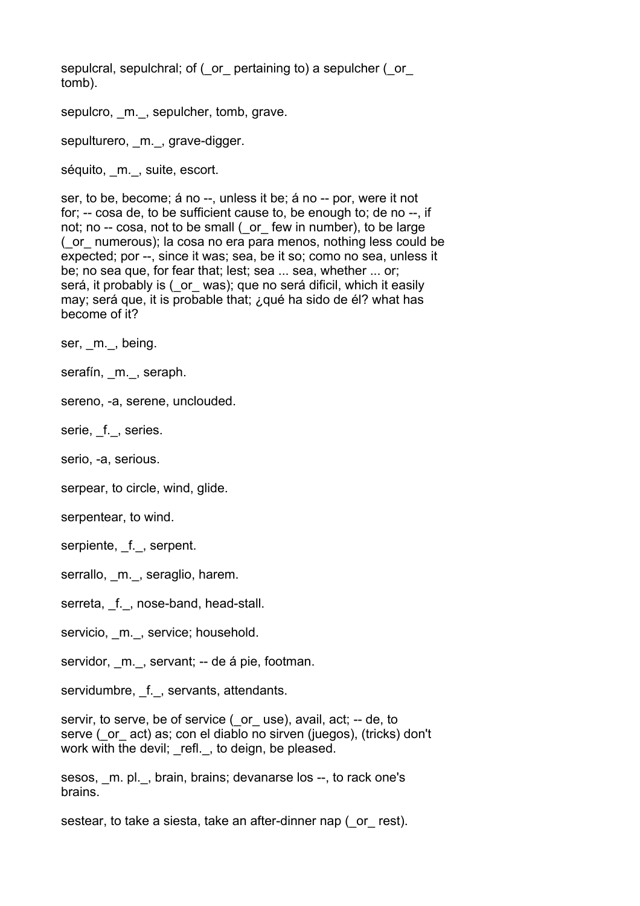sepulcral, sepulchral; of (\_or\_ pertaining to) a sepulcher (\_or\_ tomb).

sepulcro, m., sepulcher, tomb, grave.

sepulturero, m., grave-digger.

séquito, \_m.\_, suite, escort.

ser, to be, become; á no --, unless it be; á no -- por, were it not for; -- cosa de, to be sufficient cause to, be enough to; de no --, if not; no -- cosa, not to be small ( or few in number), to be large (\_or\_ numerous); la cosa no era para menos, nothing less could be expected; por --, since it was; sea, be it so; como no sea, unless it be; no sea que, for fear that; lest; sea ... sea, whether ... or; será, it probably is (\_or\_ was); que no será dificil, which it easily may; será que, it is probable that; ¿qué ha sido de él? what has become of it?

ser, m., being.

serafín, \_m.\_, seraph.

sereno, -a, serene, unclouded.

serie, f., series.

serio, -a, serious.

serpear, to circle, wind, glide.

serpentear, to wind.

serpiente, f., serpent.

serrallo, m., seraglio, harem.

serreta, f., nose-band, head-stall.

servicio, m., service; household.

servidor, m., servant; -- de á pie, footman.

servidumbre, f., servants, attendants.

servir, to serve, be of service ( or use), avail, act; -- de, to serve (\_or\_ act) as; con el diablo no sirven (juegos), (tricks) don't work with the devil; refl., to deign, be pleased.

sesos, m. pl., brain, brains; devanarse los --, to rack one's brains.

sestear, to take a siesta, take an after-dinner nap ( or rest).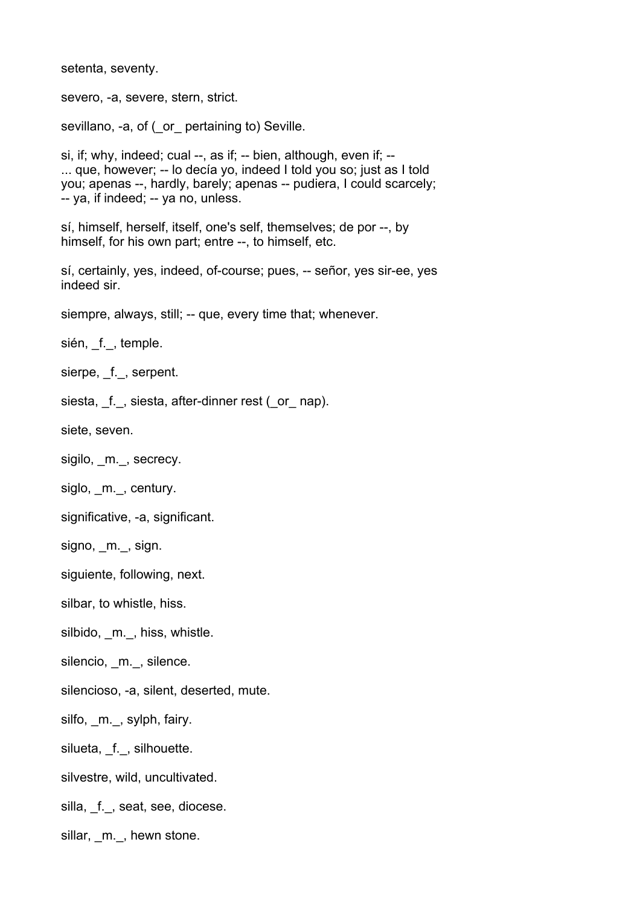setenta, seventy.

severo, -a, severe, stern, strict.

sevillano, -a, of ( or pertaining to) Seville.

si, if; why, indeed; cual --, as if; -- bien, although, even if; -- ... que, however; -- lo decía yo, indeed I told you so; just as I told you; apenas --, hardly, barely; apenas -- pudiera, I could scarcely; -- ya, if indeed; -- ya no, unless.

sí, himself, herself, itself, one's self, themselves; de por --, by himself, for his own part; entre --, to himself, etc.

sí, certainly, yes, indeed, of-course; pues, -- señor, yes sir-ee, yes indeed sir.

siempre, always, still; -- que, every time that; whenever.

sién, f., temple.

sierpe, f., serpent.

siesta, f., siesta, after-dinner rest (\_or\_ nap).

siete, seven.

sigilo, m., secrecy.

siglo, m., century.

significative, -a, significant.

signo, m., sign.

siguiente, following, next.

silbar, to whistle, hiss.

silbido, m., hiss, whistle.

silencio, \_m.\_, silence.

silencioso, -a, silent, deserted, mute.

silfo, m., sylph, fairy.

silueta, f., silhouette.

silvestre, wild, uncultivated.

silla, \_f.\_, seat, see, diocese.

sillar, m., hewn stone.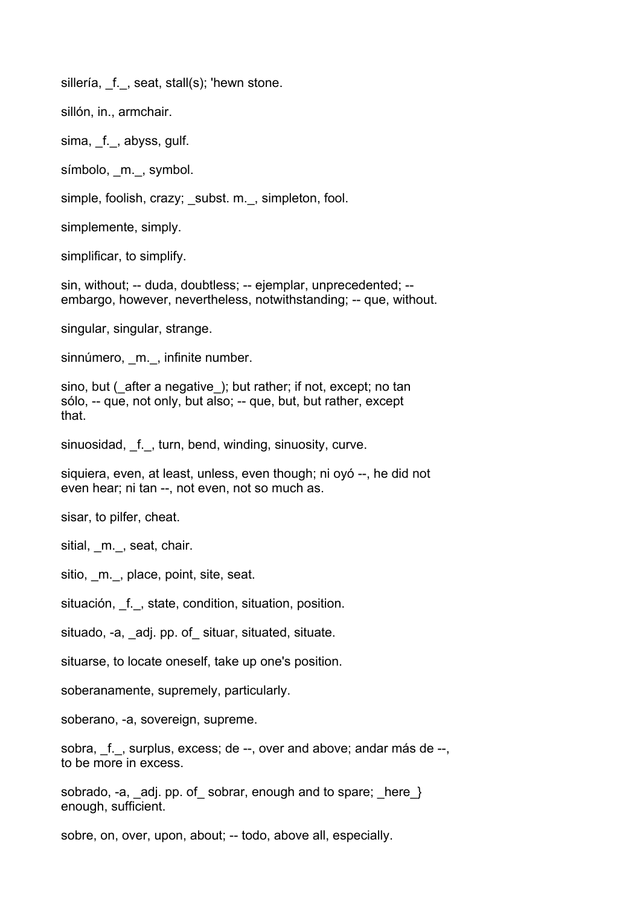sillería, f., seat, stall(s); 'hewn stone.

sillón, in., armchair.

sima, f., abyss, gulf.

símbolo, \_m.\_, symbol.

simple, foolish, crazy; subst. m., simpleton, fool.

simplemente, simply.

simplificar, to simplify.

sin, without; -- duda, doubtless; -- ejemplar, unprecedented; - embargo, however, nevertheless, notwithstanding; -- que, without.

singular, singular, strange.

sinnúmero, m., infinite number.

sino, but (after a negative); but rather; if not, except; no tan sólo, -- que, not only, but also; -- que, but, but rather, except that.

sinuosidad, f., turn, bend, winding, sinuosity, curve.

siquiera, even, at least, unless, even though; ni oyó --, he did not even hear; ni tan --, not even, not so much as.

sisar, to pilfer, cheat.

sitial, m., seat, chair.

sitio, m., place, point, site, seat.

situación, f., state, condition, situation, position.

situado, -a, adj. pp. of situar, situated, situate.

situarse, to locate oneself, take up one's position.

soberanamente, supremely, particularly.

soberano, -a, sovereign, supreme.

sobra, f., surplus, excess; de --, over and above; andar más de --, to be more in excess.

sobrado, -a, \_adj. pp. of\_ sobrar, enough and to spare; \_here\_} enough, sufficient.

sobre, on, over, upon, about; -- todo, above all, especially.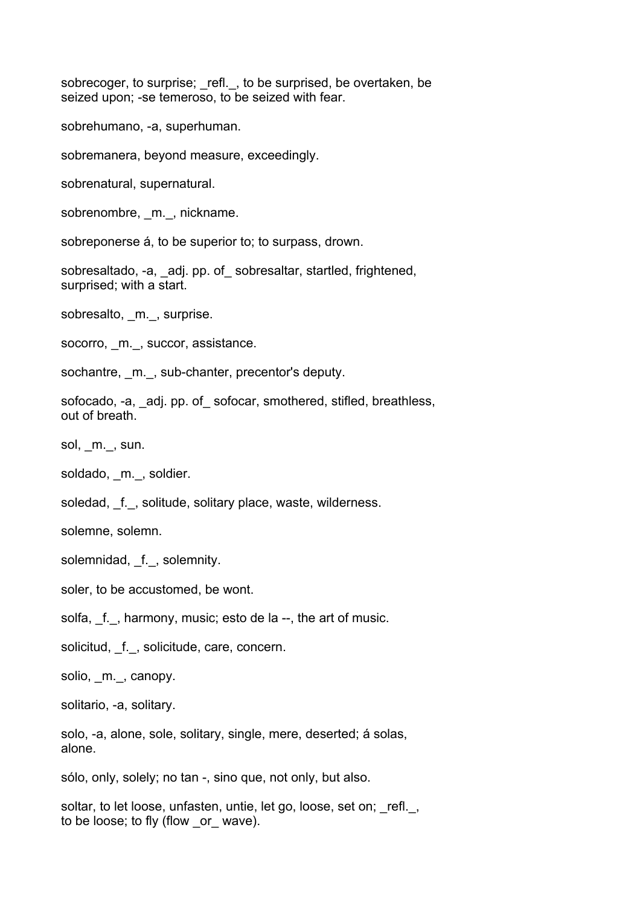sobrecoger, to surprise; refl., to be surprised, be overtaken, be seized upon; -se temeroso, to be seized with fear.

sobrehumano, -a, superhuman.

sobremanera, beyond measure, exceedingly.

sobrenatural, supernatural.

sobrenombre, m., nickname.

sobreponerse á, to be superior to; to surpass, drown.

sobresaltado, -a, adj. pp. of sobresaltar, startled, frightened, surprised; with a start.

sobresalto, m., surprise.

socorro, m., succor, assistance.

sochantre, m., sub-chanter, precentor's deputy.

sofocado, -a, adj. pp. of sofocar, smothered, stifled, breathless, out of breath.

sol, m., sun.

soldado, m., soldier.

soledad, f., solitude, solitary place, waste, wilderness.

solemne, solemn.

solemnidad, f., solemnity.

soler, to be accustomed, be wont.

solfa, f., harmony, music; esto de la --, the art of music.

solicitud, f., solicitude, care, concern.

solio, m., canopy.

solitario, -a, solitary.

solo, -a, alone, sole, solitary, single, mere, deserted; á solas, alone.

sólo, only, solely; no tan -, sino que, not only, but also.

soltar, to let loose, unfasten, untie, let go, loose, set on; refl., to be loose; to fly (flow \_or\_ wave).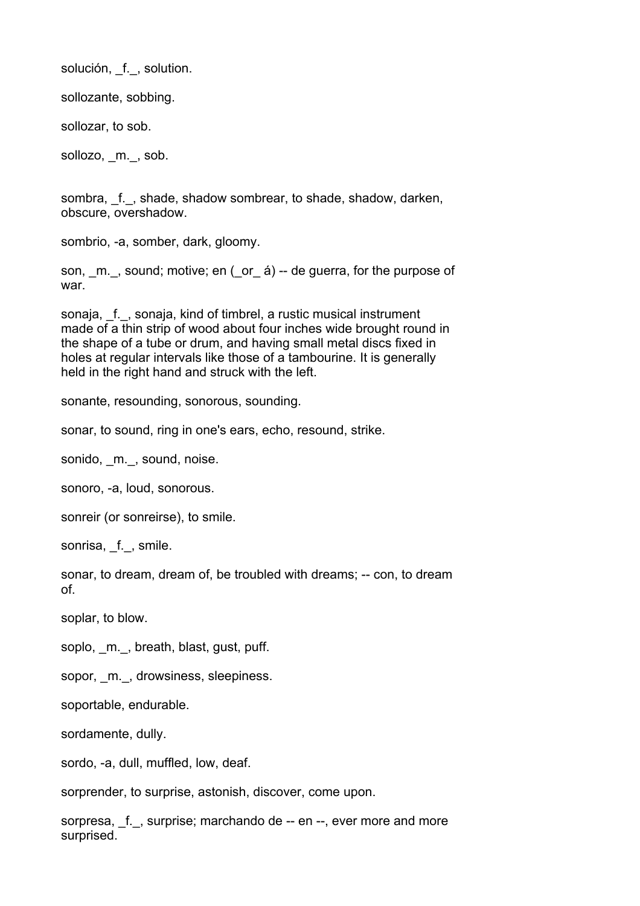solución, f., solution.

sollozante, sobbing.

sollozar, to sob.

sollozo, m., sob.

sombra, f., shade, shadow sombrear, to shade, shadow, darken, obscure, overshadow.

sombrio, -a, somber, dark, gloomy.

son, m., sound; motive; en ( or á) -- de guerra, for the purpose of war.

sonaja, f., sonaja, kind of timbrel, a rustic musical instrument made of a thin strip of wood about four inches wide brought round in the shape of a tube or drum, and having small metal discs fixed in holes at regular intervals like those of a tambourine. It is generally held in the right hand and struck with the left.

sonante, resounding, sonorous, sounding.

sonar, to sound, ring in one's ears, echo, resound, strike.

sonido, m., sound, noise.

sonoro, -a, loud, sonorous.

sonreir (or sonreirse), to smile.

sonrisa, f., smile.

sonar, to dream, dream of, be troubled with dreams; -- con, to dream of.

soplar, to blow.

soplo, m., breath, blast, gust, puff.

sopor, m., drowsiness, sleepiness.

soportable, endurable.

sordamente, dully.

sordo, -a, dull, muffled, low, deaf.

sorprender, to surprise, astonish, discover, come upon.

sorpresa, f., surprise; marchando de -- en --, ever more and more surprised.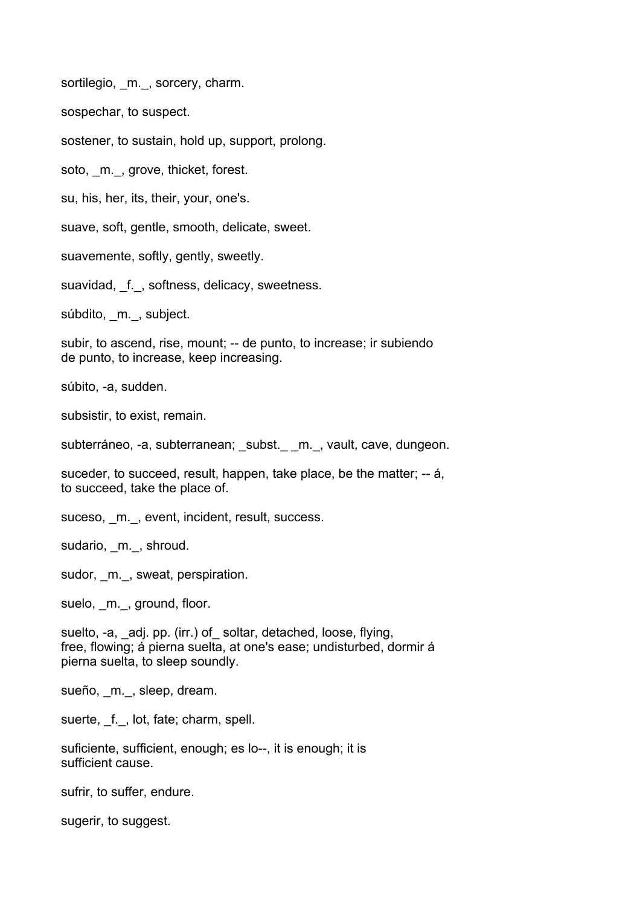sortilegio, m., sorcery, charm.

sospechar, to suspect.

sostener, to sustain, hold up, support, prolong.

soto, \_m.\_, grove, thicket, forest.

su, his, her, its, their, your, one's.

suave, soft, gentle, smooth, delicate, sweet.

suavemente, softly, gently, sweetly.

suavidad, f., softness, delicacy, sweetness.

súbdito, m., subject.

subir, to ascend, rise, mount; -- de punto, to increase; ir subiendo de punto, to increase, keep increasing.

súbito, -a, sudden.

subsistir, to exist, remain.

subterráneo, -a, subterranean; subst. m., vault, cave, dungeon.

suceder, to succeed, result, happen, take place, be the matter; -- á, to succeed, take the place of.

suceso, m., event, incident, result, success.

sudario, \_m.\_, shroud.

sudor, m., sweat, perspiration.

suelo, \_m.\_, ground, floor.

suelto, -a, adj. pp. (irr.) of soltar, detached, loose, flying, free, flowing; á pierna suelta, at one's ease; undisturbed, dormir á pierna suelta, to sleep soundly.

sueño, m., sleep, dream.

suerte, f., lot, fate; charm, spell.

suficiente, sufficient, enough; es lo--, it is enough; it is sufficient cause.

sufrir, to suffer, endure.

sugerir, to suggest.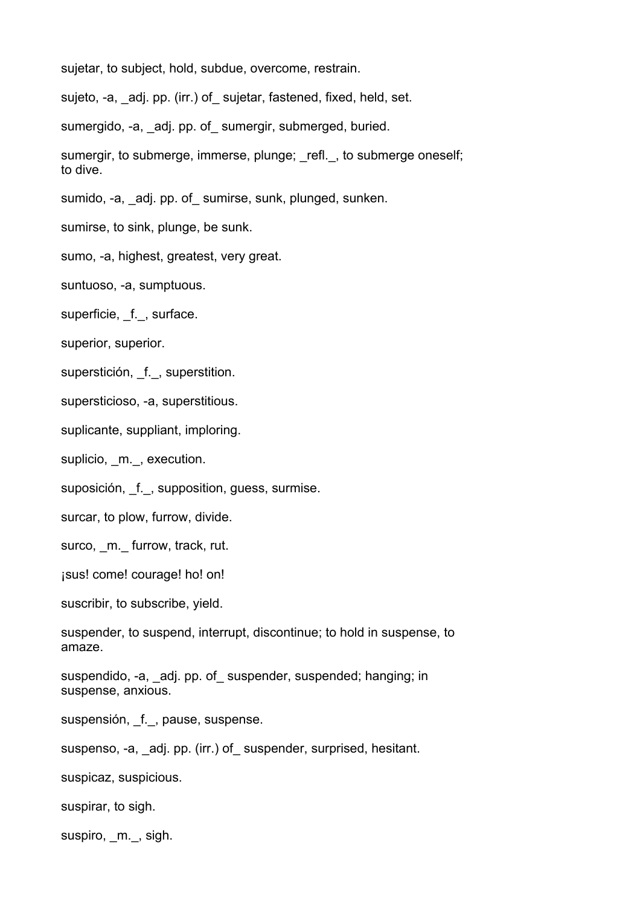sujetar, to subject, hold, subdue, overcome, restrain.

sujeto, -a, adj. pp. (irr.) of sujetar, fastened, fixed, held, set.

sumergido, -a, adj. pp. of sumergir, submerged, buried.

sumergir, to submerge, immerse, plunge; refl., to submerge oneself; to dive.

sumido, -a, adj. pp. of sumirse, sunk, plunged, sunken.

sumirse, to sink, plunge, be sunk.

sumo, -a, highest, greatest, very great.

suntuoso, -a, sumptuous.

superficie, f., surface.

superior, superior.

superstición, f., superstition.

supersticioso, -a, superstitious.

suplicante, suppliant, imploring.

suplicio, m., execution.

suposición, f., supposition, guess, surmise.

surcar, to plow, furrow, divide.

surco, m. furrow, track, rut.

¡sus! come! courage! ho! on!

suscribir, to subscribe, yield.

suspender, to suspend, interrupt, discontinue; to hold in suspense, to amaze.

suspendido, -a, adj. pp. of suspender, suspended; hanging; in suspense, anxious.

suspensión, \_f.\_, pause, suspense.

suspenso, -a, adj. pp. (irr.) of suspender, surprised, hesitant.

suspicaz, suspicious.

suspirar, to sigh.

suspiro, m., sigh.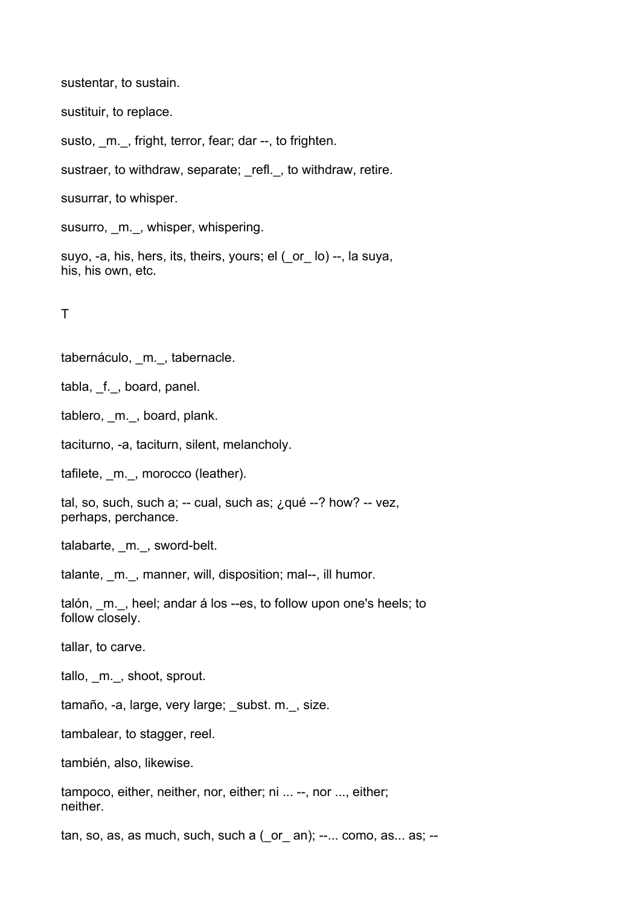sustentar, to sustain.

sustituir, to replace.

susto, m., fright, terror, fear; dar --, to frighten.

sustraer, to withdraw, separate; refl., to withdraw, retire.

susurrar, to whisper.

susurro, \_m.\_, whisper, whispering.

suyo, -a, his, hers, its, theirs, yours; el (\_or\_ lo) --, la suya, his, his own, etc.

T

tabernáculo, m., tabernacle.

tabla, f., board, panel.

tablero, m., board, plank.

taciturno, -a, taciturn, silent, melancholy.

tafilete, m., morocco (leather).

tal, so, such, such a; -- cual, such as;  $\lambda$  qué --? how? -- vez, perhaps, perchance.

talabarte, m., sword-belt.

talante, m., manner, will, disposition; mal--, ill humor.

talón, m., heel; andar á los --es, to follow upon one's heels; to follow closely.

tallar, to carve.

tallo, m., shoot, sprout.

tamaño, -a, large, very large; subst. m., size.

tambalear, to stagger, reel.

también, also, likewise.

tampoco, either, neither, nor, either; ni ... --, nor ..., either; neither.

tan, so, as, as much, such, such a  $($  or  $)$ ,  $-$ ... como, as... as;  $-$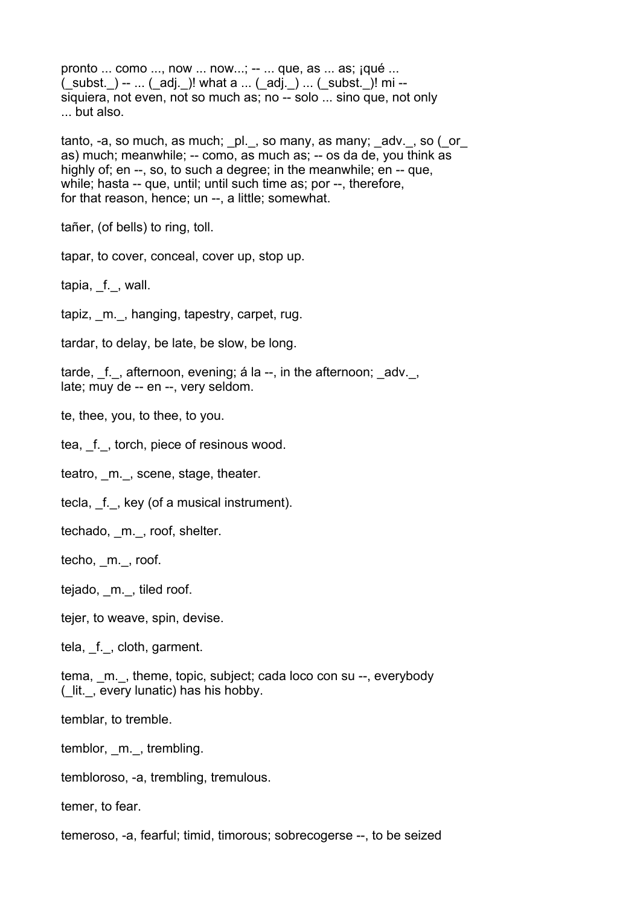pronto ... como ..., now ... now...; -- ... que, as ... as; ¡qué ...  $($  subst.  $)$  -- ...  $($  adj.  $)$ ! what a ...  $($  adj.  $)$  ...  $($  subst.  $)$ ! mi -siquiera, not even, not so much as; no -- solo ... sino que, not only ... but also.

tanto, -a, so much, as much; \_pl.\_, so many, as many; \_adv.\_, so (\_or\_ as) much; meanwhile; -- como, as much as; -- os da de, you think as highly of; en --, so, to such a degree; in the meanwhile; en -- que, while; hasta -- que, until; until such time as; por --, therefore, for that reason, hence; un --, a little; somewhat.

tañer, (of bells) to ring, toll.

tapar, to cover, conceal, cover up, stop up.

tapia, f., wall.

tapiz, m., hanging, tapestry, carpet, rug.

tardar, to delay, be late, be slow, be long.

tarde,  $f.$ , afternoon, evening; á la  $-$ , in the afternoon; adv., late; muy de -- en --, very seldom.

te, thee, you, to thee, to you.

tea, f., torch, piece of resinous wood.

teatro, m., scene, stage, theater.

tecla, f., key (of a musical instrument).

techado, m., roof, shelter.

techo, m., roof.

tejado, m., tiled roof.

tejer, to weave, spin, devise.

tela, f., cloth, garment.

tema, m., theme, topic, subject; cada loco con su --, everybody (\_lit.\_, every lunatic) has his hobby.

temblar, to tremble.

temblor, m., trembling.

tembloroso, -a, trembling, tremulous.

temer, to fear.

temeroso, -a, fearful; timid, timorous; sobrecogerse --, to be seized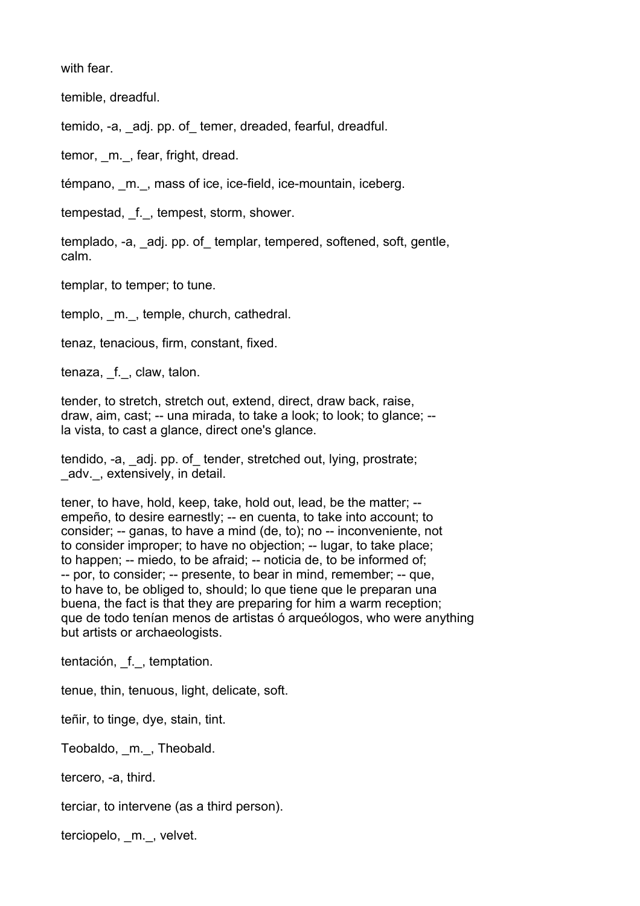with fear.

temible, dreadful.

temido, -a, adj. pp. of temer, dreaded, fearful, dreadful.

temor, m., fear, fright, dread.

témpano, \_m.\_, mass of ice, ice-field, ice-mountain, iceberg.

tempestad, f., tempest, storm, shower.

templado, -a, adj. pp. of templar, tempered, softened, soft, gentle, calm.

templar, to temper; to tune.

templo, m., temple, church, cathedral.

tenaz, tenacious, firm, constant, fixed.

tenaza, f., claw, talon.

tender, to stretch, stretch out, extend, direct, draw back, raise, draw, aim, cast; -- una mirada, to take a look; to look; to glance; - la vista, to cast a glance, direct one's glance.

tendido, -a, adj. pp. of tender, stretched out, lying, prostrate; adv., extensively, in detail.

tener, to have, hold, keep, take, hold out, lead, be the matter; - empeño, to desire earnestly; -- en cuenta, to take into account; to consider; -- ganas, to have a mind (de, to); no -- inconveniente, not to consider improper; to have no objection; -- lugar, to take place; to happen; -- miedo, to be afraid; -- noticia de, to be informed of; -- por, to consider; -- presente, to bear in mind, remember; -- que, to have to, be obliged to, should; lo que tiene que le preparan una buena, the fact is that they are preparing for him a warm reception; que de todo tenían menos de artistas ó arqueólogos, who were anything but artists or archaeologists.

tentación, \_f.\_, temptation.

tenue, thin, tenuous, light, delicate, soft.

teñir, to tinge, dye, stain, tint.

Teobaldo, \_m.\_, Theobald.

tercero, -a, third.

terciar, to intervene (as a third person).

terciopelo, m., velvet.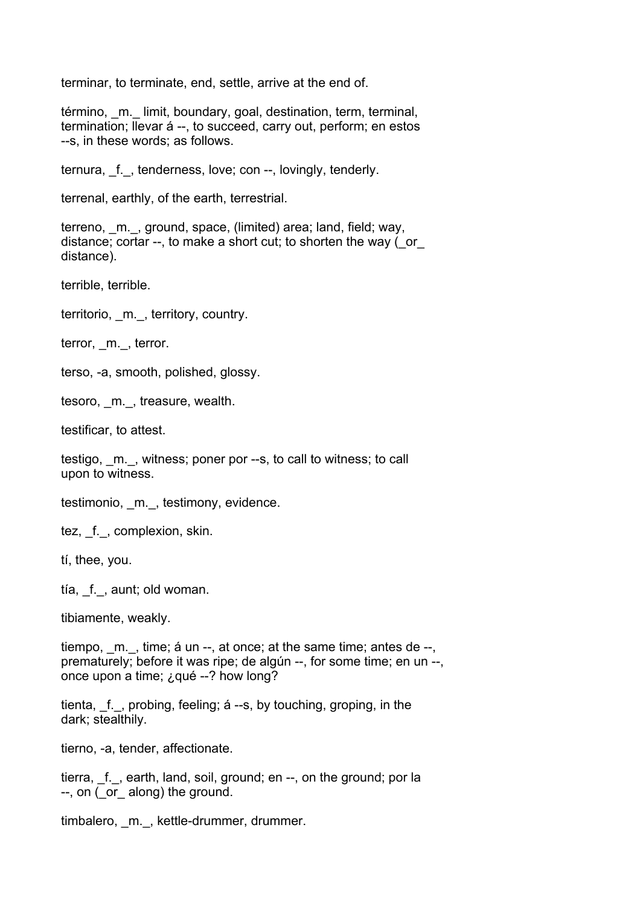terminar, to terminate, end, settle, arrive at the end of.

término, m. limit, boundary, goal, destination, term, terminal, termination; llevar á --, to succeed, carry out, perform; en estos --s, in these words; as follows.

ternura, \_f.\_, tenderness, love; con --, lovingly, tenderly.

terrenal, earthly, of the earth, terrestrial.

terreno, m., ground, space, (limited) area; land, field; way, distance; cortar --, to make a short cut; to shorten the way ( or distance).

terrible, terrible.

territorio, m., territory, country.

terror, m., terror.

terso, -a, smooth, polished, glossy.

tesoro, \_m.\_, treasure, wealth.

testificar, to attest.

testigo, m., witness; poner por --s, to call to witness; to call upon to witness.

testimonio, m., testimony, evidence.

tez, f., complexion, skin.

tí, thee, you.

tía, \_f.\_, aunt; old woman.

tibiamente, weakly.

tiempo,  $m.$ , time; á un --, at once; at the same time; antes de --, prematurely; before it was ripe; de algún --, for some time; en un --, once upon a time; ¿qué --? how long?

tienta, f., probing, feeling; á --s, by touching, groping, in the dark; stealthily.

tierno, -a, tender, affectionate.

tierra, f., earth, land, soil, ground; en --, on the ground; por la --, on ( or along) the ground.

timbalero, m., kettle-drummer, drummer.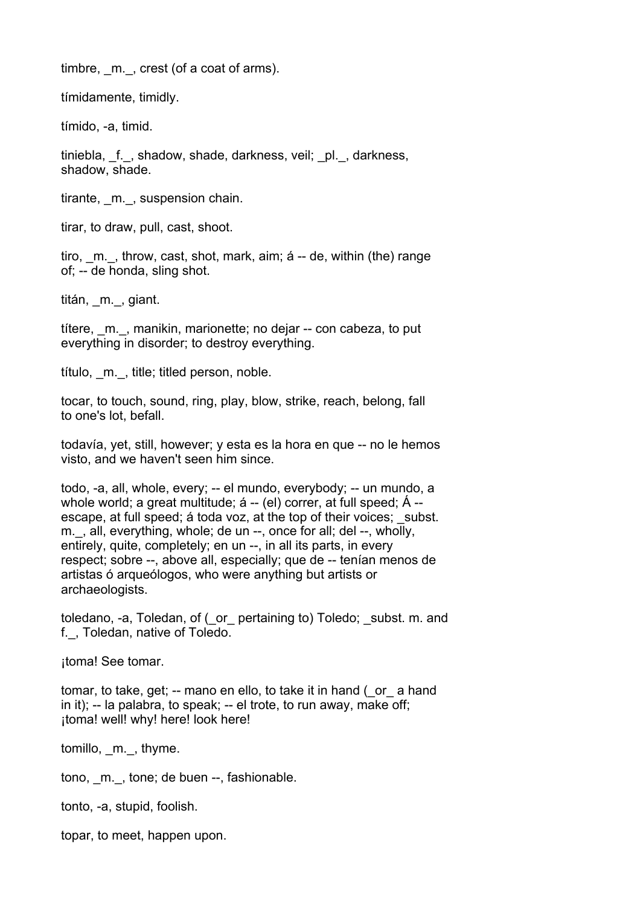timbre, m., crest (of a coat of arms).

tímidamente, timidly.

tímido, -a, timid.

tiniebla, f., shadow, shade, darkness, veil; pl., darkness, shadow, shade.

tirante, m., suspension chain.

tirar, to draw, pull, cast, shoot.

tiro, m., throw, cast, shot, mark, aim; á -- de, within (the) range of; -- de honda, sling shot.

titán, m., giant.

títere, \_m.\_, manikin, marionette; no dejar -- con cabeza, to put everything in disorder; to destroy everything.

título, \_m.\_, title; titled person, noble.

tocar, to touch, sound, ring, play, blow, strike, reach, belong, fall to one's lot, befall.

todavía, yet, still, however; y esta es la hora en que -- no le hemos visto, and we haven't seen him since.

todo, -a, all, whole, every; -- el mundo, everybody; -- un mundo, a whole world; a great multitude; á -- (el) correr, at full speed; Á -escape, at full speed; a toda voz, at the top of their voices; subst. m., all, everything, whole; de un --, once for all; del --, wholly, entirely, quite, completely; en un --, in all its parts, in every respect; sobre --, above all, especially; que de -- tenían menos de artistas ó arqueólogos, who were anything but artists or archaeologists.

toledano, -a, Toledan, of (\_or\_ pertaining to) Toledo; \_subst. m. and f.\_, Toledan, native of Toledo.

¡toma! See tomar.

tomar, to take, get; -- mano en ello, to take it in hand ( or a hand in it); -- la palabra, to speak; -- el trote, to run away, make off; ¡toma! well! why! here! look here!

tomillo, m., thyme.

tono, m., tone; de buen --, fashionable.

tonto, -a, stupid, foolish.

topar, to meet, happen upon.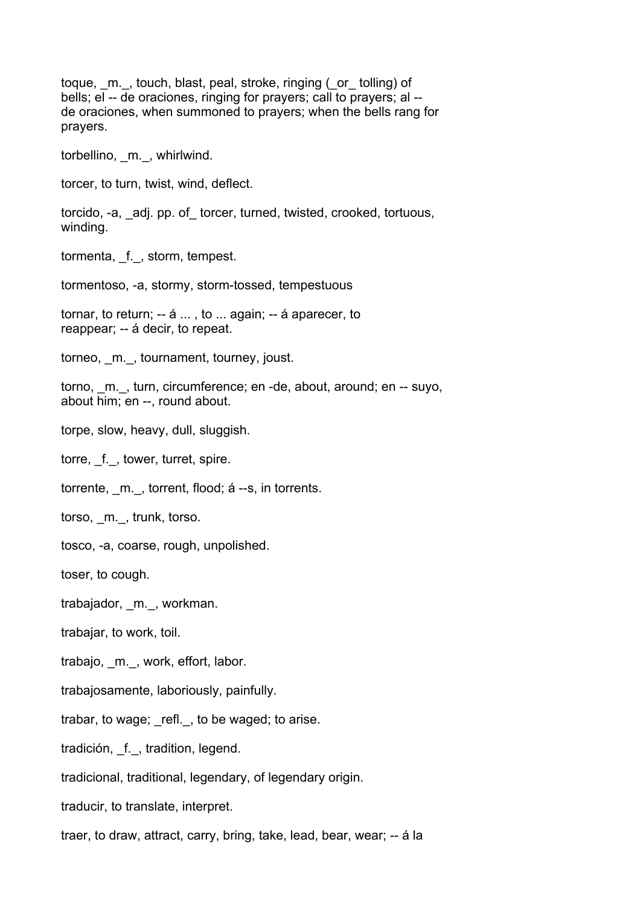toque, m., touch, blast, peal, stroke, ringing (or tolling) of bells; el -- de oraciones, ringing for prayers; call to prayers; al - de oraciones, when summoned to prayers; when the bells rang for prayers.

torbellino, \_m.\_, whirlwind.

torcer, to turn, twist, wind, deflect.

torcido, -a, \_adj. pp. of\_ torcer, turned, twisted, crooked, tortuous, winding.

tormenta, \_f.\_, storm, tempest.

tormentoso, -a, stormy, storm-tossed, tempestuous

tornar, to return; -- á ... , to ... again; -- á aparecer, to reappear; -- á decir, to repeat.

torneo, \_m.\_, tournament, tourney, joust.

torno, m., turn, circumference; en -de, about, around; en -- suyo, about him; en --, round about.

torpe, slow, heavy, dull, sluggish.

torre, f., tower, turret, spire.

torrente, m., torrent, flood; á --s, in torrents.

torso, m., trunk, torso.

tosco, -a, coarse, rough, unpolished.

toser, to cough.

trabajador, \_m.\_, workman.

trabajar, to work, toil.

trabajo, \_m.\_, work, effort, labor.

trabajosamente, laboriously, painfully.

trabar, to wage; refl., to be waged; to arise.

tradición, f., tradition, legend.

tradicional, traditional, legendary, of legendary origin.

traducir, to translate, interpret.

traer, to draw, attract, carry, bring, take, lead, bear, wear; -- á la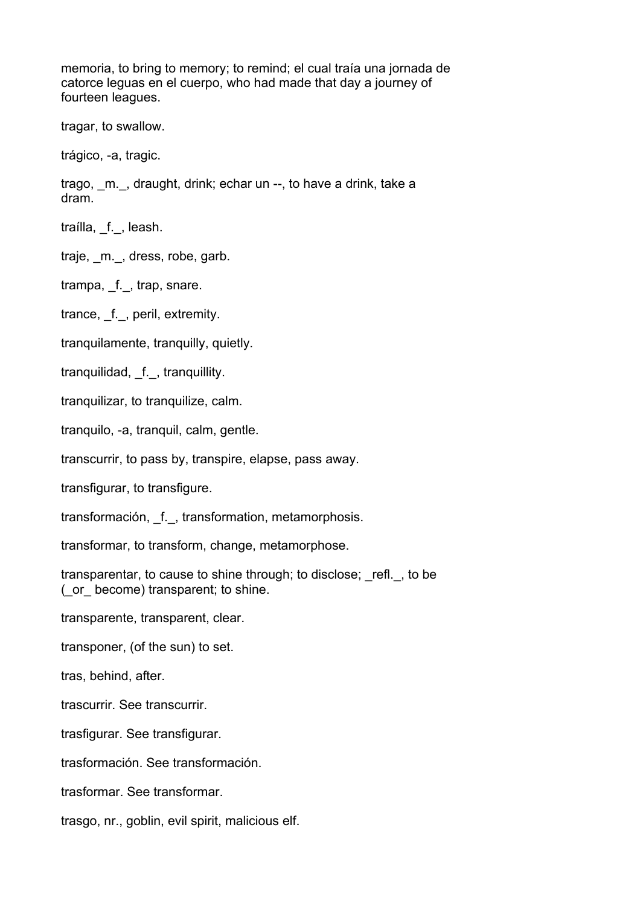memoria, to bring to memory; to remind; el cual traía una jornada de catorce leguas en el cuerpo, who had made that day a journey of fourteen leagues.

tragar, to swallow.

trágico, -a, tragic.

trago, \_m.\_, draught, drink; echar un --, to have a drink, take a dram.

traílla, f., leash.

traje, m., dress, robe, garb.

trampa, f., trap, snare.

trance, f., peril, extremity.

tranquilamente, tranquilly, quietly.

tranquilidad, f., tranquillity.

tranquilizar, to tranquilize, calm.

tranquilo, -a, tranquil, calm, gentle.

transcurrir, to pass by, transpire, elapse, pass away.

transfigurar, to transfigure.

transformación, \_f.\_, transformation, metamorphosis.

transformar, to transform, change, metamorphose.

transparentar, to cause to shine through; to disclose; refl., to be (\_or\_ become) transparent; to shine.

transparente, transparent, clear.

transponer, (of the sun) to set.

tras, behind, after.

trascurrir. See transcurrir.

trasfigurar. See transfigurar.

trasformación. See transformación.

trasformar. See transformar.

trasgo, nr., goblin, evil spirit, malicious elf.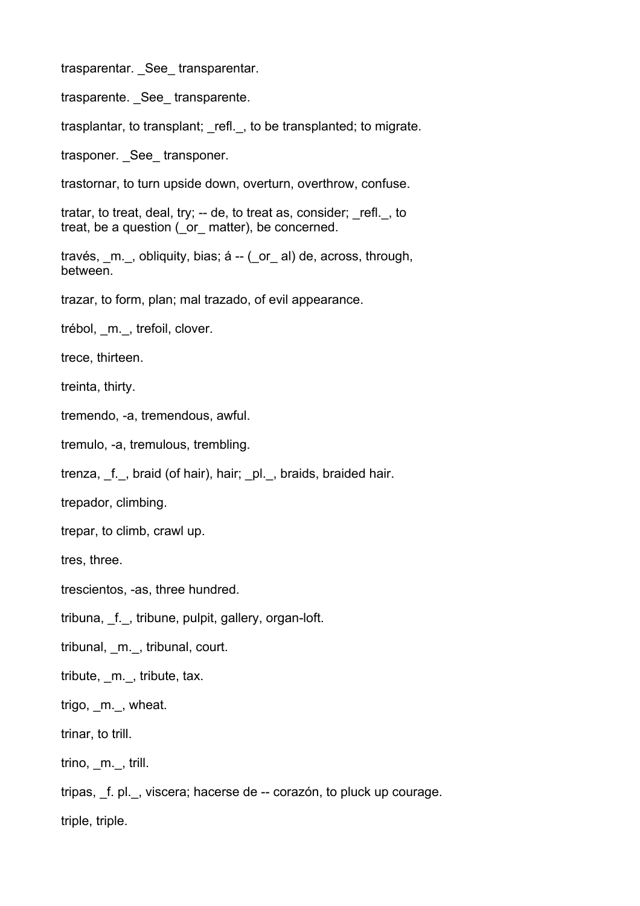trasparentar. See transparentar.

trasparente. \_See\_ transparente.

trasplantar, to transplant; refl., to be transplanted; to migrate.

trasponer. See transponer.

trastornar, to turn upside down, overturn, overthrow, confuse.

tratar, to treat, deal, try; -- de, to treat as, consider; \_refl.\_, to treat, be a question (\_or\_ matter), be concerned.

través, m., obliquity, bias; á -- ( or al) de, across, through, between.

trazar, to form, plan; mal trazado, of evil appearance.

trébol, \_m.\_, trefoil, clover.

trece, thirteen.

treinta, thirty.

tremendo, -a, tremendous, awful.

tremulo, -a, tremulous, trembling.

trenza, \_f.\_, braid (of hair), hair; \_pl.\_, braids, braided hair.

trepador, climbing.

trepar, to climb, crawl up.

tres, three.

trescientos, -as, three hundred.

tribuna, \_f.\_, tribune, pulpit, gallery, organ-loft.

tribunal, \_m.\_, tribunal, court.

tribute, \_m.\_, tribute, tax.

trigo, m., wheat.

trinar, to trill.

trino, m., trill.

tripas, \_f. pl.\_, viscera; hacerse de -- corazón, to pluck up courage.

triple, triple.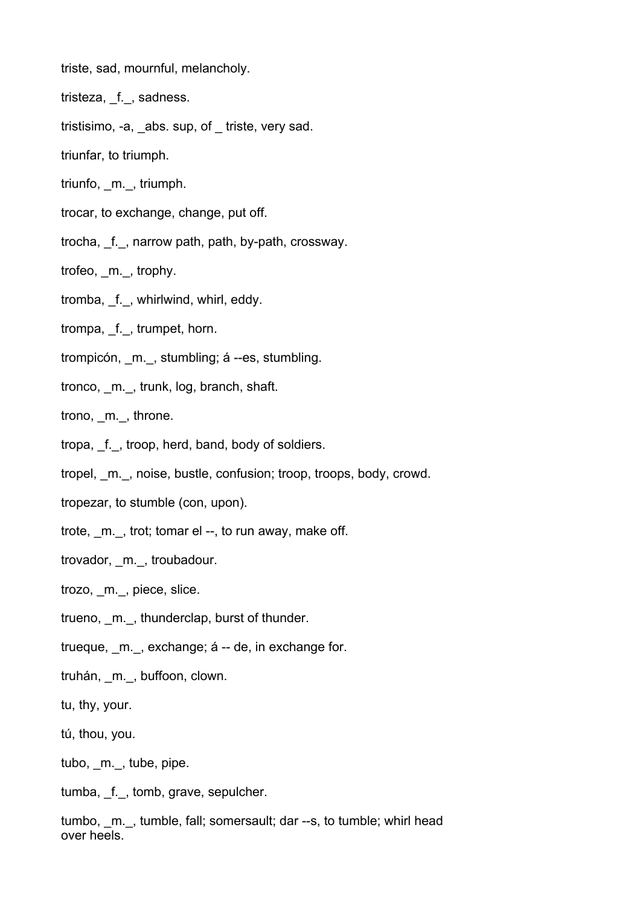- triste, sad, mournful, melancholy.
- tristeza, f., sadness.
- tristisimo, -a, abs. sup, of triste, very sad.
- triunfar, to triumph.
- triunfo, \_m.\_, triumph.
- trocar, to exchange, change, put off.
- trocha, \_f.\_, narrow path, path, by-path, crossway.
- trofeo, m., trophy.
- tromba, f., whirlwind, whirl, eddy.
- trompa, f., trumpet, horn.
- trompicón, \_m.\_, stumbling; á --es, stumbling.
- tronco, m., trunk, log, branch, shaft.

trono, m., throne.

- tropa, \_f.\_, troop, herd, band, body of soldiers.
- tropel, \_m.\_, noise, bustle, confusion; troop, troops, body, crowd.
- tropezar, to stumble (con, upon).
- trote, m., trot; tomar el --, to run away, make off.
- trovador, m., troubadour.
- trozo, m., piece, slice.
- trueno, m., thunderclap, burst of thunder.
- trueque, m., exchange; á -- de, in exchange for.
- truhán, \_m.\_, buffoon, clown.
- tu, thy, your.
- tú, thou, you.
- tubo, m., tube, pipe.
- tumba, \_f.\_, tomb, grave, sepulcher.
- tumbo, m., tumble, fall; somersault; dar --s, to tumble; whirl head over heels.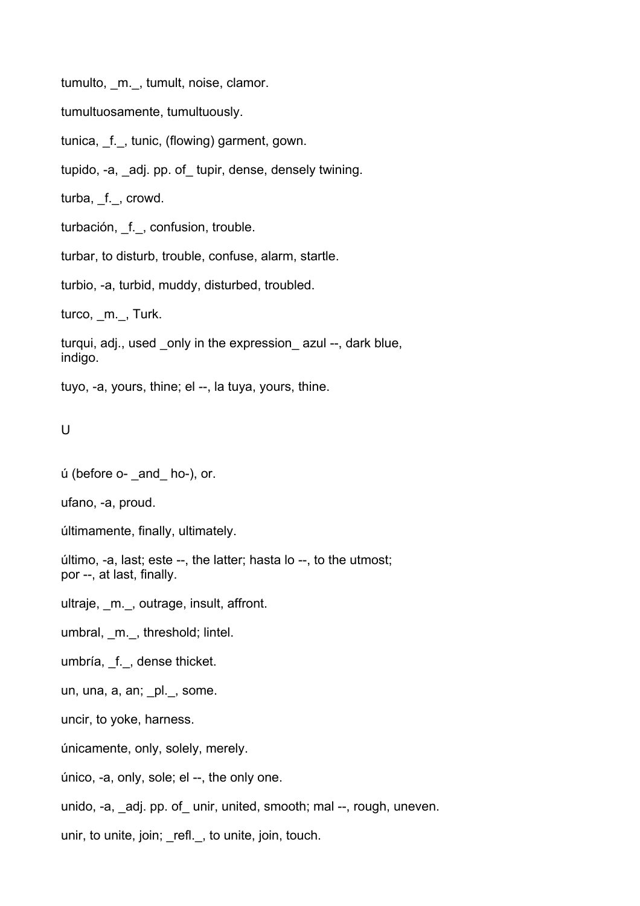tumulto, m., tumult, noise, clamor.

tumultuosamente, tumultuously.

tunica, f., tunic, (flowing) garment, gown.

tupido, -a, \_adj. pp. of\_ tupir, dense, densely twining.

turba, f., crowd.

turbación, \_f.\_, confusion, trouble.

turbar, to disturb, trouble, confuse, alarm, startle.

turbio, -a, turbid, muddy, disturbed, troubled.

turco, m., Turk.

turqui, adj., used \_only in the expression\_ azul --, dark blue, indigo.

tuyo, -a, yours, thine; el --, la tuya, yours, thine.

U

 $ú$  (before  $o-$  and  $ho-$ ), or.

ufano, -a, proud.

últimamente, finally, ultimately.

último, -a, last; este --, the latter; hasta lo --, to the utmost; por --, at last, finally.

ultraje, \_m.\_, outrage, insult, affront.

umbral, m., threshold; lintel.

umbría, \_f.\_, dense thicket.

un, una, a, an; pl., some.

uncir, to yoke, harness.

únicamente, only, solely, merely.

único, -a, only, sole; el --, the only one.

unido, -a, adj. pp. of unir, united, smooth; mal --, rough, uneven.

unir, to unite, join; \_refl.\_, to unite, join, touch.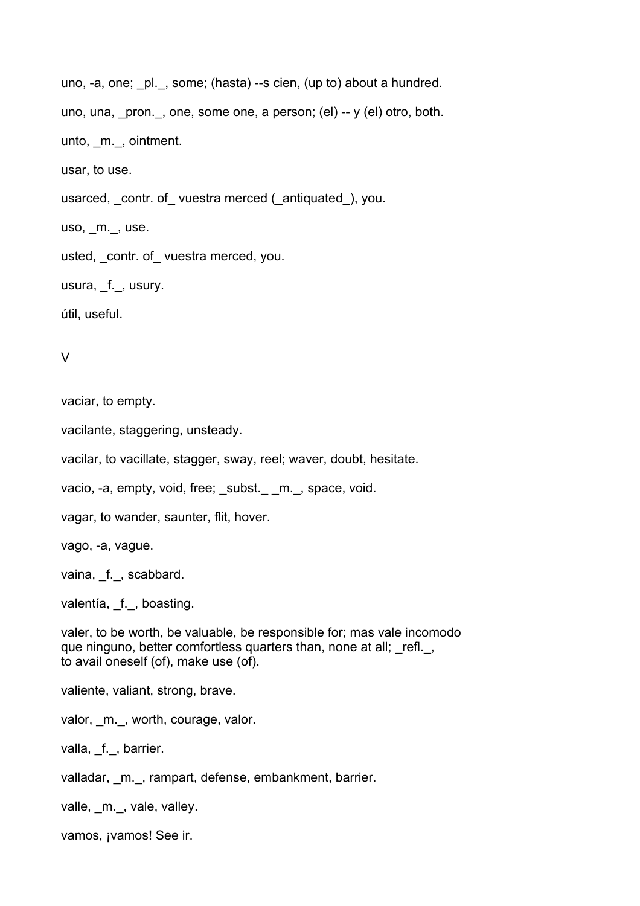```
uno, -a, one; pl., some; (hasta) --s cien, (up to) about a hundred.
uno, una, pron., one, some one, a person; (el) -- y (el) otro, both.
unto, _m._, ointment.
usar, to use.
usarced, contr. of vuestra merced ( antiquated ), you.
uso, _m._, use.
usted, contr. of vuestra merced, you.
usura, f., usury.
útil, useful.
```

```
V
```
vaciar, to empty.

vacilante, staggering, unsteady.

vacilar, to vacillate, stagger, sway, reel; waver, doubt, hesitate.

vacio, -a, empty, void, free; subst. m., space, void.

vagar, to wander, saunter, flit, hover.

vago, -a, vague.

vaina, f., scabbard.

valentía, \_f.\_, boasting.

valer, to be worth, be valuable, be responsible for; mas vale incomodo que ninguno, better comfortless quarters than, none at all; refl., to avail oneself (of), make use (of).

valiente, valiant, strong, brave.

valor, \_m.\_, worth, courage, valor.

valla, f., barrier.

valladar, m., rampart, defense, embankment, barrier.

valle, m., vale, valley.

vamos, ¡vamos! See ir.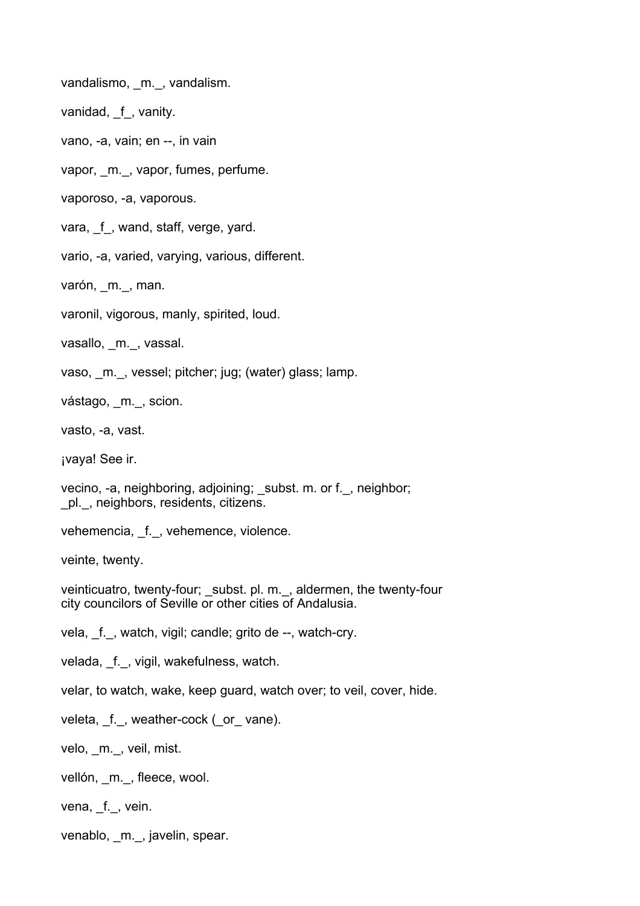vandalismo, m., vandalism.

vanidad, f, vanity.

vano, -a, vain; en --, in vain

vapor, \_m.\_, vapor, fumes, perfume.

vaporoso, -a, vaporous.

vara, f, wand, staff, verge, yard.

vario, -a, varied, varying, various, different.

varón, m., man.

varonil, vigorous, manly, spirited, loud.

vasallo, m., vassal.

vaso, m., vessel; pitcher; jug; (water) glass; lamp.

vástago, \_m.\_, scion.

vasto, -a, vast.

¡vaya! See ir.

vecino, -a, neighboring, adjoining; subst. m. or f., neighbor; \_pl.\_, neighbors, residents, citizens.

vehemencia, f., vehemence, violence.

veinte, twenty.

veinticuatro, twenty-four; \_subst. pl. m.\_, aldermen, the twenty-four city councilors of Seville or other cities of Andalusia.

vela, f., watch, vigil; candle; grito de --, watch-cry.

velada, \_f.\_, vigil, wakefulness, watch.

velar, to watch, wake, keep guard, watch over; to veil, cover, hide.

veleta, \_f.\_, weather-cock (\_or\_ vane).

velo, m., veil, mist.

vellón, m., fleece, wool.

vena, f., vein.

venablo, \_m.\_, javelin, spear.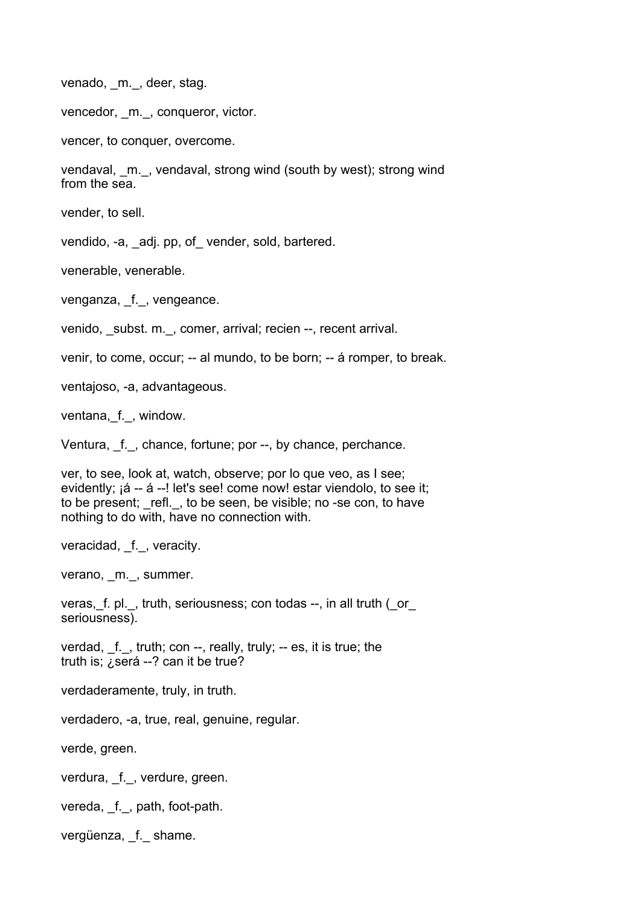venado, m., deer, stag.

vencedor, m., conqueror, victor.

vencer, to conquer, overcome.

vendaval, \_m.\_, vendaval, strong wind (south by west); strong wind from the sea.

vender, to sell.

vendido, -a, adj. pp, of vender, sold, bartered.

venerable, venerable.

venganza, f., vengeance.

venido, subst. m., comer, arrival; recien --, recent arrival.

venir, to come, occur; -- al mundo, to be born; -- á romper, to break.

ventajoso, -a, advantageous.

ventana, f., window.

Ventura, \_f.\_, chance, fortune; por --, by chance, perchance.

ver, to see, look at, watch, observe; por lo que veo, as I see; evidently; ¡á -- á --! let's see! come now! estar viendolo, to see it; to be present; refl., to be seen, be visible; no -se con, to have nothing to do with, have no connection with.

veracidad, f., veracity.

verano, m., summer.

veras, f. pl., truth, seriousness; con todas --, in all truth (\_or\_ seriousness).

verdad,  $f.$ , truth; con  $-$ , really, truly;  $-$  es, it is true; the truth is; ¿será --? can it be true?

verdaderamente, truly, in truth.

verdadero, -a, true, real, genuine, regular.

verde, green.

verdura, f., verdure, green.

vereda, f., path, foot-path.

vergüenza, f. shame.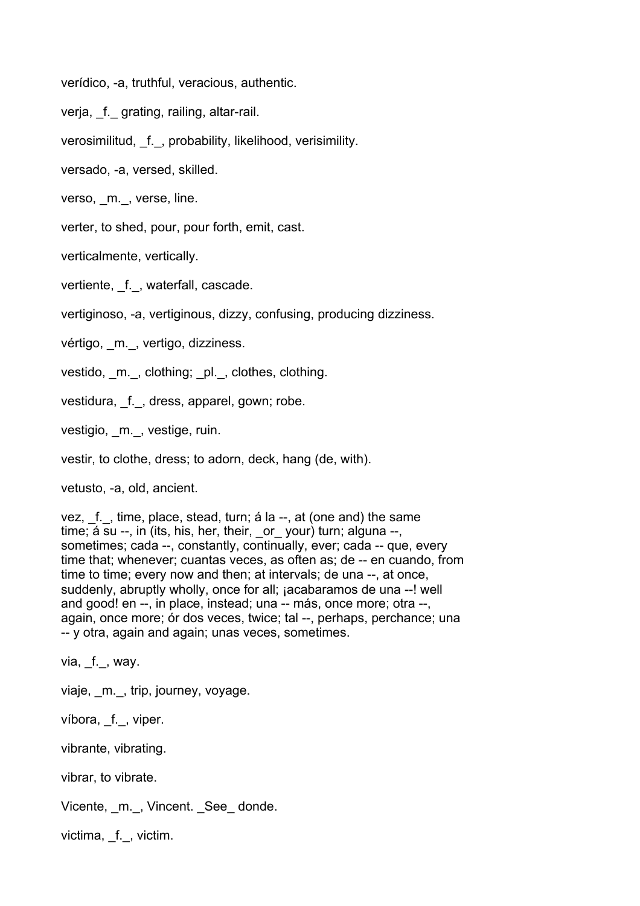verídico, -a, truthful, veracious, authentic.

verja, f. grating, railing, altar-rail.

verosimilitud, f., probability, likelihood, verisimility.

versado, -a, versed, skilled.

verso. m. verse, line.

verter, to shed, pour, pour forth, emit, cast.

verticalmente, vertically.

vertiente, f., waterfall, cascade.

vertiginoso, -a, vertiginous, dizzy, confusing, producing dizziness.

vértigo, m., vertigo, dizziness.

vestido, m., clothing; pl., clothes, clothing.

vestidura, f., dress, apparel, gown; robe.

vestigio, m., vestige, ruin.

vestir, to clothe, dress; to adorn, deck, hang (de, with).

vetusto, -a, old, ancient.

vez, f., time, place, stead, turn; á la --, at (one and) the same time; á su --, in (its, his, her, their, \_or\_ your) turn; alguna --, sometimes; cada --, constantly, continually, ever; cada -- que, every time that; whenever; cuantas veces, as often as; de -- en cuando, from time to time; every now and then; at intervals; de una --, at once, suddenly, abruptly wholly, once for all; jacabaramos de una --! well and good! en --, in place, instead; una -- más, once more; otra --, again, once more; ór dos veces, twice; tal --, perhaps, perchance; una -- y otra, again and again; unas veces, sometimes.

via, f., way.

viaje, m., trip, journey, voyage.

víbora, f., viper.

vibrante, vibrating.

vibrar, to vibrate.

Vicente, m., Vincent. See donde.

victima, f., victim.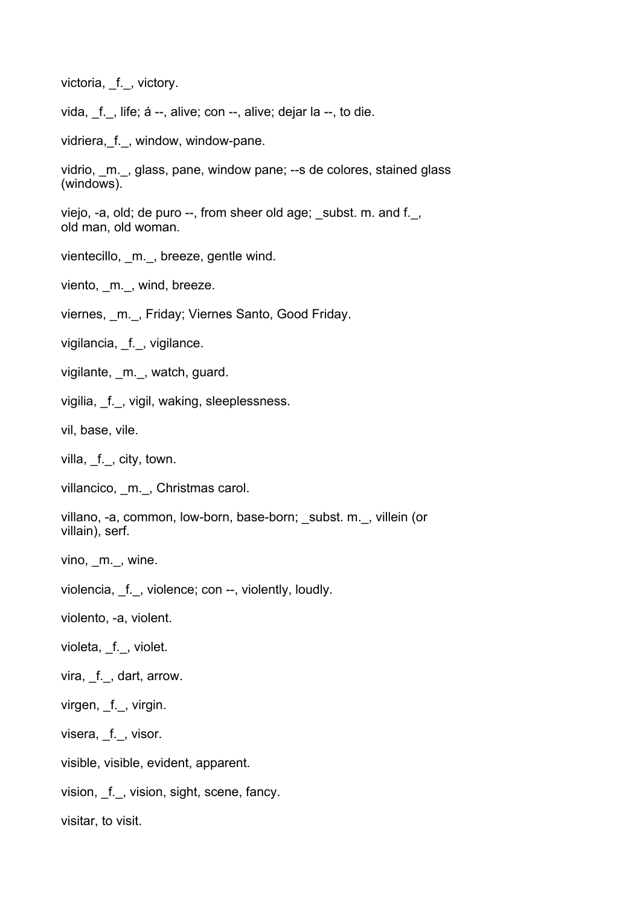victoria, f., victory.

vida, f., life; á --, alive; con --, alive; dejar la --, to die.

vidriera, f., window, window-pane.

vidrio, \_m.\_, glass, pane, window pane; --s de colores, stained glass (windows).

viejo, -a, old; de puro --, from sheer old age; subst. m. and f., old man, old woman.

vientecillo, m., breeze, gentle wind.

viento, \_m.\_, wind, breeze.

viernes, m., Friday; Viernes Santo, Good Friday.

vigilancia, \_f.\_, vigilance.

vigilante, m., watch, guard.

vigilia, f., vigil, waking, sleeplessness.

vil, base, vile.

villa, f., city, town.

villancico, m., Christmas carol.

villano, -a, common, low-born, base-born; subst. m., villein (or villain), serf.

vino, m., wine.

violencia, \_f.\_, violence; con --, violently, loudly.

violento, -a, violent.

violeta, f., violet.

vira, f., dart, arrow.

virgen, f., virgin.

visera, \_f.\_, visor.

visible, visible, evident, apparent.

vision, \_f.\_, vision, sight, scene, fancy.

visitar, to visit.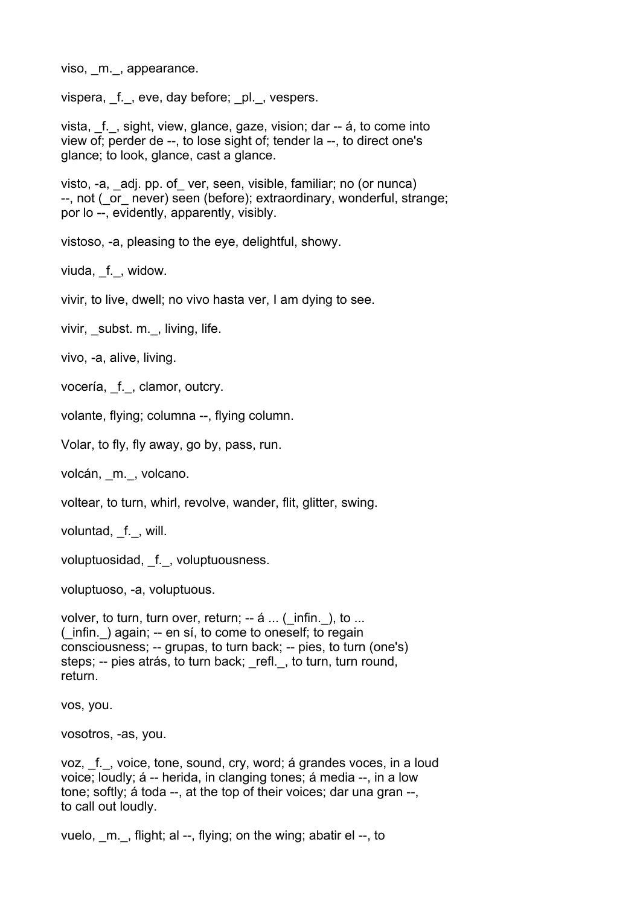viso, m., appearance.

vispera, f., eve, day before; pl., vespers.

vista, f., sight, view, glance, gaze, vision; dar -- á, to come into view of; perder de --, to lose sight of; tender la --, to direct one's glance; to look, glance, cast a glance.

visto, -a, adj. pp. of ver, seen, visible, familiar; no (or nunca) --, not ( $\overline{or}$  never) seen (before); extraordinary, wonderful, strange; por lo --, evidently, apparently, visibly.

vistoso, -a, pleasing to the eye, delightful, showy.

viuda, f., widow.

vivir, to live, dwell; no vivo hasta ver, I am dying to see.

vivir, subst. m., living, life.

vivo, -a, alive, living.

vocería, \_f.\_, clamor, outcry.

volante, flying; columna --, flying column.

Volar, to fly, fly away, go by, pass, run.

volcán, m., volcano.

voltear, to turn, whirl, revolve, wander, flit, glitter, swing.

voluntad, f., will.

voluptuosidad, \_f.\_, voluptuousness.

voluptuoso, -a, voluptuous.

volver, to turn, turn over, return; -- á ... (\_infin. ), to ...  $(iinfin. )$  again;  $-i$  en sí, to come to oneself; to regain consciousness; -- grupas, to turn back; -- pies, to turn (one's) steps; -- pies atrás, to turn back; refl., to turn, turn round, return.

vos, you.

vosotros, -as, you.

voz, f., voice, tone, sound, cry, word; á grandes voces, in a loud voice; loudly; á -- herida, in clanging tones; á media --, in a low tone; softly; á toda --, at the top of their voices; dar una gran --, to call out loudly.

vuelo,  $m.$ , flight; al --, flying; on the wing; abatir el --, to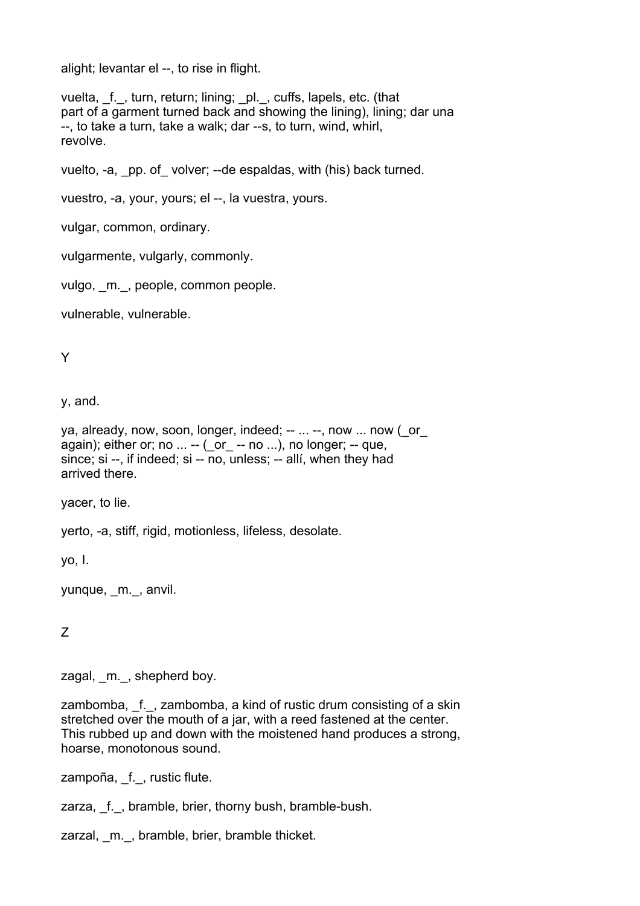alight; levantar el --, to rise in flight.

vuelta, \_f.\_, turn, return; lining; \_pl.\_, cuffs, lapels, etc. (that part of a garment turned back and showing the lining), lining; dar una --, to take a turn, take a walk; dar --s, to turn, wind, whirl, revolve.

vuelto, -a, \_pp. of\_ volver; --de espaldas, with (his) back turned.

vuestro, -a, your, yours; el --, la vuestra, yours.

vulgar, common, ordinary.

vulgarmente, vulgarly, commonly.

vulgo, m., people, common people.

vulnerable, vulnerable.

Y

y, and.

```
ya, already, now, soon, longer, indeed; -- ... --, now ... now ( or
again); either or; no \dots -- ( or -- no \dots), no longer; -- que,
since; si --, if indeed; si -- no, unless; -- allí, when they had
arrived there.
```
yacer, to lie.

yerto, -a, stiff, rigid, motionless, lifeless, desolate.

yo, I.

yunque, \_m.\_, anvil.

Z

zagal, m., shepherd boy.

zambomba, f., zambomba, a kind of rustic drum consisting of a skin stretched over the mouth of a jar, with a reed fastened at the center. This rubbed up and down with the moistened hand produces a strong, hoarse, monotonous sound.

zampoña, f., rustic flute.

zarza, f., bramble, brier, thorny bush, bramble-bush.

zarzal, m., bramble, brier, bramble thicket.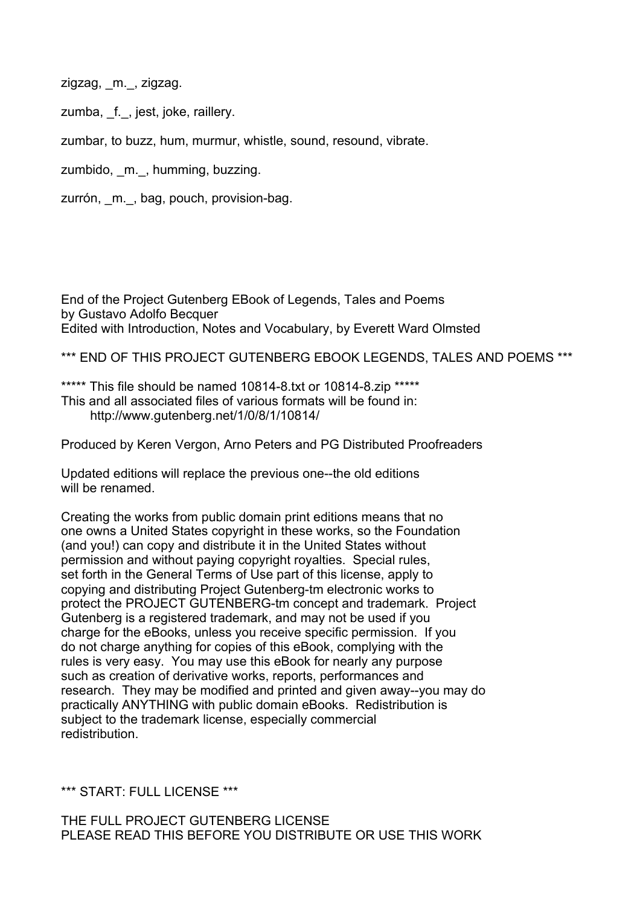zigzag, m., zigzag.

zumba, f., jest, joke, raillery.

zumbar, to buzz, hum, murmur, whistle, sound, resound, vibrate.

zumbido, \_m.\_, humming, buzzing.

zurrón, m., bag, pouch, provision-bag.

End of the Project Gutenberg EBook of Legends, Tales and Poems by Gustavo Adolfo Becquer Edited with Introduction, Notes and Vocabulary, by Everett Ward Olmsted

\*\*\* END OF THIS PROJECT GUTENBERG EBOOK LEGENDS, TALES AND POEMS \*\*\*

\*\*\*\*\* This file should be named 10814-8.txt or 10814-8.zip \*\*\*\*\* This and all associated files of various formats will be found in: http://www.gutenberg.net/1/0/8/1/10814/

Produced by Keren Vergon, Arno Peters and PG Distributed Proofreaders

Updated editions will replace the previous one--the old editions will be renamed.

Creating the works from public domain print editions means that no one owns a United States copyright in these works, so the Foundation (and you!) can copy and distribute it in the United States without permission and without paying copyright royalties. Special rules, set forth in the General Terms of Use part of this license, apply to copying and distributing Project Gutenberg-tm electronic works to protect the PROJECT GUTENBERG-tm concept and trademark. Project Gutenberg is a registered trademark, and may not be used if you charge for the eBooks, unless you receive specific permission. If you do not charge anything for copies of this eBook, complying with the rules is very easy. You may use this eBook for nearly any purpose such as creation of derivative works, reports, performances and research. They may be modified and printed and given away--you may do practically ANYTHING with public domain eBooks. Redistribution is subject to the trademark license, especially commercial redistribution.

\*\*\* START: FULL LICENSE \*\*\*

THE FULL PROJECT GUTENBERG LICENSE PLEASE READ THIS BEFORE YOU DISTRIBUTE OR USE THIS WORK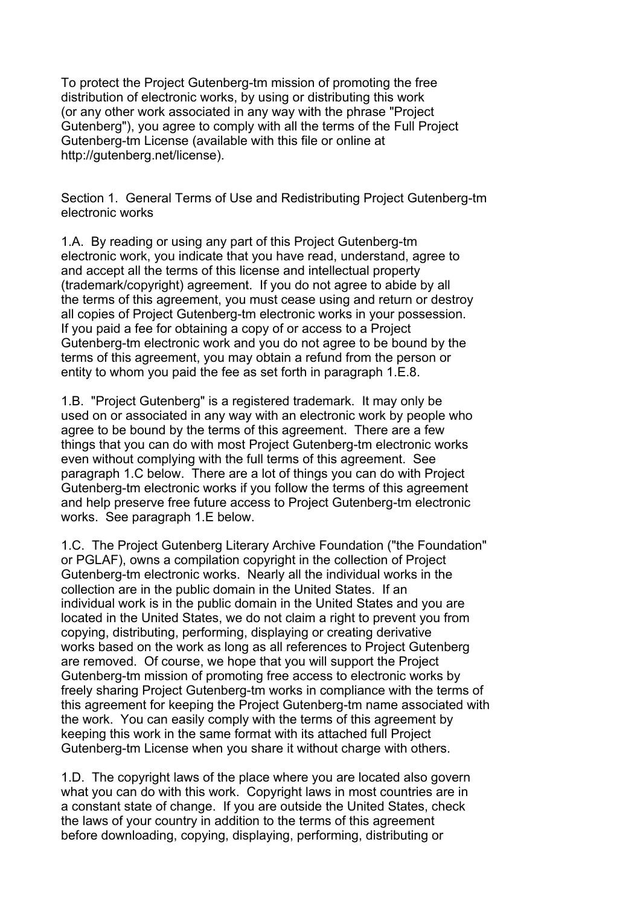To protect the Project Gutenberg-tm mission of promoting the free distribution of electronic works, by using or distributing this work (or any other work associated in any way with the phrase "Project Gutenberg"), you agree to comply with all the terms of the Full Project Gutenberg-tm License (available with this file or online at http://gutenberg.net/license).

Section 1. General Terms of Use and Redistributing Project Gutenberg-tm electronic works

1.A. By reading or using any part of this Project Gutenberg-tm electronic work, you indicate that you have read, understand, agree to and accept all the terms of this license and intellectual property (trademark/copyright) agreement. If you do not agree to abide by all the terms of this agreement, you must cease using and return or destroy all copies of Project Gutenberg-tm electronic works in your possession. If you paid a fee for obtaining a copy of or access to a Project Gutenberg-tm electronic work and you do not agree to be bound by the terms of this agreement, you may obtain a refund from the person or entity to whom you paid the fee as set forth in paragraph 1.E.8.

1.B. "Project Gutenberg" is a registered trademark. It may only be used on or associated in any way with an electronic work by people who agree to be bound by the terms of this agreement. There are a few things that you can do with most Project Gutenberg-tm electronic works even without complying with the full terms of this agreement. See paragraph 1.C below. There are a lot of things you can do with Project Gutenberg-tm electronic works if you follow the terms of this agreement and help preserve free future access to Project Gutenberg-tm electronic works. See paragraph 1.E below.

1.C. The Project Gutenberg Literary Archive Foundation ("the Foundation" or PGLAF), owns a compilation copyright in the collection of Project Gutenberg-tm electronic works. Nearly all the individual works in the collection are in the public domain in the United States. If an individual work is in the public domain in the United States and you are located in the United States, we do not claim a right to prevent you from copying, distributing, performing, displaying or creating derivative works based on the work as long as all references to Project Gutenberg are removed. Of course, we hope that you will support the Project Gutenberg-tm mission of promoting free access to electronic works by freely sharing Project Gutenberg-tm works in compliance with the terms of this agreement for keeping the Project Gutenberg-tm name associated with the work. You can easily comply with the terms of this agreement by keeping this work in the same format with its attached full Project Gutenberg-tm License when you share it without charge with others.

1.D. The copyright laws of the place where you are located also govern what you can do with this work. Copyright laws in most countries are in a constant state of change. If you are outside the United States, check the laws of your country in addition to the terms of this agreement before downloading, copying, displaying, performing, distributing or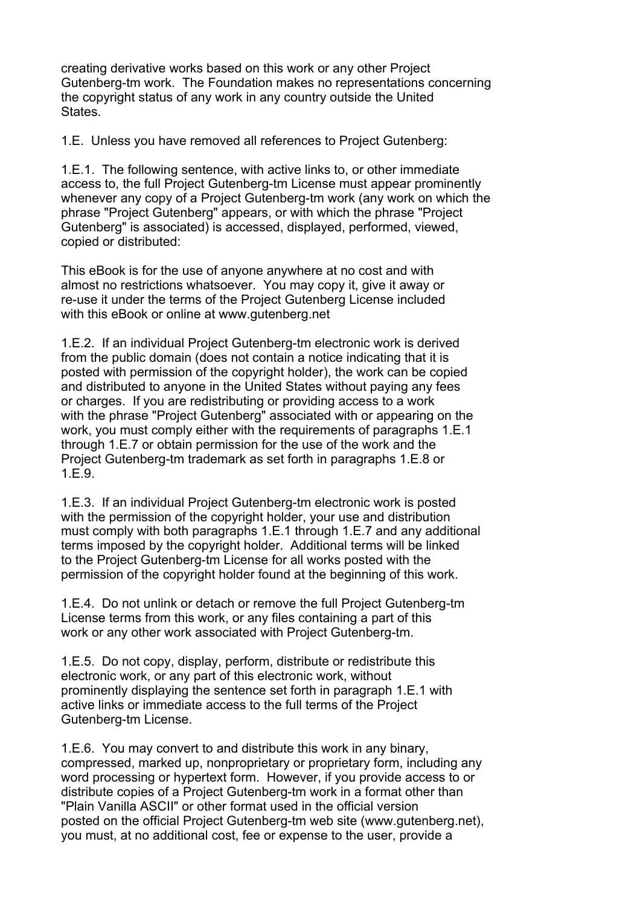creating derivative works based on this work or any other Project Gutenberg-tm work. The Foundation makes no representations concerning the copyright status of any work in any country outside the United States.

1.E. Unless you have removed all references to Project Gutenberg:

1.E.1. The following sentence, with active links to, or other immediate access to, the full Project Gutenberg-tm License must appear prominently whenever any copy of a Project Gutenberg-tm work (any work on which the phrase "Project Gutenberg" appears, or with which the phrase "Project Gutenberg" is associated) is accessed, displayed, performed, viewed, copied or distributed:

This eBook is for the use of anyone anywhere at no cost and with almost no restrictions whatsoever. You may copy it, give it away or re-use it under the terms of the Project Gutenberg License included with this eBook or online at www.gutenberg.net

1.E.2. If an individual Project Gutenberg-tm electronic work is derived from the public domain (does not contain a notice indicating that it is posted with permission of the copyright holder), the work can be copied and distributed to anyone in the United States without paying any fees or charges. If you are redistributing or providing access to a work with the phrase "Project Gutenberg" associated with or appearing on the work, you must comply either with the requirements of paragraphs 1.E.1 through 1.E.7 or obtain permission for the use of the work and the Project Gutenberg-tm trademark as set forth in paragraphs 1.E.8 or 1.E.9.

1.E.3. If an individual Project Gutenberg-tm electronic work is posted with the permission of the copyright holder, your use and distribution must comply with both paragraphs 1.E.1 through 1.E.7 and any additional terms imposed by the copyright holder. Additional terms will be linked to the Project Gutenberg-tm License for all works posted with the permission of the copyright holder found at the beginning of this work.

1.E.4. Do not unlink or detach or remove the full Project Gutenberg-tm License terms from this work, or any files containing a part of this work or any other work associated with Project Gutenberg-tm.

1.E.5. Do not copy, display, perform, distribute or redistribute this electronic work, or any part of this electronic work, without prominently displaying the sentence set forth in paragraph 1.E.1 with active links or immediate access to the full terms of the Project Gutenberg-tm License.

1.E.6. You may convert to and distribute this work in any binary, compressed, marked up, nonproprietary or proprietary form, including any word processing or hypertext form. However, if you provide access to or distribute copies of a Project Gutenberg-tm work in a format other than "Plain Vanilla ASCII" or other format used in the official version posted on the official Project Gutenberg-tm web site (www.gutenberg.net), you must, at no additional cost, fee or expense to the user, provide a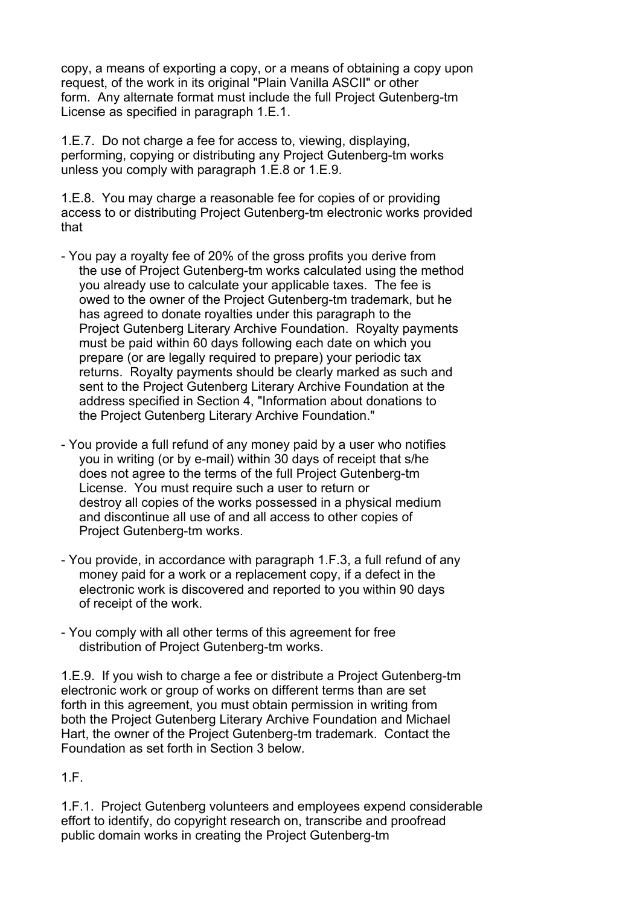copy, a means of exporting a copy, or a means of obtaining a copy upon request, of the work in its original "Plain Vanilla ASCII" or other form. Any alternate format must include the full Project Gutenberg-tm License as specified in paragraph 1.E.1.

1.E.7. Do not charge a fee for access to, viewing, displaying, performing, copying or distributing any Project Gutenberg-tm works unless you comply with paragraph 1.E.8 or 1.E.9.

1.E.8. You may charge a reasonable fee for copies of or providing access to or distributing Project Gutenberg-tm electronic works provided that

- You pay a royalty fee of 20% of the gross profits you derive from the use of Project Gutenberg-tm works calculated using the method you already use to calculate your applicable taxes. The fee is owed to the owner of the Project Gutenberg-tm trademark, but he has agreed to donate royalties under this paragraph to the Project Gutenberg Literary Archive Foundation. Royalty payments must be paid within 60 days following each date on which you prepare (or are legally required to prepare) your periodic tax returns. Royalty payments should be clearly marked as such and sent to the Project Gutenberg Literary Archive Foundation at the address specified in Section 4, "Information about donations to the Project Gutenberg Literary Archive Foundation."
- You provide a full refund of any money paid by a user who notifies you in writing (or by e-mail) within 30 days of receipt that s/he does not agree to the terms of the full Project Gutenberg-tm License. You must require such a user to return or destroy all copies of the works possessed in a physical medium and discontinue all use of and all access to other copies of Project Gutenberg-tm works.
- You provide, in accordance with paragraph 1.F.3, a full refund of any money paid for a work or a replacement copy, if a defect in the electronic work is discovered and reported to you within 90 days of receipt of the work.
- You comply with all other terms of this agreement for free distribution of Project Gutenberg-tm works.

1.E.9. If you wish to charge a fee or distribute a Project Gutenberg-tm electronic work or group of works on different terms than are set forth in this agreement, you must obtain permission in writing from both the Project Gutenberg Literary Archive Foundation and Michael Hart, the owner of the Project Gutenberg-tm trademark. Contact the Foundation as set forth in Section 3 below.

## 1.F.

1.F.1. Project Gutenberg volunteers and employees expend considerable effort to identify, do copyright research on, transcribe and proofread public domain works in creating the Project Gutenberg-tm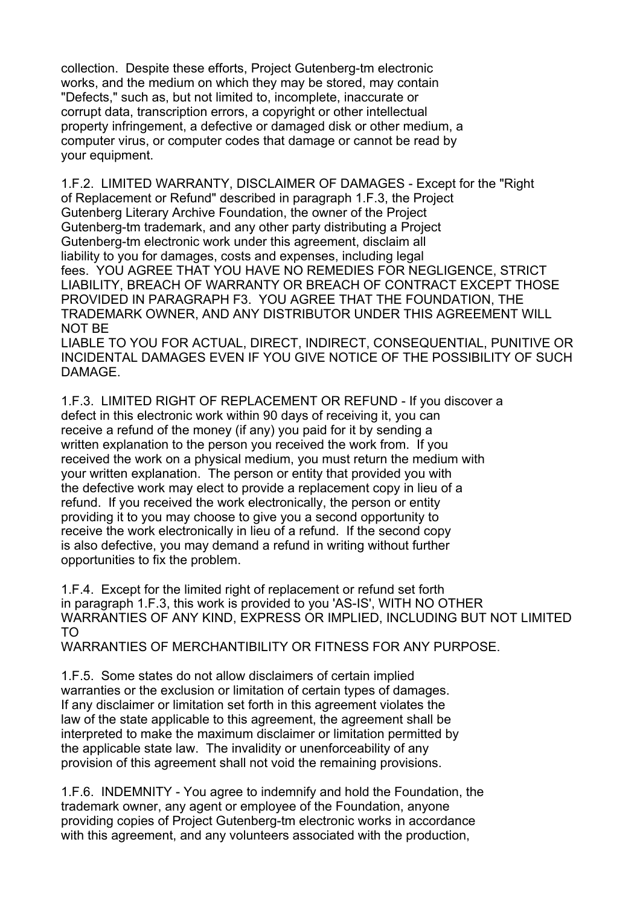collection. Despite these efforts, Project Gutenberg-tm electronic works, and the medium on which they may be stored, may contain "Defects," such as, but not limited to, incomplete, inaccurate or corrupt data, transcription errors, a copyright or other intellectual property infringement, a defective or damaged disk or other medium, a computer virus, or computer codes that damage or cannot be read by your equipment.

1.F.2. LIMITED WARRANTY, DISCLAIMER OF DAMAGES - Except for the "Right of Replacement or Refund" described in paragraph 1.F.3, the Project Gutenberg Literary Archive Foundation, the owner of the Project Gutenberg-tm trademark, and any other party distributing a Project Gutenberg-tm electronic work under this agreement, disclaim all liability to you for damages, costs and expenses, including legal fees. YOU AGREE THAT YOU HAVE NO REMEDIES FOR NEGLIGENCE, STRICT LIABILITY, BREACH OF WARRANTY OR BREACH OF CONTRACT EXCEPT THOSE PROVIDED IN PARAGRAPH F3. YOU AGREE THAT THE FOUNDATION, THE TRADEMARK OWNER, AND ANY DISTRIBUTOR UNDER THIS AGREEMENT WILL NOT BE

LIABLE TO YOU FOR ACTUAL, DIRECT, INDIRECT, CONSEQUENTIAL, PUNITIVE OR INCIDENTAL DAMAGES EVEN IF YOU GIVE NOTICE OF THE POSSIBILITY OF SUCH DAMAGE.

1.F.3. LIMITED RIGHT OF REPLACEMENT OR REFUND - If you discover a defect in this electronic work within 90 days of receiving it, you can receive a refund of the money (if any) you paid for it by sending a written explanation to the person you received the work from. If you received the work on a physical medium, you must return the medium with your written explanation. The person or entity that provided you with the defective work may elect to provide a replacement copy in lieu of a refund. If you received the work electronically, the person or entity providing it to you may choose to give you a second opportunity to receive the work electronically in lieu of a refund. If the second copy is also defective, you may demand a refund in writing without further opportunities to fix the problem.

1.F.4. Except for the limited right of replacement or refund set forth in paragraph 1.F.3, this work is provided to you 'AS-IS', WITH NO OTHER WARRANTIES OF ANY KIND, EXPRESS OR IMPLIED, INCLUDING BUT NOT LIMITED TO

WARRANTIES OF MERCHANTIBILITY OR FITNESS FOR ANY PURPOSE.

1.F.5. Some states do not allow disclaimers of certain implied warranties or the exclusion or limitation of certain types of damages. If any disclaimer or limitation set forth in this agreement violates the law of the state applicable to this agreement, the agreement shall be interpreted to make the maximum disclaimer or limitation permitted by the applicable state law. The invalidity or unenforceability of any provision of this agreement shall not void the remaining provisions.

1.F.6. INDEMNITY - You agree to indemnify and hold the Foundation, the trademark owner, any agent or employee of the Foundation, anyone providing copies of Project Gutenberg-tm electronic works in accordance with this agreement, and any volunteers associated with the production,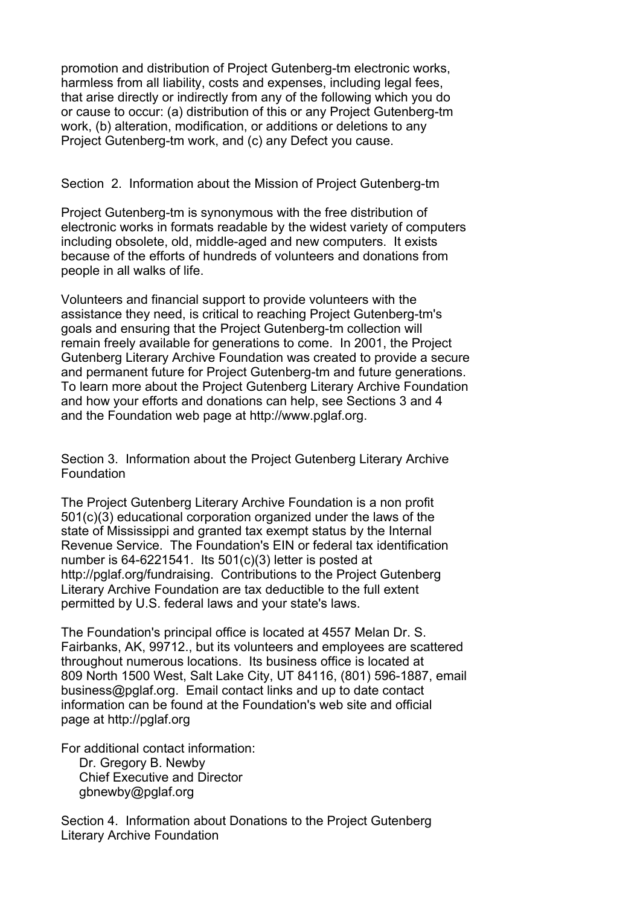promotion and distribution of Project Gutenberg-tm electronic works, harmless from all liability, costs and expenses, including legal fees, that arise directly or indirectly from any of the following which you do or cause to occur: (a) distribution of this or any Project Gutenberg-tm work, (b) alteration, modification, or additions or deletions to any Project Gutenberg-tm work, and (c) any Defect you cause.

## Section 2. Information about the Mission of Project Gutenberg-tm

Project Gutenberg-tm is synonymous with the free distribution of electronic works in formats readable by the widest variety of computers including obsolete, old, middle-aged and new computers. It exists because of the efforts of hundreds of volunteers and donations from people in all walks of life.

Volunteers and financial support to provide volunteers with the assistance they need, is critical to reaching Project Gutenberg-tm's goals and ensuring that the Project Gutenberg-tm collection will remain freely available for generations to come. In 2001, the Project Gutenberg Literary Archive Foundation was created to provide a secure and permanent future for Project Gutenberg-tm and future generations. To learn more about the Project Gutenberg Literary Archive Foundation and how your efforts and donations can help, see Sections 3 and 4 and the Foundation web page at http://www.pglaf.org.

Section 3. Information about the Project Gutenberg Literary Archive **Foundation** 

The Project Gutenberg Literary Archive Foundation is a non profit 501(c)(3) educational corporation organized under the laws of the state of Mississippi and granted tax exempt status by the Internal Revenue Service. The Foundation's EIN or federal tax identification number is 64-6221541. Its 501(c)(3) letter is posted at http://pglaf.org/fundraising. Contributions to the Project Gutenberg Literary Archive Foundation are tax deductible to the full extent permitted by U.S. federal laws and your state's laws.

The Foundation's principal office is located at 4557 Melan Dr. S. Fairbanks, AK, 99712., but its volunteers and employees are scattered throughout numerous locations. Its business office is located at 809 North 1500 West, Salt Lake City, UT 84116, (801) 596-1887, email business@pglaf.org. Email contact links and up to date contact information can be found at the Foundation's web site and official page at http://pglaf.org

For additional contact information:

 Dr. Gregory B. Newby Chief Executive and Director gbnewby@pglaf.org

Section 4. Information about Donations to the Project Gutenberg Literary Archive Foundation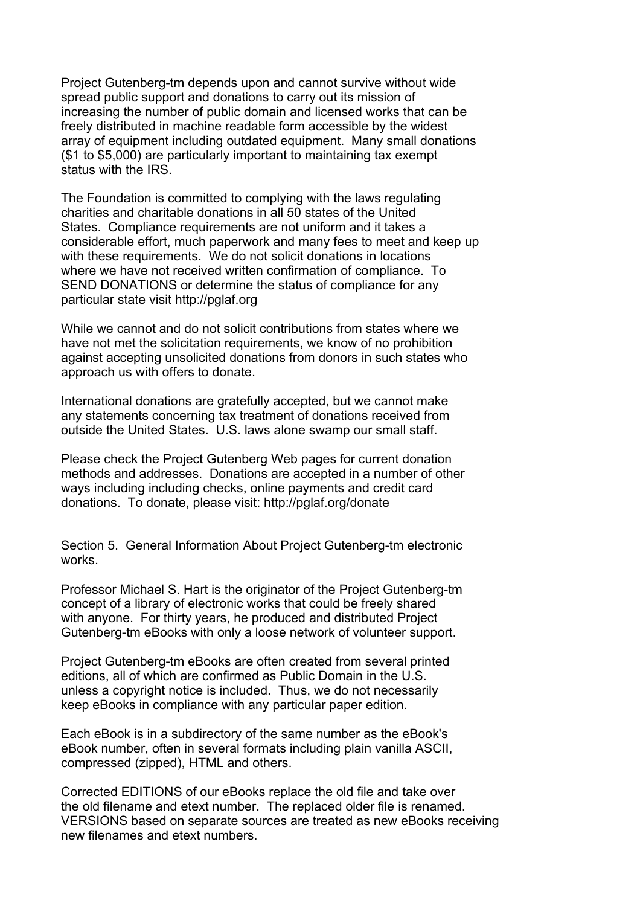Project Gutenberg-tm depends upon and cannot survive without wide spread public support and donations to carry out its mission of increasing the number of public domain and licensed works that can be freely distributed in machine readable form accessible by the widest array of equipment including outdated equipment. Many small donations (\$1 to \$5,000) are particularly important to maintaining tax exempt status with the IRS.

The Foundation is committed to complying with the laws regulating charities and charitable donations in all 50 states of the United States. Compliance requirements are not uniform and it takes a considerable effort, much paperwork and many fees to meet and keep up with these requirements. We do not solicit donations in locations where we have not received written confirmation of compliance. To SEND DONATIONS or determine the status of compliance for any particular state visit http://pglaf.org

While we cannot and do not solicit contributions from states where we have not met the solicitation requirements, we know of no prohibition against accepting unsolicited donations from donors in such states who approach us with offers to donate.

International donations are gratefully accepted, but we cannot make any statements concerning tax treatment of donations received from outside the United States. U.S. laws alone swamp our small staff.

Please check the Project Gutenberg Web pages for current donation methods and addresses. Donations are accepted in a number of other ways including including checks, online payments and credit card donations. To donate, please visit: http://pglaf.org/donate

Section 5. General Information About Project Gutenberg-tm electronic works.

Professor Michael S. Hart is the originator of the Project Gutenberg-tm concept of a library of electronic works that could be freely shared with anyone. For thirty years, he produced and distributed Project Gutenberg-tm eBooks with only a loose network of volunteer support.

Project Gutenberg-tm eBooks are often created from several printed editions, all of which are confirmed as Public Domain in the U.S. unless a copyright notice is included. Thus, we do not necessarily keep eBooks in compliance with any particular paper edition.

Each eBook is in a subdirectory of the same number as the eBook's eBook number, often in several formats including plain vanilla ASCII, compressed (zipped), HTML and others.

Corrected EDITIONS of our eBooks replace the old file and take over the old filename and etext number. The replaced older file is renamed. VERSIONS based on separate sources are treated as new eBooks receiving new filenames and etext numbers.